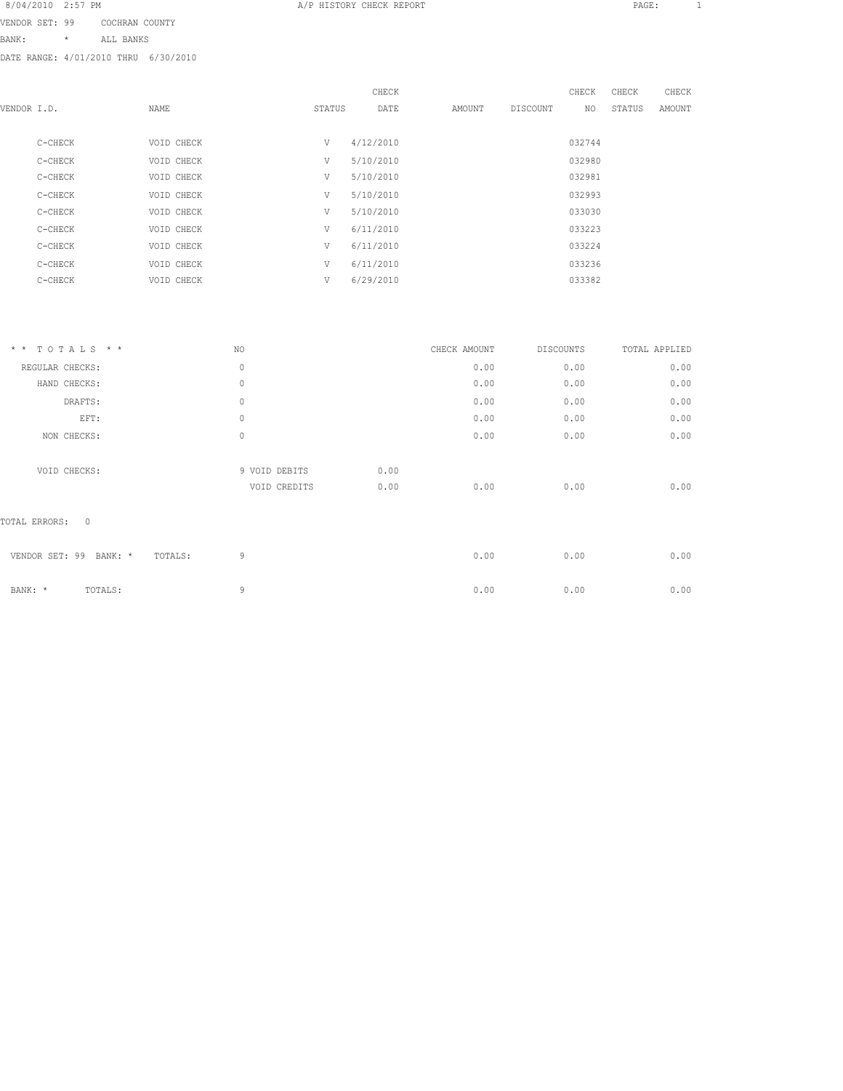VENDOR SET: 99 COCHRAN COUNTY BANK: \* ALL BANKS

|             |         |            |        | CHECK     |        |          | CHECK  | CHECK  | CHECK  |
|-------------|---------|------------|--------|-----------|--------|----------|--------|--------|--------|
| VENDOR I.D. |         | NAME       | STATUS | DATE      | AMOUNT | DISCOUNT | NO.    | STATUS | AMOUNT |
|             |         |            |        |           |        |          |        |        |        |
|             | C-CHECK | VOID CHECK | V      | 4/12/2010 |        |          | 032744 |        |        |
|             | C-CHECK | VOID CHECK | V      | 5/10/2010 |        |          | 032980 |        |        |
|             | C-CHECK | VOID CHECK | V      | 5/10/2010 |        |          | 032981 |        |        |
|             | C-CHECK | VOID CHECK | V      | 5/10/2010 |        |          | 032993 |        |        |
|             | C-CHECK | VOID CHECK | V      | 5/10/2010 |        |          | 033030 |        |        |
|             | C-CHECK | VOID CHECK | V      | 6/11/2010 |        |          | 033223 |        |        |
|             | C-CHECK | VOID CHECK | V      | 6/11/2010 |        |          | 033224 |        |        |
|             | C-CHECK | VOID CHECK | V      | 6/11/2010 |        |          | 033236 |        |        |
|             | C-CHECK | VOID CHECK | V      | 6/29/2010 |        |          | 033382 |        |        |
|             |         |            |        |           |        |          |        |        |        |

| $*$ * TOTALS * *                              | NO.                           |              | CHECK AMOUNT | DISCOUNTS | TOTAL APPLIED |
|-----------------------------------------------|-------------------------------|--------------|--------------|-----------|---------------|
| REGULAR CHECKS:                               | 0                             |              | 0.00         | 0.00      | 0.00          |
| HAND CHECKS:                                  | $\mathbb O$                   |              | 0.00         | 0.00      | 0.00          |
| DRAFTS:                                       | $\mathbb O$                   |              | 0.00         | 0.00      | 0.00          |
| EFT:                                          | $\mathbf 0$                   |              | 0.00         | 0.00      | 0.00          |
| NON CHECKS:                                   | $\mathbf 0$                   |              | 0.00         | 0.00      | 0.00          |
| VOID CHECKS:<br>$\mathbf{0}$<br>TOTAL ERRORS: | 9 VOID DEBITS<br>VOID CREDITS | 0.00<br>0.00 | 0.00         | 0.00      | 0.00          |
| VENDOR SET: 99<br>BANK: *<br>TOTALS:          | 9                             |              | 0.00         | 0.00      | 0.00          |
| BANK: *<br>TOTALS:                            | 9                             |              | 0.00         | 0.00      | 0.00          |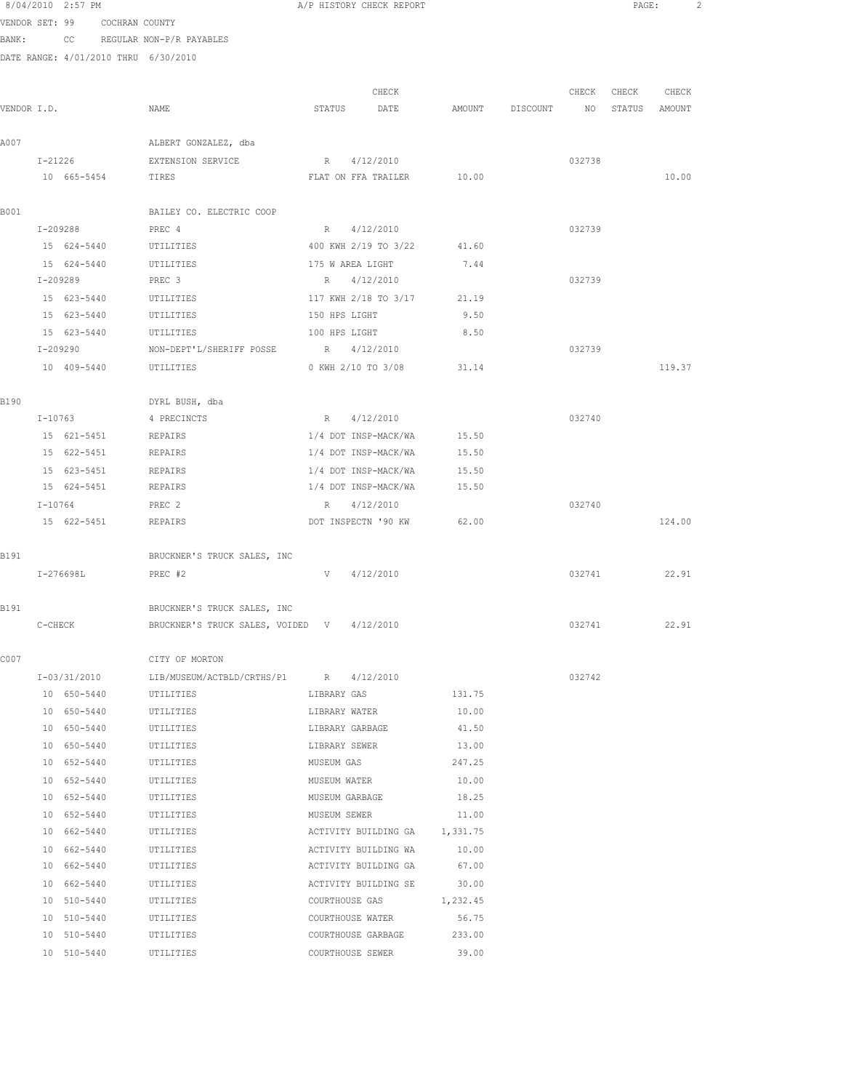8/04/2010 2:57 PM **A/P HISTORY CHECK REPORT PAGE:** 2 VENDOR SET: 99 COCHRAN COUNTY BANK: CC REGULAR NON-P/R PAYABLES DATE RANGE: 4/01/2010 THRU 6/30/2010 CHECK CHECK CHECK CHECK VENDOR I.D. NAME STATUS DATE AMOUNT DISCOUNT NO STATUS AMOUNT A007 ALBERT GONZALEZ, dba I-21226 EXTENSION SERVICE R 4/12/2010 032738 10 665-5454 TIRES FLAT ON FFA TRAILER 10.00 10.00 B001 BAILEY CO. ELECTRIC COOP I-209288 PREC 4 R 4/12/2010 032739 15 624-5440 UTILITIES 400 KWH 2/19 TO 3/22 41.60 15 624-5440 UTILITIES 175 W AREA LIGHT 7.44 I-209289 PREC 3 R 4/12/2010 032739 15 623-5440 UTILITIES 117 KWH 2/18 TO 3/17 21.19 15 623-5440 UTILITIES 150 HPS LIGHT 9.50 15 623-5440 UTILITIES 100 HPS LIGHT 8.50 I-209290 NON-DEPT'L/SHERIFF POSSE R 4/12/2010 032739 10 409-5440 UTILITIES 0 KWH 2/10 TO 3/08 31.14 119.37 B190 DYRL BUSH, dba I-10763 4 PRECINCTS R 4/12/2010 032740 15 621-5451 REPAIRS 1/4 DOT INSP-MACK/WA 15.50 15 622-5451 REPAIRS 1/4 DOT INSP-MACK/WA 15.50 15 623-5451 REPAIRS 1/4 DOT INSP-MACK/WA 15.50 15 624-5451 REPAIRS 1/4 DOT INSP-MACK/WA 15.50 I-10764 PREC 2 R 4/12/2010 032740 15 622-5451 REPAIRS DOT INSPECTN '90 KW 62.00 124.00 B191 BRUCKNER'S TRUCK SALES, INC T-276698T. PREC #2 PREC +2 V 4/12/2010 032741 032741 22.91 B191 BRUCKNER'S TRUCK SALES, INC C-CHECK BRUCKNER'S TRUCK SALES, VOIDED V 4/12/2010 032741 032741 22.91 C007 CITY OF MORTON I-03/31/2010 LIB/MUSEUM/ACTBLD/CRTHS/P1 R 4/12/2010 032742 10 650-5440 UTILITIES LIBRARY GAS 131.75 10 650-5440 UTILITIES LIBRARY WATER 10.00 10 650-5440 UTILITIES LIBRARY GARBAGE 41.50 10 650-5440 UTILITIES LIBRARY SEWER 13.00 10 652-5440 UTILITIES MUSEUM GAS 247.25 10 652-5440 UTILITIES MUSEUM WATER 10.00 10 652-5440 UTILITIES MUSEUM GARBAGE 18.25 10 652-5440 UTILITIES MUSEUM SEWER 11.00 10 662-5440 UTILITIES ACTIVITY BUILDING GA 1,331.75 10 662-5440 UTILITIES ACTIVITY BUILDING WA 10.00 10 662-5440 UTILITIES ACTIVITY BUILDING GA 67.00 10 662-5440 UTILITIES ACTIVITY BUILDING SE 30.00 10 510-5440 UTILITIES COURTHOUSE GAS 1,232.45

 10 510-5440 UTILITIES COURTHOUSE WATER 56.75 10 510-5440 UTILITIES COURTHOUSE GARBAGE 233.00 10 510-5440 UTILITIES COURTHOUSE SEWER 39.00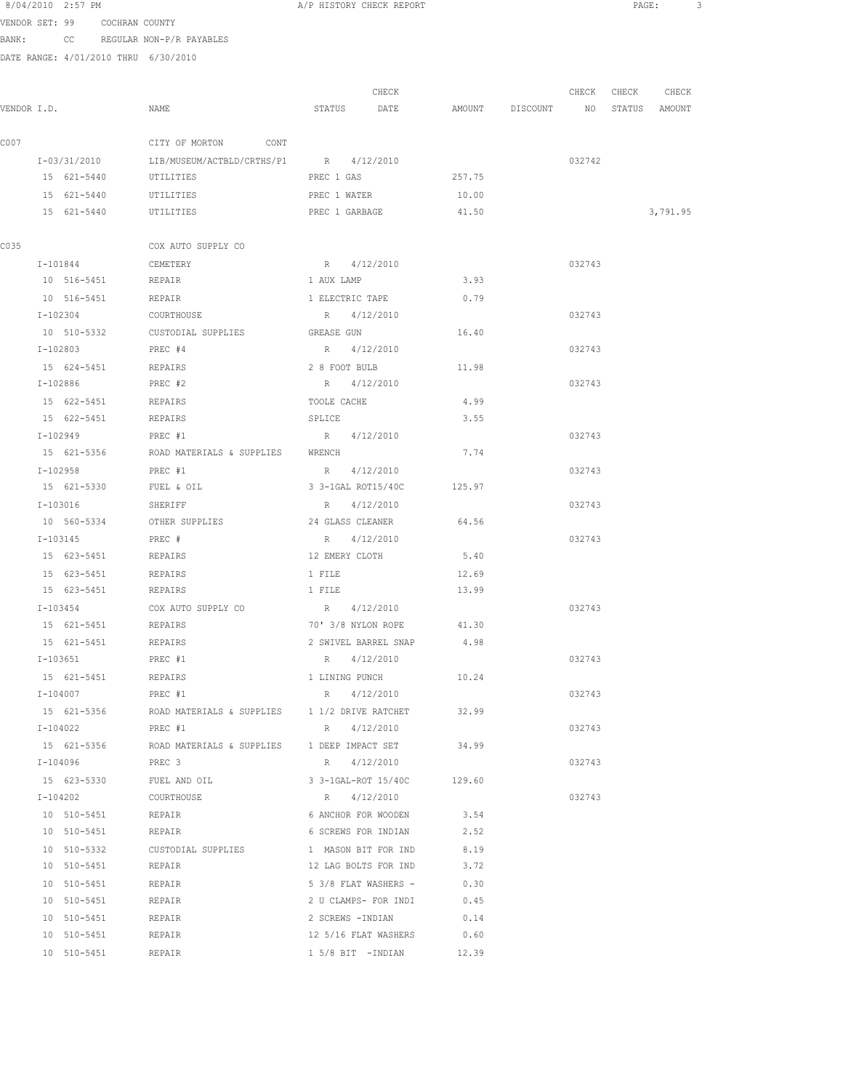VENDOR SET: 99 COCHRAN COUNTY BANK: CC REGULAR NON-P/R PAYABLES

|             |                        |                                                               |                      | CHECK                      |                                  | CHECK  | CHECK | CHECK    |
|-------------|------------------------|---------------------------------------------------------------|----------------------|----------------------------|----------------------------------|--------|-------|----------|
| VENDOR I.D. |                        | NAME                                                          | STATUS DATE          |                            | AMOUNT DISCOUNT NO STATUS AMOUNT |        |       |          |
| C007        |                        | CITY OF MORTON CONT                                           |                      |                            |                                  |        |       |          |
|             | I-03/31/2010           | LIB/MUSEUM/ACTBLD/CRTHS/P1 R 4/12/2010                        |                      |                            |                                  | 032742 |       |          |
|             | 15 621-5440            | UTILITIES                                                     | PREC 1 GAS           |                            | 257.75                           |        |       |          |
|             | 15 621-5440            | UTILITIES                                                     | PREC 1 WATER         |                            | 10.00                            |        |       |          |
|             | 15 621-5440            | UTILITIES                                                     | PREC 1 GARBAGE       |                            | 41.50                            |        |       | 3,791.95 |
| C035        |                        | COX AUTO SUPPLY CO                                            |                      |                            |                                  |        |       |          |
|             | I-101844               | CEMETERY                                                      | R 4/12/2010          |                            |                                  | 032743 |       |          |
|             | 10 516-5451 REPAIR     |                                                               | 1 AUX LAMP           |                            | 3.93                             |        |       |          |
|             | 10 516-5451 REPAIR     |                                                               | 1 ELECTRIC TAPE      |                            | 0.79                             |        |       |          |
|             | I-102304               | COURTHOUSE                                                    | R 4/12/2010          |                            |                                  | 032743 |       |          |
|             | 10 510-5332            | CUSTODIAL SUPPLIES                                            | GREASE GUN           |                            | 16.40                            |        |       |          |
|             | I-102803               | PREC #4                                                       | R 4/12/2010          |                            |                                  | 032743 |       |          |
|             | 15 624-5451            | REPAIRS                                                       | 2 8 FOOT BULB        |                            | 11.98                            |        |       |          |
|             | I-102886               | PREC #2                                                       | R 4/12/2010          |                            |                                  | 032743 |       |          |
|             | 15 622-5451            | REPAIRS                                                       | TOOLE CACHE          |                            | 4.99                             |        |       |          |
|             | 15 622-5451            | REPAIRS                                                       | SPLICE               |                            | 3.55                             |        |       |          |
|             | I-102949               | PREC #1                                                       | R 4/12/2010          |                            |                                  | 032743 |       |          |
|             | 15 621-5356            | ROAD MATERIALS & SUPPLIES WRENCH                              |                      |                            | 7.74                             |        |       |          |
|             | I-102958               | PREC #1                                                       | R 4/12/2010          |                            |                                  | 032743 |       |          |
|             | 15 621-5330 FUEL & OIL |                                                               | 3 3-1GAL ROT15/40C   |                            | 125.97                           |        |       |          |
|             | I-103016               | SHERIFF                                                       | R 4/12/2010          |                            |                                  | 032743 |       |          |
|             |                        | 10 560-5334 OTHER SUPPLIES                                    | 24 GLASS CLEANER     |                            | 64.56                            |        |       |          |
|             | I-103145               | PREC #                                                        | R 4/12/2010          |                            |                                  | 032743 |       |          |
|             | 15 623-5451            | REPAIRS                                                       | 12 EMERY CLOTH       |                            | 5.40                             |        |       |          |
|             | 15 623-5451            | REPAIRS                                                       | 1 FILE               |                            | 12.69                            |        |       |          |
|             | 15 623-5451            | REPAIRS                                                       | 1 FILE               |                            | 13.99                            |        |       |          |
|             | I-103454               | COX AUTO SUPPLY CO                                            | R 4/12/2010          |                            |                                  | 032743 |       |          |
|             | 15 621-5451            | REPAIRS                                                       | 70' 3/8 NYLON ROPE   |                            | 41.30                            |        |       |          |
|             | 15 621-5451            | REPAIRS                                                       | 2 SWIVEL BARREL SNAP |                            | 4.98                             |        |       |          |
|             | I-103651               | PREC #1                                                       | R 4/12/2010          |                            |                                  | 032743 |       |          |
|             | 15 621-5451 REPAIRS    |                                                               |                      | 1 LINING PUNCH 10.24       |                                  |        |       |          |
|             | $I-104007$             | PREC #1                                                       | $R = 4/12/2010$      |                            |                                  | 032743 |       |          |
|             |                        | 15 621-5356 ROAD MATERIALS & SUPPLIES 1 1/2 DRIVE RATCHET     |                      |                            | 32.99                            |        |       |          |
|             | I-104022 PREC #1       |                                                               | R 4/12/2010          |                            |                                  | 032743 |       |          |
|             |                        | 15 621-5356 ROAD MATERIALS & SUPPLIES 1 DEEP IMPACT SET 34.99 |                      |                            |                                  |        |       |          |
|             | I-104096               | PREC 3                                                        | R 4/12/2010          |                            |                                  | 032743 |       |          |
|             | 15 623-5330            | FUEL AND OIL                                                  |                      | 3 3-1GAL-ROT 15/40C 129.60 |                                  |        |       |          |
|             | I-104202               | COURTHOUSE                                                    | R 4/12/2010          |                            |                                  | 032743 |       |          |
|             | 10 510-5451            | REPAIR                                                        | 6 ANCHOR FOR WOODEN  |                            | 3.54                             |        |       |          |
|             | 10 510-5451            | REPAIR                                                        | 6 SCREWS FOR INDIAN  |                            | 2.52                             |        |       |          |
|             | 10 510-5332            | CUSTODIAL SUPPLIES 1 MASON BIT FOR IND                        |                      |                            | 8.19                             |        |       |          |
|             | 10 510-5451            | REPAIR                                                        |                      | 12 LAG BOLTS FOR IND       | 3.72                             |        |       |          |
|             | 10 510-5451            | <b>REPAIR</b>                                                 |                      | 5 3/8 FLAT WASHERS - 0.30  |                                  |        |       |          |
|             | 10 510-5451            | REPAIR                                                        |                      | 2 U CLAMPS- FOR INDI 0.45  |                                  |        |       |          |
|             | 10 510-5451            | REPAIR                                                        |                      | 2 SCREWS - INDIAN 0.14     |                                  |        |       |          |
|             | 10 510-5451            | REPAIR                                                        |                      | 12 5/16 FLAT WASHERS 0.60  |                                  |        |       |          |
|             | 10 510-5451            | REPAIR                                                        |                      | 1 5/8 BIT -INDIAN          | 12.39                            |        |       |          |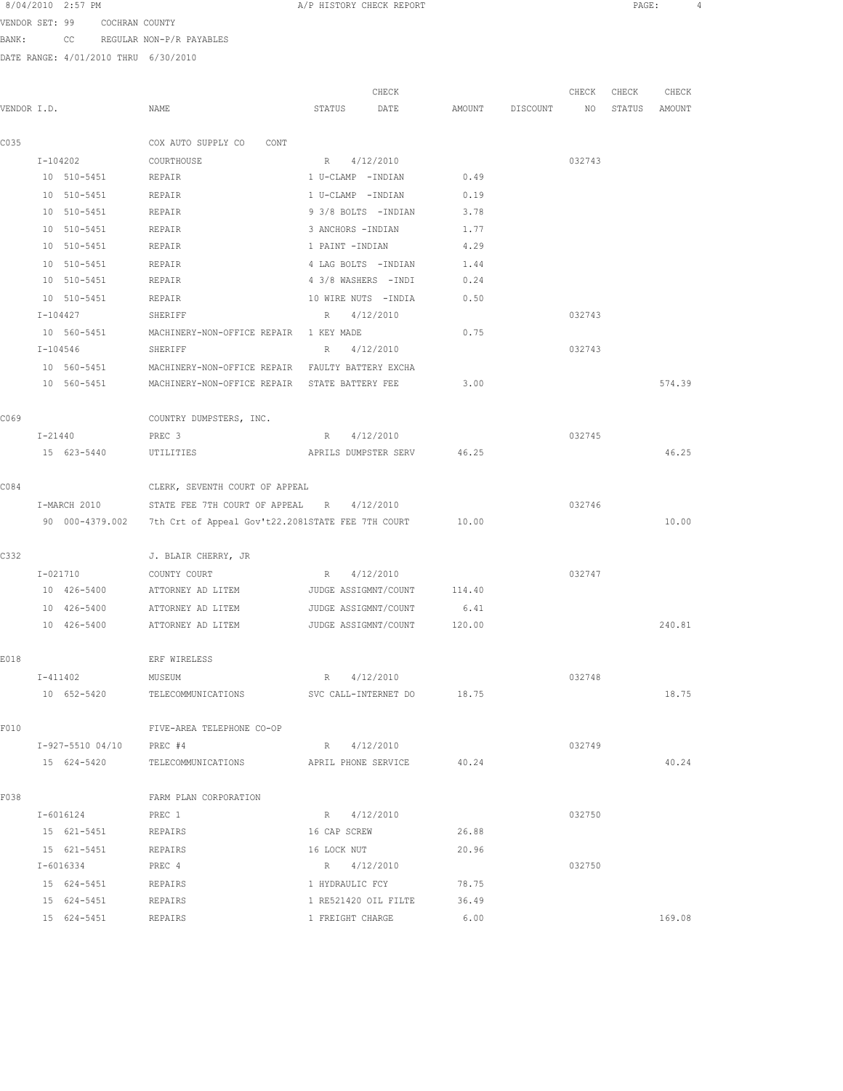VENDOR SET: 99 COCHRAN COUNTY BANK: CC REGULAR NON-P/R PAYABLES

|             |                     |                                                                   | CHECK                      |        |          | CHECK  | CHECK  | CHECK  |
|-------------|---------------------|-------------------------------------------------------------------|----------------------------|--------|----------|--------|--------|--------|
| VENDOR I.D. |                     | NAME                                                              | STATUS<br>DATE             | AMOUNT | DISCOUNT | NO     | STATUS | AMOUNT |
| C035        |                     | COX AUTO SUPPLY CO<br>CONT                                        |                            |        |          |        |        |        |
|             | I-104202            | COURTHOUSE                                                        | 4/12/2010<br>R             |        |          | 032743 |        |        |
|             | 10 510-5451         | REPAIR                                                            | 1 U-CLAMP -INDIAN          | 0.49   |          |        |        |        |
|             | 10 510-5451         | REPAIR                                                            | 1 U-CLAMP -INDIAN          | 0.19   |          |        |        |        |
|             | 10 510-5451         | <b>REPAIR</b>                                                     | 9 3/8 BOLTS - INDIAN       | 3.78   |          |        |        |        |
|             | 10 510-5451         | REPAIR                                                            | 3 ANCHORS - INDIAN         | 1.77   |          |        |        |        |
|             | 10 510-5451         | REPAIR                                                            | 1 PAINT -INDIAN            | 4.29   |          |        |        |        |
|             | 10 510-5451         | REPAIR                                                            | 4 LAG BOLTS - INDIAN       | 1.44   |          |        |        |        |
|             | 10 510-5451         | REPAIR                                                            | 4 3/8 WASHERS - INDI       | 0.24   |          |        |        |        |
|             | 10 510-5451         | REPAIR                                                            | 10 WIRE NUTS - INDIA       | 0.50   |          |        |        |        |
|             | I-104427            | SHERIFF                                                           | 4/12/2010<br>$R_{\perp}$   |        |          | 032743 |        |        |
|             | 10 560-5451         | MACHINERY-NON-OFFICE REPAIR 1 KEY MADE                            |                            | 0.75   |          |        |        |        |
|             | I-104546            | SHERIFF                                                           | 4/12/2010<br>$R_{\perp}$   |        |          | 032743 |        |        |
|             | 10 560-5451         | MACHINERY-NON-OFFICE REPAIR FAULTY BATTERY EXCHA                  |                            |        |          |        |        |        |
|             | 10 560-5451         | MACHINERY-NON-OFFICE REPAIR STATE BATTERY FEE                     |                            | 3.00   |          |        |        | 574.39 |
| C069        |                     | COUNTRY DUMPSTERS, INC.                                           |                            |        |          |        |        |        |
|             | I-21440             | PREC 3                                                            | 4/12/2010<br>R             |        |          | 032745 |        |        |
|             | 15 623-5440         | UTILITIES                                                         | APRILS DUMPSTER SERV       | 46.25  |          |        |        | 46.25  |
| C084        |                     | CLERK, SEVENTH COURT OF APPEAL                                    |                            |        |          |        |        |        |
|             | I-MARCH 2010        | STATE FEE 7TH COURT OF APPEAL R                                   | 4/12/2010                  |        |          | 032746 |        |        |
|             |                     | 90 000-4379.002 7th Crt of Appeal Gov't22.2081STATE FEE 7TH COURT |                            | 10.00  |          |        |        | 10.00  |
| C332        |                     | J. BLAIR CHERRY, JR                                               |                            |        |          |        |        |        |
|             | $I - 021710$        | COUNTY COURT                                                      | 4/12/2010<br>R             |        |          | 032747 |        |        |
|             | 10 426-5400         | ATTORNEY AD LITEM                                                 | JUDGE ASSIGMNT/COUNT       | 114.40 |          |        |        |        |
|             | 10 426-5400         | ATTORNEY AD LITEM                                                 | JUDGE ASSIGMNT/COUNT       | 6.41   |          |        |        |        |
|             | 10 426-5400         | ATTORNEY AD LITEM                                                 | JUDGE ASSIGMNT/COUNT       | 120.00 |          |        |        | 240.81 |
| E018        |                     | ERF WIRELESS                                                      |                            |        |          |        |        |        |
|             | $I - 411402$        | MUSEUM                                                            | 4/12/2010<br>R             |        |          | 032748 |        |        |
|             | 10 652-5420         | TELECOMMUNICATIONS                                                | SVC CALL-INTERNET DO       | 18.75  |          |        |        | 18.75  |
| F010        |                     | FIVE-AREA TELEPHONE CO-OP                                         |                            |        |          |        |        |        |
|             | I-927-5510 04/10    | PREC #4                                                           | R 4/12/2010                |        |          | 032749 |        |        |
|             | 15 624-5420         | TELECOMMUNICATIONS                                                | APRIL PHONE SERVICE        | 40.24  |          |        |        | 40.24  |
| F038        |                     | FARM PLAN CORPORATION                                             |                            |        |          |        |        |        |
|             | I-6016124           | PREC 1                                                            | R 4/12/2010                |        |          | 032750 |        |        |
|             | 15 621-5451         | REPAIRS                                                           | 16 CAP SCREW               | 26.88  |          |        |        |        |
|             | 15 621-5451 REPAIRS |                                                                   | 16 LOCK NUT                | 20.96  |          |        |        |        |
|             | I-6016334           | PREC 4                                                            | R 4/12/2010                |        |          | 032750 |        |        |
|             | 15 624-5451         | REPAIRS                                                           | 1 HYDRAULIC FCY            | 78.75  |          |        |        |        |
|             | 15 624-5451         | REPAIRS                                                           | 1 RE521420 OIL FILTE 36.49 |        |          |        |        | 169.08 |
|             | 15 624-5451         | REPAIRS                                                           | 1 FREIGHT CHARGE           | 6.00   |          |        |        |        |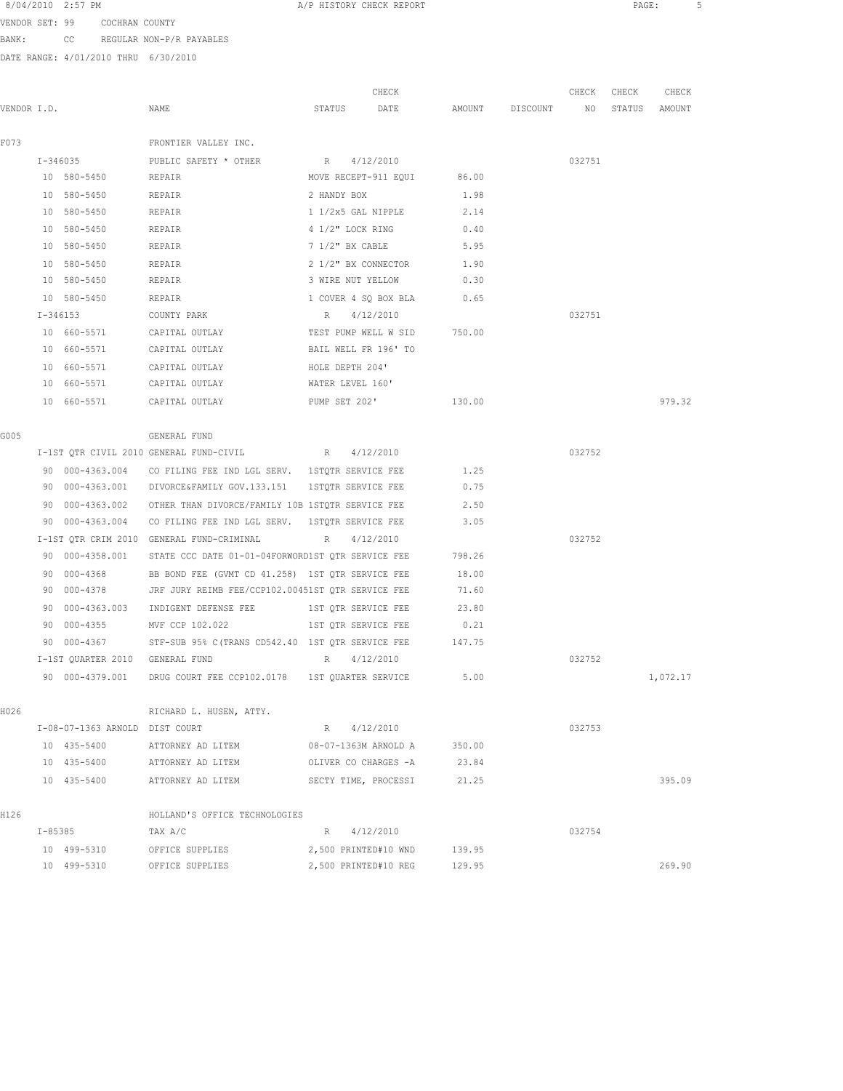VENDOR SET: 99 COCHRAN COUNTY BANK: CC REGULAR NON-P/R PAYABLES

|             |             |                                 |                                                                   |                      | CHECK                      |                    | CHECK  | CHECK  | CHECK    |
|-------------|-------------|---------------------------------|-------------------------------------------------------------------|----------------------|----------------------------|--------------------|--------|--------|----------|
| VENDOR I.D. |             |                                 | NAME                                                              | STATUS               | DATE                       | AMOUNT DISCOUNT NO |        | STATUS | AMOUNT   |
|             |             |                                 |                                                                   |                      |                            |                    |        |        |          |
| F073        |             |                                 | FRONTIER VALLEY INC.                                              |                      |                            |                    |        |        |          |
|             |             | $I - 346035$                    | PUBLIC SAFETY * OTHER                                             | R 4/12/2010          |                            |                    | 032751 |        |          |
|             |             | 10 580-5450                     | REPAIR                                                            |                      | MOVE RECEPT-911 EQUI 86.00 |                    |        |        |          |
|             |             | 10 580-5450                     | REPAIR                                                            |                      | 2 HANDY BOX                | 1.98               |        |        |          |
|             |             | 10 580-5450                     | REPAIR                                                            |                      | 1 1/2x5 GAL NIPPLE         | 2.14               |        |        |          |
|             |             | 10 580-5450                     | REPAIR                                                            | 4 1/2" LOCK RING     |                            | 0.40               |        |        |          |
|             |             | 10 580-5450                     | REPAIR                                                            | 7 1/2" BX CABLE      |                            | 5.95               |        |        |          |
|             |             | 10 580-5450                     | REPAIR                                                            | 2 1/2" BX CONNECTOR  |                            | 1.90               |        |        |          |
|             |             | 10 580-5450                     | REPAIR                                                            | 3 WIRE NUT YELLOW    |                            | 0.30               |        |        |          |
|             |             | 10 580-5450                     | REPAIR                                                            |                      | 1 COVER 4 SQ BOX BLA       | 0.65               |        |        |          |
|             |             | I-346153                        | COUNTY PARK                                                       | R                    | 4/12/2010                  |                    | 032751 |        |          |
|             |             | 10 660-5571                     | CAPITAL OUTLAY                                                    | TEST PUMP WELL W SID |                            | 750.00             |        |        |          |
|             |             | 10 660-5571                     | CAPITAL OUTLAY                                                    | BAIL WELL FR 196' TO |                            |                    |        |        |          |
|             |             | 10 660-5571                     | CAPITAL OUTLAY                                                    | HOLE DEPTH 204'      |                            |                    |        |        |          |
|             |             |                                 | 10 660-5571 CAPITAL OUTLAY                                        | WATER LEVEL 160'     |                            |                    |        |        |          |
|             |             |                                 | 10 660-5571 CAPITAL OUTLAY PUMP SET 202'                          |                      |                            | 130.00             |        |        | 979.32   |
| G005        |             |                                 | GENERAL FUND                                                      |                      |                            |                    |        |        |          |
|             |             |                                 | I-1ST QTR CIVIL 2010 GENERAL FUND-CIVIL B R 4/12/2010             |                      |                            |                    | 032752 |        |          |
|             |             | 90 000-4363.004                 | CO FILING FEE IND LGL SERV. 1STQTR SERVICE FEE                    |                      |                            | 1.25               |        |        |          |
|             |             |                                 | 90 000-4363.001 DIVORCE&FAMILY GOV.133.151 1STQTR SERVICE FEE     |                      |                            | 0.75               |        |        |          |
|             |             |                                 | 90 000-4363.002 OTHER THAN DIVORCE/FAMILY 10B 1STOTR SERVICE FEE  |                      |                            | 2.50               |        |        |          |
|             |             |                                 | 90 000-4363.004 CO FILING FEE IND LGL SERV. 1STQTR SERVICE FEE    |                      |                            | 3.05               |        |        |          |
|             |             |                                 | I-1ST QTR CRIM 2010 GENERAL FUND-CRIMINAL R 4/12/2010             |                      |                            |                    | 032752 |        |          |
|             |             |                                 | 90 000-4358.001 STATE CCC DATE 01-01-04FORWORD1ST QTR SERVICE FEE |                      |                            | 798.26             |        |        |          |
|             |             | 90 000-4368                     | BB BOND FEE (GVMT CD 41.258) 1ST QTR SERVICE FEE                  |                      |                            | 18.00              |        |        |          |
|             | 90.         |                                 | 000-4378 JRF JURY REIMB FEE/CCP102.00451ST QTR SERVICE FEE        |                      |                            | 71.60              |        |        |          |
|             | 90          | 000-4363.003                    | INDIGENT DEFENSE FEE 1ST QTR SERVICE FEE 23.80                    |                      |                            |                    |        |        |          |
|             | 90          | $000 - 4355$                    | MVF CCP 102.022 1ST QTR SERVICE FEE                               |                      |                            | 0.21               |        |        |          |
|             | 90          |                                 | 000-4367 STF-SUB 95% C (TRANS CD542.40 1ST QTR SERVICE FEE 147.75 |                      |                            |                    |        |        |          |
|             |             | I-1ST QUARTER 2010 GENERAL FUND |                                                                   | R 4/12/2010          |                            |                    | 032752 |        |          |
|             |             | 90 000-4379.001                 | DRUG COURT FEE CCP102.0178 1ST QUARTER SERVICE                    |                      |                            | 5.00               |        |        | 1,072.17 |
| H026        |             |                                 | RICHARD L. HUSEN, ATTY.                                           |                      |                            |                    |        |        |          |
|             |             | I-08-07-1363 ARNOLD DIST COURT  |                                                                   | R                    | 4/12/2010                  |                    | 032753 |        |          |
|             |             | 10 435-5400                     | ATTORNEY AD LITEM                                                 | 08-07-1363M ARNOLD A |                            | 350.00             |        |        |          |
|             |             | 10 435-5400                     | ATTORNEY AD LITEM                                                 | OLIVER CO CHARGES -A |                            | 23.84              |        |        |          |
|             |             | 10 435-5400                     | ATTORNEY AD LITEM                                                 | SECTY TIME, PROCESSI |                            | 21.25              |        |        | 395.09   |
|             |             |                                 | HOLLAND'S OFFICE TECHNOLOGIES                                     |                      |                            |                    |        |        |          |
| H126        | $I - 85385$ |                                 | TAX A/C                                                           | R                    | 4/12/2010                  |                    | 032754 |        |          |
|             |             | 10 499-5310                     | OFFICE SUPPLIES                                                   | 2,500 PRINTED#10 WND |                            | 139.95             |        |        |          |
|             |             | 10 499-5310                     | OFFICE SUPPLIES                                                   | 2,500 PRINTED#10 REG |                            | 129.95             |        |        | 269.90   |
|             |             |                                 |                                                                   |                      |                            |                    |        |        |          |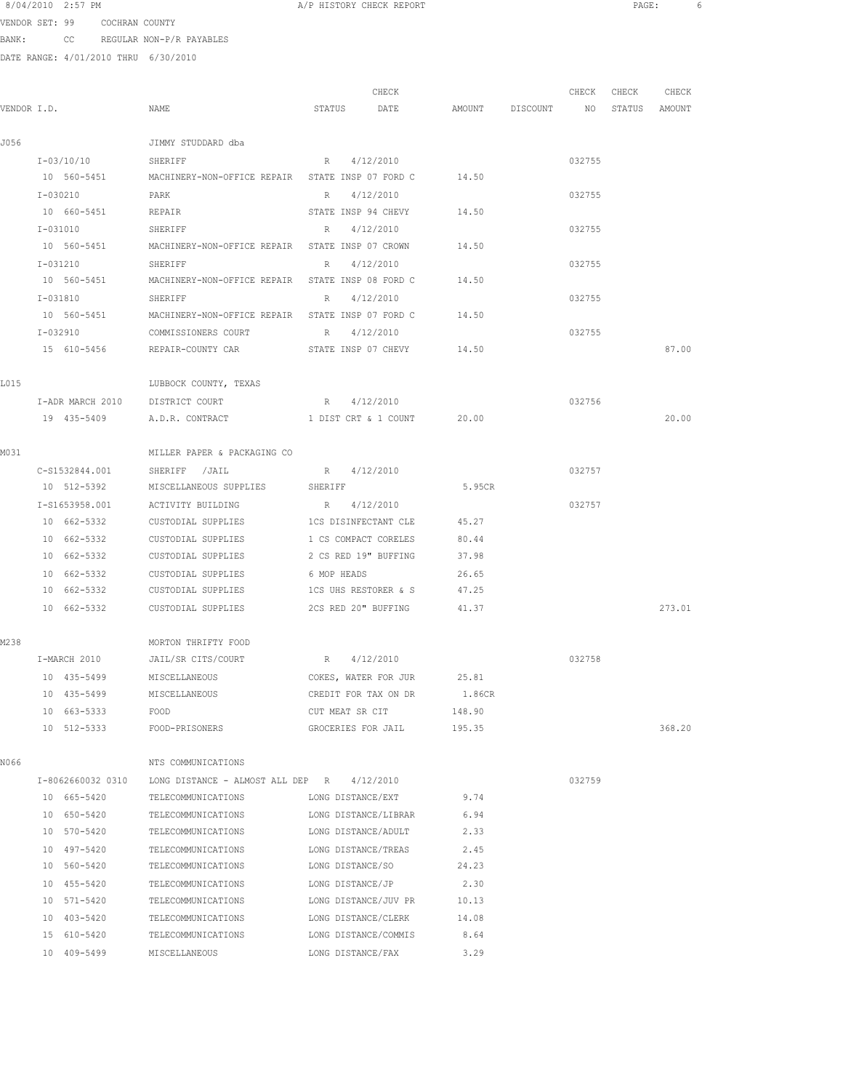| 8/04/2010 | 2:57 PM |  |
|-----------|---------|--|
|           |         |  |

A/P HISTORY CHECK REPORT **Example 2:57 PAGE:** 6

VENDOR SET: 99 COCHRAN COUNTY BANK: CC REGULAR NON-P/R PAYABLES

| VENDOR I.D.<br>I-03/10/10 SHERIFF<br>I-030210<br>10 660-5451<br>I-031010<br>10 560-5451<br>I-031210<br>10 560-5451<br>I-031810 | NAME<br>JIMMY STUDDARD dba<br>10 560-5451 MACHINERY-NON-OFFICE REPAIR STATE INSP 07 FORD C<br>PARK<br>REPAIR<br>SHERIFF<br>SHERIFF                                                      | STATUS<br>DATE<br>4/12/2010<br>R<br>R 4/12/2010<br>STATE INSP 94 CHEVY<br>R 4/12/2010                                                                                                                                                                                                                                                                                                            | AMOUNT DISCOUNT NO<br>14.50<br>14.50                                                                                                                                                                                                                                                                                                                                                                                                                                                                                                                                                                                                                                   |                                                                                                                                                                                                                                                                                                                                                                                                                      | 032755<br>032755 | STATUS AMOUNT              |        |
|--------------------------------------------------------------------------------------------------------------------------------|-----------------------------------------------------------------------------------------------------------------------------------------------------------------------------------------|--------------------------------------------------------------------------------------------------------------------------------------------------------------------------------------------------------------------------------------------------------------------------------------------------------------------------------------------------------------------------------------------------|------------------------------------------------------------------------------------------------------------------------------------------------------------------------------------------------------------------------------------------------------------------------------------------------------------------------------------------------------------------------------------------------------------------------------------------------------------------------------------------------------------------------------------------------------------------------------------------------------------------------------------------------------------------------|----------------------------------------------------------------------------------------------------------------------------------------------------------------------------------------------------------------------------------------------------------------------------------------------------------------------------------------------------------------------------------------------------------------------|------------------|----------------------------|--------|
|                                                                                                                                |                                                                                                                                                                                         |                                                                                                                                                                                                                                                                                                                                                                                                  |                                                                                                                                                                                                                                                                                                                                                                                                                                                                                                                                                                                                                                                                        |                                                                                                                                                                                                                                                                                                                                                                                                                      |                  |                            |        |
|                                                                                                                                |                                                                                                                                                                                         |                                                                                                                                                                                                                                                                                                                                                                                                  |                                                                                                                                                                                                                                                                                                                                                                                                                                                                                                                                                                                                                                                                        |                                                                                                                                                                                                                                                                                                                                                                                                                      |                  |                            |        |
|                                                                                                                                |                                                                                                                                                                                         |                                                                                                                                                                                                                                                                                                                                                                                                  |                                                                                                                                                                                                                                                                                                                                                                                                                                                                                                                                                                                                                                                                        |                                                                                                                                                                                                                                                                                                                                                                                                                      |                  |                            |        |
|                                                                                                                                |                                                                                                                                                                                         |                                                                                                                                                                                                                                                                                                                                                                                                  |                                                                                                                                                                                                                                                                                                                                                                                                                                                                                                                                                                                                                                                                        |                                                                                                                                                                                                                                                                                                                                                                                                                      |                  |                            |        |
|                                                                                                                                |                                                                                                                                                                                         |                                                                                                                                                                                                                                                                                                                                                                                                  |                                                                                                                                                                                                                                                                                                                                                                                                                                                                                                                                                                                                                                                                        |                                                                                                                                                                                                                                                                                                                                                                                                                      |                  |                            |        |
|                                                                                                                                |                                                                                                                                                                                         |                                                                                                                                                                                                                                                                                                                                                                                                  |                                                                                                                                                                                                                                                                                                                                                                                                                                                                                                                                                                                                                                                                        |                                                                                                                                                                                                                                                                                                                                                                                                                      |                  |                            |        |
|                                                                                                                                |                                                                                                                                                                                         |                                                                                                                                                                                                                                                                                                                                                                                                  |                                                                                                                                                                                                                                                                                                                                                                                                                                                                                                                                                                                                                                                                        |                                                                                                                                                                                                                                                                                                                                                                                                                      | 032755           |                            |        |
|                                                                                                                                |                                                                                                                                                                                         |                                                                                                                                                                                                                                                                                                                                                                                                  | 14.50                                                                                                                                                                                                                                                                                                                                                                                                                                                                                                                                                                                                                                                                  |                                                                                                                                                                                                                                                                                                                                                                                                                      |                  |                            |        |
|                                                                                                                                |                                                                                                                                                                                         | R 4/12/2010                                                                                                                                                                                                                                                                                                                                                                                      |                                                                                                                                                                                                                                                                                                                                                                                                                                                                                                                                                                                                                                                                        |                                                                                                                                                                                                                                                                                                                                                                                                                      | 032755           |                            |        |
|                                                                                                                                |                                                                                                                                                                                         |                                                                                                                                                                                                                                                                                                                                                                                                  | 14.50                                                                                                                                                                                                                                                                                                                                                                                                                                                                                                                                                                                                                                                                  |                                                                                                                                                                                                                                                                                                                                                                                                                      |                  |                            |        |
|                                                                                                                                | SHERIFF                                                                                                                                                                                 | R 4/12/2010                                                                                                                                                                                                                                                                                                                                                                                      |                                                                                                                                                                                                                                                                                                                                                                                                                                                                                                                                                                                                                                                                        |                                                                                                                                                                                                                                                                                                                                                                                                                      | 032755           |                            |        |
| 10 560-5451                                                                                                                    |                                                                                                                                                                                         |                                                                                                                                                                                                                                                                                                                                                                                                  | 14.50                                                                                                                                                                                                                                                                                                                                                                                                                                                                                                                                                                                                                                                                  |                                                                                                                                                                                                                                                                                                                                                                                                                      |                  |                            |        |
| I-032910                                                                                                                       | COMMISSIONERS COURT                                                                                                                                                                     | 4/12/2010                                                                                                                                                                                                                                                                                                                                                                                        |                                                                                                                                                                                                                                                                                                                                                                                                                                                                                                                                                                                                                                                                        |                                                                                                                                                                                                                                                                                                                                                                                                                      | 032755           |                            |        |
|                                                                                                                                |                                                                                                                                                                                         |                                                                                                                                                                                                                                                                                                                                                                                                  |                                                                                                                                                                                                                                                                                                                                                                                                                                                                                                                                                                                                                                                                        |                                                                                                                                                                                                                                                                                                                                                                                                                      |                  |                            | 87.00  |
|                                                                                                                                | LUBBOCK COUNTY, TEXAS                                                                                                                                                                   |                                                                                                                                                                                                                                                                                                                                                                                                  |                                                                                                                                                                                                                                                                                                                                                                                                                                                                                                                                                                                                                                                                        |                                                                                                                                                                                                                                                                                                                                                                                                                      |                  |                            |        |
|                                                                                                                                |                                                                                                                                                                                         | R 4/12/2010                                                                                                                                                                                                                                                                                                                                                                                      |                                                                                                                                                                                                                                                                                                                                                                                                                                                                                                                                                                                                                                                                        |                                                                                                                                                                                                                                                                                                                                                                                                                      | 032756           |                            |        |
| 19 435-5409                                                                                                                    | A.D.R. CONTRACT                                                                                                                                                                         |                                                                                                                                                                                                                                                                                                                                                                                                  |                                                                                                                                                                                                                                                                                                                                                                                                                                                                                                                                                                                                                                                                        |                                                                                                                                                                                                                                                                                                                                                                                                                      |                  |                            | 20.00  |
|                                                                                                                                |                                                                                                                                                                                         |                                                                                                                                                                                                                                                                                                                                                                                                  |                                                                                                                                                                                                                                                                                                                                                                                                                                                                                                                                                                                                                                                                        |                                                                                                                                                                                                                                                                                                                                                                                                                      |                  |                            |        |
|                                                                                                                                |                                                                                                                                                                                         |                                                                                                                                                                                                                                                                                                                                                                                                  |                                                                                                                                                                                                                                                                                                                                                                                                                                                                                                                                                                                                                                                                        |                                                                                                                                                                                                                                                                                                                                                                                                                      |                  |                            |        |
|                                                                                                                                |                                                                                                                                                                                         |                                                                                                                                                                                                                                                                                                                                                                                                  |                                                                                                                                                                                                                                                                                                                                                                                                                                                                                                                                                                                                                                                                        |                                                                                                                                                                                                                                                                                                                                                                                                                      |                  |                            |        |
|                                                                                                                                |                                                                                                                                                                                         |                                                                                                                                                                                                                                                                                                                                                                                                  |                                                                                                                                                                                                                                                                                                                                                                                                                                                                                                                                                                                                                                                                        |                                                                                                                                                                                                                                                                                                                                                                                                                      |                  |                            |        |
|                                                                                                                                |                                                                                                                                                                                         |                                                                                                                                                                                                                                                                                                                                                                                                  |                                                                                                                                                                                                                                                                                                                                                                                                                                                                                                                                                                                                                                                                        |                                                                                                                                                                                                                                                                                                                                                                                                                      |                  |                            |        |
|                                                                                                                                |                                                                                                                                                                                         |                                                                                                                                                                                                                                                                                                                                                                                                  |                                                                                                                                                                                                                                                                                                                                                                                                                                                                                                                                                                                                                                                                        |                                                                                                                                                                                                                                                                                                                                                                                                                      |                  |                            |        |
|                                                                                                                                |                                                                                                                                                                                         |                                                                                                                                                                                                                                                                                                                                                                                                  |                                                                                                                                                                                                                                                                                                                                                                                                                                                                                                                                                                                                                                                                        |                                                                                                                                                                                                                                                                                                                                                                                                                      |                  |                            |        |
|                                                                                                                                |                                                                                                                                                                                         |                                                                                                                                                                                                                                                                                                                                                                                                  |                                                                                                                                                                                                                                                                                                                                                                                                                                                                                                                                                                                                                                                                        |                                                                                                                                                                                                                                                                                                                                                                                                                      |                  |                            |        |
|                                                                                                                                |                                                                                                                                                                                         |                                                                                                                                                                                                                                                                                                                                                                                                  |                                                                                                                                                                                                                                                                                                                                                                                                                                                                                                                                                                                                                                                                        |                                                                                                                                                                                                                                                                                                                                                                                                                      |                  |                            |        |
|                                                                                                                                | CUSTODIAL SUPPLIES                                                                                                                                                                      |                                                                                                                                                                                                                                                                                                                                                                                                  |                                                                                                                                                                                                                                                                                                                                                                                                                                                                                                                                                                                                                                                                        |                                                                                                                                                                                                                                                                                                                                                                                                                      |                  |                            | 273.01 |
|                                                                                                                                |                                                                                                                                                                                         |                                                                                                                                                                                                                                                                                                                                                                                                  |                                                                                                                                                                                                                                                                                                                                                                                                                                                                                                                                                                                                                                                                        |                                                                                                                                                                                                                                                                                                                                                                                                                      |                  |                            |        |
|                                                                                                                                |                                                                                                                                                                                         |                                                                                                                                                                                                                                                                                                                                                                                                  |                                                                                                                                                                                                                                                                                                                                                                                                                                                                                                                                                                                                                                                                        |                                                                                                                                                                                                                                                                                                                                                                                                                      |                  |                            |        |
|                                                                                                                                |                                                                                                                                                                                         |                                                                                                                                                                                                                                                                                                                                                                                                  |                                                                                                                                                                                                                                                                                                                                                                                                                                                                                                                                                                                                                                                                        |                                                                                                                                                                                                                                                                                                                                                                                                                      |                  |                            |        |
|                                                                                                                                |                                                                                                                                                                                         |                                                                                                                                                                                                                                                                                                                                                                                                  |                                                                                                                                                                                                                                                                                                                                                                                                                                                                                                                                                                                                                                                                        |                                                                                                                                                                                                                                                                                                                                                                                                                      |                  |                            |        |
|                                                                                                                                |                                                                                                                                                                                         |                                                                                                                                                                                                                                                                                                                                                                                                  |                                                                                                                                                                                                                                                                                                                                                                                                                                                                                                                                                                                                                                                                        |                                                                                                                                                                                                                                                                                                                                                                                                                      |                  |                            |        |
|                                                                                                                                |                                                                                                                                                                                         |                                                                                                                                                                                                                                                                                                                                                                                                  |                                                                                                                                                                                                                                                                                                                                                                                                                                                                                                                                                                                                                                                                        |                                                                                                                                                                                                                                                                                                                                                                                                                      |                  |                            |        |
|                                                                                                                                |                                                                                                                                                                                         |                                                                                                                                                                                                                                                                                                                                                                                                  |                                                                                                                                                                                                                                                                                                                                                                                                                                                                                                                                                                                                                                                                        |                                                                                                                                                                                                                                                                                                                                                                                                                      |                  |                            | 368.20 |
|                                                                                                                                | NTS COMMUNICATIONS                                                                                                                                                                      |                                                                                                                                                                                                                                                                                                                                                                                                  |                                                                                                                                                                                                                                                                                                                                                                                                                                                                                                                                                                                                                                                                        |                                                                                                                                                                                                                                                                                                                                                                                                                      |                  |                            |        |
|                                                                                                                                |                                                                                                                                                                                         |                                                                                                                                                                                                                                                                                                                                                                                                  |                                                                                                                                                                                                                                                                                                                                                                                                                                                                                                                                                                                                                                                                        |                                                                                                                                                                                                                                                                                                                                                                                                                      | 032759           |                            |        |
|                                                                                                                                |                                                                                                                                                                                         |                                                                                                                                                                                                                                                                                                                                                                                                  |                                                                                                                                                                                                                                                                                                                                                                                                                                                                                                                                                                                                                                                                        |                                                                                                                                                                                                                                                                                                                                                                                                                      |                  |                            |        |
|                                                                                                                                |                                                                                                                                                                                         |                                                                                                                                                                                                                                                                                                                                                                                                  |                                                                                                                                                                                                                                                                                                                                                                                                                                                                                                                                                                                                                                                                        |                                                                                                                                                                                                                                                                                                                                                                                                                      |                  |                            |        |
|                                                                                                                                |                                                                                                                                                                                         |                                                                                                                                                                                                                                                                                                                                                                                                  |                                                                                                                                                                                                                                                                                                                                                                                                                                                                                                                                                                                                                                                                        |                                                                                                                                                                                                                                                                                                                                                                                                                      |                  |                            |        |
| 10 497-5420                                                                                                                    |                                                                                                                                                                                         |                                                                                                                                                                                                                                                                                                                                                                                                  | 2.45                                                                                                                                                                                                                                                                                                                                                                                                                                                                                                                                                                                                                                                                   |                                                                                                                                                                                                                                                                                                                                                                                                                      |                  |                            |        |
| 10 560-5420                                                                                                                    | TELECOMMUNICATIONS                                                                                                                                                                      |                                                                                                                                                                                                                                                                                                                                                                                                  | 24.23                                                                                                                                                                                                                                                                                                                                                                                                                                                                                                                                                                                                                                                                  |                                                                                                                                                                                                                                                                                                                                                                                                                      |                  |                            |        |
| 10 455-5420                                                                                                                    | TELECOMMUNICATIONS                                                                                                                                                                      |                                                                                                                                                                                                                                                                                                                                                                                                  | 2.30                                                                                                                                                                                                                                                                                                                                                                                                                                                                                                                                                                                                                                                                   |                                                                                                                                                                                                                                                                                                                                                                                                                      |                  |                            |        |
| 10 571-5420                                                                                                                    | TELECOMMUNICATIONS                                                                                                                                                                      |                                                                                                                                                                                                                                                                                                                                                                                                  | 10.13                                                                                                                                                                                                                                                                                                                                                                                                                                                                                                                                                                                                                                                                  |                                                                                                                                                                                                                                                                                                                                                                                                                      |                  |                            |        |
| 10 403-5420                                                                                                                    |                                                                                                                                                                                         |                                                                                                                                                                                                                                                                                                                                                                                                  | 14.08                                                                                                                                                                                                                                                                                                                                                                                                                                                                                                                                                                                                                                                                  |                                                                                                                                                                                                                                                                                                                                                                                                                      |                  |                            |        |
| 15 610-5420                                                                                                                    | TELECOMMUNICATIONS                                                                                                                                                                      |                                                                                                                                                                                                                                                                                                                                                                                                  | 8.64                                                                                                                                                                                                                                                                                                                                                                                                                                                                                                                                                                                                                                                                   |                                                                                                                                                                                                                                                                                                                                                                                                                      |                  |                            |        |
|                                                                                                                                | MISCELLANEOUS                                                                                                                                                                           |                                                                                                                                                                                                                                                                                                                                                                                                  | 3.29                                                                                                                                                                                                                                                                                                                                                                                                                                                                                                                                                                                                                                                                   |                                                                                                                                                                                                                                                                                                                                                                                                                      |                  |                            |        |
|                                                                                                                                | C-S1532844.001<br>10 512-5392<br>I-S1653958.001<br>10 662-5332<br>10 662-5332<br>10 662-5332<br>10 662-5332<br>10 662-5332<br>I-MARCH 2010<br>10 435-5499<br>10 435-5499<br>10 663-5333 | I-ADR MARCH 2010 DISTRICT COURT<br>MILLER PAPER & PACKAGING CO<br>SHERIFF / JAIL<br>MISCELLANEOUS SUPPLIES<br>ACTIVITY BUILDING<br>CUSTODIAL SUPPLIES<br>CUSTODIAL SUPPLIES<br>CUSTODIAL SUPPLIES<br>CUSTODIAL SUPPLIES<br>10 662-5332<br>MORTON THRIFTY FOOD<br>JAIL/SR CITS/COURT<br>MISCELLANEOUS<br>MISCELLANEOUS<br>FOOD<br>10 512-5333 FOOD-PRISONERS<br>TELECOMMUNICATIONS<br>10 409-5499 | MACHINERY-NON-OFFICE REPAIR STATE INSP 07 CROWN<br>MACHINERY-NON-OFFICE REPAIR STATE INSP 08 FORD C<br>MACHINERY-NON-OFFICE REPAIR STATE INSP 07 FORD C<br>R<br>R 4/12/2010<br>SHERIFF<br>R 4/12/2010<br>1CS DISINFECTANT CLE<br>1 CS COMPACT CORELES<br>2 CS RED 19" BUFFING<br>6 MOP HEADS<br>CUSTODIAL SUPPLIES 1CS UHS RESTORER & S<br>2CS RED 20" BUFFING<br>R 4/12/2010<br>CREDIT FOR TAX ON DR<br>CUT MEAT SR CIT<br>I-8062660032 0310 LONG DISTANCE - ALMOST ALL DEP R 4/12/2010<br>TELECOMMUNICATIONS LONG DISTANCE/TREAS<br>LONG DISTANCE/SO<br>LONG DISTANCE/JP<br>LONG DISTANCE/JUV PR<br>LONG DISTANCE/CLERK<br>LONG DISTANCE/COMMIS<br>LONG DISTANCE/FAX | 15 610-5456 REPAIR-COUNTY CAR STATE INSP 07 CHEVY 14.50<br>1 DIST CRT & 1 COUNT 20.00<br>5.95CR<br>45.27<br>80.44<br>37.98<br>26.65<br>47.25<br>41.37<br>COKES, WATER FOR JUR 25.81<br>1.86CR<br>148.90<br>GROCERIES FOR JAIL 195.35<br>10 665-5420 TELECOMMUNICATIONS LONG DISTANCE/EXT 9.74<br>10 650-5420 TELECOMMUNICATIONS LONG DISTANCE/LIBRAR 6.94<br>10 570-5420 TELECOMMUNICATIONS LONG DISTANCE/ADULT 2.33 |                  | 032757<br>032757<br>032758 |        |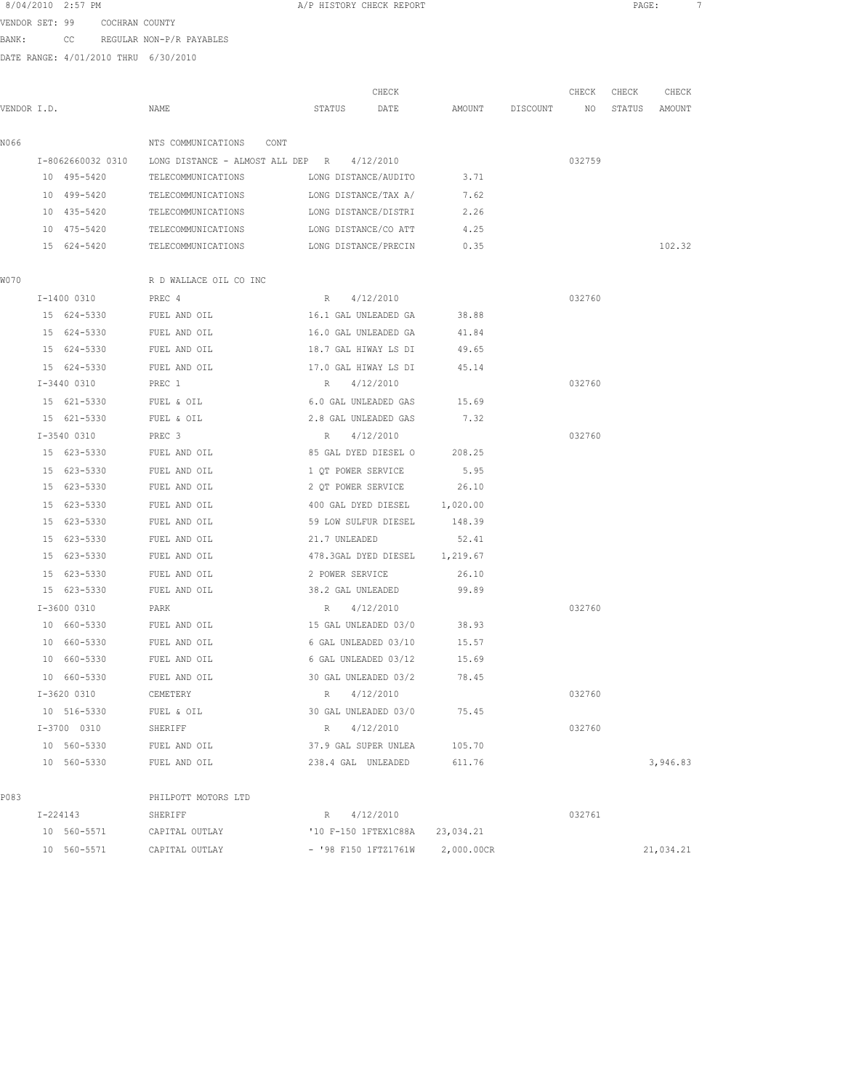A/P HISTORY CHECK REPORT PAGE: 7 VENDOR SET: 99 COCHRAN COUNTY

BANK: CC REGULAR NON-P/R PAYABLES

|             |             |                                                    | CHECK                                   |            |                 | CHECK  | CHECK  | CHECK     |
|-------------|-------------|----------------------------------------------------|-----------------------------------------|------------|-----------------|--------|--------|-----------|
| VENDOR I.D. |             | NAME                                               | STATUS<br>DATE                          |            | AMOUNT DISCOUNT | NO NO  | STATUS | AMOUNT    |
| N066        |             | NTS COMMUNICATIONS CONT                            |                                         |            |                 |        |        |           |
|             |             | I-8062660032 0310 LONG DISTANCE - ALMOST ALL DEP R | 4/12/2010                               |            |                 | 032759 |        |           |
|             | 10 495-5420 | TELECOMMUNICATIONS                                 | LONG DISTANCE/AUDITO                    | 3.71       |                 |        |        |           |
|             | 10 499-5420 | TELECOMMUNICATIONS                                 | LONG DISTANCE/TAX A/                    | 7.62       |                 |        |        |           |
|             | 10 435-5420 | TELECOMMUNICATIONS                                 | LONG DISTANCE/DISTRI                    | 2.26       |                 |        |        |           |
|             | 10 475-5420 | TELECOMMUNICATIONS                                 | LONG DISTANCE/CO ATT                    | 4.25       |                 |        |        |           |
|             | 15 624-5420 |                                                    | TELECOMMUNICATIONS LONG DISTANCE/PRECIN | 0.35       |                 |        |        | 102.32    |
| W070        |             | R D WALLACE OIL CO INC                             |                                         |            |                 |        |        |           |
|             | I-1400 0310 | PREC 4                                             | R 4/12/2010                             |            |                 | 032760 |        |           |
|             | 15 624-5330 | FUEL AND OIL                                       | 16.1 GAL UNLEADED GA                    | 38.88      |                 |        |        |           |
|             | 15 624-5330 | FUEL AND OIL                                       | 16.0 GAL UNLEADED GA                    | 41.84      |                 |        |        |           |
|             | 15 624-5330 | FUEL AND OIL                                       | 18.7 GAL HIWAY LS DI                    | 49.65      |                 |        |        |           |
|             | 15 624-5330 | FUEL AND OIL                                       | 17.0 GAL HIWAY LS DI                    | 45.14      |                 |        |        |           |
|             | I-3440 0310 | PREC 1                                             | R 4/12/2010                             |            |                 | 032760 |        |           |
|             | 15 621-5330 | FUEL & OIL                                         | 6.0 GAL UNLEADED GAS                    | 15.69      |                 |        |        |           |
|             | 15 621-5330 | FUEL & OIL                                         | 2.8 GAL UNLEADED GAS                    | 7.32       |                 |        |        |           |
|             | I-3540 0310 | PREC 3                                             | R 4/12/2010                             |            |                 | 032760 |        |           |
|             | 15 623-5330 | FUEL AND OIL                                       | 85 GAL DYED DIESEL O 208.25             |            |                 |        |        |           |
|             | 15 623-5330 | FUEL AND OIL                                       | 1 QT POWER SERVICE 5.95                 |            |                 |        |        |           |
|             | 15 623-5330 | FUEL AND OIL                                       | 2 QT POWER SERVICE 26.10                |            |                 |        |        |           |
|             | 15 623-5330 | FUEL AND OIL                                       | 400 GAL DYED DIESEL 1,020.00            |            |                 |        |        |           |
|             | 15 623-5330 | FUEL AND OIL                                       | 59 LOW SULFUR DIESEL                    | 148.39     |                 |        |        |           |
|             | 15 623-5330 | FUEL AND OIL                                       | 21.7 UNLEADED                           | 52.41      |                 |        |        |           |
|             | 15 623-5330 | FUEL AND OIL                                       | 478.3GAL DYED DIESEL 1,219.67           |            |                 |        |        |           |
|             | 15 623-5330 | FUEL AND OIL                                       | 2 POWER SERVICE                         | 26.10      |                 |        |        |           |
|             | 15 623-5330 | FUEL AND OIL                                       | 38.2 GAL UNLEADED                       | 99.89      |                 |        |        |           |
|             | I-3600 0310 |                                                    |                                         |            |                 | 032760 |        |           |
|             | 10 660-5330 | PARK<br>FUEL AND OIL                               | R 4/12/2010<br>15 GAL UNLEADED 03/0     | 38.93      |                 |        |        |           |
|             | 10 660-5330 | FUEL AND OIL                                       | 6 GAL UNLEADED 03/10                    | 15.57      |                 |        |        |           |
|             | 10 660-5330 | FUEL AND OIL                                       | 6 GAL UNLEADED 03/12                    | 15.69      |                 |        |        |           |
|             | 10 660-5330 |                                                    |                                         | 78.45      |                 |        |        |           |
|             |             | FUEL AND OIL                                       | 30 GAL UNLEADED 03/2                    |            |                 |        |        |           |
|             | I-3620 0310 | CEMETERY                                           | R 4/12/2010                             |            |                 | 032760 |        |           |
|             | 10 516-5330 | FUEL & OIL                                         | 30 GAL UNLEADED 03/0                    | 75.45      |                 |        |        |           |
|             | I-3700 0310 | SHERIFF                                            | 4/12/2010<br>R                          |            |                 | 032760 |        |           |
|             | 10 560-5330 | FUEL AND OIL                                       | 37.9 GAL SUPER UNLEA                    | 105.70     |                 |        |        |           |
|             | 10 560-5330 | FUEL AND OIL                                       | 238.4 GAL UNLEADED                      | 611.76     |                 |        |        | 3,946.83  |
| P083        |             | PHILPOTT MOTORS LTD                                |                                         |            |                 |        |        |           |
|             | I-224143    | SHERIFF                                            | R 4/12/2010                             |            |                 | 032761 |        |           |
|             | 10 560-5571 | CAPITAL OUTLAY                                     | '10 F-150 1FTEX1C88A                    | 23,034.21  |                 |        |        |           |
|             | 10 560-5571 | CAPITAL OUTLAY                                     | - '98 F150 1FTZ1761W                    | 2,000.00CR |                 |        |        | 21,034.21 |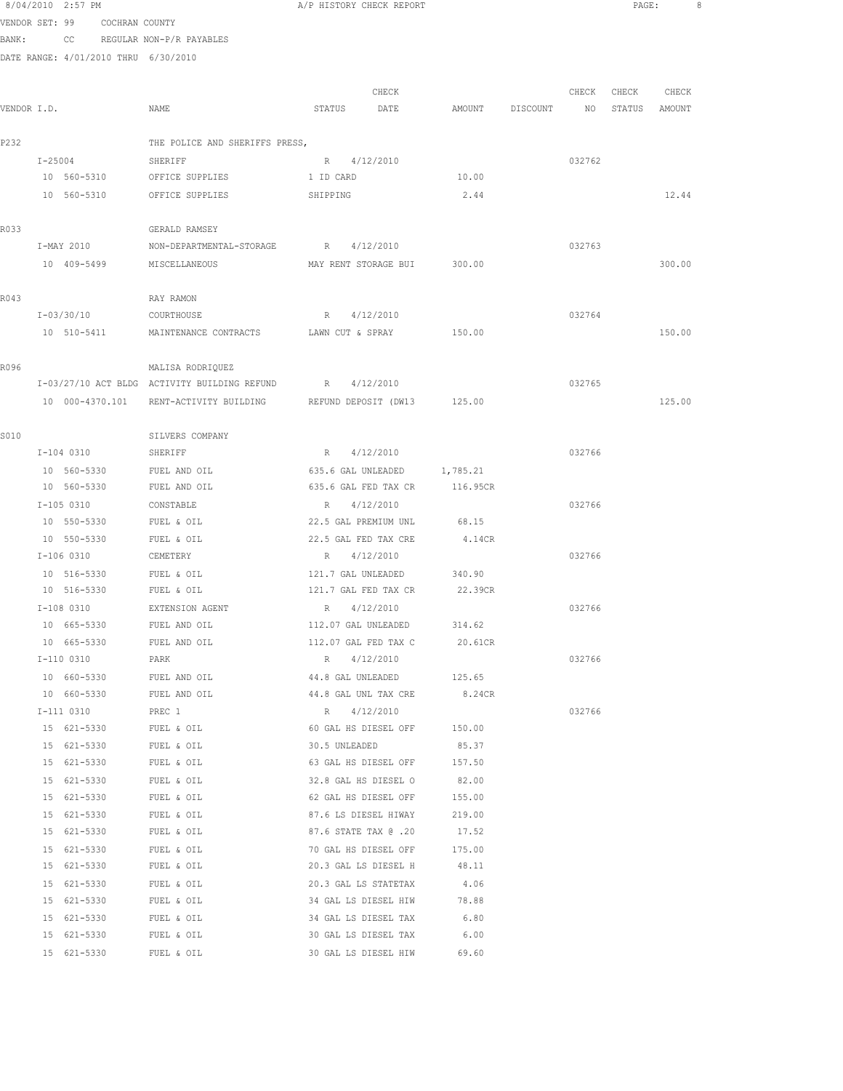8/04/2010 2:57 PM **A/P HISTORY CHECK REPORT PAGE:** 8 VENDOR SET: 99 COCHRAN COUNTY BANK: CC REGULAR NON-P/R PAYABLES DATE RANGE: 4/01/2010 THRU 6/30/2010 CHECK CHECK CHECK CHECK VENDOR I.D. NAME STATUS DATE AMOUNT DISCOUNT NO STATUS AMOUNT P232 THE POLICE AND SHERIFFS PRESS, I-25004 SHERIFF R 4/12/2010 032762 10 560-5310 OFFICE SUPPLIES 1 ID CARD 10.00 10 560-5310 OFFICE SUPPLIES SHIPPING 2.44 12.44 R033 GERALD RAMSEY I-MAY 2010 NON-DEPARTMENTAL-STORAGE R 4/12/2010 032763 10 409-5499 MISCELLANEOUS MAY RENT STORAGE BUI 300.00 300.00 R043 RAY RAMON I-03/30/10 COURTHOUSE R 4/12/2010 032764 10 510-5411 MAINTENANCE CONTRACTS LAWN CUT & SPRAY 150.00 150.00 R096 MALISA RODRIQUEZ I-03/27/10 ACT BLDG ACTIVITY BUILDING REFUND R 4/12/2010 032765 10 000-4370.101 RENT-ACTIVITY BUILDING REFUND DEPOSIT (DW13 125.00 125.00 S010 SILVERS COMPANY I-104 0310 SHERIFF R 4/12/2010 R 4/12/2010 032766 10 560-5330 FUEL AND OIL 635.6 GAL UNLEADED 1,785.21 10 560-5330 FUEL AND OIL 635.6 GAL FED TAX CR 116.95CR I-105 0310 CONSTABLE R 4/12/2010 032766 10 550-5330 FUEL & OIL 22.5 GAL PREMIUM UNL 68.15 10 550-5330 FUEL & OIL 22.5 GAL FED TAX CRE 4.14CR I-106 0310 CEMETERY R 4/12/2010 032766 10 516-5330 FUEL & OIL 121.7 GAL UNLEADED 340.90 10 516-5330 FUEL & OIL 121.7 GAL FED TAX CR 22.39CR I-108 0310 EXTENSION AGENT R 4/12/2010 032766 10 665-5330 FUEL AND OIL 112.07 GAL UNLEADED 314.62 10 665-5330 FUEL AND OIL 112.07 GAL FED TAX C 20.61CR I-110 0310 PARK R 4/12/2010 032766 10 660-5330 FUEL AND OIL 44.8 GAL UNLEADED 125.65 10 660-5330 FUEL AND OIL 44.8 GAL UNL TAX CRE 8.24CR I-111 0310 PREC 1 R 4/12/2010 032766 15 621-5330 FUEL & OIL 60 GAL HS DIESEL OFF 150.00 15 621-5330 FUEL & OIL 30.5 UNLEADED 85.37 15 621-5330 FUEL & OIL 63 GAL HS DIESEL OFF 157.50 15 621-5330 FUEL & OIL 32.8 GAL HS DIESEL O 82.00 15 621-5330 FUEL & OIL 62 GAL HS DIESEL OFF 155.00 15 621-5330 FUEL & OIL 87.6 LS DIESEL HIWAY 219.00 15 621-5330 FUEL & OIL 87.6 STATE TAX @ .20 17.52 15 621-5330 FUEL & OIL 70 GAL HS DIESEL OFF 175.00 15 621-5330 FUEL & OIL 20.3 GAL LS DIESEL H 48.11 15 621-5330 FUEL & OIL 20.3 GAL LS STATETAX 4.06 15 621-5330 FUEL & OIL 34 GAL LS DIESEL HIW 78.88 15 621-5330 FUEL & OIL 34 GAL LS DIESEL TAX 6.80 15 621-5330 FUEL & OIL 30 GAL LS DIESEL TAX 6.00

15 621-5330 FUEL & OIL 30 GAL LS DIESEL HIW 69.60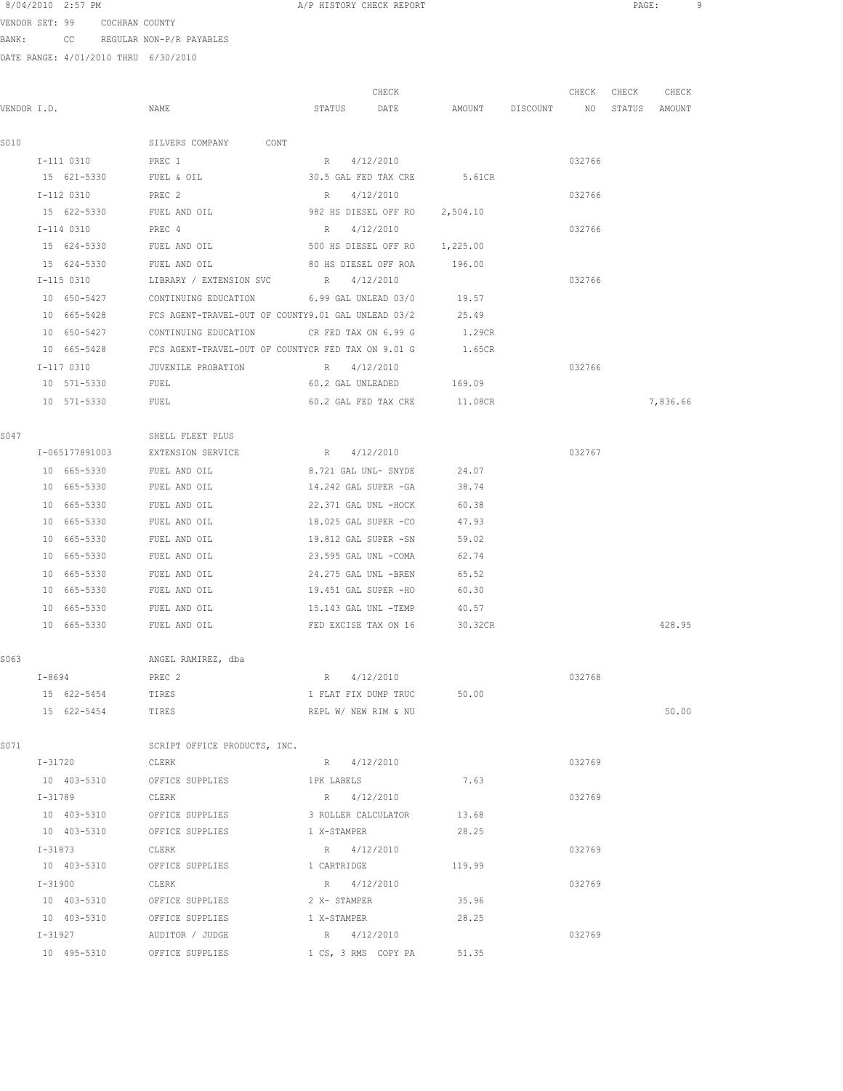8/04/2010 2:57 PM **A/P HISTORY CHECK REPORT A A CHECK REPORT PAGE:** 9

VENDOR SET: 99 COCHRAN COUNTY BANK: CC REGULAR NON-P/R PAYABLES

|             |                |                                                    | CHECK                         |                 | CHECK  | CHECK  | CHECK    |
|-------------|----------------|----------------------------------------------------|-------------------------------|-----------------|--------|--------|----------|
| VENDOR I.D. |                | NAME                                               | STATUS<br>DATE                | AMOUNT DISCOUNT | NO     | STATUS | AMOUNT   |
| S010        |                | SILVERS COMPANY CONT                               |                               |                 |        |        |          |
|             | I-111 0310     | PREC 1                                             | R 4/12/2010                   |                 | 032766 |        |          |
|             | 15 621-5330    | FUEL & OIL                                         | 30.5 GAL FED TAX CRE 5.61CR   |                 |        |        |          |
|             | I-112 0310     | PREC 2                                             | R 4/12/2010                   |                 | 032766 |        |          |
|             | 15 622-5330    | FUEL AND OIL                                       | 982 HS DIESEL OFF RO 2,504.10 |                 |        |        |          |
|             | I-114 0310     | PREC 4                                             | R 4/12/2010                   |                 | 032766 |        |          |
|             | 15 624-5330    | FUEL AND OIL                                       | 500 HS DIESEL OFF RO          | 1,225.00        |        |        |          |
|             | 15 624-5330    | FUEL AND OIL                                       | 80 HS DIESEL OFF ROA          | 196.00          |        |        |          |
|             | I-115 0310     | LIBRARY / EXTENSION SVC                            | R 4/12/2010                   |                 | 032766 |        |          |
|             | 10 650-5427    | CONTINUING EDUCATION                               | 6.99 GAL UNLEAD 03/0          | 19.57           |        |        |          |
|             | 10 665-5428    | FCS AGENT-TRAVEL-OUT OF COUNTY9.01 GAL UNLEAD 03/2 |                               | 25.49           |        |        |          |
|             | 10 650-5427    | CONTINUING EDUCATION                               | CR FED TAX ON 6.99 G          | 1.29CR          |        |        |          |
|             | 10 665-5428    | FCS AGENT-TRAVEL-OUT OF COUNTYCR FED TAX ON 9.01 G |                               | 1.65CR          |        |        |          |
|             | I-117 0310     | JUVENILE PROBATION                                 | 4/12/2010<br>R                |                 | 032766 |        |          |
|             | 10 571-5330    | FUEL                                               | 60.2 GAL UNLEADED 169.09      |                 |        |        |          |
|             | 10 571-5330    | FUEL                                               | 60.2 GAL FED TAX CRE          | 11.08CR         |        |        | 7,836.66 |
| S047        |                | SHELL FLEET PLUS                                   |                               |                 |        |        |          |
|             | I-065177891003 | EXTENSION SERVICE                                  | R 4/12/2010                   |                 | 032767 |        |          |
|             | 10 665-5330    | FUEL AND OIL                                       | 8.721 GAL UNL- SNYDE          | 24.07           |        |        |          |
|             | 10 665-5330    | FUEL AND OIL                                       | 14.242 GAL SUPER -GA          | 38.74           |        |        |          |
|             | 10 665-5330    | FUEL AND OIL                                       | 22.371 GAL UNL -HOCK          | 60.38           |        |        |          |
|             | 10 665-5330    | FUEL AND OIL                                       | 18.025 GAL SUPER -CO          | 47.93           |        |        |          |
|             | 10 665-5330    | FUEL AND OIL                                       | 19.812 GAL SUPER -SN          | 59.02           |        |        |          |
|             | 10 665-5330    | FUEL AND OIL                                       | 23.595 GAL UNL -COMA          | 62.74           |        |        |          |
|             | 10 665-5330    | FUEL AND OIL                                       | 24.275 GAL UNL -BREN          | 65.52           |        |        |          |
|             | 10 665-5330    | FUEL AND OIL                                       | 19.451 GAL SUPER -HO          | 60.30           |        |        |          |
|             | 10 665-5330    | FUEL AND OIL                                       | 15.143 GAL UNL -TEMP          | 40.57           |        |        |          |
|             | 10 665-5330    | FUEL AND OIL                                       | FED EXCISE TAX ON 16          | 30.32CR         |        |        | 428.95   |
| S063        |                | ANGEL RAMIREZ, dba                                 |                               |                 |        |        |          |
|             | $I - 8694$     | PREC 2                                             | R 4/12/2010                   |                 | 032768 |        |          |
|             | 15 622-5454    | TIRES                                              | 1 FLAT FIX DUMP TRUC          | 50.00           |        |        |          |
|             | 15 622-5454    | TIRES                                              | REPL W/ NEW RIM & NU          |                 |        |        | 50.00    |
| S071        |                | SCRIPT OFFICE PRODUCTS, INC.                       |                               |                 |        |        |          |
|             | I-31720 CLERK  |                                                    | R 4/12/2010                   |                 | 032769 |        |          |
|             |                | 10 403-5310 OFFICE SUPPLIES 1PK LABELS             |                               | 7.63            |        |        |          |
|             | $I - 31789$    | CLERK                                              | R 4/12/2010                   |                 | 032769 |        |          |
|             |                | 10 403-5310 OFFICE SUPPLIES 3 ROLLER CALCULATOR    |                               | 13.68           |        |        |          |
|             | 10 403-5310    | OFFICE SUPPLIES                                    | 1 X-STAMPER                   | 28.25           |        |        |          |
|             | $I - 31873$    | CLERK                                              | R 4/12/2010                   |                 | 032769 |        |          |
|             | 10 403-5310    | OFFICE SUPPLIES                                    | 1 CARTRIDGE                   | 119.99          |        |        |          |
|             | I-31900        | CLERK                                              | R 4/12/2010                   |                 | 032769 |        |          |
|             | 10 403-5310    | OFFICE SUPPLIES                                    | 2 X- STAMPER                  | 35.96           |        |        |          |
|             |                | 10 403-5310 OFFICE SUPPLIES                        | 1 X-STAMPER                   | 28.25           |        |        |          |
|             |                | I-31927 AUDITOR / JUDGE                            | R 4/12/2010                   |                 | 032769 |        |          |
|             |                | 10 495-5310 OFFICE SUPPLIES                        | 1 CS, 3 RMS COPY PA           | 51.35           |        |        |          |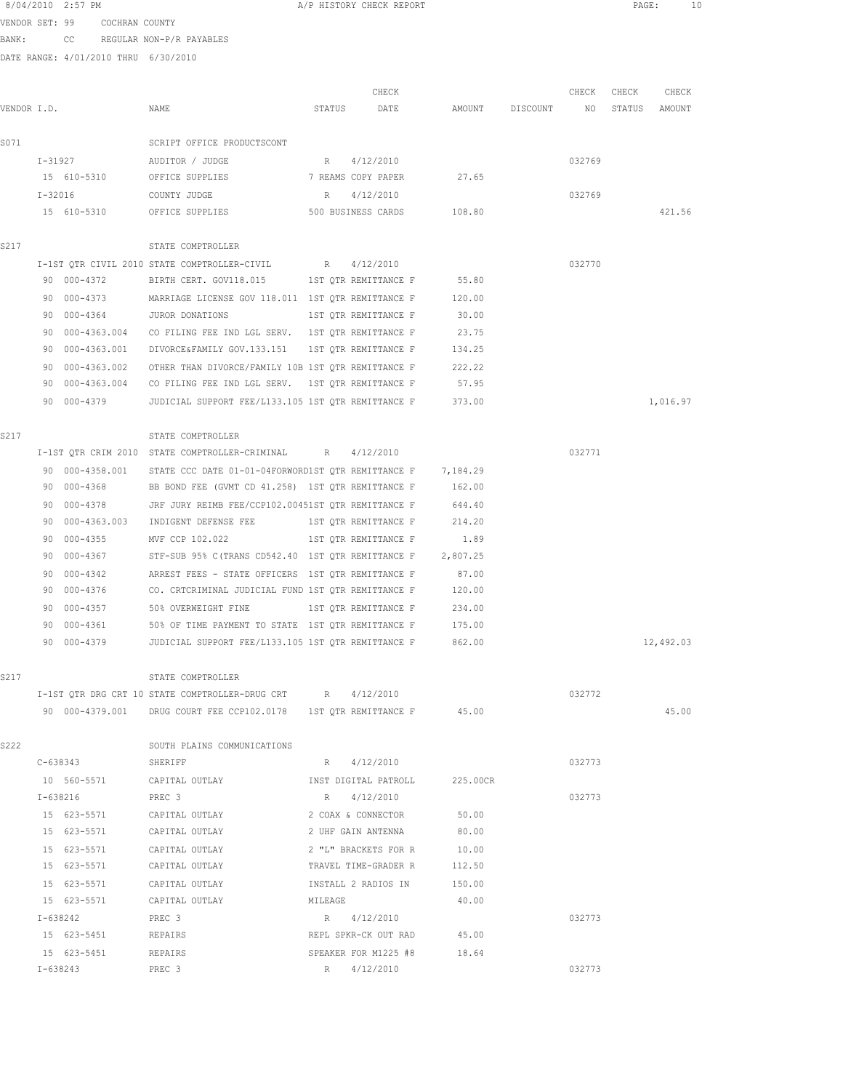|             |           | 8/04/2010 2:57 PM                    |                                                                                  |         | A/P HISTORY CHECK REPORT    |          |                    |        | PAGE:  |           | 10 |
|-------------|-----------|--------------------------------------|----------------------------------------------------------------------------------|---------|-----------------------------|----------|--------------------|--------|--------|-----------|----|
|             |           | VENDOR SET: 99 COCHRAN COUNTY        |                                                                                  |         |                             |          |                    |        |        |           |    |
| BANK:       |           |                                      | CC REGULAR NON-P/R PAYABLES                                                      |         |                             |          |                    |        |        |           |    |
|             |           | DATE RANGE: 4/01/2010 THRU 6/30/2010 |                                                                                  |         |                             |          |                    |        |        |           |    |
|             |           |                                      |                                                                                  |         |                             |          |                    |        |        |           |    |
|             |           |                                      |                                                                                  |         | CHECK                       |          |                    | CHECK  | CHECK  | CHECK     |    |
| VENDOR I.D. |           |                                      | NAME                                                                             | STATUS  | DATE                        |          | AMOUNT DISCOUNT NO |        | STATUS | AMOUNT    |    |
| S071        |           |                                      | SCRIPT OFFICE PRODUCTSCONT                                                       |         |                             |          |                    |        |        |           |    |
|             |           |                                      | I-31927 AUDITOR / JUDGE                                                          | $R = 1$ | 4/12/2010                   |          |                    | 032769 |        |           |    |
|             |           |                                      | 15 610-5310 OFFICE SUPPLIES 7 REAMS COPY PAPER 27.65                             |         |                             |          |                    |        |        |           |    |
|             | $I-32016$ |                                      | COUNTY JUDGE                                                                     | R       | 4/12/2010                   |          |                    | 032769 |        |           |    |
|             |           |                                      | 15 610-5310 OFFICE SUPPLIES                                                      |         | 500 BUSINESS CARDS 108.80   |          |                    |        |        | 421.56    |    |
|             |           |                                      |                                                                                  |         |                             |          |                    |        |        |           |    |
| S217        |           |                                      | STATE COMPTROLLER                                                                |         |                             |          |                    |        |        |           |    |
|             |           |                                      | I-1ST OTR CIVIL 2010 STATE COMPTROLLER-CIVIL                                     | R       | 4/12/2010                   |          |                    | 032770 |        |           |    |
|             |           | 90 000-4372                          | BIRTH CERT. GOV118.015 1ST QTR REMITTANCE F                                      |         |                             | 55.80    |                    |        |        |           |    |
|             |           | 90 000-4373                          | MARRIAGE LICENSE GOV 118.011 1ST QTR REMITTANCE F 120.00                         |         |                             |          |                    |        |        |           |    |
|             |           | 90 000-4364                          | JUROR DONATIONS                                                                  |         | 1ST QTR REMITTANCE F        | 30.00    |                    |        |        |           |    |
|             |           |                                      | 90 000-4363.004 CO FILING FEE IND LGL SERV. 1ST OTR REMITTANCE F                 |         |                             | 23.75    |                    |        |        |           |    |
|             |           | 90 000-4363.001                      | DIVORCE&FAMILY GOV.133.151 IST QTR REMITTANCE F 134.25                           |         |                             |          |                    |        |        |           |    |
|             | 90        | 000-4363.002                         | OTHER THAN DIVORCE/FAMILY 10B 1ST OTR REMITTANCE F 222.22                        |         |                             |          |                    |        |        |           |    |
|             | 90.       |                                      | 000-4363.004 CO FILING FEE IND LGL SERV. 1ST QTR REMITTANCE F 57.95              |         |                             |          |                    |        |        |           |    |
|             |           | 90 000-4379                          | JUDICIAL SUPPORT FEE/L133.105 1ST QTR REMITTANCE F 373.00                        |         |                             |          |                    |        |        | 1,016.97  |    |
| S217        |           |                                      | STATE COMPTROLLER                                                                |         |                             |          |                    |        |        |           |    |
|             |           |                                      | I-1ST QTR CRIM 2010 STATE COMPTROLLER-CRIMINAL R 4/12/2010                       |         |                             |          |                    | 032771 |        |           |    |
|             |           | 90 000-4358.001                      | STATE CCC DATE 01-01-04FORWORD1ST QTR REMITTANCE F 7,184.29                      |         |                             |          |                    |        |        |           |    |
|             |           | 90 000-4368                          | BB BOND FEE (GVMT CD 41.258) 1ST QTR REMITTANCE F                                |         |                             | 162.00   |                    |        |        |           |    |
|             |           | 90 000-4378                          | JRF JURY REIMB FEE/CCP102.00451ST QTR REMITTANCE F                               |         |                             | 644.40   |                    |        |        |           |    |
|             |           |                                      | 90 000-4363.003 INDIGENT DEFENSE FEE 1ST QTR REMITTANCE F 214.20                 |         |                             |          |                    |        |        |           |    |
|             | 90        | $000 - 4355$                         | MVF CCP 102.022                                                                  |         | 1ST QTR REMITTANCE F 1.89   |          |                    |        |        |           |    |
|             | 90.       |                                      | 000-4367 STF-SUB 95% C (TRANS CD542.40 1ST QTR REMITTANCE F 2,807.25             |         |                             |          |                    |        |        |           |    |
|             | 90.       | 000-4342                             | ARREST FEES - STATE OFFICERS 1ST OTR REMITTANCE F 67.00                          |         |                             |          |                    |        |        |           |    |
|             | 90        |                                      | 000-4376 CO. CRTCRIMINAL JUDICIAL FUND 1ST QTR REMITTANCE F 120.00               |         |                             |          |                    |        |        |           |    |
|             |           | 90 000-4357                          | 50% OVERWEIGHT FINE                                                              |         | 1ST QTR REMITTANCE F 234.00 |          |                    |        |        |           |    |
|             |           | 90 000-4361                          | 50% OF TIME PAYMENT TO STATE 1ST QTR REMITTANCE F                                |         |                             | 175.00   |                    |        |        |           |    |
|             |           | 90 000-4379                          | JUDICIAL SUPPORT FEE/L133.105 1ST OTR REMITTANCE F                               |         |                             | 862.00   |                    |        |        | 12,492.03 |    |
|             |           |                                      |                                                                                  |         |                             |          |                    |        |        |           |    |
| S217        |           |                                      | STATE COMPTROLLER<br>I-1ST QTR DRG CRT 10 STATE COMPTROLLER-DRUG CRT R 4/12/2010 |         |                             |          |                    | 032772 |        |           |    |
|             |           |                                      | 90 000-4379.001 DRUG COURT FEE CCP102.0178 1ST QTR REMITTANCE F 45.00            |         |                             |          |                    |        |        | 45.00     |    |
|             |           |                                      |                                                                                  |         |                             |          |                    |        |        |           |    |
| S222        |           |                                      | SOUTH PLAINS COMMUNICATIONS                                                      |         |                             |          |                    |        |        |           |    |
|             |           | C-638343                             | SHERIFF                                                                          |         | R 4/12/2010                 |          |                    | 032773 |        |           |    |
|             |           |                                      |                                                                                  |         |                             | 225.00CR |                    |        |        |           |    |
|             |           | I-638216                             | PREC <sub>3</sub>                                                                |         | R 4/12/2010                 |          |                    | 032773 |        |           |    |
|             |           |                                      | 15 623-5571 CAPITAL OUTLAY                                                       |         | 2 COAX & CONNECTOR          | 50.00    |                    |        |        |           |    |
|             |           | 15 623-5571                          | CAPITAL OUTLAY                                                                   |         | 2 UHF GAIN ANTENNA          | 80.00    |                    |        |        |           |    |
|             |           | 15 623-5571                          | CAPITAL OUTLAY                                                                   |         | 2 "L" BRACKETS FOR R        | 10.00    |                    |        |        |           |    |
|             |           | 15 623-5571                          | CAPITAL OUTLAY                                                                   |         | TRAVEL TIME-GRADER R        | 112.50   |                    |        |        |           |    |
|             |           | 15 623-5571                          | CAPITAL OUTLAY                                                                   |         | INSTALL 2 RADIOS IN         | 150.00   |                    |        |        |           |    |
|             |           | 15 623-5571                          | CAPITAL OUTLAY                                                                   | MILEAGE |                             | 40.00    |                    |        |        |           |    |
|             |           | I-638242                             | PREC 3                                                                           |         | R 4/12/2010                 |          |                    | 032773 |        |           |    |
|             |           | 15 623-5451                          | REPAIRS                                                                          |         | REPL SPKR-CK OUT RAD        | 45.00    |                    |        |        |           |    |

15 623-5451 REPAIRS SPEAKER FOR M1225 #8 18.64

I-638243 PREC 3 R 4/12/2010 032773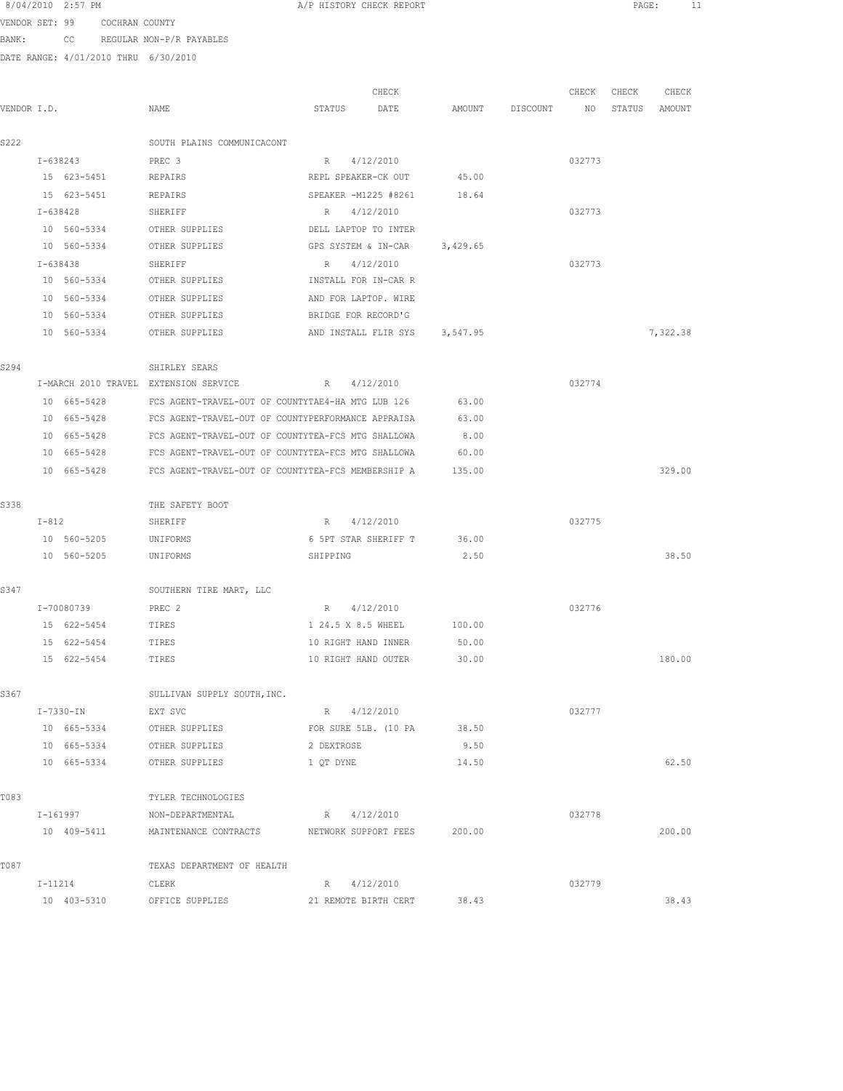| 8/04/2010 2:57 PM |  |  |
|-------------------|--|--|
|                   |  |  |

A/P HISTORY CHECK REPORT PAGE: 11

VENDOR SET: 99 COCHRAN COUNTY BANK: CC REGULAR NON-P/R PAYABLES

|             |                                       |                             | CHECK                                                          |        |          | CHECK  | CHECK  | CHECK    |
|-------------|---------------------------------------|-----------------------------|----------------------------------------------------------------|--------|----------|--------|--------|----------|
| VENDOR I.D. |                                       | NAME                        | STATUS<br>DATE                                                 | AMOUNT | DISCOUNT | NO     | STATUS | AMOUNT   |
| S222        |                                       | SOUTH PLAINS COMMUNICACONT  |                                                                |        |          |        |        |          |
|             | I-638243                              | PREC <sub>3</sub>           | 4/12/2010<br>R                                                 |        |          | 032773 |        |          |
|             | 15 623-5451                           | REPAIRS                     | REPL SPEAKER-CK OUT                                            | 45.00  |          |        |        |          |
|             | 15 623-5451                           | REPAIRS                     | SPEAKER -M1225 #8261                                           | 18.64  |          |        |        |          |
|             | I-638428                              | SHERIFF                     | R 4/12/2010                                                    |        |          | 032773 |        |          |
|             | 10 560-5334                           | OTHER SUPPLIES              | DELL LAPTOP TO INTER                                           |        |          |        |        |          |
|             | 10 560-5334                           | OTHER SUPPLIES              | GPS SYSTEM & IN-CAR 3,429.65                                   |        |          |        |        |          |
|             | I-638438                              | SHERIFF                     | R 4/12/2010                                                    |        |          | 032773 |        |          |
|             | 10 560-5334                           | OTHER SUPPLIES              | INSTALL FOR IN-CAR R                                           |        |          |        |        |          |
|             | 10 560-5334                           | OTHER SUPPLIES              | AND FOR LAPTOP. WIRE                                           |        |          |        |        |          |
|             | 10 560-5334                           | OTHER SUPPLIES              | BRIDGE FOR RECORD'G                                            |        |          |        |        |          |
|             | 10 560-5334                           | OTHER SUPPLIES              | AND INSTALL FLIR SYS 3,547.95                                  |        |          |        |        | 7,322.38 |
| S294        |                                       | SHIRLEY SEARS               |                                                                |        |          |        |        |          |
|             | I-MARCH 2010 TRAVEL EXTENSION SERVICE |                             | 4/12/2010<br>R                                                 |        |          | 032774 |        |          |
|             | 10 665-5428                           |                             | FCS AGENT-TRAVEL-OUT OF COUNTYTAE4-HA MTG LUB 126              | 63.00  |          |        |        |          |
|             | 10 665-5428                           |                             | FCS AGENT-TRAVEL-OUT OF COUNTYPERFORMANCE APPRAISA             | 63.00  |          |        |        |          |
|             | 10 665-5428                           |                             | FCS AGENT-TRAVEL-OUT OF COUNTYTEA-FCS MTG SHALLOWA             | 8.00   |          |        |        |          |
|             |                                       |                             | 10 665-5428 FCS AGENT-TRAVEL-OUT OF COUNTYTEA-FCS MTG SHALLOWA | 60.00  |          |        |        |          |
|             | 10 665-5428                           |                             | FCS AGENT-TRAVEL-OUT OF COUNTYTEA-FCS MEMBERSHIP A             | 135.00 |          |        |        | 329.00   |
| S338        |                                       | THE SAFETY BOOT             |                                                                |        |          |        |        |          |
|             | $I-812$                               | SHERIFF                     | R 4/12/2010                                                    |        |          | 032775 |        |          |
|             | 10 560-5205                           | UNIFORMS                    | 6 5PT STAR SHERIFF T                                           | 36.00  |          |        |        |          |
|             | 10 560-5205                           | UNIFORMS                    | SHIPPING                                                       | 2.50   |          |        |        | 38.50    |
| S347        |                                       | SOUTHERN TIRE MART, LLC     |                                                                |        |          |        |        |          |
|             | I-70080739                            | PREC <sub>2</sub>           | R 4/12/2010                                                    |        |          | 032776 |        |          |
|             | 15 622-5454                           | TIRES                       | 1 24.5 X 8.5 WHEEL                                             | 100.00 |          |        |        |          |
|             | 15 622-5454                           | TIRES                       | 10 RIGHT HAND INNER                                            | 50.00  |          |        |        |          |
|             | 15 622-5454                           | TIRES                       | 10 RIGHT HAND OUTER                                            | 30.00  |          |        |        | 180.00   |
| S367        |                                       | SULLIVAN SUPPLY SOUTH, INC. |                                                                |        |          |        |        |          |
|             | I-7330-IN                             | EXT SVC                     | R 4/12/2010                                                    |        |          | 032777 |        |          |
|             | 10 665-5334                           | OTHER SUPPLIES              | FOR SURE 5LB. (10 PA                                           | 38.50  |          |        |        |          |
|             | 10 665-5334                           | OTHER SUPPLIES              | 2 DEXTROSE                                                     | 9.50   |          |        |        |          |
|             | 10 665-5334                           | OTHER SUPPLIES              | 1 QT DYNE                                                      | 14.50  |          |        |        | 62.50    |
| T083        |                                       | TYLER TECHNOLOGIES          |                                                                |        |          |        |        |          |
|             | $I - 161997$                          | NON-DEPARTMENTAL            | R 4/12/2010                                                    |        |          | 032778 |        |          |
|             |                                       |                             | 10 409-5411 MAINTENANCE CONTRACTS NETWORK SUPPORT FEES 200.00  |        |          |        |        | 200.00   |
| T087        |                                       | TEXAS DEPARTMENT OF HEALTH  |                                                                |        |          |        |        |          |
|             | I-11214                               | CLERK                       | R 4/12/2010                                                    |        |          | 032779 |        |          |
|             | 10 403-5310                           | OFFICE SUPPLIES             | 21 REMOTE BIRTH CERT                                           | 38.43  |          |        |        | 38.43    |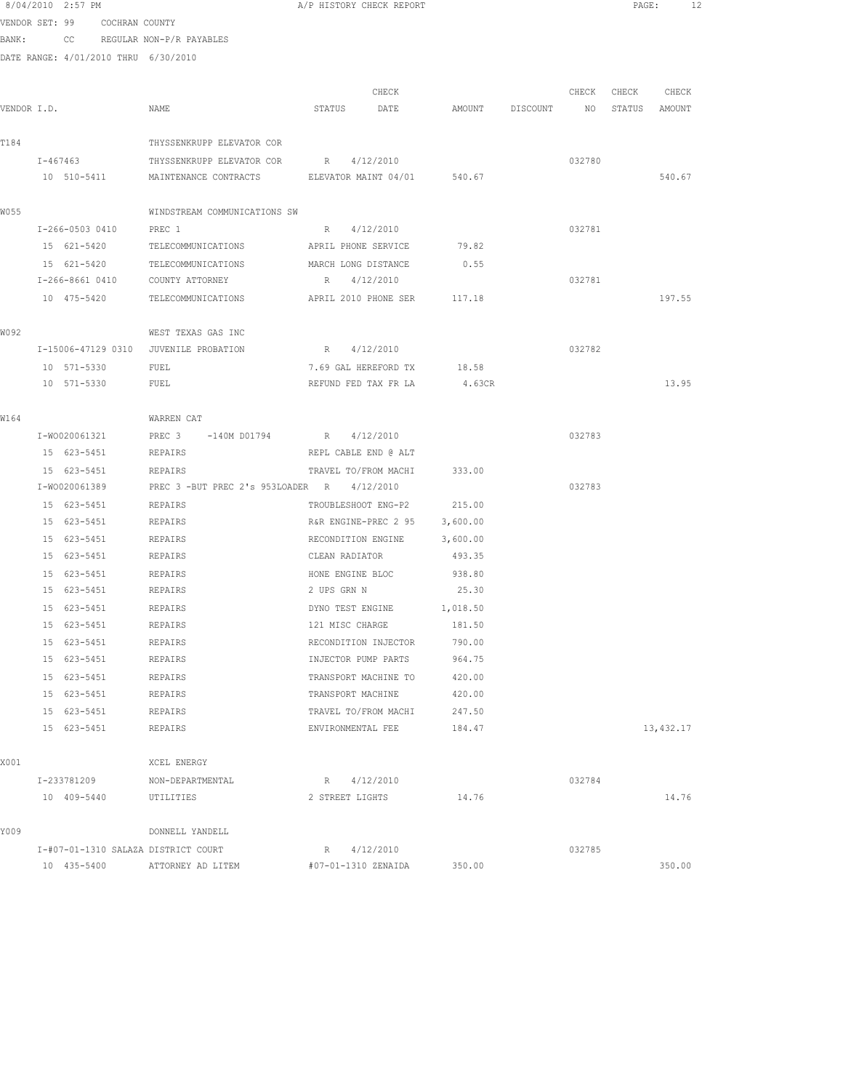|             | 8/04/2010 2:57 PM                     |                                                               | A/P HISTORY CHECK REPORT      |        |                 |                 | PAGE:         | 12        |
|-------------|---------------------------------------|---------------------------------------------------------------|-------------------------------|--------|-----------------|-----------------|---------------|-----------|
|             | VENDOR SET: 99 COCHRAN COUNTY         |                                                               |                               |        |                 |                 |               |           |
|             | BANK: CC REGULAR NON-P/R PAYABLES     |                                                               |                               |        |                 |                 |               |           |
|             | DATE RANGE: 4/01/2010 THRU 6/30/2010  |                                                               |                               |        |                 |                 |               |           |
|             |                                       |                                                               |                               |        |                 |                 |               |           |
|             |                                       |                                                               | CHECK                         |        |                 | CHECK           | CHECK         | CHECK     |
| VENDOR I.D. |                                       | NAME                                                          | STATUS<br>DATE                |        | AMOUNT DISCOUNT | NO <sub>1</sub> | STATUS AMOUNT |           |
| T184        |                                       | THYSSENKRUPP ELEVATOR COR                                     |                               |        |                 |                 |               |           |
|             |                                       | I-467463 THYSSENKRUPP ELEVATOR COR R 4/12/2010                |                               |        |                 | 032780          |               |           |
|             |                                       | 10 510-5411 MAINTENANCE CONTRACTS ELEVATOR MAINT 04/01 540.67 |                               |        |                 |                 |               | 540.67    |
| W055        |                                       | WINDSTREAM COMMUNICATIONS SW                                  |                               |        |                 |                 |               |           |
|             | I-266-0503 0410                       | PREC 1                                                        | R 4/12/2010                   |        |                 | 032781          |               |           |
|             | 15 621-5420                           | TELECOMMUNICATIONS                                            | APRIL PHONE SERVICE           | 79.82  |                 |                 |               |           |
|             | 15 621-5420                           | TELECOMMUNICATIONS                                            | MARCH LONG DISTANCE           | 0.55   |                 |                 |               |           |
|             | I-266-8661 0410 COUNTY ATTORNEY       |                                                               | R 4/12/2010                   |        |                 | 032781          |               |           |
|             | 10 475-5420                           | TELECOMMUNICATIONS APRIL 2010 PHONE SER 117.18                |                               |        |                 |                 |               | 197.55    |
| WO 92       |                                       | WEST TEXAS GAS INC                                            |                               |        |                 |                 |               |           |
|             | I-15006-47129 0310 JUVENILE PROBATION |                                                               | R 4/12/2010                   |        |                 | 032782          |               |           |
|             | 10 571-5330                           | FUEL                                                          | 7.69 GAL HEREFORD TX 18.58    |        |                 |                 |               |           |
|             | 10 571-5330                           | FUEL                                                          | REFUND FED TAX FR LA 4.63CR   |        |                 |                 |               | 13.95     |
| W164        |                                       | WARREN CAT                                                    |                               |        |                 |                 |               |           |
|             | I-W0020061321                         | PREC 3 -140M D01794                                           | R 4/12/2010                   |        |                 | 032783          |               |           |
|             | 15 623-5451                           | REPAIRS                                                       | REPL CABLE END @ ALT          |        |                 |                 |               |           |
|             | 15 623-5451                           | REPAIRS                                                       | TRAVEL TO/FROM MACHI          | 333.00 |                 |                 |               |           |
|             | I-W0020061389                         | PREC 3 -BUT PREC 2's 953LOADER R 4/12/2010                    |                               |        |                 | 032783          |               |           |
|             | 15 623-5451                           | REPAIRS                                                       | TROUBLESHOOT ENG-P2 215.00    |        |                 |                 |               |           |
|             | 15 623-5451                           | <b>REPAIRS</b>                                                | R&R ENGINE-PREC 2 95 3,600.00 |        |                 |                 |               |           |
|             | 15 623-5451                           | <b>REPAIRS</b>                                                | RECONDITION ENGINE 3,600.00   |        |                 |                 |               |           |
|             | 15 623-5451                           | <b>REPAIRS</b>                                                | CLEAN RADIATOR                | 493.35 |                 |                 |               |           |
|             | 15 623-5451                           | REPAIRS                                                       | HONE ENGINE BLOC              | 938.80 |                 |                 |               |           |
|             | 15 623-5451 REPAIRS                   |                                                               | 2 UPS GRN N                   | 25.30  |                 |                 |               |           |
|             | 15 623-5451                           | REPAIRS                                                       | DYNO TEST ENGINE 1,018.50     |        |                 |                 |               |           |
|             | 15 623-5451                           | REPAIRS                                                       | 121 MISC CHARGE               | 181.50 |                 |                 |               |           |
|             | 15 623-5451                           | REPAIRS                                                       | RECONDITION INJECTOR          | 790.00 |                 |                 |               |           |
|             | 15 623-5451                           | REPAIRS                                                       | INJECTOR PUMP PARTS           | 964.75 |                 |                 |               |           |
|             | 15 623-5451                           | REPAIRS                                                       | TRANSPORT MACHINE TO          | 420.00 |                 |                 |               |           |
|             | 15 623-5451                           | REPAIRS                                                       | TRANSPORT MACHINE             | 420.00 |                 |                 |               |           |
|             | 15 623-5451                           | REPAIRS                                                       | TRAVEL TO/FROM MACHI          | 247.50 |                 |                 |               |           |
|             | 15 623-5451                           | <b>REPAIRS</b>                                                | ENVIRONMENTAL FEE             | 184.47 |                 |                 |               | 13,432.17 |
| X001        |                                       | XCEL ENERGY                                                   |                               |        |                 |                 |               |           |
|             | I-233781209                           | NON-DEPARTMENTAL                                              | R 4/12/2010                   |        |                 | 032784          |               |           |
|             | 10 409-5440                           | UTILITIES                                                     | 2 STREET LIGHTS               | 14.76  |                 |                 |               | 14.76     |
| Y009        |                                       | DONNELL YANDELL                                               |                               |        |                 |                 |               |           |
|             | I-#07-01-1310 SALAZA DISTRICT COURT   |                                                               | R 4/12/2010                   |        |                 | 032785          |               |           |
|             | 10 435-5400                           | ATTORNEY AD LITEM                                             | #07-01-1310 ZENAIDA           | 350.00 |                 |                 |               | 350.00    |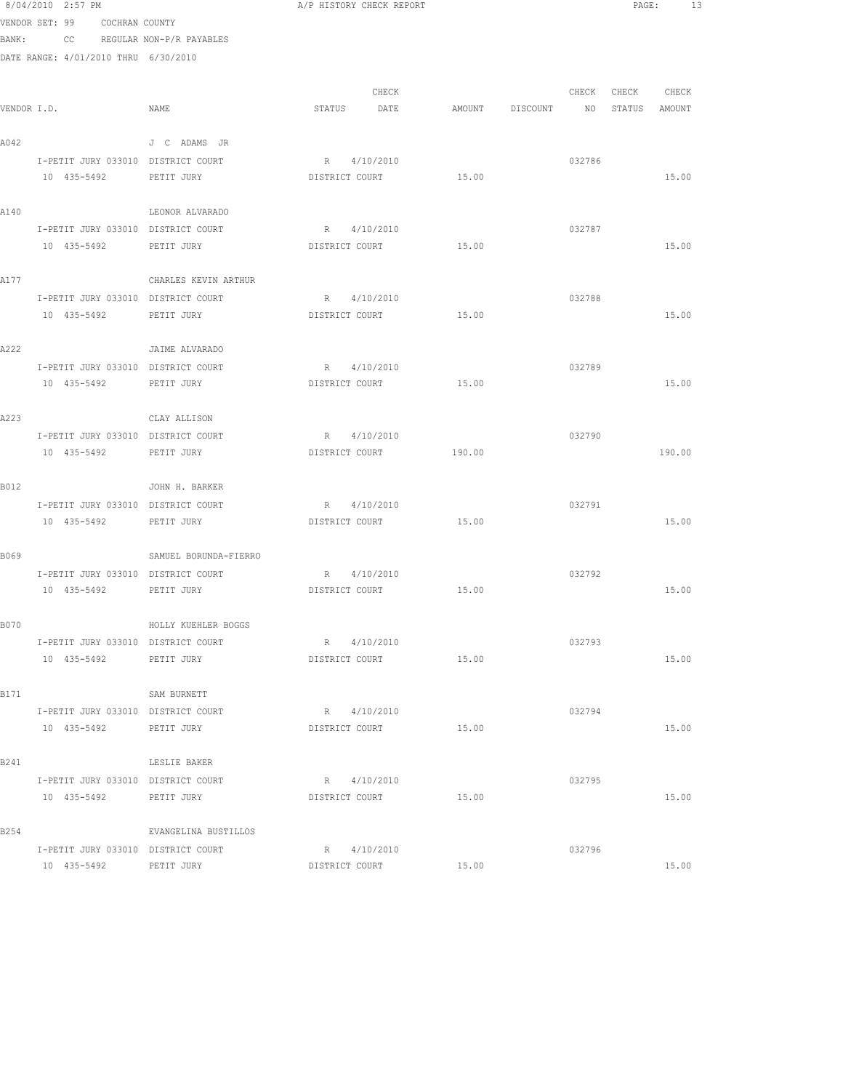|      | 8/04/2010 2:57 PM                                            |                       | A/P HISTORY CHECK REPORT |        |          |                 | PAGE:         | 13     |  |
|------|--------------------------------------------------------------|-----------------------|--------------------------|--------|----------|-----------------|---------------|--------|--|
|      | VENDOR SET: 99 COCHRAN COUNTY                                |                       |                          |        |          |                 |               |        |  |
|      | BANK: CC REGULAR NON-P/R PAYABLES                            |                       |                          |        |          |                 |               |        |  |
|      | DATE RANGE: 4/01/2010 THRU 6/30/2010                         |                       |                          |        |          |                 |               |        |  |
|      |                                                              |                       |                          |        |          |                 |               |        |  |
|      |                                                              |                       | CHECK                    |        |          | CHECK           | CHECK         | CHECK  |  |
|      | VENDOR I.D.                                                  | NAME                  | STATUS<br>DATE           | AMOUNT | DISCOUNT | NO <sub>N</sub> | STATUS AMOUNT |        |  |
|      |                                                              |                       |                          |        |          |                 |               |        |  |
| A042 |                                                              | J C ADAMS JR          |                          |        |          |                 |               |        |  |
|      | I-PETIT JURY 033010 DISTRICT COURT                           |                       | R 4/10/2010              |        |          | 032786          |               |        |  |
|      | 10 435-5492                                                  | PETIT JURY            | DISTRICT COURT           | 15.00  |          |                 |               | 15.00  |  |
| A140 |                                                              | LEONOR ALVARADO       |                          |        |          |                 |               |        |  |
|      | I-PETIT JURY 033010 DISTRICT COURT                           |                       | R 4/10/2010              |        |          | 032787          |               |        |  |
|      | 10 435-5492                                                  | PETIT JURY            | DISTRICT COURT           | 15.00  |          |                 |               | 15.00  |  |
|      |                                                              |                       |                          |        |          |                 |               |        |  |
| A177 |                                                              | CHARLES KEVIN ARTHUR  |                          |        |          |                 |               |        |  |
|      | I-PETIT JURY 033010 DISTRICT COURT                           |                       | R 4/10/2010              |        |          | 032788          |               |        |  |
|      | 10 435-5492                                                  | PETIT JURY            | DISTRICT COURT           | 15.00  |          |                 |               | 15.00  |  |
|      |                                                              |                       |                          |        |          |                 |               |        |  |
| A222 |                                                              | JAIME ALVARADO        |                          |        |          |                 |               |        |  |
|      | I-PETIT JURY 033010 DISTRICT COURT                           |                       | R 4/10/2010              |        |          | 032789          |               |        |  |
|      | 10 435-5492 PETIT JURY                                       |                       | DISTRICT COURT           | 15.00  |          |                 |               | 15.00  |  |
|      |                                                              |                       |                          |        |          |                 |               |        |  |
| A223 |                                                              | CLAY ALLISON          |                          |        |          |                 |               |        |  |
|      | I-PETIT JURY 033010 DISTRICT COURT                           |                       | R 4/10/2010              |        |          | 032790          |               |        |  |
|      | 10 435-5492                                                  | PETIT JURY            | DISTRICT COURT           | 190.00 |          |                 |               | 190.00 |  |
| B012 |                                                              | JOHN H. BARKER        |                          |        |          |                 |               |        |  |
|      | I-PETIT JURY 033010 DISTRICT COURT                           |                       | R 4/10/2010              |        |          | 032791          |               |        |  |
|      | 10 435-5492                                                  | PETIT JURY            | DISTRICT COURT           | 15.00  |          |                 |               | 15.00  |  |
|      |                                                              |                       |                          |        |          |                 |               |        |  |
| B069 |                                                              | SAMUEL BORUNDA-FIERRO |                          |        |          |                 |               |        |  |
|      | I-PETIT JURY 033010 DISTRICT COURT                           |                       | R 4/10/2010              |        |          | 032792          |               |        |  |
|      | 10 435-5492                                                  | PETIT JURY            | DISTRICT COURT           | 15.00  |          |                 |               | 15.00  |  |
|      |                                                              |                       |                          |        |          |                 |               |        |  |
| B070 |                                                              | HOLLY KUEHLER BOGGS   |                          |        |          |                 |               |        |  |
|      | I-PETIT JURY 033010 DISTRICT COURT                           |                       | R 4/10/2010              |        |          | 032793          |               |        |  |
|      | 10 435-5492                                                  | PETIT JURY            | DISTRICT COURT           | 15.00  |          |                 |               | 15.00  |  |
|      |                                                              |                       |                          |        |          |                 |               |        |  |
| B171 |                                                              | SAM BURNETT           |                          |        |          |                 |               |        |  |
|      | I-PETIT JURY 033010 DISTRICT COURT<br>10 435-5492 PETIT JURY |                       | R 4/10/2010              | 15.00  |          | 032794          |               | 15.00  |  |
|      |                                                              |                       | DISTRICT COURT           |        |          |                 |               |        |  |
| B241 |                                                              | LESLIE BAKER          |                          |        |          |                 |               |        |  |
|      | I-PETIT JURY 033010 DISTRICT COURT                           |                       | R 4/10/2010              |        |          | 032795          |               |        |  |
|      | 10 435-5492                                                  | PETIT JURY            | DISTRICT COURT           | 15.00  |          |                 |               | 15.00  |  |
|      |                                                              |                       |                          |        |          |                 |               |        |  |
| B254 |                                                              | EVANGELINA BUSTILLOS  |                          |        |          |                 |               |        |  |
|      | I-PETIT JURY 033010 DISTRICT COURT                           |                       | R 4/10/2010              |        |          | 032796          |               |        |  |
|      | 10 435-5492                                                  | PETIT JURY            | DISTRICT COURT           | 15.00  |          |                 |               | 15.00  |  |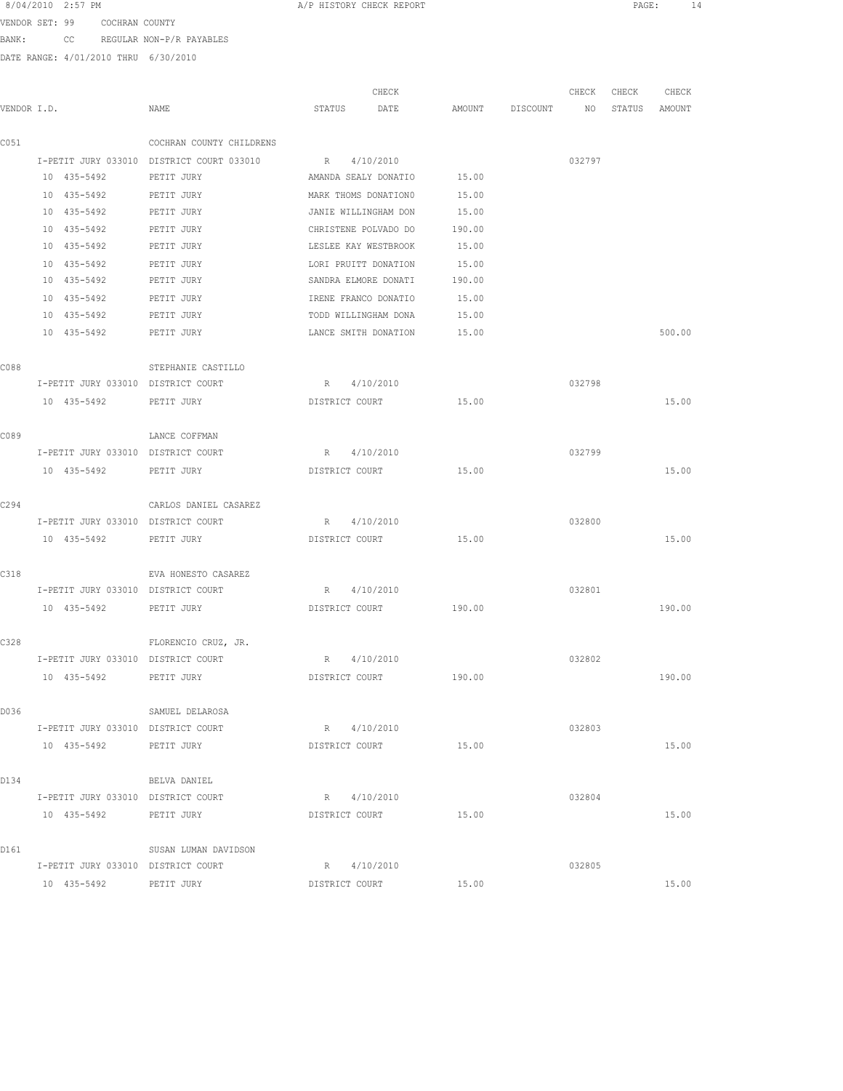| 8/04/2010 2:57 PM |  |
|-------------------|--|
|-------------------|--|

A/P HISTORY CHECK REPORT PAGE: 14

VENDOR SET: 99 COCHRAN COUNTY BANK: CC REGULAR NON-P/R PAYABLES

|             |                                    |                                           | CHECK                |        |          | CHECK  | CHECK  | CHECK  |
|-------------|------------------------------------|-------------------------------------------|----------------------|--------|----------|--------|--------|--------|
| VENDOR I.D. |                                    | NAME                                      | STATUS<br>DATE       | AMOUNT | DISCOUNT | NO     | STATUS | AMOUNT |
| C051        |                                    | COCHRAN COUNTY CHILDRENS                  |                      |        |          |        |        |        |
|             |                                    | I-PETIT JURY 033010 DISTRICT COURT 033010 | R 4/10/2010          |        |          | 032797 |        |        |
|             | 10 435-5492                        | PETIT JURY                                | AMANDA SEALY DONATIO | 15.00  |          |        |        |        |
|             | 10 435-5492                        | PETIT JURY                                | MARK THOMS DONATION0 | 15.00  |          |        |        |        |
|             | 10 435-5492                        | PETIT JURY                                | JANIE WILLINGHAM DON | 15.00  |          |        |        |        |
|             | 10 435-5492                        | PETIT JURY                                | CHRISTENE POLVADO DO | 190.00 |          |        |        |        |
|             | 10 435-5492                        | PETIT JURY                                | LESLEE KAY WESTBROOK | 15.00  |          |        |        |        |
|             | 10 435-5492                        | PETIT JURY                                | LORI PRUITT DONATION | 15.00  |          |        |        |        |
|             | 10 435-5492                        | PETIT JURY                                | SANDRA ELMORE DONATI | 190.00 |          |        |        |        |
|             | 10 435-5492                        | PETIT JURY                                | IRENE FRANCO DONATIO | 15.00  |          |        |        |        |
|             | 10 435-5492                        | PETIT JURY                                | TODD WILLINGHAM DONA | 15.00  |          |        |        |        |
|             | 10 435-5492                        | PETIT JURY                                | LANCE SMITH DONATION | 15.00  |          |        |        | 500.00 |
| C088        |                                    | STEPHANIE CASTILLO                        |                      |        |          |        |        |        |
|             | I-PETIT JURY 033010 DISTRICT COURT |                                           | R 4/10/2010          |        |          | 032798 |        |        |
|             | 10 435-5492                        | PETIT JURY                                | DISTRICT COURT       | 15.00  |          |        |        | 15.00  |
| C089        |                                    | LANCE COFFMAN                             |                      |        |          |        |        |        |
|             | I-PETIT JURY 033010 DISTRICT COURT |                                           | R 4/10/2010          |        |          | 032799 |        |        |
|             | 10 435-5492                        | PETIT JURY                                | DISTRICT COURT       | 15.00  |          |        |        | 15.00  |
|             |                                    |                                           |                      |        |          |        |        |        |
| C294        |                                    | CARLOS DANIEL CASAREZ                     |                      |        |          |        |        |        |
|             | I-PETIT JURY 033010 DISTRICT COURT |                                           | R 4/10/2010          |        |          | 032800 |        |        |
|             | 10 435-5492                        | PETIT JURY                                | DISTRICT COURT       | 15.00  |          |        |        | 15.00  |
| C318        |                                    | EVA HONESTO CASAREZ                       |                      |        |          |        |        |        |
|             | I-PETIT JURY 033010 DISTRICT COURT |                                           | R 4/10/2010          |        |          | 032801 |        |        |
|             | 10 435-5492                        | PETIT JURY                                | DISTRICT COURT       | 190.00 |          |        |        | 190.00 |
| C328        |                                    | FLORENCIO CRUZ, JR.                       |                      |        |          |        |        |        |
|             | I-PETIT JURY 033010 DISTRICT COURT |                                           | 4/10/2010<br>R       |        |          | 032802 |        |        |
|             | 10 435-5492                        | PETIT JURY                                | DISTRICT COURT       | 190.00 |          |        |        | 190.00 |
| D036        |                                    | SAMUEL DELAROSA                           |                      |        |          |        |        |        |
|             | I-PETIT JURY 033010 DISTRICT COURT |                                           | R 4/10/2010          |        |          | 032803 |        |        |
|             | 10 435-5492 PETIT JURY             |                                           | DISTRICT COURT       | 15.00  |          |        |        | 15.00  |
| D134        |                                    | BELVA DANIEL                              |                      |        |          |        |        |        |
|             | I-PETIT JURY 033010 DISTRICT COURT |                                           | R 4/10/2010          |        |          | 032804 |        |        |
|             | 10 435-5492 PETIT JURY             |                                           | DISTRICT COURT       | 15.00  |          |        |        | 15.00  |
|             |                                    |                                           |                      |        |          |        |        |        |
| D161        |                                    | SUSAN LUMAN DAVIDSON                      |                      |        |          |        |        |        |
|             | I-PETIT JURY 033010 DISTRICT COURT |                                           | R 4/10/2010          |        |          | 032805 |        |        |
|             | 10 435-5492 PETIT JURY             |                                           | DISTRICT COURT       | 15.00  |          |        |        | 15.00  |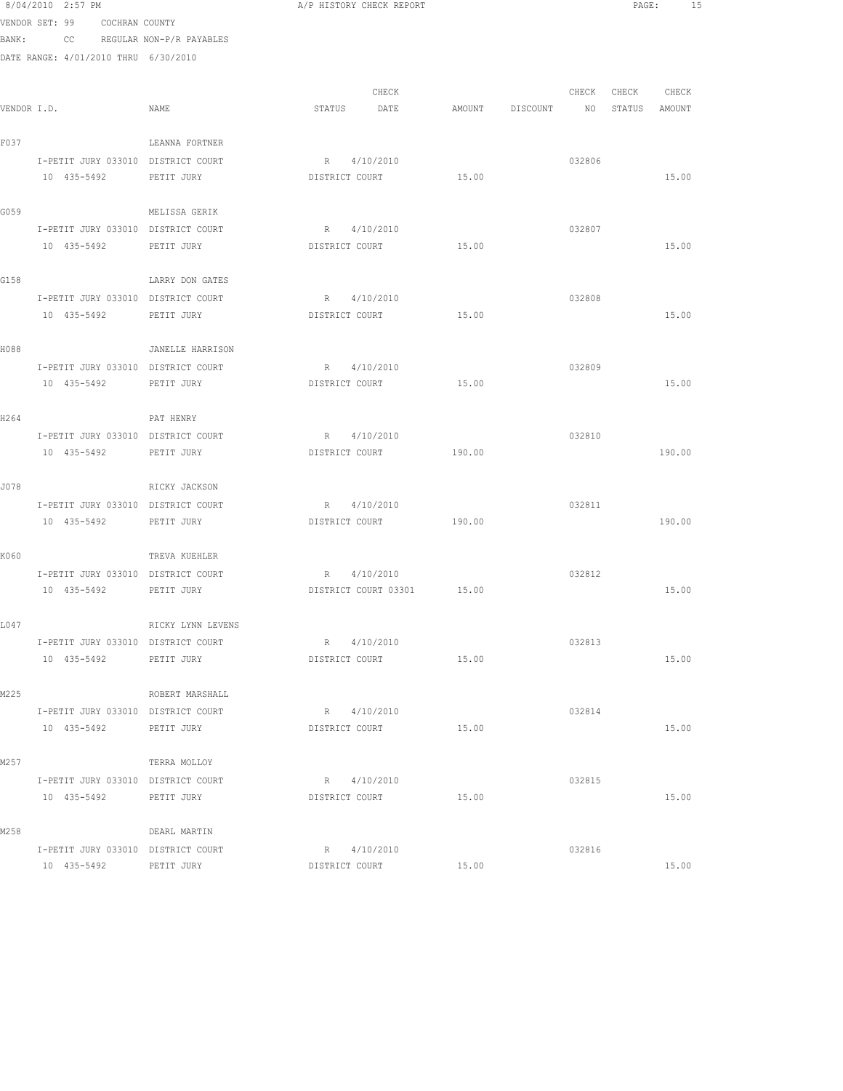|       | 8/04/2010 2:57 PM                                 |                             | A/P HISTORY CHECK REPORT      |        |                       | PAGE:             | 15    |
|-------|---------------------------------------------------|-----------------------------|-------------------------------|--------|-----------------------|-------------------|-------|
|       | VENDOR SET: 99 COCHRAN COUNTY                     |                             |                               |        |                       |                   |       |
| BANK: |                                                   | CC REGULAR NON-P/R PAYABLES |                               |        |                       |                   |       |
|       | DATE RANGE: 4/01/2010 THRU 6/30/2010              |                             |                               |        |                       |                   |       |
|       |                                                   |                             |                               |        |                       |                   |       |
|       |                                                   |                             | CHECK                         |        |                       | CHECK CHECK CHECK |       |
|       | VENDOR I.D.                                       | NAME                        | STATUS DATE                   |        | AMOUNT DISCOUNT<br>NO | STATUS AMOUNT     |       |
|       |                                                   |                             |                               |        |                       |                   |       |
| F037  |                                                   | LEANNA FORTNER              |                               |        |                       |                   |       |
|       | I-PETIT JURY 033010 DISTRICT COURT                |                             | R 4/10/2010                   |        | 032806                |                   |       |
|       | 10 435-5492                                       | PETIT JURY                  | DISTRICT COURT                | 15.00  |                       | 15.00             |       |
| G059  |                                                   | MELISSA GERIK               |                               |        |                       |                   |       |
|       | I-PETIT JURY 033010 DISTRICT COURT                |                             | R 4/10/2010                   |        | 032807                |                   |       |
|       | 10 435-5492                                       | PETIT JURY                  | DISTRICT COURT                | 15.00  |                       | 15.00             |       |
|       |                                                   |                             |                               |        |                       |                   |       |
| G158  |                                                   | LARRY DON GATES             |                               |        |                       |                   |       |
|       | I-PETIT JURY 033010 DISTRICT COURT                |                             | R 4/10/2010                   |        | 032808                |                   |       |
|       | 10 435-5492                                       | PETIT JURY                  | DISTRICT COURT                | 15.00  |                       | 15.00             |       |
|       |                                                   |                             |                               |        |                       |                   |       |
| H088  |                                                   | JANELLE HARRISON            |                               |        |                       |                   |       |
|       | I-PETIT JURY 033010 DISTRICT COURT                |                             | R 4/10/2010                   |        | 032809                |                   |       |
|       | 10 435-5492                                       | PETIT JURY                  | DISTRICT COURT                | 15.00  |                       | 15.00             |       |
|       |                                                   |                             |                               |        |                       |                   |       |
| H264  |                                                   | PAT HENRY                   |                               |        |                       |                   |       |
|       | I-PETIT JURY 033010 DISTRICT COURT<br>10 435-5492 | PETIT JURY                  | R 4/10/2010<br>DISTRICT COURT | 190.00 | 032810                | 190.00            |       |
|       |                                                   |                             |                               |        |                       |                   |       |
| J078  |                                                   | RICKY JACKSON               |                               |        |                       |                   |       |
|       | I-PETIT JURY 033010 DISTRICT COURT                |                             | R 4/10/2010                   |        | 032811                |                   |       |
|       | 10 435-5492 PETIT JURY                            |                             | DISTRICT COURT                | 190.00 |                       | 190.00            |       |
|       |                                                   |                             |                               |        |                       |                   |       |
| K060  |                                                   | TREVA KUEHLER               |                               |        |                       |                   |       |
|       | I-PETIT JURY 033010 DISTRICT COURT                |                             | R 4/10/2010                   |        | 032812                |                   |       |
|       | 10 435-5492                                       | PETIT JURY                  | DISTRICT COURT 03301 15.00    |        |                       | 15.00             |       |
|       |                                                   |                             |                               |        |                       |                   |       |
| L047  |                                                   | RICKY LYNN LEVENS           |                               |        |                       |                   |       |
|       | I-PETIT JURY 033010 DISTRICT COURT                |                             | R 4/10/2010                   |        | 032813                |                   |       |
|       | 10 435-5492                                       | PETIT JURY                  | DISTRICT COURT                | 15.00  |                       |                   | 15.00 |
|       |                                                   |                             |                               |        |                       |                   |       |
| M225  | I-PETIT JURY 033010 DISTRICT COURT                | ROBERT MARSHALL             | R 4/10/2010                   |        | 032814                |                   |       |
|       | 10 435-5492                                       | PETIT JURY                  | DISTRICT COURT                | 15.00  |                       | 15.00             |       |
|       |                                                   |                             |                               |        |                       |                   |       |
| M257  |                                                   | TERRA MOLLOY                |                               |        |                       |                   |       |
|       | I-PETIT JURY 033010 DISTRICT COURT                |                             | R 4/10/2010                   |        | 032815                |                   |       |
|       | 10 435-5492 PETIT JURY                            |                             | DISTRICT COURT                | 15.00  |                       | 15.00             |       |
|       |                                                   |                             |                               |        |                       |                   |       |
| M258  |                                                   | DEARL MARTIN                |                               |        |                       |                   |       |
|       | I-PETIT JURY 033010 DISTRICT COURT                |                             | R 4/10/2010                   |        | 032816                |                   |       |
|       | 10 435-5492                                       | PETIT JURY                  | DISTRICT COURT                | 15.00  |                       |                   | 15.00 |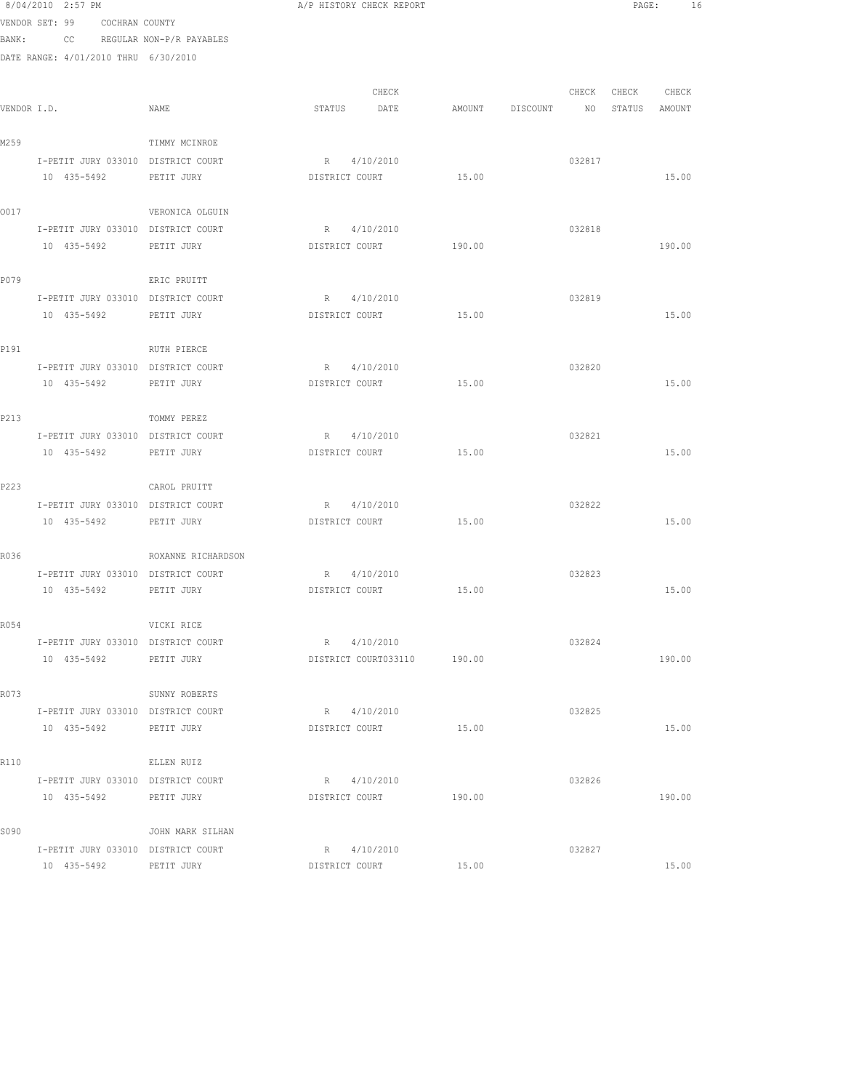8/04/2010 2:57 PM **A/P HISTORY CHECK REPORT PAGE:** 16 VENDOR SET: 99 COCHRAN COUNTY BANK: CC REGULAR NON-P/R PAYABLES DATE RANGE: 4/01/2010 THRU 6/30/2010 CHECK CHECK CHECK CHECK VENDOR I.D. NAME STATUS DATE AMOUNT DISCOUNT NO STATUS AMOUNT M259 TIMMY MCINROE I-PETIT JURY 033010 DISTRICT COURT R 4/10/2010 032817 10 435-5492 PETIT JURY DISTRICT COURT 15.00 15.00 O017 VERONICA OLGUIN I-PETIT JURY 033010 DISTRICT COURT R 4/10/2010 032818 10 435-5492 PETIT JURY DISTRICT COURT 190.00 190.00 P079 ERIC PRUITT I-PETIT JURY 033010 DISTRICT COURT R 4/10/2010 032819 10 435-5492 PETIT JURY DISTRICT COURT 15.00 15.00 P191 RUTH PIERCE I-PETIT JURY 033010 DISTRICT COURT R 4/10/2010 032820 10 435-5492 PETIT JURY DISTRICT COURT 15.00 15.00 P213 TOMMY PEREZ I-PETIT JURY 033010 DISTRICT COURT R 4/10/2010 032821 10 435-5492 PETIT JURY DISTRICT COURT 15.00 15.00 P223 CAROL PRUITT I-PETIT JURY 033010 DISTRICT COURT R 4/10/2010 032822 10 435-5492 PETIT JURY DISTRICT COURT 15.00 15.00 R036 ROXANNE RICHARDSON I-PETIT JURY 033010 DISTRICT COURT R 4/10/2010 032823 10 435-5492 PETIT JURY DISTRICT COURT 15.00 15.00 R054 VICKI RICE I-PETIT JURY 033010 DISTRICT COURT R 4/10/2010 032824 10 435-5492 PETIT JURY DISTRICT COURT033110 190.00 190.00 R073 SUNNY ROBERTS I-PETIT JURY 033010 DISTRICT COURT R 4/10/2010 032825 10 435-5492 PETIT JURY DISTRICT COURT 15.00 15.00 R<sub>110</sub> ELLEN RUIZ I-PETIT JURY 033010 DISTRICT COURT R 4/10/2010 032826 10 435-5492 PETIT JURY DISTRICT COURT 190.00 190.00 S090 JOHN MARK SILHAN I-PETIT JURY 033010 DISTRICT COURT R 4/10/2010 032827 10 435-5492 PETIT JURY DISTRICT COURT 15.00 15.00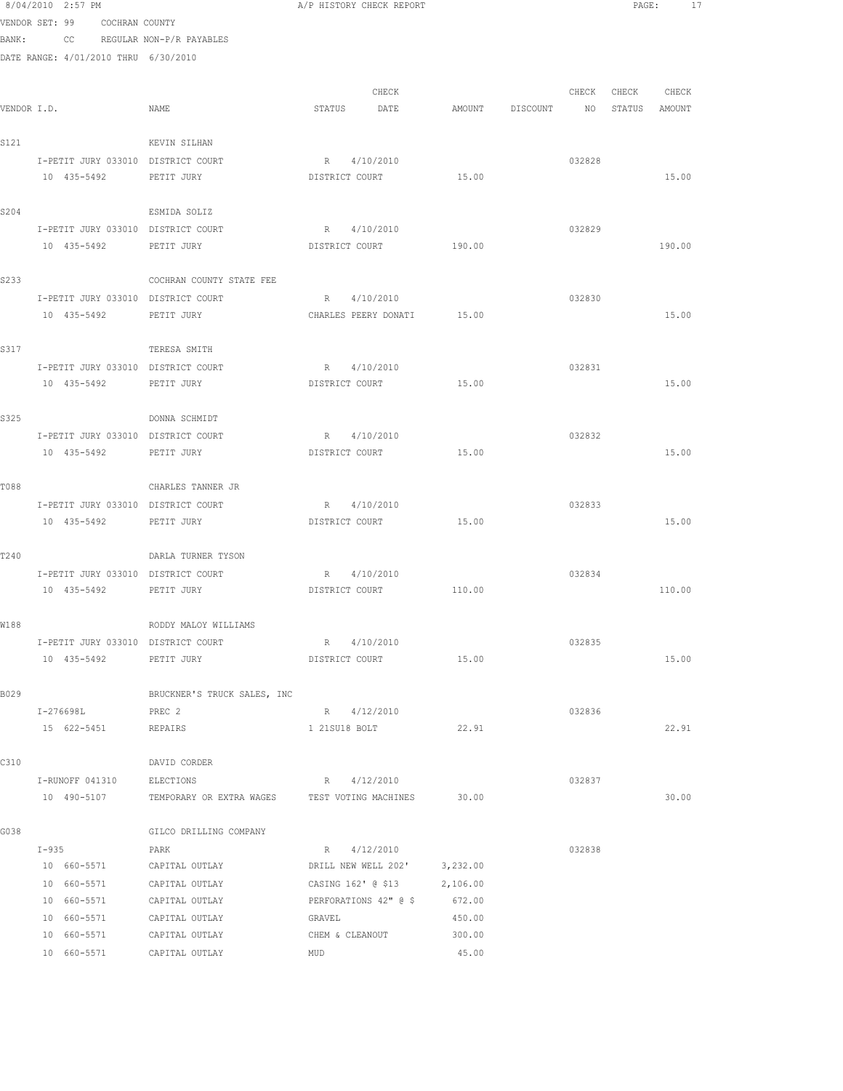|             | 8/04/2010 2:57 PM                    |                                  | A/P HISTORY CHECK REPORT   |                  |                 |        |                  | PAGE:<br>17 |  |
|-------------|--------------------------------------|----------------------------------|----------------------------|------------------|-----------------|--------|------------------|-------------|--|
|             | VENDOR SET: 99 COCHRAN COUNTY        |                                  |                            |                  |                 |        |                  |             |  |
|             | BANK: CC REGULAR NON-P/R PAYABLES    |                                  |                            |                  |                 |        |                  |             |  |
|             | DATE RANGE: 4/01/2010 THRU 6/30/2010 |                                  |                            |                  |                 |        |                  |             |  |
|             |                                      |                                  |                            |                  |                 |        |                  |             |  |
|             |                                      |                                  | CHECK                      |                  |                 | CHECK  | CHECK CHECK      |             |  |
| VENDOR I.D. |                                      | NAME                             | STATUS DATE                |                  | AMOUNT DISCOUNT |        | NO STATUS AMOUNT |             |  |
| S121        |                                      | KEVIN SILHAN                     |                            |                  |                 |        |                  |             |  |
|             | I-PETIT JURY 033010 DISTRICT COURT   |                                  | R 4/10/2010                |                  |                 | 032828 |                  |             |  |
|             | 10 435-5492                          | PETIT JURY                       | DISTRICT COURT             | 15.00            |                 |        |                  | 15.00       |  |
|             |                                      |                                  |                            |                  |                 |        |                  |             |  |
| S204        |                                      | ESMIDA SOLIZ                     |                            |                  |                 |        |                  |             |  |
|             | I-PETIT JURY 033010 DISTRICT COURT   |                                  | R 4/10/2010                |                  |                 | 032829 |                  |             |  |
|             | 10 435-5492                          | PETIT JURY                       | DISTRICT COURT             | 190.00           |                 |        |                  | 190.00      |  |
|             |                                      |                                  |                            |                  |                 |        |                  |             |  |
| S233        |                                      | COCHRAN COUNTY STATE FEE         |                            |                  |                 |        |                  |             |  |
|             | I-PETIT JURY 033010 DISTRICT COURT   |                                  | R 4/10/2010                |                  |                 | 032830 |                  |             |  |
|             | 10 435-5492                          | PETIT JURY                       | CHARLES PEERY DONATI 15.00 |                  |                 |        |                  | 15.00       |  |
| S317        |                                      | TERESA SMITH                     |                            |                  |                 |        |                  |             |  |
|             | I-PETIT JURY 033010 DISTRICT COURT   |                                  | R 4/10/2010                |                  |                 | 032831 |                  |             |  |
|             | 10 435-5492 PETIT JURY               |                                  | DISTRICT COURT             | 15.00            |                 |        |                  | 15.00       |  |
|             |                                      |                                  |                            |                  |                 |        |                  |             |  |
| S325        |                                      | DONNA SCHMIDT                    |                            |                  |                 |        |                  |             |  |
|             | I-PETIT JURY 033010 DISTRICT COURT   |                                  | R 4/10/2010                |                  |                 | 032832 |                  |             |  |
|             | 10 435-5492                          | PETIT JURY                       | DISTRICT COURT             | 15.00            |                 |        |                  | 15.00       |  |
|             |                                      |                                  |                            |                  |                 |        |                  |             |  |
| T088        |                                      | CHARLES TANNER JR                |                            |                  |                 |        |                  |             |  |
|             | I-PETIT JURY 033010 DISTRICT COURT   |                                  | R 4/10/2010                |                  |                 | 032833 |                  |             |  |
|             | 10 435-5492                          | PETIT JURY                       | DISTRICT COURT             | 15.00            |                 |        |                  | 15.00       |  |
| T240        |                                      | DARLA TURNER TYSON               |                            |                  |                 |        |                  |             |  |
|             | I-PETIT JURY 033010 DISTRICT COURT   |                                  | R 4/10/2010                |                  |                 | 032834 |                  |             |  |
|             | 10 435-5492                          | PETIT JURY                       | DISTRICT COURT 110.00      |                  |                 |        |                  | 110.00      |  |
|             |                                      |                                  |                            |                  |                 |        |                  |             |  |
| W188        |                                      | RODDY MALOY WILLIAMS             |                            |                  |                 |        |                  |             |  |
|             | I-PETIT JURY 033010 DISTRICT COURT   |                                  | R<br>4/10/2010             |                  |                 | 032835 |                  |             |  |
|             | 10 435-5492                          | PETIT JURY                       | DISTRICT COURT             | 15.00            |                 |        |                  | 15.00       |  |
|             |                                      |                                  |                            |                  |                 |        |                  |             |  |
| B029        |                                      | BRUCKNER'S TRUCK SALES, INC      |                            |                  |                 |        |                  |             |  |
|             | I-276698L                            | PREC <sub>2</sub>                | R 4/12/2010                | 22.91            |                 | 032836 |                  | 22.91       |  |
|             | 15 622-5451                          | REPAIRS                          | 1 21SU18 BOLT              |                  |                 |        |                  |             |  |
| C310        |                                      | DAVID CORDER                     |                            |                  |                 |        |                  |             |  |
|             | I-RUNOFF 041310                      | ELECTIONS                        | R 4/12/2010                |                  |                 | 032837 |                  |             |  |
|             | 10 490-5107                          | TEMPORARY OR EXTRA WAGES         | TEST VOTING MACHINES       | 30.00            |                 |        |                  | 30.00       |  |
|             |                                      |                                  |                            |                  |                 |        |                  |             |  |
| G038        |                                      | GILCO DRILLING COMPANY           |                            |                  |                 |        |                  |             |  |
|             | $I-935$                              | PARK                             | R 4/12/2010                |                  |                 | 032838 |                  |             |  |
|             | 10 660-5571                          | CAPITAL OUTLAY                   | DRILL NEW WELL 202'        | 3,232.00         |                 |        |                  |             |  |
|             | 10 660-5571                          | CAPITAL OUTLAY                   | CASING 162' @ \$13         | 2,106.00         |                 |        |                  |             |  |
|             | 10 660-5571                          | CAPITAL OUTLAY                   | PERFORATIONS 42" @ \$      | 672.00           |                 |        |                  |             |  |
|             | 10 660-5571<br>10 660-5571           | CAPITAL OUTLAY                   | GRAVEL                     | 450.00<br>300.00 |                 |        |                  |             |  |
|             | 10 660-5571                          | CAPITAL OUTLAY<br>CAPITAL OUTLAY | CHEM & CLEANOUT<br>MUD     | 45.00            |                 |        |                  |             |  |
|             |                                      |                                  |                            |                  |                 |        |                  |             |  |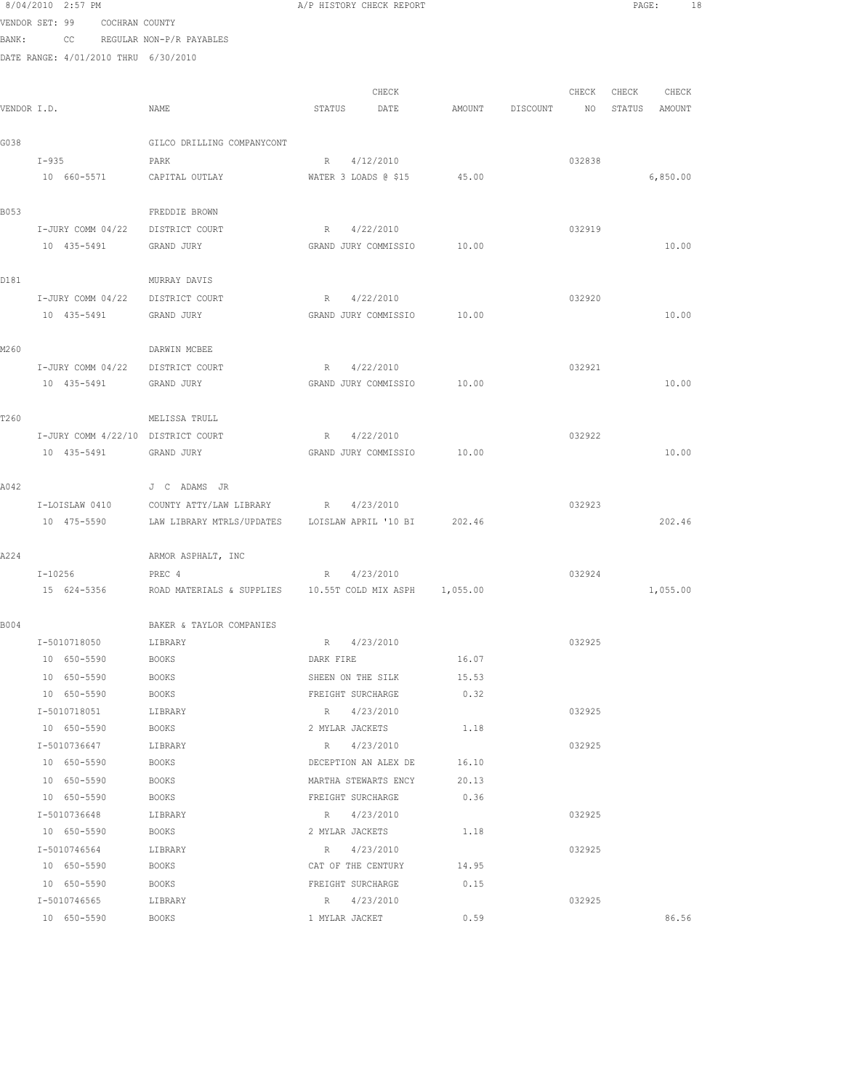VENDOR SET: 99 COCHRAN COUNTY BANK: CC REGULAR NON-P/R PAYABLES

| VENDOR I.D. |                                    | NAME                                                    | CHECK<br>STATUS<br>DATE  | AMOUNT | DISCOUNT | CHECK<br>NO | CHECK<br>STATUS | CHECK<br>AMOUNT |
|-------------|------------------------------------|---------------------------------------------------------|--------------------------|--------|----------|-------------|-----------------|-----------------|
| G038        |                                    | GILCO DRILLING COMPANYCONT                              |                          |        |          |             |                 |                 |
|             | $I - 935$                          | PARK                                                    | 4/12/2010<br>$R_{\odot}$ |        |          | 032838      |                 |                 |
|             | 10 660-5571                        | CAPITAL OUTLAY                                          | WATER 3 LOADS @ \$15     | 45.00  |          |             |                 | 6,850.00        |
| B053        |                                    | FREDDIE BROWN                                           |                          |        |          |             |                 |                 |
|             | I-JURY COMM 04/22 DISTRICT COURT   |                                                         | R 4/22/2010              |        |          | 032919      |                 |                 |
|             | 10 435-5491                        | GRAND JURY                                              | GRAND JURY COMMISSIO     | 10.00  |          |             |                 | 10.00           |
| D181        |                                    | MURRAY DAVIS                                            |                          |        |          |             |                 |                 |
|             | I-JURY COMM 04/22                  | DISTRICT COURT                                          | R 4/22/2010              |        |          | 032920      |                 |                 |
|             | 10 435-5491                        | GRAND JURY                                              | GRAND JURY COMMISSIO     | 10.00  |          |             |                 | 10.00           |
| M260        |                                    | DARWIN MCBEE                                            |                          |        |          |             |                 |                 |
|             | I-JURY COMM 04/22 DISTRICT COURT   |                                                         | 4/22/2010<br>R           |        |          | 032921      |                 |                 |
|             | 10 435-5491                        | GRAND JURY                                              | GRAND JURY COMMISSIO     | 10.00  |          |             |                 | 10.00           |
| T260        |                                    | MELISSA TRULL                                           |                          |        |          |             |                 |                 |
|             | I-JURY COMM 4/22/10 DISTRICT COURT |                                                         | 4/22/2010<br>$R_{\odot}$ |        |          | 032922      |                 |                 |
|             | 10 435-5491                        | GRAND JURY                                              | GRAND JURY COMMISSIO     | 10.00  |          |             |                 | 10.00           |
| A042        |                                    | J C ADAMS JR                                            |                          |        |          |             |                 |                 |
|             | I-LOISLAW 0410                     | COUNTY ATTY/LAW LIBRARY R 4/23/2010                     |                          |        |          | 032923      |                 |                 |
|             | 10 475-5590                        | LAW LIBRARY MTRLS/UPDATES LOISLAW APRIL '10 BI 202.46   |                          |        |          |             |                 | 202.46          |
| A224        |                                    | ARMOR ASPHALT, INC                                      |                          |        |          |             |                 |                 |
|             | $I - 10256$                        | PREC 4                                                  | 4/23/2010<br>$R_{\odot}$ |        |          | 032924      |                 |                 |
|             | 15 624-5356                        | ROAD MATERIALS & SUPPLIES 10.55T COLD MIX ASPH 1,055.00 |                          |        |          |             |                 | 1,055.00        |
| B004        |                                    | BAKER & TAYLOR COMPANIES                                |                          |        |          |             |                 |                 |
|             | I-5010718050                       | LIBRARY                                                 | R 4/23/2010              |        |          | 032925      |                 |                 |
|             | 10 650-5590                        | <b>BOOKS</b>                                            | DARK FIRE                | 16.07  |          |             |                 |                 |
|             | 10 650-5590                        | <b>BOOKS</b>                                            | SHEEN ON THE SILK        | 15.53  |          |             |                 |                 |
|             | 10 650-5590                        | <b>BOOKS</b>                                            | FREIGHT SURCHARGE        | 0.32   |          |             |                 |                 |
|             | I-5010718051                       | LIBRARY                                                 | R 4/23/2010              |        |          | 032925      |                 |                 |
|             | 10 650-5590                        | BOOKS                                                   | 2 MYLAR JACKETS          | 1.18   |          |             |                 |                 |
|             | I-5010736647                       | LIBRARY                                                 | R 4/23/2010              |        |          | 032925      |                 |                 |
|             | 10 650-5590                        | BOOKS                                                   | DECEPTION AN ALEX DE     | 16.10  |          |             |                 |                 |
|             | 10 650-5590                        | BOOKS                                                   | MARTHA STEWARTS ENCY     | 20.13  |          |             |                 |                 |
|             | 10 650-5590                        | BOOKS                                                   | FREIGHT SURCHARGE        | 0.36   |          |             |                 |                 |
|             | I-5010736648                       | LIBRARY                                                 | R 4/23/2010              |        |          | 032925      |                 |                 |
|             | 10 650-5590                        | BOOKS                                                   | 2 MYLAR JACKETS          | 1.18   |          |             |                 |                 |
|             | I-5010746564                       | LIBRARY                                                 | R 4/23/2010              |        |          | 032925      |                 |                 |
|             | 10 650-5590                        | BOOKS                                                   | CAT OF THE CENTURY       | 14.95  |          |             |                 |                 |
|             | 10 650-5590                        | BOOKS                                                   | FREIGHT SURCHARGE        | 0.15   |          |             |                 |                 |
|             | I-5010746565                       | LIBRARY                                                 | R 4/23/2010              |        |          | 032925      |                 |                 |
|             | 10 650-5590                        | <b>BOOKS</b>                                            | 1 MYLAR JACKET           | 0.59   |          |             |                 | 86.56           |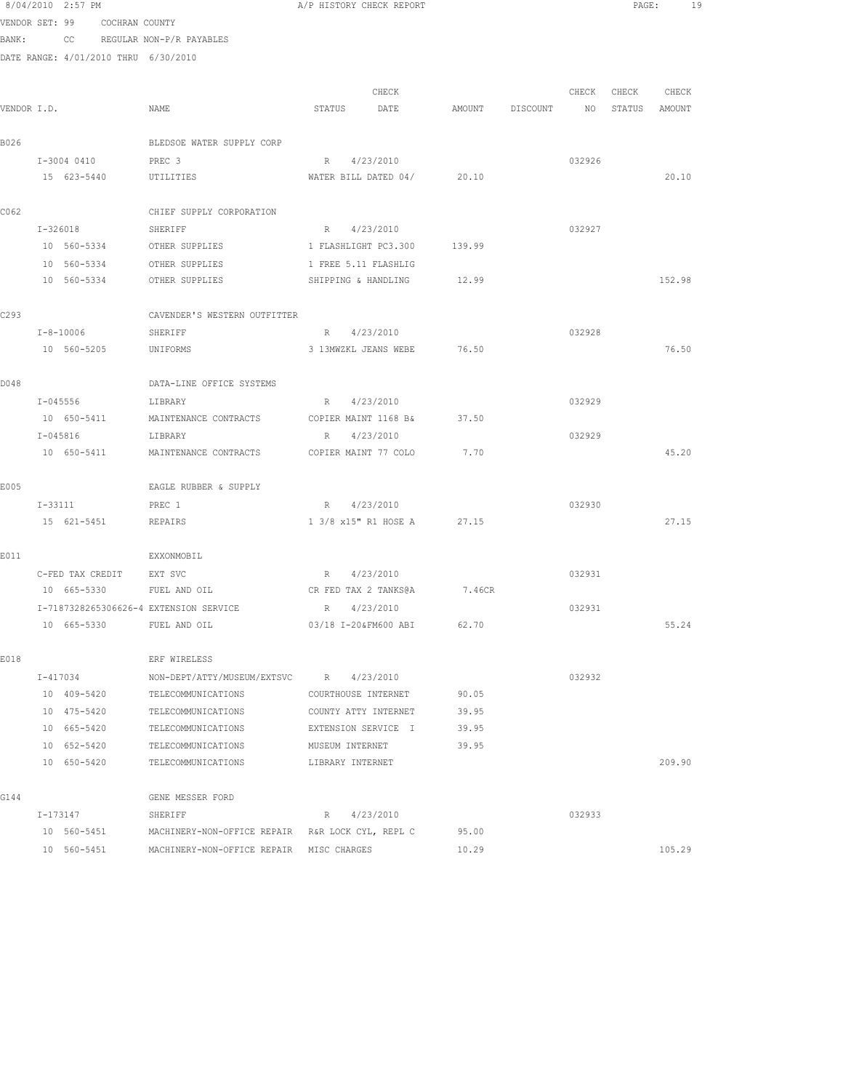|             |          | 8/04/2010 2:57 PM          |                               |                                                         |                 | A/P HISTORY CHECK REPORT                  |                |          |        | $\texttt{PAGE}$ : | 19     |  |
|-------------|----------|----------------------------|-------------------------------|---------------------------------------------------------|-----------------|-------------------------------------------|----------------|----------|--------|-------------------|--------|--|
|             |          |                            | VENDOR SET: 99 COCHRAN COUNTY |                                                         |                 |                                           |                |          |        |                   |        |  |
| BANK:       |          |                            |                               | CC REGULAR NON-P/R PAYABLES                             |                 |                                           |                |          |        |                   |        |  |
|             |          |                            |                               | DATE RANGE: 4/01/2010 THRU 6/30/2010                    |                 |                                           |                |          |        |                   |        |  |
|             |          |                            |                               |                                                         |                 |                                           |                |          |        |                   |        |  |
|             |          |                            |                               |                                                         |                 | CHECK                                     |                |          | CHECK  | CHECK             | CHECK  |  |
| VENDOR I.D. |          |                            |                               | NAME                                                    | STATUS          | DATE                                      | AMOUNT         | DISCOUNT | NO     | STATUS AMOUNT     |        |  |
| B026        |          |                            |                               | BLEDSOE WATER SUPPLY CORP                               |                 |                                           |                |          |        |                   |        |  |
|             |          | I-3004 0410                |                               | PREC 3                                                  |                 | R 4/23/2010                               |                |          | 032926 |                   |        |  |
|             |          |                            | 15 623-5440                   | UTILITIES                                               |                 | WATER BILL DATED 04/ 20.10                |                |          |        |                   | 20.10  |  |
|             |          |                            |                               |                                                         |                 |                                           |                |          |        |                   |        |  |
| C062        |          |                            |                               | CHIEF SUPPLY CORPORATION                                |                 |                                           |                |          |        |                   |        |  |
|             |          | I-326018                   |                               | SHERIFF                                                 |                 | R 4/23/2010                               |                |          | 032927 |                   |        |  |
|             |          | 10 560-5334                |                               | OTHER SUPPLIES                                          |                 | 1 FLASHLIGHT PC3.300 139.99               |                |          |        |                   |        |  |
|             |          | 10 560-5334                |                               | OTHER SUPPLIES                                          |                 | 1 FREE 5.11 FLASHLIG                      |                |          |        |                   |        |  |
|             |          | 10 560-5334                |                               | OTHER SUPPLIES                                          |                 | SHIPPING & HANDLING                       | 12.99          |          |        |                   | 152.98 |  |
| C293        |          |                            |                               | CAVENDER'S WESTERN OUTFITTER                            |                 |                                           |                |          |        |                   |        |  |
|             |          | $I - 8 - 10006$            |                               | SHERIFF                                                 |                 | R 4/23/2010                               |                |          | 032928 |                   |        |  |
|             |          | 10 560-5205                |                               | UNIFORMS                                                |                 | 3 13MWZKL JEANS WEBE 76.50                |                |          |        |                   | 76.50  |  |
|             |          |                            |                               |                                                         |                 |                                           |                |          |        |                   |        |  |
| D048        |          |                            |                               | DATA-LINE OFFICE SYSTEMS                                |                 |                                           |                |          |        |                   |        |  |
|             |          | I-045556                   |                               | LIBRARY                                                 |                 | R 4/23/2010                               |                |          | 032929 |                   |        |  |
|             |          |                            |                               | 10 650-5411 MAINTENANCE CONTRACTS                       |                 | COPIER MAINT 1168 B&                      | 37.50          |          |        |                   |        |  |
|             | I-045816 |                            |                               | LIBRARY                                                 |                 | R 4/23/2010                               |                |          | 032929 |                   |        |  |
|             |          | 10 650-5411                |                               | MAINTENANCE CONTRACTS                                   |                 | COPIER MAINT 77 COLO                      | 7.70           |          |        |                   | 45.20  |  |
|             |          |                            |                               |                                                         |                 |                                           |                |          |        |                   |        |  |
| E005        |          |                            |                               | EAGLE RUBBER & SUPPLY                                   |                 |                                           |                |          | 032930 |                   |        |  |
|             |          | I-33111<br>15 621-5451     |                               | PREC 1<br>REPAIRS                                       |                 | R 4/23/2010<br>1 3/8 x15" R1 HOSE A 27.15 |                |          |        |                   | 27.15  |  |
|             |          |                            |                               |                                                         |                 |                                           |                |          |        |                   |        |  |
| E011        |          |                            |                               | EXXONMOBIL                                              |                 |                                           |                |          |        |                   |        |  |
|             |          |                            |                               | C-FED TAX CREDIT EXT SVC                                |                 | R 4/23/2010                               |                |          | 032931 |                   |        |  |
|             |          |                            |                               | CR FED TAX 2 TANKS@A 7.46CR<br>10 665-5330 FUEL AND OIL |                 |                                           |                |          |        |                   |        |  |
|             |          |                            |                               | I-7187328265306626-4 EXTENSION SERVICE R 4/23/2010      |                 |                                           |                |          | 032931 |                   |        |  |
|             |          | 10 665-5330                |                               | FUEL AND OIL                                            |                 | 03/18 I-20&FM600 ABI                      | 62.70          |          |        |                   | 55.24  |  |
|             |          |                            |                               |                                                         |                 |                                           |                |          |        |                   |        |  |
| E018        |          |                            |                               | ERF WIRELESS                                            |                 |                                           |                |          |        |                   |        |  |
|             |          | I-417034                   |                               | NON-DEPT/ATTY/MUSEUM/EXTSVC                             |                 | R 4/23/2010                               |                |          | 032932 |                   |        |  |
|             |          | 10 409-5420                |                               | TELECOMMUNICATIONS                                      |                 | COURTHOUSE INTERNET                       | 90.05          |          |        |                   |        |  |
|             |          | 10 475-5420                |                               | TELECOMMUNICATIONS                                      |                 | COUNTY ATTY INTERNET                      | 39.95          |          |        |                   |        |  |
|             |          | 10 665-5420<br>10 652-5420 |                               | TELECOMMUNICATIONS<br>TELECOMMUNICATIONS                | MUSEUM INTERNET | EXTENSION SERVICE I                       | 39.95<br>39.95 |          |        |                   |        |  |
|             |          | 10 650-5420                |                               | TELECOMMUNICATIONS                                      |                 | LIBRARY INTERNET                          |                |          |        |                   | 209.90 |  |
|             |          |                            |                               |                                                         |                 |                                           |                |          |        |                   |        |  |
| G144        |          |                            |                               | GENE MESSER FORD                                        |                 |                                           |                |          |        |                   |        |  |
|             | I-173147 |                            |                               | SHERIFF                                                 |                 | R 4/23/2010                               |                |          | 032933 |                   |        |  |
|             |          | 10 560-5451                |                               | MACHINERY-NON-OFFICE REPAIR R&R LOCK CYL, REPL C        |                 |                                           | 95.00          |          |        |                   |        |  |
|             |          | 10 560-5451                |                               | MACHINERY-NON-OFFICE REPAIR MISC CHARGES                |                 |                                           | 10.29          |          |        |                   | 105.29 |  |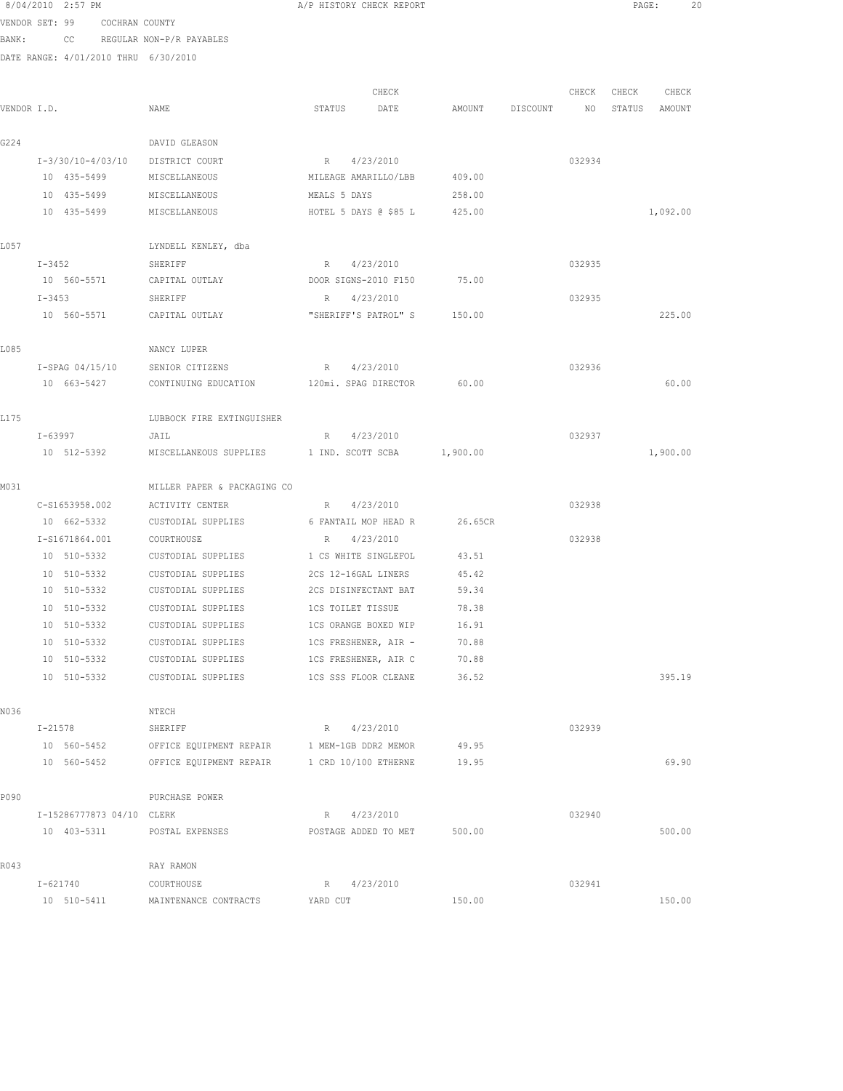|             | 8/04/2010 2:57 PM                    |                                           | A/P HISTORY CHECK REPORT    |                  |          |        | PAGE:  | 20       |  |
|-------------|--------------------------------------|-------------------------------------------|-----------------------------|------------------|----------|--------|--------|----------|--|
|             | VENDOR SET: 99 COCHRAN COUNTY        |                                           |                             |                  |          |        |        |          |  |
| BANK:       |                                      | CC REGULAR NON-P/R PAYABLES               |                             |                  |          |        |        |          |  |
|             | DATE RANGE: 4/01/2010 THRU 6/30/2010 |                                           |                             |                  |          |        |        |          |  |
|             |                                      |                                           |                             |                  |          |        |        |          |  |
|             |                                      |                                           | CHECK                       |                  |          | CHECK  | CHECK  | CHECK    |  |
| VENDOR I.D. |                                      | NAME                                      | STATUS<br>DATE              | AMOUNT           | DISCOUNT | NO     | STATUS | AMOUNT   |  |
|             |                                      |                                           |                             |                  |          |        |        |          |  |
| G224        |                                      | DAVID GLEASON                             |                             |                  |          |        |        |          |  |
|             | $I-3/30/10-4/03/10$                  | DISTRICT COURT                            | R 4/23/2010                 |                  |          | 032934 |        |          |  |
|             | 10 435-5499                          | MISCELLANEOUS                             | MILEAGE AMARILLO/LBB        | 409.00           |          |        |        |          |  |
|             | 10 435-5499<br>10 435-5499           | MISCELLANEOUS                             | MEALS 5 DAYS                | 258.00<br>425.00 |          |        |        | 1,092.00 |  |
|             |                                      | MISCELLANEOUS                             | HOTEL 5 DAYS @ \$85 L       |                  |          |        |        |          |  |
| L057        |                                      | LYNDELL KENLEY, dba                       |                             |                  |          |        |        |          |  |
|             | $I - 3452$                           | SHERIFF                                   | R 4/23/2010                 |                  |          | 032935 |        |          |  |
|             | 10 560-5571                          | CAPITAL OUTLAY                            | DOOR SIGNS-2010 F150        | 75.00            |          |        |        |          |  |
|             | $I - 3453$                           | SHERIFF                                   | 4/23/2010<br>R              |                  |          | 032935 |        |          |  |
|             | 10 560-5571                          | CAPITAL OUTLAY                            | "SHERIFF'S PATROL" S 150.00 |                  |          |        |        | 225.00   |  |
|             |                                      |                                           |                             |                  |          |        |        |          |  |
| L085        |                                      | NANCY LUPER                               |                             |                  |          |        |        |          |  |
|             | I-SPAG 04/15/10                      | SENIOR CITIZENS                           | 4/23/2010<br>R              |                  |          | 032936 |        |          |  |
|             | 10 663-5427                          | CONTINUING EDUCATION 120mi. SPAG DIRECTOR |                             | 60.00            |          |        |        | 60.00    |  |
|             |                                      |                                           |                             |                  |          |        |        |          |  |
| L175        |                                      | LUBBOCK FIRE EXTINGUISHER                 |                             |                  |          |        |        |          |  |
|             | I-63997                              | JAIL                                      | R 4/23/2010                 |                  |          | 032937 |        |          |  |
|             | 10 512-5392                          | MISCELLANEOUS SUPPLIES                    | 1 IND. SCOTT SCBA           | 1,900.00         |          |        |        | 1,900.00 |  |
| M031        |                                      | MILLER PAPER & PACKAGING CO               |                             |                  |          |        |        |          |  |
|             | C-S1653958.002                       | ACTIVITY CENTER                           | R 4/23/2010                 |                  |          | 032938 |        |          |  |
|             | 10 662-5332                          | CUSTODIAL SUPPLIES                        | 6 FANTAIL MOP HEAD R        | 26.65CR          |          |        |        |          |  |
|             | I-S1671864.001                       | COURTHOUSE                                | 4/23/2010<br>R              |                  |          | 032938 |        |          |  |
|             | 10 510-5332                          | CUSTODIAL SUPPLIES                        | 1 CS WHITE SINGLEFOL        | 43.51            |          |        |        |          |  |
|             | 10 510-5332                          | CUSTODIAL SUPPLIES                        | 2CS 12-16GAL LINERS         | 45.42            |          |        |        |          |  |
|             | 10 510-5332                          | CUSTODIAL SUPPLIES                        | 2CS DISINFECTANT BAT        | 59.34            |          |        |        |          |  |
|             | 10 510-5332                          | CUSTODIAL SUPPLIES                        | <b>1CS TOILET TISSUE</b>    | 78.38            |          |        |        |          |  |
|             | 10 510-5332                          | CUSTODIAL SUPPLIES                        | 1CS ORANGE BOXED WIP        | 16.91            |          |        |        |          |  |
|             | 10 510-5332                          | CUSTODIAL SUPPLIES                        | 1CS FRESHENER, AIR -        | 70.88            |          |        |        |          |  |
|             | 10 510-5332                          | CUSTODIAL SUPPLIES                        | 1CS FRESHENER, AIR C        | 70.88            |          |        |        |          |  |
|             | 10 510-5332                          | CUSTODIAL SUPPLIES                        | 1CS SSS FLOOR CLEANE        | 36.52            |          |        |        | 395.19   |  |
|             |                                      |                                           |                             |                  |          |        |        |          |  |
| N036        |                                      | NTECH                                     |                             |                  |          |        |        |          |  |
|             | $I - 21578$                          | SHERIFF                                   | R 4/23/2010                 |                  |          | 032939 |        |          |  |
|             | 10 560-5452                          | OFFICE EQUIPMENT REPAIR                   | 1 MEM-1GB DDR2 MEMOR        | 49.95            |          |        |        |          |  |
|             | 10 560-5452                          | OFFICE EQUIPMENT REPAIR                   | 1 CRD 10/100 ETHERNE        | 19.95            |          |        |        | 69.90    |  |
| P090        |                                      | PURCHASE POWER                            |                             |                  |          |        |        |          |  |
|             | I-15286777873 04/10 CLERK            |                                           | 4/23/2010<br>R              |                  |          | 032940 |        |          |  |
|             | 10 403-5311                          | POSTAL EXPENSES                           | POSTAGE ADDED TO MET        | 500.00           |          |        |        | 500.00   |  |
|             |                                      |                                           |                             |                  |          |        |        |          |  |
| R043        |                                      | RAY RAMON                                 |                             |                  |          |        |        |          |  |
|             | I-621740                             | COURTHOUSE                                | 4/23/2010<br>R              |                  |          | 032941 |        |          |  |
|             |                                      |                                           |                             |                  |          |        |        |          |  |

10 510-5411 MAINTENANCE CONTRACTS YARD CUT 150.00 150.00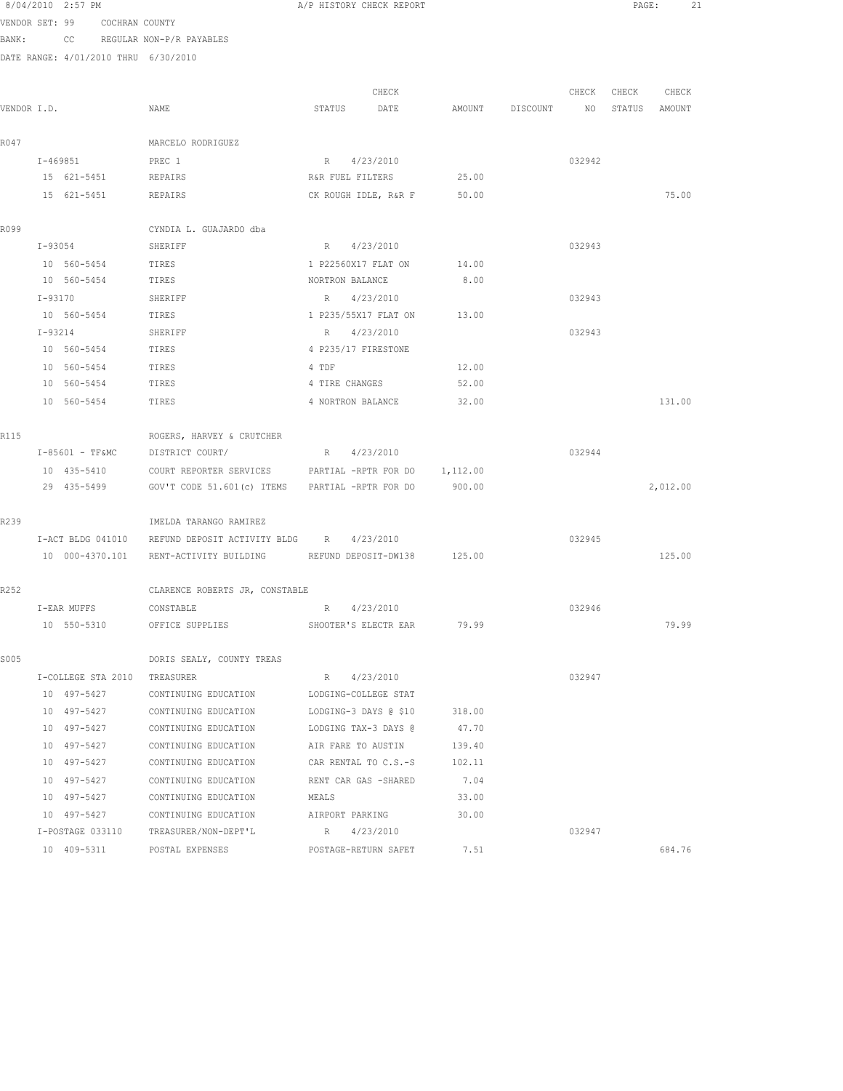8/04/2010 2:57 PM **A**/P HISTORY CHECK REPORT **PAGE:** 21 VENDOR SET: 99 COCHRAN COUNTY

BANK: CC REGULAR NON-P/R PAYABLES

|             |                              |                                                                    | CHECK                 |                 | CHECK           | CHECK  | CHECK    |
|-------------|------------------------------|--------------------------------------------------------------------|-----------------------|-----------------|-----------------|--------|----------|
| VENDOR I.D. |                              | NAME                                                               | STATUS<br>DATE        | AMOUNT DISCOUNT | NO <sub>1</sub> | STATUS | AMOUNT   |
| R047        |                              | MARCELO RODRIGUEZ                                                  |                       |                 |                 |        |          |
|             | I-469851                     | PREC 1                                                             | R 4/23/2010           |                 | 032942          |        |          |
|             | 15 621-5451 REPAIRS          |                                                                    | R&R FUEL FILTERS      | 25.00           |                 |        |          |
|             | 15 621-5451                  | REPAIRS                                                            | CK ROUGH IDLE, R&R F  | 50.00           |                 |        | 75.00    |
| R099        |                              | CYNDIA L. GUAJARDO dba                                             |                       |                 |                 |        |          |
|             | I-93054                      | SHERIFF                                                            | R 4/23/2010           |                 | 032943          |        |          |
|             | 10 560-5454                  | TIRES                                                              | 1 P22560X17 FLAT ON   | 14.00           |                 |        |          |
|             | 10 560-5454                  | TIRES                                                              | NORTRON BALANCE       | 8.00            |                 |        |          |
|             | I-93170                      | SHERIFF                                                            | R 4/23/2010           |                 | 032943          |        |          |
|             | 10 560-5454                  | TIRES                                                              | 1 P235/55X17 FLAT ON  | 13.00           |                 |        |          |
|             | I-93214                      | SHERIFF                                                            | R 4/23/2010           |                 | 032943          |        |          |
|             | 10 560-5454                  | TIRES                                                              | 4 P235/17 FIRESTONE   |                 |                 |        |          |
|             | 10 560-5454                  | TIRES                                                              | 4 TDF                 | 12.00           |                 |        |          |
|             | 10 560-5454                  | TIRES                                                              | 4 TIRE CHANGES        | 52.00           |                 |        |          |
|             | 10 560-5454                  | TIRES                                                              | 4 NORTRON BALANCE     | 32.00           |                 |        | 131.00   |
| R115        |                              | ROGERS, HARVEY & CRUTCHER                                          |                       |                 |                 |        |          |
|             | $I-85601 - TFAMC$            | DISTRICT COURT/                                                    | R 4/23/2010           |                 | 032944          |        |          |
|             | 10 435-5410                  | COURT REPORTER SERVICES PARTIAL -RPTR FOR DO 1,112.00              |                       |                 |                 |        |          |
|             | 29 435-5499                  | GOV'T CODE 51.601(c) ITEMS PARTIAL -RPTR FOR DO                    |                       | 900.00          |                 |        | 2,012.00 |
| R239        |                              | IMELDA TARANGO RAMIREZ                                             |                       |                 |                 |        |          |
|             |                              | I-ACT BLDG 041010 REFUND DEPOSIT ACTIVITY BLDG R 4/23/2010         |                       |                 | 032945          |        |          |
|             |                              | 10 000-4370.101 RENT-ACTIVITY BUILDING REFUND DEPOSIT-DW138 125.00 |                       |                 |                 |        | 125.00   |
| R252        |                              | CLARENCE ROBERTS JR, CONSTABLE                                     |                       |                 |                 |        |          |
|             | I-EAR MUFFS                  | CONSTABLE                                                          | R 4/23/2010           |                 | 032946          |        |          |
|             | 10 550-5310                  | OFFICE SUPPLIES                                                    | SHOOTER'S ELECTR EAR  | 79.99           |                 |        | 79.99    |
| S005        |                              | DORIS SEALY, COUNTY TREAS                                          |                       |                 |                 |        |          |
|             | I-COLLEGE STA 2010 TREASURER |                                                                    | R 4/23/2010           |                 | 032947          |        |          |
|             | 10 497-5427                  | CONTINUING EDUCATION                                               | LODGING-COLLEGE STAT  |                 |                 |        |          |
|             | 10 497-5427                  | CONTINUING EDUCATION                                               | LODGING-3 DAYS @ \$10 | 318.00          |                 |        |          |
|             | 10 497-5427                  | CONTINUING EDUCATION                                               | LODGING TAX-3 DAYS @  | 47.70           |                 |        |          |
|             | 10 497-5427                  | CONTINUING EDUCATION                                               | AIR FARE TO AUSTIN    | 139.40          |                 |        |          |
|             | 10 497-5427                  | CONTINUING EDUCATION                                               | CAR RENTAL TO C.S.-S  | 102.11          |                 |        |          |
|             | 10 497-5427                  | CONTINUING EDUCATION                                               | RENT CAR GAS -SHARED  | 7.04            |                 |        |          |
|             | 10 497-5427                  | CONTINUING EDUCATION                                               | MEALS                 | 33.00           |                 |        |          |
|             | 10 497-5427                  | CONTINUING EDUCATION                                               | AIRPORT PARKING       | 30.00           |                 |        |          |
|             | I-POSTAGE 033110             | TREASURER/NON-DEPT'L                                               | R 4/23/2010           |                 | 032947          |        |          |
|             | 10 409-5311                  | POSTAL EXPENSES                                                    | POSTAGE-RETURN SAFET  | 7.51            |                 |        | 684.76   |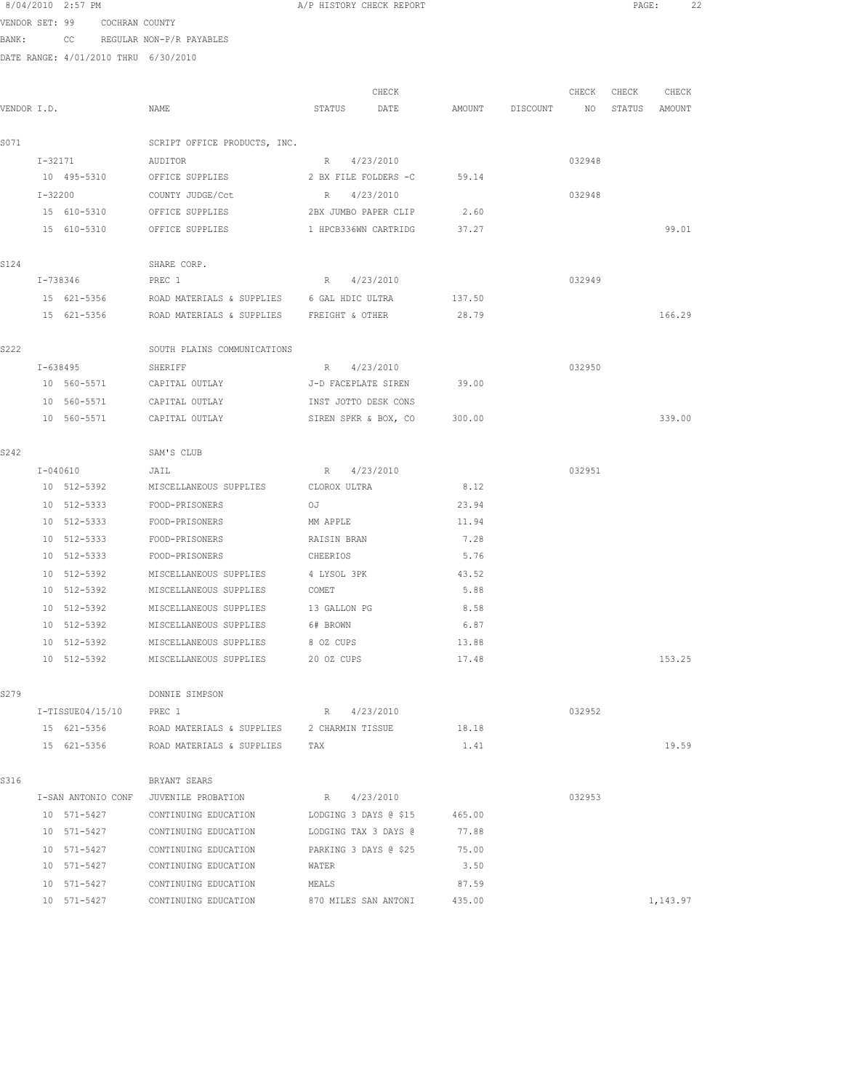|             |             | 8/04/2010 2:57 PM                    |                                                 | A/P HISTORY CHECK REPORT            |        |          |        | $\mathtt{PAGE}$ : | 22       |  |
|-------------|-------------|--------------------------------------|-------------------------------------------------|-------------------------------------|--------|----------|--------|-------------------|----------|--|
|             |             | VENDOR SET: 99 COCHRAN COUNTY        |                                                 |                                     |        |          |        |                   |          |  |
| BANK:       |             |                                      | CC REGULAR NON-P/R PAYABLES                     |                                     |        |          |        |                   |          |  |
|             |             | DATE RANGE: 4/01/2010 THRU 6/30/2010 |                                                 |                                     |        |          |        |                   |          |  |
|             |             |                                      |                                                 |                                     |        |          |        |                   |          |  |
|             |             |                                      |                                                 | CHECK                               |        |          | CHECK  | CHECK             | CHECK    |  |
| VENDOR I.D. |             |                                      | NAME                                            | STATUS<br>DATE                      | AMOUNT | DISCOUNT | NO     | STATUS            | AMOUNT   |  |
|             |             |                                      |                                                 |                                     |        |          |        |                   |          |  |
| S071        |             |                                      | SCRIPT OFFICE PRODUCTS, INC.                    |                                     |        |          |        |                   |          |  |
|             | I-32171     |                                      | AUDITOR                                         | R 4/23/2010<br>2 BX FILE FOLDERS -C | 59.14  |          | 032948 |                   |          |  |
|             | $I - 32200$ |                                      | 10 495-5310 OFFICE SUPPLIES                     | R 4/23/2010                         |        |          |        |                   |          |  |
|             |             |                                      | COUNTY JUDGE/Cct<br>15 610-5310 OFFICE SUPPLIES | 2BX JUMBO PAPER CLIP                | 2.60   |          | 032948 |                   |          |  |
|             |             | 15 610-5310                          | OFFICE SUPPLIES                                 | 1 HPCB336WN CARTRIDG                | 37.27  |          |        |                   | 99.01    |  |
|             |             |                                      |                                                 |                                     |        |          |        |                   |          |  |
| S124        |             |                                      | SHARE CORP.                                     |                                     |        |          |        |                   |          |  |
|             |             | I-738346                             | PREC 1                                          | R 4/23/2010                         |        |          | 032949 |                   |          |  |
|             |             | 15 621-5356                          | ROAD MATERIALS & SUPPLIES 6 GAL HDIC ULTRA      |                                     | 137.50 |          |        |                   |          |  |
|             |             | 15 621-5356                          | ROAD MATERIALS & SUPPLIES FREIGHT & OTHER       |                                     | 28.79  |          |        |                   | 166.29   |  |
|             |             |                                      |                                                 |                                     |        |          |        |                   |          |  |
| S222        |             |                                      | SOUTH PLAINS COMMUNICATIONS                     |                                     |        |          |        |                   |          |  |
|             |             | I-638495                             | SHERIFF                                         | R 4/23/2010                         |        |          | 032950 |                   |          |  |
|             |             |                                      | 10 560-5571 CAPITAL OUTLAY                      | J-D FACEPLATE SIREN                 | 39.00  |          |        |                   |          |  |
|             |             | 10 560-5571                          | CAPITAL OUTLAY                                  | INST JOTTO DESK CONS                |        |          |        |                   |          |  |
|             |             | 10 560-5571                          | CAPITAL OUTLAY                                  | SIREN SPKR & BOX, CO                | 300.00 |          |        |                   | 339.00   |  |
|             |             |                                      |                                                 |                                     |        |          |        |                   |          |  |
| S242        |             |                                      | SAM'S CLUB                                      |                                     |        |          |        |                   |          |  |
|             |             | I-040610                             | JAIL                                            | R 4/23/2010                         |        |          | 032951 |                   |          |  |
|             |             | 10 512-5392                          | MISCELLANEOUS SUPPLIES                          | CLOROX ULTRA                        | 8.12   |          |        |                   |          |  |
|             |             | 10 512-5333                          | FOOD-PRISONERS                                  | OJ                                  | 23.94  |          |        |                   |          |  |
|             |             | 10 512-5333                          | FOOD-PRISONERS                                  | MM APPLE                            | 11.94  |          |        |                   |          |  |
|             |             | 10 512-5333                          | FOOD-PRISONERS                                  | RAISIN BRAN                         | 7.28   |          |        |                   |          |  |
|             |             | 10 512-5333                          | FOOD-PRISONERS                                  | CHEERIOS                            | 5.76   |          |        |                   |          |  |
|             |             | 10 512-5392                          | MISCELLANEOUS SUPPLIES                          | 4 LYSOL 3PK                         | 43.52  |          |        |                   |          |  |
|             |             |                                      | 10 512-5392 MISCELLANEOUS SUPPLIES COMET        |                                     | 5.88   |          |        |                   |          |  |
|             |             | 10 512-5392                          | MISCELLANEOUS SUPPLIES 13 GALLON PG             |                                     | 8.58   |          |        |                   |          |  |
|             |             | 10 512-5392                          | MISCELLANEOUS SUPPLIES                          | 6# BROWN                            | 6.87   |          |        |                   |          |  |
|             |             | 10 512-5392                          | MISCELLANEOUS SUPPLIES                          | 8 OZ CUPS                           | 13.88  |          |        |                   |          |  |
|             |             | 10 512-5392                          | MISCELLANEOUS SUPPLIES                          | 20 OZ CUPS                          | 17.48  |          |        |                   | 153.25   |  |
|             |             |                                      |                                                 |                                     |        |          |        |                   |          |  |
| S279        |             |                                      | DONNIE SIMPSON                                  |                                     |        |          |        |                   |          |  |
|             |             | $I-TISSUE04/15/10$                   | PREC 1                                          | R 4/23/2010                         |        |          | 032952 |                   |          |  |
|             |             | 15 621-5356                          | ROAD MATERIALS & SUPPLIES                       | 2 CHARMIN TISSUE                    | 18.18  |          |        |                   |          |  |
|             |             | 15 621-5356                          | ROAD MATERIALS & SUPPLIES                       | TAX                                 | 1.41   |          |        |                   | 19.59    |  |
| S316        |             |                                      | BRYANT SEARS                                    |                                     |        |          |        |                   |          |  |
|             |             | I-SAN ANTONIO CONF                   | JUVENILE PROBATION                              | R 4/23/2010                         |        |          | 032953 |                   |          |  |
|             |             | 10 571-5427                          | CONTINUING EDUCATION                            | LODGING 3 DAYS @ \$15               | 465.00 |          |        |                   |          |  |
|             |             | 10 571-5427                          | CONTINUING EDUCATION                            | LODGING TAX 3 DAYS @                | 77.88  |          |        |                   |          |  |
|             |             | 10 571-5427                          | CONTINUING EDUCATION                            | PARKING 3 DAYS @ \$25               | 75.00  |          |        |                   |          |  |
|             |             | 10 571-5427                          | CONTINUING EDUCATION                            | WATER                               | 3.50   |          |        |                   |          |  |
|             |             | 10 571-5427                          | CONTINUING EDUCATION                            | MEALS                               | 87.59  |          |        |                   |          |  |
|             |             | 10 571-5427                          | CONTINUING EDUCATION                            | 870 MILES SAN ANTONI                | 435.00 |          |        |                   | 1,143.97 |  |
|             |             |                                      |                                                 |                                     |        |          |        |                   |          |  |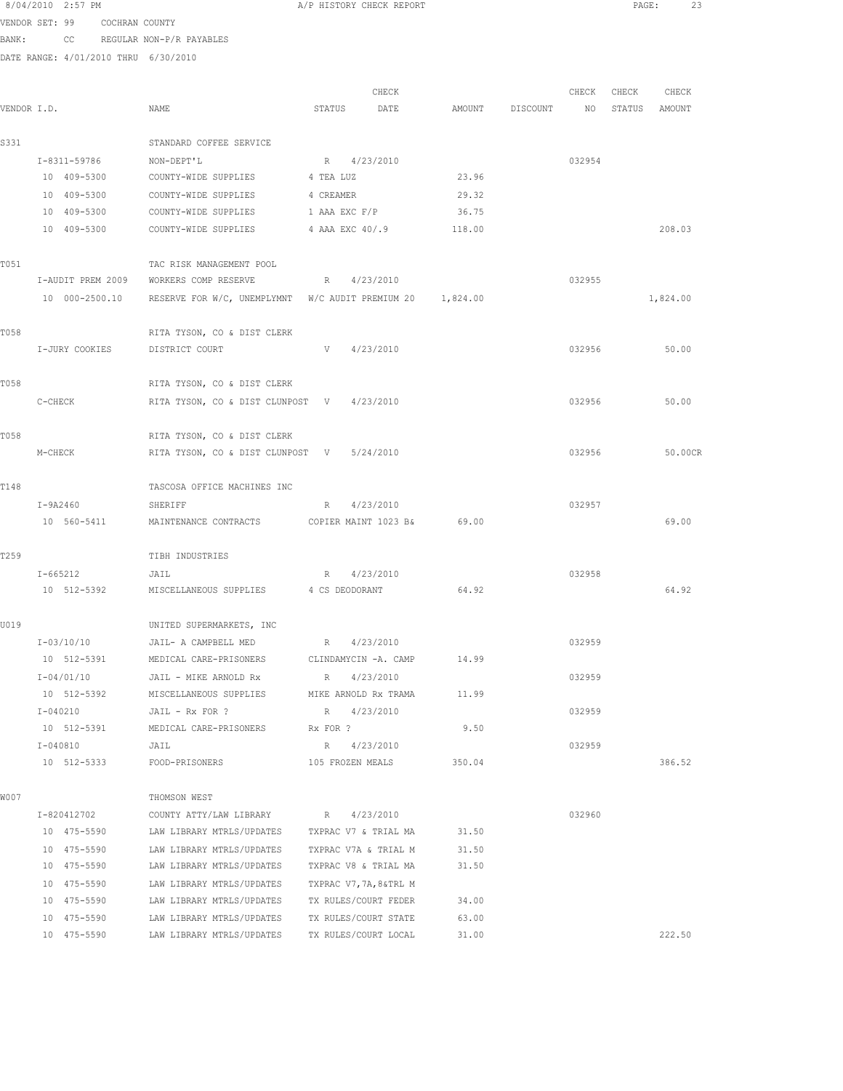|             |         | 8/04/2010 2:57 PM          |                               |                                                                          | A/P HISTORY CHECK REPORT        |                      |        |                 |        | $\texttt{PAGE}$ : | 23                |  |
|-------------|---------|----------------------------|-------------------------------|--------------------------------------------------------------------------|---------------------------------|----------------------|--------|-----------------|--------|-------------------|-------------------|--|
|             |         |                            | VENDOR SET: 99 COCHRAN COUNTY |                                                                          |                                 |                      |        |                 |        |                   |                   |  |
| BANK:       |         |                            |                               | CC REGULAR NON-P/R PAYABLES                                              |                                 |                      |        |                 |        |                   |                   |  |
|             |         |                            |                               | DATE RANGE: 4/01/2010 THRU 6/30/2010                                     |                                 |                      |        |                 |        |                   |                   |  |
|             |         |                            |                               |                                                                          |                                 | CHECK                |        |                 |        |                   | CHECK CHECK CHECK |  |
| VENDOR I.D. |         |                            |                               | NAME                                                                     | STATUS DATE                     |                      |        | AMOUNT DISCOUNT |        |                   | NO STATUS AMOUNT  |  |
| S331        |         |                            |                               | STANDARD COFFEE SERVICE                                                  |                                 |                      |        |                 |        |                   |                   |  |
|             |         | I-8311-59786               |                               | NON-DEPT'L                                                               | R 4/23/2010                     |                      |        |                 | 032954 |                   |                   |  |
|             |         | 10 409-5300                |                               | COUNTY-WIDE SUPPLIES 4 TEA LUZ                                           |                                 |                      | 23.96  |                 |        |                   |                   |  |
|             |         | 10 409-5300                |                               | COUNTY-WIDE SUPPLIES 4 CREAMER                                           |                                 |                      | 29.32  |                 |        |                   |                   |  |
|             |         | 10 409-5300                |                               | COUNTY-WIDE SUPPLIES                                                     | 1 AAA EXC F/P                   |                      | 36.75  |                 |        |                   |                   |  |
|             |         | 10 409-5300                |                               | COUNTY-WIDE SUPPLIES                                                     | 4 AAA EXC 40/.9                 |                      | 118.00 |                 |        |                   | 208.03            |  |
| T051        |         |                            |                               | TAC RISK MANAGEMENT POOL                                                 |                                 |                      |        |                 |        |                   |                   |  |
|             |         |                            |                               | I-AUDIT PREM 2009 WORKERS COMP RESERVE                                   | R 4/23/2010                     |                      |        |                 | 032955 |                   |                   |  |
|             |         |                            |                               | 10 000-2500.10 RESERVE FOR W/C, UNEMPLYMNT W/C AUDIT PREMIUM 20 1,824.00 |                                 |                      |        |                 |        |                   | 1,824.00          |  |
| T058        |         |                            |                               | RITA TYSON, CO & DIST CLERK                                              |                                 |                      |        |                 |        |                   |                   |  |
|             |         |                            | I-JURY COOKIES                | DISTRICT COURT                                                           | V                               | 4/23/2010            |        |                 | 032956 |                   | 50.00             |  |
| T058        |         |                            |                               | RITA TYSON, CO & DIST CLERK                                              |                                 |                      |        |                 |        |                   |                   |  |
|             | C-CHECK |                            |                               | RITA TYSON, CO & DIST CLUNPOST V 4/23/2010                               |                                 |                      |        |                 | 032956 |                   | 50.00             |  |
| T058        |         |                            |                               | RITA TYSON, CO & DIST CLERK                                              |                                 |                      |        |                 |        |                   |                   |  |
|             | M-CHECK |                            |                               | RITA TYSON, CO & DIST CLUNPOST V 5/24/2010                               |                                 |                      |        |                 | 032956 |                   | 50.00CR           |  |
| T148        |         |                            |                               | TASCOSA OFFICE MACHINES INC                                              |                                 |                      |        |                 |        |                   |                   |  |
|             |         | I-9A2460                   |                               | SHERIFF                                                                  | R 4/23/2010                     |                      |        |                 | 032957 |                   |                   |  |
|             |         |                            |                               | 10 560-5411 MAINTENANCE CONTRACTS COPIER MAINT 1023 B& 69.00             |                                 |                      |        |                 |        |                   | 69.00             |  |
| T259        |         |                            |                               | TIBH INDUSTRIES                                                          |                                 |                      |        |                 |        |                   |                   |  |
|             |         | I-665212                   | JAIL                          |                                                                          | R 4/23/2010                     |                      |        |                 | 032958 |                   |                   |  |
|             |         |                            |                               | 10 512-5392 MISCELLANEOUS SUPPLIES 4 CS DEODORANT                        |                                 |                      | 64.92  |                 |        |                   | 64.92             |  |
| U019        |         |                            |                               | UNITED SUPERMARKETS, INC                                                 |                                 |                      |        |                 |        |                   |                   |  |
|             |         | I-03/10/10                 |                               | JAIL- A CAMPBELL MED                                                     | R 4/23/2010                     |                      |        |                 | 032959 |                   |                   |  |
|             |         | 10 512-5391                |                               | MEDICAL CARE-PRISONERS                                                   | CLINDAMYCIN -A. CAMP            |                      | 14.99  |                 |        |                   |                   |  |
|             |         | I-04/01/10                 |                               | JAIL - MIKE ARNOLD Rx                                                    | R 4/23/2010                     |                      |        |                 | 032959 |                   |                   |  |
|             |         | 10 512-5392                |                               | MISCELLANEOUS SUPPLIES                                                   |                                 | MIKE ARNOLD Rx TRAMA | 11.99  |                 |        |                   |                   |  |
|             |         | $I - 040210$               |                               | JAIL - Rx FOR ?                                                          | R 4/23/2010                     |                      |        |                 | 032959 |                   |                   |  |
|             |         | 10 512-5391                |                               | MEDICAL CARE-PRISONERS                                                   | Rx FOR ?                        |                      | 9.50   |                 |        |                   |                   |  |
|             |         | I-040810<br>10 512-5333    |                               | JAIL<br>FOOD-PRISONERS                                                   | R 4/23/2010<br>105 FROZEN MEALS |                      | 350.04 |                 | 032959 |                   | 386.52            |  |
|             |         |                            |                               |                                                                          |                                 |                      |        |                 |        |                   |                   |  |
| W007        |         |                            |                               | THOMSON WEST                                                             |                                 |                      |        |                 |        |                   |                   |  |
|             |         | I-820412702<br>10 475-5590 |                               | COUNTY ATTY/LAW LIBRARY R 4/23/2010<br>LAW LIBRARY MTRLS/UPDATES         |                                 | TXPRAC V7 & TRIAL MA | 31.50  |                 | 032960 |                   |                   |  |
|             |         | 10 475-5590                |                               | LAW LIBRARY MTRLS/UPDATES                                                |                                 | TXPRAC V7A & TRIAL M | 31.50  |                 |        |                   |                   |  |
|             |         | 10 475-5590                |                               | LAW LIBRARY MTRLS/UPDATES                                                |                                 | TXPRAC V8 & TRIAL MA | 31.50  |                 |        |                   |                   |  |
|             |         | 10 475-5590                |                               | LAW LIBRARY MTRLS/UPDATES                                                | TXPRAC V7, 7A, 8&TRL M          |                      |        |                 |        |                   |                   |  |
|             |         | 10 475-5590                |                               | LAW LIBRARY MTRLS/UPDATES                                                |                                 | TX RULES/COURT FEDER | 34.00  |                 |        |                   |                   |  |
|             |         | 10 475-5590                |                               | LAW LIBRARY MTRLS/UPDATES                                                |                                 | TX RULES/COURT STATE | 63.00  |                 |        |                   |                   |  |
|             |         | 10 475-5590                |                               | LAW LIBRARY MTRLS/UPDATES                                                |                                 | TX RULES/COURT LOCAL | 31.00  |                 |        |                   | 222.50            |  |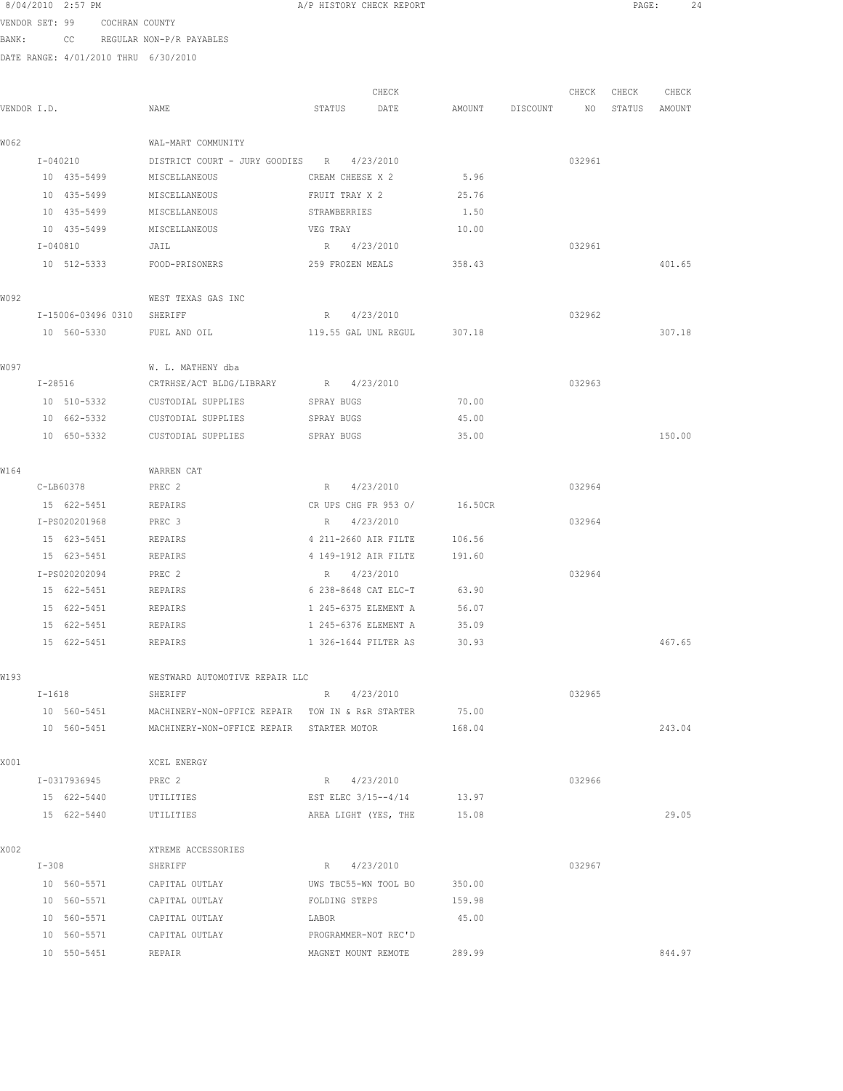| 8/04/2010 2:57 PM |     |                          |
|-------------------|-----|--------------------------|
| VENDOR SET: 99    |     | COCHRAN COUNTY           |
| BANK:             | CC. | REGULAR NON-P/R PAYABLES |

DATE RANGE: 4/01/2010 THRU 6/30/2010

|             |           |                            |                                                  |                      | CHECK                      |                 | CHECK  | CHECK         | CHECK  |
|-------------|-----------|----------------------------|--------------------------------------------------|----------------------|----------------------------|-----------------|--------|---------------|--------|
| VENDOR I.D. |           |                            | NAME                                             | STATUS               | DATE                       | AMOUNT DISCOUNT | NO     | STATUS AMOUNT |        |
| W062        |           |                            | WAL-MART COMMUNITY                               |                      |                            |                 |        |               |        |
|             |           | I-040210                   | DISTRICT COURT - JURY GOODIES R 4/23/2010        |                      |                            |                 | 032961 |               |        |
|             |           | 10 435-5499                | MISCELLANEOUS                                    | CREAM CHEESE X 2     |                            | 5.96            |        |               |        |
|             |           | 10 435-5499                | MISCELLANEOUS                                    | FRUIT TRAY X 2       |                            | 25.76           |        |               |        |
|             |           | 10 435-5499                | MISCELLANEOUS                                    | STRAWBERRIES         |                            | 1.50            |        |               |        |
|             |           | 10 435-5499                | MISCELLANEOUS                                    | VEG TRAY             |                            | 10.00           |        |               |        |
|             |           | $I - 040810$               | JAIL                                             | R 4/23/2010          |                            |                 | 032961 |               |        |
|             |           | 10 512-5333                | FOOD-PRISONERS                                   | 259 FROZEN MEALS     |                            | 358.43          |        |               | 401.65 |
| W092        |           |                            | WEST TEXAS GAS INC                               |                      |                            |                 |        |               |        |
|             |           | I-15006-03496 0310 SHERIFF |                                                  | R 4/23/2010          |                            |                 | 032962 |               |        |
|             |           | 10 560-5330                | FUEL AND OIL                                     | 119.55 GAL UNL REGUL |                            | 307.18          |        |               | 307.18 |
| W097        |           |                            | W. L. MATHENY dba                                |                      |                            |                 |        |               |        |
|             | $I-28516$ |                            | CRTRHSE/ACT BLDG/LIBRARY R 4/23/2010             |                      |                            |                 | 032963 |               |        |
|             |           | 10 510-5332                | CUSTODIAL SUPPLIES                               | SPRAY BUGS           |                            | 70.00           |        |               |        |
|             |           | 10 662-5332                | CUSTODIAL SUPPLIES                               | SPRAY BUGS           |                            | 45.00           |        |               |        |
|             |           | 10 650-5332                | CUSTODIAL SUPPLIES                               | SPRAY BUGS           |                            | 35.00           |        |               | 150.00 |
| W164        |           |                            | WARREN CAT                                       |                      |                            |                 |        |               |        |
|             |           | C-LB60378                  | PREC <sub>2</sub>                                | R 4/23/2010          |                            |                 | 032964 |               |        |
|             |           | 15 622-5451                | REPAIRS                                          | CR UPS CHG FR 953 O/ |                            | 16.50CR         |        |               |        |
|             |           | I-PS020201968              | PREC 3                                           | R 4/23/2010          |                            |                 | 032964 |               |        |
|             |           | 15 623-5451                | REPAIRS                                          | 4 211-2660 AIR FILTE |                            | 106.56          |        |               |        |
|             |           | 15 623-5451                | REPAIRS                                          | 4 149-1912 AIR FILTE |                            | 191.60          |        |               |        |
|             |           | I-PS020202094              | PREC 2                                           | $R_{\odot}$          | 4/23/2010                  |                 | 032964 |               |        |
|             |           | 15 622-5451                | REPAIRS                                          | 6 238-8648 CAT ELC-T |                            | 63.90           |        |               |        |
|             |           | 15 622-5451                | REPAIRS                                          | 1 245-6375 ELEMENT A |                            | 56.07           |        |               |        |
|             |           | 15 622-5451                | REPAIRS                                          | 1 245-6376 ELEMENT A |                            | 35.09           |        |               |        |
|             |           | 15 622-5451                | REPAIRS                                          | 1 326-1644 FILTER AS |                            | 30.93           |        |               | 467.65 |
| W193        |           |                            | WESTWARD AUTOMOTIVE REPAIR LLC                   |                      |                            |                 |        |               |        |
|             | $I-1618$  |                            | SHERIFF                                          | R 4/23/2010          |                            |                 | 032965 |               |        |
|             |           | 10 560-5451                | MACHINERY-NON-OFFICE REPAIR TOW IN & R&R STARTER |                      |                            | 75.00           |        |               |        |
|             |           | 10 560-5451                | MACHINERY-NON-OFFICE REPAIR STARTER MOTOR        |                      |                            | 168.04          |        |               | 243.04 |
| X001        |           |                            | XCEL ENERGY                                      |                      |                            |                 |        |               |        |
|             |           | I-0317936945               | PREC 2                                           | R 4/23/2010          |                            |                 | 032966 |               |        |
|             |           | 15 622-5440                | UTILITIES                                        |                      | EST ELEC 3/15--4/14 13.97  |                 |        |               |        |
|             |           | 15 622-5440                | UTILITIES                                        |                      | AREA LIGHT (YES, THE 15.08 |                 |        |               | 29.05  |
| X002        |           |                            | XTREME ACCESSORIES                               |                      |                            |                 |        |               |        |
|             |           | $I-308$                    | SHERIFF                                          | R 4/23/2010          |                            |                 | 032967 |               |        |
|             |           | 10 560-5571                | CAPITAL OUTLAY                                   | UWS TBC55-WN TOOL BO |                            | 350.00          |        |               |        |
|             |           | 10 560-5571                | CAPITAL OUTLAY                                   | FOLDING STEPS        |                            | 159.98          |        |               |        |
|             |           | 10 560-5571                | CAPITAL OUTLAY                                   | LABOR                |                            | 45.00           |        |               |        |
|             |           | 10 560-5571                | CAPITAL OUTLAY                                   | PROGRAMMER-NOT REC'D |                            |                 |        |               |        |
|             |           | 10 550-5451                | REPAIR                                           | MAGNET MOUNT REMOTE  |                            | 289.99          |        |               | 844.97 |

A/P HISTORY CHECK REPORT PAGE: 24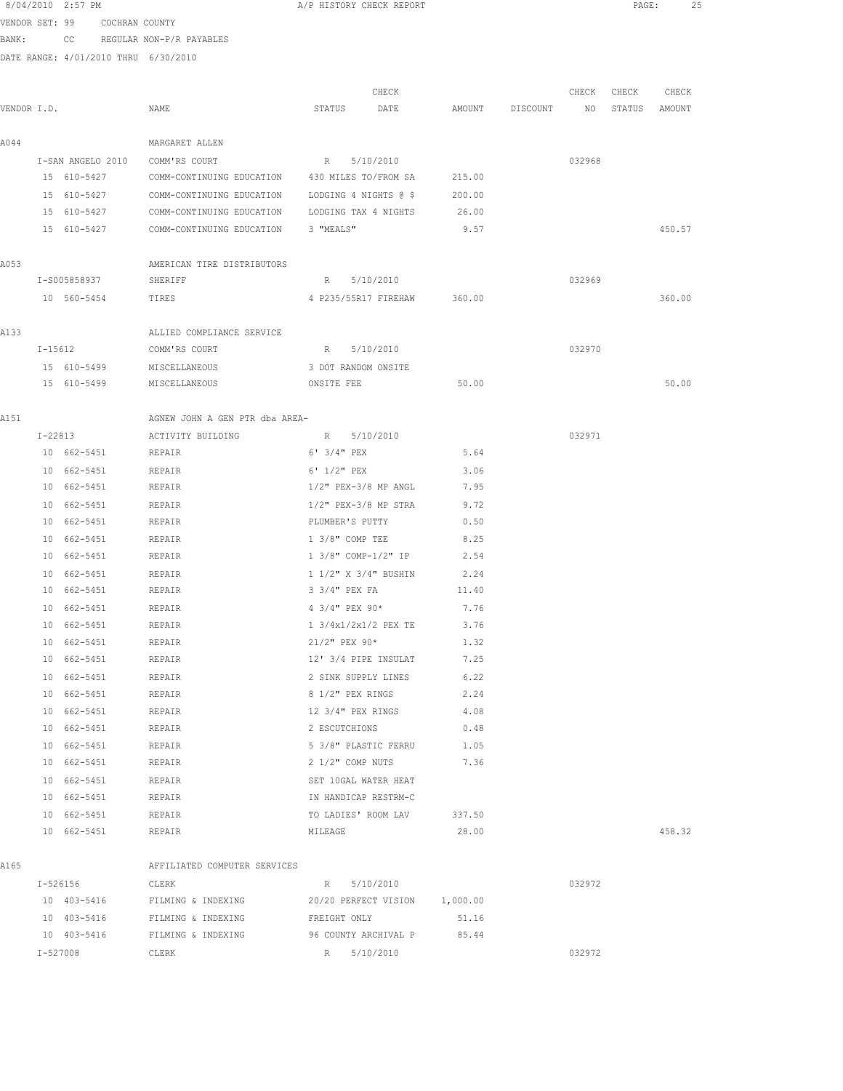|             | 8/04/2010 2:57 PM          |                               |                                                | A/P HISTORY CHECK REPORT           |                             |              |                 |             | PAGE:            | 25     |
|-------------|----------------------------|-------------------------------|------------------------------------------------|------------------------------------|-----------------------------|--------------|-----------------|-------------|------------------|--------|
|             |                            | VENDOR SET: 99 COCHRAN COUNTY |                                                |                                    |                             |              |                 |             |                  |        |
| BANK:       |                            |                               | CC REGULAR NON-P/R PAYABLES                    |                                    |                             |              |                 |             |                  |        |
|             |                            |                               | DATE RANGE: 4/01/2010 THRU 6/30/2010           |                                    |                             |              |                 |             |                  |        |
|             |                            |                               |                                                |                                    |                             |              |                 |             |                  |        |
| VENDOR I.D. |                            |                               | NAME                                           | STATUS DATE                        | CHECK                       |              | AMOUNT DISCOUNT | CHECK CHECK | NO STATUS AMOUNT | CHECK  |
|             |                            |                               |                                                |                                    |                             |              |                 |             |                  |        |
| A044        |                            |                               | MARGARET ALLEN                                 |                                    |                             |              |                 |             |                  |        |
|             | I-SAN ANGELO 2010          |                               | COMM'RS COURT                                  | R 5/10/2010                        |                             |              |                 | 032968      |                  |        |
|             | 15 610-5427                |                               | COMM-CONTINUING EDUCATION 430 MILES TO/FROM SA |                                    |                             | 215.00       |                 |             |                  |        |
|             | 15 610-5427                |                               | COMM-CONTINUING EDUCATION                      | LODGING 4 NIGHTS @ \$              |                             | 200.00       |                 |             |                  |        |
|             | 15 610-5427                |                               | COMM-CONTINUING EDUCATION                      | LODGING TAX 4 NIGHTS 26.00         |                             |              |                 |             |                  |        |
|             | 15 610-5427                |                               | COMM-CONTINUING EDUCATION                      | 3 "MEALS"                          |                             | 9.57         |                 |             |                  | 450.57 |
| A053        |                            |                               | AMERICAN TIRE DISTRIBUTORS                     |                                    |                             |              |                 |             |                  |        |
|             | I-S005858937               |                               | SHERIFF                                        | R 5/10/2010                        |                             |              |                 | 032969      |                  |        |
|             | 10 560-5454                |                               | TIRES                                          |                                    | 4 P235/55R17 FIREHAW 360.00 |              |                 |             |                  | 360.00 |
|             |                            |                               |                                                |                                    |                             |              |                 |             |                  |        |
| A133        |                            |                               | ALLIED COMPLIANCE SERVICE                      |                                    |                             |              |                 |             |                  |        |
|             | $I-15612$                  |                               | COMM'RS COURT                                  | R 5/10/2010                        |                             |              |                 | 032970      |                  |        |
|             | 15 610-5499                |                               | MISCELLANEOUS                                  | 3 DOT RANDOM ONSITE                |                             |              |                 |             |                  |        |
|             |                            |                               | 15 610-5499 MISCELLANEOUS                      | ONSITE FEE                         |                             | 50.00        |                 |             |                  | 50.00  |
| A151        |                            |                               | AGNEW JOHN A GEN PTR dba AREA-                 |                                    |                             |              |                 |             |                  |        |
|             | $I - 22813$                |                               | ACTIVITY BUILDING                              | R 5/10/2010                        |                             |              |                 | 032971      |                  |        |
|             | 10 662-5451                |                               | REPAIR                                         | 6' 3/4" PEX                        |                             | 5.64         |                 |             |                  |        |
|             | 10 662-5451                |                               | REPAIR                                         | $6'$ $1/2''$ PEX                   |                             | 3.06         |                 |             |                  |        |
|             | 10 662-5451                |                               | REPAIR                                         | $1/2"$ PEX-3/8 MP ANGL             |                             | 7.95         |                 |             |                  |        |
|             | 10 662-5451                |                               | REPAIR                                         | $1/2$ " PEX-3/8 MP STRA            |                             | 9.72         |                 |             |                  |        |
|             | 10 662-5451                |                               | REPAIR                                         | PLUMBER'S PUTTY                    |                             | 0.50         |                 |             |                  |        |
|             | 10 662-5451                |                               | REPAIR                                         | $1\,3/8$ " COMP TEE                |                             | 8.25         |                 |             |                  |        |
|             | 10 662-5451                |                               | REPAIR                                         | 1 3/8" COMP-1/2" IP                |                             | 2.54         |                 |             |                  |        |
|             | 10 662-5451                |                               | REPAIR                                         | 1 1/2" X 3/4" BUSHIN               |                             | 2.24         |                 |             |                  |        |
|             | 10 662-5451                |                               | REPAIR                                         | 3 3/4" PEX FA                      |                             | 11.40        |                 |             |                  |        |
|             | 10 662-5451                |                               | <b>REPAIR</b>                                  | $4 \frac{3}{4}$ PEX $90*$          |                             | 7.76         |                 |             |                  |        |
|             | 10 662-5451                |                               | REPAIR                                         | 1 3/4x1/2x1/2 PEX TE               |                             | 3.76         |                 |             |                  |        |
|             | 10 662-5451                |                               | REPAIR                                         | $21/2$ " PEX $90*$                 |                             | 1.32         |                 |             |                  |        |
|             | 10 662-5451                |                               | REPAIR                                         |                                    | 12' 3/4 PIPE INSULAT        | 7.25         |                 |             |                  |        |
|             | 10 662-5451                |                               | REPAIR                                         | 2 SINK SUPPLY LINES                |                             | 6.22         |                 |             |                  |        |
|             | 10 662-5451                |                               | REPAIR                                         | 8 1/2" PEX RINGS                   |                             | 2.24         |                 |             |                  |        |
|             | 10 662-5451<br>10 662-5451 |                               | REPAIR<br>REPAIR                               | 12 3/4" PEX RINGS<br>2 ESCUTCHIONS |                             | 4.08<br>0.48 |                 |             |                  |        |
|             | 10 662-5451                |                               | REPAIR                                         | 5 3/8" PLASTIC FERRU               |                             | 1.05         |                 |             |                  |        |
|             | 10 662-5451                |                               | REPAIR                                         | 2 1/2" COMP NUTS                   |                             | 7.36         |                 |             |                  |        |
|             | 10 662-5451                |                               | REPAIR                                         | SET 10GAL WATER HEAT               |                             |              |                 |             |                  |        |
|             | 10 662-5451                |                               | REPAIR                                         | IN HANDICAP RESTRM-C               |                             |              |                 |             |                  |        |
|             | 10 662-5451                |                               | REPAIR                                         | TO LADIES' ROOM LAV                |                             | 337.50       |                 |             |                  |        |
|             | 10 662-5451                |                               | REPAIR                                         | MILEAGE                            |                             | 28.00        |                 |             |                  | 458.32 |
|             |                            |                               |                                                |                                    |                             |              |                 |             |                  |        |
| A165        | I-526156                   |                               | AFFILIATED COMPUTER SERVICES<br>CLERK          | R 5/10/2010                        |                             |              |                 | 032972      |                  |        |
|             | 10 403-5416                |                               | FILMING & INDEXING                             | 20/20 PERFECT VISION 1,000.00      |                             |              |                 |             |                  |        |
|             | 10 403-5416                |                               | FILMING & INDEXING                             | FREIGHT ONLY                       |                             | 51.16        |                 |             |                  |        |
|             | 10 403-5416                |                               | FILMING & INDEXING                             | 96 COUNTY ARCHIVAL P               |                             | 85.44        |                 |             |                  |        |
|             | I-527008                   |                               | CLERK                                          | R 5/10/2010                        |                             |              |                 | 032972      |                  |        |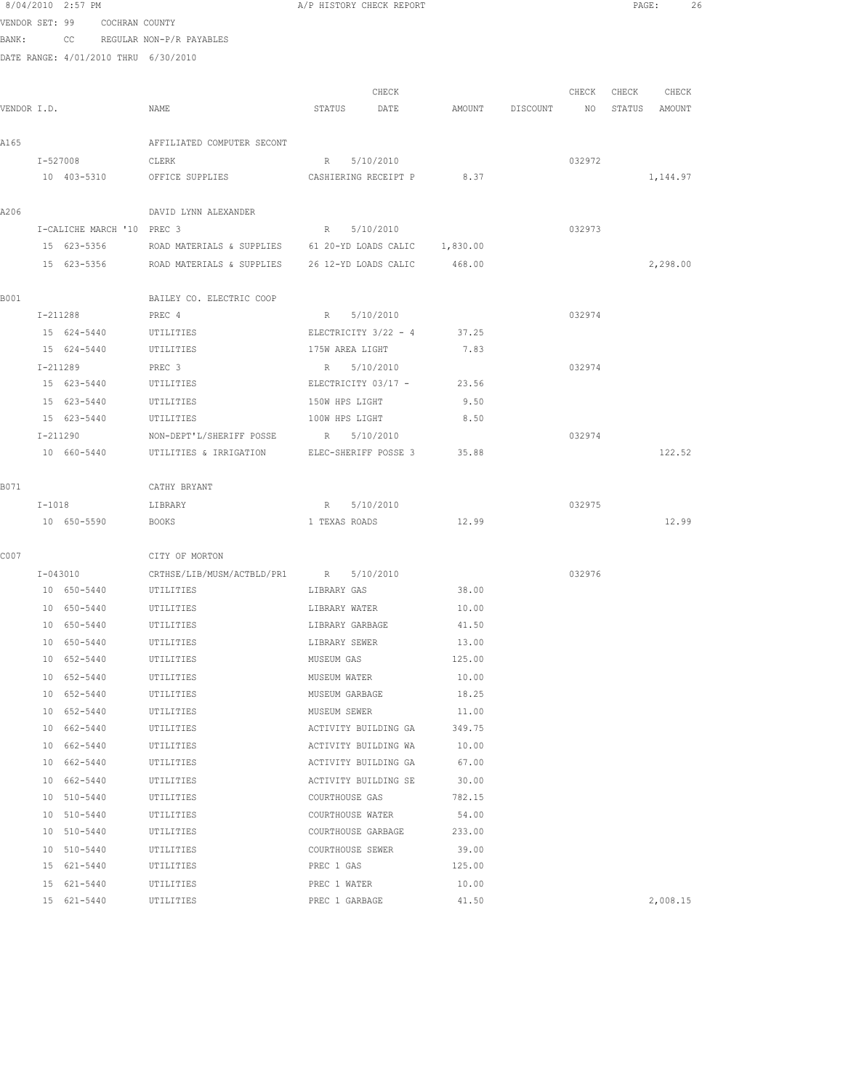|             |    | 8/04/2010 2:57 PM                    |                                                         | A/P HISTORY CHECK REPORT                 |        |                 |        | PAGE:             | 26 |
|-------------|----|--------------------------------------|---------------------------------------------------------|------------------------------------------|--------|-----------------|--------|-------------------|----|
|             |    | VENDOR SET: 99 COCHRAN COUNTY        |                                                         |                                          |        |                 |        |                   |    |
| BANK:       |    |                                      | CC REGULAR NON-P/R PAYABLES                             |                                          |        |                 |        |                   |    |
|             |    | DATE RANGE: 4/01/2010 THRU 6/30/2010 |                                                         |                                          |        |                 |        |                   |    |
|             |    |                                      |                                                         |                                          |        |                 |        |                   |    |
|             |    |                                      |                                                         | CHECK                                    |        |                 |        | CHECK CHECK CHECK |    |
| VENDOR I.D. |    |                                      | NAME                                                    | STATUS DATE                              |        | AMOUNT DISCOUNT | NO NO  | STATUS AMOUNT     |    |
|             |    |                                      |                                                         |                                          |        |                 |        |                   |    |
| A165        |    |                                      | AFFILIATED COMPUTER SECONT                              |                                          |        |                 | 032972 |                   |    |
|             |    | I-527008<br>10 403-5310              | CLERK<br>OFFICE SUPPLIES                                | R 5/10/2010<br>CASHIERING RECEIPT P 8.37 |        |                 |        | 1,144.97          |    |
|             |    |                                      |                                                         |                                          |        |                 |        |                   |    |
| A206        |    |                                      | DAVID LYNN ALEXANDER                                    |                                          |        |                 |        |                   |    |
|             |    | I-CALICHE MARCH '10 PREC 3           |                                                         | R 5/10/2010                              |        |                 | 032973 |                   |    |
|             |    | 15 623-5356                          | ROAD MATERIALS & SUPPLIES 61 20-YD LOADS CALIC 1,830.00 |                                          |        |                 |        |                   |    |
|             |    | 15 623-5356                          | ROAD MATERIALS & SUPPLIES                               | 26 12-YD LOADS CALIC                     | 468.00 |                 |        | 2,298.00          |    |
|             |    |                                      |                                                         |                                          |        |                 |        |                   |    |
| B001        |    |                                      | BAILEY CO. ELECTRIC COOP                                |                                          |        |                 |        |                   |    |
|             |    | I-211288                             | PREC 4                                                  | R 5/10/2010                              |        |                 | 032974 |                   |    |
|             |    | 15 624-5440                          | UTILITIES                                               | ELECTRICITY 3/22 - 4                     | 37.25  |                 |        |                   |    |
|             |    | 15 624-5440                          | UTILITIES                                               | 175W AREA LIGHT                          | 7.83   |                 |        |                   |    |
|             |    | I-211289                             | PREC 3                                                  | R 5/10/2010                              |        |                 | 032974 |                   |    |
|             |    | 15 623-5440                          | UTILITIES                                               | ELECTRICITY 03/17 - 23.56                |        |                 |        |                   |    |
|             |    | 15 623-5440                          | UTILITIES                                               | 150W HPS LIGHT                           | 9.50   |                 |        |                   |    |
|             |    | 15 623-5440                          | UTILITIES                                               | 100W HPS LIGHT                           | 8.50   |                 |        |                   |    |
|             |    | I-211290                             | NON-DEPT'L/SHERIFF POSSE R 5/10/2010                    |                                          |        |                 | 032974 |                   |    |
|             |    | 10 660-5440                          | UTILITIES & IRRIGATION                                  | ELEC-SHERIFF POSSE 3                     | 35.88  |                 |        | 122.52            |    |
| B071        |    |                                      |                                                         |                                          |        |                 |        |                   |    |
|             |    | $I-1018$                             | CATHY BRYANT<br>LIBRARY                                 | R 5/10/2010                              |        |                 | 032975 |                   |    |
|             |    | 10 650-5590                          | <b>BOOKS</b>                                            | 1 TEXAS ROADS                            | 12.99  |                 |        | 12.99             |    |
|             |    |                                      |                                                         |                                          |        |                 |        |                   |    |
| C007        |    |                                      | CITY OF MORTON                                          |                                          |        |                 |        |                   |    |
|             |    | I-043010                             | CRTHSE/LIB/MUSM/ACTBLD/PR1 R 5/10/2010                  |                                          |        |                 | 032976 |                   |    |
|             |    | 10 650-5440 UTILITIES                |                                                         | LIBRARY GAS                              | 38.00  |                 |        |                   |    |
|             |    | 10 650-5440 UTILITIES                |                                                         | LIBRARY WATER 10.00                      |        |                 |        |                   |    |
|             | 10 | 650-5440                             | UTILITIES                                               | LIBRARY GARBAGE                          | 41.50  |                 |        |                   |    |
|             |    | 10 650-5440                          | UTILITIES                                               | LIBRARY SEWER                            | 13.00  |                 |        |                   |    |
|             |    | 10 652-5440                          | UTILITIES                                               | MUSEUM GAS                               | 125.00 |                 |        |                   |    |
|             |    | 10 652-5440                          | UTILITIES                                               | MUSEUM WATER                             | 10.00  |                 |        |                   |    |
|             |    | 10 652-5440                          | UTILITIES                                               | MUSEUM GARBAGE                           | 18.25  |                 |        |                   |    |
|             |    | 10 652-5440                          | UTILITIES                                               | MUSEUM SEWER                             | 11.00  |                 |        |                   |    |
|             |    | 10 662-5440                          | UTILITIES                                               | ACTIVITY BUILDING GA                     | 349.75 |                 |        |                   |    |
|             |    | 10 662-5440                          | UTILITIES                                               | ACTIVITY BUILDING WA                     | 10.00  |                 |        |                   |    |
|             |    | 10 662-5440                          | UTILITIES                                               | ACTIVITY BUILDING GA                     | 67.00  |                 |        |                   |    |
|             |    | 10 662-5440                          | UTILITIES                                               | ACTIVITY BUILDING SE                     | 30.00  |                 |        |                   |    |
|             |    | 10 510-5440                          | UTILITIES                                               | COURTHOUSE GAS                           | 782.15 |                 |        |                   |    |
|             |    | 10 510-5440                          | UTILITIES                                               | COURTHOUSE WATER                         | 54.00  |                 |        |                   |    |
|             |    | 10 510-5440                          | UTILITIES                                               | COURTHOUSE GARBAGE                       | 233.00 |                 |        |                   |    |
|             |    | 10 510-5440                          | UTILITIES                                               | COURTHOUSE SEWER                         | 39.00  |                 |        |                   |    |
|             |    | 15 621-5440                          | UTILITIES                                               | PREC 1 GAS                               | 125.00 |                 |        |                   |    |
|             |    | 15 621-5440                          | UTILITIES                                               | PREC 1 WATER                             | 10.00  |                 |        |                   |    |

15 621-5440 UTILITIES PREC 1 GARBAGE 41.50 2,008.15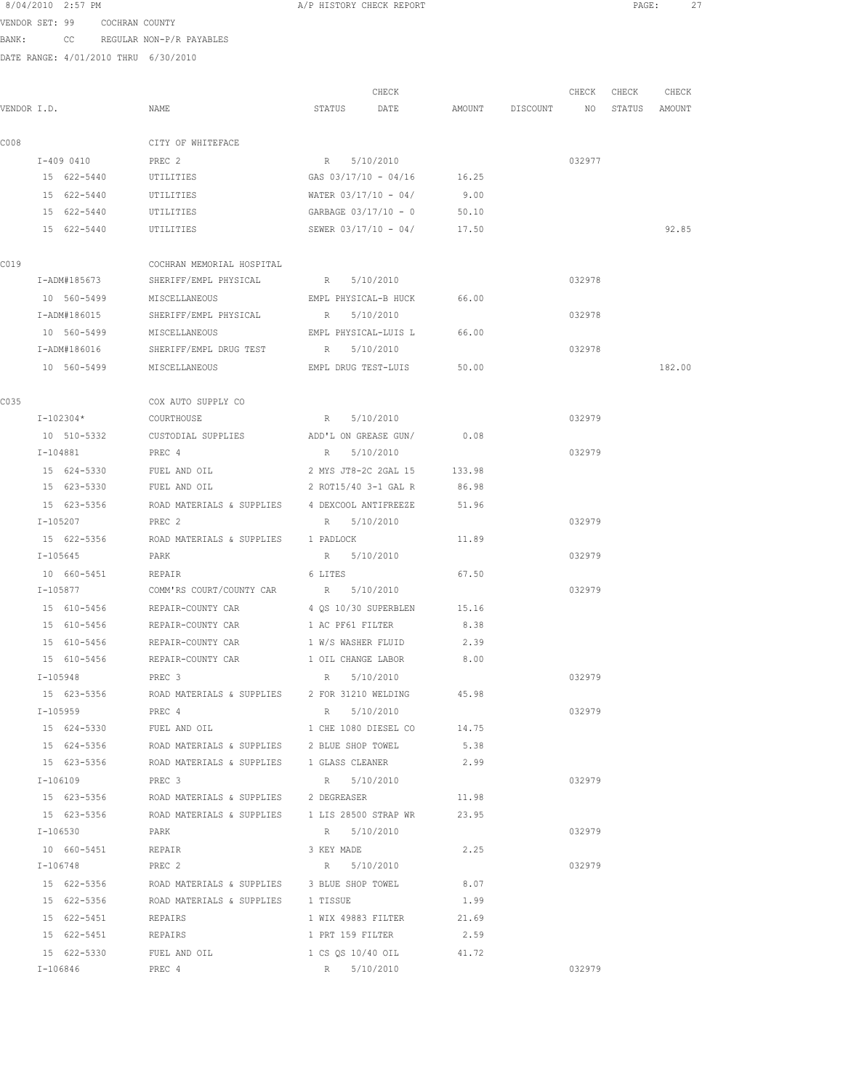|             |          | 8/04/2010 2:57 PM          |                               |                                                                  | A/P HISTORY CHECK REPORT              |                            |               |          |                 | $\texttt{PAGE}$ : | 27     |  |
|-------------|----------|----------------------------|-------------------------------|------------------------------------------------------------------|---------------------------------------|----------------------------|---------------|----------|-----------------|-------------------|--------|--|
|             |          |                            | VENDOR SET: 99 COCHRAN COUNTY |                                                                  |                                       |                            |               |          |                 |                   |        |  |
| BANK:       |          |                            |                               | CC REGULAR NON-P/R PAYABLES                                      |                                       |                            |               |          |                 |                   |        |  |
|             |          |                            |                               | DATE RANGE: 4/01/2010 THRU 6/30/2010                             |                                       |                            |               |          |                 |                   |        |  |
|             |          |                            |                               |                                                                  |                                       |                            |               |          |                 |                   |        |  |
|             |          |                            |                               |                                                                  |                                       | CHECK                      |               |          | CHECK           | CHECK             | CHECK  |  |
| VENDOR I.D. |          |                            |                               | NAME                                                             | STATUS DATE                           |                            | AMOUNT        | DISCOUNT | NO <sub>N</sub> | STATUS AMOUNT     |        |  |
| C008        |          |                            |                               | CITY OF WHITEFACE                                                |                                       |                            |               |          |                 |                   |        |  |
|             |          | I-409 0410                 |                               | PREC 2                                                           | R 5/10/2010                           |                            |               |          | 032977          |                   |        |  |
|             |          | 15 622-5440                |                               | UTILITIES                                                        |                                       | GAS 03/17/10 - 04/16 16.25 |               |          |                 |                   |        |  |
|             |          | 15 622-5440                |                               | UTILITIES                                                        | WATER $03/17/10 - 04/$                |                            | 9.00          |          |                 |                   |        |  |
|             |          | 15 622-5440                |                               | UTILITIES                                                        | $GARBAGE$ 03/17/10 - 0                |                            | 50.10         |          |                 |                   |        |  |
|             |          | 15 622-5440                |                               | UTILITIES                                                        |                                       | SEWER 03/17/10 - 04/       | 17.50         |          |                 |                   | 92.85  |  |
|             |          |                            |                               |                                                                  |                                       |                            |               |          |                 |                   |        |  |
| C019        |          | I-ADM#185673               |                               | COCHRAN MEMORIAL HOSPITAL<br>SHERIFF/EMPL PHYSICAL               | R 5/10/2010                           |                            |               |          | 032978          |                   |        |  |
|             |          | 10 560-5499                |                               | MISCELLANEOUS                                                    |                                       | EMPL PHYSICAL-B HUCK       | 66.00         |          |                 |                   |        |  |
|             |          | I-ADM#186015               |                               | SHERIFF/EMPL PHYSICAL                                            | R 5/10/2010                           |                            |               |          | 032978          |                   |        |  |
|             |          | 10 560-5499                |                               | MISCELLANEOUS                                                    |                                       | EMPL PHYSICAL-LUIS L       | 66.00         |          |                 |                   |        |  |
|             |          | I-ADM#186016               |                               | SHERIFF/EMPL DRUG TEST                                           | R 5/10/2010                           |                            |               |          | 032978          |                   |        |  |
|             |          | 10 560-5499                |                               | MISCELLANEOUS                                                    |                                       | EMPL DRUG TEST-LUIS        | 50.00         |          |                 |                   | 182.00 |  |
|             |          |                            |                               |                                                                  |                                       |                            |               |          |                 |                   |        |  |
| C035        |          |                            |                               | COX AUTO SUPPLY CO                                               |                                       |                            |               |          |                 |                   |        |  |
|             |          | $I-102304*$                |                               | COURTHOUSE                                                       | R 5/10/2010                           |                            |               |          | 032979          |                   |        |  |
|             |          | 10 510-5332                |                               | CUSTODIAL SUPPLIES                                               | ADD'L ON GREASE GUN/                  |                            | 0.08          |          |                 |                   |        |  |
|             |          | I-104881                   |                               | PREC 4                                                           | R 5/10/2010                           |                            |               |          | 032979          |                   |        |  |
|             |          | 15 624-5330                |                               | FUEL AND OIL                                                     | 2 MYS JT8-2C 2GAL 15                  |                            | 133.98        |          |                 |                   |        |  |
|             |          | 15 623-5330                |                               | FUEL AND OIL                                                     | 2 ROT15/40 3-1 GAL R                  |                            | 86.98         |          |                 |                   |        |  |
|             |          | 15 623-5356                |                               | ROAD MATERIALS & SUPPLIES                                        | 4 DEXCOOL ANTIFREEZE                  |                            | 51.96         |          |                 |                   |        |  |
|             | I-105207 |                            |                               | PREC <sub>2</sub>                                                | R 5/10/2010                           |                            |               |          | 032979          |                   |        |  |
|             |          | 15 622-5356                |                               | ROAD MATERIALS & SUPPLIES 1 PADLOCK                              |                                       |                            | 11.89         |          |                 |                   |        |  |
|             |          | I-105645                   |                               | PARK                                                             | R 5/10/2010                           |                            |               |          | 032979          |                   |        |  |
|             |          |                            | 10 660-5451 REPAIR            |                                                                  | 6 LITES                               |                            | 67.50         |          |                 |                   |        |  |
|             |          |                            |                               | I-105877 COMM'RS COURT/COUNTY CAR R 5/10/2010                    |                                       |                            |               |          | 032979          |                   |        |  |
|             |          |                            |                               | 15 610-5456 REPAIR-COUNTY CAR                                    | 4 OS 10/30 SUPERBLEN 15.16            |                            |               |          |                 |                   |        |  |
|             |          | 15 610-5456                |                               | REPAIR-COUNTY CAR                                                | 1 AC PF61 FILTER                      |                            | 8.38          |          |                 |                   |        |  |
|             |          | 15 610-5456                |                               | REPAIR-COUNTY CAR                                                | 1 W/S WASHER FLUID                    |                            | 2.39          |          |                 |                   |        |  |
|             |          | 15 610-5456                |                               | REPAIR-COUNTY CAR                                                | 1 OIL CHANGE LABOR                    |                            | 8.00          |          |                 |                   |        |  |
|             |          | I-105948                   |                               | PREC 3                                                           | R 5/10/2010                           |                            |               |          | 032979          |                   |        |  |
|             |          | 15 623-5356                |                               | ROAD MATERIALS & SUPPLIES 2 FOR 31210 WELDING                    |                                       |                            | 45.98         |          |                 |                   |        |  |
|             |          | I-105959                   |                               | PREC 4                                                           | R 5/10/2010                           |                            |               |          | 032979          |                   |        |  |
|             |          | 15 624-5330                |                               | FUEL AND OIL                                                     |                                       | 1 CHE 1080 DIESEL CO       | 14.75         |          |                 |                   |        |  |
|             |          | 15 624-5356                |                               | ROAD MATERIALS & SUPPLIES 2 BLUE SHOP TOWEL                      |                                       |                            | 5.38          |          |                 |                   |        |  |
|             |          |                            |                               | 15 623-5356 ROAD MATERIALS & SUPPLIES 1 GLASS CLEANER            |                                       |                            | 2.99          |          |                 |                   |        |  |
|             |          | I-106109                   |                               | PREC <sub>3</sub>                                                | R 5/10/2010                           |                            |               |          | 032979          |                   |        |  |
|             |          |                            |                               | 15 623-5356 ROAD MATERIALS & SUPPLIES 2 DEGREASER                |                                       |                            | 11.98         |          |                 |                   |        |  |
|             |          |                            |                               | 15 623-5356 ROAD MATERIALS & SUPPLIES 1 LIS 28500 STRAP WR 23.95 |                                       |                            |               |          |                 |                   |        |  |
|             |          | I-106530                   |                               | PARK                                                             | R 5/10/2010                           |                            |               |          | 032979          |                   |        |  |
|             |          | 10 660-5451                |                               | REPAIR                                                           | 3 KEY MADE                            |                            | 2.25          |          |                 |                   |        |  |
|             |          | I-106748                   |                               | PREC 2                                                           | R 5/10/2010                           |                            |               |          | 032979          |                   |        |  |
|             |          | 15 622-5356                |                               | ROAD MATERIALS & SUPPLIES 3 BLUE SHOP TOWEL                      |                                       |                            | 8.07          |          |                 |                   |        |  |
|             |          | 15 622-5356                |                               | ROAD MATERIALS & SUPPLIES 1 TISSUE                               |                                       |                            | 1.99          |          |                 |                   |        |  |
|             |          | 15 622-5451                |                               | REPAIRS                                                          | 1 WIX 49883 FILTER                    |                            | 21.69         |          |                 |                   |        |  |
|             |          | 15 622-5451<br>15 622-5330 |                               | REPAIRS<br>FUEL AND OIL                                          | 1 PRT 159 FILTER<br>1 CS QS 10/40 OIL |                            | 2.59<br>41.72 |          |                 |                   |        |  |
|             |          |                            |                               |                                                                  |                                       |                            |               |          |                 |                   |        |  |

I-106846 PREC 4 R 5/10/2010 032979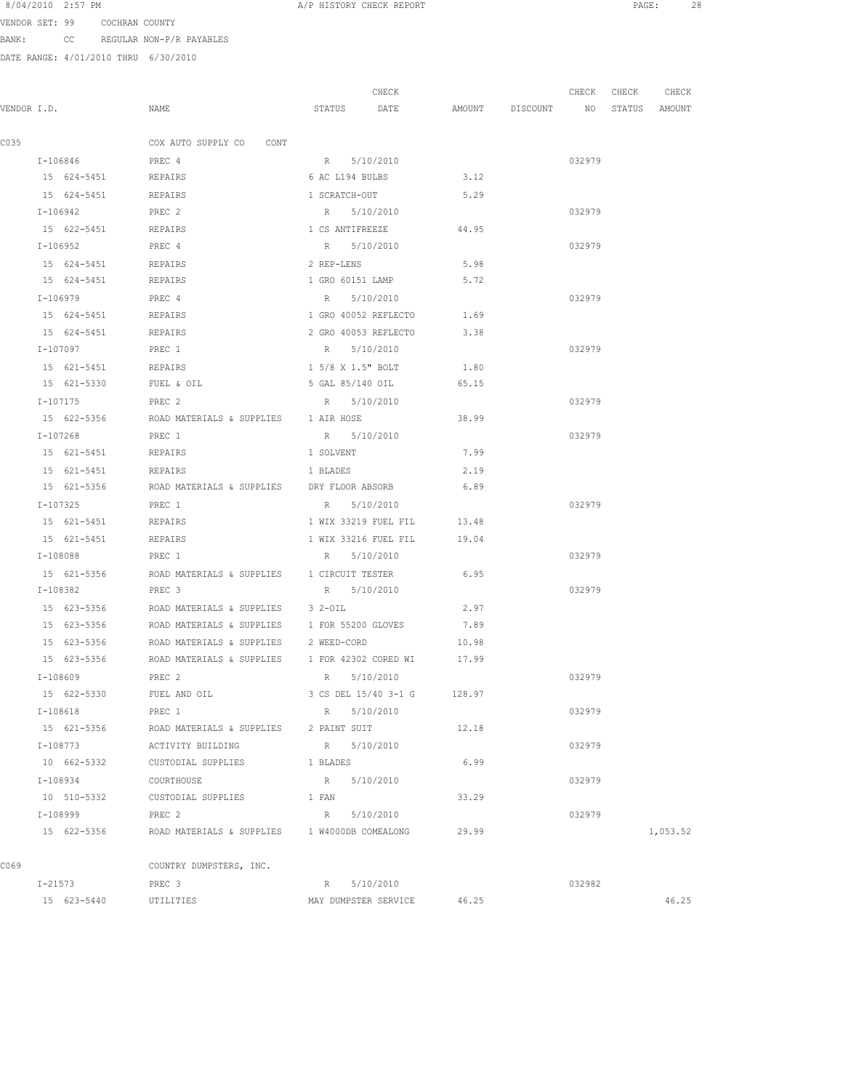VENDOR SET: 99 COCHRAN COUNTY BANK: CC REGULAR NON-P/R PAYABLES

|             |                     |                                                                  |                      | CHECK                       |       |                                  | CHECK CHECK | CHECK    |
|-------------|---------------------|------------------------------------------------------------------|----------------------|-----------------------------|-------|----------------------------------|-------------|----------|
| VENDOR I.D. |                     | NAME                                                             | STATUS               | DATE                        |       | AMOUNT DISCOUNT NO STATUS AMOUNT |             |          |
|             |                     |                                                                  |                      |                             |       |                                  |             |          |
| C035        |                     | COX AUTO SUPPLY CO CONT                                          |                      |                             |       |                                  |             |          |
|             | I-106846            | PREC 4                                                           | R 5/10/2010          |                             |       |                                  | 032979      |          |
|             | 15 624-5451 REPAIRS |                                                                  | 6 AC L194 BULBS      |                             | 3.12  |                                  |             |          |
|             | 15 624-5451 REPAIRS |                                                                  | 1 SCRATCH-OUT        |                             | 5.29  |                                  |             |          |
|             | I-106942            | PREC 2                                                           | R 5/10/2010          |                             |       |                                  | 032979      |          |
|             | 15 622-5451 REPAIRS |                                                                  | 1 CS ANTIFREEZE      |                             | 44.95 |                                  |             |          |
|             | I-106952            | PREC 4                                                           | R 5/10/2010          |                             |       |                                  | 032979      |          |
|             | 15 624-5451         | REPAIRS                                                          | 2 REP-LENS           |                             | 5.98  |                                  |             |          |
|             | 15 624-5451         | REPAIRS                                                          | 1 GRO 60151 LAMP     |                             | 5.72  |                                  |             |          |
|             | I-106979            | PREC 4                                                           | R 5/10/2010          |                             |       |                                  | 032979      |          |
|             | 15 624-5451         | REPAIRS                                                          | 1 GRO 40052 REFLECTO |                             | 1.69  |                                  |             |          |
|             | 15 624-5451         | REPAIRS                                                          | 2 GRO 40053 REFLECTO |                             | 3.38  |                                  |             |          |
|             | I-107097            | PREC 1                                                           | R 5/10/2010          |                             |       |                                  | 032979      |          |
|             | 15 621-5451         | REPAIRS                                                          | 1 5/8 X 1.5" BOLT    |                             | 1.80  |                                  |             |          |
|             | 15 621-5330         | FUEL & OIL                                                       | 5 GAL 85/140 OIL     |                             | 65.15 |                                  |             |          |
|             | $I-107175$          | PREC <sub>2</sub>                                                | R 5/10/2010          |                             |       |                                  | 032979      |          |
|             |                     | 15 622-5356 ROAD MATERIALS & SUPPLIES 1 AIR HOSE                 |                      |                             | 38.99 |                                  |             |          |
|             | I-107268            | PREC 1                                                           | R 5/10/2010          |                             |       |                                  | 032979      |          |
|             | 15 621-5451 REPAIRS |                                                                  | 1 SOLVENT            |                             | 7.99  |                                  |             |          |
|             | 15 621-5451         | REPAIRS                                                          | 1 BLADES             |                             | 2.19  |                                  |             |          |
|             | 15 621-5356         | ROAD MATERIALS & SUPPLIES DRY FLOOR ABSORB                       |                      |                             | 6.89  |                                  |             |          |
|             | I-107325            | PREC 1                                                           | R 5/10/2010          |                             |       |                                  | 032979      |          |
|             | 15 621-5451         | REPAIRS                                                          | 1 WIX 33219 FUEL FIL |                             | 13.48 |                                  |             |          |
|             | 15 621-5451         | REPAIRS                                                          | 1 WIX 33216 FUEL FIL |                             | 19.04 |                                  |             |          |
|             | I-108088            | PREC 1                                                           | R 5/10/2010          |                             |       |                                  | 032979      |          |
|             |                     |                                                                  |                      |                             |       |                                  |             |          |
|             | 15 621-5356         | ROAD MATERIALS & SUPPLIES 1 CIRCUIT TESTER                       |                      |                             | 6.95  |                                  |             |          |
|             | I-108382            | PREC 3                                                           | R 5/10/2010          |                             |       |                                  | 032979      |          |
|             |                     | 15 623-5356 ROAD MATERIALS & SUPPLIES 3 2-OIL                    |                      |                             | 2.97  |                                  |             |          |
|             |                     | 15 623-5356 ROAD MATERIALS & SUPPLIES 1 FOR 55200 GLOVES 7.89    |                      |                             |       |                                  |             |          |
|             |                     | 15 623-5356 ROAD MATERIALS & SUPPLIES 2 WEED-CORD                |                      |                             | 10.98 |                                  |             |          |
|             |                     | 15 623-5356 ROAD MATERIALS & SUPPLIES 1 FOR 42302 CORED WI 17.99 |                      |                             |       |                                  |             |          |
|             | I-108609            | PREC 2                                                           | R 5/10/2010          |                             |       |                                  | 032979      |          |
|             | 15 622-5330         | FUEL AND OIL                                                     |                      | 3 CS DEL 15/40 3-1 G 128.97 |       |                                  |             |          |
|             | I-108618            | PREC 1                                                           | R 5/10/2010          |                             |       |                                  | 032979      |          |
|             | 15 621-5356         | ROAD MATERIALS & SUPPLIES 2 PAINT SUIT                           |                      |                             | 12.18 |                                  |             |          |
|             | I-108773            | ACTIVITY BUILDING                                                | R 5/10/2010          |                             |       |                                  | 032979      |          |
|             | 10 662-5332         | CUSTODIAL SUPPLIES                                               | 1 BLADES             |                             | 6.99  |                                  |             |          |
|             | I-108934            | COURTHOUSE                                                       | R 5/10/2010          |                             |       |                                  | 032979      |          |
|             |                     | 10 510-5332 CUSTODIAL SUPPLIES 1 FAN                             |                      |                             | 33.29 |                                  |             |          |
|             | I-108999            | PREC 2                                                           | R 5/10/2010          |                             |       |                                  | 032979      |          |
|             |                     | 15 622-5356 ROAD MATERIALS & SUPPLIES 1 W4000DB COMEALONG 29.99  |                      |                             |       |                                  |             | 1,053.52 |
| C069        |                     | COUNTRY DUMPSTERS, INC.                                          |                      |                             |       |                                  |             |          |
|             | I-21573             | PREC 3                                                           | R 5/10/2010          |                             |       |                                  | 032982      |          |
|             | 15 623-5440         | UTILITIES                                                        | MAY DUMPSTER SERVICE |                             | 46.25 |                                  |             | 46.25    |
|             |                     |                                                                  |                      |                             |       |                                  |             |          |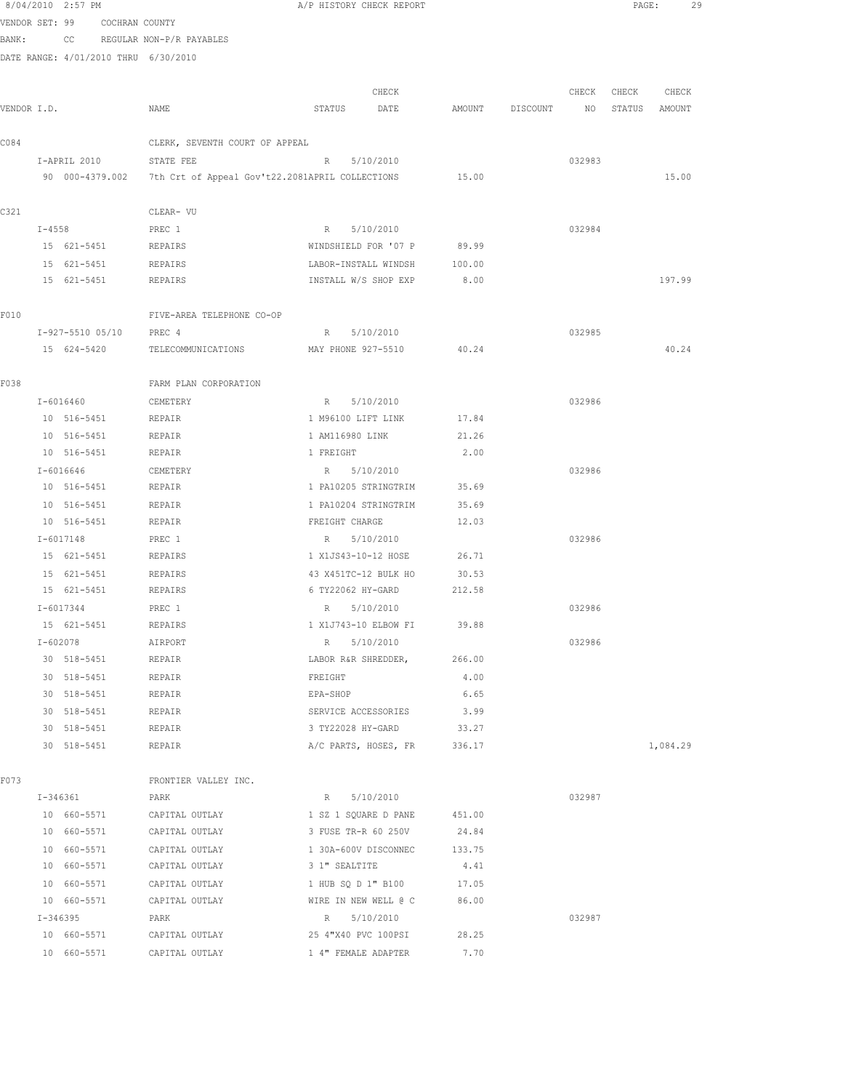8/04/2010 2:57 PM **A/P HISTORY CHECK REPORT PAGE:** 29 VENDOR SET: 99 COCHRAN COUNTY BANK: CC REGULAR NON-P/R PAYABLES DATE RANGE: 4/01/2010 THRU 6/30/2010 CHECK CHECK CHECK CHECK VENDOR I.D. NAME STATUS DATE AMOUNT DISCOUNT NO STATUS AMOUNT C084 CLERK, SEVENTH COURT OF APPEAL I-APRIL 2010 STATE FEE R 5/10/2010 032983 90 000-4379.002 7th Crt of Appeal Gov't22.2081APRIL COLLECTIONS 15.00 15.00 C321 CLEAR- VU I-4558 PREC 1 R 5/10/2010 032984 15 621-5451 REPAIRS WINDSHIELD FOR '07 P 89.99 15 621-5451 REPAIRS LABOR-INSTALL WINDSH 100.00 15 621-5451 REPAIRS INSTALL W/S SHOP EXP 8.00 197.99 F010 FIVE-AREA TELEPHONE CO-OP I-927-5510 05/10 PREC 4 R 5/10/2010 032985 15 624-5420 TELECOMMUNICATIONS MAY PHONE 927-5510 40.24 40.24 F038 FARM PLAN CORPORATION I-6016460 CEMETERY R 5/10/2010 032986 10 516-5451 REPAIR 1 M96100 LIFT LINK 17.84 10 516-5451 REPAIR 1 AM116980 LINK 21.26 10 516-5451 REPAIR 1 FREIGHT 2.00 I-6016646 CEMETERY R 5/10/2010 032986 10 516-5451 REPAIR 1 PA10205 STRINGTRIM 35.69 10 516-5451 REPAIR 1 PA10204 STRINGTRIM 35.69 10 516-5451 REPAIR FREIGHT CHARGE 12.03 I-6017148 PREC 1 R 5/10/2010 032986 15 621-5451 REPAIRS 1 X1JS43-10-12 HOSE 26.71 15 621-5451 REPAIRS 43 X451TC-12 BULK HO 30.53 15 621-5451 REPAIRS 6 TY22062 HY-GARD 212.58 I-6017344 PREC 1 R 5/10/2010 032986 15 621-5451 REPAIRS 1 X1J743-10 ELBOW FI 39.88 I-602078 AIRPORT R 5/10/2010 032986 30 518-5451 REPAIR LABOR R&R SHREDDER, 266.00 30 518-5451 REPAIR FREIGHT 4.00 30 518-5451 REPAIR EPA-SHOP 6.65 30 518-5451 REPAIR SERVICE ACCESSORIES 3.99 30 518-5451 REPAIR 3 TY22028 HY-GARD 33.27 30 518-5451 REPAIR A/C PARTS, HOSES, FR 336.17 1,084.29 FOT3 FRONTIER VALLEY INC. I-346361 PARK R 5/10/2010 032987 10 660-5571 CAPITAL OUTLAY 1 SZ 1 SQUARE D PANE 451.00 10 660-5571 CAPITAL OUTLAY 3 FUSE TR-R 60 250V 24.84 10 660-5571 CAPITAL OUTLAY 1 30A-600V DISCONNEC 133.75 10 660-5571 CAPITAL OUTLAY 3 1" SEALTITE 4.41 10 660-5571 CAPITAL OUTLAY 1 HUB SQ D 1" B100 17.05 10 660-5571 CAPITAL OUTLAY WIRE IN NEW WELL @ C 86.00 I-346395 PARK R 5/10/2010 032987 10 660-5571 CAPITAL OUTLAY 25 4"X40 PVC 100PSI 28.25 10 660-5571 CAPITAL OUTLAY 1 4" FEMALE ADAPTER 7.70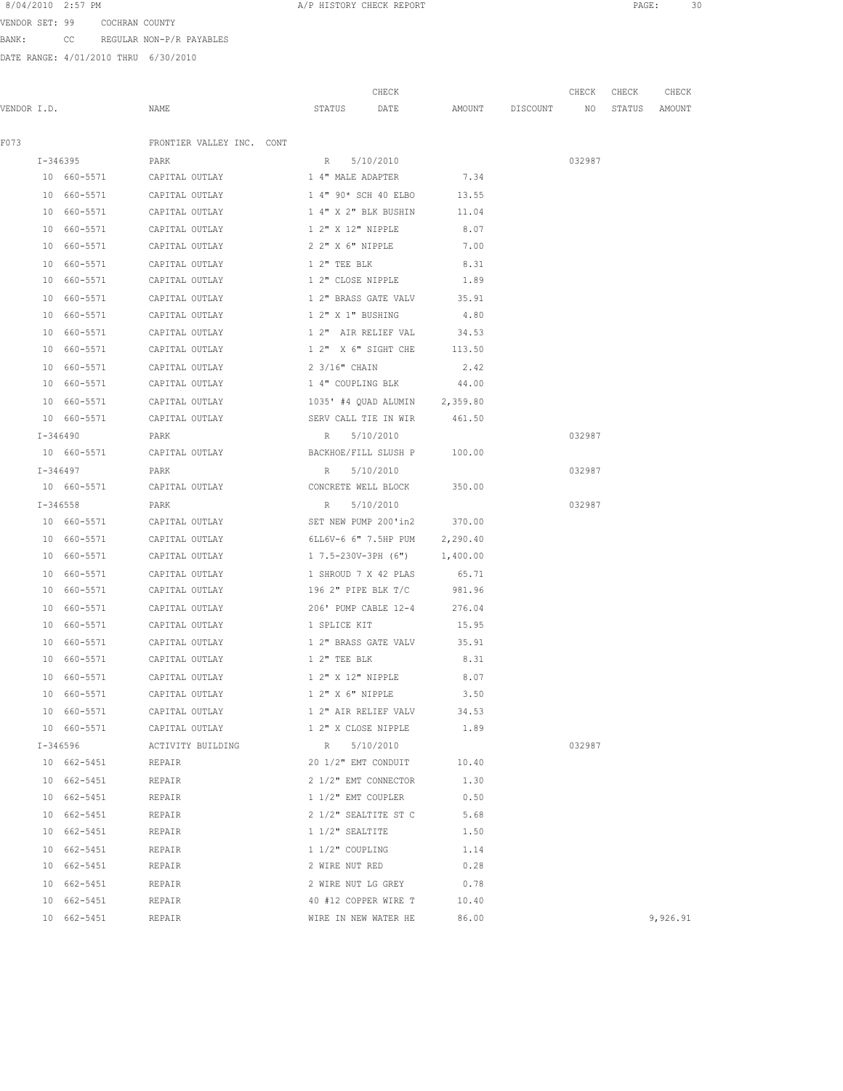VENDOR SET: 99 COCHRAN COUNTY BANK: CC REGULAR NON-P/R PAYABLES

|             |    |                         |                                                       |                    | CHECK                         |                    | CHECK  | CHECK | CHECK         |
|-------------|----|-------------------------|-------------------------------------------------------|--------------------|-------------------------------|--------------------|--------|-------|---------------|
| VENDOR I.D. |    |                         | NAME                                                  | STATUS DATE        |                               | AMOUNT DISCOUNT NO |        |       | STATUS AMOUNT |
| F073        |    |                         | FRONTIER VALLEY INC. CONT                             |                    |                               |                    |        |       |               |
|             |    | I-346395                | PARK                                                  | R 5/10/2010        |                               |                    | 032987 |       |               |
|             |    | 10 660-5571             | CAPITAL OUTLAY                                        | 1 4" MALE ADAPTER  |                               | 7.34               |        |       |               |
|             |    | 10 660-5571             | CAPITAL OUTLAY                                        |                    | 1 4" 90* SCH 40 ELBO          | 13.55              |        |       |               |
|             |    | 10 660-5571             | CAPITAL OUTLAY                                        |                    | 1 4" X 2" BLK BUSHIN          | 11.04              |        |       |               |
|             |    | 10 660-5571             | CAPITAL OUTLAY                                        | 1 2" X 12" NIPPLE  |                               | 8.07               |        |       |               |
|             |    | 10 660-5571             | CAPITAL OUTLAY                                        |                    | 2 2" X 6" NIPPLE              | 7.00               |        |       |               |
|             |    | 10 660-5571             | CAPITAL OUTLAY                                        | 1 2" TEE BLK       |                               | 8.31               |        |       |               |
|             |    | 10 660-5571             | CAPITAL OUTLAY                                        |                    | 1 2" CLOSE NIPPLE 1.89        |                    |        |       |               |
|             | 10 | 660-5571                | CAPITAL OUTLAY                                        |                    | 1 2" BRASS GATE VALV 35.91    |                    |        |       |               |
|             |    | 10 660-5571             | CAPITAL OUTLAY                                        | 1 2" X 1" BUSHING  |                               | 4.80               |        |       |               |
|             |    | 10 660-5571             | CAPITAL OUTLAY                                        |                    | 1 2" AIR RELIEF VAL 34.53     |                    |        |       |               |
|             |    | 10 660-5571             | CAPITAL OUTLAY                                        |                    | 1 2" X 6" SIGHT CHE 113.50    |                    |        |       |               |
|             |    | 10 660-5571             | CAPITAL OUTLAY                                        | 2 3/16" CHAIN      |                               | 2.42               |        |       |               |
|             |    | 10 660-5571             | CAPITAL OUTLAY                                        | 1 4" COUPLING BLK  |                               | 44.00              |        |       |               |
|             |    | 10 660-5571             | CAPITAL OUTLAY                                        |                    | 1035' #4 QUAD ALUMIN 2,359.80 |                    |        |       |               |
|             |    | 10 660-5571             | CAPITAL OUTLAY                                        |                    | SERV CALL TIE IN WIR          | 461.50             |        |       |               |
|             |    | I-346490                | PARK                                                  | R 5/10/2010        |                               |                    | 032987 |       |               |
|             |    |                         | 10 660-5571 CAPITAL OUTLAY                            |                    | BACKHOE/FILL SLUSH P 100.00   |                    |        |       |               |
|             |    | I-346497<br><b>PARK</b> |                                                       | R                  | 5/10/2010                     |                    | 032987 |       |               |
|             |    |                         | 10 660-5571 CAPITAL OUTLAY CONCRETE WELL BLOCK 350.00 |                    |                               |                    |        |       |               |
|             |    | $I - 346558$            | PARK                                                  | R                  | 5/10/2010                     |                    | 032987 |       |               |
|             |    |                         | 10 660-5571 CAPITAL OUTLAY                            |                    | SET NEW PUMP 200'in2 370.00   |                    |        |       |               |
|             |    | 10 660-5571             | CAPITAL OUTLAY                                        |                    | 6LL6V-6 6" 7.5HP PUM 2,290.40 |                    |        |       |               |
|             |    | 10 660-5571             | CAPITAL OUTLAY                                        |                    | 1 7.5-230V-3PH (6") 1,400.00  |                    |        |       |               |
|             |    | 10 660-5571             | CAPITAL OUTLAY                                        |                    | 1 SHROUD 7 X 42 PLAS          | 65.71              |        |       |               |
|             |    | 10 660-5571             | CAPITAL OUTLAY                                        |                    | 196 2" PIPE BLK T/C           | 981.96             |        |       |               |
|             |    | 10 660-5571             | CAPITAL OUTLAY                                        |                    | 206' PUMP CABLE 12-4          | 276.04             |        |       |               |
|             |    | 10 660-5571             | CAPITAL OUTLAY                                        | 1 SPLICE KIT       |                               | 15.95              |        |       |               |
|             |    | 10 660-5571             | CAPITAL OUTLAY                                        |                    | 1 2" BRASS GATE VALV          | 35.91              |        |       |               |
|             |    | 10 660-5571             | CAPITAL OUTLAY                                        | 1 2" TEE BLK       |                               | 8.31               |        |       |               |
|             |    | 10 660-5571             | CAPITAL OUTLAY                                        |                    | 1 2" X 12" NIPPLE 8.07        |                    |        |       |               |
|             |    | 10 660-5571             | CAPITAL OUTLAY                                        | 1 2" X 6" NIPPLE   |                               | 3.50               |        |       |               |
|             |    | 10 660-5571             | CAPITAL OUTLAY                                        |                    | 1 2" AIR RELIEF VALV          | 34.53              |        |       |               |
|             |    |                         | 10 660-5571 CAPITAL OUTLAY 1 2" X CLOSE NIPPLE        |                    |                               | 1.89               |        |       |               |
|             |    | I-346596                | ACTIVITY BUILDING                                     | R                  | 5/10/2010                     |                    | 032987 |       |               |
|             |    | 10 662-5451             | REPAIR                                                |                    | 20 1/2" EMT CONDUIT           | 10.40              |        |       |               |
|             |    | 10 662-5451             | REPAIR                                                |                    | 2 1/2" EMT CONNECTOR          | 1.30               |        |       |               |
|             |    | 10 662-5451             | REPAIR                                                | 1 1/2" EMT COUPLER |                               | 0.50               |        |       |               |
|             |    | 10 662-5451             | REPAIR                                                |                    | 2 1/2" SEALTITE ST C          | 5.68               |        |       |               |
|             |    | 10 662-5451             | REPAIR                                                | 1 1/2" SEALTITE    |                               | 1.50               |        |       |               |
|             |    | 10 662-5451             | REPAIR                                                | 1 1/2" COUPLING    |                               | 1.14               |        |       |               |
|             |    | 10 662-5451             | REPAIR                                                | 2 WIRE NUT RED     |                               | 0.28               |        |       |               |
|             |    | 10 662-5451             | REPAIR                                                |                    | 2 WIRE NUT LG GREY            | 0.78               |        |       |               |
|             |    | 10 662-5451             | REPAIR                                                |                    | 40 #12 COPPER WIRE T 10.40    |                    |        |       |               |
|             |    | 10 662-5451             | REPAIR                                                |                    | WIRE IN NEW WATER HE          | 86.00              |        |       | 9,926.91      |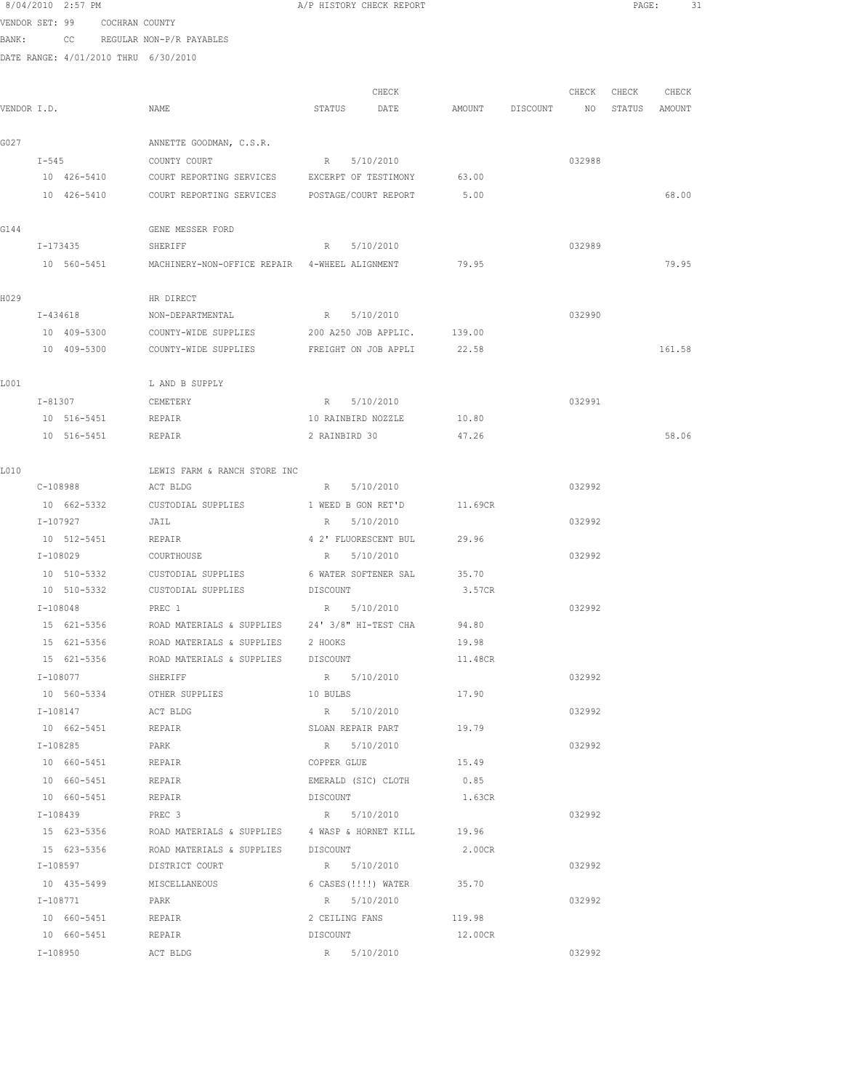|             |            | 8/04/2010 2:57 PM       |                               |                                                      |                    | A/P HISTORY CHECK REPORT         |         |          |        | PAGE:  | 31     |  |
|-------------|------------|-------------------------|-------------------------------|------------------------------------------------------|--------------------|----------------------------------|---------|----------|--------|--------|--------|--|
|             |            |                         | VENDOR SET: 99 COCHRAN COUNTY |                                                      |                    |                                  |         |          |        |        |        |  |
| BANK:       |            |                         |                               | CC REGULAR NON-P/R PAYABLES                          |                    |                                  |         |          |        |        |        |  |
|             |            |                         |                               | DATE RANGE: 4/01/2010 THRU 6/30/2010                 |                    |                                  |         |          |        |        |        |  |
|             |            |                         |                               |                                                      |                    |                                  |         |          |        |        |        |  |
|             |            |                         |                               |                                                      |                    | CHECK                            |         |          | CHECK  | CHECK  | CHECK  |  |
| VENDOR I.D. |            |                         |                               | NAME                                                 | STATUS             | DATE                             | AMOUNT  | DISCOUNT | NO     | STATUS | AMOUNT |  |
| G027        |            |                         |                               | ANNETTE GOODMAN, C.S.R.                              |                    |                                  |         |          |        |        |        |  |
|             | $I-545$    |                         |                               | COUNTY COURT                                         | R                  | 5/10/2010                        |         |          | 032988 |        |        |  |
|             |            | 10 426-5410             |                               | COURT REPORTING SERVICES EXCERPT OF TESTIMONY        |                    |                                  | 63.00   |          |        |        |        |  |
|             |            | 10 426-5410             |                               | COURT REPORTING SERVICES POSTAGE/COURT REPORT        |                    |                                  | 5.00    |          |        |        | 68.00  |  |
| G144        |            |                         |                               | GENE MESSER FORD                                     |                    |                                  |         |          |        |        |        |  |
|             |            | I-173435                |                               | SHERIFF                                              | $R$ and $R$        | 5/10/2010                        |         |          | 032989 |        |        |  |
|             |            | 10 560-5451             |                               | MACHINERY-NON-OFFICE REPAIR 4-WHEEL ALIGNMENT        |                    |                                  | 79.95   |          |        |        | 79.95  |  |
| H029        |            |                         |                               | HR DIRECT                                            |                    |                                  |         |          |        |        |        |  |
|             |            | I-434618                |                               | NON-DEPARTMENTAL                                     | R 5/10/2010        |                                  |         |          | 032990 |        |        |  |
|             |            | 10 409-5300             |                               | COUNTY-WIDE SUPPLIES                                 |                    | 200 A250 JOB APPLIC.             | 139.00  |          |        |        |        |  |
|             |            | 10 409-5300             |                               | COUNTY-WIDE SUPPLIES                                 |                    | FREIGHT ON JOB APPLI             | 22.58   |          |        |        | 161.58 |  |
| L001        |            |                         |                               | L AND B SUPPLY                                       |                    |                                  |         |          |        |        |        |  |
|             |            | I-81307                 |                               | CEMETERY                                             | R                  | 5/10/2010                        |         |          | 032991 |        |        |  |
|             |            | 10 516-5451             |                               | REPAIR                                               | 10 RAINBIRD NOZZLE |                                  | 10.80   |          |        |        |        |  |
|             |            | 10 516-5451             |                               | REPAIR                                               | 2 RAINBIRD 30      |                                  | 47.26   |          |        |        | 58.06  |  |
| L010        |            |                         |                               | LEWIS FARM & RANCH STORE INC                         |                    |                                  |         |          |        |        |        |  |
|             |            | C-108988                |                               | ACT BLDG                                             |                    | R 5/10/2010                      |         |          | 032992 |        |        |  |
|             |            | 10 662-5332             |                               | CUSTODIAL SUPPLIES                                   | 1 WEED B GON RET'D |                                  | 11.69CR |          |        |        |        |  |
|             | I-107927   |                         |                               | JAIL                                                 | R                  | 5/10/2010                        |         |          | 032992 |        |        |  |
|             |            | 10 512-5451             |                               | REPAIR                                               |                    | 4 2' FLUORESCENT BUL             | 29.96   |          |        |        |        |  |
|             | I-108029   |                         |                               | COURTHOUSE                                           | R                  | 5/10/2010                        |         |          | 032992 |        |        |  |
|             |            | 10 510-5332             |                               | CUSTODIAL SUPPLIES                                   |                    | 6 WATER SOFTENER SAL             | 35.70   |          |        |        |        |  |
|             |            | 10 510-5332             |                               | CUSTODIAL SUPPLIES                                   | DISCOUNT           |                                  | 3.57CR  |          |        |        |        |  |
|             | $I-108048$ |                         |                               | PREC 1                                               | R 5/10/2010        |                                  |         |          | 032992 |        |        |  |
|             |            | 15 621-5356             |                               | ROAD MATERIALS & SUPPLIES 24' 3/8" HI-TEST CHA       |                    |                                  | 94.80   |          |        |        |        |  |
|             |            | 15 621-5356             |                               | ROAD MATERIALS & SUPPLIES                            | 2 HOOKS            |                                  | 19.98   |          |        |        |        |  |
|             |            | 15 621-5356             |                               | ROAD MATERIALS & SUPPLIES DISCOUNT                   |                    |                                  | 11.48CR |          |        |        |        |  |
|             |            | I-108077                |                               | SHERIFF                                              | R 5/10/2010        |                                  |         |          | 032992 |        |        |  |
|             |            | 10 560-5334             |                               | OTHER SUPPLIES                                       | 10 BULBS           |                                  | 17.90   |          |        |        |        |  |
|             |            | I-108147<br>10 662-5451 |                               | ACT BLDG                                             |                    | R 5/10/2010<br>SLOAN REPAIR PART | 19.79   |          | 032992 |        |        |  |
|             |            | I-108285                |                               | REPAIR<br>PARK                                       |                    | R 5/10/2010                      |         |          | 032992 |        |        |  |
|             |            | 10 660-5451             |                               | REPAIR                                               | COPPER GLUE        |                                  | 15.49   |          |        |        |        |  |
|             |            |                         |                               | 10 660-5451 REPAIR                                   |                    | EMERALD (SIC) CLOTH 0.85         |         |          |        |        |        |  |
|             |            |                         |                               | 10 660-5451 REPAIR                                   | DISCOUNT           |                                  | 1.63CR  |          |        |        |        |  |
|             |            | I-108439                |                               | PREC 3                                               |                    | R 5/10/2010                      |         |          | 032992 |        |        |  |
|             |            | 15 623-5356             |                               | ROAD MATERIALS & SUPPLIES 4 WASP & HORNET KILL 49.96 |                    |                                  |         |          |        |        |        |  |
|             |            | 15 623-5356             |                               | ROAD MATERIALS & SUPPLIES DISCOUNT                   |                    |                                  | 2.00CR  |          |        |        |        |  |
|             |            | I-108597                |                               | DISTRICT COURT                                       |                    | R 5/10/2010                      |         |          | 032992 |        |        |  |
|             |            | 10 435-5499             |                               | MISCELLANEOUS                                        |                    | 6 CASES (!!!!) WATER 35.70       |         |          |        |        |        |  |
|             |            | I-108771                |                               | PARK                                                 |                    | R 5/10/2010                      |         |          | 032992 |        |        |  |
|             |            | 10 660-5451             |                               | REPAIR                                               | 2 CEILING FANS     |                                  | 119.98  |          |        |        |        |  |
|             |            | 10 660-5451             |                               | REPAIR                                               | DISCOUNT           |                                  | 12.00CR |          |        |        |        |  |
|             |            | I-108950                |                               | ACT BLDG                                             |                    | R 5/10/2010                      |         |          | 032992 |        |        |  |
|             |            |                         |                               |                                                      |                    |                                  |         |          |        |        |        |  |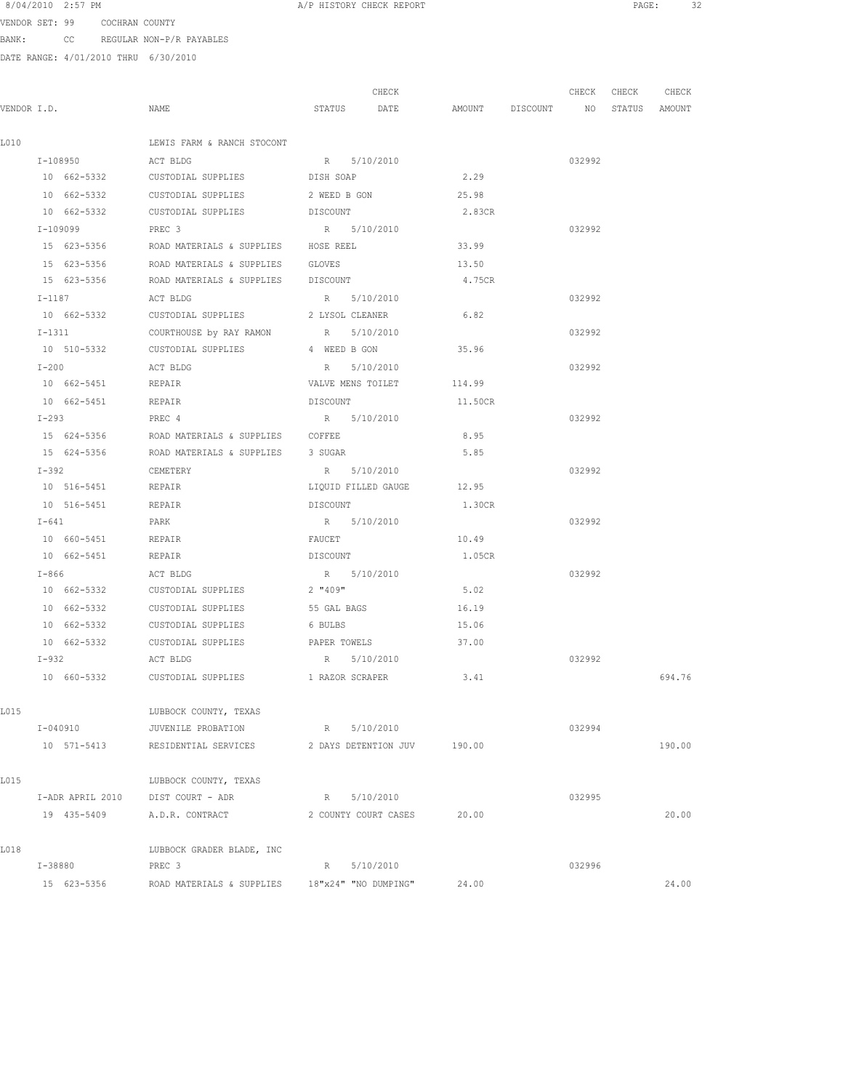VENDOR SET: 99 COCHRAN COUNTY BANK: CC REGULAR NON-P/R PAYABLES

|             |                    |                                                                  | CHECK               |         | CHECK CHECK                      | CHECK  |
|-------------|--------------------|------------------------------------------------------------------|---------------------|---------|----------------------------------|--------|
| VENDOR I.D. |                    | NAME                                                             | STATUS DATE         |         | AMOUNT DISCOUNT NO STATUS AMOUNT |        |
| L010        |                    | LEWIS FARM & RANCH STOCONT                                       |                     |         |                                  |        |
|             | I-108950           | ACT BLDG                                                         | R 5/10/2010         |         | 032992                           |        |
|             | 10 662-5332        | CUSTODIAL SUPPLIES                                               | DISH SOAP           | 2.29    |                                  |        |
|             |                    | 10 662-5332 CUSTODIAL SUPPLIES 2 WEED B GON                      |                     | 25.98   |                                  |        |
|             |                    | 10 662-5332 CUSTODIAL SUPPLIES DISCOUNT                          |                     | 2.83CR  |                                  |        |
|             | I-109099           | PREC 3                                                           | R 5/10/2010         |         | 032992                           |        |
|             | 15 623-5356        | ROAD MATERIALS & SUPPLIES HOSE REEL                              |                     | 33.99   |                                  |        |
|             | 15 623-5356        | ROAD MATERIALS & SUPPLIES GLOVES                                 |                     | 13.50   |                                  |        |
|             | 15 623-5356        | ROAD MATERIALS & SUPPLIES DISCOUNT                               |                     | 4.75CR  |                                  |        |
|             | $I-1187$           | ACT BLDG                                                         | R 5/10/2010         |         | 032992                           |        |
|             | 10 662-5332        | CUSTODIAL SUPPLIES                                               | 2 LYSOL CLEANER     | 6.82    |                                  |        |
|             | $I-1311$           | COURTHOUSE by RAY RAMON                                          | R 5/10/2010         |         | 032992                           |        |
|             | 10 510-5332        | CUSTODIAL SUPPLIES                                               | 4 WEED B GON        | 35.96   |                                  |        |
|             | $I-200$            | ACT BLDG                                                         | R 5/10/2010         |         | 032992                           |        |
|             | 10 662-5451        | <b>REPAIR</b>                                                    | VALVE MENS TOILET   | 114.99  |                                  |        |
|             | 10 662-5451 REPAIR |                                                                  | DISCOUNT            | 11.50CR |                                  |        |
|             | $I-293$            | PREC 4                                                           | R 5/10/2010         |         | 032992                           |        |
|             | 15 624-5356        | ROAD MATERIALS & SUPPLIES COFFEE                                 |                     | 8.95    |                                  |        |
|             | 15 624-5356        | ROAD MATERIALS & SUPPLIES 3 SUGAR                                |                     | 5.85    |                                  |        |
|             | $I-392$            | CEMETERY                                                         | R 5/10/2010         |         | 032992                           |        |
|             | 10 516-5451        | REPAIR                                                           | LIQUID FILLED GAUGE | 12.95   |                                  |        |
|             | 10 516-5451        | REPAIR                                                           | DISCOUNT            | 1.30CR  |                                  |        |
|             | $I-641$            | PARK                                                             | R 5/10/2010         |         | 032992                           |        |
|             | 10 660-5451        | REPAIR                                                           | FAUCET              | 10.49   |                                  |        |
|             | 10 662-5451        | REPAIR                                                           | DISCOUNT            | 1.05CR  |                                  |        |
|             | $I-866$            | ACT BLDG                                                         | R 5/10/2010         |         | 032992                           |        |
|             | 10 662-5332        | CUSTODIAL SUPPLIES                                               | 2 "409"             | 5.02    |                                  |        |
|             | 10 662-5332        | CUSTODIAL SUPPLIES                                               | 55 GAL BAGS         | 16.19   |                                  |        |
|             |                    | 10 662-5332 CUSTODIAL SUPPLIES                                   | 6 BULBS             | 15.06   |                                  |        |
|             |                    | 10 662-5332 CUSTODIAL SUPPLIES PAPER TOWELS                      |                     | 37.00   |                                  |        |
|             | $I-932$            | ACT BLDG                                                         | R 5/10/2010         |         | 032992                           |        |
|             | 10 660-5332        | CUSTODIAL SUPPLIES                                               | 1 RAZOR SCRAPER     | 3.41    |                                  | 694.76 |
| L015        |                    | LUBBOCK COUNTY, TEXAS                                            |                     |         |                                  |        |
|             | I-040910           | JUVENILE PROBATION                                               | R 5/10/2010         |         | 032994                           |        |
|             | 10 571-5413        | RESIDENTIAL SERVICES 2 DAYS DETENTION JUV 190.00                 |                     |         |                                  | 190.00 |
| L015        |                    | LUBBOCK COUNTY, TEXAS                                            |                     |         |                                  |        |
|             |                    | I-ADR APRIL 2010 DIST COURT - ADR                                | R 5/10/2010         |         | 032995                           |        |
|             | 19 435-5409        | A.D.R. CONTRACT 2 COUNTY COURT CASES                             |                     | 20.00   |                                  | 20.00  |
| L018        |                    | LUBBOCK GRADER BLADE, INC                                        |                     |         |                                  |        |
|             | I-38880            | PREC 3                                                           | R 5/10/2010         |         | 032996                           |        |
|             |                    | 15 623-5356 ROAD MATERIALS & SUPPLIES 18"x24" "NO DUMPING" 24.00 |                     |         |                                  | 24.00  |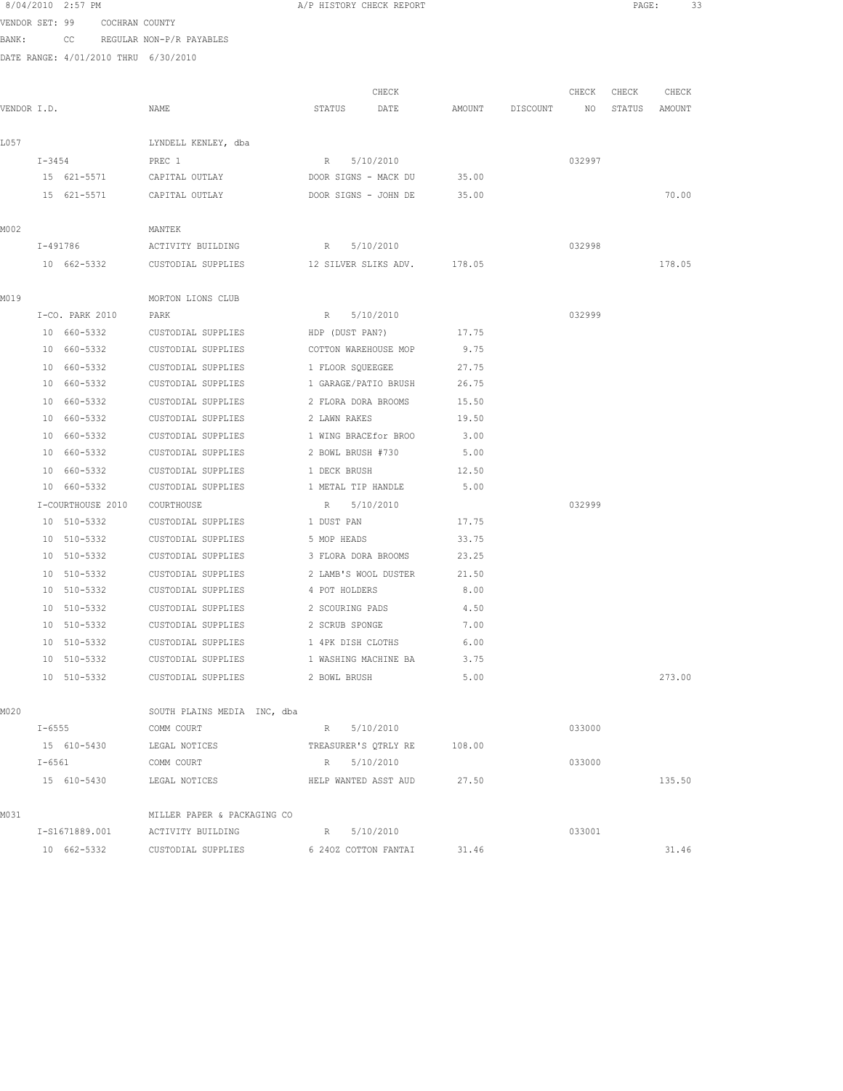|             |          | 8/04/2010 2:57 PM             |                                      | A/P HISTORY CHECK REPORT                                   |        |                 |        |        | 33<br>PAGE: |  |
|-------------|----------|-------------------------------|--------------------------------------|------------------------------------------------------------|--------|-----------------|--------|--------|-------------|--|
|             |          | VENDOR SET: 99 COCHRAN COUNTY |                                      |                                                            |        |                 |        |        |             |  |
|             |          |                               | BANK: CC REGULAR NON-P/R PAYABLES    |                                                            |        |                 |        |        |             |  |
|             |          |                               | DATE RANGE: 4/01/2010 THRU 6/30/2010 |                                                            |        |                 |        |        |             |  |
|             |          |                               |                                      | CHECK                                                      |        |                 | CHECK  | CHECK  | CHECK       |  |
| VENDOR I.D. |          |                               | NAME                                 | STATUS<br>DATE                                             |        | AMOUNT DISCOUNT | NO     | STATUS | AMOUNT      |  |
|             |          |                               |                                      |                                                            |        |                 |        |        |             |  |
| L057        |          |                               | LYNDELL KENLEY, dba                  |                                                            |        |                 |        |        |             |  |
|             |          | $I - 3454$                    | PREC 1                               | R 5/10/2010                                                |        |                 | 032997 |        |             |  |
|             |          | 15 621-5571                   | CAPITAL OUTLAY                       | DOOR SIGNS - MACK DU 35.00                                 |        |                 |        |        |             |  |
|             |          | 15 621-5571                   | CAPITAL OUTLAY                       | DOOR SIGNS - JOHN DE                                       | 35.00  |                 |        |        | 70.00       |  |
| MO 02       |          |                               | MANTEK                               |                                                            |        |                 |        |        |             |  |
|             |          | I-491786                      | ACTIVITY BUILDING                    | R 5/10/2010                                                |        |                 | 032998 |        |             |  |
|             |          |                               |                                      | 10 662-5332 CUSTODIAL SUPPLIES 12 SILVER SLIKS ADV. 178.05 |        |                 |        |        | 178.05      |  |
|             |          |                               |                                      |                                                            |        |                 |        |        |             |  |
| MO19        |          |                               | MORTON LIONS CLUB                    |                                                            |        |                 |        |        |             |  |
|             |          | I-CO. PARK 2010               | PARK                                 | R 5/10/2010                                                |        |                 | 032999 |        |             |  |
|             |          | 10 660-5332                   |                                      | CUSTODIAL SUPPLIES HDP (DUST PAN?) 17.75                   |        |                 |        |        |             |  |
|             |          |                               |                                      | 10 660-5332 CUSTODIAL SUPPLIES COTTON WAREHOUSE MOP 9.75   |        |                 |        |        |             |  |
|             |          | 10 660-5332                   | CUSTODIAL SUPPLIES                   | 1 FLOOR SOUEEGEE                                           | 27.75  |                 |        |        |             |  |
|             |          | 10 660-5332                   | CUSTODIAL SUPPLIES                   | 1 GARAGE/PATIO BRUSH 26.75                                 |        |                 |        |        |             |  |
|             |          | 10 660-5332                   | CUSTODIAL SUPPLIES                   | 2 FLORA DORA BROOMS                                        | 15.50  |                 |        |        |             |  |
|             |          | 10 660-5332                   | CUSTODIAL SUPPLIES                   | 2 LAWN RAKES                                               | 19.50  |                 |        |        |             |  |
|             |          | 10 660-5332                   | CUSTODIAL SUPPLIES                   | 1 WING BRACEfor BROO                                       | 3.00   |                 |        |        |             |  |
|             |          | 10 660-5332                   | CUSTODIAL SUPPLIES                   | 2 BOWL BRUSH #730                                          | 5.00   |                 |        |        |             |  |
|             |          | 10 660-5332                   | CUSTODIAL SUPPLIES                   | 1 DECK BRUSH                                               | 12.50  |                 |        |        |             |  |
|             |          | 10 660-5332                   | CUSTODIAL SUPPLIES                   | 1 METAL TIP HANDLE                                         | 5.00   |                 |        |        |             |  |
|             |          | I-COURTHOUSE 2010             | COURTHOUSE                           | R 5/10/2010                                                |        |                 | 032999 |        |             |  |
|             |          | 10 510-5332                   | CUSTODIAL SUPPLIES 1 DUST PAN        |                                                            | 17.75  |                 |        |        |             |  |
|             |          | 10 510-5332                   | CUSTODIAL SUPPLIES                   | 5 MOP HEADS                                                | 33.75  |                 |        |        |             |  |
|             |          | 10 510-5332                   |                                      | CUSTODIAL SUPPLIES 3 FLORA DORA BROOMS 23.25               |        |                 |        |        |             |  |
|             |          | 10 510-5332                   | CUSTODIAL SUPPLIES                   | 2 LAMB'S WOOL DUSTER 21.50                                 |        |                 |        |        |             |  |
|             |          | 10 510-5332                   | CUSTODIAL SUPPLIES                   | 4 POT HOLDERS                                              | 8.00   |                 |        |        |             |  |
|             |          | 10 510-5332                   | CUSTODIAL SUPPLIES                   | 2 SCOURING PADS                                            | 4.50   |                 |        |        |             |  |
|             |          | 10 510-5332                   | CUSTODIAL SUPPLIES                   | 2 SCRUB SPONGE                                             | 7.00   |                 |        |        |             |  |
|             |          | 10 510-5332                   | CUSTODIAL SUPPLIES                   | 1 4PK DISH CLOTHS                                          | 6.00   |                 |        |        |             |  |
|             |          | 10 510-5332                   | CUSTODIAL SUPPLIES                   | 1 WASHING MACHINE BA                                       | 3.75   |                 |        |        |             |  |
|             |          | 10 510-5332                   | CUSTODIAL SUPPLIES                   | 2 BOWL BRUSH                                               | 5.00   |                 |        |        | 273.00      |  |
| M020        |          |                               | SOUTH PLAINS MEDIA INC, dba          |                                                            |        |                 |        |        |             |  |
|             | I-6555   |                               | COMM COURT                           | R 5/10/2010                                                |        |                 | 033000 |        |             |  |
|             |          |                               | 15 610-5430 LEGAL NOTICES            | TREASURER'S QTRLY RE                                       | 108.00 |                 |        |        |             |  |
|             | $I-6561$ |                               | COMM COURT                           | R 5/10/2010                                                |        |                 | 033000 |        |             |  |
|             |          | 15 610-5430                   | LEGAL NOTICES                        | HELP WANTED ASST AUD                                       | 27.50  |                 |        |        | 135.50      |  |
|             |          |                               |                                      |                                                            |        |                 |        |        |             |  |
| MO31        |          |                               | MILLER PAPER & PACKAGING CO          |                                                            |        |                 |        |        |             |  |
|             |          | I-S1671889.001                | ACTIVITY BUILDING                    | R 5/10/2010                                                |        |                 | 033001 |        |             |  |
|             |          | 10 662-5332                   | CUSTODIAL SUPPLIES                   | 6 240Z COTTON FANTAI                                       | 31.46  |                 |        |        | 31.46       |  |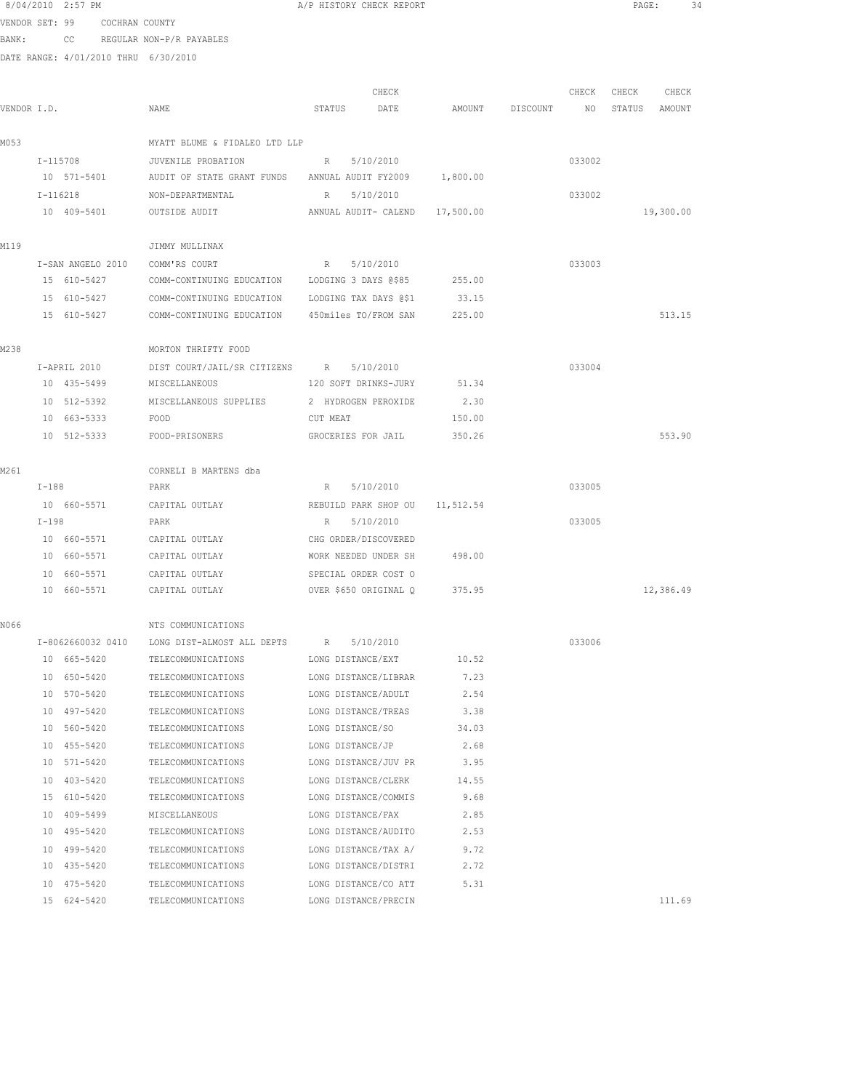| 8/04/2010 2:57 PM |  |
|-------------------|--|
|                   |  |

A/P HISTORY CHECK REPORT **PAGE:** 34

VENDOR SET: 99 COCHRAN COUNTY BANK: CC REGULAR NON-P/R PAYABLES

| VENDOR I.D. |                   | NAME                                                    | CHECK<br>STATUS<br>DATE        | DISCOUNT  | CHECK<br>NO | CHECK<br>STATUS | CHECK<br>AMOUNT |           |
|-------------|-------------------|---------------------------------------------------------|--------------------------------|-----------|-------------|-----------------|-----------------|-----------|
| M053        |                   | MYATT BLUME & FIDALEO LTD LLP                           |                                |           |             |                 |                 |           |
|             | I-115708          | JUVENILE PROBATION<br>$R$ and $R$                       | 5/10/2010                      |           |             | 033002          |                 |           |
|             | 10 571-5401       | AUDIT OF STATE GRANT FUNDS ANNUAL AUDIT FY2009 1,800.00 |                                |           |             |                 |                 |           |
|             | I-116218          | NON-DEPARTMENTAL                                        | R 5/10/2010                    |           |             | 033002          |                 |           |
|             | 10 409-5401       | OUTSIDE AUDIT                                           | ANNUAL AUDIT- CALEND 17,500.00 |           |             |                 |                 | 19,300.00 |
| M119        |                   | JIMMY MULLINAX                                          |                                |           |             |                 |                 |           |
|             | I-SAN ANGELO 2010 | COMM'RS COURT                                           | R 5/10/2010                    |           |             | 033003          |                 |           |
|             | 15 610-5427       | COMM-CONTINUING EDUCATION                               | LODGING 3 DAYS @\$85           | 255.00    |             |                 |                 |           |
|             | 15 610-5427       | COMM-CONTINUING EDUCATION                               | LODGING TAX DAYS @\$1          | 33.15     |             |                 |                 |           |
|             | 15 610-5427       | COMM-CONTINUING EDUCATION 450miles TO/FROM SAN          |                                | 225.00    |             |                 |                 | 513.15    |
| M238        |                   | MORTON THRIFTY FOOD                                     |                                |           |             |                 |                 |           |
|             | I-APRIL 2010      | DIST COURT/JAIL/SR CITIZENS R                           | 5/10/2010                      |           |             | 033004          |                 |           |
|             | 10 435-5499       | MISCELLANEOUS                                           | 120 SOFT DRINKS-JURY           | 51.34     |             |                 |                 |           |
|             | 10 512-5392       | MISCELLANEOUS SUPPLIES                                  | 2 HYDROGEN PEROXIDE            | 2.30      |             |                 |                 |           |
|             | 10 663-5333       | FOOD                                                    | CUT MEAT                       | 150.00    |             |                 |                 |           |
|             | 10 512-5333       | FOOD-PRISONERS                                          | GROCERIES FOR JAIL             | 350.26    |             |                 |                 | 553.90    |
| M261        |                   | CORNELI B MARTENS dba                                   |                                |           |             |                 |                 |           |
|             | $I-188$           | PARK                                                    | 5/10/2010<br>R                 |           |             | 033005          |                 |           |
|             | 10 660-5571       | CAPITAL OUTLAY                                          | REBUILD PARK SHOP OU           | 11,512.54 |             |                 |                 |           |
|             | $I-198$           | PARK                                                    | 5/10/2010<br>R                 |           |             | 033005          |                 |           |
|             | 10 660-5571       | CAPITAL OUTLAY                                          | CHG ORDER/DISCOVERED           |           |             |                 |                 |           |
|             | 10 660-5571       | CAPITAL OUTLAY                                          | WORK NEEDED UNDER SH           | 498.00    |             |                 |                 |           |
|             | 10 660-5571       | CAPITAL OUTLAY                                          | SPECIAL ORDER COST O           |           |             |                 |                 |           |
|             | 10 660-5571       | CAPITAL OUTLAY                                          | OVER \$650 ORIGINAL Q          | 375.95    |             |                 |                 | 12,386.49 |
| N066        |                   | NTS COMMUNICATIONS                                      |                                |           |             |                 |                 |           |
|             | I-8062660032 0410 | LONG DIST-ALMOST ALL DEPTS R                            | 5/10/2010                      |           |             | 033006          |                 |           |
|             | 10 665-5420       | TELECOMMUNICATIONS                                      | LONG DISTANCE/EXT              | 10.52     |             |                 |                 |           |
|             | 10 650-5420       | TELECOMMUNICATIONS                                      | LONG DISTANCE/LIBRAR           | 7.23      |             |                 |                 |           |
|             | 10 570-5420       | TELECOMMUNICATIONS                                      | LONG DISTANCE/ADULT            | 2.54      |             |                 |                 |           |
|             | 10 497-5420       | TELECOMMUNICATIONS                                      | LONG DISTANCE/TREAS            | 3.38      |             |                 |                 |           |
|             | 10 560-5420       | TELECOMMUNICATIONS                                      | LONG DISTANCE/SO               | 34.03     |             |                 |                 |           |
|             | 10 455-5420       | TELECOMMUNICATIONS                                      | LONG DISTANCE/JP               | 2.68      |             |                 |                 |           |
|             | 10 571-5420       | TELECOMMUNICATIONS                                      | LONG DISTANCE/JUV PR 3.95      |           |             |                 |                 |           |
|             | 10 403-5420       | TELECOMMUNICATIONS LONG DISTANCE/CLERK 14.55            |                                |           |             |                 |                 |           |
|             | 15 610-5420       | TELECOMMUNICATIONS                                      | LONG DISTANCE/COMMIS           | 9.68      |             |                 |                 |           |
|             | 10 409-5499       | MISCELLANEOUS                                           | LONG DISTANCE/FAX              | 2.85      |             |                 |                 |           |
|             | 10 495-5420       | TELECOMMUNICATIONS                                      | LONG DISTANCE/AUDITO           | 2.53      |             |                 |                 |           |
|             | 10 499-5420       | TELECOMMUNICATIONS                                      | LONG DISTANCE/TAX A/           | 9.72      |             |                 |                 |           |
|             | 10 435-5420       | TELECOMMUNICATIONS                                      | LONG DISTANCE/DISTRI           | 2.72      |             |                 |                 |           |
|             | 10 475-5420       | TELECOMMUNICATIONS                                      | LONG DISTANCE/CO ATT           | 5.31      |             |                 |                 |           |
|             | 15 624-5420       | TELECOMMUNICATIONS                                      | LONG DISTANCE/PRECIN           |           |             |                 |                 | 111.69    |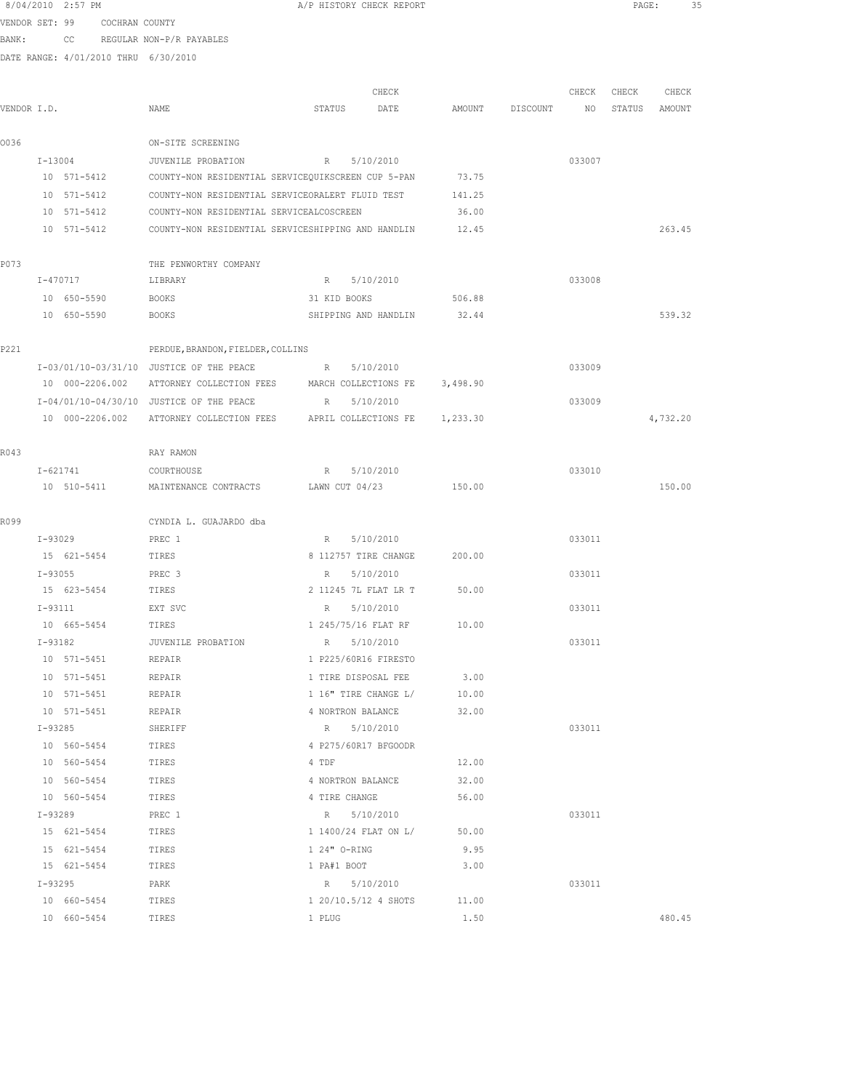|                |             | 8/04/2010 2:57 PM |                |                                                    | A/P HISTORY CHECK REPORT |                      |          |          |        | PAGE:  | 35       |  |
|----------------|-------------|-------------------|----------------|----------------------------------------------------|--------------------------|----------------------|----------|----------|--------|--------|----------|--|
| VENDOR SET: 99 |             |                   | COCHRAN COUNTY |                                                    |                          |                      |          |          |        |        |          |  |
| BANK:          |             | cc                |                | REGULAR NON-P/R PAYABLES                           |                          |                      |          |          |        |        |          |  |
|                |             |                   |                | DATE RANGE: 4/01/2010 THRU 6/30/2010               |                          |                      |          |          |        |        |          |  |
|                |             |                   |                |                                                    |                          |                      |          |          |        |        |          |  |
|                |             |                   |                |                                                    |                          | CHECK                |          |          | CHECK  | CHECK  | CHECK    |  |
| VENDOR I.D.    |             |                   |                | NAME                                               | STATUS                   | DATE                 | AMOUNT   | DISCOUNT | NO     | STATUS | AMOUNT   |  |
| 0036           |             |                   |                | ON-SITE SCREENING                                  |                          |                      |          |          |        |        |          |  |
|                | $I-13004$   |                   |                | JUVENILE PROBATION                                 | R                        | 5/10/2010            |          |          | 033007 |        |          |  |
|                |             | 10 571-5412       |                | COUNTY-NON RESIDENTIAL SERVICEQUIKSCREEN CUP 5-PAN |                          |                      | 73.75    |          |        |        |          |  |
|                |             | 10 571-5412       |                | COUNTY-NON RESIDENTIAL SERVICEORALERT FLUID TEST   |                          |                      | 141.25   |          |        |        |          |  |
|                |             | 10 571-5412       |                | COUNTY-NON RESIDENTIAL SERVICEALCOSCREEN           |                          |                      | 36.00    |          |        |        |          |  |
|                |             | 10 571-5412       |                | COUNTY-NON RESIDENTIAL SERVICESHIPPING AND HANDLIN |                          |                      | 12.45    |          |        |        | 263.45   |  |
|                |             |                   |                |                                                    |                          |                      |          |          |        |        |          |  |
| P073           |             |                   |                | THE PENWORTHY COMPANY                              |                          |                      |          |          |        |        |          |  |
|                |             | I-470717          |                | LIBRARY                                            | R                        | 5/10/2010            |          |          | 033008 |        |          |  |
|                |             | 10 650-5590       |                | <b>BOOKS</b>                                       | 31 KID BOOKS             |                      | 506.88   |          |        |        |          |  |
|                |             | 10 650-5590       |                | <b>BOOKS</b>                                       |                          | SHIPPING AND HANDLIN | 32.44    |          |        |        | 539.32   |  |
| P221           |             |                   |                | PERDUE, BRANDON, FIELDER, COLLINS                  |                          |                      |          |          |        |        |          |  |
|                |             |                   |                | I-03/01/10-03/31/10 JUSTICE OF THE PEACE           | R                        | 5/10/2010            |          |          | 033009 |        |          |  |
|                |             | 10 000-2206.002   |                | ATTORNEY COLLECTION FEES MARCH COLLECTIONS FE      |                          |                      | 3,498.90 |          |        |        |          |  |
|                |             |                   |                | I-04/01/10-04/30/10 JUSTICE OF THE PEACE           | R                        | 5/10/2010            |          |          | 033009 |        |          |  |
|                |             | 10 000-2206.002   |                | ATTORNEY COLLECTION FEES APRIL COLLECTIONS FE      |                          |                      | 1,233.30 |          |        |        | 4,732.20 |  |
| R043           |             |                   |                | RAY RAMON                                          |                          |                      |          |          |        |        |          |  |
|                |             | I-621741          |                | COURTHOUSE                                         | R                        | 5/10/2010            |          |          | 033010 |        |          |  |
|                |             | 10 510-5411       |                | MAINTENANCE CONTRACTS                              | LAWN CUT 04/23           |                      | 150.00   |          |        |        | 150.00   |  |
| R099           |             |                   |                | CYNDIA L. GUAJARDO dba                             |                          |                      |          |          |        |        |          |  |
|                | I-93029     |                   |                | PREC 1                                             | R                        | 5/10/2010            |          |          | 033011 |        |          |  |
|                |             | 15 621-5454       |                | TIRES                                              | 8 112757 TIRE CHANGE     |                      | 200.00   |          |        |        |          |  |
|                | $I - 93055$ |                   |                | PREC 3                                             | R                        | 5/10/2010            |          |          | 033011 |        |          |  |
|                |             | 15 623-5454       |                | TIRES                                              | 2 11245 7L FLAT LR T     |                      | 50.00    |          |        |        |          |  |
|                | I-93111     |                   |                | EXT SVC                                            | R 5/10/2010              |                      |          |          | 033011 |        |          |  |
|                |             | 10 665-5454       |                | TIRES                                              | 1 245/75/16 FLAT RF      |                      | 10.00    |          |        |        |          |  |
|                | I-93182     |                   |                | JUVENILE PROBATION                                 | R 5/10/2010              |                      |          |          | 033011 |        |          |  |
|                |             | 10 571-5451       |                | REPAIR                                             | 1 P225/60R16 FIRESTO     |                      |          |          |        |        |          |  |
|                |             | 10 571-5451       |                | REPAIR                                             | 1 TIRE DISPOSAL FEE      |                      | 3.00     |          |        |        |          |  |
|                |             | 10 571-5451       |                | REPAIR                                             | 1 16" TIRE CHANGE L/     |                      | 10.00    |          |        |        |          |  |
|                |             | 10 571-5451       |                | REPAIR                                             | 4 NORTRON BALANCE        |                      | 32.00    |          |        |        |          |  |
|                | $I-93285$   |                   |                | SHERIFF                                            | R 5/10/2010              |                      |          |          | 033011 |        |          |  |
|                |             | 10 560-5454       |                | TIRES                                              | 4 P275/60R17 BFGOODR     |                      |          |          |        |        |          |  |
|                |             | 10 560-5454       |                | TIRES                                              | 4 TDF                    |                      | 12.00    |          |        |        |          |  |
|                |             | 10 560-5454       |                | TIRES                                              | 4 NORTRON BALANCE        |                      | 32.00    |          |        |        |          |  |
|                |             | 10 560-5454       |                | TIRES                                              | 4 TIRE CHANGE            |                      | 56.00    |          |        |        |          |  |
|                | $I-93289$   |                   |                | PREC 1                                             |                          | R 5/10/2010          |          |          | 033011 |        |          |  |
|                |             | 15 621-5454       |                | TIRES                                              |                          | 1 1400/24 FLAT ON L/ | 50.00    |          |        |        |          |  |
|                |             | 15 621-5454       |                | TIRES                                              | 1 24" O-RING             |                      | 9.95     |          |        |        |          |  |
|                |             | 15 621-5454       |                | TIRES                                              | 1 PA#1 BOOT              |                      | 3.00     |          |        |        |          |  |
|                | I-93295     |                   |                | PARK                                               | R 5/10/2010              |                      |          |          | 033011 |        |          |  |
|                |             | 10 660-5454       |                | TIRES                                              |                          | 1 20/10.5/12 4 SHOTS | 11.00    |          |        |        |          |  |
|                |             | 10 660-5454       |                | TIRES                                              | 1 PLUG                   |                      | 1.50     |          |        |        | 480.45   |  |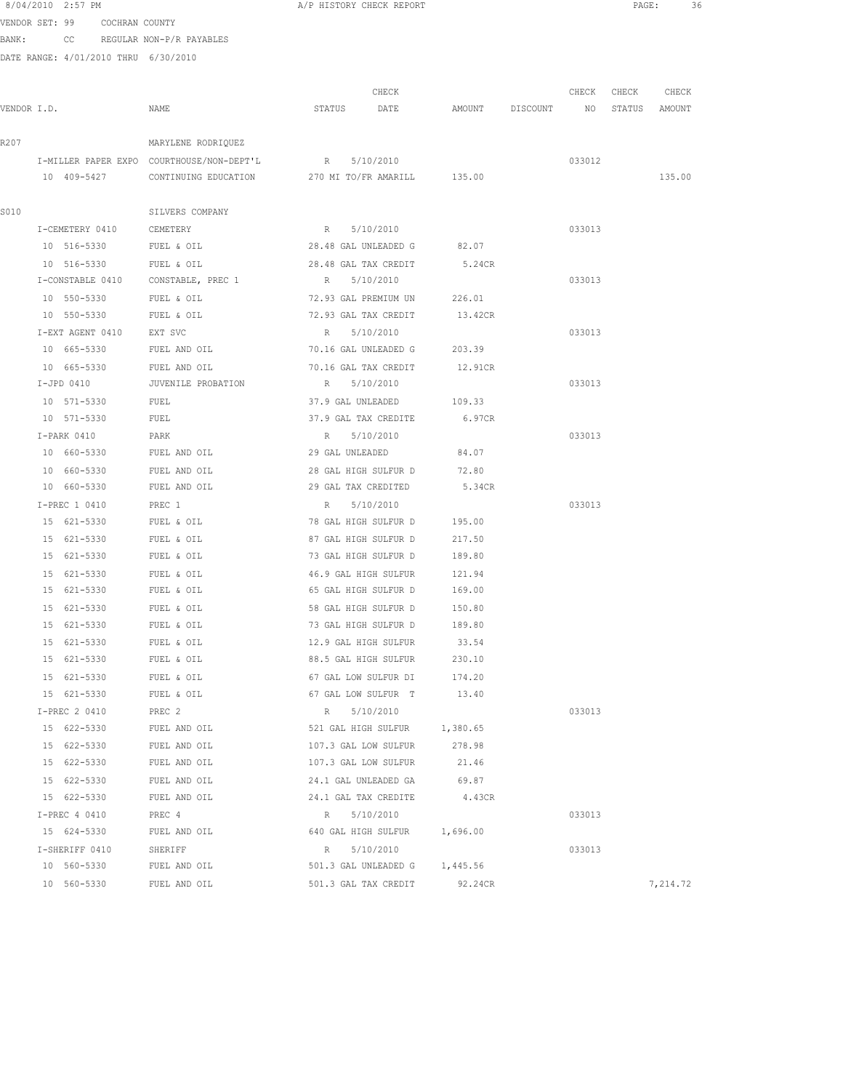8/04/2010 2:57 PM **A**/P HISTORY CHECK REPORT **A** A A A A A A A A AGE: 36 VENDOR SET: 99 COCHRAN COUNTY

BANK: CC REGULAR NON-P/R PAYABLES

|             |                            |                                                  |                                                | CHECK |                 | CHECK           | CHECK  | CHECK    |
|-------------|----------------------------|--------------------------------------------------|------------------------------------------------|-------|-----------------|-----------------|--------|----------|
| VENDOR I.D. |                            | NAME                                             | STATUS                                         | DATE  | AMOUNT DISCOUNT | NO <sub>1</sub> | STATUS | AMOUNT   |
| R207        |                            | MARYLENE RODRIQUEZ                               |                                                |       |                 |                 |        |          |
|             |                            | I-MILLER PAPER EXPO COURTHOUSE/NON-DEPT'L R      | 5/10/2010                                      |       |                 | 033012          |        |          |
|             | 10 409-5427                | CONTINUING EDUCATION 270 MI TO/FR AMARILL 135.00 |                                                |       |                 |                 |        | 135.00   |
|             |                            |                                                  |                                                |       |                 |                 |        |          |
| S010        |                            | SILVERS COMPANY                                  |                                                |       |                 |                 |        |          |
|             | I-CEMETERY 0410            | CEMETERY                                         | R<br>5/10/2010                                 |       |                 | 033013          |        |          |
|             | 10 516-5330                | FUEL & OIL                                       | 28.48 GAL UNLEADED G                           |       | 82.07           |                 |        |          |
|             | 10 516-5330                | FUEL & OIL                                       | 28.48 GAL TAX CREDIT                           |       | 5.24CR          |                 |        |          |
|             | I-CONSTABLE 0410           | CONSTABLE, PREC 1                                | R 5/10/2010                                    |       |                 | 033013          |        |          |
|             | 10 550-5330                | FUEL & OIL                                       | 72.93 GAL PREMIUM UN                           |       | 226.01          |                 |        |          |
|             | 10 550-5330                | FUEL & OIL                                       | 72.93 GAL TAX CREDIT                           |       | 13.42CR         |                 |        |          |
|             | I-EXT AGENT 0410           | EXT SVC                                          | R<br>5/10/2010                                 |       |                 | 033013          |        |          |
|             | 10 665-5330                | FUEL AND OIL                                     | 70.16 GAL UNLEADED G                           |       | 203.39          |                 |        |          |
|             | 10 665-5330                | FUEL AND OIL                                     | 70.16 GAL TAX CREDIT                           |       | 12.91CR         |                 |        |          |
|             | $I-JPD$ 0410               | JUVENILE PROBATION                               | R 5/10/2010                                    |       |                 | 033013          |        |          |
|             | 10 571-5330                | FUEL                                             | 37.9 GAL UNLEADED                              |       | 109.33          |                 |        |          |
|             | 10 571-5330                | FUEL                                             | 37.9 GAL TAX CREDITE                           |       | 6.97CR          |                 |        |          |
|             | I-PARK 0410                | PARK                                             | R<br>5/10/2010                                 |       |                 | 033013          |        |          |
|             | 10 660-5330                | FUEL AND OIL                                     | 29 GAL UNLEADED                                |       | 84.07           |                 |        |          |
|             | 10 660-5330                | FUEL AND OIL                                     | 28 GAL HIGH SULFUR D                           |       | 72.80           |                 |        |          |
|             | 10 660-5330                | FUEL AND OIL                                     | 29 GAL TAX CREDITED                            |       | 5.34CR          |                 |        |          |
|             | I-PREC 1 0410              | PREC 1                                           | R 5/10/2010                                    |       |                 | 033013          |        |          |
|             | 15 621-5330                | FUEL & OIL                                       | 78 GAL HIGH SULFUR D                           |       | 195.00          |                 |        |          |
|             | 15 621-5330                | FUEL & OIL                                       | 87 GAL HIGH SULFUR D                           |       | 217.50          |                 |        |          |
|             | 15 621-5330                | FUEL & OIL                                       | 73 GAL HIGH SULFUR D                           |       | 189.80          |                 |        |          |
|             | 15 621-5330                | FUEL & OIL                                       | 46.9 GAL HIGH SULFUR                           |       | 121.94          |                 |        |          |
|             | 15 621-5330                | FUEL & OIL                                       | 65 GAL HIGH SULFUR D                           |       | 169.00          |                 |        |          |
|             | 15 621-5330                | FUEL & OIL                                       | 58 GAL HIGH SULFUR D                           |       | 150.80          |                 |        |          |
|             | 15 621-5330                | FUEL & OIL                                       | 73 GAL HIGH SULFUR D                           |       | 189.80          |                 |        |          |
|             | 15 621-5330<br>15 621-5330 | FUEL & OIL<br>FUEL & OIL                         | 12.9 GAL HIGH SULFUR<br>88.5 GAL HIGH SULFUR   |       | 33.54<br>230.10 |                 |        |          |
|             | 15 621-5330                |                                                  |                                                |       |                 |                 |        |          |
|             | 15 621-5330                | FUEL & OIL<br>FUEL & OIL                         | 67 GAL LOW SULFUR DI<br>67 GAL LOW SULFUR T    |       | 174.20<br>13.40 |                 |        |          |
|             | I-PREC 2 0410              | PREC 2                                           |                                                |       |                 | 033013          |        |          |
|             | 15 622-5330                | FUEL AND OIL                                     | 5/10/2010<br>R<br>521 GAL HIGH SULFUR 1,380.65 |       |                 |                 |        |          |
|             | 15 622-5330                | FUEL AND OIL                                     | 107.3 GAL LOW SULFUR                           |       | 278.98          |                 |        |          |
|             | 15 622-5330                | FUEL AND OIL                                     | 107.3 GAL LOW SULFUR                           |       | 21.46           |                 |        |          |
|             | 15 622-5330                | FUEL AND OIL                                     | 24.1 GAL UNLEADED GA                           |       | 69.87           |                 |        |          |
|             | 15 622-5330                | FUEL AND OIL                                     | 24.1 GAL TAX CREDITE                           |       | 4.43CR          |                 |        |          |
|             | I-PREC 4 0410              | PREC 4                                           | R 5/10/2010                                    |       |                 | 033013          |        |          |
|             | 15 624-5330                | FUEL AND OIL                                     | 640 GAL HIGH SULFUR                            |       | 1,696.00        |                 |        |          |
|             | I-SHERIFF 0410             | SHERIFF                                          | 5/10/2010<br>R                                 |       |                 | 033013          |        |          |
|             | 10 560-5330                | FUEL AND OIL                                     | 501.3 GAL UNLEADED G                           |       | 1,445.56        |                 |        |          |
|             | 10 560-5330                | FUEL AND OIL                                     | 501.3 GAL TAX CREDIT                           |       | 92.24CR         |                 |        | 7,214.72 |
|             |                            |                                                  |                                                |       |                 |                 |        |          |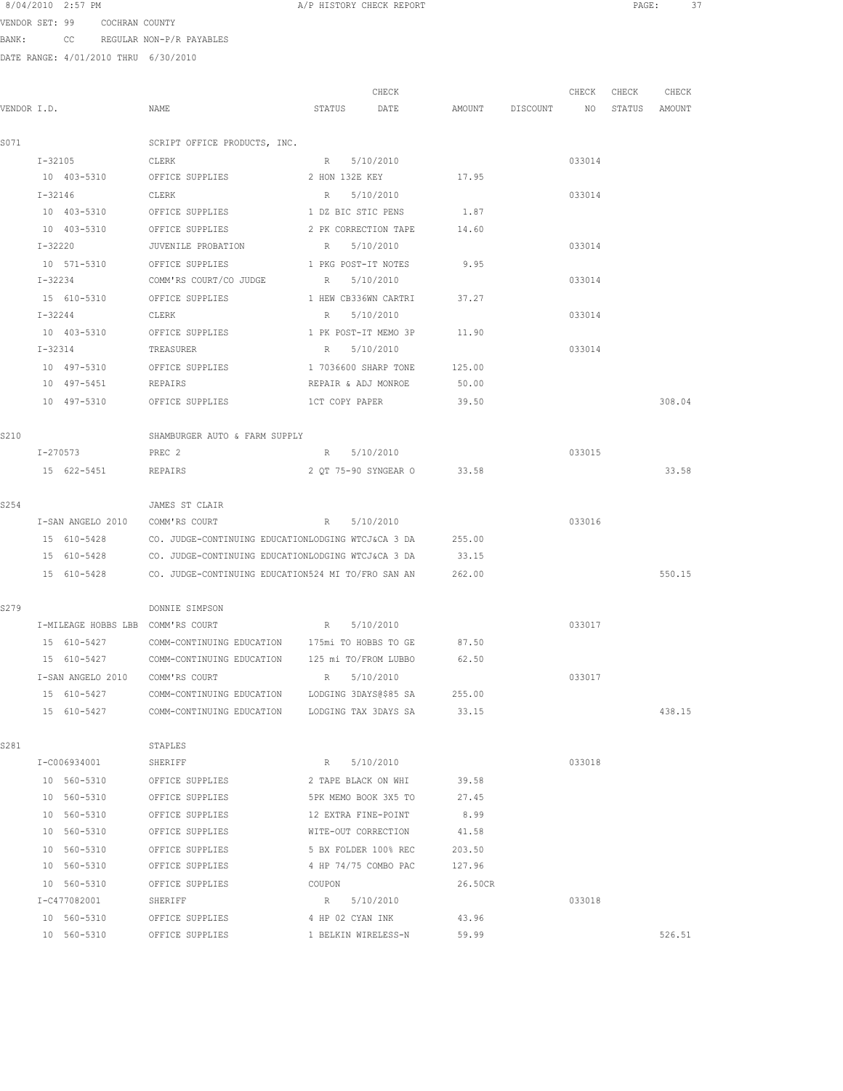VENDOR SET: 99 COCHRAN COUNTY BANK: CC REGULAR NON-P/R PAYABLES

| VENDOR I.D. |                                   | NAME                                                      | CHECK<br>STATUS<br>DATE                 |                | AMOUNT DISCOUNT NO | CHECK  | CHECK<br>STATUS AMOUNT | CHECK  |
|-------------|-----------------------------------|-----------------------------------------------------------|-----------------------------------------|----------------|--------------------|--------|------------------------|--------|
|             |                                   |                                                           |                                         |                |                    |        |                        |        |
| S071        |                                   | SCRIPT OFFICE PRODUCTS, INC.                              |                                         |                |                    |        |                        |        |
|             | $I - 32105$                       | CLERK                                                     | R 5/10/2010                             |                |                    | 033014 |                        |        |
|             | 10 403-5310 OFFICE SUPPLIES       |                                                           | 2 HON 132E KEY 17.95                    |                |                    |        |                        |        |
|             | $I - 32146$                       | CLERK                                                     | R 5/10/2010                             |                |                    | 033014 |                        |        |
|             | 10 403-5310 OFFICE SUPPLIES       |                                                           | 1 DZ BIC STIC PENS                      | 1.87           |                    |        |                        |        |
|             | 10 403-5310                       | OFFICE SUPPLIES                                           | 2 PK CORRECTION TAPE                    | 14.60          |                    |        |                        |        |
|             | I-32220                           | JUVENILE PROBATION                                        | R 5/10/2010                             |                |                    | 033014 |                        |        |
|             | 10 571-5310                       | OFFICE SUPPLIES                                           | 1 PKG POST-IT NOTES                     | 9.95           |                    |        |                        |        |
|             | I-32234                           | COMM'RS COURT/CO JUDGE                                    | R 5/10/2010                             |                |                    | 033014 |                        |        |
|             | 15 610-5310                       | OFFICE SUPPLIES                                           | 1 HEW CB336WN CARTRI                    | 37.27          |                    |        |                        |        |
|             | I-32244                           | CLERK                                                     | 5/10/2010<br>R                          |                |                    | 033014 |                        |        |
|             | 10 403-5310                       | OFFICE SUPPLIES                                           | 1 PK POST-IT MEMO 3P                    | 11.90          |                    |        |                        |        |
|             | I-32314                           | TREASURER                                                 | 5/10/2010<br>R                          |                |                    | 033014 |                        |        |
|             | 10 497-5310                       | OFFICE SUPPLIES                                           | 1 7036600 SHARP TONE                    | 125.00         |                    |        |                        |        |
|             | 10 497-5451 REPAIRS               |                                                           | REPAIR & ADJ MONROE                     | 50.00          |                    |        |                        |        |
|             |                                   | 10 497-5310 OFFICE SUPPLIES                               | 1CT COPY PAPER                          | 39.50          |                    |        |                        | 308.04 |
| S210        |                                   | SHAMBURGER AUTO & FARM SUPPLY                             |                                         |                |                    |        |                        |        |
|             | I-270573                          | PREC 2                                                    | R 5/10/2010                             |                |                    | 033015 |                        |        |
|             | 15 622-5451                       | REPAIRS                                                   | 2 OT 75-90 SYNGEAR O 33.58              |                |                    |        |                        | 33.58  |
|             |                                   |                                                           |                                         |                |                    |        |                        |        |
| S254        |                                   | JAMES ST CLAIR                                            |                                         |                |                    |        |                        |        |
|             | I-SAN ANGELO 2010 COMM'RS COURT   |                                                           | R 5/10/2010                             |                |                    | 033016 |                        |        |
|             | 15 610-5428                       | CO. JUDGE-CONTINUING EDUCATIONLODGING WTCJ&CA 3 DA 255.00 |                                         |                |                    |        |                        |        |
|             | 15 610-5428                       | CO. JUDGE-CONTINUING EDUCATIONLODGING WTCJ&CA 3 DA        |                                         | 33.15          |                    |        |                        |        |
|             | 15 610-5428                       | CO. JUDGE-CONTINUING EDUCATION524 MI TO/FRO SAN AN        |                                         | 262.00         |                    |        |                        | 550.15 |
| S279        |                                   | DONNIE SIMPSON                                            |                                         |                |                    |        |                        |        |
|             | I-MILEAGE HOBBS LBB COMM'RS COURT |                                                           | R 5/10/2010                             |                |                    | 033017 |                        |        |
|             | 15 610-5427                       | COMM-CONTINUING EDUCATION 175mi TO HOBBS TO GE            |                                         | 87.50          |                    |        |                        |        |
|             | 15 610-5427                       | COMM-CONTINUING EDUCATION 125 mi TO/FROM LUBBO            |                                         | 62.50          |                    |        |                        |        |
|             | I-SAN ANGELO 2010 COMM'RS COURT   |                                                           | R 5/10/2010                             |                |                    | 033017 |                        |        |
|             | 15 610-5427                       | COMM-CONTINUING EDUCATION LODGING 3DAYS@\$85 SA           |                                         | 255.00         |                    |        |                        |        |
|             | 15 610-5427                       | COMM-CONTINUING EDUCATION LODGING TAX 3DAYS SA 33.15      |                                         |                |                    |        |                        | 438.15 |
| S281        |                                   | STAPLES                                                   |                                         |                |                    |        |                        |        |
|             | I-C006934001                      | SHERIFF                                                   | R 5/10/2010                             |                |                    | 033018 |                        |        |
|             | 10 560-5310                       | OFFICE SUPPLIES                                           | 2 TAPE BLACK ON WHI 39.58               |                |                    |        |                        |        |
|             | 10 560-5310                       | OFFICE SUPPLIES                                           | 5PK MEMO BOOK 3X5 TO                    | 27.45          |                    |        |                        |        |
|             | 10 560-5310                       | OFFICE SUPPLIES                                           | 12 EXTRA FINE-POINT                     | 8.99           |                    |        |                        |        |
|             | 10 560-5310                       | OFFICE SUPPLIES                                           | WITE-OUT CORRECTION 41.58               |                |                    |        |                        |        |
|             | 10 560-5310                       | OFFICE SUPPLIES                                           | 5 BX FOLDER 100% REC                    | 203.50         |                    |        |                        |        |
|             | 10 560-5310                       | OFFICE SUPPLIES                                           | 4 HP 74/75 COMBO PAC                    | 127.96         |                    |        |                        |        |
|             | 10 560-5310                       |                                                           |                                         | 26.50CR        |                    |        |                        |        |
|             | I-C477082001                      | OFFICE SUPPLIES<br>SHERIFF                                | COUPON<br>R 5/10/2010                   |                |                    | 033018 |                        |        |
|             | 10 560-5310                       |                                                           |                                         |                |                    |        |                        |        |
|             | 10 560-5310                       | OFFICE SUPPLIES<br>OFFICE SUPPLIES                        | 4 HP 02 CYAN INK<br>1 BELKIN WIRELESS-N | 43.96<br>59.99 |                    |        |                        | 526.51 |
|             |                                   |                                                           |                                         |                |                    |        |                        |        |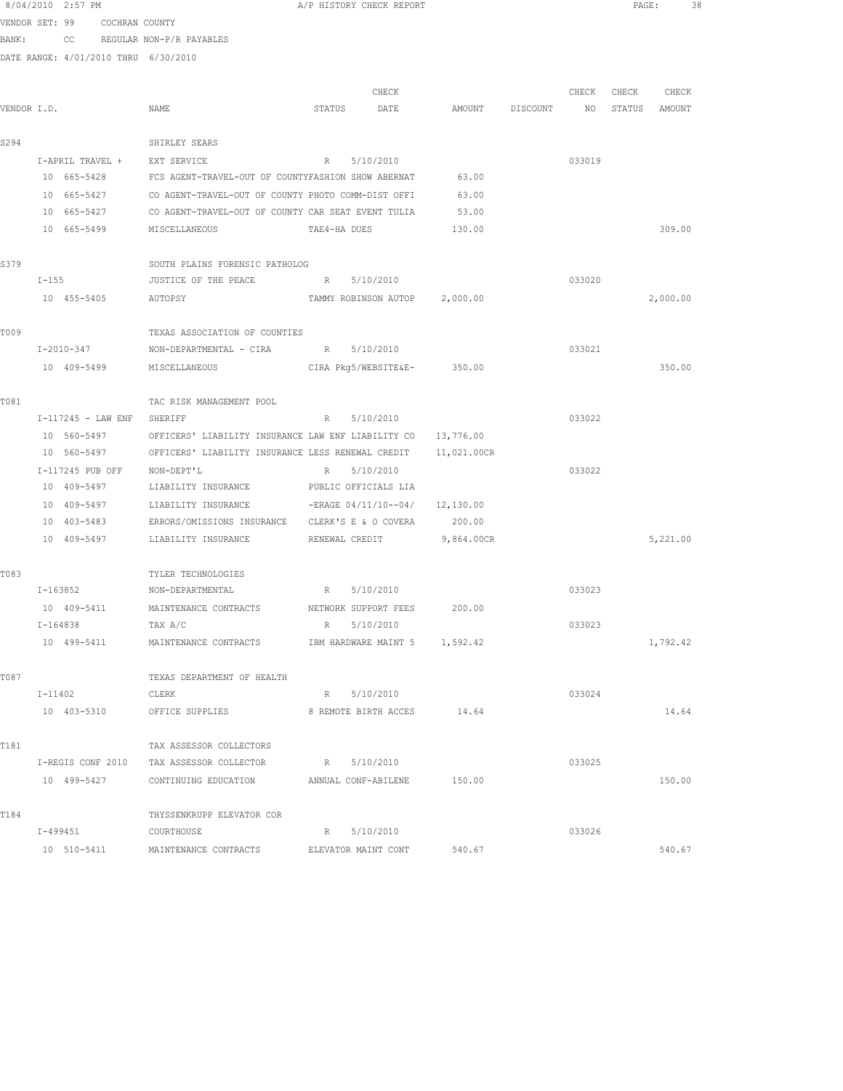|                |          | 8/04/2010 2:57 PM |                |                                                               |                | A/P HISTORY CHECK REPORT         |             |          |        | PAGE:  | 38       |  |
|----------------|----------|-------------------|----------------|---------------------------------------------------------------|----------------|----------------------------------|-------------|----------|--------|--------|----------|--|
| VENDOR SET: 99 |          |                   | COCHRAN COUNTY |                                                               |                |                                  |             |          |        |        |          |  |
| BANK:          |          |                   |                | CC REGULAR NON-P/R PAYABLES                                   |                |                                  |             |          |        |        |          |  |
|                |          |                   |                | DATE RANGE: 4/01/2010 THRU 6/30/2010                          |                |                                  |             |          |        |        |          |  |
|                |          |                   |                |                                                               |                | CHECK                            |             |          | CHECK  | CHECK  | CHECK    |  |
| VENDOR I.D.    |          |                   |                | NAME                                                          | STATUS         | DATE                             | AMOUNT      | DISCOUNT | NO     | STATUS | AMOUNT   |  |
| S294           |          |                   |                | SHIRLEY SEARS                                                 |                |                                  |             |          |        |        |          |  |
|                |          | I-APRIL TRAVEL +  |                | EXT SERVICE                                                   | R              | 5/10/2010                        |             |          | 033019 |        |          |  |
|                |          | 10 665-5428       |                | FCS AGENT-TRAVEL-OUT OF COUNTYFASHION SHOW ABERNAT            |                |                                  | 63.00       |          |        |        |          |  |
|                |          | 10 665-5427       |                | CO AGENT-TRAVEL-OUT OF COUNTY PHOTO COMM-DIST OFFI            |                |                                  | 63.00       |          |        |        |          |  |
|                |          | 10 665-5427       |                | CO AGENT-TRAVEL-OUT OF COUNTY CAR SEAT EVENT TULIA            |                |                                  | 53.00       |          |        |        |          |  |
|                |          |                   |                |                                                               |                |                                  |             |          |        |        |          |  |
|                |          | 10 665-5499       |                | MISCELLANEOUS                                                 | TAE4-HA DUES   |                                  | 130.00      |          |        |        | 309.00   |  |
| S379           |          |                   |                | SOUTH PLAINS FORENSIC PATHOLOG                                |                |                                  |             |          |        |        |          |  |
|                | $I-155$  |                   |                | JUSTICE OF THE PEACE                                          |                | R 5/10/2010                      |             |          | 033020 |        |          |  |
|                |          | 10 455-5405       |                | AUTOPSY                                                       |                | TAMMY ROBINSON AUTOP 2,000.00    |             |          |        |        | 2,000.00 |  |
| T009           |          |                   |                | TEXAS ASSOCIATION OF COUNTIES                                 |                |                                  |             |          |        |        |          |  |
|                |          | I-2010-347        |                | NON-DEPARTMENTAL - CIRA R                                     |                | 5/10/2010                        |             |          | 033021 |        |          |  |
|                |          | 10 409-5499       |                | MISCELLANEOUS                                                 |                | CIRA Pkg5/WEBSITE&E-             | 350.00      |          |        |        | 350.00   |  |
|                |          |                   |                |                                                               |                |                                  |             |          |        |        |          |  |
| T081           |          |                   |                | TAC RISK MANAGEMENT POOL                                      |                |                                  |             |          |        |        |          |  |
|                |          |                   |                | I-117245 - LAW ENF SHERIFF                                    | $R_{\perp}$    | 5/10/2010                        |             |          | 033022 |        |          |  |
|                |          | 10 560-5497       |                | OFFICERS' LIABILITY INSURANCE LAW ENF LIABILITY CO            |                |                                  | 13,776.00   |          |        |        |          |  |
|                |          | 10 560-5497       |                | OFFICERS' LIABILITY INSURANCE LESS RENEWAL CREDIT             |                |                                  | 11,021.00CR |          |        |        |          |  |
|                |          | I-117245 PUB OFF  |                | NON-DEPT'L                                                    | R              | 5/10/2010                        |             |          | 033022 |        |          |  |
|                |          | 10 409-5497       |                | LIABILITY INSURANCE                                           |                | PUBLIC OFFICIALS LIA             |             |          |        |        |          |  |
|                |          | 10 409-5497       |                | LIABILITY INSURANCE                                           |                | $-ERAGE 04/11/10--04/ 12,130.00$ |             |          |        |        |          |  |
|                |          | 10 403-5483       |                | ERRORS/OMISSIONS INSURANCE                                    |                | CLERK'S E & O COVERA             | 200.00      |          |        |        |          |  |
|                |          | 10 409-5497       |                | LIABILITY INSURANCE                                           | RENEWAL CREDIT |                                  | 9,864.00CR  |          |        |        | 5,221.00 |  |
| T083           |          |                   |                | TYLER TECHNOLOGIES                                            |                |                                  |             |          |        |        |          |  |
|                |          |                   |                | I-163852 NON-DEPARTMENTAL                                     | R              | 5/10/2010                        |             |          | 033023 |        |          |  |
|                |          |                   |                | 10 409-5411 MAINTENANCE CONTRACTS NETWORK SUPPORT FEES 200.00 |                |                                  |             |          |        |        |          |  |
|                | I-164838 |                   |                | TAX A/C                                                       | R              | 5/10/2010                        |             |          | 033023 |        |          |  |
|                |          | 10 499-5411       |                | MAINTENANCE CONTRACTS                                         |                | IBM HARDWARE MAINT 5 1,592.42    |             |          |        |        | 1,792.42 |  |
| T087           |          |                   |                | TEXAS DEPARTMENT OF HEALTH                                    |                |                                  |             |          |        |        |          |  |
|                |          | I-11402           |                | CLERK                                                         |                | R 5/10/2010                      |             |          | 033024 |        |          |  |
|                |          | 10 403-5310       |                | OFFICE SUPPLIES                                               |                | 8 REMOTE BIRTH ACCES             | 14.64       |          |        |        | 14.64    |  |
|                |          |                   |                |                                                               |                |                                  |             |          |        |        |          |  |
| T181           |          |                   |                | TAX ASSESSOR COLLECTORS                                       |                |                                  |             |          |        |        |          |  |
|                |          | I-REGIS CONF 2010 |                | TAX ASSESSOR COLLECTOR                                        |                | R 5/10/2010                      |             |          | 033025 |        |          |  |
|                |          |                   | 10 499-5427    | CONTINUING EDUCATION ANNUAL CONF-ABILENE                      |                |                                  | 150.00      |          |        |        | 150.00   |  |
| T184           |          |                   |                | THYSSENKRUPP ELEVATOR COR                                     |                |                                  |             |          |        |        |          |  |
|                |          | I-499451          |                | COURTHOUSE                                                    |                | R 5/10/2010                      |             |          | 033026 |        |          |  |
|                |          | 10 510-5411       |                | MAINTENANCE CONTRACTS                                         |                | ELEVATOR MAINT CONT              | 540.67      |          |        |        | 540.67   |  |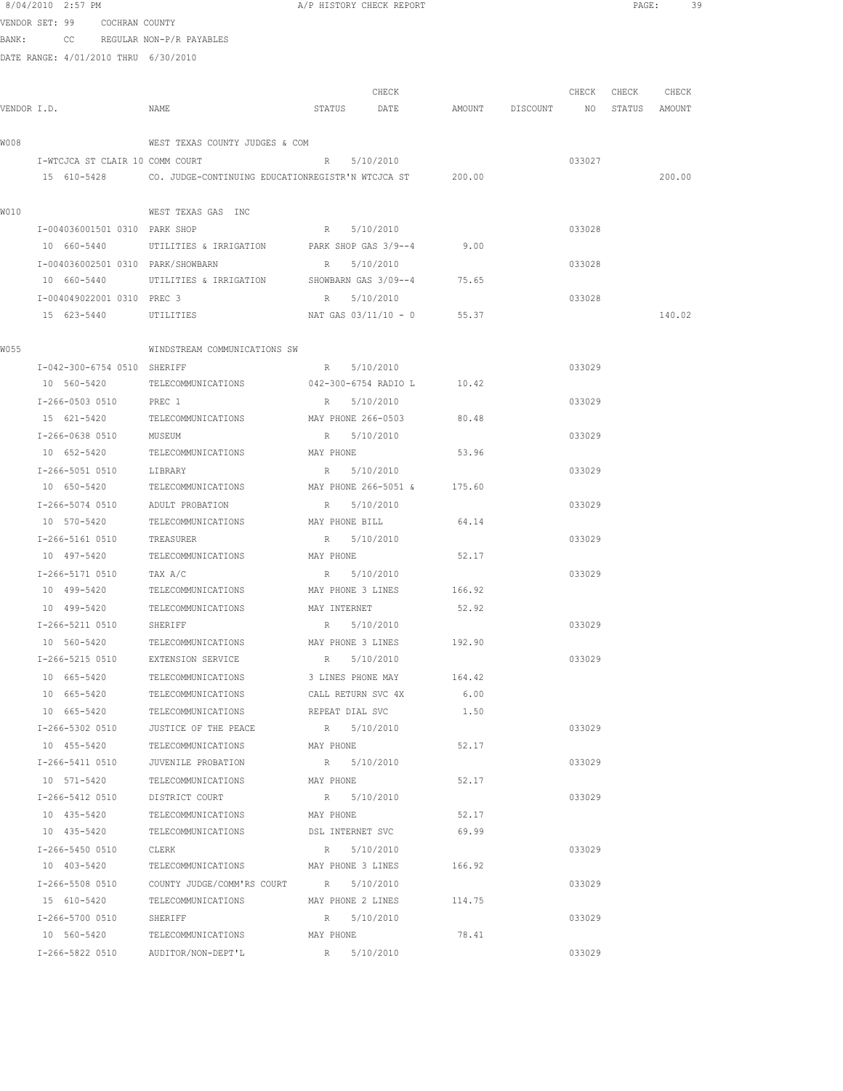|       | 8/04/2010 2:57 PM                    |                                                          | A/P HISTORY CHECK REPORT            |        |                                  |        |             | PAGE:<br>39 |  |
|-------|--------------------------------------|----------------------------------------------------------|-------------------------------------|--------|----------------------------------|--------|-------------|-------------|--|
|       | VENDOR SET: 99      COCHRAN COUNTY   |                                                          |                                     |        |                                  |        |             |             |  |
| BANK: |                                      | CC REGULAR NON-P/R PAYABLES                              |                                     |        |                                  |        |             |             |  |
|       | DATE RANGE: 4/01/2010 THRU 6/30/2010 |                                                          |                                     |        |                                  |        |             |             |  |
|       |                                      |                                                          |                                     |        |                                  |        |             |             |  |
|       |                                      |                                                          | CHECK                               |        |                                  |        | CHECK CHECK | CHECK       |  |
|       | VENDOR I.D.                          | NAME                                                     | STATUS DATE                         |        | AMOUNT DISCOUNT NO STATUS AMOUNT |        |             |             |  |
| W008  |                                      | WEST TEXAS COUNTY JUDGES & COM                           |                                     |        |                                  |        |             |             |  |
|       | I-WTCJCA ST CLAIR 10 COMM COURT      |                                                          | R 5/10/2010                         |        |                                  | 033027 |             |             |  |
|       | 15 610-5428                          | CO. JUDGE-CONTINUING EDUCATIONREGISTR'N WTCJCA ST 200.00 |                                     |        |                                  |        |             | 200.00      |  |
|       |                                      |                                                          |                                     |        |                                  |        |             |             |  |
| W010  |                                      | WEST TEXAS GAS INC                                       |                                     |        |                                  |        |             |             |  |
|       | I-004036001501 0310 PARK SHOP        |                                                          | R 5/10/2010                         |        |                                  | 033028 |             |             |  |
|       | 10 660-5440                          | UTILITIES & IRRIGATION                                   | PARK SHOP GAS 3/9--4                | 9.00   |                                  |        |             |             |  |
|       | I-004036002501 0310 PARK/SHOWBARN    |                                                          | R 5/10/2010                         |        |                                  | 033028 |             |             |  |
|       | 10 660-5440                          | UTILITIES & IRRIGATION                                   | SHOWBARN GAS 3/09--4                | 75.65  |                                  |        |             |             |  |
|       | I-004049022001 0310 PREC 3           |                                                          | R 5/10/2010                         |        |                                  | 033028 |             |             |  |
|       | 15 623-5440                          | UTILITIES                                                | NAT GAS 03/11/10 - 0 55.37          |        |                                  |        |             | 140.02      |  |
|       |                                      |                                                          |                                     |        |                                  |        |             |             |  |
| W055  |                                      | WINDSTREAM COMMUNICATIONS SW                             |                                     |        |                                  |        |             |             |  |
|       | I-042-300-6754 0510 SHERIFF          |                                                          | R 5/10/2010                         |        |                                  | 033029 |             |             |  |
|       | 10 560-5420                          | TELECOMMUNICATIONS 042-300-6754 RADIO L 10.42            |                                     |        |                                  |        |             |             |  |
|       | I-266-0503 0510 PREC 1               |                                                          | R 5/10/2010                         |        |                                  | 033029 |             |             |  |
|       | 15 621-5420                          | TELECOMMUNICATIONS                                       | MAY PHONE 266-0503                  | 80.48  |                                  |        |             |             |  |
|       | I-266-0638 0510                      | MUSEUM                                                   | R 5/10/2010                         |        |                                  | 033029 |             |             |  |
|       | 10 652-5420                          | TELECOMMUNICATIONS                                       | MAY PHONE                           | 53.96  |                                  |        |             |             |  |
|       | I-266-5051 0510                      | LIBRARY                                                  | R 5/10/2010                         |        |                                  | 033029 |             |             |  |
|       | 10 650-5420                          | TELECOMMUNICATIONS                                       | MAY PHONE 266-5051 & 175.60         |        |                                  |        |             |             |  |
|       | I-266-5074 0510                      | ADULT PROBATION                                          | R 5/10/2010                         |        |                                  | 033029 |             |             |  |
|       | 10 570-5420                          | TELECOMMUNICATIONS                                       | MAY PHONE BILL                      | 64.14  |                                  |        |             |             |  |
|       | I-266-5161 0510                      | TREASURER                                                | R 5/10/2010                         |        |                                  | 033029 |             |             |  |
|       | 10 497-5420                          | TELECOMMUNICATIONS                                       | MAY PHONE                           | 52.17  |                                  |        |             |             |  |
|       | I-266-5171 0510                      | TAX A/C                                                  | 5/10/2010<br>R                      |        |                                  | 033029 |             |             |  |
|       |                                      | 10 499-5420 TELECOMMUNICATIONS MAY PHONE 3 LINES 166.92  |                                     |        |                                  |        |             |             |  |
|       |                                      | 10 499-5420 TELECOMMUNICATIONS                           | MAY INTERNET                        | 52.92  |                                  |        |             |             |  |
|       | I-266-5211 0510<br>10 560-5420       | SHERIFF<br>TELECOMMUNICATIONS                            | 5/10/2010<br>R<br>MAY PHONE 3 LINES | 192.90 |                                  | 033029 |             |             |  |
|       | I-266-5215 0510                      | EXTENSION SERVICE                                        | R 5/10/2010                         |        |                                  | 033029 |             |             |  |
|       | 10 665-5420                          | TELECOMMUNICATIONS                                       | 3 LINES PHONE MAY                   | 164.42 |                                  |        |             |             |  |
|       | 10 665-5420                          | TELECOMMUNICATIONS                                       | CALL RETURN SVC 4X                  | 6.00   |                                  |        |             |             |  |
|       | 10 665-5420                          | TELECOMMUNICATIONS                                       | REPEAT DIAL SVC                     | 1.50   |                                  |        |             |             |  |
|       | I-266-5302 0510                      | JUSTICE OF THE PEACE                                     | R 5/10/2010                         |        |                                  | 033029 |             |             |  |
|       | 10 455-5420                          | TELECOMMUNICATIONS                                       | MAY PHONE                           | 52.17  |                                  |        |             |             |  |
|       | I-266-5411 0510                      | JUVENILE PROBATION                                       | R 5/10/2010                         |        |                                  | 033029 |             |             |  |
|       | 10 571-5420                          | TELECOMMUNICATIONS                                       | MAY PHONE                           | 52.17  |                                  |        |             |             |  |
|       | I-266-5412 0510                      | DISTRICT COURT                                           | R 5/10/2010                         |        |                                  | 033029 |             |             |  |
|       | 10 435-5420                          | TELECOMMUNICATIONS                                       | MAY PHONE                           | 52.17  |                                  |        |             |             |  |
|       | 10 435-5420                          | TELECOMMUNICATIONS                                       | DSL INTERNET SVC                    | 69.99  |                                  |        |             |             |  |
|       | I-266-5450 0510                      | CLERK                                                    | R 5/10/2010                         |        |                                  | 033029 |             |             |  |
|       | 10 403-5420                          | TELECOMMUNICATIONS                                       | MAY PHONE 3 LINES                   | 166.92 |                                  |        |             |             |  |
|       | I-266-5508 0510                      | COUNTY JUDGE/COMM'RS COURT R 5/10/2010                   |                                     |        |                                  | 033029 |             |             |  |
|       | 15 610-5420                          | TELECOMMUNICATIONS                                       | MAY PHONE 2 LINES                   | 114.75 |                                  |        |             |             |  |
|       | I-266-5700 0510                      | SHERIFF                                                  | R 5/10/2010                         |        |                                  | 033029 |             |             |  |
|       |                                      | 10 560-5420 TELECOMMUNICATIONS                           | MAY PHONE                           | 78.41  |                                  |        |             |             |  |

I-266-5822 0510 AUDITOR/NON-DEPT'L R 5/10/2010 033029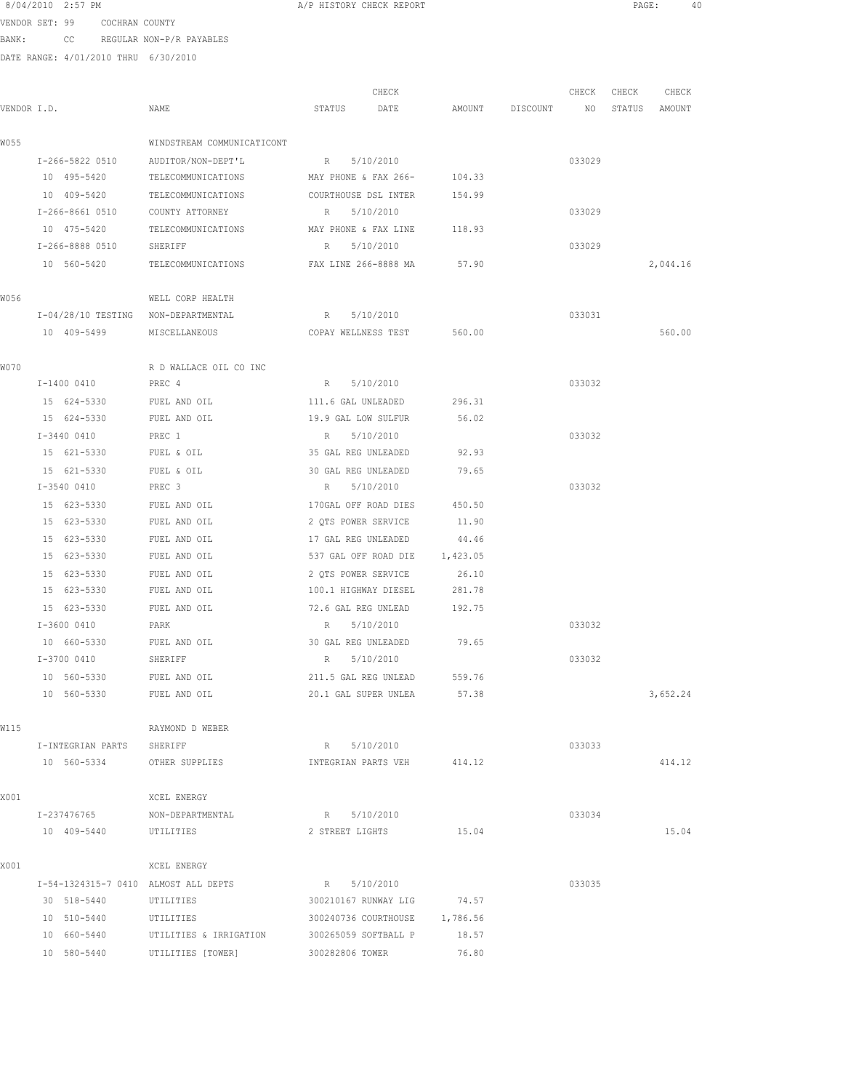|             | 8/04/2010 2:57 PM                    |                             | A/P HISTORY CHECK REPORT           |          |          |                 | PAGE:  | 40       |  |
|-------------|--------------------------------------|-----------------------------|------------------------------------|----------|----------|-----------------|--------|----------|--|
|             | VENDOR SET: 99 COCHRAN COUNTY        |                             |                                    |          |          |                 |        |          |  |
| BANK:       |                                      | CC REGULAR NON-P/R PAYABLES |                                    |          |          |                 |        |          |  |
|             | DATE RANGE: 4/01/2010 THRU 6/30/2010 |                             |                                    |          |          |                 |        |          |  |
|             |                                      |                             |                                    |          |          |                 |        |          |  |
|             |                                      |                             | CHECK                              |          |          | CHECK           | CHECK  | CHECK    |  |
| VENDOR I.D. |                                      | NAME                        | STATUS<br>DATE                     | AMOUNT   | DISCOUNT | NO <sub>N</sub> | STATUS | AMOUNT   |  |
| W055        |                                      | WINDSTREAM COMMUNICATICONT  |                                    |          |          |                 |        |          |  |
|             | I-266-5822 0510                      | AUDITOR/NON-DEPT'L          | R 5/10/2010                        |          |          | 033029          |        |          |  |
|             | 10 495-5420                          | TELECOMMUNICATIONS          | MAY PHONE & FAX 266-               | 104.33   |          |                 |        |          |  |
|             | 10 409-5420                          | TELECOMMUNICATIONS          | COURTHOUSE DSL INTER               | 154.99   |          |                 |        |          |  |
|             | I-266-8661 0510                      | COUNTY ATTORNEY             | R 5/10/2010                        |          |          | 033029          |        |          |  |
|             | 10 475-5420                          | TELECOMMUNICATIONS          | MAY PHONE & FAX LINE               | 118.93   |          |                 |        |          |  |
|             | I-266-8888 0510                      | SHERIFF                     | 5/10/2010<br>R                     |          |          | 033029          |        |          |  |
|             | 10 560-5420                          | TELECOMMUNICATIONS          | FAX LINE 266-8888 MA               | 57.90    |          |                 |        | 2,044.16 |  |
| W056        |                                      | WELL CORP HEALTH            |                                    |          |          |                 |        |          |  |
|             | I-04/28/10 TESTING NON-DEPARTMENTAL  |                             | R 5/10/2010                        |          |          | 033031          |        |          |  |
|             | 10 409-5499                          | MISCELLANEOUS               | COPAY WELLNESS TEST 560.00         |          |          |                 |        | 560.00   |  |
| WO70        |                                      | R D WALLACE OIL CO INC      |                                    |          |          |                 |        |          |  |
|             | I-1400 0410                          | PREC 4                      | R 5/10/2010                        |          |          | 033032          |        |          |  |
|             | 15 624-5330                          | FUEL AND OIL                | 111.6 GAL UNLEADED                 | 296.31   |          |                 |        |          |  |
|             | 15 624-5330                          | FUEL AND OIL                | 19.9 GAL LOW SULFUR                | 56.02    |          |                 |        |          |  |
|             | I-3440 0410                          | PREC 1                      | R 5/10/2010                        |          |          | 033032          |        |          |  |
|             | 15 621-5330                          | FUEL & OIL                  | 35 GAL REG UNLEADED                | 92.93    |          |                 |        |          |  |
|             | 15 621-5330                          | FUEL & OIL                  | 30 GAL REG UNLEADED                | 79.65    |          |                 |        |          |  |
|             | I-3540 0410                          | PREC 3                      | 5/10/2010<br>$R_{\odot}$           |          |          | 033032          |        |          |  |
|             | 15 623-5330                          | FUEL AND OIL                | 170GAL OFF ROAD DIES               | 450.50   |          |                 |        |          |  |
|             | 15 623-5330                          | FUEL AND OIL                | 2 QTS POWER SERVICE                | 11.90    |          |                 |        |          |  |
|             | 15 623-5330                          | FUEL AND OIL                | 17 GAL REG UNLEADED                | 44.46    |          |                 |        |          |  |
|             | 15 623-5330                          | FUEL AND OIL                | 537 GAL OFF ROAD DIE               | 1,423.05 |          |                 |        |          |  |
|             | 15 623-5330                          | FUEL AND OIL                | 2 OTS POWER SERVICE                | 26.10    |          |                 |        |          |  |
|             | 15 623-5330                          | FUEL AND OIL                | 100.1 HIGHWAY DIESEL               | 281.78   |          |                 |        |          |  |
|             | 15 623-5330                          | FUEL AND OIL                | 72.6 GAL REG UNLEAD                | 192.75   |          |                 |        |          |  |
|             | I-3600 0410                          | PARK                        | 5/10/2010<br>R                     |          |          | 033032          |        |          |  |
|             | 10 660-5330<br>I-3700 0410           | FUEL AND OIL<br>SHERIFF     | 30 GAL REG UNLEADED<br>R 5/10/2010 | 79.65    |          | 033032          |        |          |  |
|             | 10 560-5330                          | FUEL AND OIL                | 211.5 GAL REG UNLEAD               | 559.76   |          |                 |        |          |  |
|             | 10 560-5330                          | FUEL AND OIL                | 20.1 GAL SUPER UNLEA               | 57.38    |          |                 |        | 3,652.24 |  |
|             |                                      |                             |                                    |          |          |                 |        |          |  |
| W115        |                                      | RAYMOND D WEBER             |                                    |          |          |                 |        |          |  |
|             | I-INTEGRIAN PARTS                    | SHERIFF                     | R 5/10/2010                        |          |          | 033033          |        |          |  |
|             | 10 560-5334                          | OTHER SUPPLIES              | INTEGRIAN PARTS VEH 414.12         |          |          |                 |        | 414.12   |  |
| X001        |                                      | XCEL ENERGY                 |                                    |          |          |                 |        |          |  |
|             | I-237476765                          | NON-DEPARTMENTAL            | R 5/10/2010                        |          |          | 033034          |        |          |  |
|             | 10 409-5440                          | UTILITIES                   | 2 STREET LIGHTS                    | 15.04    |          |                 |        | 15.04    |  |
| X001        |                                      | XCEL ENERGY                 |                                    |          |          |                 |        |          |  |
|             | I-54-1324315-7 0410 ALMOST ALL DEPTS |                             | R 5/10/2010                        |          |          | 033035          |        |          |  |
|             | 30 518-5440                          | UTILITIES                   | 300210167 RUNWAY LIG               | 74.57    |          |                 |        |          |  |
|             | 10 510-5440                          | UTILITIES                   | 300240736 COURTHOUSE               | 1,786.56 |          |                 |        |          |  |
|             |                                      |                             |                                    |          |          |                 |        |          |  |

 10 660-5440 UTILITIES & IRRIGATION 300265059 SOFTBALL P 18.57 10 580-5440 UTILITIES [TOWER] 300282806 TOWER 76.80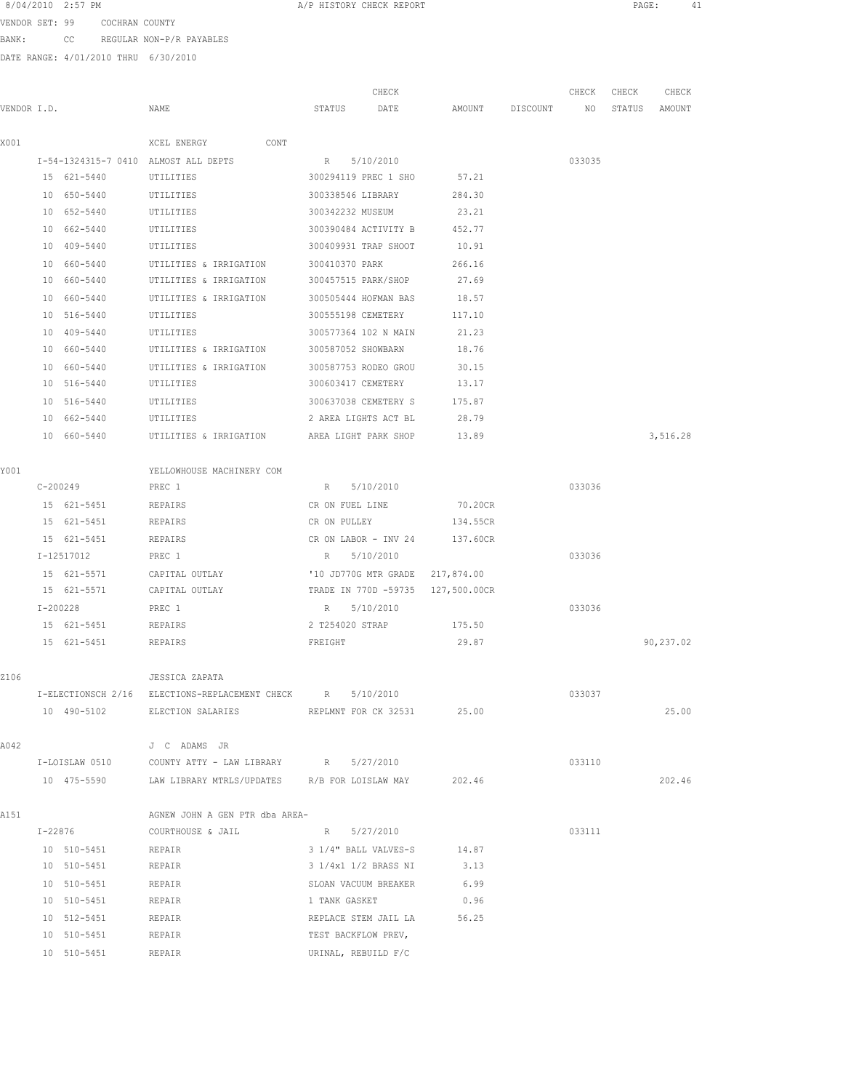VENDOR SET: 99 COCHRAN COUNTY BANK: CC REGULAR NON-P/R PAYABLES

| VENDOR I.D. |              |             | NAME                                                             | CHECK<br>STATUS<br>DATE<br>AMOUNT DISCOUNT |                                 |                                   | CHECK<br>NO | CHECK<br>STATUS | CHECK<br>AMOUNT |
|-------------|--------------|-------------|------------------------------------------------------------------|--------------------------------------------|---------------------------------|-----------------------------------|-------------|-----------------|-----------------|
|             |              |             |                                                                  |                                            |                                 |                                   |             |                 |                 |
| X001        |              |             | CONT<br>XCEL ENERGY                                              |                                            |                                 |                                   |             |                 |                 |
|             |              |             | I-54-1324315-7 0410 ALMOST ALL DEPTS                             | R                                          | 5/10/2010                       |                                   | 033035      |                 |                 |
|             |              | 15 621-5440 | UTILITIES                                                        |                                            | 300294119 PREC 1 SHO            | 57.21                             |             |                 |                 |
|             |              | 10 650-5440 | UTILITIES                                                        | 300338546 LIBRARY                          |                                 | 284.30                            |             |                 |                 |
|             |              | 10 652-5440 | UTILITIES                                                        | 300342232 MUSEUM                           |                                 | 23.21                             |             |                 |                 |
|             |              | 10 662-5440 | UTILITIES                                                        |                                            | 300390484 ACTIVITY B            | 452.77                            |             |                 |                 |
|             |              | 10 409-5440 | UTILITIES                                                        |                                            | 300409931 TRAP SHOOT            | 10.91                             |             |                 |                 |
|             |              | 10 660-5440 | UTILITIES & IRRIGATION                                           | 300410370 PARK                             |                                 | 266.16                            |             |                 |                 |
|             |              | 10 660-5440 | UTILITIES & IRRIGATION                                           |                                            | 300457515 PARK/SHOP             | 27.69                             |             |                 |                 |
|             |              | 10 660-5440 | UTILITIES & IRRIGATION                                           |                                            | 300505444 HOFMAN BAS            | 18.57                             |             |                 |                 |
|             |              | 10 516-5440 | UTILITIES                                                        | 300555198 CEMETERY                         |                                 | 117.10                            |             |                 |                 |
|             |              | 10 409-5440 | UTILITIES                                                        |                                            | 300577364 102 N MAIN            | 21.23                             |             |                 |                 |
|             |              | 10 660-5440 | UTILITIES & IRRIGATION                                           | 300587052 SHOWBARN                         |                                 | 18.76                             |             |                 |                 |
|             |              | 10 660-5440 | UTILITIES & IRRIGATION                                           |                                            | 300587753 RODEO GROU            | 30.15                             |             |                 |                 |
|             |              | 10 516-5440 | UTILITIES                                                        | 300603417 CEMETERY                         |                                 | 13.17                             |             |                 |                 |
|             |              | 10 516-5440 | UTILITIES                                                        |                                            | 300637038 CEMETERY S            | 175.87                            |             |                 |                 |
|             |              | 10 662-5440 | UTILITIES                                                        |                                            | 2 AREA LIGHTS ACT BL            | 28.79                             |             |                 |                 |
|             |              | 10 660-5440 | UTILITIES & IRRIGATION                                           |                                            | AREA LIGHT PARK SHOP            | 13.89                             |             |                 | 3,516.28        |
| Y001        |              |             | YELLOWHOUSE MACHINERY COM                                        |                                            |                                 |                                   |             |                 |                 |
|             |              | C-200249    | PREC 1                                                           | R                                          | 5/10/2010                       |                                   | 033036      |                 |                 |
|             |              | 15 621-5451 | REPAIRS                                                          | CR ON FUEL LINE                            |                                 | 70.20CR                           |             |                 |                 |
|             |              | 15 621-5451 | REPAIRS                                                          | CR ON PULLEY                               |                                 | 134.55CR                          |             |                 |                 |
|             |              | 15 621-5451 | REPAIRS                                                          |                                            | CR ON LABOR - INV 24            | 137.60CR                          |             |                 |                 |
|             |              | I-12517012  | PREC 1                                                           | $R_{\rm c}$                                | 5/10/2010                       |                                   | 033036      |                 |                 |
|             |              | 15 621-5571 | CAPITAL OUTLAY                                                   |                                            | '10 JD770G MTR GRADE 217,874.00 |                                   |             |                 |                 |
|             |              | 15 621-5571 | CAPITAL OUTLAY                                                   |                                            |                                 | TRADE IN 770D -59735 127,500.00CR |             |                 |                 |
|             | $I - 200228$ |             | PREC 1                                                           | R 5/10/2010                                |                                 |                                   | 033036      |                 |                 |
|             |              | 15 621-5451 | REPAIRS                                                          | 2 T254020 STRAP                            |                                 | 175.50                            |             |                 |                 |
|             |              | 15 621-5451 | REPAIRS                                                          | FREIGHT                                    |                                 | 29.87                             |             |                 | 90,237.02       |
| Z106        |              |             | <b>JESSICA ZAPATA</b>                                            |                                            |                                 |                                   |             |                 |                 |
|             |              |             | I-ELECTIONSCH 2/16 ELECTIONS-REPLACEMENT CHECK                   |                                            | R 5/10/2010                     |                                   | 033037      |                 |                 |
|             |              | 10 490-5102 | ELECTION SALARIES REPLMNT FOR CK 32531 25.00                     |                                            |                                 |                                   |             |                 | 25.00           |
| A042        |              |             | J C ADAMS JR                                                     |                                            |                                 |                                   |             |                 |                 |
|             |              |             | I-LOISLAW 0510 COUNTY ATTY - LAW LIBRARY R 5/27/2010             |                                            |                                 |                                   | 033110      |                 |                 |
|             |              |             | 10 475-5590 LAW LIBRARY MTRLS/UPDATES R/B FOR LOISLAW MAY 202.46 |                                            |                                 |                                   |             |                 | 202.46          |
| A151        |              |             | AGNEW JOHN A GEN PTR dba AREA-                                   |                                            |                                 |                                   |             |                 |                 |
|             |              | I-22876     | COURTHOUSE & JAIL                                                | R 5/27/2010                                |                                 |                                   | 033111      |                 |                 |
|             |              | 10 510-5451 | REPAIR                                                           |                                            | 3 1/4" BALL VALVES-S            | 14.87                             |             |                 |                 |
|             |              | 10 510-5451 | REPAIR                                                           |                                            | 3 1/4x1 1/2 BRASS NI            | 3.13                              |             |                 |                 |
|             |              | 10 510-5451 | REPAIR                                                           |                                            | SLOAN VACUUM BREAKER            | 6.99                              |             |                 |                 |
|             |              | 10 510-5451 | REPAIR                                                           | 1 TANK GASKET                              |                                 | 0.96                              |             |                 |                 |
|             |              | 10 512-5451 | REPAIR                                                           |                                            | REPLACE STEM JAIL LA            | 56.25                             |             |                 |                 |
|             |              | 10 510-5451 | REPAIR                                                           | TEST BACKFLOW PREV,                        |                                 |                                   |             |                 |                 |
|             |              | 10 510-5451 | REPAIR                                                           |                                            | URINAL, REBUILD F/C             |                                   |             |                 |                 |
|             |              |             |                                                                  |                                            |                                 |                                   |             |                 |                 |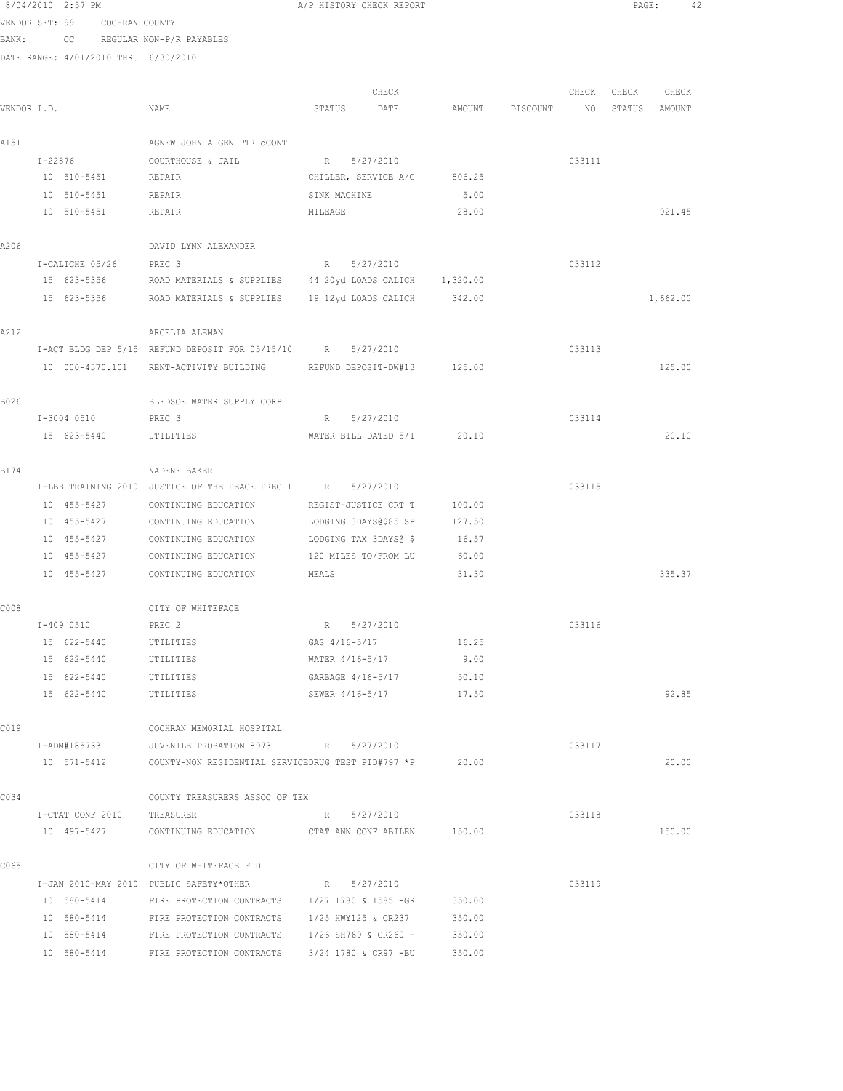8/04/2010 2:57 PM **A/P HISTORY CHECK REPORT PAGE:** 42 VENDOR SET: 99 COCHRAN COUNTY BANK: CC REGULAR NON-P/R PAYABLES DATE RANGE: 4/01/2010 THRU 6/30/2010 CHECK CHECK CHECK CHECK VENDOR I.D. NAME STATUS DATE AMOUNT DISCOUNT NO STATUS AMOUNT A151 AGNEW JOHN A GEN PTR dCONT I-22876 COURTHOUSE & JAIL R 5/27/2010 033111 10 510-5451 REPAIR CHILLER, SERVICE A/C 806.25 10 510-5451 REPAIR SINK MACHINE 5.00 10 510-5451 REPAIR MILEAGE 28.00 921.45 A206 DAVID LYNN ALEXANDER I-CALICHE 05/26 PREC 3 R 5/27/2010 033112 15 623-5356 ROAD MATERIALS & SUPPLIES 44 20yd LOADS CALICH 1,320.00 15 623-5356 ROAD MATERIALS & SUPPLIES 19 12yd LOADS CALICH 342.00 1,662.00 A212 ARCELIA ALEMAN I-ACT BLDG DEP 5/15 REFUND DEPOSIT FOR 05/15/10 R 5/27/2010 033113 10 000-4370.101 RENT-ACTIVITY BUILDING REFUND DEPOSIT-DW#13 125.00 125.00 B026 BLEDSOE WATER SUPPLY CORP I-3004 0510 PREC 3 R 5/27/2010 033114 15 623-5440 UTILITIES WATER BILL DATED 5/1 20.10 20.10 B174 NADENE BAKER I-LBB TRAINING 2010 JUSTICE OF THE PEACE PREC 1 R 5/27/2010 033115 10 455-5427 CONTINUING EDUCATION REGIST-JUSTICE CRT T 100.00 10 455-5427 CONTINUING EDUCATION LODGING 3DAYS@\$85 SP 127.50 10 455-5427 CONTINUING EDUCATION LODGING TAX 3DAYS@ \$ 16.57 10 455-5427 CONTINUING EDUCATION 120 MILES TO/FROM LU 60.00 10 455-5427 CONTINUING EDUCATION MEALS 31.30 335.37 C008 CITY OF WHITEFACE I-409 0510 PREC 2 R 5/27/2010 033116 15 622-5440 UTILITIES GAS 4/16-5/17 16.25 15 622-5440 UTILITIES WATER 4/16-5/17 9.00 15 622-5440 UTILITIES GARBAGE 4/16-5/17 50.10 15 622-5440 UTILITIES SEWER 4/16-5/17 17.50 92.85 C019 COCHRAN MEMORIAL HOSPITAL I-ADM#185733 JUVENILE PROBATION 8973 R 5/27/2010 033117 10 571-5412 COUNTY-NON RESIDENTIAL SERVICEDRUG TEST PID#797 \*P 20.00 20.00 C034 COUNTY TREASURERS ASSOC OF TEX I-CTAT CONF 2010 TREASURER R 16/27/2010 R 5/27/2010 10 497-5427 CONTINUING EDUCATION CTAT ANN CONF ABILEN 150.00 150.00 C065 CITY OF WHITEFACE F D I-JAN 2010-MAY 2010 PUBLIC SAFETY\*OTHER R 5/27/2010 033119 10 580-5414 FIRE PROTECTION CONTRACTS 1/27 1780 & 1585 -GR 350.00 10 580-5414 FIRE PROTECTION CONTRACTS 1/25 HWY125 & CR237 350.00 10 580-5414 FIRE PROTECTION CONTRACTS 1/26 SH769 & CR260 - 350.00

10 580-5414 FIRE PROTECTION CONTRACTS 3/24 1780 & CR97 -BU 350.00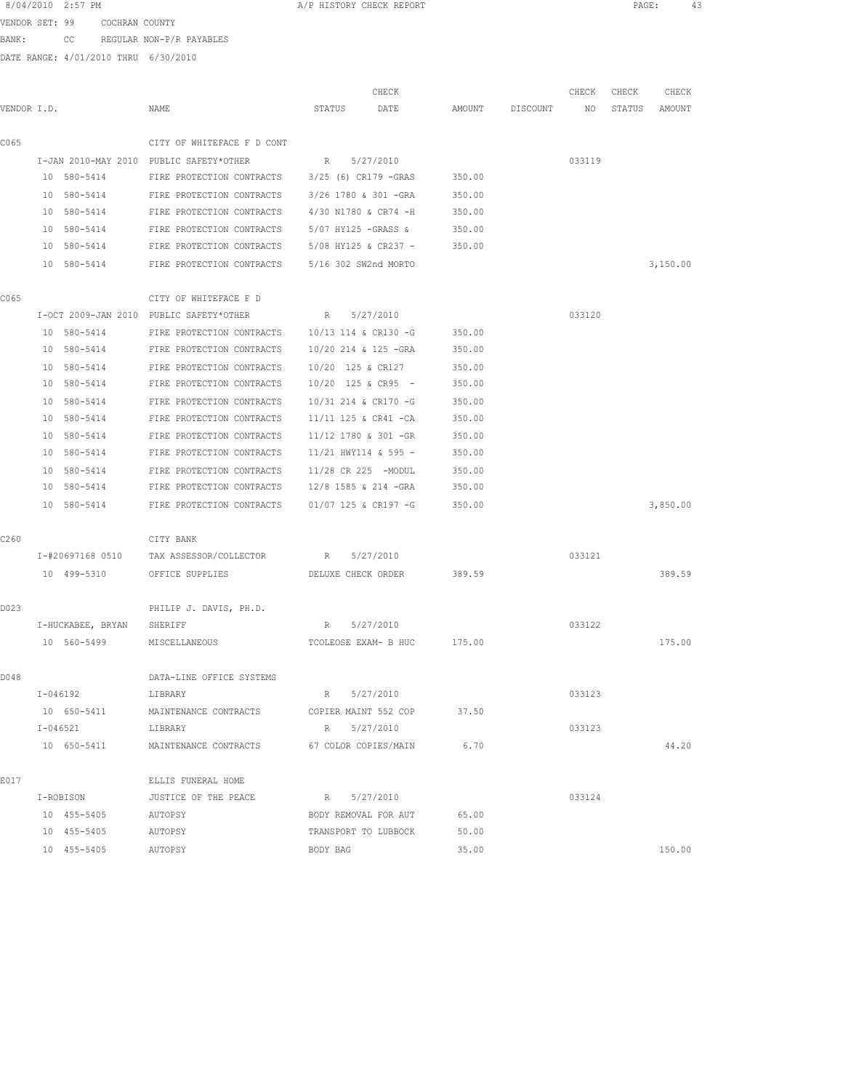| 8/04/2010 | $2:57$ . | PM |
|-----------|----------|----|
|           |          |    |

A/P HISTORY CHECK REPORT **PAGE:** 43

VENDOR SET: 99 COCHRAN COUNTY BANK: CC REGULAR NON-P/R PAYABLES

|             |                   |                                                             | CHECK                    |        |          | CHECK  | CHECK  | CHECK    |
|-------------|-------------------|-------------------------------------------------------------|--------------------------|--------|----------|--------|--------|----------|
| VENDOR I.D. |                   | NAME                                                        | STATUS<br>DATE           | AMOUNT | DISCOUNT | ΝO     | STATUS | AMOUNT   |
| C065        |                   | CITY OF WHITEFACE F D CONT                                  |                          |        |          |        |        |          |
|             |                   | I-JAN 2010-MAY 2010 PUBLIC SAFETY*OTHER                     | 5/27/2010<br>R           |        |          | 033119 |        |          |
|             | 10 580-5414       | FIRE PROTECTION CONTRACTS                                   | 3/25 (6) CR179 -GRAS     | 350.00 |          |        |        |          |
|             | 10 580-5414       | FIRE PROTECTION CONTRACTS                                   | 3/26 1780 & 301 -GRA     | 350.00 |          |        |        |          |
|             | 10 580-5414       | FIRE PROTECTION CONTRACTS                                   | 4/30 N1780 & CR74 -H     | 350.00 |          |        |        |          |
|             | 10 580-5414       | FIRE PROTECTION CONTRACTS                                   | 5/07 HY125 -GRASS &      | 350.00 |          |        |        |          |
|             | 10 580-5414       | FIRE PROTECTION CONTRACTS                                   | 5/08 HY125 & CR237 -     | 350.00 |          |        |        |          |
|             | 10 580-5414       | FIRE PROTECTION CONTRACTS                                   | 5/16 302 SW2nd MORTO     |        |          |        |        | 3,150.00 |
| C065        |                   | CITY OF WHITEFACE F D                                       |                          |        |          |        |        |          |
|             |                   | I-OCT 2009-JAN 2010 PUBLIC SAFETY*OTHER                     | $R_{\odot}$<br>5/27/2010 |        |          | 033120 |        |          |
|             | 10 580-5414       | FIRE PROTECTION CONTRACTS                                   | 10/13 114 & CR130 -G     | 350.00 |          |        |        |          |
|             | 10 580-5414       | FIRE PROTECTION CONTRACTS                                   | 10/20 214 & 125 -GRA     | 350.00 |          |        |        |          |
|             | 10 580-5414       | FIRE PROTECTION CONTRACTS                                   | 10/20 125 & CR127        | 350.00 |          |        |        |          |
|             | 10 580-5414       | FIRE PROTECTION CONTRACTS                                   | $10/20$ 125 & CR95 -     | 350.00 |          |        |        |          |
|             | 10 580-5414       | FIRE PROTECTION CONTRACTS                                   | 10/31 214 & CR170 -G     | 350.00 |          |        |        |          |
|             | 10 580-5414       | FIRE PROTECTION CONTRACTS                                   | 11/11 125 & CR41 -CA     | 350.00 |          |        |        |          |
|             | 10 580-5414       | FIRE PROTECTION CONTRACTS                                   | 11/12 1780 & 301 -GR     | 350.00 |          |        |        |          |
|             | 10 580-5414       | FIRE PROTECTION CONTRACTS                                   | 11/21 HWY114 & 595 -     | 350.00 |          |        |        |          |
|             | 10 580-5414       | FIRE PROTECTION CONTRACTS                                   | 11/28 CR 225 -MODUL      | 350.00 |          |        |        |          |
|             | 10 580-5414       | FIRE PROTECTION CONTRACTS                                   | 12/8 1585 & 214 -GRA     | 350.00 |          |        |        |          |
|             | 10 580-5414       | FIRE PROTECTION CONTRACTS                                   | 01/07 125 & CR197 -G     | 350.00 |          |        |        | 3,850.00 |
| C260        |                   | CITY BANK                                                   |                          |        |          |        |        |          |
|             | I-#20697168 0510  | TAX ASSESSOR/COLLECTOR                                      | 5/27/2010<br>R           |        |          | 033121 |        |          |
|             | 10 499-5310       | OFFICE SUPPLIES                                             | DELUXE CHECK ORDER       | 389.59 |          |        |        | 389.59   |
| D023        |                   | PHILIP J. DAVIS, PH.D.                                      |                          |        |          |        |        |          |
|             | I-HUCKABEE, BRYAN | SHERIFF                                                     | 5/27/2010<br>R           |        |          | 033122 |        |          |
|             | 10 560-5499       | MISCELLANEOUS                                               | TCOLEOSE EXAM- B HUC     | 175.00 |          |        |        | 175.00   |
| D048        |                   | DATA-LINE OFFICE SYSTEMS                                    |                          |        |          |        |        |          |
|             | I-046192          | LIBRARY                                                     | R 5/27/2010              |        |          | 033123 |        |          |
|             | 10 650-5411       | MAINTENANCE CONTRACTS                                       | COPIER MAINT 552 COP     | 37.50  |          |        |        |          |
|             | $I - 046521$      | LIBRARY                                                     | R 5/27/2010              |        |          | 033123 |        |          |
|             |                   | 10 650-5411 MAINTENANCE CONTRACTS 67 COLOR COPIES/MAIN 6.70 |                          |        |          |        |        | 44.20    |
| E017        |                   | ELLIS FUNERAL HOME                                          |                          |        |          |        |        |          |
|             | I-ROBISON         | JUSTICE OF THE PEACE                                        | R 5/27/2010              |        |          | 033124 |        |          |
|             | 10 455-5405       | AUTOPSY                                                     | BODY REMOVAL FOR AUT     | 65.00  |          |        |        |          |
|             | 10 455-5405       | AUTOPSY                                                     | TRANSPORT TO LUBBOCK     | 50.00  |          |        |        |          |
|             | 10 455-5405       | AUTOPSY                                                     | BODY BAG                 | 35.00  |          |        |        | 150.00   |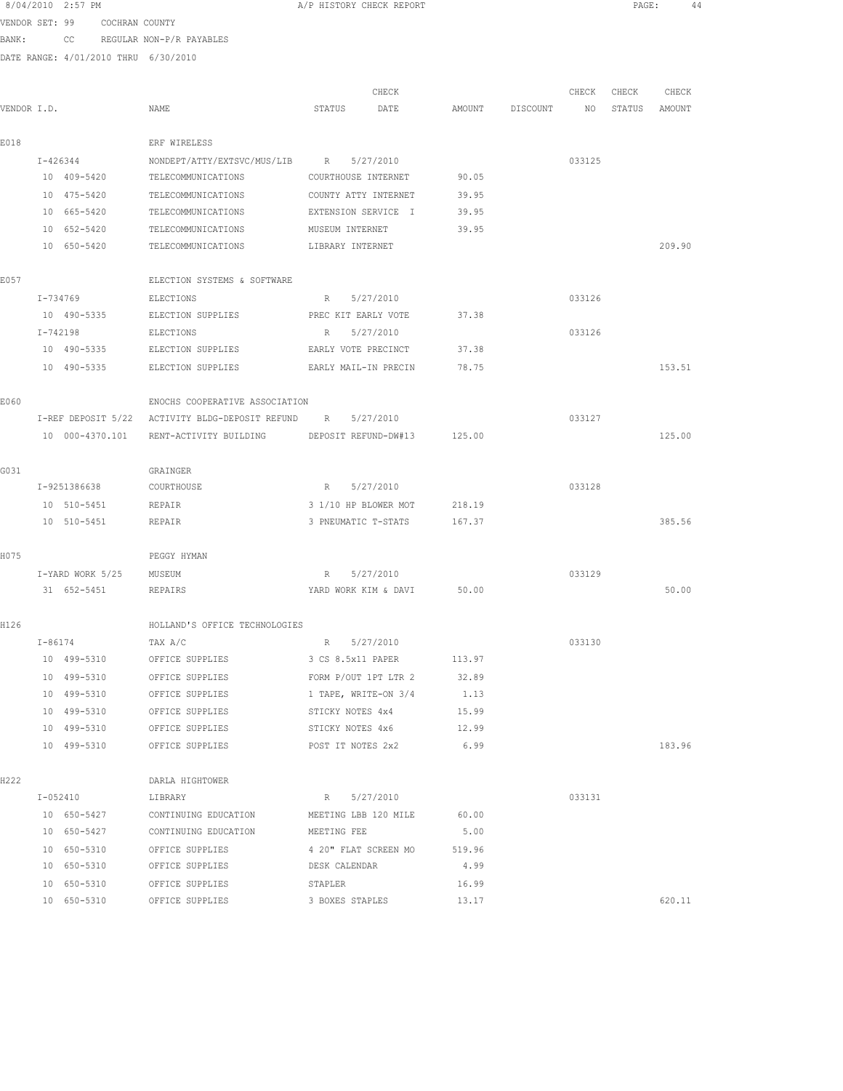|             | 8/04/2010 2:57 PM             |                                                             | A/P HISTORY CHECK REPORT   |           |        |          |        | $\texttt{PAGE}$ : | 44     |  |
|-------------|-------------------------------|-------------------------------------------------------------|----------------------------|-----------|--------|----------|--------|-------------------|--------|--|
|             | VENDOR SET: 99 COCHRAN COUNTY |                                                             |                            |           |        |          |        |                   |        |  |
| BANK:       |                               | CC REGULAR NON-P/R PAYABLES                                 |                            |           |        |          |        |                   |        |  |
|             |                               | DATE RANGE: 4/01/2010 THRU 6/30/2010                        |                            |           |        |          |        |                   |        |  |
|             |                               |                                                             |                            | CHECK     |        |          | CHECK  | CHECK             | CHECK  |  |
| VENDOR I.D. |                               | NAME                                                        | STATUS                     | DATE      | AMOUNT | DISCOUNT | NO     | STATUS AMOUNT     |        |  |
| E018        |                               | ERF WIRELESS                                                |                            |           |        |          |        |                   |        |  |
|             | I-426344                      | NONDEPT/ATTY/EXTSVC/MUS/LIB R 5/27/2010                     |                            |           |        |          | 033125 |                   |        |  |
|             | 10 409-5420                   | TELECOMMUNICATIONS                                          | COURTHOUSE INTERNET        |           | 90.05  |          |        |                   |        |  |
|             | 10 475-5420                   | TELECOMMUNICATIONS                                          | COUNTY ATTY INTERNET       |           | 39.95  |          |        |                   |        |  |
|             | 10 665-5420                   | TELECOMMUNICATIONS                                          | EXTENSION SERVICE I        |           | 39.95  |          |        |                   |        |  |
|             | 10 652-5420                   | TELECOMMUNICATIONS                                          | MUSEUM INTERNET            |           | 39.95  |          |        |                   |        |  |
|             | 10 650-5420                   | TELECOMMUNICATIONS                                          | LIBRARY INTERNET           |           |        |          |        |                   | 209.90 |  |
| E057        |                               | ELECTION SYSTEMS & SOFTWARE                                 |                            |           |        |          |        |                   |        |  |
|             | T-734769                      | ELECTIONS                                                   | R 5/27/2010                |           |        |          | 033126 |                   |        |  |
|             | 10 490-5335                   | ELECTION SUPPLIES                                           | PREC KIT EARLY VOTE        |           | 37.38  |          |        |                   |        |  |
|             | $I - 742198$                  | ELECTIONS                                                   | R                          | 5/27/2010 |        |          | 033126 |                   |        |  |
|             | 10 490-5335                   | ELECTION SUPPLIES                                           | EARLY VOTE PRECINCT        |           | 37.38  |          |        |                   |        |  |
|             | 10 490-5335                   | ELECTION SUPPLIES                                           | EARLY MAIL-IN PRECIN       |           | 78.75  |          |        |                   | 153.51 |  |
| E060        |                               | ENOCHS COOPERATIVE ASSOCIATION                              |                            |           |        |          |        |                   |        |  |
|             |                               | I-REF DEPOSIT 5/22 ACTIVITY BLDG-DEPOSIT REFUND R 5/27/2010 |                            |           |        |          | 033127 |                   |        |  |
|             | 10 000-4370.101               | RENT-ACTIVITY BUILDING                                      | DEPOSIT REFUND-DW#13       |           | 125.00 |          |        |                   | 125.00 |  |
| G031        |                               | GRAINGER                                                    |                            |           |        |          |        |                   |        |  |
|             | I-9251386638                  | COURTHOUSE                                                  | R 5/27/2010                |           |        |          | 033128 |                   |        |  |
|             | 10 510-5451                   | REPAIR                                                      | 3 1/10 HP BLOWER MOT       |           | 218.19 |          |        |                   |        |  |
|             | 10 510-5451                   | REPAIR                                                      | 3 PNEUMATIC T-STATS        |           | 167.37 |          |        |                   | 385.56 |  |
| H075        |                               | PEGGY HYMAN                                                 |                            |           |        |          |        |                   |        |  |
|             | I-YARD WORK 5/25 MUSEUM       |                                                             | R 5/27/2010                |           |        |          | 033129 |                   |        |  |
|             |                               | 31 652-5451 REPAIRS                                         | YARD WORK KIM & DAVI 50.00 |           |        |          |        |                   | 50.00  |  |
| H126        |                               | HOLLAND'S OFFICE TECHNOLOGIES                               |                            |           |        |          |        |                   |        |  |
|             | $I - 86174$                   | TAX A/C                                                     | R 5/27/2010                |           |        |          | 033130 |                   |        |  |
|             | 10 499-5310                   | OFFICE SUPPLIES                                             | 3 CS 8.5x11 PAPER          |           | 113.97 |          |        |                   |        |  |
|             | 10 499-5310                   | OFFICE SUPPLIES                                             | FORM P/OUT 1PT LTR 2       |           | 32.89  |          |        |                   |        |  |
|             | 10 499-5310                   | OFFICE SUPPLIES                                             | 1 TAPE, WRITE-ON 3/4       |           | 1.13   |          |        |                   |        |  |
|             | 10 499-5310                   | OFFICE SUPPLIES                                             | STICKY NOTES 4x4           |           | 15.99  |          |        |                   |        |  |
|             | 10 499-5310                   | OFFICE SUPPLIES                                             | STICKY NOTES 4x6           |           | 12.99  |          |        |                   |        |  |
|             | 10 499-5310                   | OFFICE SUPPLIES                                             | POST IT NOTES 2x2          |           | 6.99   |          |        |                   | 183.96 |  |
| H222        |                               | DARLA HIGHTOWER                                             |                            |           |        |          |        |                   |        |  |
|             | I-052410                      | LIBRARY                                                     | R 5/27/2010                |           |        |          | 033131 |                   |        |  |
|             | 10 650-5427                   | CONTINUING EDUCATION MEETING LBB 120 MILE                   |                            |           | 60.00  |          |        |                   |        |  |
|             | 10 650-5427                   | CONTINUING EDUCATION                                        | MEETING FEE                |           | 5.00   |          |        |                   |        |  |
|             | 10 650-5310                   | OFFICE SUPPLIES                                             | 4 20" FLAT SCREEN MO       |           | 519.96 |          |        |                   |        |  |
|             | 10 650-5310                   | OFFICE SUPPLIES                                             | DESK CALENDAR              |           | 4.99   |          |        |                   |        |  |
|             | 10 650-5310                   | OFFICE SUPPLIES                                             | STAPLER                    |           | 16.99  |          |        |                   |        |  |
|             | 10 650-5310                   | OFFICE SUPPLIES                                             | 3 BOXES STAPLES            |           | 13.17  |          |        |                   | 620.11 |  |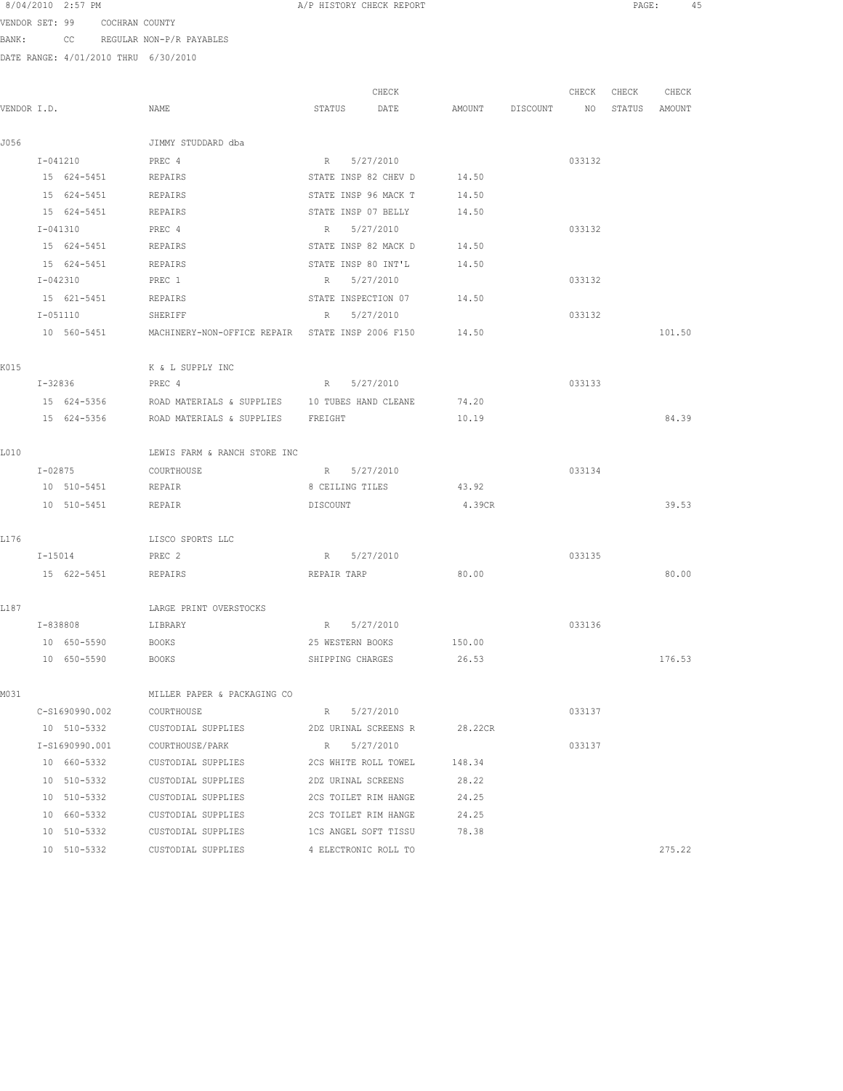8/04/2010 2:57 PM **A**/P HISTORY CHECK REPORT **A** A A REPORT **PAGE:** 45

VENDOR SET: 99 COCHRAN COUNTY BANK: CC REGULAR NON-P/R PAYABLES

|             |                |                                                  | CHECK                    |         |                 | CHECK  | CHECK  | CHECK  |
|-------------|----------------|--------------------------------------------------|--------------------------|---------|-----------------|--------|--------|--------|
| VENDOR I.D. |                | NAME                                             | STATUS<br>DATE           |         | AMOUNT DISCOUNT | NO     | STATUS | AMOUNT |
|             |                |                                                  |                          |         |                 |        |        |        |
| J056        |                | JIMMY STUDDARD dba                               |                          |         |                 |        |        |        |
|             | I-041210       | PREC 4                                           | 5/27/2010<br>$R_{\odot}$ |         |                 | 033132 |        |        |
|             | 15 624-5451    | REPAIRS                                          | STATE INSP 82 CHEV D     | 14.50   |                 |        |        |        |
|             | 15 624-5451    | REPAIRS                                          | STATE INSP 96 MACK T     | 14.50   |                 |        |        |        |
|             | 15 624-5451    | REPAIRS                                          | STATE INSP 07 BELLY      | 14.50   |                 |        |        |        |
|             | I-041310       | PREC 4                                           | R 5/27/2010              |         |                 | 033132 |        |        |
|             | 15 624-5451    | REPAIRS                                          | STATE INSP 82 MACK D     | 14.50   |                 |        |        |        |
|             | 15 624-5451    | REPAIRS                                          | STATE INSP 80 INT'L      | 14.50   |                 |        |        |        |
|             | I-042310       | PREC 1                                           | 5/27/2010<br>R           |         |                 | 033132 |        |        |
|             | 15 621-5451    | REPAIRS                                          | STATE INSPECTION 07      | 14.50   |                 |        |        |        |
|             | I-051110       | SHERIFF                                          | 5/27/2010<br>R           |         |                 | 033132 |        |        |
|             | 10 560-5451    | MACHINERY-NON-OFFICE REPAIR STATE INSP 2006 F150 |                          | 14.50   |                 |        |        | 101.50 |
| K015        |                | K & L SUPPLY INC                                 |                          |         |                 |        |        |        |
|             | I-32836        | PREC 4                                           | R 5/27/2010              |         |                 | 033133 |        |        |
|             | 15 624-5356    | ROAD MATERIALS & SUPPLIES 10 TUBES HAND CLEANE   |                          | 74.20   |                 |        |        |        |
|             | 15 624-5356    | ROAD MATERIALS & SUPPLIES FREIGHT                |                          | 10.19   |                 |        |        | 84.39  |
| L010        |                | LEWIS FARM & RANCH STORE INC                     |                          |         |                 |        |        |        |
|             | $I - 02875$    | COURTHOUSE                                       | R 5/27/2010              |         |                 | 033134 |        |        |
|             | 10 510-5451    | REPAIR                                           | 8 CEILING TILES          | 43.92   |                 |        |        |        |
|             | 10 510-5451    | REPAIR                                           | DISCOUNT                 | 4.39CR  |                 |        |        | 39.53  |
|             |                |                                                  |                          |         |                 |        |        |        |
| L176        |                | LISCO SPORTS LLC                                 |                          |         |                 |        |        |        |
|             | $I - 15014$    | PREC 2                                           | R 5/27/2010              |         |                 | 033135 |        |        |
|             | 15 622-5451    | REPAIRS                                          | REPAIR TARP              | 80.00   |                 |        |        | 80.00  |
| L187        |                | LARGE PRINT OVERSTOCKS                           |                          |         |                 |        |        |        |
|             | I-838808       | LIBRARY                                          | R<br>5/27/2010           |         |                 | 033136 |        |        |
|             | 10 650-5590    | <b>BOOKS</b>                                     | 25 WESTERN BOOKS         | 150.00  |                 |        |        |        |
|             | 10 650-5590    | BOOKS                                            | SHIPPING CHARGES         | 26.53   |                 |        |        | 176.53 |
| MO 31       |                | MILLER PAPER & PACKAGING CO                      |                          |         |                 |        |        |        |
|             | C-S1690990.002 | COURTHOUSE                                       | 5/27/2010<br>$R_{\perp}$ |         |                 | 033137 |        |        |
|             | 10 510-5332    | CUSTODIAL SUPPLIES                               | 2DZ URINAL SCREENS R     | 28.22CR |                 |        |        |        |
|             | I-S1690990.001 | COURTHOUSE/PARK                                  | $R_{\odot}$<br>5/27/2010 |         |                 | 033137 |        |        |
|             | 10 660-5332    | CUSTODIAL SUPPLIES                               | 2CS WHITE ROLL TOWEL     | 148.34  |                 |        |        |        |
|             |                |                                                  |                          |         |                 |        |        |        |
|             | 10 510-5332    | CUSTODIAL SUPPLIES                               | 2DZ URINAL SCREENS       | 28.22   |                 |        |        |        |
|             | 10 510-5332    | CUSTODIAL SUPPLIES                               | 2CS TOILET RIM HANGE     | 24.25   |                 |        |        |        |
|             | 10 660-5332    | CUSTODIAL SUPPLIES                               | 2CS TOILET RIM HANGE     | 24.25   |                 |        |        |        |
|             | 10 510-5332    | CUSTODIAL SUPPLIES                               | 1CS ANGEL SOFT TISSU     | 78.38   |                 |        |        |        |
|             | 10 510-5332    | CUSTODIAL SUPPLIES                               | 4 ELECTRONIC ROLL TO     |         |                 |        |        | 275.22 |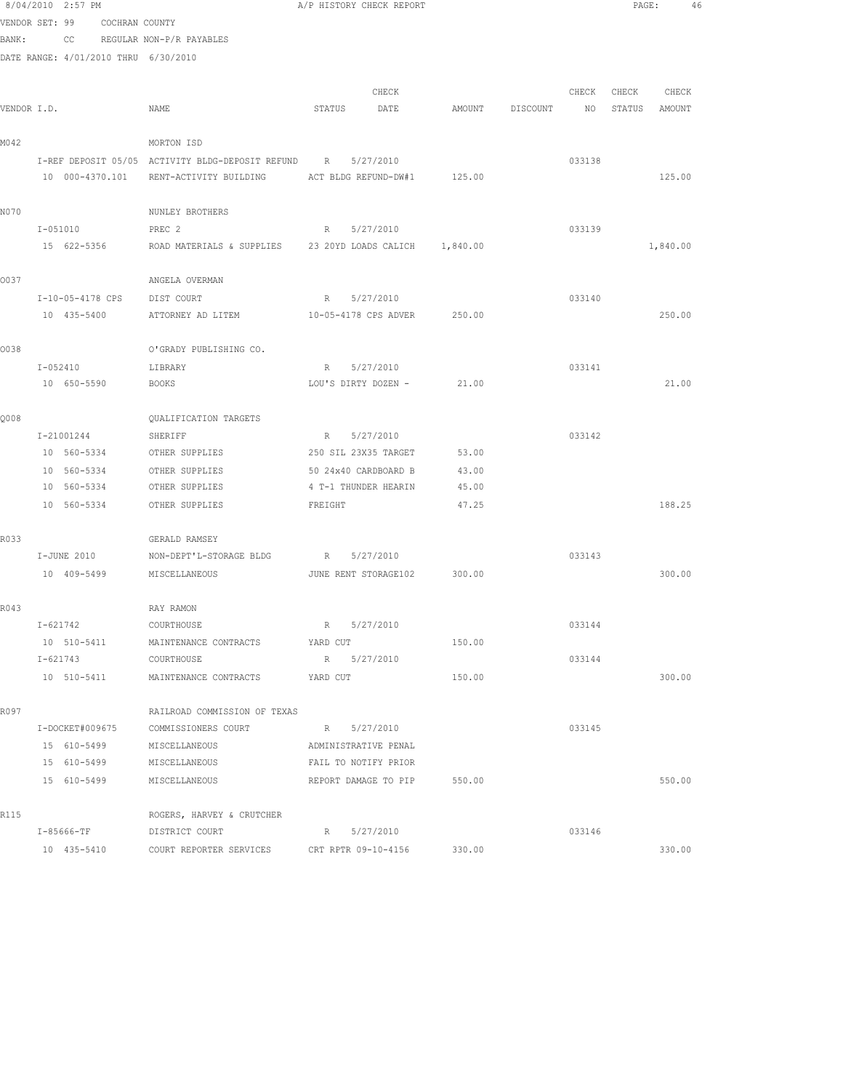|             | 8/04/2010 2:57 PM                    |                                                                                      | A/P HISTORY CHECK REPORT                     |        |                 |        | PAGE:         |          | 46 |
|-------------|--------------------------------------|--------------------------------------------------------------------------------------|----------------------------------------------|--------|-----------------|--------|---------------|----------|----|
|             | VENDOR SET: 99 COCHRAN COUNTY        |                                                                                      |                                              |        |                 |        |               |          |    |
| BANK:       |                                      | CC REGULAR NON-P/R PAYABLES                                                          |                                              |        |                 |        |               |          |    |
|             | DATE RANGE: 4/01/2010 THRU 6/30/2010 |                                                                                      |                                              |        |                 |        |               |          |    |
|             |                                      |                                                                                      |                                              |        |                 |        |               |          |    |
|             |                                      |                                                                                      | CHECK                                        |        |                 | CHECK  | CHECK         | CHECK    |    |
| VENDOR I.D. |                                      | NAME                                                                                 | STATUS<br>DATE                               |        | AMOUNT DISCOUNT | NO     | STATUS AMOUNT |          |    |
|             |                                      |                                                                                      |                                              |        |                 |        |               |          |    |
| M042        |                                      | MORTON ISD                                                                           |                                              |        |                 |        |               |          |    |
|             |                                      | I-REF DEPOSIT 05/05 ACTIVITY BLDG-DEPOSIT REFUND R 5/27/2010                         |                                              |        |                 | 033138 |               |          |    |
|             |                                      | 10 000-4370.101 RENT-ACTIVITY BUILDING                                               | ACT BLDG REFUND-DW#1 125.00                  |        |                 |        |               | 125.00   |    |
|             |                                      |                                                                                      |                                              |        |                 |        |               |          |    |
| N070        |                                      | NUNLEY BROTHERS                                                                      |                                              |        |                 |        |               |          |    |
|             | I-051010                             | PREC 2                                                                               | R 5/27/2010                                  |        |                 | 033139 |               |          |    |
|             |                                      | 15 622-5356         ROAD MATERIALS & SUPPLIES      23 20YD LOADS CALICH     1,840.00 |                                              |        |                 |        |               | 1,840.00 |    |
| 0037        |                                      | ANGELA OVERMAN                                                                       |                                              |        |                 |        |               |          |    |
|             | I-10-05-4178 CPS                     | DIST COURT                                                                           | R 5/27/2010                                  |        |                 | 033140 |               |          |    |
|             | 10 435-5400                          | ATTORNEY AD LITEM                                                                    | 10-05-4178 CPS ADVER 250.00                  |        |                 |        |               | 250.00   |    |
|             |                                      |                                                                                      |                                              |        |                 |        |               |          |    |
| 0038        |                                      | O'GRADY PUBLISHING CO.                                                               |                                              |        |                 |        |               |          |    |
|             | I-052410                             | LIBRARY                                                                              | R 5/27/2010                                  |        |                 | 033141 |               |          |    |
|             | 10 650-5590                          | BOOKS                                                                                | LOU'S DIRTY DOZEN - 21.00                    |        |                 |        |               | 21.00    |    |
|             |                                      |                                                                                      |                                              |        |                 |        |               |          |    |
| Q008        |                                      | <b>OUALIFICATION TARGETS</b>                                                         |                                              |        |                 |        |               |          |    |
|             | I-21001244                           | SHERIFF                                                                              | R 5/27/2010                                  |        |                 | 033142 |               |          |    |
|             | 10 560-5334 OTHER SUPPLIES           |                                                                                      | 250 SIL 23X35 TARGET                         | 53.00  |                 |        |               |          |    |
|             | 10 560-5334                          | OTHER SUPPLIES                                                                       | 50 24x40 CARDBOARD B                         | 43.00  |                 |        |               |          |    |
|             | 10 560-5334                          | OTHER SUPPLIES                                                                       | 4 T-1 THUNDER HEARIN                         | 45.00  |                 |        |               |          |    |
|             | 10 560-5334                          | OTHER SUPPLIES                                                                       | FREIGHT                                      | 47.25  |                 |        |               | 188.25   |    |
|             |                                      |                                                                                      |                                              |        |                 |        |               |          |    |
| R033        |                                      | GERALD RAMSEY                                                                        |                                              |        |                 |        |               |          |    |
|             | I-JUNE 2010                          | NON-DEPT'L-STORAGE BLDG                                                              | R 5/27/2010                                  |        |                 | 033143 |               |          |    |
|             | 10 409-5499 MISCELLANEOUS            |                                                                                      | JUNE RENT STORAGE102 300.00                  |        |                 |        |               | 300.00   |    |
|             |                                      |                                                                                      |                                              |        |                 |        |               |          |    |
| R043        |                                      | RAY RAMON                                                                            |                                              |        |                 |        |               |          |    |
|             | $I - 621742$                         | COURTHOUSE                                                                           | 5/27/2010<br>R                               |        |                 | 033144 |               |          |    |
|             | 10 510-5411                          | MAINTENANCE CONTRACTS                                                                | YARD CUT                                     | 150.00 |                 |        |               |          |    |
|             | I-621743                             | COURTHOUSE                                                                           | R 5/27/2010                                  |        |                 | 033144 |               |          |    |
|             | 10 510-5411                          | MAINTENANCE CONTRACTS                                                                | YARD CUT                                     | 150.00 |                 |        |               | 300.00   |    |
|             |                                      |                                                                                      |                                              |        |                 |        |               |          |    |
| R097        |                                      | RAILROAD COMMISSION OF TEXAS                                                         |                                              |        |                 |        |               |          |    |
|             | $I-DOCKET#009675$                    | COMMISSIONERS COURT                                                                  | R 5/27/2010                                  |        |                 | 033145 |               |          |    |
|             | 15 610-5499<br>15 610-5499           | MISCELLANEOUS                                                                        | ADMINISTRATIVE PENAL<br>FAIL TO NOTIFY PRIOR |        |                 |        |               |          |    |
|             | 15 610-5499                          | MISCELLANEOUS<br>MISCELLANEOUS                                                       | REPORT DAMAGE TO PIP                         | 550.00 |                 |        |               | 550.00   |    |
|             |                                      |                                                                                      |                                              |        |                 |        |               |          |    |
| R115        |                                      | ROGERS, HARVEY & CRUTCHER                                                            |                                              |        |                 |        |               |          |    |
|             | I-85666-TF                           | DISTRICT COURT                                                                       | R 5/27/2010                                  |        |                 | 033146 |               |          |    |
|             | 10 435-5410                          | COURT REPORTER SERVICES CRT RPTR 09-10-4156                                          |                                              | 330.00 |                 |        |               | 330.00   |    |
|             |                                      |                                                                                      |                                              |        |                 |        |               |          |    |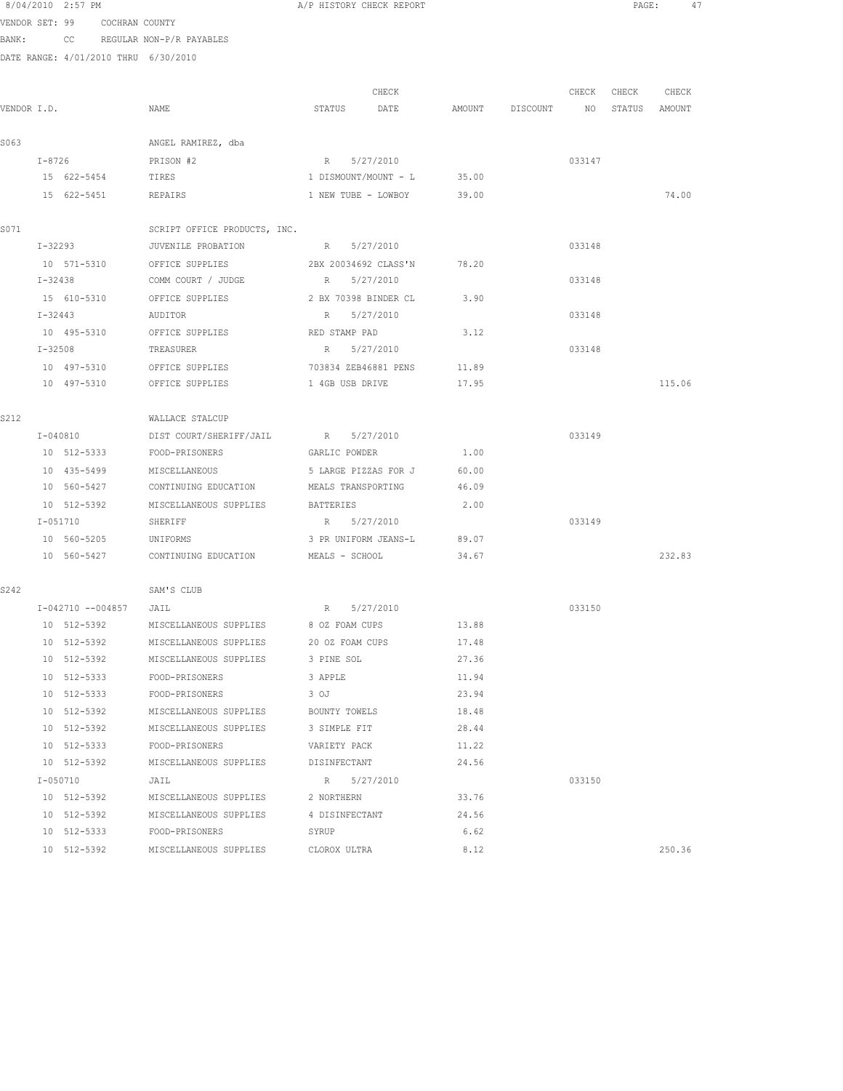|             |              | 8/04/2010 2:57 PM          |                               |                                                 |                               | A/P HISTORY CHECK REPORT   |                |          |                 |               | PAGE:<br>47 |  |
|-------------|--------------|----------------------------|-------------------------------|-------------------------------------------------|-------------------------------|----------------------------|----------------|----------|-----------------|---------------|-------------|--|
|             |              |                            | VENDOR SET: 99 COCHRAN COUNTY |                                                 |                               |                            |                |          |                 |               |             |  |
| BANK:       |              |                            |                               | CC REGULAR NON-P/R PAYABLES                     |                               |                            |                |          |                 |               |             |  |
|             |              |                            |                               | DATE RANGE: 4/01/2010 THRU 6/30/2010            |                               |                            |                |          |                 |               |             |  |
|             |              |                            |                               |                                                 |                               |                            |                |          |                 |               |             |  |
|             |              |                            |                               |                                                 |                               | CHECK                      |                |          | CHECK           | CHECK         | CHECK       |  |
| VENDOR I.D. |              |                            |                               | NAME                                            |                               | STATUS DATE                | AMOUNT         | DISCOUNT | NO <sub>N</sub> | STATUS AMOUNT |             |  |
|             |              |                            |                               |                                                 |                               |                            |                |          |                 |               |             |  |
| S063        |              |                            |                               | ANGEL RAMIREZ, dba                              |                               |                            |                |          |                 |               |             |  |
|             | I-8726       |                            |                               | PRISON #2                                       |                               | R 5/27/2010                |                |          | 033147          |               |             |  |
|             |              |                            | 15 622-5454 TIRES             |                                                 |                               | 1 DISMOUNT/MOUNT - L 35.00 |                |          |                 |               |             |  |
|             |              |                            |                               | 15 622-5451 REPAIRS                             |                               | 1 NEW TUBE - LOWBOY        | 39.00          |          |                 |               | 74.00       |  |
| S071        |              |                            |                               | SCRIPT OFFICE PRODUCTS, INC.                    |                               |                            |                |          |                 |               |             |  |
|             |              | I-32293                    |                               | JUVENILE PROBATION                              |                               | R 5/27/2010                |                |          | 033148          |               |             |  |
|             |              | 10 571-5310                |                               | OFFICE SUPPLIES                                 |                               | 2BX 20034692 CLASS'N       | 78.20          |          |                 |               |             |  |
|             | I-32438      |                            |                               | COMM COURT / JUDGE                              |                               | R 5/27/2010                |                |          | 033148          |               |             |  |
|             |              | 15 610-5310                |                               | OFFICE SUPPLIES                                 |                               | 2 BX 70398 BINDER CL       | 3.90           |          |                 |               |             |  |
|             | $I - 32443$  |                            |                               | AUDITOR                                         |                               | R 5/27/2010                |                |          | 033148          |               |             |  |
|             |              | 10 495-5310                |                               | OFFICE SUPPLIES                                 | RED STAMP PAD                 |                            | 3.12           |          |                 |               |             |  |
|             |              | $I - 32508$                |                               | TREASURER                                       |                               | R 5/27/2010                |                |          | 033148          |               |             |  |
|             |              |                            |                               | 10 497-5310 OFFICE SUPPLIES                     |                               | 703834 ZEB46881 PENS       | 11.89          |          |                 |               |             |  |
|             |              |                            |                               | 10 497-5310 OFFICE SUPPLIES                     |                               | 1 4GB USB DRIVE            | 17.95          |          |                 |               | 115.06      |  |
|             |              |                            |                               |                                                 |                               |                            |                |          |                 |               |             |  |
| S212        |              |                            |                               | WALLACE STALCUP                                 |                               |                            |                |          |                 |               |             |  |
|             |              | I-040810                   |                               | DIST COURT/SHERIFF/JAIL                         |                               | R 5/27/2010                |                |          | 033149          |               |             |  |
|             |              | 10 512-5333                |                               | FOOD-PRISONERS                                  | GARLIC POWDER                 |                            | 1.00           |          |                 |               |             |  |
|             |              | 10 435-5499                |                               | MISCELLANEOUS                                   |                               | 5 LARGE PIZZAS FOR J       | 60.00          |          |                 |               |             |  |
|             |              | 10 560-5427                |                               | CONTINUING EDUCATION                            |                               | MEALS TRANSPORTING         | 46.09          |          |                 |               |             |  |
|             |              | 10 512-5392                |                               | MISCELLANEOUS SUPPLIES                          | BATTERIES                     |                            | 2.00           |          |                 |               |             |  |
|             | I-051710     |                            |                               | SHERIFF                                         |                               | R 5/27/2010                |                |          | 033149          |               |             |  |
|             |              |                            |                               | 10 560-5205 UNIFORMS                            |                               | 3 PR UNIFORM JEANS-L       | 89.07          |          |                 |               |             |  |
|             |              |                            |                               | 10 560-5427 CONTINUING EDUCATION MEALS - SCHOOL |                               |                            | 34.67          |          |                 |               | 232.83      |  |
|             |              |                            |                               |                                                 |                               |                            |                |          |                 |               |             |  |
| S242        |              |                            |                               | SAM'S CLUB                                      |                               |                            |                |          |                 |               |             |  |
|             |              |                            | I-042710 --004857 JAIL        |                                                 |                               | R 5/27/2010                |                |          | 033150          |               |             |  |
|             |              | 10 512-5392                |                               | MISCELLANEOUS SUPPLIES                          | 8 OZ FOAM CUPS                |                            | 13.88          |          |                 |               |             |  |
|             |              | 10 512-5392                |                               | MISCELLANEOUS SUPPLIES                          | 20 OZ FOAM CUPS               |                            | 17.48<br>27.36 |          |                 |               |             |  |
|             |              | 10 512-5392                |                               | MISCELLANEOUS SUPPLIES                          | 3 PINE SOL                    |                            | 11.94          |          |                 |               |             |  |
|             |              | 10 512-5333<br>10 512-5333 |                               | FOOD-PRISONERS<br>FOOD-PRISONERS                | 3 APPLE<br>3 OJ               |                            | 23.94          |          |                 |               |             |  |
|             |              | 10 512-5392                |                               | MISCELLANEOUS SUPPLIES                          |                               |                            |                |          |                 |               |             |  |
|             |              | 10 512-5392                |                               | MISCELLANEOUS SUPPLIES                          | BOUNTY TOWELS<br>3 SIMPLE FIT |                            | 18.48<br>28.44 |          |                 |               |             |  |
|             |              | 10 512-5333                |                               | FOOD-PRISONERS                                  | VARIETY PACK                  |                            | 11.22          |          |                 |               |             |  |
|             |              | 10 512-5392                |                               | MISCELLANEOUS SUPPLIES                          | DISINFECTANT                  |                            | 24.56          |          |                 |               |             |  |
|             | $I - 050710$ |                            |                               | JAIL                                            |                               | R 5/27/2010                |                |          | 033150          |               |             |  |
|             |              | 10 512-5392                |                               | MISCELLANEOUS SUPPLIES                          | 2 NORTHERN                    |                            | 33.76          |          |                 |               |             |  |
|             |              | 10 512-5392                |                               | MISCELLANEOUS SUPPLIES                          | 4 DISINFECTANT                |                            | 24.56          |          |                 |               |             |  |
|             |              | 10 512-5333                |                               | FOOD-PRISONERS                                  | SYRUP                         |                            | 6.62           |          |                 |               |             |  |
|             |              | 10 512-5392                |                               | MISCELLANEOUS SUPPLIES                          | CLOROX ULTRA                  |                            | 8.12           |          |                 |               | 250.36      |  |
|             |              |                            |                               |                                                 |                               |                            |                |          |                 |               |             |  |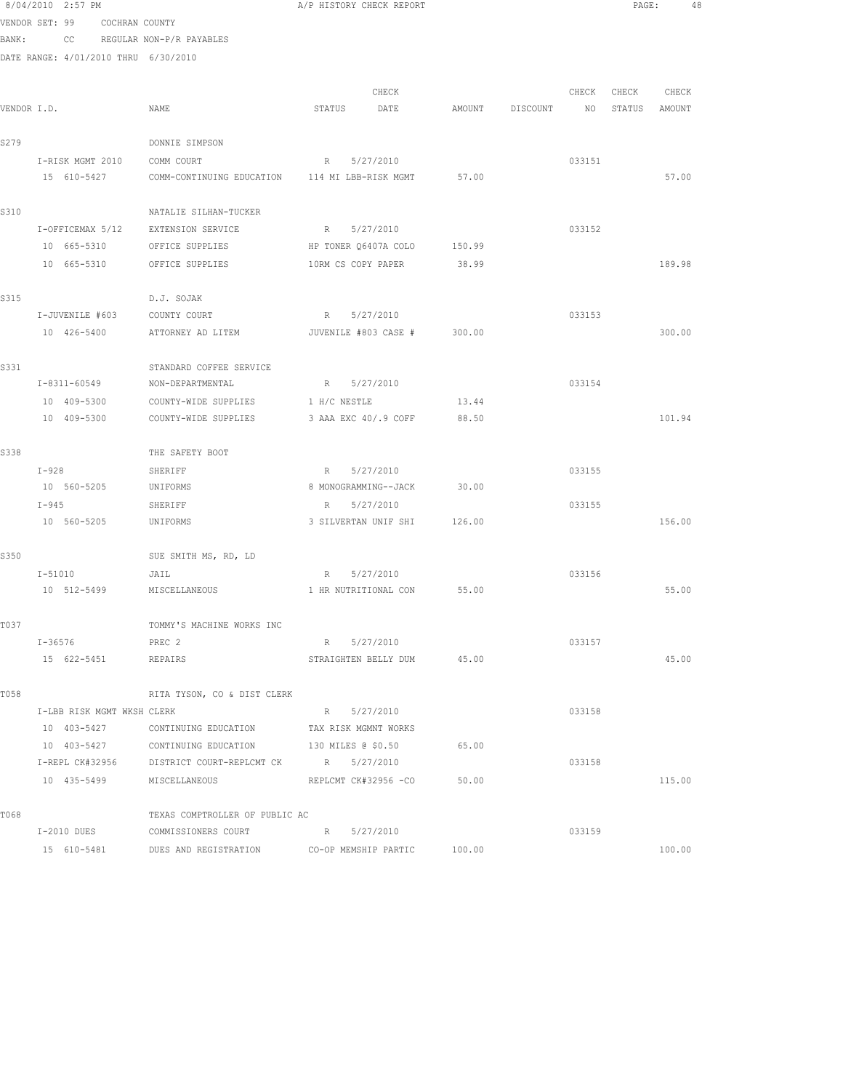| 8/04/2010 2:57 PM |                                      |  | A/P HISTORY CHECK REPORT                              |                      |                             |        |                 |        |        | PAGE:<br>48 |  |
|-------------------|--------------------------------------|--|-------------------------------------------------------|----------------------|-----------------------------|--------|-----------------|--------|--------|-------------|--|
|                   | VENDOR SET: 99 COCHRAN COUNTY        |  |                                                       |                      |                             |        |                 |        |        |             |  |
|                   | BANK: CC                             |  | REGULAR NON-P/R PAYABLES                              |                      |                             |        |                 |        |        |             |  |
|                   | DATE RANGE: 4/01/2010 THRU 6/30/2010 |  |                                                       |                      |                             |        |                 |        |        |             |  |
|                   |                                      |  |                                                       |                      | CHECK                       |        |                 | CHECK  | CHECK  | CHECK       |  |
| VENDOR I.D.       |                                      |  | NAME                                                  | STATUS               | DATE                        |        | AMOUNT DISCOUNT | NO     | STATUS | AMOUNT      |  |
|                   |                                      |  |                                                       |                      |                             |        |                 |        |        |             |  |
| S279              |                                      |  | DONNIE SIMPSON                                        |                      |                             |        |                 |        |        |             |  |
|                   | I-RISK MGMT 2010                     |  | COMM COURT                                            | R 5/27/2010          |                             |        |                 | 033151 |        |             |  |
|                   | 15 610-5427                          |  | COMM-CONTINUING EDUCATION 114 MI LBB-RISK MGMT        |                      |                             | 57.00  |                 |        |        | 57.00       |  |
| S310              |                                      |  | NATALIE SILHAN-TUCKER                                 |                      |                             |        |                 |        |        |             |  |
|                   | I-OFFICEMAX 5/12                     |  | EXTENSION SERVICE                                     | R 5/27/2010          |                             |        |                 | 033152 |        |             |  |
|                   | 10 665-5310                          |  | OFFICE SUPPLIES                                       | HP TONER Q6407A COLO |                             | 150.99 |                 |        |        |             |  |
|                   | 10 665-5310                          |  | OFFICE SUPPLIES                                       | 10RM CS COPY PAPER   |                             | 38.99  |                 |        |        | 189.98      |  |
| S315              |                                      |  | D.J. SOJAK                                            |                      |                             |        |                 |        |        |             |  |
| I-JUVENILE #603   |                                      |  | COUNTY COURT                                          | R 5/27/2010          |                             |        |                 | 033153 |        |             |  |
|                   | 10 426-5400                          |  | ATTORNEY AD LITEM <b>JUVENILE #803 CASE #</b> 300.00  |                      |                             |        |                 |        |        | 300.00      |  |
| S331              |                                      |  | STANDARD COFFEE SERVICE                               |                      |                             |        |                 |        |        |             |  |
|                   | I-8311-60549                         |  | NON-DEPARTMENTAL                                      | R 5/27/2010          |                             |        |                 | 033154 |        |             |  |
| 10 409-5300       |                                      |  | COUNTY-WIDE SUPPLIES                                  | 1 H/C NESTLE         |                             | 13.44  |                 |        |        |             |  |
|                   | 10 409-5300                          |  | COUNTY-WIDE SUPPLIES                                  | 3 AAA EXC 40/.9 COFF |                             | 88.50  |                 |        |        | 101.94      |  |
| S338              |                                      |  | THE SAFETY BOOT                                       |                      |                             |        |                 |        |        |             |  |
|                   | $I-928$                              |  | SHERIFF                                               | R 5/27/2010          |                             |        |                 | 033155 |        |             |  |
|                   | 10 560-5205                          |  | UNIFORMS                                              | 8 MONOGRAMMING--JACK |                             | 30.00  |                 |        |        |             |  |
|                   | $I-945$                              |  | SHERIFF                                               | R 5/27/2010          |                             |        |                 | 033155 |        |             |  |
|                   | 10 560-5205                          |  | UNIFORMS                                              |                      | 3 SILVERTAN UNIF SHI 126.00 |        |                 |        |        | 156.00      |  |
| S350              |                                      |  | SUE SMITH MS, RD, LD                                  |                      |                             |        |                 |        |        |             |  |
|                   | $I - 51010$                          |  | JAIL                                                  | R 5/27/2010          |                             |        |                 | 033156 |        |             |  |
|                   |                                      |  | 10 512-5499 MISCELLANEOUS                             |                      | 1 HR NUTRITIONAL CON 55.00  |        |                 |        |        | 55.00       |  |
| T037              |                                      |  | TOMMY'S MACHINE WORKS INC                             |                      |                             |        |                 |        |        |             |  |
|                   | I-36576                              |  | PREC 2                                                | R 5/27/2010          |                             |        |                 | 033157 |        |             |  |
|                   | 15 622-5451                          |  | REPAIRS                                               |                      | STRAIGHTEN BELLY DUM 45.00  |        |                 |        |        | 45.00       |  |
| T058              |                                      |  | RITA TYSON, CO & DIST CLERK                           |                      |                             |        |                 |        |        |             |  |
|                   | I-LBB RISK MGMT WKSH CLERK           |  |                                                       | R 5/27/2010          |                             |        |                 | 033158 |        |             |  |
|                   | 10 403-5427                          |  | CONTINUING EDUCATION TAX RISK MGMNT WORKS             |                      |                             |        |                 |        |        |             |  |
|                   |                                      |  | 10 403-5427 CONTINUING EDUCATION 130 MILES @ \$0.50   |                      |                             | 65.00  |                 |        |        |             |  |
|                   |                                      |  | I-REPL CK#32956 DISTRICT COURT-REPLCMT CK B 5/27/2010 |                      |                             |        |                 | 033158 |        |             |  |
|                   |                                      |  | 10 435-5499 MISCELLANEOUS                             |                      | REPLCMT CK#32956 -CO        | 50.00  |                 |        |        | 115.00      |  |
| T068              |                                      |  | TEXAS COMPTROLLER OF PUBLIC AC                        |                      |                             |        |                 |        |        |             |  |
| I-2010 DUES       |                                      |  | COMMISSIONERS COURT                                   | R 5/27/2010          |                             |        |                 | 033159 |        |             |  |
| 15 610-5481       |                                      |  | DUES AND REGISTRATION                                 | CO-OP MEMSHIP PARTIC |                             | 100.00 |                 |        |        | 100.00      |  |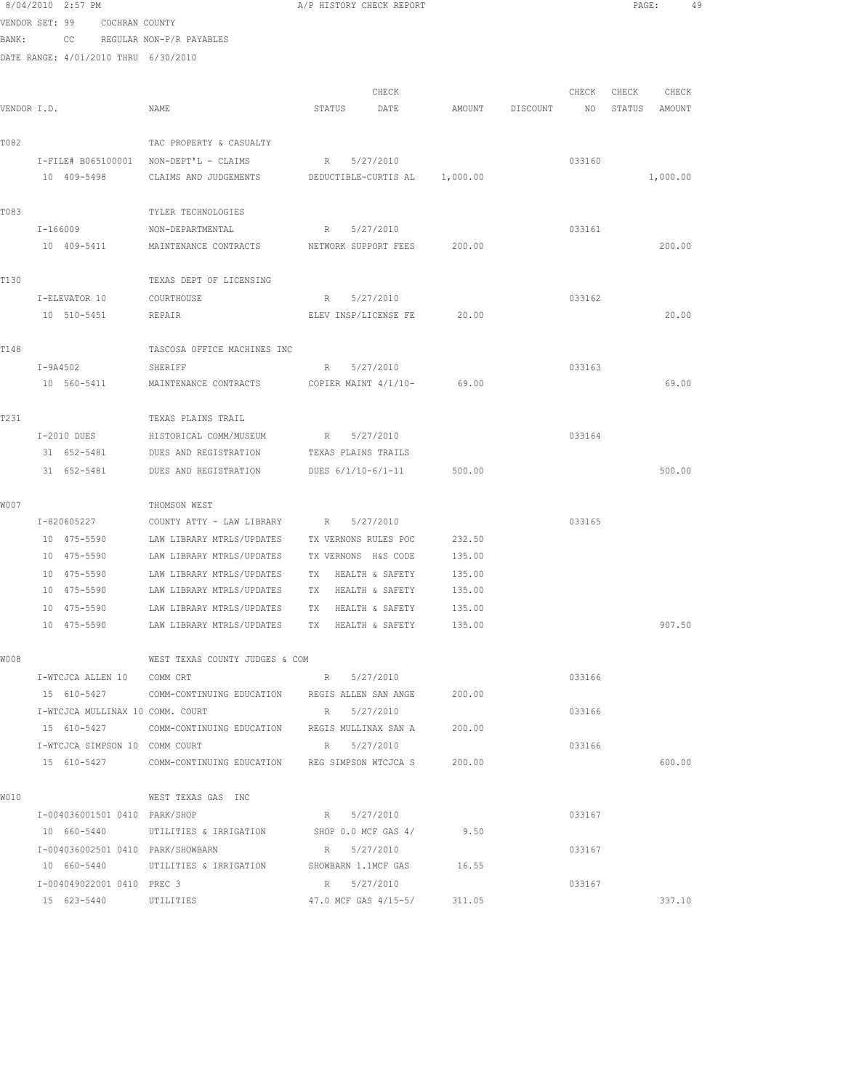|             | 8/04/2010 2:57 PM                      |                                                                   | A/P HISTORY CHECK REPORT      |        |          |        | PAGE:            | 49       |  |
|-------------|----------------------------------------|-------------------------------------------------------------------|-------------------------------|--------|----------|--------|------------------|----------|--|
|             | VENDOR SET: 99 COCHRAN COUNTY          |                                                                   |                               |        |          |        |                  |          |  |
| BANK:       |                                        | CC REGULAR NON-P/R PAYABLES                                       |                               |        |          |        |                  |          |  |
|             | DATE RANGE: 4/01/2010 THRU 6/30/2010   |                                                                   |                               |        |          |        |                  |          |  |
|             |                                        |                                                                   |                               |        |          |        |                  |          |  |
|             |                                        |                                                                   | CHECK                         |        |          |        | CHECK CHECK      | CHECK    |  |
| VENDOR I.D. |                                        | NAME                                                              | STATUS DATE                   | AMOUNT | DISCOUNT |        | NO STATUS AMOUNT |          |  |
|             |                                        |                                                                   |                               |        |          |        |                  |          |  |
| T082        | I-FILE# B065100001 NON-DEPT'L - CLAIMS | TAC PROPERTY & CASUALTY                                           | R 5/27/2010                   |        |          | 033160 |                  |          |  |
|             | 10 409-5498                            | CLAIMS AND JUDGEMENTS                                             | DEDUCTIBLE-CURTIS AL 1,000.00 |        |          |        |                  | 1,000.00 |  |
|             |                                        |                                                                   |                               |        |          |        |                  |          |  |
| T083        |                                        | TYLER TECHNOLOGIES                                                |                               |        |          |        |                  |          |  |
|             | I-166009                               | NON-DEPARTMENTAL                                                  | R 5/27/2010                   |        |          | 033161 |                  |          |  |
|             | 10 409-5411                            | MAINTENANCE CONTRACTS                                             | NETWORK SUPPORT FEES          | 200.00 |          |        |                  | 200.00   |  |
|             |                                        |                                                                   |                               |        |          |        |                  |          |  |
| T130        |                                        | TEXAS DEPT OF LICENSING                                           |                               |        |          |        |                  |          |  |
|             | I-ELEVATOR 10                          | COURTHOUSE                                                        | R 5/27/2010                   |        |          | 033162 |                  |          |  |
|             | 10 510-5451                            | REPAIR                                                            | ELEV INSP/LICENSE FE 20.00    |        |          |        |                  | 20.00    |  |
|             |                                        |                                                                   |                               |        |          |        |                  |          |  |
| T148        |                                        | TASCOSA OFFICE MACHINES INC                                       |                               |        |          |        |                  |          |  |
|             | $I-9A4502$                             | SHERIFF                                                           | 5/27/2010<br>$R_{\rm max}$    |        |          | 033163 |                  |          |  |
|             | 10 560-5411                            | MAINTENANCE CONTRACTS COPIER MAINT 4/1/10- 69.00                  |                               |        |          |        |                  | 69.00    |  |
| T231        |                                        | TEXAS PLAINS TRAIL                                                |                               |        |          |        |                  |          |  |
|             | I-2010 DUES                            | HISTORICAL COMM/MUSEUM                                            | R 5/27/2010                   |        |          | 033164 |                  |          |  |
|             | 31 652-5481                            | DUES AND REGISTRATION                                             | TEXAS PLAINS TRAILS           |        |          |        |                  |          |  |
|             | 31 652-5481                            | DUES AND REGISTRATION                                             | DUES 6/1/10-6/1-11            | 500.00 |          |        |                  | 500.00   |  |
|             |                                        |                                                                   |                               |        |          |        |                  |          |  |
| W007        |                                        | THOMSON WEST                                                      |                               |        |          |        |                  |          |  |
|             | I-820605227                            | COUNTY ATTY - LAW LIBRARY                                         | R 5/27/2010                   |        |          | 033165 |                  |          |  |
|             | 10 475-5590                            | LAW LIBRARY MTRLS/UPDATES                                         | TX VERNONS RULES POC          | 232.50 |          |        |                  |          |  |
|             | 10 475-5590                            | LAW LIBRARY MTRLS/UPDATES                                         | TX VERNONS H&S CODE           | 135.00 |          |        |                  |          |  |
|             | 10 475-5590                            | LAW LIBRARY MTRLS/UPDATES                                         | HEALTH & SAFETY<br>TX         | 135.00 |          |        |                  |          |  |
|             | 10 475-5590                            | LAW LIBRARY MTRLS/UPDATES                                         | TX HEALTH & SAFETY            | 135.00 |          |        |                  |          |  |
|             | 10 475-5590                            | LAW LIBRARY MTRLS/UPDATES                                         | TX HEALTH & SAFETY            | 135.00 |          |        |                  |          |  |
|             | 10 475-5590                            | LAW LIBRARY MTRLS/UPDATES TX HEALTH & SAFETY 135.00               |                               |        |          |        |                  | 907.50   |  |
| W008        |                                        | WEST TEXAS COUNTY JUDGES & COM                                    |                               |        |          |        |                  |          |  |
|             | I-WTCJCA ALLEN 10 COMM CRT             |                                                                   | R 5/27/2010                   |        |          | 033166 |                  |          |  |
|             | 15 610-5427                            | COMM-CONTINUING EDUCATION REGIS ALLEN SAN ANGE                    |                               | 200.00 |          |        |                  |          |  |
|             | I-WTCJCA MULLINAX 10 COMM. COURT       |                                                                   | R 5/27/2010                   |        |          | 033166 |                  |          |  |
|             |                                        | 15 610-5427 COMM-CONTINUING EDUCATION REGIS MULLINAX SAN A        |                               | 200.00 |          |        |                  |          |  |
|             | I-WTCJCA SIMPSON 10 COMM COURT         |                                                                   | R 5/27/2010                   |        |          | 033166 |                  |          |  |
|             |                                        | 15 610-5427 COMM-CONTINUING EDUCATION REG SIMPSON WTCJCA S 200.00 |                               |        |          |        |                  | 600.00   |  |
|             |                                        |                                                                   |                               |        |          |        |                  |          |  |
| W010        |                                        | WEST TEXAS GAS INC                                                |                               |        |          |        |                  |          |  |
|             | I-004036001501 0410 PARK/SHOP          |                                                                   | R 5/27/2010                   |        |          | 033167 |                  |          |  |
|             |                                        | 10 660-5440 UTILITIES & IRRIGATION SHOP 0.0 MCF GAS 4/ 9.50       |                               |        |          |        |                  |          |  |
|             | I-004036002501 0410 PARK/SHOWBARN      |                                                                   | R 5/27/2010                   |        |          | 033167 |                  |          |  |
|             |                                        | 10 660-5440 UTILITIES & IRRIGATION SHOWBARN 1.1MCF GAS 16.55      |                               |        |          |        |                  |          |  |
|             | I-004049022001 0410 PREC 3             |                                                                   | R 5/27/2010                   |        |          | 033167 |                  |          |  |
|             | 15 623-5440                            | UTILITIES                                                         | 47.0 MCF GAS 4/15-5/          | 311.05 |          |        |                  | 337.10   |  |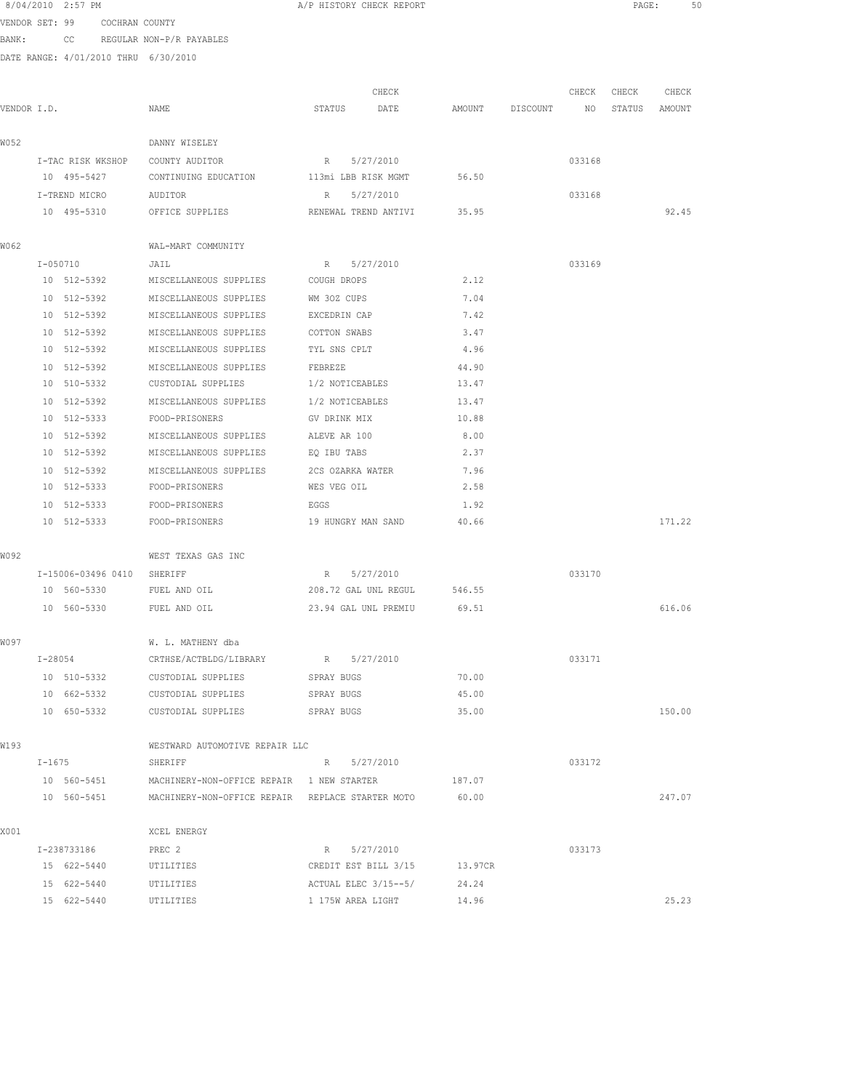|             | 8/04/2010 2:57 PM |                               |                                                       |                  | A/P HISTORY CHECK REPORT |         |                 |        | $\mathtt{PAGE}$ : | 50     |
|-------------|-------------------|-------------------------------|-------------------------------------------------------|------------------|--------------------------|---------|-----------------|--------|-------------------|--------|
|             |                   | VENDOR SET: 99 COCHRAN COUNTY |                                                       |                  |                          |         |                 |        |                   |        |
|             |                   |                               | BANK: CC REGULAR NON-P/R PAYABLES                     |                  |                          |         |                 |        |                   |        |
|             |                   |                               | DATE RANGE: 4/01/2010 THRU 6/30/2010                  |                  |                          |         |                 |        |                   |        |
|             |                   |                               |                                                       |                  |                          |         |                 |        |                   |        |
|             |                   |                               |                                                       |                  | CHECK                    |         |                 | CHECK  | CHECK             | CHECK  |
| VENDOR I.D. |                   |                               | NAME                                                  | STATUS           | DATE                     |         | AMOUNT DISCOUNT | NO     | STATUS            | AMOUNT |
| W052        |                   |                               | DANNY WISELEY                                         |                  |                          |         |                 |        |                   |        |
|             |                   | I-TAC RISK WKSHOP             | COUNTY AUDITOR                                        | R 5/27/2010      |                          |         |                 | 033168 |                   |        |
|             | 10 495-5427       |                               | CONTINUING EDUCATION                                  |                  | 113mi LBB RISK MGMT      | 56.50   |                 |        |                   |        |
|             | I-TREND MICRO     |                               | AUDITOR                                               | R 5/27/2010      |                          |         |                 | 033168 |                   |        |
|             | 10 495-5310       |                               | OFFICE SUPPLIES                                       |                  | RENEWAL TREND ANTIVI     | 35.95   |                 |        |                   | 92.45  |
| W062        |                   |                               | WAL-MART COMMUNITY                                    |                  |                          |         |                 |        |                   |        |
|             | I-050710          |                               | JAIL                                                  | R 5/27/2010      |                          |         |                 | 033169 |                   |        |
|             |                   |                               | 10 512-5392 MISCELLANEOUS SUPPLIES COUGH DROPS        |                  |                          | 2.12    |                 |        |                   |        |
|             | 10 512-5392       |                               | MISCELLANEOUS SUPPLIES                                | WM 30Z CUPS      |                          | 7.04    |                 |        |                   |        |
|             | 10 512-5392       |                               | MISCELLANEOUS SUPPLIES                                | EXCEDRIN CAP     |                          | 7.42    |                 |        |                   |        |
|             | 10 512-5392       |                               | MISCELLANEOUS SUPPLIES                                | COTTON SWABS     |                          | 3.47    |                 |        |                   |        |
|             | 10 512-5392       |                               | MISCELLANEOUS SUPPLIES                                | TYL SNS CPLT     |                          | 4.96    |                 |        |                   |        |
|             | 10 512-5392       |                               | MISCELLANEOUS SUPPLIES                                | FEBREZE          |                          | 44.90   |                 |        |                   |        |
|             | 10 510-5332       |                               | CUSTODIAL SUPPLIES                                    | 1/2 NOTICEABLES  |                          | 13.47   |                 |        |                   |        |
|             | 10 512-5392       |                               | MISCELLANEOUS SUPPLIES                                | 1/2 NOTICEABLES  |                          | 13.47   |                 |        |                   |        |
|             | 10 512-5333       |                               | FOOD-PRISONERS                                        | GV DRINK MIX     |                          | 10.88   |                 |        |                   |        |
|             | 10 512-5392       |                               | MISCELLANEOUS SUPPLIES                                | ALEVE AR 100     |                          | 8.00    |                 |        |                   |        |
|             | 10 512-5392       |                               | MISCELLANEOUS SUPPLIES                                | EQ IBU TABS      |                          | 2.37    |                 |        |                   |        |
|             | 10 512-5392       |                               | MISCELLANEOUS SUPPLIES                                | 2CS OZARKA WATER |                          | 7.96    |                 |        |                   |        |
|             | 10 512-5333       |                               | FOOD-PRISONERS                                        | WES VEG OIL      |                          | 2.58    |                 |        |                   |        |
|             | 10 512-5333       |                               | FOOD-PRISONERS                                        | EGGS             |                          | 1.92    |                 |        |                   |        |
|             | 10 512-5333       |                               | FOOD-PRISONERS                                        |                  | 19 HUNGRY MAN SAND       | 40.66   |                 |        |                   | 171.22 |
| WO 92       |                   |                               | WEST TEXAS GAS INC                                    |                  |                          |         |                 |        |                   |        |
|             |                   |                               | I-15006-03496 0410 SHERIFF                            | R 5/27/2010      |                          |         |                 | 033170 |                   |        |
|             | 10 560-5330       |                               | FUEL AND OIL                                          |                  | 208.72 GAL UNL REGUL     | 546.55  |                 |        |                   |        |
|             | 10 560-5330       |                               | FUEL AND OIL                                          |                  | 23.94 GAL UNL PREMIU     | 69.51   |                 |        |                   | 616.06 |
| WO 97       |                   |                               | W. L. MATHENY dba                                     |                  |                          |         |                 |        |                   |        |
|             | $I - 28054$       |                               | CRTHSE/ACTBLDG/LIBRARY                                | R 5/27/2010      |                          |         |                 | 033171 |                   |        |
|             | 10 510-5332       |                               | CUSTODIAL SUPPLIES                                    | SPRAY BUGS       |                          | 70.00   |                 |        |                   |        |
|             | 10 662-5332       |                               | CUSTODIAL SUPPLIES                                    | SPRAY BUGS       |                          | 45.00   |                 |        |                   |        |
|             |                   | 10 650-5332                   | CUSTODIAL SUPPLIES                                    | SPRAY BUGS       |                          | 35.00   |                 |        |                   | 150.00 |
| W193        |                   |                               | WESTWARD AUTOMOTIVE REPAIR LLC                        |                  |                          |         |                 |        |                   |        |
|             | $I - 1675$        |                               | SHERIFF                                               | R 5/27/2010      |                          |         |                 | 033172 |                   |        |
|             |                   |                               | 10 560-5451 MACHINERY-NON-OFFICE REPAIR 1 NEW STARTER |                  |                          | 187.07  |                 |        |                   |        |
|             | 10 560-5451       |                               | MACHINERY-NON-OFFICE REPAIR REPLACE STARTER MOTO      |                  |                          | 60.00   |                 |        |                   | 247.07 |
| X001        |                   |                               | XCEL ENERGY                                           |                  |                          |         |                 |        |                   |        |
|             | I-238733186       |                               | PREC 2                                                |                  | R 5/27/2010              |         |                 | 033173 |                   |        |
|             | 15 622-5440       |                               | UTILITIES                                             |                  | CREDIT EST BILL 3/15     | 13.97CR |                 |        |                   |        |
|             | 15 622-5440       |                               | UTILITIES                                             |                  | ACTUAL ELEC 3/15--5/     | 24.24   |                 |        |                   |        |
|             |                   |                               |                                                       |                  |                          |         |                 |        |                   |        |

15 622-5440 UTILITIES 1 175W AREA LIGHT 14.96 25.23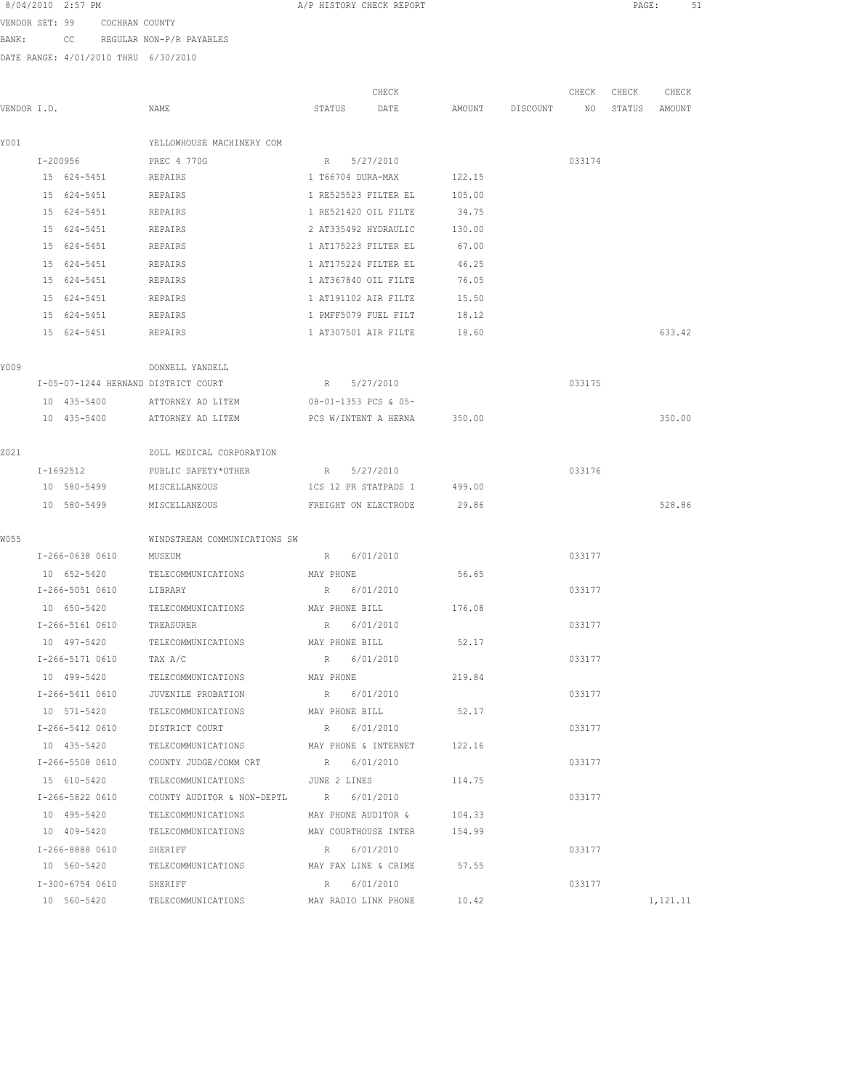VENDOR SET: 99 COCHRAN COUNTY BANK: CC REGULAR NON-P/R PAYABLES

|             |                                     |                                                            |                      | CHECK                       |                    | CHECK  | CHECK         | CHECK    |
|-------------|-------------------------------------|------------------------------------------------------------|----------------------|-----------------------------|--------------------|--------|---------------|----------|
| VENDOR I.D. |                                     | NAME                                                       | STATUS               | DATE                        | AMOUNT DISCOUNT NO |        | STATUS AMOUNT |          |
| Y001        |                                     | YELLOWHOUSE MACHINERY COM                                  |                      |                             |                    |        |               |          |
|             | I-200956                            | PREC 4 770G                                                | R 5/27/2010          |                             |                    | 033174 |               |          |
|             | 15 624-5451 REPAIRS                 |                                                            |                      | 1 T66704 DURA-MAX 122.15    |                    |        |               |          |
|             | 15 624-5451                         | REPAIRS                                                    |                      | 1 RE525523 FILTER EL 105.00 |                    |        |               |          |
|             | 15 624-5451                         | REPAIRS                                                    | 1 RE521420 OIL FILTE |                             | 34.75              |        |               |          |
|             | 15 624-5451                         | REPAIRS                                                    | 2 AT335492 HYDRAULIC |                             | 130.00             |        |               |          |
|             | 15 624-5451                         | REPAIRS                                                    | 1 AT175223 FILTER EL |                             | 67.00              |        |               |          |
|             | 15 624-5451                         | REPAIRS                                                    | 1 AT175224 FILTER EL |                             | 46.25              |        |               |          |
|             | 15 624-5451                         | REPAIRS                                                    | 1 AT367840 OIL FILTE |                             | 76.05              |        |               |          |
|             | 15 624-5451                         | REPAIRS                                                    | 1 AT191102 AIR FILTE |                             | 15.50              |        |               |          |
|             | 15 624-5451                         | REPAIRS                                                    | 1 PMFF5079 FUEL FILT |                             | 18.12              |        |               |          |
|             | 15 624-5451 REPAIRS                 |                                                            | 1 AT307501 AIR FILTE |                             | 18.60              |        |               | 633.42   |
| Y009        |                                     | DONNELL YANDELL                                            |                      |                             |                    |        |               |          |
|             | I-05-07-1244 HERNAND DISTRICT COURT |                                                            | R 5/27/2010          |                             |                    | 033175 |               |          |
|             | 10 435-5400                         | ATTORNEY AD LITEM 08-01-1353 PCS & 05-                     |                      |                             |                    |        |               |          |
|             |                                     | 10 435-5400 ATTORNEY AD LITEM PCS W/INTENT A HERNA 350.00  |                      |                             |                    |        |               | 350.00   |
| 2021        |                                     | ZOLL MEDICAL CORPORATION                                   |                      |                             |                    |        |               |          |
|             | I-1692512                           | PUBLIC SAFETY*OTHER                                        | R 5/27/2010          |                             |                    | 033176 |               |          |
|             | 10 580-5499                         | MISCELLANEOUS                                              | 1CS 12 PR STATPADS I |                             | 499.00             |        |               |          |
|             | 10 580-5499                         | MISCELLANEOUS                                              | FREIGHT ON ELECTRODE |                             | 29.86              |        |               | 528.86   |
| W055        |                                     |                                                            |                      |                             |                    |        |               |          |
|             | I-266-0638 0610 MUSEUM              | WINDSTREAM COMMUNICATIONS SW                               | R 6/01/2010          |                             |                    | 033177 |               |          |
|             |                                     | 10 652-5420 TELECOMMUNICATIONS MAY PHONE                   |                      |                             | 56.65              |        |               |          |
|             | I-266-5051 0610 LIBRARY             |                                                            | R 6/01/2010          |                             |                    | 033177 |               |          |
|             |                                     | 10 650-5420 TELECOMMUNICATIONS MAY PHONE BILL              |                      |                             | 176.08             |        |               |          |
|             | I-266-5161 0610 TREASURER           |                                                            | R 6/01/2010          |                             |                    | 033177 |               |          |
|             |                                     | 10 497-5420 TELECOMMUNICATIONS                             | MAY PHONE BILL       |                             | 52.17              |        |               |          |
|             | I-266-5171 0610 TAX A/C             |                                                            | R 6/01/2010          |                             |                    | 033177 |               |          |
|             | 10 499-5420                         | TELECOMMUNICATIONS                                         | MAY PHONE            |                             | 219.84             |        |               |          |
|             | I-266-5411 0610                     | JUVENILE PROBATION                                         | R 6/01/2010          |                             |                    | 033177 |               |          |
|             | 10 571-5420                         | TELECOMMUNICATIONS                                         | MAY PHONE BILL       |                             | 52.17              |        |               |          |
|             | I-266-5412 0610                     | DISTRICT COURT                                             | R 6/01/2010          |                             |                    | 033177 |               |          |
|             | 10 435-5420                         | TELECOMMUNICATIONS MAY PHONE & INTERNET 122.16             |                      |                             |                    |        |               |          |
|             |                                     | I-266-5508 0610 COUNTY JUDGE/COMM CRT R 6/01/2010          |                      |                             |                    | 033177 |               |          |
|             |                                     | 15 610-5420 TELECOMMUNICATIONS JUNE 2 LINES 114.75         |                      |                             |                    |        |               |          |
|             |                                     | I-266-5822 0610 COUNTY AUDITOR & NON-DEPTL R 6/01/2010     |                      |                             |                    | 033177 |               |          |
|             |                                     | 10 495-5420 TELECOMMUNICATIONS MAY PHONE AUDITOR & 104.33  |                      |                             |                    |        |               |          |
|             |                                     | 10 409-5420 TELECOMMUNICATIONS MAY COURTHOUSE INTER 154.99 |                      |                             |                    |        |               |          |
|             | I-266-8888 0610 SHERIFF             |                                                            | R 6/01/2010          |                             |                    | 033177 |               |          |
|             | 10 560-5420                         | TELECOMMUNICATIONS MAY FAX LINE & CRIME 57.55              |                      |                             |                    |        |               |          |
|             | I-300-6754 0610 SHERIFF             |                                                            | R 6/01/2010          |                             |                    | 033177 |               |          |
|             | 10 560-5420                         | TELECOMMUNICATIONS                                         | MAY RADIO LINK PHONE |                             | 10.42              |        |               | 1,121.11 |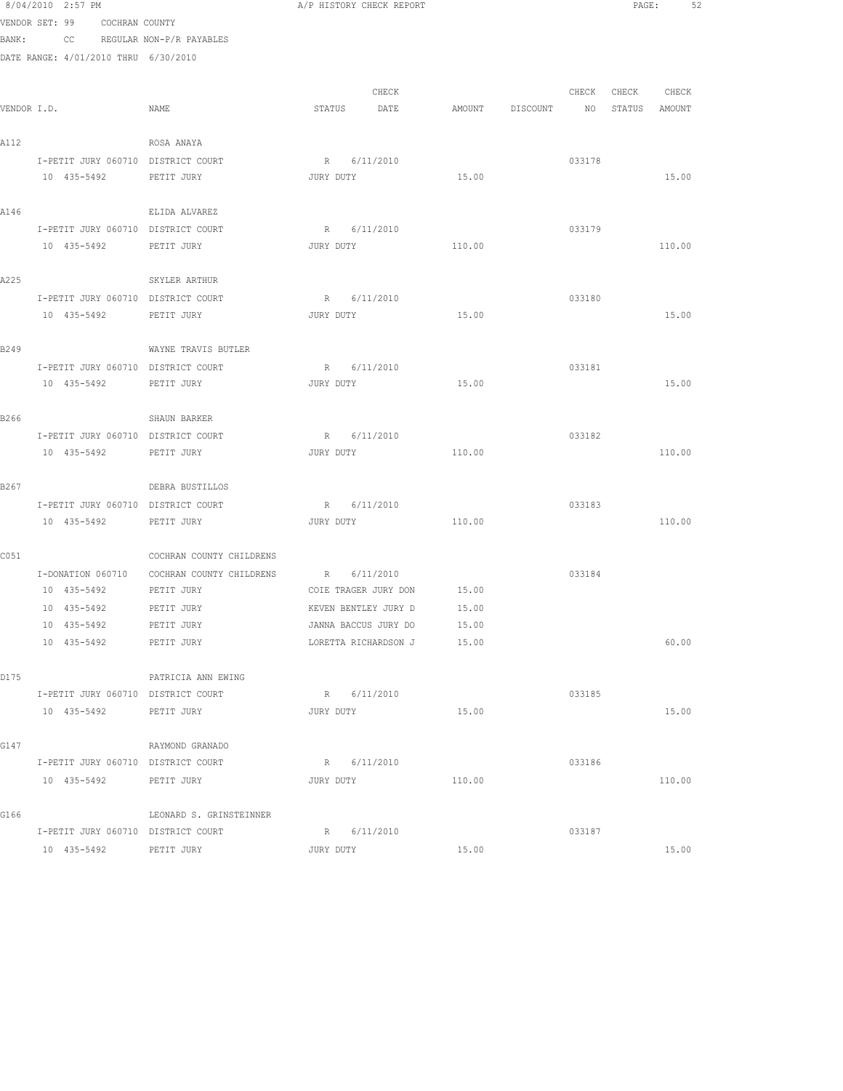|             | 8/04/2010 2:57 PM                    |                                            | A/P HISTORY CHECK REPORT   |        |                 |        |                  | 52<br>PAGE: |  |
|-------------|--------------------------------------|--------------------------------------------|----------------------------|--------|-----------------|--------|------------------|-------------|--|
|             | VENDOR SET: 99 COCHRAN COUNTY        |                                            |                            |        |                 |        |                  |             |  |
|             | BANK: CC REGULAR NON-P/R PAYABLES    |                                            |                            |        |                 |        |                  |             |  |
|             | DATE RANGE: 4/01/2010 THRU 6/30/2010 |                                            |                            |        |                 |        |                  |             |  |
|             |                                      |                                            |                            |        |                 |        |                  |             |  |
| VENDOR I.D. |                                      | NAME                                       | CHECK                      |        |                 | CHECK  | CHECK CHECK      |             |  |
|             |                                      |                                            | STATUS DATE                |        | AMOUNT DISCOUNT |        | NO STATUS AMOUNT |             |  |
| A112        |                                      | ROSA ANAYA                                 |                            |        |                 |        |                  |             |  |
|             | I-PETIT JURY 060710 DISTRICT COURT   |                                            | R 6/11/2010                |        |                 | 033178 |                  |             |  |
|             | 10 435-5492                          | PETIT JURY                                 | JURY DUTY                  | 15.00  |                 |        |                  | 15.00       |  |
| A146        |                                      | ELIDA ALVAREZ                              |                            |        |                 |        |                  |             |  |
|             | I-PETIT JURY 060710 DISTRICT COURT   |                                            | R 6/11/2010                |        |                 | 033179 |                  |             |  |
|             | 10 435-5492                          | PETIT JURY                                 | JURY DUTY                  | 110.00 |                 |        |                  | 110.00      |  |
| A225        |                                      | SKYLER ARTHUR                              |                            |        |                 |        |                  |             |  |
|             | I-PETIT JURY 060710 DISTRICT COURT   |                                            | R 6/11/2010                |        |                 | 033180 |                  |             |  |
|             | 10 435-5492 PETIT JURY               |                                            | JURY DUTY                  | 15.00  |                 |        |                  | 15.00       |  |
| B249        |                                      | WAYNE TRAVIS BUTLER                        |                            |        |                 |        |                  |             |  |
|             | I-PETIT JURY 060710 DISTRICT COURT   |                                            | R 6/11/2010                |        |                 | 033181 |                  |             |  |
|             | 10 435-5492 PETIT JURY               |                                            | JURY DUTY                  | 15.00  |                 |        |                  | 15.00       |  |
| B266        |                                      | SHAUN BARKER                               |                            |        |                 |        |                  |             |  |
|             | I-PETIT JURY 060710 DISTRICT COURT   |                                            | R 6/11/2010                |        |                 | 033182 |                  |             |  |
|             | 10 435-5492                          | PETIT JURY                                 | JURY DUTY                  | 110.00 |                 |        |                  | 110.00      |  |
| B267        |                                      | DEBRA BUSTILLOS                            |                            |        |                 |        |                  |             |  |
|             | I-PETIT JURY 060710 DISTRICT COURT   |                                            | R 6/11/2010                |        |                 | 033183 |                  |             |  |
|             | 10 435-5492                          | PETIT JURY                                 | JURY DUTY                  | 110.00 |                 |        |                  | 110.00      |  |
| C051        |                                      | COCHRAN COUNTY CHILDRENS                   |                            |        |                 |        |                  |             |  |
|             |                                      | I-DONATION 060710 COCHRAN COUNTY CHILDRENS | R 6/11/2010                |        |                 | 033184 |                  |             |  |
|             | 10 435-5492 PETIT JURY               |                                            | COIE TRAGER JURY DON 15.00 |        |                 |        |                  |             |  |
|             | 10 435-5492 PETIT JURY               |                                            | KEVEN BENTLEY JURY D 15.00 |        |                 |        |                  |             |  |
|             | 10 435-5492                          | PETIT JURY                                 | JANNA BACCUS JURY DO       | 15.00  |                 |        |                  |             |  |
|             | 10 435-5492                          | PETIT JURY                                 | LORETTA RICHARDSON J       | 15.00  |                 |        |                  | 60.00       |  |
| D175        |                                      | PATRICIA ANN EWING                         |                            |        |                 |        |                  |             |  |
|             | I-PETIT JURY 060710 DISTRICT COURT   |                                            | R 6/11/2010                |        |                 | 033185 |                  |             |  |
|             | 10 435-5492 PETIT JURY               |                                            | JURY DUTY                  | 15.00  |                 |        |                  | 15.00       |  |
| G147        |                                      | RAYMOND GRANADO                            |                            |        |                 |        |                  |             |  |
|             | I-PETIT JURY 060710 DISTRICT COURT   |                                            | R 6/11/2010                |        |                 | 033186 |                  |             |  |
|             | 10 435-5492 PETIT JURY               |                                            | JURY DUTY                  | 110.00 |                 |        |                  | 110.00      |  |
| G166        |                                      | LEONARD S. GRINSTEINNER                    |                            |        |                 |        |                  |             |  |
|             | I-PETIT JURY 060710 DISTRICT COURT   |                                            | R 6/11/2010                |        |                 | 033187 |                  |             |  |
|             | 10 435-5492 PETIT JURY               |                                            | JURY DUTY                  | 15.00  |                 |        |                  | 15.00       |  |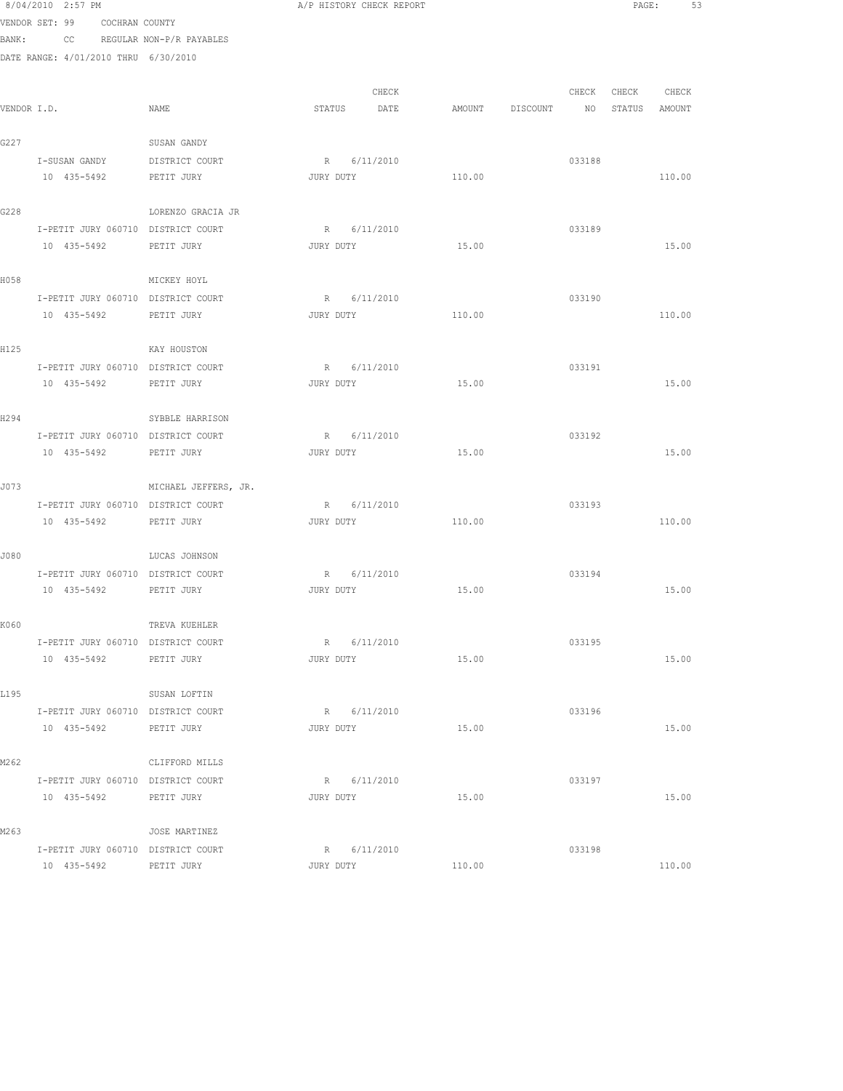8/04/2010 2:57 PM **A/P HISTORY CHECK REPORT PAGE:** 53 VENDOR SET: 99 COCHRAN COUNTY BANK: CC REGULAR NON-P/R PAYABLES DATE RANGE: 4/01/2010 THRU 6/30/2010 CHECK CHECK CHECK CHECK VENDOR I.D. NAME STATUS DATE AMOUNT DISCOUNT NO STATUS AMOUNT G227 SUSAN GANDY I-SUSAN GANDY DISTRICT COURT R 6/11/2010<br>
R 6/11/2010 10 435-5492 PETIT JURY JURY DUTY 110.00 110.00 G228 LORENZO GRACIA JR I-PETIT JURY 060710 DISTRICT COURT R 6/11/2010 033189 10 435-5492 PETIT JURY JURY DUTY 15.00 15.00 H058 MICKEY HOYL I-PETIT JURY 060710 DISTRICT COURT R 6/11/2010 033190 10 435-5492 PETIT JURY JURY DUTY 110.00 110.00 H125 KAY HOUSTON I-PETIT JURY 060710 DISTRICT COURT R 6/11/2010 033191 10 435-5492 PETIT JURY JURY DUTY 15.00 15.00 H294 SYBBLE HARRISON I-PETIT JURY 060710 DISTRICT COURT R 6/11/2010 033192 1-FEITI JURI DISTRICT COURT 1 1-FEITI JURY 15.00<br>10 435-5492 PETIT JURY JURY JURY DUTY 15.00 15.00 15.00 J073 MICHAEL JEFFERS, JR. I-PETIT JURY 060710 DISTRICT COURT R 6/11/2010 10 435-5492 PETIT JURY JURY DUTY 110.00 110.00 J080 LUCAS JOHNSON I-PETIT JURY 060710 DISTRICT COURT R 6/11/2010 033194 10 435-5492 PETIT JURY JURY DUTY 15.00 15.00 K060 TREVA KUEHLER I-PETIT JURY 060710 DISTRICT COURT R 6/11/2010 033195 10 435-5492 PETIT JURY JURY DUTY 15.00 15.00 L195 SUSAN LOFTIN I-PETIT JURY 060710 DISTRICT COURT R 6/11/2010 033196 10 435-5492 PETIT JURY JURY DUTY 15.00 15.00 M262 CLIFFORD MILLS I-PETIT JURY 060710 DISTRICT COURT R 6/11/2010 033197 10 435-5492 PETIT JURY JURY DUTY 15.00 15.00 M<sub>263</sub> M<sub>263</sub> JOSE MARTINEZ I-PETIT JURY 060710 DISTRICT COURT R 6/11/2010 033198

10 435-5492 PETIT JURY JURY DUTY 110.00 110.00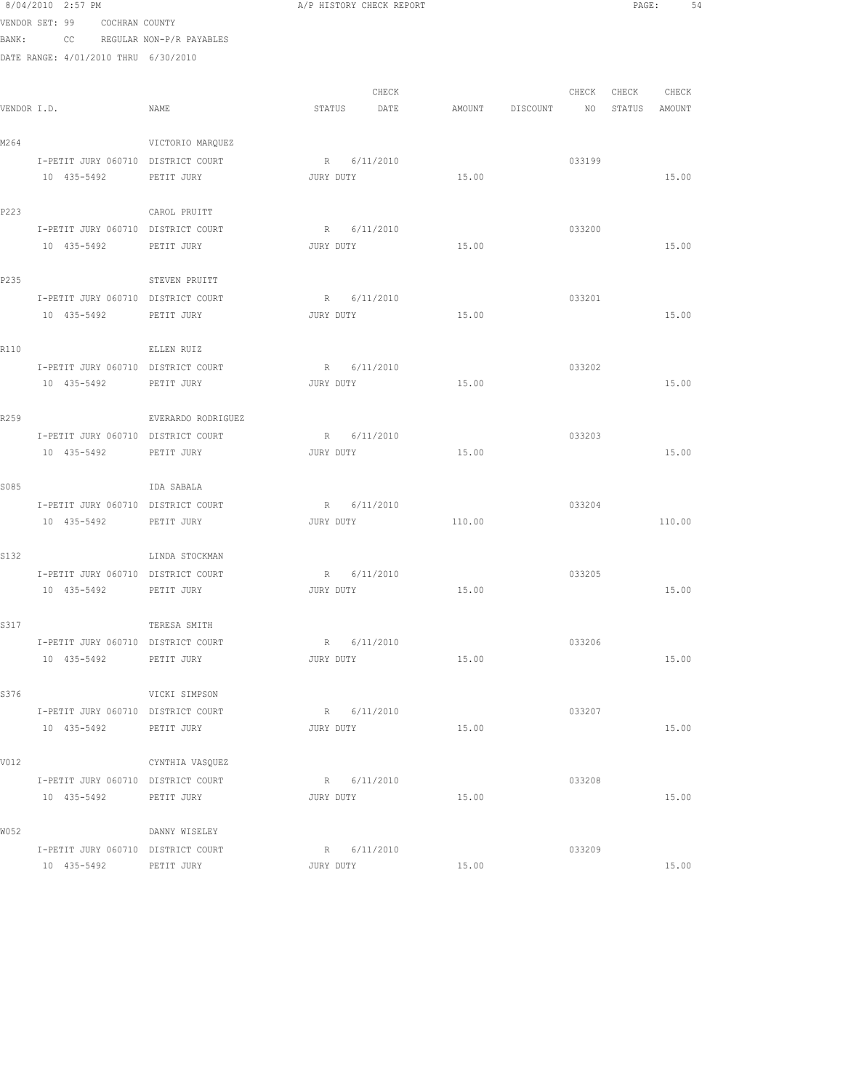|       | 8/04/2010 2:57 PM                                 |                    | A/P HISTORY CHECK REPORT |                                  |        |                   | PAGE:<br>54 |  |
|-------|---------------------------------------------------|--------------------|--------------------------|----------------------------------|--------|-------------------|-------------|--|
|       | VENDOR SET: 99 COCHRAN COUNTY                     |                    |                          |                                  |        |                   |             |  |
|       | BANK: CC REGULAR NON-P/R PAYABLES                 |                    |                          |                                  |        |                   |             |  |
|       | DATE RANGE: 4/01/2010 THRU 6/30/2010              |                    |                          |                                  |        |                   |             |  |
|       |                                                   |                    |                          |                                  |        |                   |             |  |
|       |                                                   |                    | CHECK                    |                                  |        | CHECK CHECK CHECK |             |  |
|       | VENDOR I.D.                                       | NAME               | STATUS DATE              | AMOUNT DISCOUNT NO STATUS AMOUNT |        |                   |             |  |
|       |                                                   |                    |                          |                                  |        |                   |             |  |
| M2 64 |                                                   | VICTORIO MARQUEZ   |                          |                                  |        |                   |             |  |
|       | I-PETIT JURY 060710 DISTRICT COURT<br>10 435-5492 |                    | R 6/11/2010              | 15.00                            | 033199 |                   |             |  |
|       |                                                   | PETIT JURY         | JURY DUTY                |                                  |        |                   | 15.00       |  |
| P223  |                                                   | CAROL PRUITT       |                          |                                  |        |                   |             |  |
|       | I-PETIT JURY 060710 DISTRICT COURT                |                    | R 6/11/2010              |                                  | 033200 |                   |             |  |
|       | 10 435-5492                                       | PETIT JURY         | JURY DUTY                | 15.00                            |        |                   | 15.00       |  |
|       |                                                   |                    |                          |                                  |        |                   |             |  |
| P235  |                                                   | STEVEN PRUITT      |                          |                                  |        |                   |             |  |
|       | I-PETIT JURY 060710 DISTRICT COURT                |                    | R 6/11/2010              |                                  | 033201 |                   |             |  |
|       | 10 435-5492 PETIT JURY                            |                    | JURY DUTY                | 15.00                            |        |                   | 15.00       |  |
|       |                                                   |                    |                          |                                  |        |                   |             |  |
| R110  |                                                   | ELLEN RUIZ         |                          |                                  |        |                   |             |  |
|       | I-PETIT JURY 060710 DISTRICT COURT                |                    | R 6/11/2010              |                                  | 033202 |                   |             |  |
|       | 10 435-5492 PETIT JURY                            |                    | JURY DUTY                | 15.00                            |        |                   | 15.00       |  |
|       |                                                   |                    |                          |                                  |        |                   |             |  |
| R259  |                                                   | EVERARDO RODRIGUEZ |                          |                                  |        |                   |             |  |
|       | I-PETIT JURY 060710 DISTRICT COURT                |                    | R 6/11/2010              |                                  | 033203 |                   |             |  |
|       | 10 435-5492                                       | PETIT JURY         | JURY DUTY                | 15.00                            |        |                   | 15.00       |  |
| S085  |                                                   | IDA SABALA         |                          |                                  |        |                   |             |  |
|       | I-PETIT JURY 060710 DISTRICT COURT                |                    | R 6/11/2010              |                                  | 033204 |                   |             |  |
|       | 10 435-5492 PETIT JURY                            |                    | JURY DUTY                | 110.00                           |        |                   | 110.00      |  |
|       |                                                   |                    |                          |                                  |        |                   |             |  |
| S132  |                                                   | LINDA STOCKMAN     |                          |                                  |        |                   |             |  |
|       | I-PETIT JURY 060710 DISTRICT COURT                |                    | R 6/11/2010              |                                  | 033205 |                   |             |  |
|       | 10 435-5492                                       | PETIT JURY         | 15.00<br>JURY DUTY       |                                  |        |                   | 15.00       |  |
|       |                                                   |                    |                          |                                  |        |                   |             |  |
| S317  |                                                   | TERESA SMITH       |                          |                                  |        |                   |             |  |
|       | I-PETIT JURY 060710 DISTRICT COURT                |                    | R 6/11/2010              |                                  | 033206 |                   |             |  |
|       | 10 435-5492 PETIT JURY                            |                    | JURY DUTY                | 15.00                            |        |                   | 15.00       |  |
|       |                                                   |                    |                          |                                  |        |                   |             |  |
| S376  |                                                   | VICKI SIMPSON      |                          |                                  |        |                   |             |  |
|       | I-PETIT JURY 060710 DISTRICT COURT                |                    | R 6/11/2010              |                                  | 033207 |                   |             |  |
|       | 10 435-5492 PETIT JURY                            |                    | JURY DUTY                | 15.00                            |        |                   | 15.00       |  |
| V012  |                                                   | CYNTHIA VASQUEZ    |                          |                                  |        |                   |             |  |
|       | I-PETIT JURY 060710 DISTRICT COURT                |                    | R 6/11/2010              |                                  | 033208 |                   |             |  |
|       | 10 435-5492                                       | PETIT JURY         | JURY DUTY                | 15.00                            |        |                   | 15.00       |  |
|       |                                                   |                    |                          |                                  |        |                   |             |  |
| W052  |                                                   | DANNY WISELEY      |                          |                                  |        |                   |             |  |
|       | I-PETIT JURY 060710 DISTRICT COURT                |                    | R 6/11/2010              |                                  | 033209 |                   |             |  |
|       | 10 435-5492                                       | PETIT JURY         | JURY DUTY                | 15.00                            |        |                   | 15.00       |  |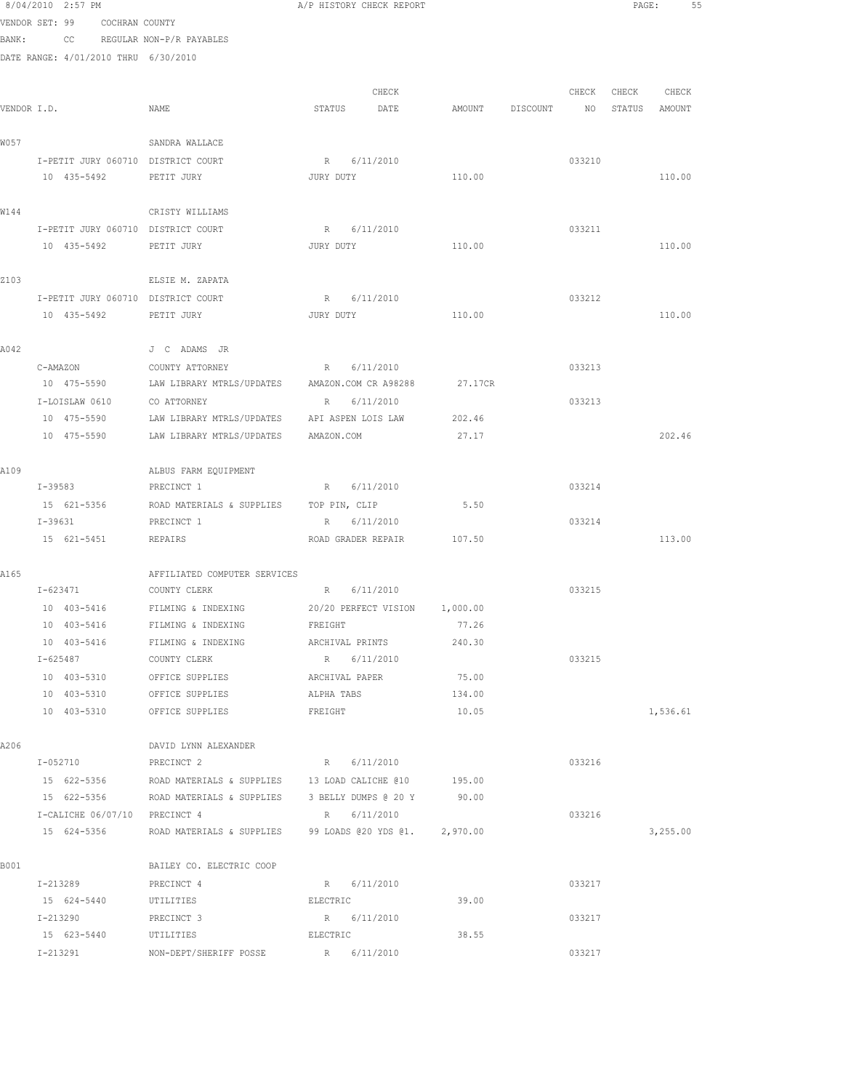VENDOR SET: 99 COCHRAN COUNTY BANK: CC REGULAR NON-P/R PAYABLES DATE RANGE: 4/01/2010 THRU 6/30/2010 CHECK CHECK CHECK CHECK VENDOR I.D. NAME STATUS DATE AMOUNT DISCOUNT NO STATUS AMOUNT W057 SANDRA WALLACE I-PETIT JURY 060710 DISTRICT COURT R 6/11/2010 033210 10 435-5492 PETIT JURY JURY DUTY 110.00 110.00 W144 CRISTY WILLIAMS I-PETIT JURY 060710 DISTRICT COURT R 6/11/2010 033211 10 435-5492 PETIT JURY JURY DUTY 110.00 110.00 Z103 ELSIE M. ZAPATA I-PETIT JURY 060710 DISTRICT COURT R 6/11/2010 033212 10 435-5492 PETIT JURY JURY DUTY 110.00 110.00 A042 J C ADAMS JR C-AMAZON COUNTY ATTORNEY R 6/11/2010 R 6/11/2010 033213 10 475-5590 LAW LIBRARY MTRLS/UPDATES AMAZON.COM CR A98288 27.17CR  $\tt I-LOISLAW 0610 \t\t\t CO ATTORNEY \t\t\t R \t\t\t 6/11/2010 \t\t\t 033213$  10 475-5590 LAW LIBRARY MTRLS/UPDATES API ASPEN LOIS LAW 202.46 10 475-5590 LAW LIBRARY MTRLS/UPDATES AMAZON.COM 27.17 202.46 A109 ALBUS FARM EQUIPMENT I-39583 PRECINCT 1 R 6/11/2010 R 6/11/2010 033214 15 621-5356 ROAD MATERIALS & SUPPLIES TOP PIN, CLIP 5.50 I-39631 PRECINCT 1 R 6/11/2010 033214 15 621-5451 REPAIRS ROAD GRADER REPAIR 107.50 113.00 A165 AFFILIATED COMPUTER SERVICES I-623471 COUNTY CLERK R 6/11/2010 R 6/11/2010 033215 10 403-5416 FILMING & INDEXING 20/20 PERFECT VISION 1,000.00 10 403-5416 FILMING & INDEXING FREIGHT 77.26 10 403-5416 FILMING & INDEXING ARCHIVAL PRINTS 240.30 I-625487 COUNTY CLERK R 6/11/2010 R 6/11/2010 033215 10 403-5310 OFFICE SUPPLIES ARCHIVAL PAPER 75.00 10 403-5310 OFFICE SUPPLIES ALPHA TABS 134.00 10 403-5310 OFFICE SUPPLIES FREIGHT 10.05 1,536.61 A206 DAVID LYNN ALEXANDER I-052710 PRECINCT 2 R 6/11/2010 R 933216 15 622-5356 ROAD MATERIALS & SUPPLIES 13 LOAD CALICHE @10 195.00 15 622-5356 ROAD MATERIALS & SUPPLIES 3 BELLY DUMPS @ 20 Y 90.00 I-CALICHE 06/07/10 PRECINCT 4 R 6/11/2010 033216 15 624-5356 ROAD MATERIALS & SUPPLIES 99 LOADS @20 YDS @1. 2,970.00 30 3,255.00 BOO1 BAILEY CO. ELECTRIC COOP I-213289 PRECINCT 4 R 6/11/2010 033217 15 624-5440 UTILITIES ELECTRIC 39.00 I-213290 PRECINCT 3 R 6/11/2010 033217 15 623-5440 UTILITIES ELECTRIC 38.55 I-213291 NON-DEPT/SHERIFF POSSE R 6/11/2010 033217

8/04/2010 2:57 PM **A/P HISTORY CHECK REPORT PAGE:** 55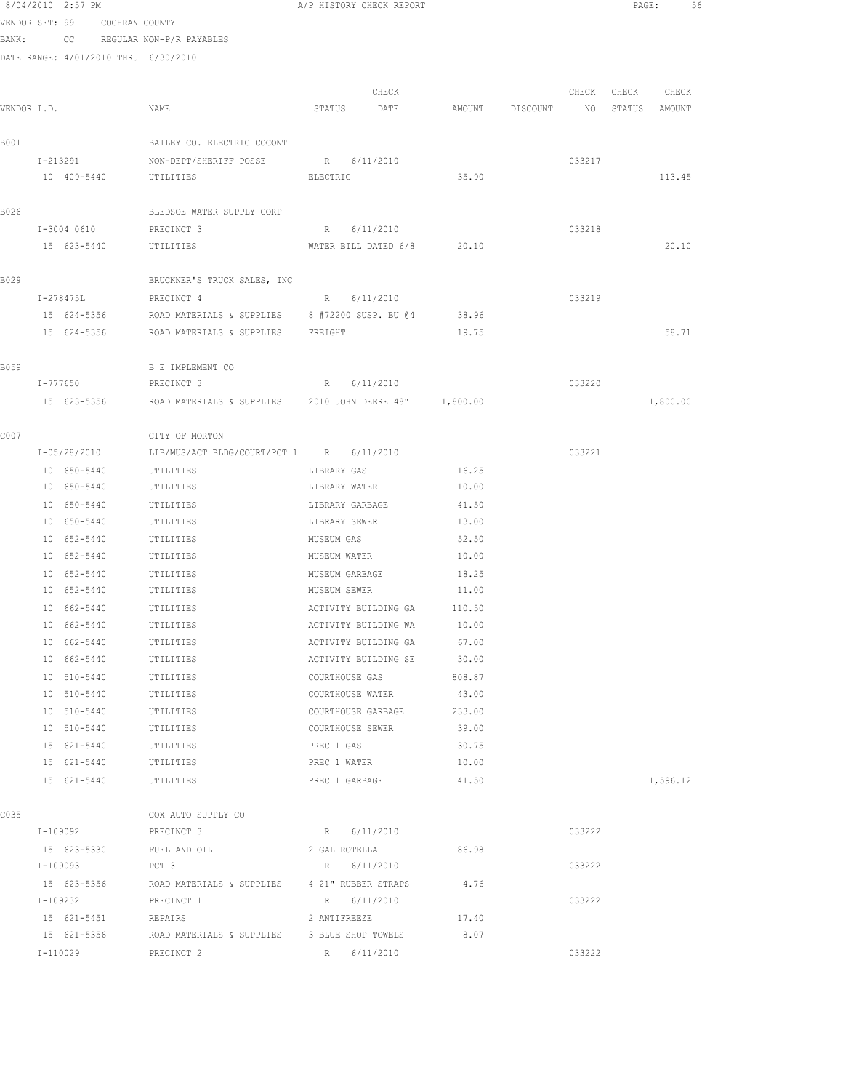|             | 8/04/2010 2:57 PM          |                               |                                                                    | A/P HISTORY CHECK REPORT                     |       |        |                                  |        |                   | PAGE:    | 56 |
|-------------|----------------------------|-------------------------------|--------------------------------------------------------------------|----------------------------------------------|-------|--------|----------------------------------|--------|-------------------|----------|----|
|             |                            | VENDOR SET: 99 COCHRAN COUNTY |                                                                    |                                              |       |        |                                  |        |                   |          |    |
|             |                            |                               | BANK: CC REGULAR NON-P/R PAYABLES                                  |                                              |       |        |                                  |        |                   |          |    |
|             |                            |                               | DATE RANGE: 4/01/2010 THRU 6/30/2010                               |                                              |       |        |                                  |        |                   |          |    |
|             |                            |                               |                                                                    |                                              |       |        |                                  |        |                   |          |    |
|             |                            |                               |                                                                    |                                              | CHECK |        |                                  |        | CHECK CHECK CHECK |          |    |
| VENDOR I.D. |                            |                               | NAME                                                               | STATUS DATE                                  |       |        | AMOUNT DISCOUNT NO STATUS AMOUNT |        |                   |          |    |
| B001        |                            |                               | BAILEY CO. ELECTRIC COCONT                                         |                                              |       |        |                                  |        |                   |          |    |
|             |                            |                               | I-213291 NON-DEPT/SHERIFF POSSE R 6/11/2010                        |                                              |       |        |                                  | 033217 |                   |          |    |
|             |                            |                               | 10 409-5440 UTILITIES                                              | ELECTRIC                                     |       | 35.90  |                                  |        |                   | 113.45   |    |
|             |                            |                               |                                                                    |                                              |       |        |                                  |        |                   |          |    |
| B026        |                            |                               | BLEDSOE WATER SUPPLY CORP                                          |                                              |       |        |                                  |        |                   |          |    |
|             | I-3004 0610                |                               | PRECINCT 3                                                         | R 6/11/2010                                  |       |        |                                  | 033218 |                   |          |    |
|             | 15 623-5440                |                               | UTILITIES                                                          | WATER BILL DATED 6/8 20.10                   |       |        |                                  |        |                   | 20.10    |    |
|             |                            |                               |                                                                    |                                              |       |        |                                  |        |                   |          |    |
| B029        |                            |                               | BRUCKNER'S TRUCK SALES, INC                                        |                                              |       |        |                                  |        |                   |          |    |
|             | I-278475L                  |                               | PRECINCT 4                                                         | R 6/11/2010                                  |       |        |                                  | 033219 |                   |          |    |
|             | 15 624-5356                |                               | ROAD MATERIALS & SUPPLIES 8 #72200 SUSP. BU @4                     |                                              |       | 38.96  |                                  |        |                   |          |    |
|             |                            |                               | 15 624-5356 ROAD MATERIALS & SUPPLIES FREIGHT                      |                                              |       | 19.75  |                                  |        |                   | 58.71    |    |
| B059        |                            |                               | B E IMPLEMENT CO                                                   |                                              |       |        |                                  |        |                   |          |    |
|             |                            |                               | I-777650 PRECINCT 3                                                | R 6/11/2010                                  |       |        |                                  | 033220 |                   |          |    |
|             |                            |                               | 15 623-5356 ROAD MATERIALS & SUPPLIES 2010 JOHN DEERE 48" 1,800.00 |                                              |       |        |                                  |        |                   | 1,800.00 |    |
|             |                            |                               |                                                                    |                                              |       |        |                                  |        |                   |          |    |
| C007        |                            |                               | CITY OF MORTON                                                     |                                              |       |        |                                  |        |                   |          |    |
|             | I-05/28/2010               |                               | LIB/MUS/ACT BLDG/COURT/PCT 1 R 6/11/2010                           |                                              |       |        |                                  | 033221 |                   |          |    |
|             | 10 650-5440                |                               | UTILITIES                                                          | LIBRARY GAS                                  |       | 16.25  |                                  |        |                   |          |    |
|             | 10 650-5440                |                               | UTILITIES                                                          | LIBRARY WATER                                |       | 10.00  |                                  |        |                   |          |    |
|             | 10 650-5440                |                               | UTILITIES                                                          | LIBRARY GARBAGE                              |       | 41.50  |                                  |        |                   |          |    |
|             | 10 650-5440                |                               | UTILITIES                                                          | LIBRARY SEWER                                |       | 13.00  |                                  |        |                   |          |    |
|             | 10 652-5440                |                               | UTILITIES                                                          | MUSEUM GAS                                   |       | 52.50  |                                  |        |                   |          |    |
|             | 10 652-5440                |                               | UTILITIES                                                          | MUSEUM WATER                                 |       | 10.00  |                                  |        |                   |          |    |
|             | 10 652-5440                |                               | UTILITIES                                                          | MUSEUM GARBAGE                               |       | 18.25  |                                  |        |                   |          |    |
|             | 10 652-5440                |                               | UTILITIES                                                          | MUSEUM SEWER                                 |       | 11.00  |                                  |        |                   |          |    |
|             | 10 662-5440                |                               | UTILITIES                                                          | ACTIVITY BUILDING GA 110.50                  |       | 10.00  |                                  |        |                   |          |    |
|             | 10 662-5440<br>10 662-5440 |                               | UTILITIES<br>UTILITIES                                             | ACTIVITY BUILDING WA<br>ACTIVITY BUILDING GA |       | 67.00  |                                  |        |                   |          |    |
|             | 10 662-5440                |                               | UTILITIES                                                          | ACTIVITY BUILDING SE                         |       | 30.00  |                                  |        |                   |          |    |
|             | 10 510-5440                |                               | UTILITIES                                                          | COURTHOUSE GAS                               |       | 808.87 |                                  |        |                   |          |    |
|             | 10 510-5440                |                               | UTILITIES                                                          | COURTHOUSE WATER                             |       | 43.00  |                                  |        |                   |          |    |
|             | 10 510-5440                |                               | UTILITIES                                                          | COURTHOUSE GARBAGE                           |       | 233.00 |                                  |        |                   |          |    |
|             | 10 510-5440                |                               | UTILITIES                                                          | COURTHOUSE SEWER                             |       | 39.00  |                                  |        |                   |          |    |
|             | 15 621-5440                |                               | UTILITIES                                                          | PREC 1 GAS                                   |       | 30.75  |                                  |        |                   |          |    |
|             | 15 621-5440                |                               | UTILITIES                                                          | PREC 1 WATER                                 |       | 10.00  |                                  |        |                   |          |    |
|             | 15 621-5440                |                               | UTILITIES                                                          | PREC 1 GARBAGE                               |       | 41.50  |                                  |        |                   | 1,596.12 |    |
|             |                            |                               |                                                                    |                                              |       |        |                                  |        |                   |          |    |
| C035        |                            |                               | COX AUTO SUPPLY CO                                                 |                                              |       |        |                                  |        |                   |          |    |
|             | I-109092                   |                               | PRECINCT 3                                                         | R 6/11/2010                                  |       |        |                                  | 033222 |                   |          |    |
|             | 15 623-5330<br>I-109093    |                               | FUEL AND OIL<br>PCT 3                                              | 2 GAL ROTELLA<br>R 6/11/2010                 |       | 86.98  |                                  | 033222 |                   |          |    |
|             | 15 623-5356                |                               | ROAD MATERIALS & SUPPLIES 4 21" RUBBER STRAPS                      |                                              |       | 4.76   |                                  |        |                   |          |    |
|             | I-109232                   |                               | PRECINCT 1                                                         | R 6/11/2010                                  |       |        |                                  | 033222 |                   |          |    |
|             | 15 621-5451                |                               | REPAIRS                                                            | 2 ANTIFREEZE                                 |       | 17.40  |                                  |        |                   |          |    |
|             | 15 621-5356                |                               | ROAD MATERIALS & SUPPLIES 3 BLUE SHOP TOWELS                       |                                              |       | 8.07   |                                  |        |                   |          |    |
|             | I-110029                   |                               | PRECINCT 2                                                         | R 6/11/2010                                  |       |        |                                  | 033222 |                   |          |    |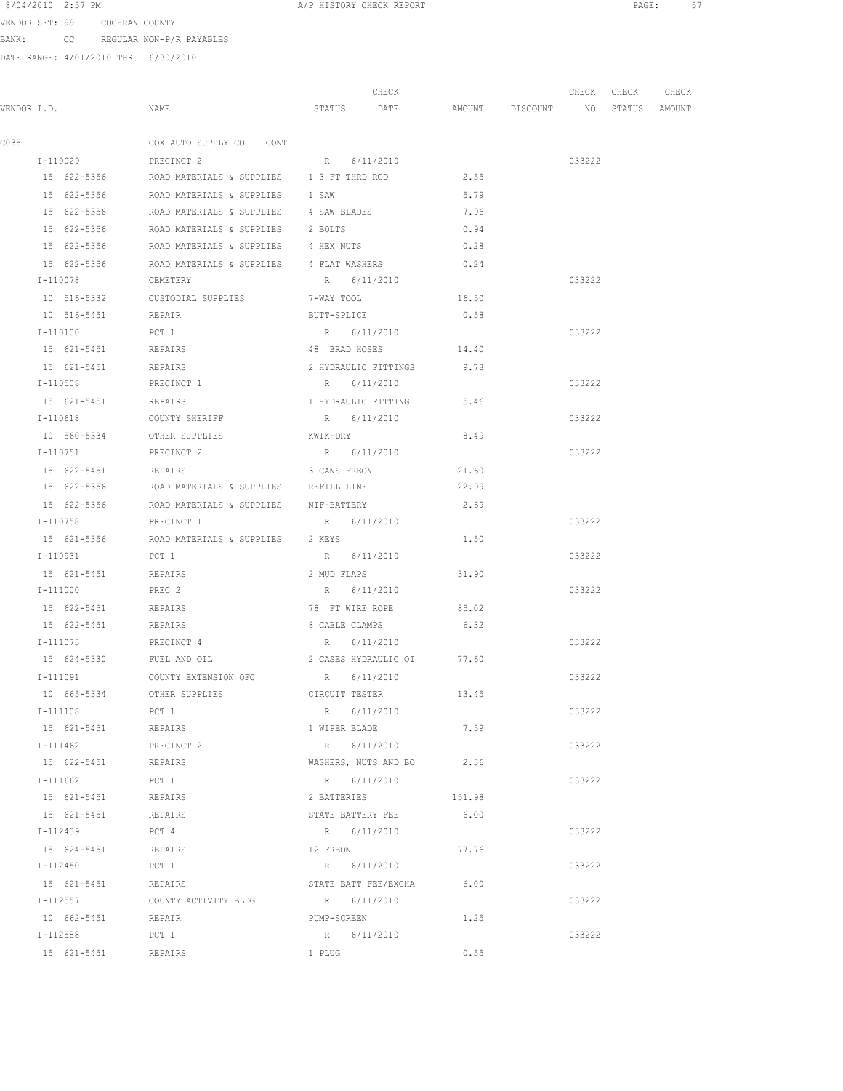VENDOR SET: 99 COCHRAN COUNTY BANK: CC REGULAR NON-P/R PAYABLES

|      |                     |                                                            |                      | CHECK                          |        | CHECK  | CHECK         | CHECK |
|------|---------------------|------------------------------------------------------------|----------------------|--------------------------------|--------|--------|---------------|-------|
|      | VENDOR I.D.         | NAME                                                       |                      | STATUS DATE AMOUNT DISCOUNT NO |        |        | STATUS AMOUNT |       |
| C035 |                     | COX AUTO SUPPLY CO CONT                                    |                      |                                |        |        |               |       |
|      | I-110029            | PRECINCT 2                                                 | R 6/11/2010          |                                |        | 033222 |               |       |
|      | 15 622-5356         | ROAD MATERIALS & SUPPLIES 13 FT THRD ROD                   |                      |                                | 2.55   |        |               |       |
|      | 15 622-5356         | ROAD MATERIALS & SUPPLIES                                  | 1 SAW                |                                | 5.79   |        |               |       |
|      | 15 622-5356         | ROAD MATERIALS & SUPPLIES 4 SAW BLADES                     |                      |                                | 7.96   |        |               |       |
|      | 15 622-5356         | ROAD MATERIALS & SUPPLIES 2 BOLTS                          |                      |                                | 0.94   |        |               |       |
|      | 15 622-5356         | ROAD MATERIALS & SUPPLIES 4 HEX NUTS                       |                      |                                | 0.28   |        |               |       |
|      | 15 622-5356         | ROAD MATERIALS & SUPPLIES 4 FLAT WASHERS                   |                      |                                | 0.24   |        |               |       |
|      | I-110078            | CEMETERY                                                   | R 6/11/2010          |                                |        | 033222 |               |       |
|      |                     | 10 516-5332 CUSTODIAL SUPPLIES 7-WAY TOOL                  |                      |                                | 16.50  |        |               |       |
|      | 10 516-5451 REPAIR  |                                                            | BUTT-SPLICE          |                                | 0.58   |        |               |       |
|      | I-110100            | PCT 1                                                      | R 6/11/2010          |                                |        | 033222 |               |       |
|      | 15 621-5451 REPAIRS |                                                            |                      | 48 BRAD HOSES 14.40            |        |        |               |       |
|      | 15 621-5451         | REPAIRS                                                    |                      | 2 HYDRAULIC FITTINGS           | 9.78   |        |               |       |
|      | I-110508            | PRECINCT 1                                                 | R 6/11/2010          |                                |        | 033222 |               |       |
|      | 15 621-5451         | REPAIRS                                                    | 1 HYDRAULIC FITTING  |                                | 5.46   |        |               |       |
|      | I-110618            | COUNTY SHERIFF                                             | R 6/11/2010          |                                |        | 033222 |               |       |
|      | 10 560-5334         | OTHER SUPPLIES                                             | KWIK-DRY             |                                | 8.49   |        |               |       |
|      | I-110751            | PRECINCT 2                                                 | R 6/11/2010          |                                |        | 033222 |               |       |
|      | 15 622-5451         | <b>REPAIRS</b>                                             | 3 CANS FREON         |                                | 21.60  |        |               |       |
|      |                     | 15 622-5356      ROAD MATERIALS & SUPPLIES     REFILL LINE |                      |                                | 22.99  |        |               |       |
|      |                     | 15 622-5356 ROAD MATERIALS & SUPPLIES NIF-BATTERY          |                      |                                | 2.69   |        |               |       |
|      | I-110758            | PRECINCT 1                                                 | R 6/11/2010          |                                |        | 033222 |               |       |
|      |                     | 15 621-5356 ROAD MATERIALS & SUPPLIES 2 KEYS               |                      |                                | 1.50   |        |               |       |
|      | I-110931            | PCT 1                                                      | R 6/11/2010          |                                |        | 033222 |               |       |
|      | 15 621-5451         | REPAIRS                                                    | 2 MUD FLAPS          |                                | 31.90  |        |               |       |
|      | I-111000            | PREC 2                                                     | R 6/11/2010          |                                |        | 033222 |               |       |
|      | 15 622-5451         | REPAIRS                                                    | 78 FT WIRE ROPE      |                                | 85.02  |        |               |       |
|      | 15 622-5451         | REPAIRS                                                    | 8 CABLE CLAMPS       |                                | 6.32   |        |               |       |
|      | I-111073            | PRECINCT 4                                                 | R 6/11/2010          |                                |        | 033222 |               |       |
|      | 15 624-5330         | FUEL AND OIL                                               |                      | 2 CASES HYDRAULIC OI 77.60     |        |        |               |       |
|      | $T - 111091$        | COUNTY EXTENSION OFC                                       | R 6/11/2010          |                                |        | 033222 |               |       |
|      | 10 665-5334         | OTHER SUPPLIES                                             | CIRCUIT TESTER       |                                | 13.45  |        |               |       |
|      | I-111108            | PCT 1                                                      | R 6/11/2010          |                                |        | 033222 |               |       |
|      | 15 621-5451         | REPAIRS                                                    | 1 WIPER BLADE        |                                | 7.59   |        |               |       |
|      | I-111462            | PRECINCT 2                                                 |                      | R 6/11/2010                    |        | 033222 |               |       |
|      | 15 622-5451         | REPAIRS                                                    |                      | WASHERS, NUTS AND BO           | 2.36   |        |               |       |
|      | I-111662            | PCT 1                                                      | R 6/11/2010          |                                |        | 033222 |               |       |
|      | 15 621-5451         | REPAIRS                                                    | 2 BATTERIES          |                                | 151.98 |        |               |       |
|      | 15 621-5451         | REPAIRS                                                    | STATE BATTERY FEE    |                                | 6.00   |        |               |       |
|      | I-112439            | PCT 4                                                      | R 6/11/2010          |                                |        | 033222 |               |       |
|      | 15 624-5451         | REPAIRS                                                    | 12 FREON             |                                | 77.76  |        |               |       |
|      | I-112450            | PCT 1                                                      | R 6/11/2010          |                                |        | 033222 |               |       |
|      | 15 621-5451         | REPAIRS                                                    | STATE BATT FEE/EXCHA |                                | 6.00   |        |               |       |
|      | I-112557            | COUNTY ACTIVITY BLDG                                       | R 6/11/2010          |                                |        | 033222 |               |       |
|      | 10 662-5451         | REPAIR                                                     | PUMP-SCREEN          |                                | 1.25   |        |               |       |
|      | I-112588            | PCT 1                                                      | R 6/11/2010          |                                |        | 033222 |               |       |
|      | 15 621-5451         | REPAIRS                                                    | 1 PLUG               |                                | 0.55   |        |               |       |
|      |                     |                                                            |                      |                                |        |        |               |       |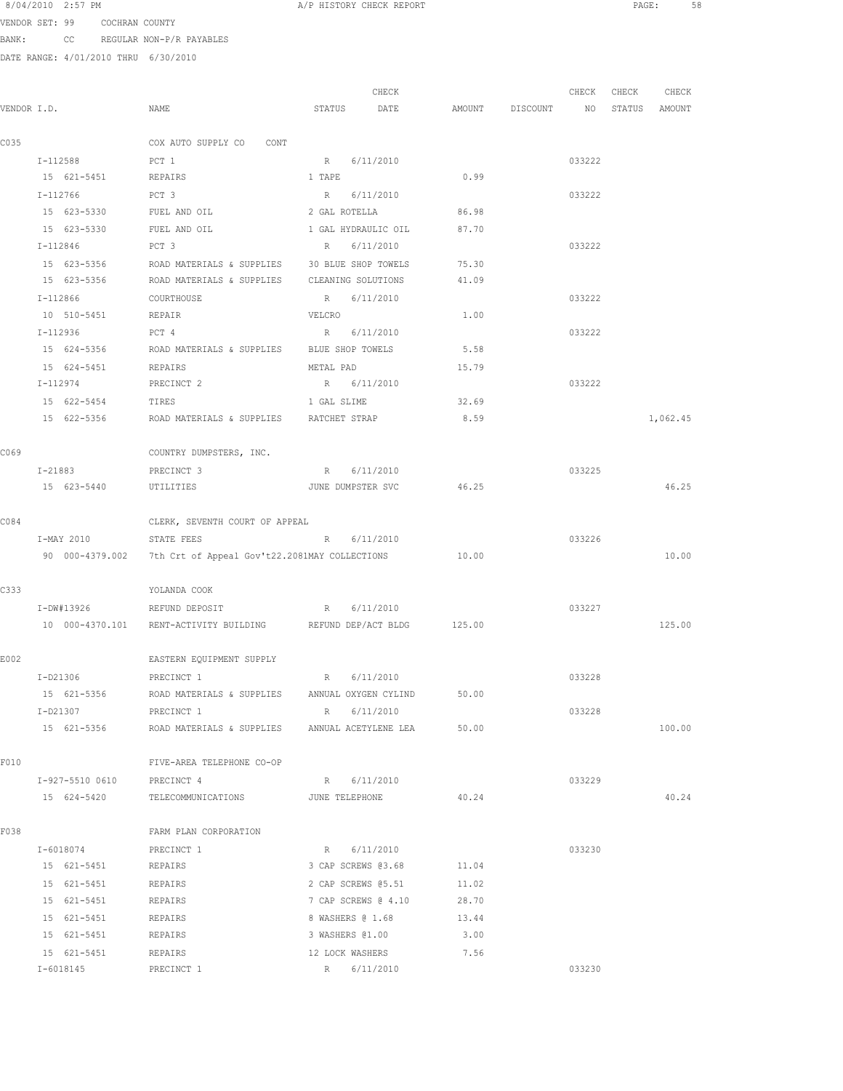VENDOR SET: 99 COCHRAN COUNTY BANK: CC REGULAR NON-P/R PAYABLES

|             |                            |                                                                   | CHECK                    |                                  | CHECK  | CHECK | CHECK    |
|-------------|----------------------------|-------------------------------------------------------------------|--------------------------|----------------------------------|--------|-------|----------|
| VENDOR I.D. |                            | NAME                                                              | STATUS DATE              | AMOUNT DISCOUNT NO STATUS AMOUNT |        |       |          |
| C035        |                            | COX AUTO SUPPLY CO CONT                                           |                          |                                  |        |       |          |
|             | I-112588                   | PCT 1                                                             | R 6/11/2010              |                                  | 033222 |       |          |
|             | 15 621-5451 REPAIRS        |                                                                   | 1 TAPE                   | 0.99                             |        |       |          |
|             | I-112766                   | PCT 3                                                             | R 6/11/2010              |                                  | 033222 |       |          |
|             |                            | 15 623-5330 FUEL AND OIL 2 GAL ROTELLA 86.98                      |                          |                                  |        |       |          |
|             |                            | 15 623-5330 FUEL AND OIL 1 GAL HYDRAULIC OIL 87.70                |                          |                                  |        |       |          |
|             | I-112846                   | PCT 3                                                             | R 6/11/2010              |                                  | 033222 |       |          |
|             |                            | 15 623-5356 ROAD MATERIALS & SUPPLIES 30 BLUE SHOP TOWELS         |                          | 75.30                            |        |       |          |
|             | 15 623-5356                | ROAD MATERIALS & SUPPLIES CLEANING SOLUTIONS                      |                          | 41.09                            |        |       |          |
|             | I-112866                   | COURTHOUSE                                                        | R 6/11/2010              |                                  | 033222 |       |          |
|             | 10 510-5451                | REPAIR                                                            | VELCRO                   | 1.00                             |        |       |          |
|             | I-112936                   | PCT 4                                                             | R 6/11/2010              |                                  | 033222 |       |          |
|             | 15 624-5356                | ROAD MATERIALS & SUPPLIES BLUE SHOP TOWELS                        |                          | 5.58                             |        |       |          |
|             | 15 624-5451 REPAIRS        |                                                                   | METAL PAD                | 15.79                            |        |       |          |
|             |                            | I-112974 PRECINCT 2                                               | R 6/11/2010              |                                  | 033222 |       |          |
|             | 15 622-5454 TIRES          |                                                                   | 1 GAL SLIME              | 32.69                            |        |       |          |
|             |                            | 15 622-5356 ROAD MATERIALS & SUPPLIES RATCHET STRAP               |                          | 8.59                             |        |       | 1,062.45 |
| C069        |                            | COUNTRY DUMPSTERS, INC.                                           |                          |                                  |        |       |          |
|             | I-21883                    | PRECINCT 3                                                        | R 6/11/2010              |                                  | 033225 |       |          |
|             | 15 623-5440                | UTILITIES                                                         | JUNE DUMPSTER SVC        | 46.25                            |        |       | 46.25    |
| C084        |                            | CLERK, SEVENTH COURT OF APPEAL                                    |                          |                                  |        |       |          |
|             | I-MAY 2010                 | STATE FEES                                                        | R 6/11/2010              |                                  | 033226 |       |          |
|             |                            | 90 000-4379.002 7th Crt of Appeal Gov't22.2081MAY COLLECTIONS     |                          | 10.00                            |        |       | 10.00    |
| C333        |                            | YOLANDA COOK                                                      |                          |                                  |        |       |          |
|             |                            | I-DW#13926 REFUND DEPOSIT R 6/11/2010                             |                          |                                  | 033227 |       |          |
|             |                            | 10 000-4370.101 RENT-ACTIVITY BUILDING REFUND DEP/ACT BLDG 125.00 |                          |                                  |        |       | 125.00   |
| E002        |                            | EASTERN EQUIPMENT SUPPLY                                          |                          |                                  |        |       |          |
|             | $I-D21306$                 | PRECINCT 1                                                        | R 6/11/2010              |                                  | 033228 |       |          |
|             | 15 621-5356                | ROAD MATERIALS & SUPPLIES ANNUAL OXYGEN CYLIND 50.00              |                          |                                  |        |       |          |
|             | I-D21307                   | PRECINCT 1                                                        | R 6/11/2010              |                                  | 033228 |       |          |
|             |                            | 15 621-5356 ROAD MATERIALS & SUPPLIES ANNUAL ACETYLENE LEA 50.00  |                          |                                  |        |       | 100.00   |
| F010        |                            | FIVE-AREA TELEPHONE CO-OP                                         |                          |                                  |        |       |          |
|             | I-927-5510 0610 PRECINCT 4 |                                                                   | R 6/11/2010              |                                  | 033229 |       |          |
|             |                            | 15 624-5420 TELECOMMUNICATIONS JUNE TELEPHONE 40.24               |                          |                                  |        |       | 40.24    |
| F038        |                            | FARM PLAN CORPORATION                                             |                          |                                  |        |       |          |
|             | I-6018074 PRECINCT 1       |                                                                   | R 6/11/2010              |                                  | 033230 |       |          |
|             | 15 621-5451 REPAIRS        |                                                                   | 3 CAP SCREWS 03.68 11.04 |                                  |        |       |          |
|             | 15 621-5451                | REPAIRS                                                           | 2 CAP SCREWS 05.51       | 11.02                            |        |       |          |
|             | 15 621-5451                | REPAIRS                                                           | 7 CAP SCREWS @ 4.10      | 28.70                            |        |       |          |
|             | 15 621-5451                | REPAIRS                                                           | 8 WASHERS @ 1.68         | 13.44                            |        |       |          |
|             | 15 621-5451                | REPAIRS                                                           | 3 WASHERS @1.00          | 3.00                             |        |       |          |
|             | 15 621-5451                | REPAIRS                                                           | 12 LOCK WASHERS          | 7.56                             |        |       |          |
|             | I-6018145                  | PRECINCT 1                                                        | R 6/11/2010              |                                  | 033230 |       |          |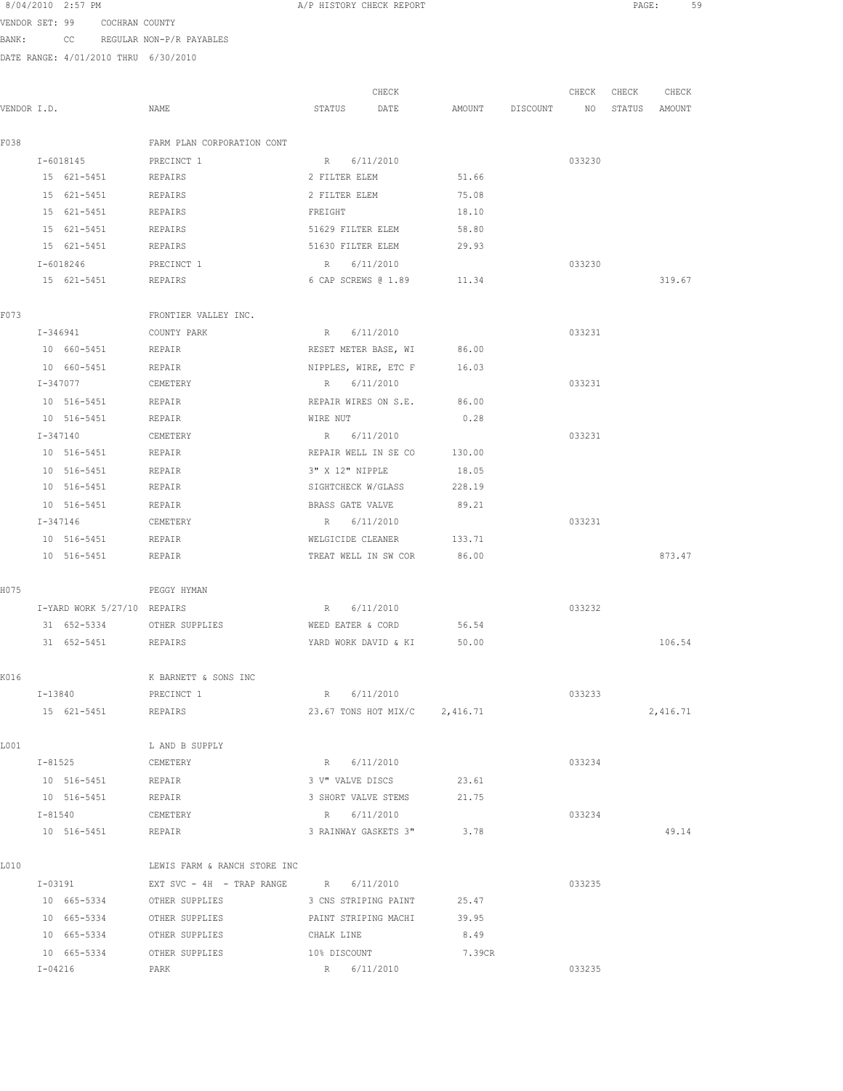| 8/04/2010 2:57 PM |  |  |
|-------------------|--|--|
|                   |  |  |

A/P HISTORY CHECK REPORT **PAGE:** 59

VENDOR SET: 99 COCHRAN COUNTY BANK: CC REGULAR NON-P/R PAYABLES

|             |                             |                                                 |                      | CHECK                         |        |                 | CHECK  | CHECK         | CHECK    |
|-------------|-----------------------------|-------------------------------------------------|----------------------|-------------------------------|--------|-----------------|--------|---------------|----------|
| VENDOR I.D. |                             | NAME                                            | STATUS               | DATE                          |        | AMOUNT DISCOUNT | NO     | STATUS AMOUNT |          |
| F038        |                             | FARM PLAN CORPORATION CONT                      |                      |                               |        |                 |        |               |          |
|             | I-6018145                   | PRECINCT 1                                      | R 6/11/2010          |                               |        |                 | 033230 |               |          |
|             | 15 621-5451                 | REPAIRS                                         | 2 FILTER ELEM        |                               | 51.66  |                 |        |               |          |
|             | 15 621-5451                 | REPAIRS                                         | 2 FILTER ELEM        |                               | 75.08  |                 |        |               |          |
|             | 15 621-5451                 | REPAIRS                                         | FREIGHT              |                               | 18.10  |                 |        |               |          |
|             | 15 621-5451                 | REPAIRS                                         | 51629 FILTER ELEM    |                               | 58.80  |                 |        |               |          |
|             | 15 621-5451                 | REPAIRS                                         | 51630 FILTER ELEM    |                               | 29.93  |                 |        |               |          |
|             | I-6018246                   | PRECINCT 1                                      | R 6/11/2010          |                               |        |                 | 033230 |               |          |
|             | 15 621-5451                 | REPAIRS                                         |                      | 6 CAP SCREWS @ 1.89 11.34     |        |                 |        |               | 319.67   |
| F073        |                             | FRONTIER VALLEY INC.                            |                      |                               |        |                 |        |               |          |
|             | I-346941                    | COUNTY PARK                                     | R 6/11/2010          |                               |        |                 | 033231 |               |          |
|             | 10 660-5451                 | REPAIR                                          | RESET METER BASE, WI |                               | 86.00  |                 |        |               |          |
|             | 10 660-5451                 | REPAIR                                          | NIPPLES, WIRE, ETC F |                               | 16.03  |                 |        |               |          |
|             | I-347077                    | CEMETERY                                        | R 6/11/2010          |                               |        |                 | 033231 |               |          |
|             | 10 516-5451                 | REPAIR                                          | REPAIR WIRES ON S.E. |                               | 86.00  |                 |        |               |          |
|             | 10 516-5451                 | REPAIR                                          | WIRE NUT             |                               | 0.28   |                 |        |               |          |
|             | I-347140                    | CEMETERY                                        | R 6/11/2010          |                               |        |                 | 033231 |               |          |
|             | 10 516-5451                 | REPAIR                                          | REPAIR WELL IN SE CO |                               | 130.00 |                 |        |               |          |
|             | 10 516-5451                 | REPAIR                                          | 3" X 12" NIPPLE      |                               | 18.05  |                 |        |               |          |
|             | 10 516-5451                 | REPAIR                                          | SIGHTCHECK W/GLASS   |                               | 228.19 |                 |        |               |          |
|             | 10 516-5451                 | REPAIR                                          | BRASS GATE VALVE     |                               | 89.21  |                 |        |               |          |
|             | I-347146                    | CEMETERY                                        | R 6/11/2010          |                               |        |                 | 033231 |               |          |
|             | 10 516-5451                 | REPAIR                                          | WELGICIDE CLEANER    |                               | 133.71 |                 |        |               |          |
|             | 10 516-5451                 | REPAIR                                          | TREAT WELL IN SW COR |                               | 86.00  |                 |        |               | 873.47   |
| H075        |                             | PEGGY HYMAN                                     |                      |                               |        |                 |        |               |          |
|             | I-YARD WORK 5/27/10 REPAIRS |                                                 | R 6/11/2010          |                               |        |                 | 033232 |               |          |
|             | 31 652-5334                 | OTHER SUPPLIES                                  | WEED EATER & CORD    |                               | 56.54  |                 |        |               |          |
|             | 31 652-5451 REPAIRS         |                                                 |                      | YARD WORK DAVID & KI 50.00    |        |                 |        |               | 106.54   |
| K016        |                             | K BARNETT & SONS INC                            |                      |                               |        |                 |        |               |          |
|             | I-13840                     | PRECINCT 1                                      | R                    | 6/11/2010                     |        |                 | 033233 |               |          |
|             | 15 621-5451 REPAIRS         |                                                 |                      | 23.67 TONS HOT MIX/C 2,416.71 |        |                 |        |               | 2,416.71 |
|             |                             |                                                 |                      |                               |        |                 |        |               |          |
| L001        |                             | L AND B SUPPLY                                  |                      |                               |        |                 |        |               |          |
|             | $I - 81525$                 | CEMETERY                                        | R 6/11/2010          |                               |        |                 | 033234 |               |          |
|             | 10 516-5451                 | REPAIR                                          | 3 V" VALVE DISCS     |                               | 23.61  |                 |        |               |          |
|             | 10 516-5451                 | REPAIR                                          | 3 SHORT VALVE STEMS  |                               | 21.75  |                 |        |               |          |
|             | $I - 81540$                 | CEMETERY                                        | R 6/11/2010          |                               |        |                 | 033234 |               |          |
|             | 10 516-5451                 | REPAIR                                          |                      | 3 RAINWAY GASKETS 3" 3.78     |        |                 |        |               | 49.14    |
| L010        |                             | LEWIS FARM & RANCH STORE INC                    |                      |                               |        |                 |        |               |          |
|             |                             | $I-03191$ EXT SVC - 4H - TRAP RANGE R 6/11/2010 |                      |                               |        |                 | 033235 |               |          |
|             | 10 665-5334 OTHER SUPPLIES  |                                                 |                      | 3 CNS STRIPING PAINT 25.47    |        |                 |        |               |          |
|             | 10 665-5334 OTHER SUPPLIES  |                                                 |                      | PAINT STRIPING MACHI 39.95    |        |                 |        |               |          |
|             | 10 665-5334 OTHER SUPPLIES  |                                                 | CHALK LINE           |                               | 8.49   |                 |        |               |          |
|             | 10 665-5334                 | OTHER SUPPLIES                                  | 10% DISCOUNT         |                               | 7.39CR |                 |        |               |          |
|             | $I-04216$                   | PARK                                            | R 6/11/2010          |                               |        |                 | 033235 |               |          |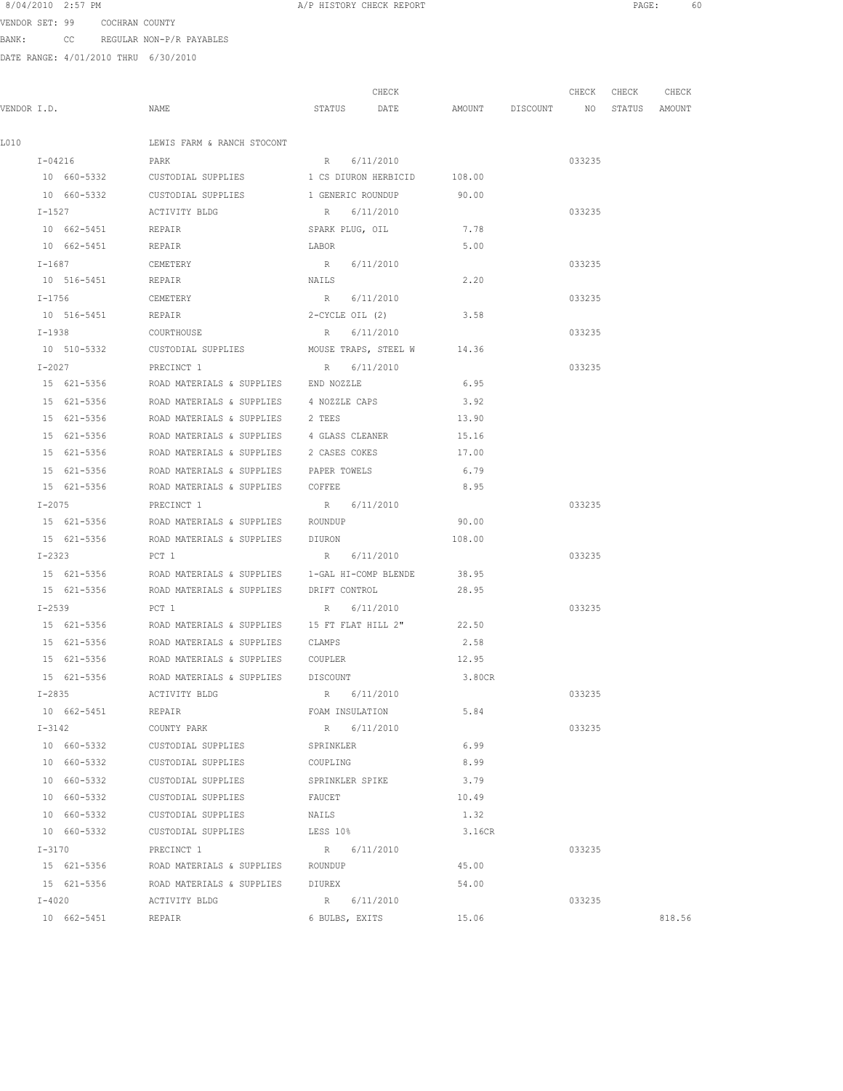VENDOR SET: 99 COCHRAN COUNTY BANK: CC REGULAR NON-P/R PAYABLES

|             |                    |                                                                | CHECK                |                                  | CHECK CHECK | CHECK  |
|-------------|--------------------|----------------------------------------------------------------|----------------------|----------------------------------|-------------|--------|
| VENDOR I.D. |                    | NAME                                                           | STATUS DATE          | AMOUNT DISCOUNT NO STATUS AMOUNT |             |        |
| L010        |                    | LEWIS FARM & RANCH STOCONT                                     |                      |                                  |             |        |
|             | I-04216            | PARK                                                           | R 6/11/2010          |                                  | 033235      |        |
|             | 10 660-5332        | CUSTODIAL SUPPLIES 1 CS DIURON HERBICID 108.00                 |                      |                                  |             |        |
|             | 10 660-5332        | CUSTODIAL SUPPLIES 1 GENERIC ROUNDUP                           |                      | 90.00                            |             |        |
|             | $I - 1527$         | ACTIVITY BLDG                                                  | R 6/11/2010          |                                  | 033235      |        |
|             | 10 662-5451 REPAIR |                                                                | SPARK PLUG, OIL 7.78 |                                  |             |        |
|             | 10 662-5451 REPAIR |                                                                | LABOR                | 5.00                             |             |        |
|             | I-1687 CEMETERY    |                                                                | R 6/11/2010          |                                  | 033235      |        |
|             | 10 516-5451 REPAIR |                                                                | NAILS                | 2.20                             |             |        |
|             | $I - 1756$         | CEMETERY                                                       | R 6/11/2010          |                                  | 033235      |        |
|             | 10 516-5451 REPAIR |                                                                | 2-CYCLE OIL (2)      | 3.58                             |             |        |
|             | I-1938             | COURTHOUSE                                                     | R 6/11/2010          |                                  | 033235      |        |
|             | 10 510-5332        | CUSTODIAL SUPPLIES                                             | MOUSE TRAPS, STEEL W | 14.36                            |             |        |
|             | $I-2027$           | PRECINCT 1                                                     | R 6/11/2010          |                                  | 033235      |        |
|             | 15 621-5356        | ROAD MATERIALS & SUPPLIES END NOZZLE                           |                      | 6.95                             |             |        |
|             | 15 621-5356        | ROAD MATERIALS & SUPPLIES 4 NOZZLE CAPS                        |                      | 3.92                             |             |        |
|             | 15 621-5356        | ROAD MATERIALS & SUPPLIES 2 TEES                               |                      | 13.90                            |             |        |
|             |                    | 15 621-5356 ROAD MATERIALS & SUPPLIES 4 GLASS CLEANER          |                      | 15.16                            |             |        |
|             |                    | 15 621-5356 ROAD MATERIALS & SUPPLIES 2 CASES COKES 17.00      |                      |                                  |             |        |
|             |                    | 15 621-5356 ROAD MATERIALS & SUPPLIES PAPER TOWELS             |                      | 6.79                             |             |        |
|             |                    | 15 621-5356 ROAD MATERIALS & SUPPLIES COFFEE                   |                      | 8.95                             |             |        |
|             | $I - 2075$         | PRECINCT 1                                                     | R 6/11/2010          |                                  | 033235      |        |
|             | 15 621-5356        | ROAD MATERIALS & SUPPLIES ROUNDUP                              |                      | 90.00                            |             |        |
|             | 15 621-5356        | ROAD MATERIALS & SUPPLIES DIURON                               |                      | 108.00                           |             |        |
|             | I-2323             | PCT 1                                                          | R 6/11/2010          |                                  | 033235      |        |
|             | 15 621-5356        | ROAD MATERIALS & SUPPLIES 1-GAL HI-COMP BLENDE                 |                      | 38.95                            |             |        |
|             | 15 621-5356        | ROAD MATERIALS & SUPPLIES DRIFT CONTROL                        |                      | 28.95                            |             |        |
|             | $I - 2539$         | PCT 1                                                          | R 6/11/2010          |                                  | 033235      |        |
|             |                    | 15 621-5356 ROAD MATERIALS & SUPPLIES 15 FT FLAT HILL 2" 22.50 |                      |                                  |             |        |
|             |                    | 15 621-5356 ROAD MATERIALS & SUPPLIES CLAMPS                   |                      | 2.58                             |             |        |
|             |                    |                                                                |                      | 12.95                            |             |        |
|             |                    | 15 621-5356 ROAD MATERIALS & SUPPLIES DISCOUNT                 |                      | 3.80CR                           |             |        |
|             | $I - 2835$         | ACTIVITY BLDG                                                  | R 6/11/2010          |                                  | 033235      |        |
|             | 10 662-5451        | REPAIR                                                         | FOAM INSULATION      | 5.84                             |             |        |
|             | $I - 3142$         | COUNTY PARK                                                    | R 6/11/2010          |                                  | 033235      |        |
|             | 10 660-5332        | CUSTODIAL SUPPLIES                                             | SPRINKLER            | 6.99                             |             |        |
|             | 10 660-5332        | CUSTODIAL SUPPLIES                                             | COUPLING             | 8.99                             |             |        |
|             | 10 660-5332        | CUSTODIAL SUPPLIES                                             | SPRINKLER SPIKE      | 3.79                             |             |        |
|             | 10 660-5332        | CUSTODIAL SUPPLIES                                             | FAUCET               | 10.49                            |             |        |
|             | 10 660-5332        | CUSTODIAL SUPPLIES                                             | NAILS                | 1.32                             |             |        |
|             | 10 660-5332        | CUSTODIAL SUPPLIES                                             | LESS 10%             | 3.16CR                           |             |        |
|             | $I-3170$           | PRECINCT 1                                                     | R 6/11/2010          |                                  | 033235      |        |
|             |                    | 15 621-5356 ROAD MATERIALS & SUPPLIES ROUNDUP                  |                      | 45.00                            |             |        |
|             |                    | 15 621-5356 ROAD MATERIALS & SUPPLIES DIUREX                   |                      | 54.00                            |             |        |
|             | $I-4020$           | ACTIVITY BLDG                                                  | R 6/11/2010          |                                  | 033235      |        |
|             | 10 662-5451 REPAIR |                                                                | 6 BULBS, EXITS       | 15.06                            |             | 818.56 |
|             |                    |                                                                |                      |                                  |             |        |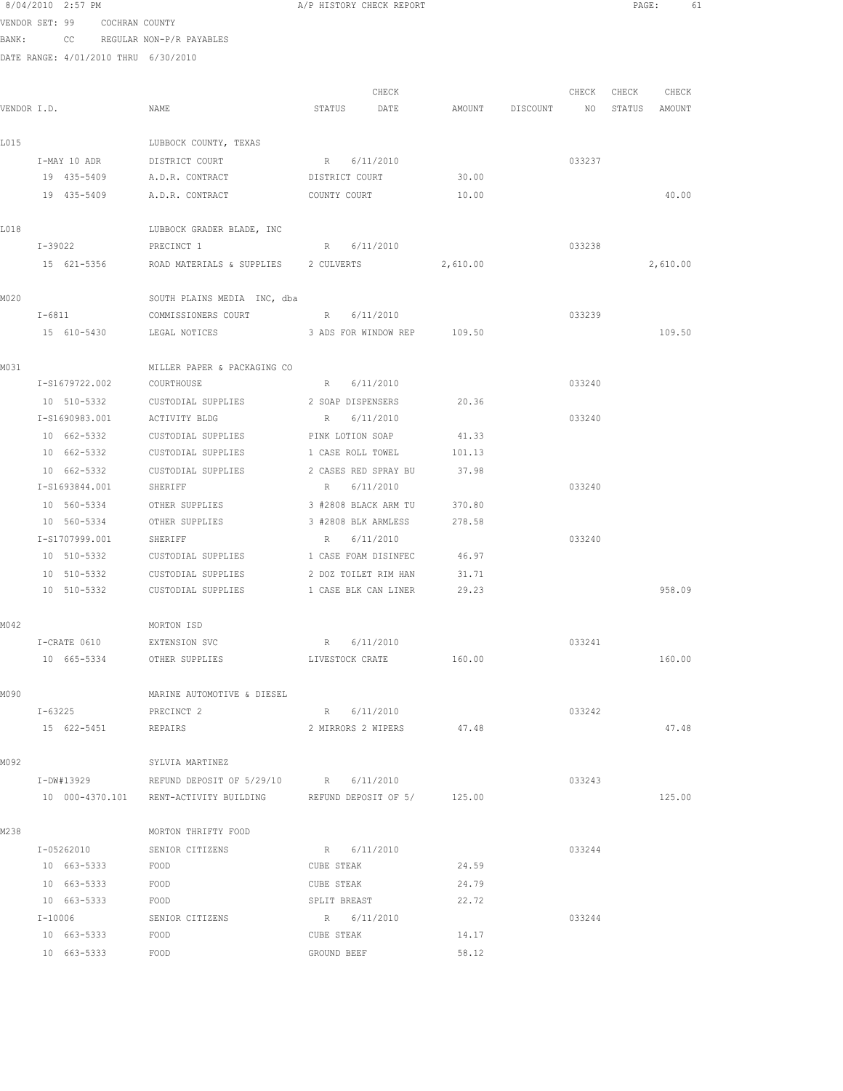|             | 8/04/2010 2:57 PM |                               |                                                                    | A/P HISTORY CHECK REPORT   |          |                    |        | PAGE: |               | 61 |
|-------------|-------------------|-------------------------------|--------------------------------------------------------------------|----------------------------|----------|--------------------|--------|-------|---------------|----|
|             |                   | VENDOR SET: 99 COCHRAN COUNTY |                                                                    |                            |          |                    |        |       |               |    |
| BANK:       |                   |                               | CC REGULAR NON-P/R PAYABLES                                        |                            |          |                    |        |       |               |    |
|             |                   |                               | DATE RANGE: 4/01/2010 THRU 6/30/2010                               |                            |          |                    |        |       |               |    |
|             |                   |                               |                                                                    |                            |          |                    |        |       |               |    |
|             |                   |                               |                                                                    | CHECK                      |          |                    | CHECK  | CHECK | CHECK         |    |
| VENDOR I.D. |                   |                               | NAME                                                               | STATUS DATE                |          | AMOUNT DISCOUNT NO |        |       | STATUS AMOUNT |    |
| L015        |                   |                               | LUBBOCK COUNTY, TEXAS                                              |                            |          |                    |        |       |               |    |
|             |                   |                               | I-MAY 10 ADR DISTRICT COURT                                        | R 6/11/2010                |          |                    | 033237 |       |               |    |
|             |                   |                               | 19 435-5409 A.D.R. CONTRACT DISTRICT COURT                         |                            | 30.00    |                    |        |       |               |    |
|             |                   |                               | 19  435-5409    A.D.R. CONTRACT                                    | COUNTY COURT               | 10.00    |                    |        |       | 40.00         |    |
| L018        |                   |                               | LUBBOCK GRADER BLADE, INC                                          |                            |          |                    |        |       |               |    |
|             | I-39022           |                               | PRECINCT 1                                                         | R 6/11/2010                |          |                    | 033238 |       |               |    |
|             | 15 621-5356       |                               | ROAD MATERIALS & SUPPLIES 2 CULVERTS                               |                            | 2,610.00 |                    |        |       | 2,610.00      |    |
|             |                   |                               |                                                                    |                            |          |                    |        |       |               |    |
| M020        |                   |                               | SOUTH PLAINS MEDIA INC, dba                                        |                            |          |                    |        |       |               |    |
|             | $I-6811$          |                               | COMMISSIONERS COURT R 6/11/2010                                    |                            |          |                    | 033239 |       |               |    |
|             | 15 610-5430       |                               | LEGAL NOTICES 3 ADS FOR WINDOW REP 109.50                          |                            |          |                    |        |       | 109.50        |    |
| MO31        |                   |                               | MILLER PAPER & PACKAGING CO                                        |                            |          |                    |        |       |               |    |
|             |                   |                               | I-S1679722.002 COURTHOUSE                                          | R 6/11/2010                |          |                    | 033240 |       |               |    |
|             |                   | 10 510-5332                   | CUSTODIAL SUPPLIES 2 SOAP DISPENSERS                               |                            | 20.36    |                    |        |       |               |    |
|             | I-S1690983.001    |                               | ACTIVITY BLDG                                                      | R 6/11/2010                |          |                    | 033240 |       |               |    |
|             | 10 662-5332       |                               | CUSTODIAL SUPPLIES                                                 | PINK LOTION SOAP           | 41.33    |                    |        |       |               |    |
|             | 10 662-5332       |                               | CUSTODIAL SUPPLIES                                                 | 1 CASE ROLL TOWEL          | 101.13   |                    |        |       |               |    |
|             | 10 662-5332       |                               | CUSTODIAL SUPPLIES                                                 | 2 CASES RED SPRAY BU       | 37.98    |                    |        |       |               |    |
|             | I-S1693844.001    |                               | SHERIFF                                                            | R 6/11/2010                |          |                    | 033240 |       |               |    |
|             | 10 560-5334       |                               | OTHER SUPPLIES                                                     | 3 #2808 BLACK ARM TU       | 370.80   |                    |        |       |               |    |
|             | 10 560-5334       |                               | OTHER SUPPLIES                                                     | 3 #2808 BLK ARMLESS        | 278.58   |                    |        |       |               |    |
|             | I-S1707999.001    |                               | SHERIFF                                                            | R 6/11/2010                |          |                    | 033240 |       |               |    |
|             | 10 510-5332       |                               | CUSTODIAL SUPPLIES                                                 | 1 CASE FOAM DISINFEC 46.97 |          |                    |        |       |               |    |
|             |                   |                               | 10 510-5332 CUSTODIAL SUPPLIES                                     | 2 DOZ TOILET RIM HAN       | 31.71    |                    |        |       |               |    |
|             |                   |                               | 10 510-5332 CUSTODIAL SUPPLIES 1 CASE BLK CAN LINER 29.23          |                            |          |                    |        |       | 958.09        |    |
| MO 42       |                   |                               | MORTON ISD                                                         |                            |          |                    |        |       |               |    |
|             | I-CRATE 0610      |                               | EXTENSION SVC                                                      | R 6/11/2010                |          |                    | 033241 |       |               |    |
|             | 10 665-5334       |                               | OTHER SUPPLIES                                                     | LIVESTOCK CRATE            | 160.00   |                    |        |       | 160.00        |    |
| MO 90       |                   |                               | MARINE AUTOMOTIVE & DIESEL                                         |                            |          |                    |        |       |               |    |
|             | I-63225           |                               | PRECINCT 2                                                         | R 6/11/2010                |          |                    | 033242 |       |               |    |
|             | 15 622-5451       |                               | REPAIRS                                                            | 2 MIRRORS 2 WIPERS         | 47.48    |                    |        |       | 47.48         |    |
| MO 92       |                   |                               | SYLVIA MARTINEZ                                                    |                            |          |                    |        |       |               |    |
|             |                   |                               | I-DW#13929 REFUND DEPOSIT OF 5/29/10 R 6/11/2010                   |                            |          |                    | 033243 |       |               |    |
|             |                   |                               | 10 000-4370.101 RENT-ACTIVITY BUILDING REFUND DEPOSIT OF 5/ 125.00 |                            |          |                    |        |       | 125.00        |    |
| M238        |                   |                               | MORTON THRIFTY FOOD                                                |                            |          |                    |        |       |               |    |
|             | I-05262010        |                               | SENIOR CITIZENS                                                    | R 6/11/2010                |          |                    | 033244 |       |               |    |
|             | 10 663-5333       |                               | FOOD                                                               | CUBE STEAK                 | 24.59    |                    |        |       |               |    |
|             | 10 663-5333       |                               | FOOD                                                               | CUBE STEAK                 | 24.79    |                    |        |       |               |    |
|             | 10 663-5333       |                               | FOOD                                                               | SPLIT BREAST               | 22.72    |                    |        |       |               |    |
|             | I-10006           |                               | SENIOR CITIZENS                                                    | R 6/11/2010                |          |                    | 033244 |       |               |    |
|             | 10 663-5333       |                               | FOOD                                                               | CUBE STEAK                 | 14.17    |                    |        |       |               |    |
|             | 10 663-5333       |                               | FOOD                                                               | GROUND BEEF                | 58.12    |                    |        |       |               |    |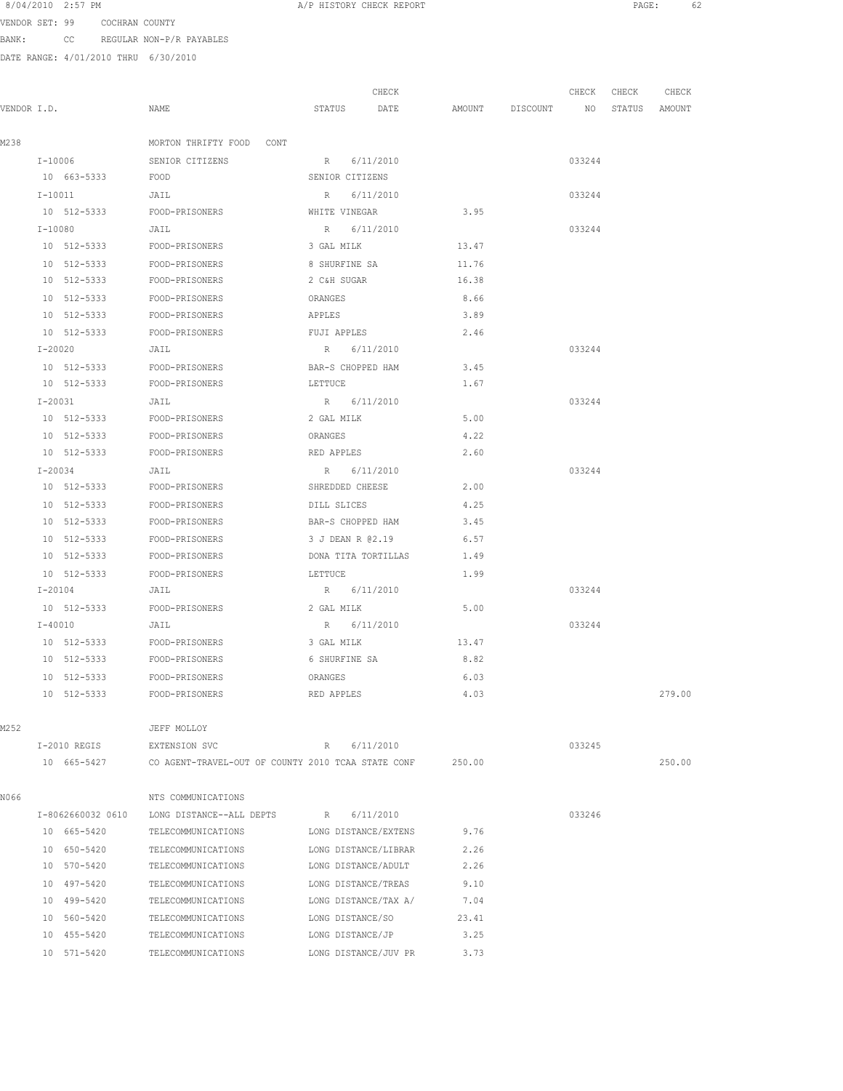| 8/04/2010 | $2:57$ PM |
|-----------|-----------|
|-----------|-----------|

A/P HISTORY CHECK REPORT **PAGE:** 62

VENDOR SET: 99 COCHRAN COUNTY BANK: CC REGULAR NON-P/R PAYABLES

| VENDOR I.D. |         |                  | NAME                                                      |                 | STATUS      | CHECK<br>DATE        | AMOUNT DISCOUNT NO STATUS AMOUNT | CHECK CHECK | CHECK  |
|-------------|---------|------------------|-----------------------------------------------------------|-----------------|-------------|----------------------|----------------------------------|-------------|--------|
| M238        |         |                  | MORTON THRIFTY FOOD CONT                                  |                 |             |                      |                                  |             |        |
|             |         | $I-10006$        | SENIOR CITIZENS                                           |                 |             | R 6/11/2010          |                                  | 033244      |        |
|             |         | 10 663-5333 FOOD |                                                           | SENIOR CITIZENS |             |                      |                                  |             |        |
|             |         | $I-10011$        | JAIL                                                      |                 |             | R 6/11/2010          |                                  | 033244      |        |
|             |         |                  | 10 512-5333 FOOD-PRISONERS                                |                 |             | WHITE VINEGAR        | 3.95                             |             |        |
|             |         | I-10080          | JAIL                                                      |                 |             | R 6/11/2010          |                                  | 033244      |        |
|             |         |                  | 10 512-5333 FOOD-PRISONERS                                | 3 GAL MILK      |             |                      | 13.47                            |             |        |
|             |         | 10 512-5333      | FOOD-PRISONERS                                            | 8 SHURFINE SA   |             |                      | 11.76                            |             |        |
|             |         | 10 512-5333      | FOOD-PRISONERS                                            | 2 C&H SUGAR     |             |                      | 16.38                            |             |        |
|             |         | 10 512-5333      | FOOD-PRISONERS                                            | ORANGES         |             |                      | 8.66                             |             |        |
|             |         | 10 512-5333      | FOOD-PRISONERS                                            | APPLES          |             |                      | 3.89                             |             |        |
|             |         | 10 512-5333      | FOOD-PRISONERS                                            | FUJI APPLES     |             |                      | 2.46                             |             |        |
|             | I-20020 |                  | JAIL                                                      |                 |             | R 6/11/2010          |                                  | 033244      |        |
|             |         |                  | 10 512-5333 FOOD-PRISONERS                                |                 |             | BAR-S CHOPPED HAM    | 3.45                             |             |        |
|             |         |                  | 10 512-5333 FOOD-PRISONERS                                | LETTUCE         |             |                      | 1.67                             |             |        |
|             | I-20031 |                  | JAIL                                                      |                 |             | R 6/11/2010          |                                  | 033244      |        |
|             |         |                  | 10 512-5333 FOOD-PRISONERS                                |                 | 2 GAL MILK  |                      | 5.00                             |             |        |
|             |         |                  | 10 512-5333 FOOD-PRISONERS                                | ORANGES         |             |                      | 4.22                             |             |        |
|             |         | 10 512-5333      | FOOD-PRISONERS                                            | RED APPLES      |             |                      | 2.60                             |             |        |
|             |         | $I - 20034$      | JAIL                                                      |                 |             | R 6/11/2010          |                                  | 033244      |        |
|             |         | 10 512-5333      | FOOD-PRISONERS                                            |                 |             | SHREDDED CHEESE      | 2.00                             |             |        |
|             |         | 10 512-5333      | FOOD-PRISONERS                                            |                 | DILL SLICES |                      | 4.25                             |             |        |
|             |         | 10 512-5333      | FOOD-PRISONERS                                            |                 |             | BAR-S CHOPPED HAM    | 3.45                             |             |        |
|             |         | 10 512-5333      | FOOD-PRISONERS                                            |                 |             | 3 J DEAN R @2.19     | 6.57                             |             |        |
|             |         | 10 512-5333      | FOOD-PRISONERS                                            |                 |             | DONA TITA TORTILLAS  | 1.49                             |             |        |
|             |         | 10 512-5333      | FOOD-PRISONERS                                            | LETTUCE         |             |                      | 1.99                             |             |        |
|             |         | $I - 20104$      | JAIL                                                      |                 |             | R 6/11/2010          |                                  | 033244      |        |
|             |         |                  | 10 512-5333 FOOD-PRISONERS                                |                 |             | 2 GAL MILK           | 5.00                             |             |        |
|             |         | $I - 40010$      | JAIL                                                      |                 |             | R 6/11/2010          |                                  | 033244      |        |
|             |         |                  | 10 512-5333 FOOD-PRISONERS                                | 3 GAL MILK      |             |                      | 13.47                            |             |        |
|             |         |                  | 10 512-5333 FOOD-PRISONERS                                | 6 SHURFINE SA   |             |                      | 8.82                             |             |        |
|             |         | 10 512-5333      | FOOD-PRISONERS                                            | ORANGES         |             |                      | 6.03                             |             |        |
|             |         | 10 512-5333      | FOOD-PRISONERS                                            |                 | RED APPLES  |                      | 4.03                             |             | 279.00 |
| M252        |         |                  | JEFF MOLLOY                                               |                 |             |                      |                                  |             |        |
|             |         | I-2010 REGIS     | EXTENSION SVC                                             |                 |             | R 6/11/2010          |                                  | 033245      |        |
|             |         | 10 665-5427      | CO AGENT-TRAVEL-OUT OF COUNTY 2010 TCAA STATE CONF 250.00 |                 |             |                      |                                  |             | 250.00 |
| N066        |         |                  | NTS COMMUNICATIONS                                        |                 |             |                      |                                  |             |        |
|             |         |                  | I-8062660032 0610 LONG DISTANCE--ALL DEPTS R 6/11/2010    |                 |             |                      |                                  | 033246      |        |
|             |         |                  | 10 665-5420 TELECOMMUNICATIONS LONG DISTANCE/EXTENS 9.76  |                 |             |                      |                                  |             |        |
|             |         |                  | 10 650-5420 TELECOMMUNICATIONS LONG DISTANCE/LIBRAR 2.26  |                 |             |                      |                                  |             |        |
|             |         |                  | 10 570-5420 TELECOMMUNICATIONS LONG DISTANCE/ADULT 2.26   |                 |             |                      |                                  |             |        |
|             |         | 10 497-5420      | TELECOMMUNICATIONS LONG DISTANCE/TREAS                    |                 |             |                      | 9.10                             |             |        |
|             |         | 10 499-5420      | TELECOMMUNICATIONS                                        |                 |             | LONG DISTANCE/TAX A/ | 7.04                             |             |        |
|             |         | 10 560-5420      | TELECOMMUNICATIONS                                        |                 |             | LONG DISTANCE/SO     | 23.41                            |             |        |
|             |         | 10 455-5420      | TELECOMMUNICATIONS                                        |                 |             | LONG DISTANCE/JP     | 3.25                             |             |        |
|             |         | 10 571-5420      | TELECOMMUNICATIONS                                        |                 |             | LONG DISTANCE/JUV PR | 3.73                             |             |        |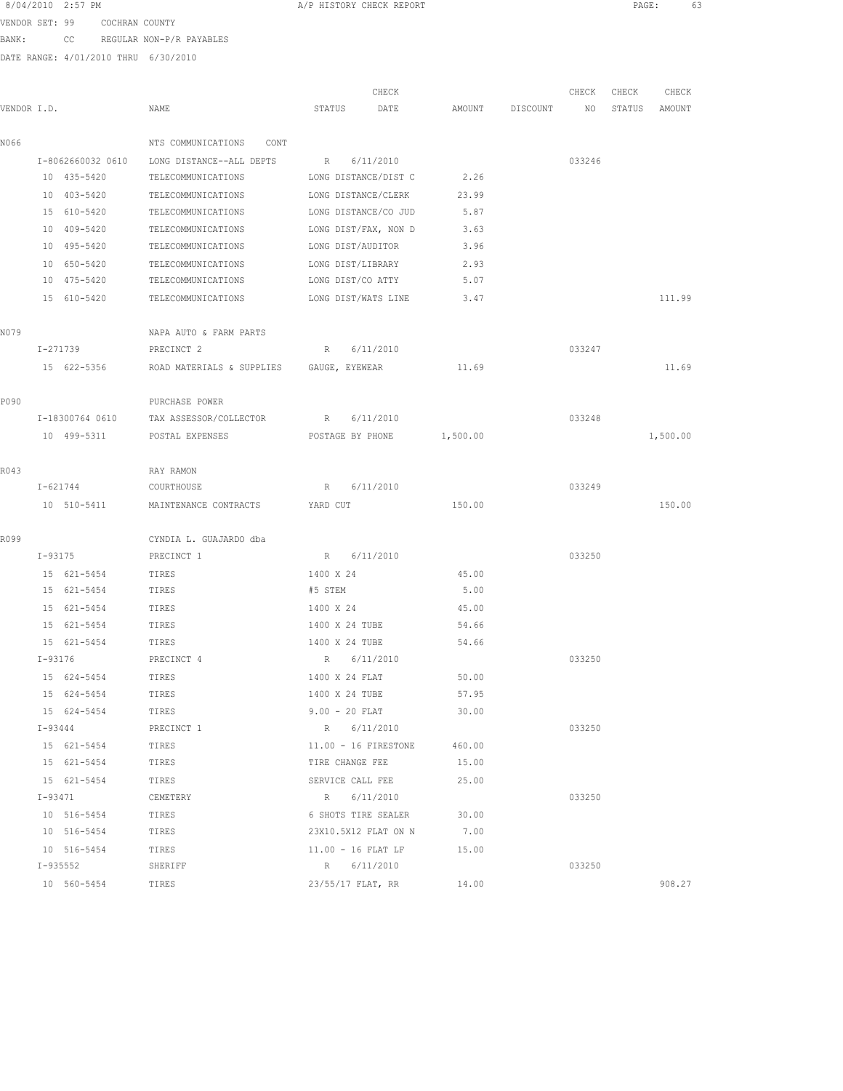8/04/2010 2:57 PM **A**/P HISTORY CHECK REPORT **A** A REPORT **PAGE:** 63

VENDOR SET: 99 COCHRAN COUNTY BANK: CC REGULAR NON-P/R PAYABLES

|             |                   |                                          | CHECK                    |          |                 | CHECK  | CHECK  | CHECK    |
|-------------|-------------------|------------------------------------------|--------------------------|----------|-----------------|--------|--------|----------|
| VENDOR I.D. |                   | NAME                                     | STATUS<br>DATE           |          | AMOUNT DISCOUNT | NO     | STATUS | AMOUNT   |
| N066        |                   | NTS COMMUNICATIONS<br>CONT               |                          |          |                 |        |        |          |
|             | I-8062660032 0610 | LONG DISTANCE--ALL DEPTS                 | 6/11/2010<br>R           |          |                 | 033246 |        |          |
|             | 10 435-5420       | TELECOMMUNICATIONS                       | LONG DISTANCE/DIST C     | 2.26     |                 |        |        |          |
|             | 10 403-5420       | TELECOMMUNICATIONS                       | LONG DISTANCE/CLERK      | 23.99    |                 |        |        |          |
|             | 15 610-5420       | TELECOMMUNICATIONS                       | LONG DISTANCE/CO JUD     | 5.87     |                 |        |        |          |
|             | 10 409-5420       | TELECOMMUNICATIONS                       | LONG DIST/FAX, NON D     | 3.63     |                 |        |        |          |
|             | 10 495-5420       | TELECOMMUNICATIONS                       | LONG DIST/AUDITOR        | 3.96     |                 |        |        |          |
|             | 10 650-5420       | TELECOMMUNICATIONS                       | LONG DIST/LIBRARY        | 2.93     |                 |        |        |          |
|             | 10 475-5420       | TELECOMMUNICATIONS                       | LONG DIST/CO ATTY        | 5.07     |                 |        |        |          |
|             | 15 610-5420       | TELECOMMUNICATIONS LONG DIST/WATS LINE   |                          | 3.47     |                 |        |        | 111.99   |
| NO 79       |                   | NAPA AUTO & FARM PARTS                   |                          |          |                 |        |        |          |
|             | I-271739          | PRECINCT 2                               | 6/11/2010<br>$R_{\odot}$ |          |                 | 033247 |        |          |
|             | 15 622-5356       | ROAD MATERIALS & SUPPLIES GAUGE, EYEWEAR |                          | 11.69    |                 |        |        | 11.69    |
| P090        |                   | PURCHASE POWER                           |                          |          |                 |        |        |          |
|             | I-18300764 0610   | TAX ASSESSOR/COLLECTOR                   | R 6/11/2010              |          |                 | 033248 |        |          |
|             | 10 499-5311       | POSTAL EXPENSES                          | POSTAGE BY PHONE         | 1,500.00 |                 |        |        | 1,500.00 |
|             |                   |                                          |                          |          |                 |        |        |          |
| R043        |                   | RAY RAMON                                |                          |          |                 |        |        |          |
|             | I-621744          | COURTHOUSE                               | R 6/11/2010              |          |                 | 033249 |        |          |
|             | 10 510-5411       | MAINTENANCE CONTRACTS YARD CUT           |                          | 150.00   |                 |        |        | 150.00   |
| R099        |                   | CYNDIA L. GUAJARDO dba                   |                          |          |                 |        |        |          |
|             | I-93175           | PRECINCT 1                               | R 6/11/2010              |          |                 | 033250 |        |          |
|             | 15 621-5454       | TIRES                                    | 1400 X 24                | 45.00    |                 |        |        |          |
|             | 15 621-5454       | TIRES                                    | #5 STEM                  | 5.00     |                 |        |        |          |
|             | 15 621-5454       | TIRES                                    | 1400 X 24                | 45.00    |                 |        |        |          |
|             | 15 621-5454       | TIRES                                    | 1400 X 24 TUBE           | 54.66    |                 |        |        |          |
|             | 15 621-5454       | TIRES                                    | 1400 X 24 TUBE           | 54.66    |                 |        |        |          |
|             | I-93176           | PRECINCT 4                               | R 6/11/2010              |          |                 | 033250 |        |          |
|             | 15 624-5454       | TIRES                                    | 1400 X 24 FLAT           | 50.00    |                 |        |        |          |
|             | 15 624-5454       | TIRES                                    | 1400 X 24 TUBE           | 57.95    |                 |        |        |          |
|             | 15 624-5454       | TIRES                                    | $9.00 - 20$ FLAT         | 30.00    |                 |        |        |          |
|             | $I - 93444$       | PRECINCT 1                               | R 6/11/2010              |          |                 | 033250 |        |          |
|             | 15 621-5454       | TIRES                                    | 11.00 - 16 FIRESTONE     | 460.00   |                 |        |        |          |
|             | 15 621-5454       | TIRES                                    | TIRE CHANGE FEE          | 15.00    |                 |        |        |          |
|             | 15 621-5454       | TIRES                                    | SERVICE CALL FEE         | 25.00    |                 |        |        |          |
|             | I-93471           | CEMETERY                                 | R 6/11/2010              |          |                 | 033250 |        |          |
|             | 10 516-5454       | TIRES                                    | 6 SHOTS TIRE SEALER      | 30.00    |                 |        |        |          |
|             | 10 516-5454       | TIRES                                    | 23X10.5X12 FLAT ON N     | 7.00     |                 |        |        |          |
|             | 10 516-5454       | TIRES                                    | $11.00 - 16$ FLAT LF     | 15.00    |                 |        |        |          |
|             | I-935552          | SHERIFF                                  | R 6/11/2010              |          |                 | 033250 |        |          |
|             | 10 560-5454       | TIRES                                    | 23/55/17 FLAT, RR        | 14.00    |                 |        |        | 908.27   |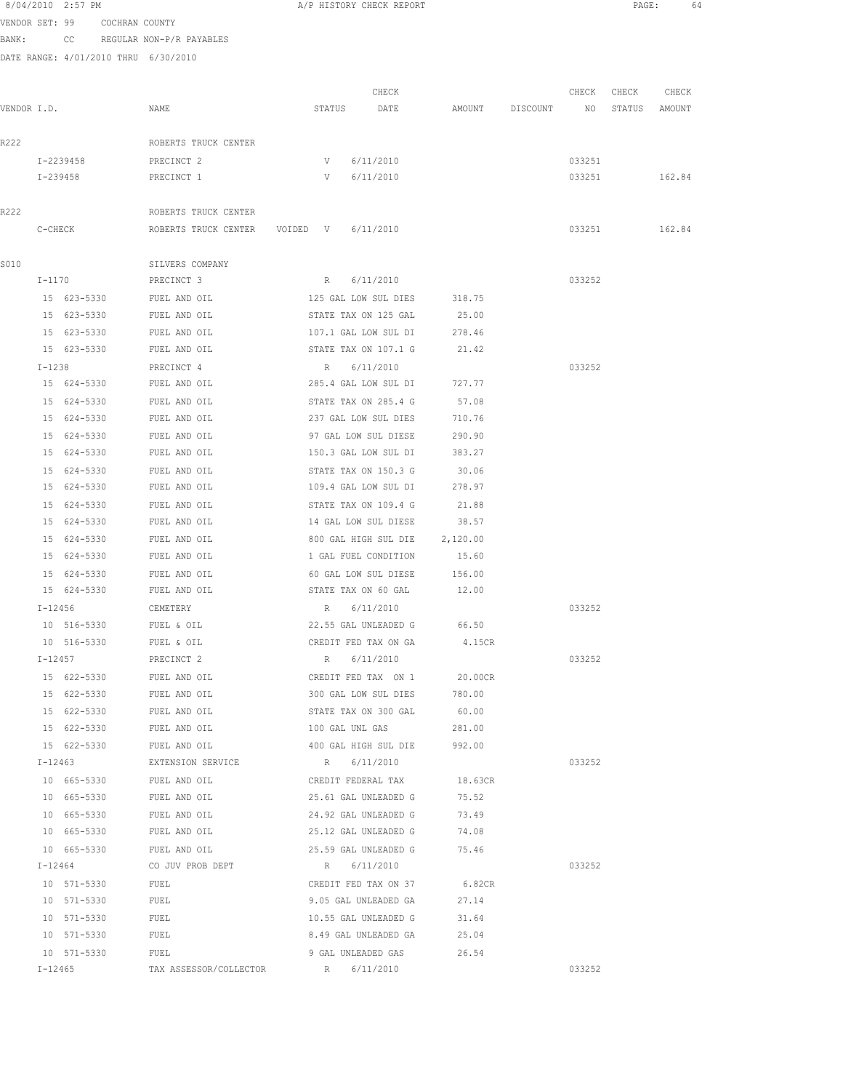| 8/04/2010 2:57 PM |                |  |
|-------------------|----------------|--|
| VENDOR SET: 99    | COCHRAN COUNTY |  |

BANK: CC REGULAR NON-P/R PAYABLES

DATE RANGE: 4/01/2010 THRU 6/30/2010

| VENDOR I.D. |           |                            | NAME                                                |                             | CHECK<br>STATUS DATE                         | AMOUNT DISCOUNT NO | CHECK  | CHECK<br>STATUS | CHECK<br>AMOUNT |
|-------------|-----------|----------------------------|-----------------------------------------------------|-----------------------------|----------------------------------------------|--------------------|--------|-----------------|-----------------|
|             |           |                            |                                                     |                             |                                              |                    |        |                 |                 |
| R222        |           |                            | ROBERTS TRUCK CENTER                                |                             |                                              |                    |        |                 |                 |
|             | I-2239458 |                            | PRECINCT 2                                          | V                           | 6/11/2010                                    |                    | 033251 |                 |                 |
|             | I-239458  |                            | PRECINCT 1                                          | V                           | 6/11/2010                                    |                    | 033251 |                 | 162.84          |
| R222        |           |                            | ROBERTS TRUCK CENTER                                |                             |                                              |                    |        |                 |                 |
|             | C-CHECK   |                            | ROBERTS TRUCK CENTER VOIDED V 6/11/2010             |                             |                                              |                    | 033251 |                 | 162.84          |
| S010        |           |                            | SILVERS COMPANY                                     |                             |                                              |                    |        |                 |                 |
|             | I-1170    |                            | PRECINCT 3                                          |                             | R 6/11/2010                                  |                    | 033252 |                 |                 |
|             |           | 15 623-5330                | FUEL AND OIL                                        |                             | 125 GAL LOW SUL DIES                         | 318.75             |        |                 |                 |
|             |           | 15 623-5330                | FUEL AND OIL                                        |                             | STATE TAX ON 125 GAL                         | 25.00              |        |                 |                 |
|             |           | 15 623-5330                | FUEL AND OIL                                        |                             | 107.1 GAL LOW SUL DI                         | 278.46             |        |                 |                 |
|             |           | 15 623-5330                | FUEL AND OIL                                        |                             | STATE TAX ON 107.1 G                         | 21.42              |        |                 |                 |
|             | $I-1238$  |                            | PRECINCT 4                                          |                             | R 6/11/2010                                  |                    | 033252 |                 |                 |
|             |           | 15 624-5330                | FUEL AND OIL                                        | 285.4 GAL LOW SUL DI 727.77 |                                              |                    |        |                 |                 |
|             |           | 15 624-5330                | FUEL AND OIL                                        |                             | STATE TAX ON 285.4 G                         | 57.08              |        |                 |                 |
|             |           | 15 624-5330                | FUEL AND OIL                                        |                             | 237 GAL LOW SUL DIES                         | 710.76             |        |                 |                 |
|             |           |                            | FUEL AND OIL                                        |                             |                                              |                    |        |                 |                 |
|             |           | 15 624-5330<br>15 624-5330 | FUEL AND OIL                                        |                             | 97 GAL LOW SUL DIESE<br>150.3 GAL LOW SUL DI | 290.90<br>383.27   |        |                 |                 |
|             |           |                            | FUEL AND OIL                                        |                             |                                              |                    |        |                 |                 |
|             |           | 15 624-5330<br>15 624-5330 | FUEL AND OIL                                        |                             | STATE TAX ON 150.3 G<br>109.4 GAL LOW SUL DI | 30.06<br>278.97    |        |                 |                 |
|             |           |                            |                                                     |                             |                                              |                    |        |                 |                 |
|             |           | 15 624-5330<br>15 624-5330 | FUEL AND OIL<br>FUEL AND OIL                        |                             | STATE TAX ON 109.4 G<br>14 GAL LOW SUL DIESE | 21.88<br>38.57     |        |                 |                 |
|             |           |                            |                                                     |                             |                                              |                    |        |                 |                 |
|             |           | 15 624-5330                | FUEL AND OIL                                        |                             | 800 GAL HIGH SUL DIE                         | 2,120.00           |        |                 |                 |
|             |           | 15 624-5330                | FUEL AND OIL                                        |                             | 1 GAL FUEL CONDITION                         | 15.60              |        |                 |                 |
|             |           | 15 624-5330                | FUEL AND OIL                                        |                             | 60 GAL LOW SUL DIESE                         | 156.00             |        |                 |                 |
|             |           | 15 624-5330                | FUEL AND OIL                                        |                             | STATE TAX ON 60 GAL 12.00                    |                    |        |                 |                 |
|             |           | $I-12456$                  | CEMETERY                                            |                             | R 6/11/2010                                  |                    | 033252 |                 |                 |
|             |           | 10 516-5330                | FUEL & OIL                                          |                             | 22.55 GAL UNLEADED G 66.50                   |                    |        |                 |                 |
|             |           | 10 516-5330                | FUEL & OIL                                          |                             | CREDIT FED TAX ON GA                         | 4.15CR             |        |                 |                 |
|             |           | $I - 12457$                | PRECINCT 2                                          |                             | R 6/11/2010                                  |                    | 033252 |                 |                 |
|             |           | 15 622-5330                | FUEL AND OIL                                        |                             | CREDIT FED TAX ON 1                          | 20.00CR            |        |                 |                 |
|             |           | 15 622-5330                | FUEL AND OIL                                        |                             | 300 GAL LOW SUL DIES                         | 780.00             |        |                 |                 |
|             |           | 15 622-5330                | FUEL AND OIL                                        |                             | STATE TAX ON 300 GAL                         | 60.00              |        |                 |                 |
|             |           | 15 622-5330                | FUEL AND OIL                                        |                             | 100 GAL UNL GAS 281.00                       |                    |        |                 |                 |
|             |           | 15 622-5330                | FUEL AND OIL                                        |                             | 400 GAL HIGH SUL DIE 992.00                  |                    |        |                 |                 |
|             |           | $I - 12463$                | EXTENSION SERVICE BOOK R 6/11/2010                  |                             |                                              |                    | 033252 |                 |                 |
|             |           |                            | 10 665-5330 FUEL AND OIL                            | CREDIT FEDERAL TAX 18.63CR  |                                              |                    |        |                 |                 |
|             |           |                            | 10 665-5330 FUEL AND OIL 25.61 GAL UNLEADED G 75.52 |                             |                                              |                    |        |                 |                 |
|             |           | 10 665-5330                | FUEL AND OIL $24.92$ GAL UNLEADED G 73.49           |                             |                                              |                    |        |                 |                 |
|             |           | 10 665-5330                | FUEL AND OIL                                        | 25.12 GAL UNLEADED G 74.08  |                                              |                    |        |                 |                 |
|             |           | 10 665-5330                | FUEL AND OIL                                        |                             | 25.59 GAL UNLEADED G                         | 75.46              |        |                 |                 |
|             |           | $I - 12464$                | CO JUV PROB DEPT                                    |                             | R 6/11/2010                                  |                    | 033252 |                 |                 |
|             |           | 10 571-5330                | FUEL                                                |                             | CREDIT FED TAX ON 37                         | 6.82CR             |        |                 |                 |
|             |           | 10 571-5330                | FUEL                                                |                             | 9.05 GAL UNLEADED GA                         | 27.14              |        |                 |                 |
|             |           | 10 571-5330                | FUEL                                                |                             | 10.55 GAL UNLEADED G                         | 31.64              |        |                 |                 |
|             |           | 10 571-5330                | FUEL                                                |                             | 8.49 GAL UNLEADED GA                         | 25.04              |        |                 |                 |
|             |           | 10 571-5330                | FUEL                                                |                             | 9 GAL UNLEADED GAS                           | 26.54              |        |                 |                 |
|             |           | $I - 12465$                | TAX ASSESSOR/COLLECTOR R 6/11/2010                  |                             |                                              |                    | 033252 |                 |                 |

A/P HISTORY CHECK REPORT **PAGE:** 64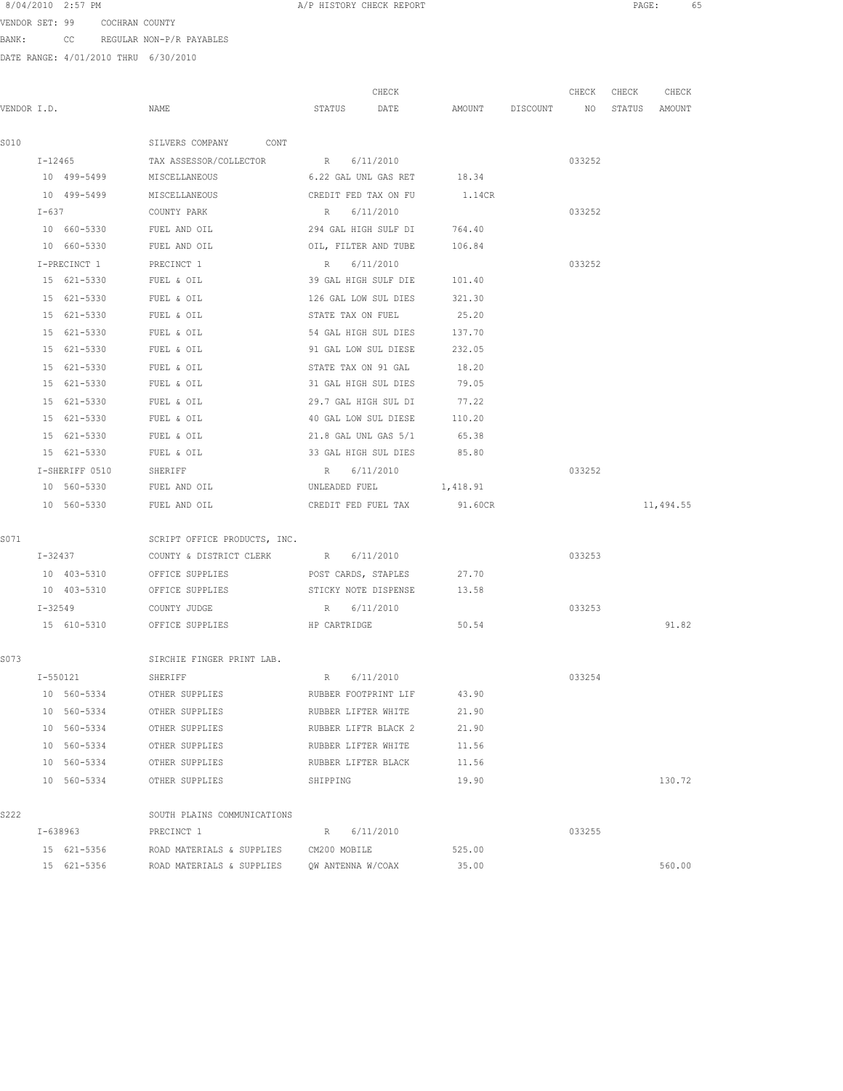VENDOR SET: 99 COCHRAN COUNTY BANK: CC REGULAR NON-P/R PAYABLES

|             |                |                                              |                      | CHECK                       |                             | CHECK CHECK | CHECK         |
|-------------|----------------|----------------------------------------------|----------------------|-----------------------------|-----------------------------|-------------|---------------|
| VENDOR I.D. |                | NAME                                         | STATUS               | DATE                        | AMOUNT DISCOUNT NO          |             | STATUS AMOUNT |
|             |                |                                              |                      |                             |                             |             |               |
| S010        |                | SILVERS COMPANY CONT                         |                      |                             |                             |             |               |
|             | $I - 12465$    | TAX ASSESSOR/COLLECTOR R 6/11/2010           |                      |                             |                             | 033252      |               |
|             |                | 10 499-5499 MISCELLANEOUS                    |                      | 6.22 GAL UNL GAS RET 18.34  |                             |             |               |
|             |                | 10 499-5499 MISCELLANEOUS                    |                      |                             | CREDIT FED TAX ON FU 1.14CR |             |               |
|             | $I - 637$      | COUNTY PARK                                  | R 6/11/2010          |                             |                             | 033252      |               |
|             | 10 660-5330    | FUEL AND OIL                                 |                      | 294 GAL HIGH SULF DI 764.40 |                             |             |               |
|             | 10 660-5330    | FUEL AND OIL                                 |                      | OIL, FILTER AND TUBE        | 106.84                      |             |               |
|             | I-PRECINCT 1   | PRECINCT 1                                   | R 6/11/2010          |                             |                             | 033252      |               |
|             | 15 621-5330    | FUEL & OIL                                   |                      | 39 GAL HIGH SULF DIE 101.40 |                             |             |               |
|             | 15 621-5330    | FUEL & OIL                                   | 126 GAL LOW SUL DIES |                             | 321.30                      |             |               |
|             | 15 621-5330    | FUEL & OIL                                   | STATE TAX ON FUEL    |                             | 25.20                       |             |               |
|             | 15 621-5330    | FUEL & OIL                                   | 54 GAL HIGH SUL DIES |                             | 137.70                      |             |               |
|             | 15 621-5330    | FUEL & OIL                                   | 91 GAL LOW SUL DIESE |                             | 232.05                      |             |               |
|             | 15 621-5330    | FUEL & OIL                                   | STATE TAX ON 91 GAL  |                             | 18.20                       |             |               |
|             | 15 621-5330    | FUEL & OIL                                   | 31 GAL HIGH SUL DIES |                             | 79.05                       |             |               |
|             | 15 621-5330    | FUEL & OIL                                   | 29.7 GAL HIGH SUL DI |                             | 77.22                       |             |               |
|             | 15 621-5330    | FUEL & OIL                                   | 40 GAL LOW SUL DIESE |                             | 110.20                      |             |               |
|             | 15 621-5330    | FUEL & OIL                                   | 21.8 GAL UNL GAS 5/1 |                             | 65.38                       |             |               |
|             | 15 621-5330    | FUEL & OIL                                   | 33 GAL HIGH SUL DIES |                             | 85.80                       |             |               |
|             | I-SHERIFF 0510 | SHERIFF                                      | R 6/11/2010          |                             |                             | 033252      |               |
|             | 10 560-5330    | FUEL AND OIL                                 | UNLEADED FUEL        |                             | 1,418.91                    |             |               |
|             | 10 560-5330    | FUEL AND OIL                                 |                      | CREDIT FED FUEL TAX         | 91.60CR                     |             | 11,494.55     |
| S071        |                | SCRIPT OFFICE PRODUCTS, INC.                 |                      |                             |                             |             |               |
|             | $I - 32437$    | COUNTY & DISTRICT CLERK R 6/11/2010          |                      |                             |                             | 033253      |               |
|             | 10 403-5310    | OFFICE SUPPLIES TO POST CARDS, STAPLES 27.70 |                      |                             |                             |             |               |
|             |                | 10 403-5310 OFFICE SUPPLIES                  |                      | STICKY NOTE DISPENSE 13.58  |                             |             |               |
|             | $I - 32549$    | COUNTY JUDGE                                 | R 6/11/2010          |                             |                             | 033253      |               |
|             |                | 15 610-5310 OFFICE SUPPLIES HP CARTRIDGE     |                      |                             | 50.54                       |             | 91.82         |
| S073        |                | SIRCHIE FINGER PRINT LAB.                    |                      |                             |                             |             |               |
|             | $I - 550121$   | SHERIFF                                      | R 6/11/2010          |                             |                             | 033254      |               |
|             | 10 560-5334    | OTHER SUPPLIES                               |                      |                             | RUBBER FOOTPRINT LIF 43.90  |             |               |
|             | 10 560-5334    | OTHER SUPPLIES                               | RUBBER LIFTER WHITE  |                             | 21.90                       |             |               |
|             | 10 560-5334    | OTHER SUPPLIES                               | RUBBER LIFTR BLACK 2 |                             | 21.90                       |             |               |
|             | 10 560-5334    | OTHER SUPPLIES                               | RUBBER LIFTER WHITE  |                             | 11.56                       |             |               |
|             | 10 560-5334    | OTHER SUPPLIES                               | RUBBER LIFTER BLACK  |                             | 11.56                       |             |               |
|             | 10 560-5334    | OTHER SUPPLIES                               | SHIPPING             |                             | 19.90                       |             | 130.72        |
| S222        |                | SOUTH PLAINS COMMUNICATIONS                  |                      |                             |                             |             |               |
|             | I-638963       | PRECINCT 1                                   | R                    | 6/11/2010                   |                             | 033255      |               |
|             | 15 621-5356    | ROAD MATERIALS & SUPPLIES CM200 MOBILE       |                      |                             | 525.00                      |             |               |
|             | 15 621-5356    | ROAD MATERIALS & SUPPLIES                    | QW ANTENNA W/COAX    |                             | 35.00                       |             | 560.00        |
|             |                |                                              |                      |                             |                             |             |               |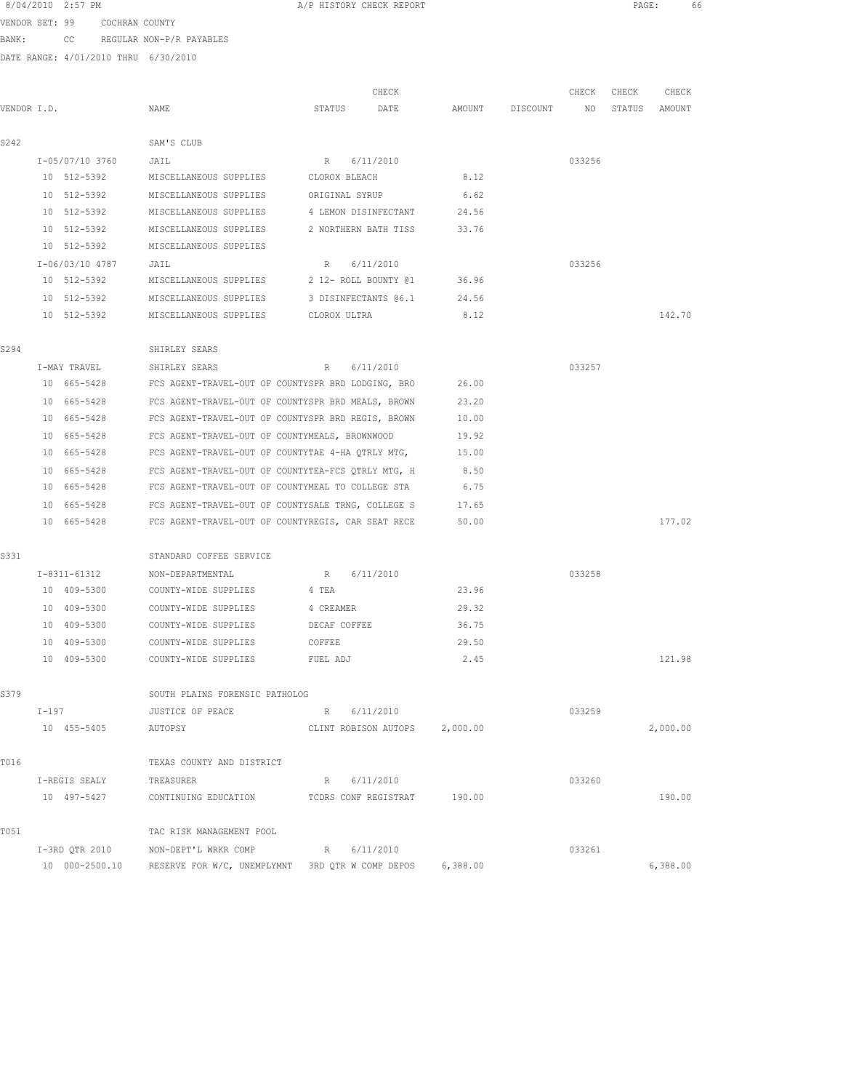|             |         | 8/04/2010 2:57 PM          |                               |                                                               | A/P HISTORY CHECK REPORT |                               |          |                 |        | PAGE:  | 66       |  |
|-------------|---------|----------------------------|-------------------------------|---------------------------------------------------------------|--------------------------|-------------------------------|----------|-----------------|--------|--------|----------|--|
|             |         |                            | VENDOR SET: 99 COCHRAN COUNTY |                                                               |                          |                               |          |                 |        |        |          |  |
| BANK:       |         |                            |                               | CC REGULAR NON-P/R PAYABLES                                   |                          |                               |          |                 |        |        |          |  |
|             |         |                            |                               | DATE RANGE: 4/01/2010 THRU 6/30/2010                          |                          |                               |          |                 |        |        |          |  |
|             |         |                            |                               |                                                               |                          |                               |          |                 |        |        |          |  |
|             |         |                            |                               |                                                               |                          | CHECK                         |          |                 | CHECK  | CHECK  | CHECK    |  |
| VENDOR I.D. |         |                            |                               | NAME                                                          | STATUS                   | DATE                          |          | AMOUNT DISCOUNT | NO     | STATUS | AMOUNT   |  |
|             |         |                            |                               |                                                               |                          |                               |          |                 |        |        |          |  |
| S242        |         |                            |                               | SAM'S CLUB                                                    |                          |                               |          |                 |        |        |          |  |
|             |         | I-05/07/10 3760            |                               | JAIL                                                          | R 6/11/2010              |                               |          |                 | 033256 |        |          |  |
|             |         | 10 512-5392                |                               | MISCELLANEOUS SUPPLIES CLOROX BLEACH                          |                          |                               | 8.12     |                 |        |        |          |  |
|             |         |                            |                               | 10 512-5392 MISCELLANEOUS SUPPLIES ORIGINAL SYRUP             |                          |                               | 6.62     |                 |        |        |          |  |
|             |         |                            |                               | 10 512-5392 MISCELLANEOUS SUPPLIES 4 LEMON DISINFECTANT 24.56 |                          |                               |          |                 |        |        |          |  |
|             |         | 10 512-5392                |                               | MISCELLANEOUS SUPPLIES 2 NORTHERN BATH TISS                   |                          |                               | 33.76    |                 |        |        |          |  |
|             |         | 10 512-5392                |                               | MISCELLANEOUS SUPPLIES                                        |                          |                               |          |                 |        |        |          |  |
|             |         | I-06/03/10 4787            |                               | JAIL<br>MISCELLANEOUS SUPPLIES                                | R 6/11/2010              |                               | 36.96    |                 | 033256 |        |          |  |
|             |         | 10 512-5392                |                               |                                                               | 2 12- ROLL BOUNTY @1     |                               |          |                 |        |        |          |  |
|             |         | 10 512-5392<br>10 512-5392 |                               | MISCELLANEOUS SUPPLIES                                        | 3 DISINFECTANTS @6.1     |                               | 24.56    |                 |        |        | 142.70   |  |
|             |         |                            |                               | MISCELLANEOUS SUPPLIES CLOROX ULTRA                           |                          |                               | 8.12     |                 |        |        |          |  |
| S294        |         |                            |                               | SHIRLEY SEARS                                                 |                          |                               |          |                 |        |        |          |  |
|             |         | I-MAY TRAVEL               |                               | SHIRLEY SEARS                                                 | R                        | 6/11/2010                     |          |                 | 033257 |        |          |  |
|             |         | 10 665-5428                |                               | FCS AGENT-TRAVEL-OUT OF COUNTYSPR BRD LODGING, BRO 26.00      |                          |                               |          |                 |        |        |          |  |
|             |         | 10 665-5428                |                               | FCS AGENT-TRAVEL-OUT OF COUNTYSPR BRD MEALS, BROWN 23.20      |                          |                               |          |                 |        |        |          |  |
|             |         | 10 665-5428                |                               | FCS AGENT-TRAVEL-OUT OF COUNTYSPR BRD REGIS, BROWN 10.00      |                          |                               |          |                 |        |        |          |  |
|             |         | 10 665-5428                |                               | FCS AGENT-TRAVEL-OUT OF COUNTYMEALS, BROWNWOOD                |                          |                               | 19.92    |                 |        |        |          |  |
|             |         | 10 665-5428                |                               | FCS AGENT-TRAVEL-OUT OF COUNTYTAE 4-HA QTRLY MTG,             |                          |                               | 15.00    |                 |        |        |          |  |
|             |         | 10 665-5428                |                               | FCS AGENT-TRAVEL-OUT OF COUNTYTEA-FCS QTRLY MTG, H            |                          |                               | 8.50     |                 |        |        |          |  |
|             |         | 10 665-5428                |                               | FCS AGENT-TRAVEL-OUT OF COUNTYMEAL TO COLLEGE STA             |                          |                               | 6.75     |                 |        |        |          |  |
|             |         | 10 665-5428                |                               | FCS AGENT-TRAVEL-OUT OF COUNTYSALE TRNG, COLLEGE S            |                          |                               | 17.65    |                 |        |        |          |  |
|             |         | 10 665-5428                |                               | FCS AGENT-TRAVEL-OUT OF COUNTYREGIS, CAR SEAT RECE            |                          |                               | 50.00    |                 |        |        | 177.02   |  |
|             |         |                            |                               |                                                               |                          |                               |          |                 |        |        |          |  |
| S331        |         |                            |                               | STANDARD COFFEE SERVICE                                       |                          |                               |          |                 |        |        |          |  |
|             |         | I-8311-61312               |                               | NON-DEPARTMENTAL                                              | R 6/11/2010              |                               |          |                 | 033258 |        |          |  |
|             |         | 10 409-5300                |                               | COUNTY-WIDE SUPPLIES 4 TEA                                    |                          |                               | 23.96    |                 |        |        |          |  |
|             |         | 10 409-5300                |                               | COUNTY-WIDE SUPPLIES 4 CREAMER                                |                          |                               | 29.32    |                 |        |        |          |  |
|             |         | 10 409-5300                |                               | COUNTY-WIDE SUPPLIES                                          | DECAF COFFEE             |                               | 36.75    |                 |        |        |          |  |
|             |         | 10 409-5300                |                               | COUNTY-WIDE SUPPLIES                                          | COFFEE                   |                               | 29.50    |                 |        |        |          |  |
|             |         | 10 409-5300                |                               | COUNTY-WIDE SUPPLIES                                          | FUEL ADJ                 |                               | 2.45     |                 |        |        | 121.98   |  |
|             |         |                            |                               |                                                               |                          |                               |          |                 |        |        |          |  |
| S379        |         |                            |                               | SOUTH PLAINS FORENSIC PATHOLOG                                |                          |                               |          |                 |        |        |          |  |
|             | $I-197$ |                            |                               | JUSTICE OF PEACE                                              | R 6/11/2010              |                               |          |                 | 033259 |        |          |  |
|             |         | 10 455-5405                |                               | AUTOPSY                                                       |                          | CLINT ROBISON AUTOPS 2,000.00 |          |                 |        |        | 2,000.00 |  |
|             |         |                            |                               |                                                               |                          |                               |          |                 |        |        |          |  |
| T016        |         |                            |                               | TEXAS COUNTY AND DISTRICT                                     |                          |                               |          |                 |        |        |          |  |
|             |         | I-REGIS SEALY              |                               | TREASURER                                                     | R 6/11/2010              |                               |          |                 | 033260 |        |          |  |
|             |         | 10 497-5427                |                               | CONTINUING EDUCATION TCDRS CONF REGISTRAT 190.00              |                          |                               |          |                 |        |        | 190.00   |  |
| T051        |         |                            |                               | TAC RISK MANAGEMENT POOL                                      |                          |                               |          |                 |        |        |          |  |
|             |         | I-3RD QTR 2010             |                               | NON-DEPT'L WRKR COMP                                          | R 6/11/2010              |                               |          |                 | 033261 |        |          |  |
|             |         | 10 000-2500.10             |                               | RESERVE FOR W/C, UNEMPLYMNT 3RD QTR W COMP DEPOS              |                          |                               | 6,388.00 |                 |        |        | 6,388.00 |  |
|             |         |                            |                               |                                                               |                          |                               |          |                 |        |        |          |  |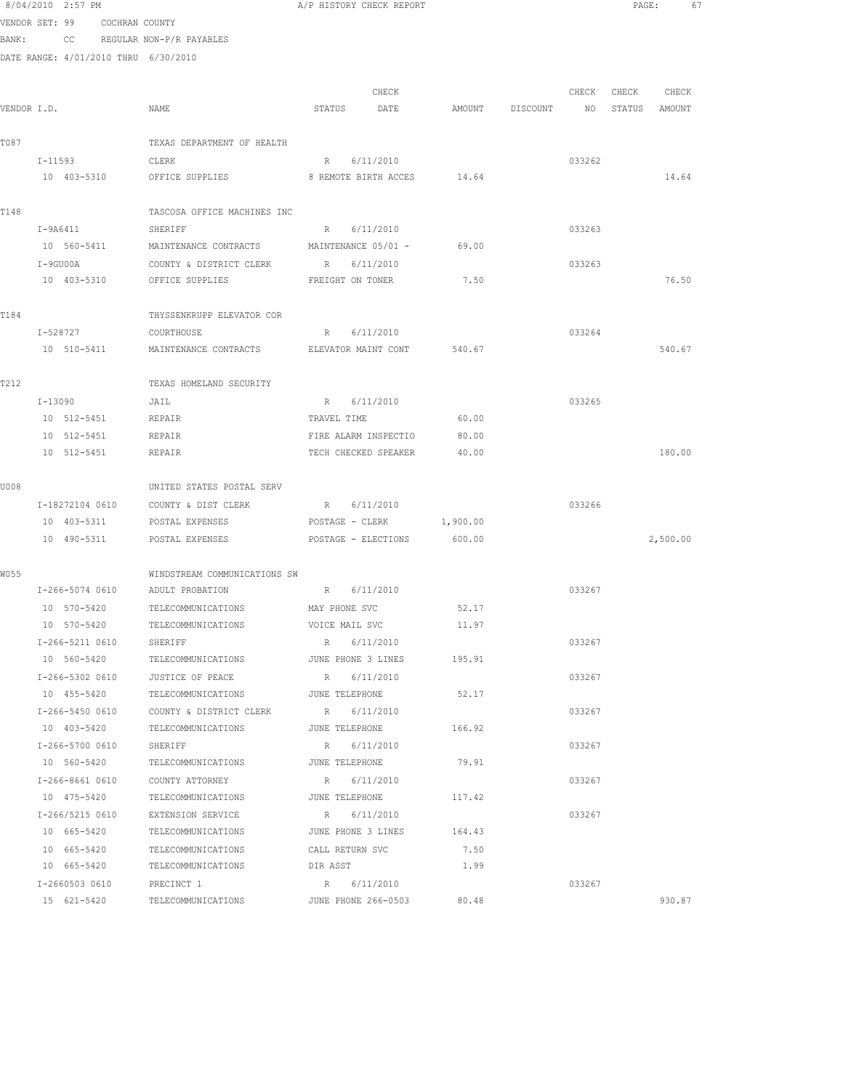|             | 8/04/2010 2:57 PM                    |                                                  | A/P HISTORY CHECK REPORT    |              |                 |        |                  | PAGE:<br>67 |  |
|-------------|--------------------------------------|--------------------------------------------------|-----------------------------|--------------|-----------------|--------|------------------|-------------|--|
|             | VENDOR SET: 99 COCHRAN COUNTY        |                                                  |                             |              |                 |        |                  |             |  |
| BANK:       |                                      | CC REGULAR NON-P/R PAYABLES                      |                             |              |                 |        |                  |             |  |
|             | DATE RANGE: 4/01/2010 THRU 6/30/2010 |                                                  |                             |              |                 |        |                  |             |  |
|             |                                      |                                                  |                             |              |                 |        |                  |             |  |
|             |                                      |                                                  | CHECK                       |              |                 | CHECK  | CHECK CHECK      |             |  |
| VENDOR I.D. |                                      | NAME                                             | STATUS<br>DATE              |              | AMOUNT DISCOUNT |        | NO STATUS AMOUNT |             |  |
|             |                                      |                                                  |                             |              |                 |        |                  |             |  |
| T087        |                                      | TEXAS DEPARTMENT OF HEALTH                       |                             |              |                 |        |                  |             |  |
|             | $I - 11593$                          | CLERK                                            | R 6/11/2010                 |              |                 | 033262 |                  |             |  |
|             | 10 403-5310                          | OFFICE SUPPLIES                                  | 8 REMOTE BIRTH ACCES 14.64  |              |                 |        |                  | 14.64       |  |
|             |                                      |                                                  |                             |              |                 |        |                  |             |  |
| T148        |                                      | TASCOSA OFFICE MACHINES INC                      |                             |              |                 |        |                  |             |  |
|             | I-9A6411                             | SHERIFF                                          | R 6/11/2010                 |              |                 | 033263 |                  |             |  |
|             | 10 560-5411                          | MAINTENANCE CONTRACTS                            | MAINTENANCE 05/01 -         | 69.00        |                 |        |                  |             |  |
|             | I-9GU00A                             | COUNTY & DISTRICT CLERK                          | R 6/11/2010                 | 7.50         |                 | 033263 |                  | 76.50       |  |
|             | 10 403-5310                          | OFFICE SUPPLIES                                  | FREIGHT ON TONER            |              |                 |        |                  |             |  |
| T184        |                                      | THYSSENKRUPP ELEVATOR COR                        |                             |              |                 |        |                  |             |  |
|             | I-528727                             | COURTHOUSE                                       | 6/11/2010<br>R              |              |                 | 033264 |                  |             |  |
|             | 10 510-5411                          | MAINTENANCE CONTRACTS ELEVATOR MAINT CONT 540.67 |                             |              |                 |        |                  | 540.67      |  |
|             |                                      |                                                  |                             |              |                 |        |                  |             |  |
| T212        |                                      | TEXAS HOMELAND SECURITY                          |                             |              |                 |        |                  |             |  |
|             | I-13090                              | JAIL                                             | 6/11/2010<br>R              |              |                 | 033265 |                  |             |  |
|             | 10 512-5451                          | <b>REPAIR</b>                                    | TRAVEL TIME                 | 60.00        |                 |        |                  |             |  |
|             | 10 512-5451                          | REPAIR                                           | FIRE ALARM INSPECTIO        | 80.00        |                 |        |                  |             |  |
|             | 10 512-5451                          | REPAIR                                           | TECH CHECKED SPEAKER        | 40.00        |                 |        |                  | 180.00      |  |
|             |                                      |                                                  |                             |              |                 |        |                  |             |  |
| U008        |                                      | UNITED STATES POSTAL SERV                        |                             |              |                 |        |                  |             |  |
|             | I-18272104 0610                      | COUNTY & DIST CLERK                              | R 6/11/2010                 |              |                 | 033266 |                  |             |  |
|             | 10 403-5311                          | POSTAL EXPENSES                                  | POSTAGE - CLERK             | 1,900.00     |                 |        |                  |             |  |
|             | 10 490-5311                          | POSTAL EXPENSES                                  | POSTAGE - ELECTIONS         | 600.00       |                 |        |                  | 2,500.00    |  |
|             |                                      |                                                  |                             |              |                 |        |                  |             |  |
| W055        |                                      | WINDSTREAM COMMUNICATIONS SW                     |                             |              |                 |        |                  |             |  |
|             | I-266-5074 0610 ADULT PROBATION      |                                                  | R 6/11/2010                 |              |                 | 033267 |                  |             |  |
|             |                                      | 10 570-5420 TELECOMMUNICATIONS MAY PHONE SVC     |                             | 52.17        |                 |        |                  |             |  |
|             | 10 570-5420                          | TELECOMMUNICATIONS                               | VOICE MAIL SVC              | 11.97        |                 |        |                  |             |  |
|             | I-266-5211 0610                      | SHERIFF                                          | R 6/11/2010                 |              |                 | 033267 |                  |             |  |
|             | 10 560-5420                          | TELECOMMUNICATIONS                               | JUNE PHONE 3 LINES          | 195.91       |                 |        |                  |             |  |
|             | I-266-5302 0610                      | JUSTICE OF PEACE                                 | R 6/11/2010                 |              |                 | 033267 |                  |             |  |
|             | 10 455-5420                          | TELECOMMUNICATIONS                               | JUNE TELEPHONE              | 52.17        |                 |        |                  |             |  |
|             | I-266-5450 0610                      | COUNTY & DISTRICT CLERK                          | R 6/11/2010                 |              |                 | 033267 |                  |             |  |
|             | 10 403-5420                          | TELECOMMUNICATIONS                               | JUNE TELEPHONE              | 166.92       |                 |        |                  |             |  |
|             | I-266-5700 0610                      | SHERIFF                                          | R 6/11/2010                 |              |                 | 033267 |                  |             |  |
|             | 10 560-5420                          | TELECOMMUNICATIONS JUNE TELEPHONE                |                             | 79.91        |                 |        |                  |             |  |
|             | I-266-8661 0610                      | COUNTY ATTORNEY                                  | R<br>6/11/2010              |              |                 | 033267 |                  |             |  |
|             | 10 475-5420                          | TELECOMMUNICATIONS JUNE TELEPHONE                |                             | 117.42       |                 |        |                  |             |  |
|             | I-266/5215 0610                      | EXTENSION SERVICE                                | 6/11/2010<br>R              |              |                 | 033267 |                  |             |  |
|             | 10 665-5420                          | TELECOMMUNICATIONS                               | JUNE PHONE 3 LINES          | 164.43       |                 |        |                  |             |  |
|             | 10 665-5420<br>10 665-5420           | TELECOMMUNICATIONS<br>TELECOMMUNICATIONS         | CALL RETURN SVC<br>DIR ASST | 7.50<br>1.99 |                 |        |                  |             |  |
|             | I-2660503 0610                       | PRECINCT 1                                       | R 6/11/2010                 |              |                 | 033267 |                  |             |  |
|             |                                      |                                                  |                             |              |                 |        |                  |             |  |

15 621-5420 TELECOMMUNICATIONS JUNE PHONE 266-0503 80.48 930.87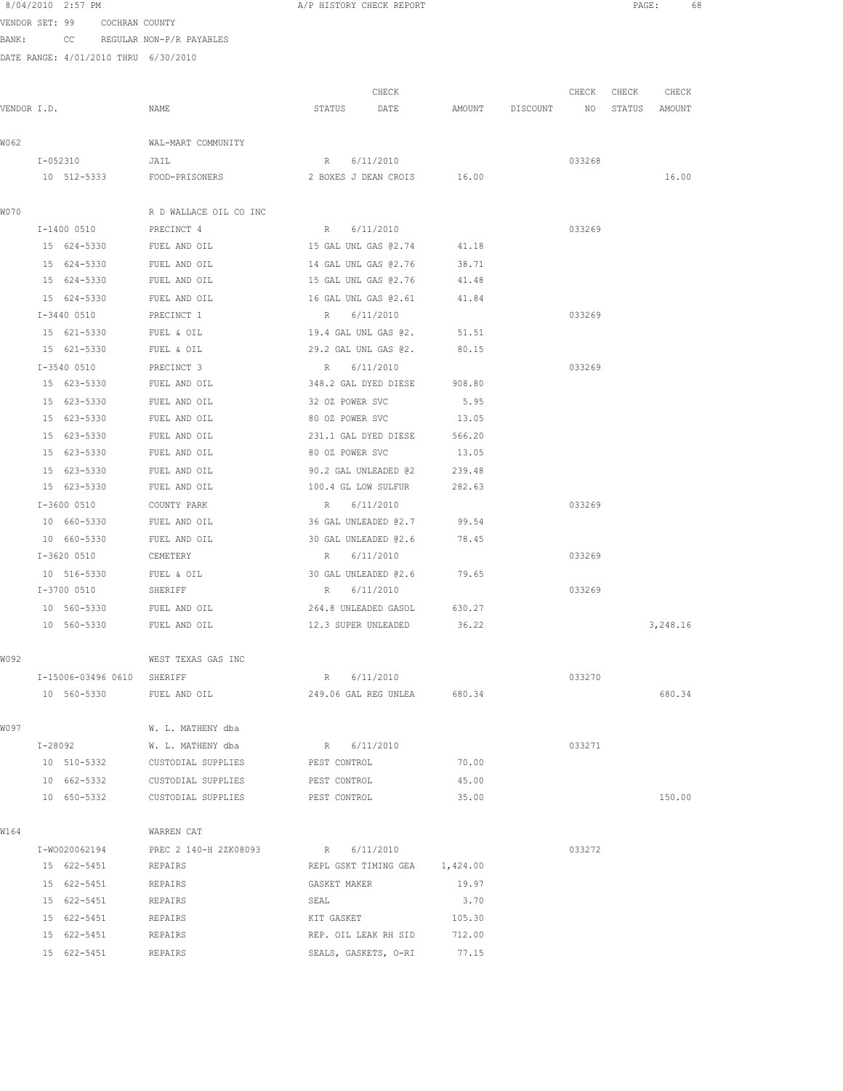VENDOR SET: 99 COCHRAN COUNTY BANK: CC REGULAR NON-P/R PAYABLES

|             |                    |                                             | CHECK                         |        | CHECK    | CHECK  | CHECK  |          |
|-------------|--------------------|---------------------------------------------|-------------------------------|--------|----------|--------|--------|----------|
| VENDOR I.D. |                    | NAME                                        | STATUS<br>DATE                | AMOUNT | DISCOUNT | NO     | STATUS | AMOUNT   |
| W062        |                    | WAL-MART COMMUNITY                          |                               |        |          |        |        |          |
|             | I-052310           | JAIL                                        | R 6/11/2010                   |        |          | 033268 |        |          |
|             | 10 512-5333        | FOOD-PRISONERS 2 BOXES J DEAN CROIS 16.00   |                               |        |          |        |        | 16.00    |
| W070        |                    | R D WALLACE OIL CO INC                      |                               |        |          |        |        |          |
|             | $I-1400$ 0510      | PRECINCT 4                                  | R 6/11/2010                   |        |          | 033269 |        |          |
|             | 15 624-5330        | FUEL AND OIL                                | 15 GAL UNL GAS 02.74          | 41.18  |          |        |        |          |
|             | 15 624-5330        | FUEL AND OIL                                | 14 GAL UNL GAS @2.76          | 38.71  |          |        |        |          |
|             | 15 624-5330        | FUEL AND OIL                                | 15 GAL UNL GAS 02.76          | 41.48  |          |        |        |          |
|             | 15 624-5330        | FUEL AND OIL                                | 16 GAL UNL GAS @2.61          | 41.84  |          |        |        |          |
|             | $I-3440$ 0510      | PRECINCT 1                                  | R<br>6/11/2010                |        |          | 033269 |        |          |
|             | 15 621-5330        | FUEL & OIL                                  | 19.4 GAL UNL GAS 02.          | 51.51  |          |        |        |          |
|             | 15 621-5330        | FUEL & OIL                                  | 29.2 GAL UNL GAS 02.          | 80.15  |          |        |        |          |
|             | I-3540 0510        | PRECINCT 3                                  | 6/11/2010<br>R                |        |          | 033269 |        |          |
|             | 15 623-5330        | FUEL AND OIL                                | 348.2 GAL DYED DIESE          | 908.80 |          |        |        |          |
|             | 15 623-5330        | FUEL AND OIL                                | 32 OZ POWER SVC               | 5.95   |          |        |        |          |
|             | 15 623-5330        | FUEL AND OIL                                | 80 OZ POWER SVC               | 13.05  |          |        |        |          |
|             | 15 623-5330        | FUEL AND OIL                                | 231.1 GAL DYED DIESE          | 566.20 |          |        |        |          |
|             | 15 623-5330        | FUEL AND OIL                                | 80 OZ POWER SVC               | 13.05  |          |        |        |          |
|             | 15 623-5330        | FUEL AND OIL                                | 90.2 GAL UNLEADED @2          | 239.48 |          |        |        |          |
|             | 15 623-5330        | FUEL AND OIL                                | 100.4 GL LOW SULFUR           | 282.63 |          |        |        |          |
|             | I-3600 0510        | COUNTY PARK                                 | R<br>6/11/2010                |        |          | 033269 |        |          |
|             | 10 660-5330        | FUEL AND OIL                                | 36 GAL UNLEADED @2.7          | 99.54  |          |        |        |          |
|             | 10 660-5330        | FUEL AND OIL                                | 30 GAL UNLEADED @2.6          | 78.45  |          |        |        |          |
|             | I-3620 0510        | CEMETERY                                    | R 6/11/2010                   |        |          | 033269 |        |          |
|             | 10 516-5330        | FUEL & OIL                                  | 30 GAL UNLEADED @2.6          | 79.65  |          |        |        |          |
|             | I-3700 0510        | SHERIFF                                     | R 6/11/2010                   |        |          | 033269 |        |          |
|             | 10 560-5330        | FUEL AND OIL                                | 264.8 UNLEADED GASOL          | 630.27 |          |        |        |          |
|             | 10 560-5330        | FUEL AND OIL                                | 12.3 SUPER UNLEADED           | 36.22  |          |        |        | 3,248.16 |
| W092        |                    | WEST TEXAS GAS INC                          |                               |        |          |        |        |          |
|             | I-15006-03496 0610 | SHERIFF                                     | R 6/11/2010                   |        |          | 033270 |        |          |
|             | 10 560-5330        | FUEL AND OIL                                | 249.06 GAL REG UNLEA 680.34   |        |          |        |        | 680.34   |
| W097        |                    | W. L. MATHENY dba                           |                               |        |          |        |        |          |
|             | I-28092            | W. L. MATHENY dba                           | R 6/11/2010                   |        |          | 033271 |        |          |
|             | 10 510-5332        | CUSTODIAL SUPPLIES                          | PEST CONTROL                  | 70.00  |          |        |        |          |
|             |                    | 10 662-5332 CUSTODIAL SUPPLIES              | PEST CONTROL                  | 45.00  |          |        |        |          |
|             |                    | 10 650-5332 CUSTODIAL SUPPLIES PEST CONTROL |                               | 35.00  |          |        |        | 150.00   |
| W164        |                    | WARREN CAT                                  |                               |        |          |        |        |          |
|             | I-W0020062194      | PREC 2 140-H 2ZK08093                       | R 6/11/2010                   |        |          | 033272 |        |          |
|             | 15 622-5451        | REPAIRS                                     | REPL GSKT TIMING GEA 1,424.00 |        |          |        |        |          |
|             | 15 622-5451        | REPAIRS                                     | GASKET MAKER                  | 19.97  |          |        |        |          |
|             | 15 622-5451        | REPAIRS                                     | SEAL                          | 3.70   |          |        |        |          |
|             | 15 622-5451        | REPAIRS                                     | KIT GASKET                    | 105.30 |          |        |        |          |
|             | 15 622-5451        | REPAIRS                                     | REP. OIL LEAK RH SID          | 712.00 |          |        |        |          |
|             | 15 622-5451        | REPAIRS                                     | SEALS, GASKETS, O-RI 77.15    |        |          |        |        |          |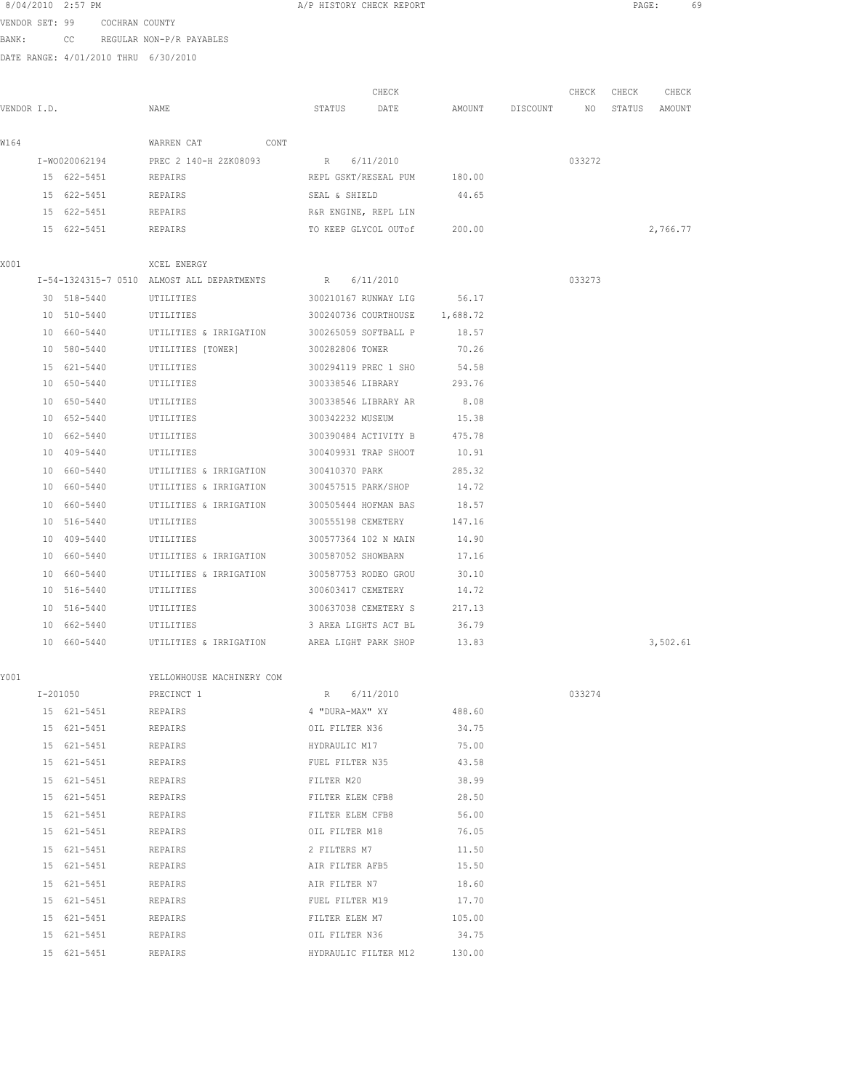|                | 8/04/2010 2:57 PM |                                                        |      |                 | A/P HISTORY CHECK REPORT |                               |                 |        | PAGE:  |          | 69 |
|----------------|-------------------|--------------------------------------------------------|------|-----------------|--------------------------|-------------------------------|-----------------|--------|--------|----------|----|
| VENDOR SET: 99 |                   | COCHRAN COUNTY                                         |      |                 |                          |                               |                 |        |        |          |    |
| BANK:          | CC                | REGULAR NON-P/R PAYABLES                               |      |                 |                          |                               |                 |        |        |          |    |
|                |                   | DATE RANGE: 4/01/2010 THRU 6/30/2010                   |      |                 |                          |                               |                 |        |        |          |    |
|                |                   |                                                        |      |                 |                          |                               |                 |        |        |          |    |
|                |                   |                                                        |      |                 | CHECK                    |                               |                 | CHECK  | CHECK  | CHECK    |    |
| VENDOR I.D.    |                   | NAME                                                   |      | STATUS          | DATE                     |                               | AMOUNT DISCOUNT | NO     | STATUS | AMOUNT   |    |
| W164           |                   | WARREN CAT                                             | CONT |                 |                          |                               |                 |        |        |          |    |
|                | I-W0020062194     | PREC 2 140-H 2ZK08093                                  |      | R 6/11/2010     |                          |                               |                 | 033272 |        |          |    |
|                | 15 622-5451       | REPAIRS                                                |      |                 |                          | REPL GSKT/RESEAL PUM 180.00   |                 |        |        |          |    |
|                | 15 622-5451       | REPAIRS                                                |      | SEAL & SHIELD   |                          | 44.65                         |                 |        |        |          |    |
|                | 15 622-5451       | REPAIRS                                                |      |                 | R&R ENGINE, REPL LIN     |                               |                 |        |        |          |    |
|                | 15 622-5451       | REPAIRS                                                |      |                 | TO KEEP GLYCOL OUTOf     | 200.00                        |                 |        |        | 2,766.77 |    |
|                |                   |                                                        |      |                 |                          |                               |                 |        |        |          |    |
| X001           |                   | XCEL ENERGY                                            |      |                 |                          |                               |                 |        |        |          |    |
|                |                   | I-54-1324315-7 0510 ALMOST ALL DEPARTMENTS R 6/11/2010 |      |                 |                          |                               |                 | 033273 |        |          |    |
|                | 30 518-5440       | UTILITIES                                              |      |                 | 300210167 RUNWAY LIG     | 56.17                         |                 |        |        |          |    |
|                | 10 510-5440       | UTILITIES                                              |      |                 |                          | 300240736 COURTHOUSE 1,688.72 |                 |        |        |          |    |
|                | 10 660-5440       | UTILITIES & IRRIGATION 300265059 SOFTBALL P 18.57      |      |                 |                          |                               |                 |        |        |          |    |
|                | 10 580-5440       | UTILITIES [TOWER]                                      |      | 300282806 TOWER |                          | 70.26                         |                 |        |        |          |    |
|                | 15 621-5440       | UTILITIES                                              |      |                 | 300294119 PREC 1 SHO     | 54.58                         |                 |        |        |          |    |
|                | 10 650-5440       | UTILITIES                                              |      |                 |                          | 300338546 LIBRARY 293.76      |                 |        |        |          |    |
|                | 10 650-5440       | UTILITIES                                              |      |                 | 300338546 LIBRARY AR     | 8.08                          |                 |        |        |          |    |
|                | 10 652-5440       | UTILITIES                                              |      |                 | 300342232 MUSEUM         | 15.38                         |                 |        |        |          |    |
|                | 10 662-5440       | UTILITIES                                              |      |                 | 300390484 ACTIVITY B     | 475.78                        |                 |        |        |          |    |
|                | 10 409-5440       | UTILITIES                                              |      |                 | 300409931 TRAP SHOOT     | 10.91                         |                 |        |        |          |    |
|                | 10 660-5440       | UTILITIES & IRRIGATION                                 |      | 300410370 PARK  |                          | 285.32                        |                 |        |        |          |    |
|                | 10 660-5440       | UTILITIES & IRRIGATION                                 |      |                 |                          | 300457515 PARK/SHOP 14.72     |                 |        |        |          |    |
|                |                   |                                                        |      |                 |                          |                               |                 |        |        |          |    |

| Y001 |                     | YELLOWHOUSE MACHINERY COM |                             |        |        |
|------|---------------------|---------------------------|-----------------------------|--------|--------|
|      | I-201050 PRECINCT 1 | R 6/11/2010               |                             |        | 033274 |
|      | 15 621-5451         | REPAIRS                   | 488.60 488.60               |        |        |
|      | 15 621-5451         | REPAIRS                   | OIL FILTER N36 34.75        |        |        |
|      | 15 621-5451         | REPAIRS                   | 75.00<br>HYDRAULIC M17      |        |        |
|      | 15 621-5451         | REPAIRS                   | FUEL FILTER N35 43.58       |        |        |
|      | 15 621-5451         | REPAIRS                   | 38.99<br>FILTER M20         |        |        |
|      | 15 621-5451         | REPAIRS                   | 28.50<br>FILTER ELEM CFB8   |        |        |
|      | 15 621-5451         | REPAIRS                   | 56.00<br>FILTER ELEM CFB8   |        |        |
|      | 15 621-5451         | REPAIRS                   | OIL FILTER M18              | 76.05  |        |
|      | 15 621-5451         | REPAIRS                   | 2 FILTERS M7<br>11.50       |        |        |
|      | 15 621-5451         | REPAIRS                   | AIR FILTER AFB5 15.50       |        |        |
|      | 15 621-5451         | REPAIRS                   | AIR FILTER N7<br>18.60      |        |        |
|      | 15 621-5451         | REPAIRS                   | FUEL FILTER M19<br>17.70    |        |        |
|      | 15 621-5451         | REPAIRS                   | FILTER ELEM M7              | 105.00 |        |
|      | 15 621-5451         | REPAIRS                   | OIL FILTER N36 34.75        |        |        |
|      | 15 621-5451         | REPAIRS                   | HYDRAULIC FILTER M12 130.00 |        |        |
|      |                     |                           |                             |        |        |

 10 660-5440 UTILITIES & IRRIGATION 300505444 HOFMAN BAS 18.57 10 516-5440 UTILITIES 300555198 CEMETERY 147.16 10 409-5440 UTILITIES 300577364 102 N MAIN 14.90 10 660-5440 UTILITIES & IRRIGATION 300587052 SHOWBARN 17.16 10 660-5440 UTILITIES & IRRIGATION 300587753 RODEO GROU 30.10 10 516-5440 UTILITIES 300603417 CEMETERY 14.72 10 516-5440 UTILITIES 300637038 CEMETERY S 217.13 10 662-5440 UTILITIES 3 AREA LIGHTS ACT BL 36.79

10 660-5440 UTILITIES & IRRIGATION AREA LIGHT PARK SHOP 13.83 3,502.61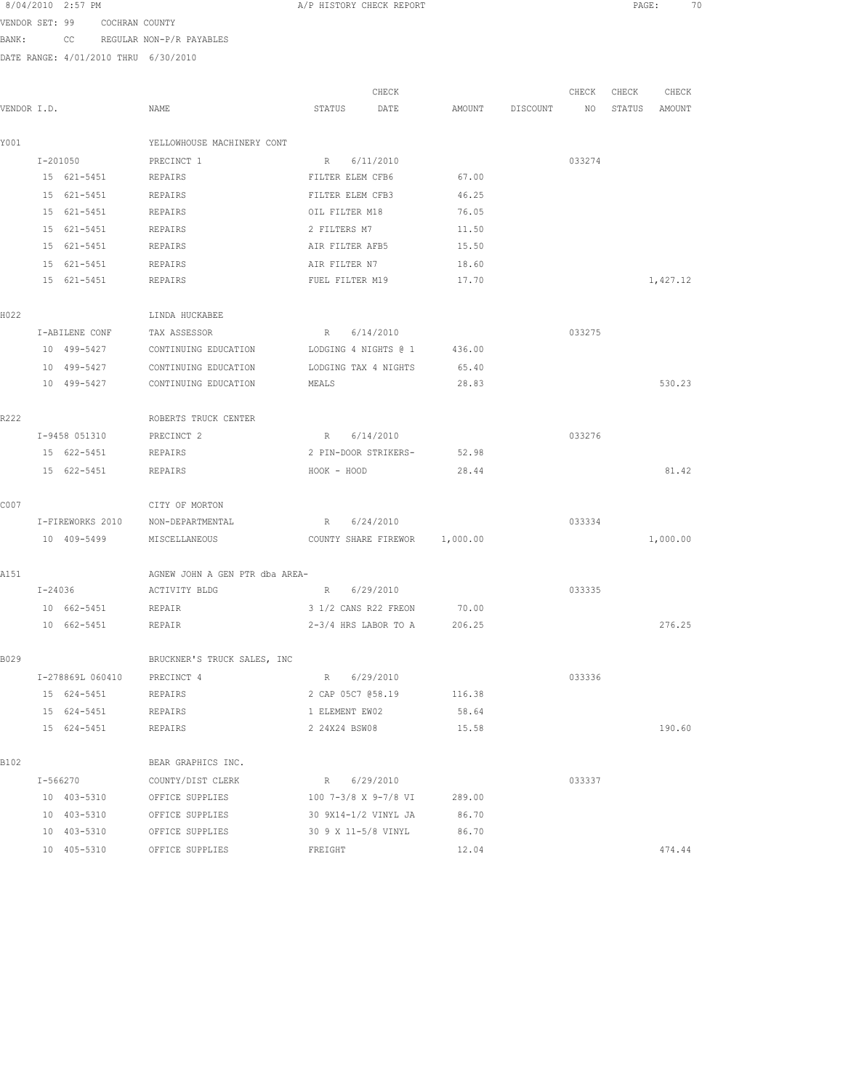VENDOR SET: 99 COCHRAN COUNTY BANK: CC REGULAR NON-P/R PAYABLES

|             |         |                    |                                                         |              | CHECK                         |        |                 | CHECK  | CHECK  | CHECK    |
|-------------|---------|--------------------|---------------------------------------------------------|--------------|-------------------------------|--------|-----------------|--------|--------|----------|
| VENDOR I.D. |         |                    | NAME                                                    | STATUS       | DATE                          |        | AMOUNT DISCOUNT | NO     | STATUS | AMOUNT   |
| Y001        |         |                    | YELLOWHOUSE MACHINERY CONT                              |              |                               |        |                 |        |        |          |
|             |         | $I - 201050$       | PRECINCT 1                                              | $R_{\perp}$  | 6/11/2010                     |        |                 | 033274 |        |          |
|             |         | 15 621-5451        | REPAIRS                                                 |              | FILTER ELEM CFB6              | 67.00  |                 |        |        |          |
|             |         | 15 621-5451        | REPAIRS                                                 |              | FILTER ELEM CFB3              | 46.25  |                 |        |        |          |
|             |         | 15 621-5451        | REPAIRS                                                 |              | OIL FILTER M18                | 76.05  |                 |        |        |          |
|             |         | 15 621-5451        | REPAIRS                                                 | 2 FILTERS M7 |                               | 11.50  |                 |        |        |          |
|             |         | 15 621-5451        | REPAIRS                                                 |              | AIR FILTER AFB5               | 15.50  |                 |        |        |          |
|             |         | 15 621-5451        | REPAIRS                                                 |              | AIR FILTER N7                 | 18.60  |                 |        |        |          |
|             |         | 15 621-5451        | REPAIRS                                                 |              | FUEL FILTER M19               | 17.70  |                 |        |        | 1,427.12 |
| H022        |         |                    | LINDA HUCKABEE                                          |              |                               |        |                 |        |        |          |
|             |         | I-ABILENE CONF     | TAX ASSESSOR                                            |              | R 6/14/2010                   |        |                 | 033275 |        |          |
|             |         | 10 499-5427        | CONTINUING EDUCATION                                    |              | LODGING 4 NIGHTS @ 1          | 436.00 |                 |        |        |          |
|             |         | 10 499-5427        | CONTINUING EDUCATION                                    |              | LODGING TAX 4 NIGHTS          | 65.40  |                 |        |        |          |
|             |         | 10 499-5427        | CONTINUING EDUCATION                                    | MEALS        |                               | 28.83  |                 |        |        | 530.23   |
| R222        |         |                    | ROBERTS TRUCK CENTER                                    |              |                               |        |                 |        |        |          |
|             |         | I-9458 051310      | PRECINCT 2                                              | R            | 6/14/2010                     |        |                 | 033276 |        |          |
|             |         | 15 622-5451        | REPAIRS                                                 |              | 2 PIN-DOOR STRIKERS-          | 52.98  |                 |        |        |          |
|             |         | 15 622-5451        | REPAIRS                                                 | HOOK - HOOD  |                               | 28.44  |                 |        |        | 81.42    |
|             |         |                    |                                                         |              |                               |        |                 |        |        |          |
| C007        |         |                    | CITY OF MORTON                                          |              |                               |        |                 |        |        |          |
|             |         | I-FIREWORKS 2010   | NON-DEPARTMENTAL                                        |              | R 6/24/2010                   |        |                 | 033334 |        |          |
|             |         | 10 409-5499        | MISCELLANEOUS                                           |              | COUNTY SHARE FIREWOR 1,000.00 |        |                 |        |        | 1,000.00 |
| A151        |         |                    | AGNEW JOHN A GEN PTR dba AREA-                          |              |                               |        |                 |        |        |          |
|             | I-24036 |                    | ACTIVITY BLDG                                           |              | R 6/29/2010                   |        |                 | 033335 |        |          |
|             |         | 10 662-5451 REPAIR |                                                         |              | 3 1/2 CANS R22 FREON          | 70.00  |                 |        |        |          |
|             |         | 10 662-5451        | REPAIR                                                  |              | $2-3/4$ HRS LABOR TO A        | 206.25 |                 |        |        | 276.25   |
| B029        |         |                    | BRUCKNER'S TRUCK SALES, INC                             |              |                               |        |                 |        |        |          |
|             |         | I-278869L 060410   | PRECINCT 4                                              | R            | 6/29/2010                     |        |                 | 033336 |        |          |
|             |         | 15 624-5451        | REPAIRS                                                 |              | 2 CAP 05C7 058.19 116.38      |        |                 |        |        |          |
|             |         | 15 624-5451        | REPAIRS                                                 |              | 1 ELEMENT EW02                | 58.64  |                 |        |        |          |
|             |         | 15 624-5451        | REPAIRS                                                 |              | 2 24X24 BSW08                 | 15.58  |                 |        |        | 190.60   |
| B102        |         |                    | BEAR GRAPHICS INC.                                      |              |                               |        |                 |        |        |          |
|             |         |                    | I-566270 COUNTY/DIST CLERK                              |              | R 6/29/2010                   |        |                 | 033337 |        |          |
|             |         |                    | 10 403-5310 OFFICE SUPPLIES 100 7-3/8 X 9-7/8 VI 289.00 |              |                               |        |                 |        |        |          |
|             |         |                    | 10 403-5310 OFFICE SUPPLIES 30 9X14-1/2 VINYL JA        |              |                               | 86.70  |                 |        |        |          |
|             |         | 10 403-5310        | OFFICE SUPPLIES                                         |              | 30 9 X 11-5/8 VINYL 86.70     |        |                 |        |        |          |
|             |         |                    | 10 405-5310 OFFICE SUPPLIES                             | FREIGHT      |                               | 12.04  |                 |        |        | 474.44   |
|             |         |                    |                                                         |              |                               |        |                 |        |        |          |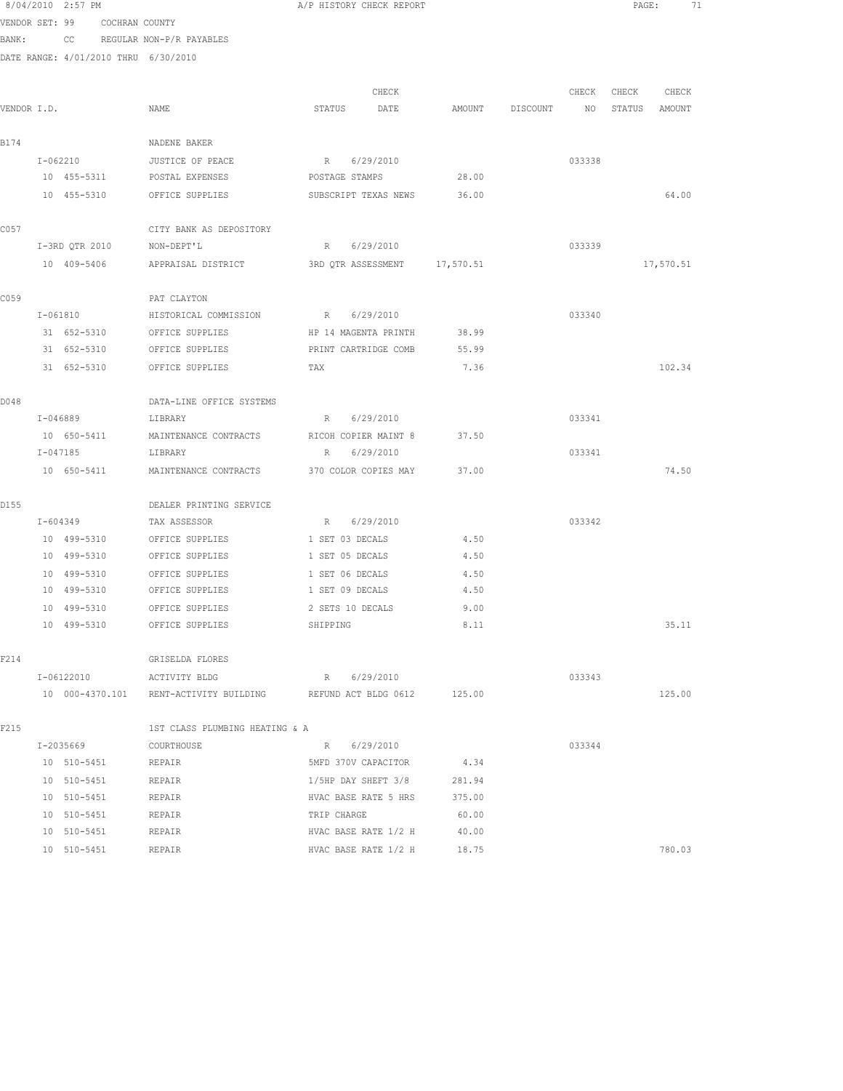|             | 8/04/2010 2:57 PM |                               |                                                                    | A/P HISTORY CHECK REPORT     |       |        |          |        | PAGE:  |           | 71 |
|-------------|-------------------|-------------------------------|--------------------------------------------------------------------|------------------------------|-------|--------|----------|--------|--------|-----------|----|
|             |                   | VENDOR SET: 99 COCHRAN COUNTY |                                                                    |                              |       |        |          |        |        |           |    |
| BANK:       | CC                |                               | REGULAR NON-P/R PAYABLES                                           |                              |       |        |          |        |        |           |    |
|             |                   |                               | DATE RANGE: 4/01/2010 THRU 6/30/2010                               |                              |       |        |          |        |        |           |    |
|             |                   |                               |                                                                    |                              |       |        |          |        |        |           |    |
|             |                   |                               |                                                                    |                              | CHECK |        |          | CHECK  | CHECK  | CHECK     |    |
| VENDOR I.D. |                   |                               | NAME                                                               | STATUS<br>DATE               |       | AMOUNT | DISCOUNT | NO     | STATUS | AMOUNT    |    |
|             |                   |                               |                                                                    |                              |       |        |          |        |        |           |    |
| B174        |                   |                               | NADENE BAKER                                                       |                              |       |        |          |        |        |           |    |
|             | I-062210          |                               | JUSTICE OF PEACE                                                   | R 6/29/2010                  |       |        |          | 033338 |        |           |    |
|             | 10 455-5311       |                               | POSTAL EXPENSES                                                    | POSTAGE STAMPS               |       | 28.00  |          |        |        |           |    |
|             | 10 455-5310       |                               | OFFICE SUPPLIES                                                    | SUBSCRIPT TEXAS NEWS         |       | 36.00  |          |        |        | 64.00     |    |
| C057        |                   |                               | CITY BANK AS DEPOSITORY                                            |                              |       |        |          |        |        |           |    |
|             | I-3RD QTR 2010    |                               | NON-DEPT'L                                                         | R 6/29/2010                  |       |        |          | 033339 |        |           |    |
|             | 10 409-5406       |                               | APPRAISAL DISTRICT                                                 | 3RD QTR ASSESSMENT 17,570.51 |       |        |          |        |        | 17,570.51 |    |
|             |                   |                               |                                                                    |                              |       |        |          |        |        |           |    |
| C059        |                   |                               | PAT CLAYTON                                                        |                              |       |        |          |        |        |           |    |
|             | I-061810          |                               | HISTORICAL COMMISSION                                              | R 6/29/2010                  |       |        |          | 033340 |        |           |    |
|             | 31 652-5310       |                               | OFFICE SUPPLIES                                                    | HP 14 MAGENTA PRINTH         |       | 38.99  |          |        |        |           |    |
|             | 31 652-5310       |                               | OFFICE SUPPLIES                                                    | PRINT CARTRIDGE COMB         |       | 55.99  |          |        |        |           |    |
|             | 31 652-5310       |                               | OFFICE SUPPLIES                                                    | TAX                          |       | 7.36   |          |        |        | 102.34    |    |
| D048        |                   |                               | DATA-LINE OFFICE SYSTEMS                                           |                              |       |        |          |        |        |           |    |
|             | I-046889          |                               | LIBRARY                                                            | R 6/29/2010                  |       |        |          | 033341 |        |           |    |
|             | 10 650-5411       |                               | MAINTENANCE CONTRACTS                                              | RICOH COPIER MAINT 8         |       | 37.50  |          |        |        |           |    |
|             | I-047185          |                               | LIBRARY                                                            | R 6/29/2010                  |       |        |          | 033341 |        |           |    |
|             | 10 650-5411       |                               | MAINTENANCE CONTRACTS                                              | 370 COLOR COPIES MAY         |       | 37.00  |          |        |        | 74.50     |    |
|             |                   |                               |                                                                    |                              |       |        |          |        |        |           |    |
| D155        |                   |                               | DEALER PRINTING SERVICE                                            |                              |       |        |          |        |        |           |    |
|             | I-604349          |                               | TAX ASSESSOR                                                       | R 6/29/2010                  |       |        |          | 033342 |        |           |    |
|             | 10 499-5310       |                               | OFFICE SUPPLIES                                                    | 1 SET 03 DECALS              |       | 4.50   |          |        |        |           |    |
|             | 10 499-5310       |                               | OFFICE SUPPLIES                                                    | 1 SET 05 DECALS              |       | 4.50   |          |        |        |           |    |
|             | 10 499-5310       |                               | OFFICE SUPPLIES                                                    | 1 SET 06 DECALS              |       | 4.50   |          |        |        |           |    |
|             | 10 499-5310       |                               | OFFICE SUPPLIES                                                    | 1 SET 09 DECALS              |       | 4.50   |          |        |        |           |    |
|             | 10 499-5310       |                               | OFFICE SUPPLIES                                                    | 2 SETS 10 DECALS             |       | 9.00   |          |        |        |           |    |
|             |                   | 10 499-5310                   | OFFICE SUPPLIES                                                    | SHIPPING                     |       | 8.11   |          |        |        | 35.11     |    |
| F214        |                   |                               | GRISELDA FLORES                                                    |                              |       |        |          |        |        |           |    |
|             | I-06122010        |                               | ACTIVITY BLDG                                                      | R 6/29/2010                  |       |        |          | 033343 |        |           |    |
|             |                   |                               | 10 000-4370.101 RENT-ACTIVITY BUILDING REFUND ACT BLDG 0612 125.00 |                              |       |        |          |        |        | 125.00    |    |
| F215        |                   |                               | 1ST CLASS PLUMBING HEATING & A                                     |                              |       |        |          |        |        |           |    |
|             | I-2035669         |                               | COURTHOUSE                                                         | R 6/29/2010                  |       |        |          | 033344 |        |           |    |
|             | 10 510-5451       |                               | REPAIR                                                             | 5MFD 370V CAPACITOR          |       | 4.34   |          |        |        |           |    |
|             | 10 510-5451       |                               | REPAIR                                                             | 1/5HP DAY SHEFT 3/8          |       | 281.94 |          |        |        |           |    |
|             | 10 510-5451       |                               | REPAIR                                                             | HVAC BASE RATE 5 HRS 375.00  |       |        |          |        |        |           |    |
|             | 10 510-5451       |                               | REPAIR                                                             | TRIP CHARGE                  |       | 60.00  |          |        |        |           |    |
|             | 10 510-5451       |                               | REPAIR                                                             | HVAC BASE RATE $1/2$ H 40.00 |       |        |          |        |        |           |    |
|             | 10 510-5451       |                               | REPAIR                                                             | HVAC BASE RATE 1/2 H         |       | 18.75  |          |        |        | 780.03    |    |
|             |                   |                               |                                                                    |                              |       |        |          |        |        |           |    |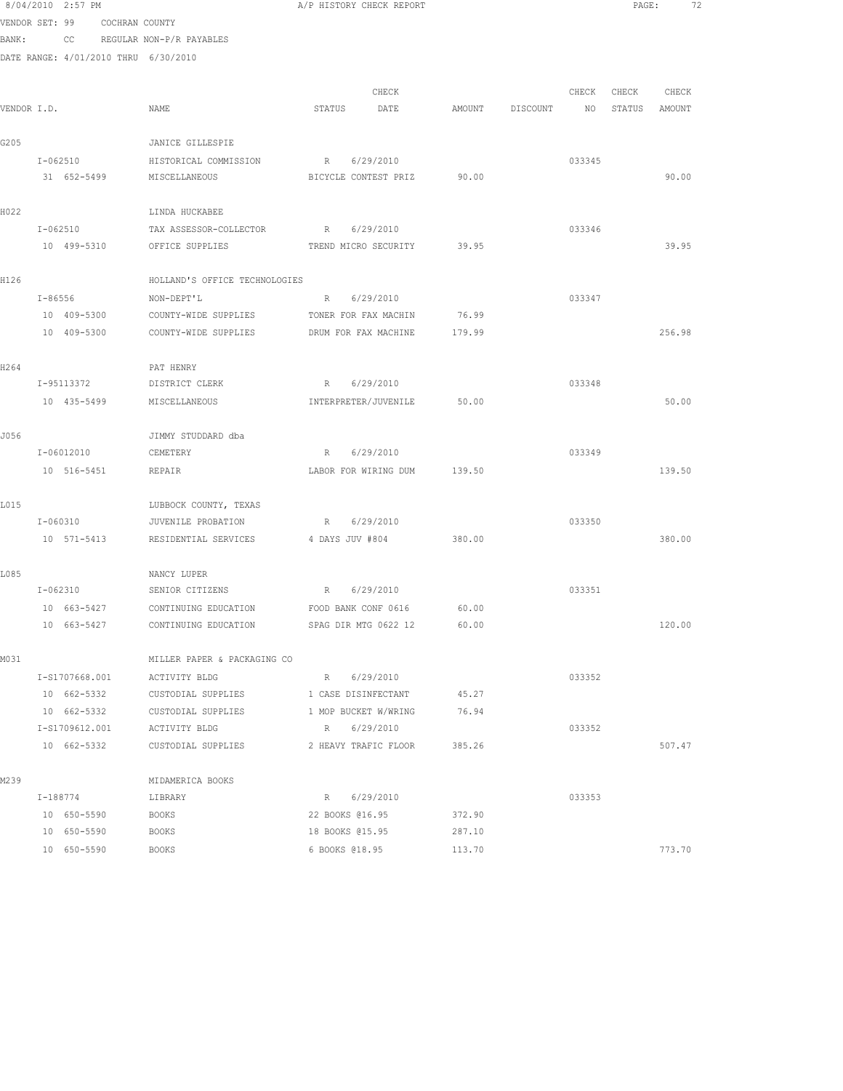|             | 8/04/2010 2:57 PM                    |                                                                               | A/P HISTORY CHECK REPORT            |        |                 |                 | PAGE: |               | 72 |
|-------------|--------------------------------------|-------------------------------------------------------------------------------|-------------------------------------|--------|-----------------|-----------------|-------|---------------|----|
|             | VENDOR SET: 99 COCHRAN COUNTY        |                                                                               |                                     |        |                 |                 |       |               |    |
| BANK:       |                                      | CC REGULAR NON-P/R PAYABLES                                                   |                                     |        |                 |                 |       |               |    |
|             | DATE RANGE: 4/01/2010 THRU 6/30/2010 |                                                                               |                                     |        |                 |                 |       |               |    |
|             |                                      |                                                                               |                                     |        |                 |                 |       |               |    |
|             |                                      |                                                                               | CHECK                               |        |                 | CHECK           | CHECK | CHECK         |    |
| VENDOR I.D. |                                      | NAME                                                                          | STATUS<br>DATE                      |        | AMOUNT DISCOUNT | NO <sub>1</sub> |       | STATUS AMOUNT |    |
| G205        |                                      | JANICE GILLESPIE                                                              |                                     |        |                 |                 |       |               |    |
|             | I-062510                             | HISTORICAL COMMISSION                                                         | R 6/29/2010                         |        |                 | 033345          |       |               |    |
|             | 31 652-5499                          | MISCELLANEOUS                                                                 | BICYCLE CONTEST PRIZ 90.00          |        |                 |                 |       | 90.00         |    |
|             |                                      |                                                                               |                                     |        |                 |                 |       |               |    |
| H022        |                                      | LINDA HUCKABEE                                                                |                                     |        |                 |                 |       |               |    |
|             | I-062510                             | TAX ASSESSOR-COLLECTOR                                                        | R 6/29/2010                         |        |                 | 033346          |       |               |    |
|             | 10 499-5310                          | OFFICE SUPPLIES                                                               | TREND MICRO SECURITY 39.95          |        |                 |                 |       | 39.95         |    |
|             |                                      |                                                                               |                                     |        |                 |                 |       |               |    |
| H126        |                                      | HOLLAND'S OFFICE TECHNOLOGIES                                                 |                                     |        |                 |                 |       |               |    |
|             | I-86556                              | NON-DEPT'L<br>COUNTY-WIDE SUPPLIES                                            | R 6/29/2010<br>TONER FOR FAX MACHIN | 76.99  |                 | 033347          |       |               |    |
|             | 10 409-5300                          |                                                                               |                                     |        |                 |                 |       | 256.98        |    |
|             | 10 409-5300                          | COUNTY-WIDE SUPPLIES                                                          | DRUM FOR FAX MACHINE                | 179.99 |                 |                 |       |               |    |
| H264        |                                      | PAT HENRY                                                                     |                                     |        |                 |                 |       |               |    |
|             | I-95113372                           | DISTRICT CLERK                                                                | R 6/29/2010                         |        |                 | 033348          |       |               |    |
|             | 10 435-5499                          | MISCELLANEOUS                                                                 | INTERPRETER/JUVENILE                | 50.00  |                 |                 |       | 50.00         |    |
|             |                                      |                                                                               |                                     |        |                 |                 |       |               |    |
| J056        | $I - 06012010$                       | JIMMY STUDDARD dba                                                            | R 6/29/2010                         |        |                 | 033349          |       |               |    |
|             |                                      | CEMETERY                                                                      |                                     |        |                 |                 |       |               |    |
|             | 10 516-5451                          | REPAIR                                                                        | LABOR FOR WIRING DUM                | 139.50 |                 |                 |       | 139.50        |    |
| L015        |                                      | LUBBOCK COUNTY, TEXAS                                                         |                                     |        |                 |                 |       |               |    |
|             | I-060310                             | JUVENILE PROBATION                                                            | R 6/29/2010                         |        |                 | 033350          |       |               |    |
|             | 10 571-5413                          | RESIDENTIAL SERVICES                                                          | 4 DAYS JUV #804                     | 380.00 |                 |                 |       | 380.00        |    |
|             |                                      |                                                                               |                                     |        |                 |                 |       |               |    |
| L085        | I-062310                             | NANCY LUPER                                                                   | R 6/29/2010                         |        |                 | 033351          |       |               |    |
|             |                                      | SENIOR CITIZENS<br>10 663-5427 CONTINUING EDUCATION FOOD BANK CONF 0616 60.00 |                                     |        |                 |                 |       |               |    |
|             | 10 663-5427                          | CONTINUING EDUCATION                                                          | SPAG DIR MTG 0622 12                | 60.00  |                 |                 |       | 120.00        |    |
|             |                                      |                                                                               |                                     |        |                 |                 |       |               |    |
| M031        |                                      | MILLER PAPER & PACKAGING CO                                                   |                                     |        |                 |                 |       |               |    |
|             | I-S1707668.001                       | ACTIVITY BLDG                                                                 | R 6/29/2010                         |        |                 | 033352          |       |               |    |
|             | 10 662-5332                          | CUSTODIAL SUPPLIES                                                            | 1 CASE DISINFECTANT                 | 45.27  |                 |                 |       |               |    |
|             | 10 662-5332                          | CUSTODIAL SUPPLIES                                                            | 1 MOP BUCKET W/WRING                | 76.94  |                 |                 |       |               |    |
|             | I-S1709612.001                       | ACTIVITY BLDG                                                                 | R 6/29/2010                         |        |                 | 033352          |       |               |    |
|             | 10 662-5332                          | CUSTODIAL SUPPLIES                                                            | 2 HEAVY TRAFIC FLOOR 385.26         |        |                 |                 |       | 507.47        |    |
| M239        |                                      |                                                                               |                                     |        |                 |                 |       |               |    |
|             | I-188774                             | MIDAMERICA BOOKS<br>LIBRARY                                                   | R 6/29/2010                         |        |                 | 033353          |       |               |    |
|             | 10 650-5590                          | <b>BOOKS</b>                                                                  | 22 BOOKS @16.95                     | 372.90 |                 |                 |       |               |    |
|             | 10 650-5590                          | <b>BOOKS</b>                                                                  | 18 BOOKS 015.95                     | 287.10 |                 |                 |       |               |    |
|             | 10 650-5590                          | <b>BOOKS</b>                                                                  | 6 BOOKS 018.95                      | 113.70 |                 |                 |       | 773.70        |    |
|             |                                      |                                                                               |                                     |        |                 |                 |       |               |    |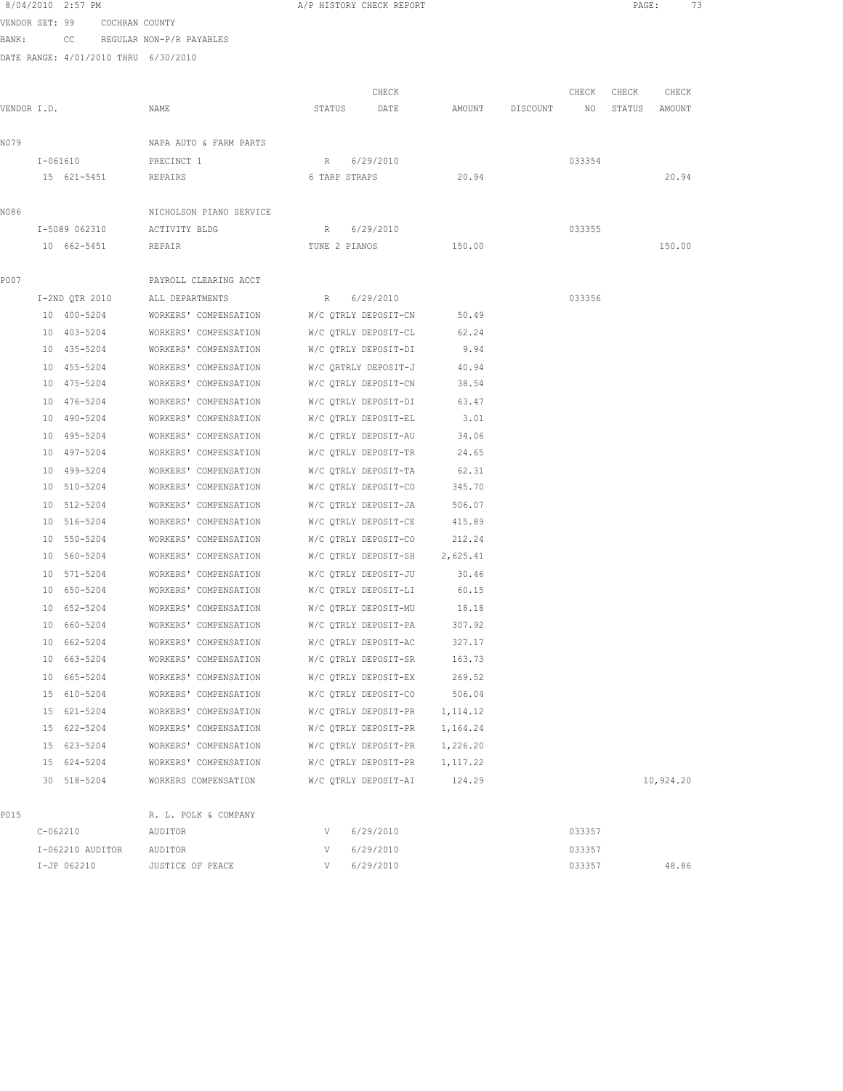|             |              | 8/04/2010 2:57 PM          |                               |                                                | A/P HISTORY CHECK REPORT                     |                               |                  |          |        | PAGE:  | 73        |  |
|-------------|--------------|----------------------------|-------------------------------|------------------------------------------------|----------------------------------------------|-------------------------------|------------------|----------|--------|--------|-----------|--|
|             |              |                            | VENDOR SET: 99 COCHRAN COUNTY |                                                |                                              |                               |                  |          |        |        |           |  |
| BANK:       |              |                            |                               | CC REGULAR NON-P/R PAYABLES                    |                                              |                               |                  |          |        |        |           |  |
|             |              |                            |                               | DATE RANGE: 4/01/2010 THRU 6/30/2010           |                                              |                               |                  |          |        |        |           |  |
|             |              |                            |                               |                                                |                                              |                               |                  |          |        |        |           |  |
|             |              |                            |                               |                                                |                                              | CHECK                         |                  |          | CHECK  | CHECK  | CHECK     |  |
| VENDOR I.D. |              |                            |                               | NAME                                           | STATUS                                       | DATE                          | AMOUNT           | DISCOUNT | NO     | STATUS | AMOUNT    |  |
|             |              |                            |                               |                                                |                                              |                               |                  |          |        |        |           |  |
| N079        |              |                            |                               | NAPA AUTO & FARM PARTS                         |                                              |                               |                  |          |        |        |           |  |
|             |              | I-061610                   |                               | PRECINCT 1                                     | R                                            | 6/29/2010                     |                  |          | 033354 |        |           |  |
|             |              |                            | 15 621-5451                   | REPAIRS                                        | 6 TARP STRAPS                                |                               | 20.94            |          |        |        | 20.94     |  |
| N086        |              |                            |                               | NICHOLSON PIANO SERVICE                        |                                              |                               |                  |          |        |        |           |  |
|             |              | I-5089 062310              |                               | ACTIVITY BLDG                                  | R 6/29/2010                                  |                               |                  |          | 033355 |        |           |  |
|             |              | 10 662-5451                |                               | REPAIR                                         | TUNE 2 PIANOS                                |                               | 150.00           |          |        |        | 150.00    |  |
|             |              |                            |                               |                                                |                                              |                               |                  |          |        |        |           |  |
| P007        |              |                            |                               | PAYROLL CLEARING ACCT                          |                                              |                               |                  |          |        |        |           |  |
|             |              | I-2ND OTR 2010             |                               | ALL DEPARTMENTS                                | R 6/29/2010                                  |                               |                  |          | 033356 |        |           |  |
|             |              | 10 400-5204                |                               | WORKERS' COMPENSATION                          |                                              | W/C OTRLY DEPOSIT-CN          | 50.49            |          |        |        |           |  |
|             |              | 10 403-5204                |                               | WORKERS' COMPENSATION                          | W/C QTRLY DEPOSIT-CL                         |                               | 62.24            |          |        |        |           |  |
|             |              | 10 435-5204                |                               | WORKERS' COMPENSATION                          |                                              | W/C QTRLY DEPOSIT-DI          | 9.94             |          |        |        |           |  |
|             |              | 10 455-5204                |                               | WORKERS' COMPENSATION                          |                                              | W/C ORTRLY DEPOSIT-J          | 40.94            |          |        |        |           |  |
|             |              | 10 475-5204                |                               | WORKERS' COMPENSATION                          |                                              | W/C OTRLY DEPOSIT-CN          | 38.54            |          |        |        |           |  |
|             |              | 10 476-5204                |                               | WORKERS' COMPENSATION                          |                                              | W/C QTRLY DEPOSIT-DI          | 63.47            |          |        |        |           |  |
|             |              | 10 490-5204                |                               | WORKERS' COMPENSATION                          |                                              | W/C QTRLY DEPOSIT-EL          | 3.01             |          |        |        |           |  |
|             |              | 10 495-5204                |                               | WORKERS' COMPENSATION                          |                                              | W/C QTRLY DEPOSIT-AU          | 34.06            |          |        |        |           |  |
|             |              | 10 497-5204                |                               | WORKERS' COMPENSATION                          |                                              | W/C QTRLY DEPOSIT-TR          | 24.65            |          |        |        |           |  |
|             |              | 10 499-5204                |                               | WORKERS' COMPENSATION                          |                                              | W/C QTRLY DEPOSIT-TA          | 62.31            |          |        |        |           |  |
|             |              | 10 510-5204                |                               | WORKERS' COMPENSATION                          | W/C QTRLY DEPOSIT-CO                         |                               | 345.70           |          |        |        |           |  |
|             |              | 10 512-5204                |                               | WORKERS' COMPENSATION                          | W/C QTRLY DEPOSIT-JA                         |                               | 506.07           |          |        |        |           |  |
|             |              | 10 516-5204                |                               | WORKERS' COMPENSATION                          | W/C QTRLY DEPOSIT-CE                         |                               | 415.89           |          |        |        |           |  |
|             |              | 10 550-5204                |                               | WORKERS' COMPENSATION                          |                                              | W/C QTRLY DEPOSIT-CO          | 212.24           |          |        |        |           |  |
|             |              | 10 560-5204                |                               | WORKERS' COMPENSATION                          |                                              | W/C QTRLY DEPOSIT-SH 2,625.41 |                  |          |        |        |           |  |
|             |              | 10 571-5204                |                               | WORKERS' COMPENSATION                          | W/C QTRLY DEPOSIT-JU                         |                               | 30.46            |          |        |        |           |  |
|             |              | 10 650-5204                |                               | WORKERS' COMPENSATION                          |                                              | W/C QTRLY DEPOSIT-LI 60.15    |                  |          |        |        |           |  |
|             |              | 10 652-5204                |                               | WORKERS' COMPENSATION                          | W/C QTRLY DEPOSIT-MU                         |                               | 18.18            |          |        |        |           |  |
|             |              | 10 660-5204                |                               | WORKERS' COMPENSATION                          | W/C QTRLY DEPOSIT-PA                         |                               | 307.92           |          |        |        |           |  |
|             | 10           | 662-5204                   |                               | WORKERS' COMPENSATION                          | W/C QTRLY DEPOSIT-AC                         |                               | 327.17           |          |        |        |           |  |
|             |              | 10 663-5204                |                               | WORKERS' COMPENSATION                          | W/C QTRLY DEPOSIT-SR                         |                               | 163.73           |          |        |        |           |  |
|             |              | 10 665-5204<br>15 610-5204 |                               | WORKERS' COMPENSATION<br>WORKERS' COMPENSATION | W/C OTRLY DEPOSIT-EX<br>W/C QTRLY DEPOSIT-CO |                               | 269.52<br>506.04 |          |        |        |           |  |
|             |              | 15 621-5204                |                               | WORKERS' COMPENSATION                          | W/C QTRLY DEPOSIT-PR                         |                               | 1, 114.12        |          |        |        |           |  |
|             |              | 15 622-5204                |                               | WORKERS' COMPENSATION                          | W/C QTRLY DEPOSIT-PR                         |                               | 1,164.24         |          |        |        |           |  |
|             |              | 15 623-5204                |                               | WORKERS' COMPENSATION                          | W/C QTRLY DEPOSIT-PR                         |                               | 1,226.20         |          |        |        |           |  |
|             |              | 15 624-5204                |                               | WORKERS' COMPENSATION                          | W/C QTRLY DEPOSIT-PR                         |                               | 1,117.22         |          |        |        |           |  |
|             |              | 30 518-5204                |                               | WORKERS COMPENSATION                           | W/C QTRLY DEPOSIT-AI                         |                               | 124.29           |          |        |        | 10,924.20 |  |
|             |              |                            |                               |                                                |                                              |                               |                  |          |        |        |           |  |
| P015        |              |                            |                               | R. L. POLK & COMPANY                           |                                              |                               |                  |          |        |        |           |  |
|             | $C - 062210$ |                            |                               | AUDITOR                                        | V                                            | 6/29/2010                     |                  |          | 033357 |        |           |  |
|             |              | I-062210 AUDITOR           |                               | AUDITOR                                        | V                                            | 6/29/2010                     |                  |          | 033357 |        |           |  |
|             |              | I-JP 062210                |                               | JUSTICE OF PEACE                               | V                                            | 6/29/2010                     |                  |          | 033357 |        | 48.86     |  |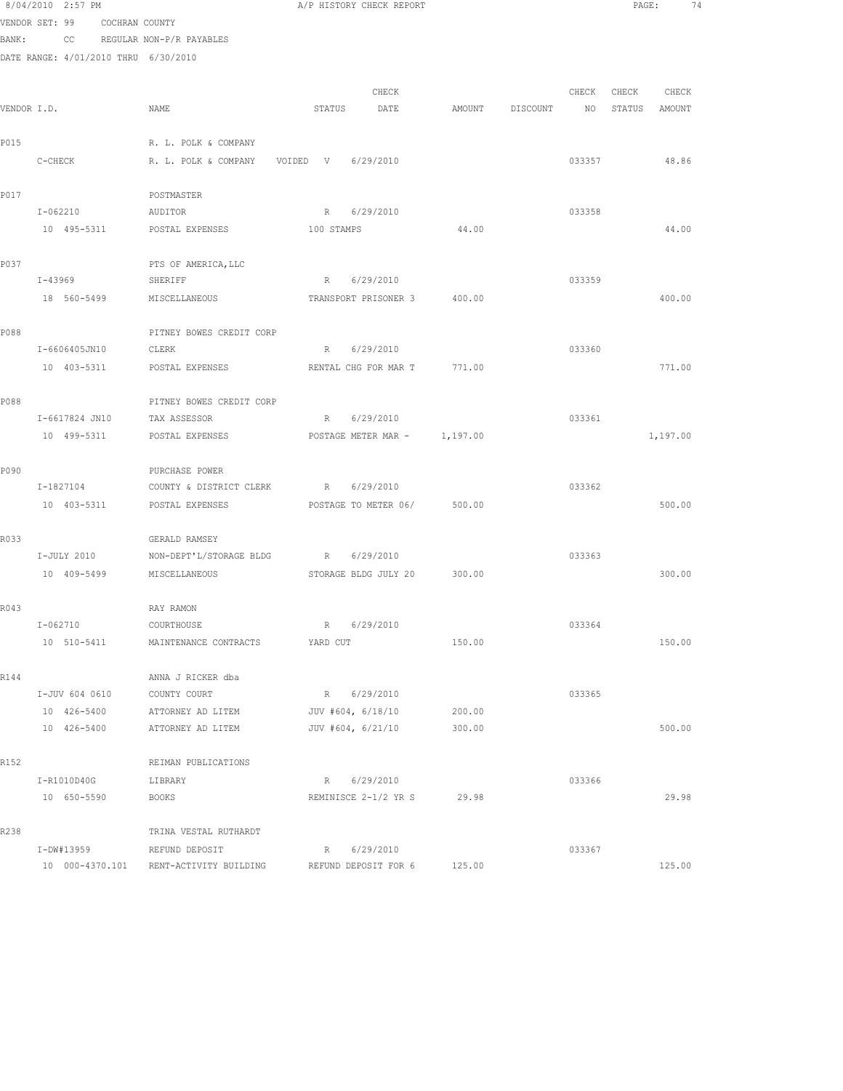|       | 8/04/2010 2:57 PM                    |                          | A/P HISTORY CHECK REPORT    |          |          |        | PAGE:  | 74       |  |
|-------|--------------------------------------|--------------------------|-----------------------------|----------|----------|--------|--------|----------|--|
|       | VENDOR SET: 99<br>COCHRAN COUNTY     |                          |                             |          |          |        |        |          |  |
| BANK: | CC                                   | REGULAR NON-P/R PAYABLES |                             |          |          |        |        |          |  |
|       | DATE RANGE: 4/01/2010 THRU 6/30/2010 |                          |                             |          |          |        |        |          |  |
|       |                                      |                          |                             |          |          |        |        |          |  |
|       |                                      |                          | CHECK                       |          |          | CHECK  | CHECK  | CHECK    |  |
|       | VENDOR I.D.                          | NAME                     | STATUS<br>DATE              | AMOUNT   | DISCOUNT | NO     | STATUS | AMOUNT   |  |
|       |                                      |                          |                             |          |          |        |        |          |  |
| P015  |                                      | R. L. POLK & COMPANY     |                             |          |          |        |        |          |  |
|       | C-CHECK                              | R. L. POLK & COMPANY     | VOIDED V 6/29/2010          |          |          | 033357 |        | 48.86    |  |
| P017  |                                      | POSTMASTER               |                             |          |          |        |        |          |  |
|       | I-062210                             | AUDITOR                  | R 6/29/2010                 |          |          | 033358 |        |          |  |
|       | 10 495-5311                          | POSTAL EXPENSES          | 100 STAMPS                  | 44.00    |          |        |        | 44.00    |  |
|       |                                      |                          |                             |          |          |        |        |          |  |
| P037  |                                      | PTS OF AMERICA, LLC      |                             |          |          |        |        |          |  |
|       | I-43969                              | SHERIFF                  | R 6/29/2010                 |          |          | 033359 |        |          |  |
|       | 18 560-5499                          | MISCELLANEOUS            | TRANSPORT PRISONER 3 400.00 |          |          |        |        | 400.00   |  |
|       |                                      |                          |                             |          |          |        |        |          |  |
| P088  |                                      | PITNEY BOWES CREDIT CORP |                             |          |          |        |        |          |  |
|       | I-6606405JN10                        | CLERK                    | R<br>6/29/2010              |          |          | 033360 |        |          |  |
|       | 10 403-5311                          | POSTAL EXPENSES          | RENTAL CHG FOR MAR T        | 771.00   |          |        |        | 771.00   |  |
|       |                                      |                          |                             |          |          |        |        |          |  |
| P088  |                                      | PITNEY BOWES CREDIT CORP |                             |          |          |        |        |          |  |
|       | I-6617824 JN10                       | TAX ASSESSOR             | 6/29/2010<br>R              |          |          | 033361 |        |          |  |
|       | 10 499-5311                          | POSTAL EXPENSES          | POSTAGE METER MAR -         | 1,197.00 |          |        |        | 1,197.00 |  |
|       |                                      |                          |                             |          |          |        |        |          |  |
| P090  |                                      | PURCHASE POWER           |                             |          |          |        |        |          |  |
|       | I-1827104                            | COUNTY & DISTRICT CLERK  | R 6/29/2010                 |          |          | 033362 |        |          |  |
|       | 10 403-5311                          | POSTAL EXPENSES          | POSTAGE TO METER 06/        | 500.00   |          |        |        | 500.00   |  |
| R033  |                                      | GERALD RAMSEY            |                             |          |          |        |        |          |  |
|       | I-JULY 2010                          | NON-DEPT'L/STORAGE BLDG  | R 6/29/2010                 |          |          | 033363 |        |          |  |
|       | 10 409-5499                          | MISCELLANEOUS            | STORAGE BLDG JULY 20 300.00 |          |          |        |        | 300.00   |  |
|       |                                      |                          |                             |          |          |        |        |          |  |
| R043  |                                      | RAY RAMON                |                             |          |          |        |        |          |  |
|       | $I - 062710$                         | COURTHOUSE               | 6/29/2010<br>R              |          |          | 033364 |        |          |  |
|       | 10 510-5411                          | MAINTENANCE CONTRACTS    | YARD CUT                    | 150.00   |          |        |        | 150.00   |  |
|       |                                      |                          |                             |          |          |        |        |          |  |
| R144  |                                      | ANNA J RICKER dba        |                             |          |          |        |        |          |  |
|       | I-JUV 604 0610                       | COUNTY COURT             | R 6/29/2010                 |          |          | 033365 |        |          |  |
|       | 10 426-5400                          | ATTORNEY AD LITEM        | JUV #604, 6/18/10           | 200.00   |          |        |        |          |  |
|       | 10 426-5400                          | ATTORNEY AD LITEM        | JUV #604, 6/21/10           | 300.00   |          |        |        | 500.00   |  |
|       |                                      |                          |                             |          |          |        |        |          |  |
| R152  |                                      | REIMAN PUBLICATIONS      |                             |          |          |        |        |          |  |
|       | I-R1010D40G<br>10 650-5590           | LIBRARY<br><b>BOOKS</b>  | R 6/29/2010                 | 29.98    |          | 033366 |        | 29.98    |  |
|       |                                      |                          | REMINISCE 2-1/2 YR S        |          |          |        |        |          |  |
| R238  |                                      | TRINA VESTAL RUTHARDT    |                             |          |          |        |        |          |  |
|       | I-DW#13959                           | REFUND DEPOSIT           | R 6/29/2010                 |          |          | 033367 |        |          |  |
|       | 10 000-4370.101                      | RENT-ACTIVITY BUILDING   | REFUND DEPOSIT FOR 6        | 125.00   |          |        |        | 125.00   |  |
|       |                                      |                          |                             |          |          |        |        |          |  |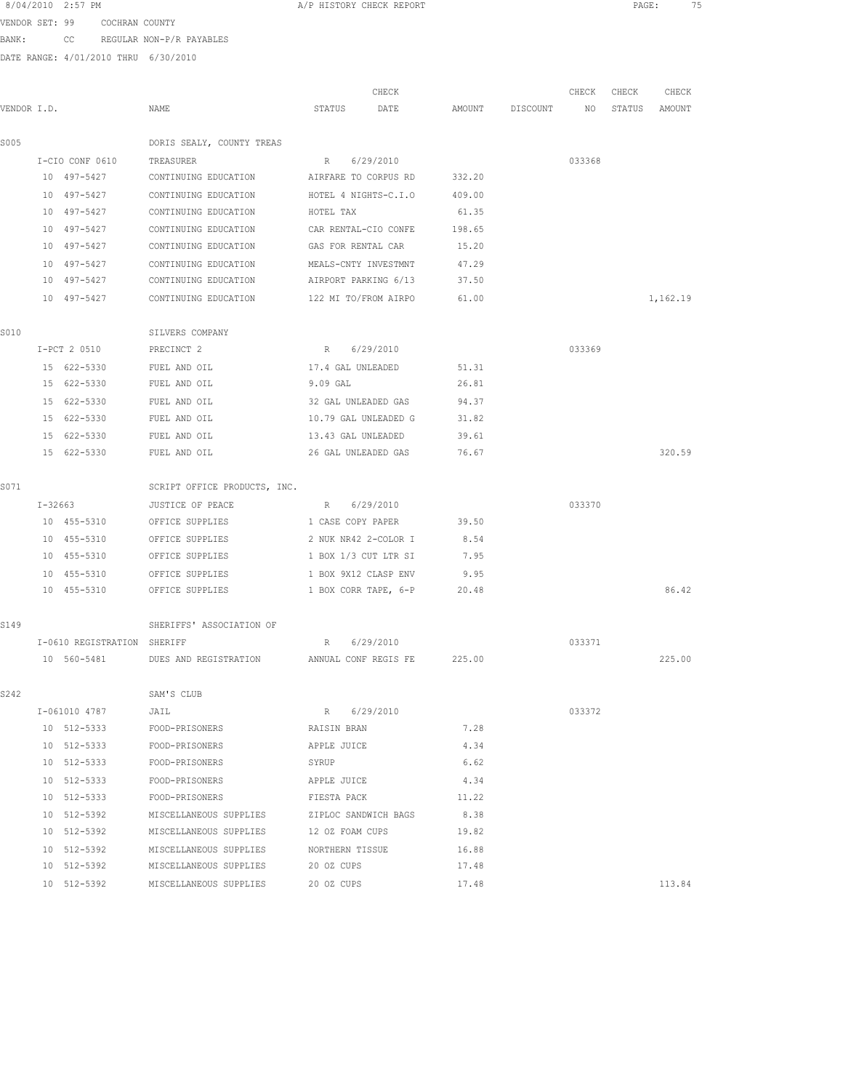| 8/04/2010 | 2:57 PM |  |
|-----------|---------|--|
|           |         |  |

A/P HISTORY CHECK REPORT PAGE: 75

VENDOR SET: 99 COCHRAN COUNTY BANK: CC REGULAR NON-P/R PAYABLES

| VENDOR I.D. |                             | NAME                                              | STATUS               | CHECK<br>DATE        |        | AMOUNT DISCOUNT | CHECK<br>NO | CHECK<br>STATUS | CHECK<br>AMOUNT |
|-------------|-----------------------------|---------------------------------------------------|----------------------|----------------------|--------|-----------------|-------------|-----------------|-----------------|
| S005        |                             | DORIS SEALY, COUNTY TREAS                         |                      |                      |        |                 |             |                 |                 |
|             | I-CIO CONF 0610             | TREASURER                                         | R 6/29/2010          |                      |        |                 | 033368      |                 |                 |
|             | 10 497-5427                 | CONTINUING EDUCATION AIRFARE TO CORPUS RD         |                      |                      | 332.20 |                 |             |                 |                 |
|             | 10 497-5427                 | CONTINUING EDUCATION                              | HOTEL 4 NIGHTS-C.I.O |                      | 409.00 |                 |             |                 |                 |
|             | 10 497-5427                 | CONTINUING EDUCATION                              | HOTEL TAX            |                      | 61.35  |                 |             |                 |                 |
|             | 10 497-5427                 | CONTINUING EDUCATION                              | CAR RENTAL-CIO CONFE |                      | 198.65 |                 |             |                 |                 |
|             | 10 497-5427                 | CONTINUING EDUCATION                              | GAS FOR RENTAL CAR   |                      | 15.20  |                 |             |                 |                 |
|             | 10 497-5427                 | CONTINUING EDUCATION                              | MEALS-CNTY INVESTMNT |                      | 47.29  |                 |             |                 |                 |
|             | 10 497-5427                 | CONTINUING EDUCATION                              | AIRPORT PARKING 6/13 |                      | 37.50  |                 |             |                 |                 |
|             | 10 497-5427                 | CONTINUING EDUCATION 122 MI TO/FROM AIRPO         |                      |                      | 61.00  |                 |             |                 | 1,162.19        |
| S010        |                             | SILVERS COMPANY                                   |                      |                      |        |                 |             |                 |                 |
|             | I-PCT 2 0510                | PRECINCT 2                                        | R 6/29/2010          |                      |        |                 | 033369      |                 |                 |
|             | 15 622-5330                 | FUEL AND OIL                                      | 17.4 GAL UNLEADED    |                      | 51.31  |                 |             |                 |                 |
|             | 15 622-5330                 | FUEL AND OIL                                      | 9.09 GAL             |                      | 26.81  |                 |             |                 |                 |
|             | 15 622-5330                 | FUEL AND OIL                                      | 32 GAL UNLEADED GAS  |                      | 94.37  |                 |             |                 |                 |
|             | 15 622-5330                 | FUEL AND OIL                                      | 10.79 GAL UNLEADED G |                      | 31.82  |                 |             |                 |                 |
|             | 15 622-5330                 | FUEL AND OIL                                      | 13.43 GAL UNLEADED   |                      | 39.61  |                 |             |                 |                 |
|             | 15 622-5330                 | FUEL AND OIL                                      | 26 GAL UNLEADED GAS  |                      | 76.67  |                 |             |                 | 320.59          |
| S071        |                             | SCRIPT OFFICE PRODUCTS, INC.                      |                      |                      |        |                 |             |                 |                 |
|             | I-32663                     | JUSTICE OF PEACE                                  | R 6/29/2010          |                      |        |                 | 033370      |                 |                 |
|             | 10 455-5310                 | OFFICE SUPPLIES                                   |                      | 1 CASE COPY PAPER    | 39.50  |                 |             |                 |                 |
|             | 10 455-5310                 | OFFICE SUPPLIES                                   | 2 NUK NR42 2-COLOR I |                      | 8.54   |                 |             |                 |                 |
|             | 10 455-5310                 | OFFICE SUPPLIES                                   | 1 BOX 1/3 CUT LTR SI |                      | 7.95   |                 |             |                 |                 |
|             | 10 455-5310                 | OFFICE SUPPLIES                                   | 1 BOX 9X12 CLASP ENV |                      | 9.95   |                 |             |                 |                 |
|             | 10 455-5310                 | OFFICE SUPPLIES                                   |                      | 1 BOX CORR TAPE, 6-P | 20.48  |                 |             |                 | 86.42           |
| S149        |                             | SHERIFFS' ASSOCIATION OF                          |                      |                      |        |                 |             |                 |                 |
|             | I-0610 REGISTRATION SHERIFF |                                                   | R                    | 6/29/2010            |        |                 | 033371      |                 |                 |
|             | 10 560-5481                 | DUES AND REGISTRATION ANNUAL CONF REGIS FE 225.00 |                      |                      |        |                 |             |                 | 225.00          |
| S242        |                             | SAM'S CLUB                                        |                      |                      |        |                 |             |                 |                 |
|             | I-061010 4787               | JAIL                                              | R 6/29/2010          |                      |        |                 | 033372      |                 |                 |
|             | 10 512-5333                 | FOOD-PRISONERS                                    | RAISIN BRAN          |                      | 7.28   |                 |             |                 |                 |
|             | 10 512-5333                 | FOOD-PRISONERS                                    | APPLE JUICE          |                      | 4.34   |                 |             |                 |                 |
|             | 10 512-5333                 | FOOD-PRISONERS                                    | SYRUP                |                      | 6.62   |                 |             |                 |                 |
|             | 10 512-5333                 | FOOD-PRISONERS                                    | APPLE JUICE          |                      | 4.34   |                 |             |                 |                 |
|             | 10 512-5333                 | FOOD-PRISONERS FIESTA PACK                        |                      |                      | 11.22  |                 |             |                 |                 |
|             | 10 512-5392                 | MISCELLANEOUS SUPPLIES ZIPLOC SANDWICH BAGS       |                      |                      | 8.38   |                 |             |                 |                 |
|             | 10 512-5392                 | MISCELLANEOUS SUPPLIES                            | 12 OZ FOAM CUPS      |                      | 19.82  |                 |             |                 |                 |
|             | 10 512-5392                 | MISCELLANEOUS SUPPLIES                            | NORTHERN TISSUE      |                      | 16.88  |                 |             |                 |                 |
|             | 10 512-5392                 | MISCELLANEOUS SUPPLIES                            | 20 OZ CUPS           |                      | 17.48  |                 |             |                 |                 |
|             | 10 512-5392                 | MISCELLANEOUS SUPPLIES                            | 20 OZ CUPS           |                      | 17.48  |                 |             |                 | 113.84          |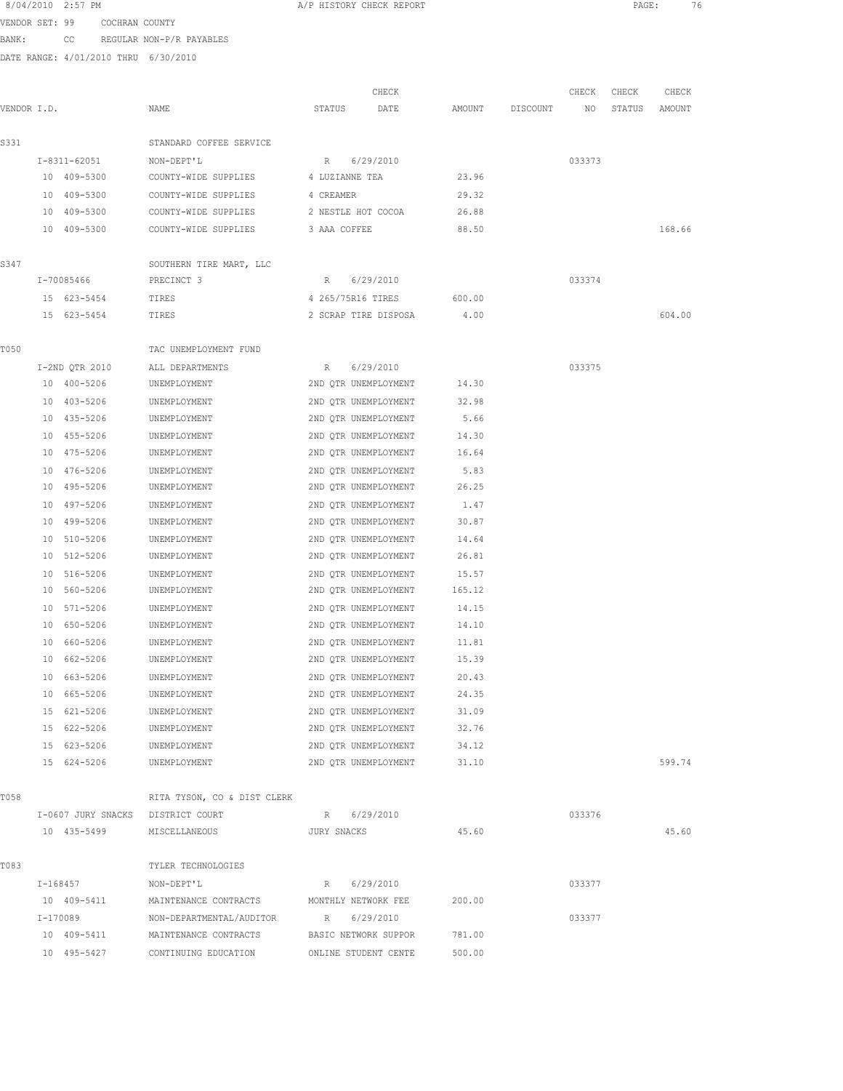|                | 8/04/2010 2:57 PM                    |                                     |                     | A/P HISTORY CHECK REPORT   |        |          |        | PAGE:  | 76     |  |
|----------------|--------------------------------------|-------------------------------------|---------------------|----------------------------|--------|----------|--------|--------|--------|--|
| VENDOR SET: 99 | COCHRAN COUNTY                       |                                     |                     |                            |        |          |        |        |        |  |
| BANK:          | CC                                   | REGULAR NON-P/R PAYABLES            |                     |                            |        |          |        |        |        |  |
|                | DATE RANGE: 4/01/2010 THRU 6/30/2010 |                                     |                     |                            |        |          |        |        |        |  |
|                |                                      |                                     |                     |                            |        |          |        |        |        |  |
|                |                                      |                                     |                     | CHECK                      |        |          | CHECK  | CHECK  | CHECK  |  |
| VENDOR I.D.    |                                      | NAME                                | STATUS              | DATE                       | AMOUNT | DISCOUNT | ΝO     | STATUS | AMOUNT |  |
| S331           |                                      | STANDARD COFFEE SERVICE             |                     |                            |        |          |        |        |        |  |
|                | I-8311-62051                         | NON-DEPT'L                          |                     | R 6/29/2010                |        |          | 033373 |        |        |  |
|                | 10 409-5300                          | COUNTY-WIDE SUPPLIES 4 LUZIANNE TEA |                     |                            | 23.96  |          |        |        |        |  |
|                | 10 409-5300                          | COUNTY-WIDE SUPPLIES                | 4 CREAMER           |                            | 29.32  |          |        |        |        |  |
|                | 10 409-5300                          | COUNTY-WIDE SUPPLIES                | 2 NESTLE HOT COCOA  |                            | 26.88  |          |        |        |        |  |
|                | 10 409-5300                          | COUNTY-WIDE SUPPLIES                | 3 AAA COFFEE        |                            | 88.50  |          |        |        | 168.66 |  |
| S347           |                                      | SOUTHERN TIRE MART, LLC             |                     |                            |        |          |        |        |        |  |
|                | I-70085466                           | PRECINCT 3                          |                     | R 6/29/2010                |        |          | 033374 |        |        |  |
|                | 15 623-5454                          | TIRES                               | 4 265/75R16 TIRES   |                            | 600.00 |          |        |        |        |  |
|                | 15 623-5454                          | TIRES                               |                     | 2 SCRAP TIRE DISPOSA       | 4.00   |          |        |        | 604.00 |  |
| T050           |                                      | TAC UNEMPLOYMENT FUND               |                     |                            |        |          |        |        |        |  |
|                | I-2ND QTR 2010                       | ALL DEPARTMENTS                     | R                   | 6/29/2010                  |        |          | 033375 |        |        |  |
|                | 10 400-5206                          | UNEMPLOYMENT                        |                     | 2ND QTR UNEMPLOYMENT 14.30 |        |          |        |        |        |  |
|                | 10 403-5206                          | UNEMPLOYMENT                        |                     | 2ND QTR UNEMPLOYMENT       | 32.98  |          |        |        |        |  |
|                | 10 435-5206                          | UNEMPLOYMENT                        |                     | 2ND QTR UNEMPLOYMENT       | 5.66   |          |        |        |        |  |
|                | 10 455-5206                          | UNEMPLOYMENT                        |                     | 2ND QTR UNEMPLOYMENT       | 14.30  |          |        |        |        |  |
|                | 10 475-5206                          | UNEMPLOYMENT                        |                     | 2ND QTR UNEMPLOYMENT       | 16.64  |          |        |        |        |  |
|                | 10 476-5206                          | UNEMPLOYMENT                        |                     | 2ND QTR UNEMPLOYMENT       | 5.83   |          |        |        |        |  |
|                | 10 495-5206                          | UNEMPLOYMENT                        |                     | 2ND QTR UNEMPLOYMENT       | 26.25  |          |        |        |        |  |
|                | 10 497-5206                          | UNEMPLOYMENT                        |                     | 2ND QTR UNEMPLOYMENT       | 1.47   |          |        |        |        |  |
|                | 10 499-5206                          | UNEMPLOYMENT                        |                     | 2ND QTR UNEMPLOYMENT       | 30.87  |          |        |        |        |  |
|                | 10 510-5206                          | UNEMPLOYMENT                        |                     | 2ND QTR UNEMPLOYMENT       | 14.64  |          |        |        |        |  |
|                | 10 512-5206                          | UNEMPLOYMENT                        |                     | 2ND QTR UNEMPLOYMENT       | 26.81  |          |        |        |        |  |
|                | 10 516-5206                          | UNEMPLOYMENT                        |                     | 2ND QTR UNEMPLOYMENT       | 15.57  |          |        |        |        |  |
|                | 10 560-5206                          | UNEMPLOYMENT                        |                     | 2ND QTR UNEMPLOYMENT       | 165.12 |          |        |        |        |  |
|                | 10 571-5206                          | UNEMPLOYMENT                        |                     | 2ND QTR UNEMPLOYMENT       | 14.15  |          |        |        |        |  |
|                | 10 650-5206                          | UNEMPLOYMENT                        |                     | 2ND QTR UNEMPLOYMENT       | 14.10  |          |        |        |        |  |
|                | 10 660-5206                          | UNEMPLOYMENT                        |                     | 2ND QTR UNEMPLOYMENT       | 11.81  |          |        |        |        |  |
|                | 10 662-5206                          | UNEMPLOYMENT                        |                     | 2ND QTR UNEMPLOYMENT       | 15.39  |          |        |        |        |  |
|                | 10 663-5206                          | UNEMPLOYMENT                        |                     | 2ND QTR UNEMPLOYMENT       | 20.43  |          |        |        |        |  |
|                | 10 665-5206                          | UNEMPLOYMENT                        |                     | 2ND QTR UNEMPLOYMENT       | 24.35  |          |        |        |        |  |
|                | 15 621-5206                          | UNEMPLOYMENT                        |                     | 2ND QTR UNEMPLOYMENT       | 31.09  |          |        |        |        |  |
|                | 15 622-5206                          | UNEMPLOYMENT                        |                     | 2ND QTR UNEMPLOYMENT       | 32.76  |          |        |        |        |  |
|                | 15 623-5206                          | UNEMPLOYMENT                        |                     | 2ND QTR UNEMPLOYMENT       | 34.12  |          |        |        |        |  |
|                | 15 624-5206                          | UNEMPLOYMENT                        |                     | 2ND QTR UNEMPLOYMENT       | 31.10  |          |        |        | 599.74 |  |
| T058           |                                      | RITA TYSON, CO & DIST CLERK         |                     |                            |        |          |        |        |        |  |
|                | I-0607 JURY SNACKS                   | DISTRICT COURT                      |                     | R 6/29/2010                |        |          | 033376 |        |        |  |
|                | 10 435-5499                          | MISCELLANEOUS                       | JURY SNACKS         |                            | 45.60  |          |        |        | 45.60  |  |
| T083           |                                      | TYLER TECHNOLOGIES                  |                     |                            |        |          |        |        |        |  |
|                | I-168457                             | NON-DEPT'L                          |                     | R 6/29/2010                |        |          | 033377 |        |        |  |
|                | 10 409-5411                          | MAINTENANCE CONTRACTS               | MONTHLY NETWORK FEE |                            | 200.00 |          |        |        |        |  |
|                | I-170089                             | NON-DEPARTMENTAL/AUDITOR            | R 6/29/2010         |                            |        |          | 033377 |        |        |  |

 10 409-5411 MAINTENANCE CONTRACTS BASIC NETWORK SUPPOR 781.00 10 495-5427 CONTINUING EDUCATION ONLINE STUDENT CENTE 500.00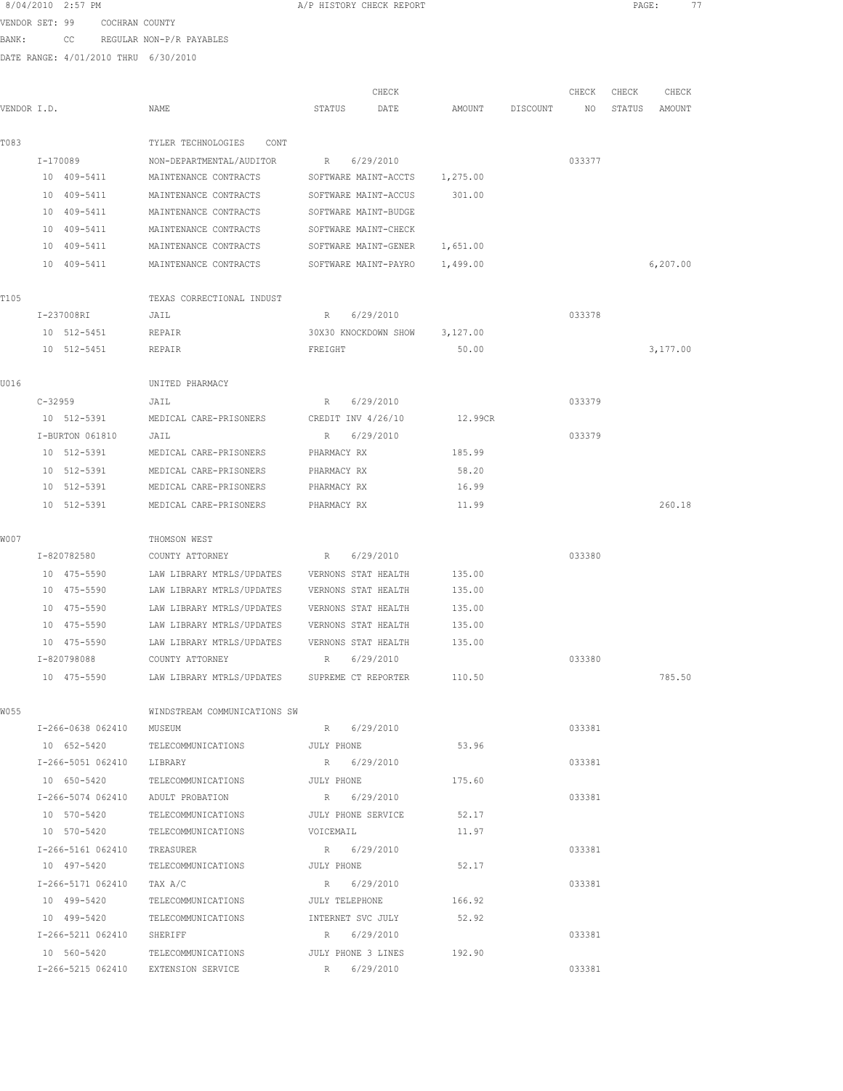| 8/04/2010 2:57 PM |    |                                      | A/P HISTORY CHECK REPORT |       |  |
|-------------------|----|--------------------------------------|--------------------------|-------|--|
| VENDOR SET: 99    |    | COCHRAN COUNTY                       |                          |       |  |
| BANK:             | CC | REGULAR NON-P/R PAYABLES             |                          |       |  |
|                   |    | DATE RANGE: 4/01/2010 THRU 6/30/2010 |                          |       |  |
|                   |    |                                      |                          |       |  |
|                   |    |                                      |                          | CHECK |  |

| VENDOR I.D. |                           | NAME                                                  | STATUS      | DATE                          | AMOUNT   | DISCOUNT | NO     | STATUS | AMOUNT    |
|-------------|---------------------------|-------------------------------------------------------|-------------|-------------------------------|----------|----------|--------|--------|-----------|
| T083        |                           | TYLER TECHNOLOGIES<br>CONT                            |             |                               |          |          |        |        |           |
|             | I-170089                  | NON-DEPARTMENTAL/AUDITOR                              | $R_{\rm c}$ | 6/29/2010                     |          |          | 033377 |        |           |
|             | 10 409-5411               | MAINTENANCE CONTRACTS                                 |             | SOFTWARE MAINT-ACCTS          | 1,275.00 |          |        |        |           |
|             | 10 409-5411               | MAINTENANCE CONTRACTS                                 |             | SOFTWARE MAINT-ACCUS          | 301.00   |          |        |        |           |
|             | 10 409-5411               | MAINTENANCE CONTRACTS                                 |             | SOFTWARE MAINT-BUDGE          |          |          |        |        |           |
|             | 10 409-5411               | MAINTENANCE CONTRACTS                                 |             | SOFTWARE MAINT-CHECK          |          |          |        |        |           |
|             | 10 409-5411               | MAINTENANCE CONTRACTS                                 |             | SOFTWARE MAINT-GENER          | 1,651.00 |          |        |        |           |
|             | 10 409-5411               | MAINTENANCE CONTRACTS                                 |             | SOFTWARE MAINT-PAYRO          | 1,499.00 |          |        |        | 6, 207.00 |
| T105        |                           | TEXAS CORRECTIONAL INDUST                             |             |                               |          |          |        |        |           |
|             | I-237008RI                | JAIL                                                  | R.          | 6/29/2010                     |          |          | 033378 |        |           |
|             | 10 512-5451               | REPAIR                                                |             | 30X30 KNOCKDOWN SHOW 3,127.00 |          |          |        |        |           |
|             | 10 512-5451               | REPAIR                                                | FREIGHT     |                               | 50.00    |          |        |        | 3,177.00  |
| U016        |                           | UNITED PHARMACY                                       |             |                               |          |          |        |        |           |
|             | $C - 32959$               | JAIL                                                  | R           | 6/29/2010                     |          |          | 033379 |        |           |
|             |                           | 10 512-5391 MEDICAL CARE-PRISONERS CREDIT INV 4/26/10 |             |                               | 12.99CR  |          |        |        |           |
|             | I-BURTON 061810           | JAIL                                                  | R           | 6/29/2010                     |          |          | 033379 |        |           |
|             | 10 512-5391               | MEDICAL CARE-PRISONERS                                | PHARMACY RX |                               | 185.99   |          |        |        |           |
|             | 10 512-5391               | MEDICAL CARE-PRISONERS                                | PHARMACY RX |                               | 58.20    |          |        |        |           |
|             | 10 512-5391               | MEDICAL CARE-PRISONERS                                | PHARMACY RX |                               | 16.99    |          |        |        |           |
|             | 10 512-5391               | MEDICAL CARE-PRISONERS                                | PHARMACY RX |                               | 11.99    |          |        |        | 260.18    |
| W007        |                           | THOMSON WEST                                          |             |                               |          |          |        |        |           |
|             | I-820782580               | COUNTY ATTORNEY                                       | R           | 6/29/2010                     |          |          | 033380 |        |           |
|             | 10 475-5590               | LAW LIBRARY MTRLS/UPDATES                             |             | VERNONS STAT HEALTH           | 135.00   |          |        |        |           |
|             | 10 475-5590               | LAW LIBRARY MTRLS/UPDATES                             |             | VERNONS STAT HEALTH           | 135.00   |          |        |        |           |
|             | 10 475-5590               | LAW LIBRARY MTRLS/UPDATES                             |             | VERNONS STAT HEALTH           | 135.00   |          |        |        |           |
|             | 10 475-5590               | LAW LIBRARY MTRLS/UPDATES                             |             | VERNONS STAT HEALTH           | 135.00   |          |        |        |           |
|             | 10 475-5590               | LAW LIBRARY MTRLS/UPDATES                             |             | VERNONS STAT HEALTH           | 135.00   |          |        |        |           |
|             | I-820798088               | COUNTY ATTORNEY                                       | R           | 6/29/2010                     |          |          | 033380 |        |           |
|             | 10 475-5590               | LAW LIBRARY MTRLS/UPDATES SUPREME CT REPORTER 110.50  |             |                               |          |          |        |        | 785.50    |
| W055        |                           | WINDSTREAM COMMUNICATIONS SW                          |             |                               |          |          |        |        |           |
|             | I-266-0638 062410         | MUSEUM                                                |             | R 6/29/2010                   |          |          | 033381 |        |           |
|             | 10 652-5420               | TELECOMMUNICATIONS                                    | JULY PHONE  |                               | 53.96    |          |        |        |           |
|             | I-266-5051 062410 LIBRARY |                                                       |             | R 6/29/2010                   |          |          | 033381 |        |           |
|             | 10 650-5420               | TELECOMMUNICATIONS                                    | JULY PHONE  |                               | 175.60   |          |        |        |           |
|             | I-266-5074 062410         | ADULT PROBATION                                       |             | R 6/29/2010                   |          |          | 033381 |        |           |
|             | 10 570-5420               | TELECOMMUNICATIONS                                    |             | JULY PHONE SERVICE            | 52.17    |          |        |        |           |
|             | 10 570-5420               | TELECOMMUNICATIONS                                    | VOICEMAIL   |                               | 11.97    |          |        |        |           |
|             | I-266-5161 062410         | TREASURER                                             |             | R 6/29/2010                   |          |          | 033381 |        |           |
|             | 10 497-5420               | TELECOMMUNICATIONS                                    | JULY PHONE  |                               | 52.17    |          |        |        |           |
|             | I-266-5171 062410         | TAX A/C                                               |             | R 6/29/2010                   |          |          | 033381 |        |           |
|             | 10 499-5420               | TELECOMMUNICATIONS                                    |             | JULY TELEPHONE                | 166.92   |          |        |        |           |
|             | 10 499-5420               | TELECOMMUNICATIONS                                    |             | INTERNET SVC JULY             | 52.92    |          |        |        |           |
|             | I-266-5211 062410 SHERIFF |                                                       |             | R 6/29/2010                   |          |          | 033381 |        |           |
|             | 10 560-5420               | TELECOMMUNICATIONS                                    |             | JULY PHONE 3 LINES            | 192.90   |          |        |        |           |

I-266-5215 062410 EXTENSION SERVICE R 6/29/2010 033381

PAGE: 77

CHECK CHECK CHECK CHECK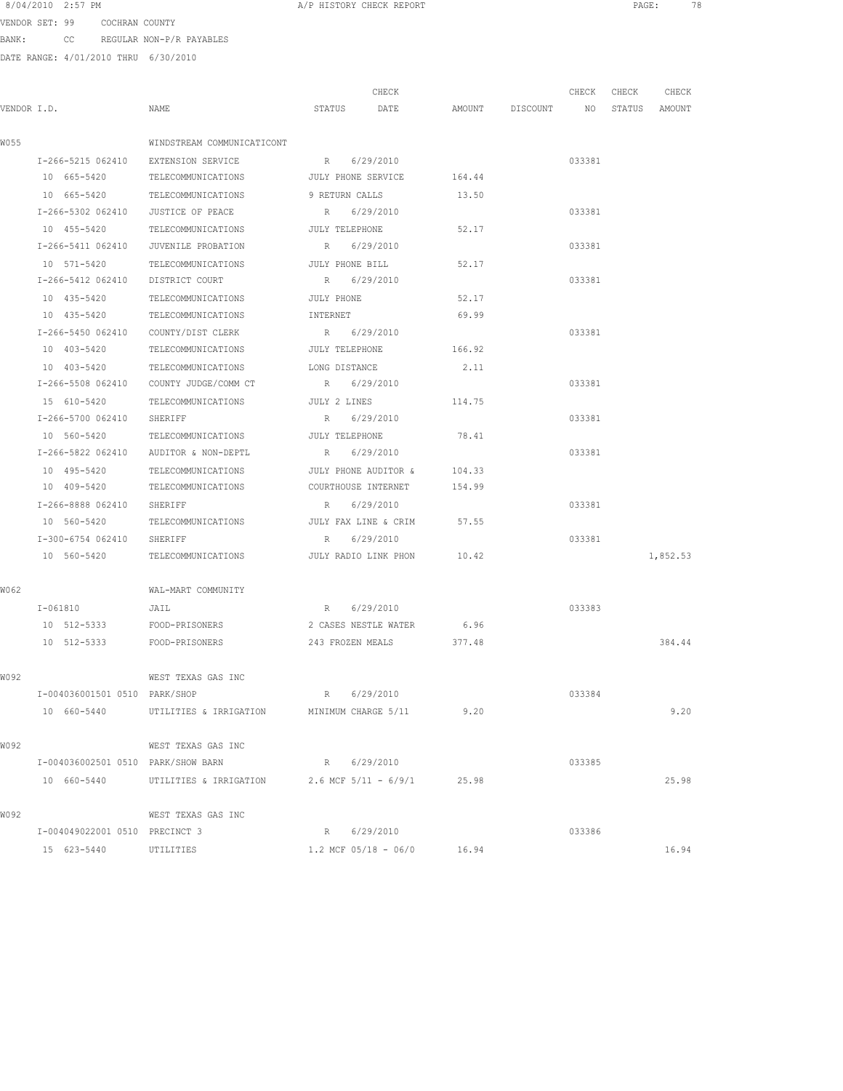VENDOR SET: 99 COCHRAN COUNTY BANK: CC REGULAR NON-P/R PAYABLES

|             |                                     |                                                           | CHECK                     |                                  | CHECK  | CHECK | CHECK    |
|-------------|-------------------------------------|-----------------------------------------------------------|---------------------------|----------------------------------|--------|-------|----------|
| VENDOR I.D. |                                     | NAME                                                      | STATUS<br>DATE            | AMOUNT DISCOUNT NO STATUS AMOUNT |        |       |          |
| W055        |                                     | WINDSTREAM COMMUNICATICONT                                |                           |                                  |        |       |          |
|             | I-266-5215 062410 EXTENSION SERVICE |                                                           | R 6/29/2010               |                                  | 033381 |       |          |
|             | 10 665-5420                         | TELECOMMUNICATIONS JULY PHONE SERVICE 164.44              |                           |                                  |        |       |          |
|             |                                     | 10 665-5420 TELECOMMUNICATIONS 9 RETURN CALLS             |                           | 13.50                            |        |       |          |
|             | I-266-5302 062410 JUSTICE OF PEACE  |                                                           | R 6/29/2010               |                                  | 033381 |       |          |
|             |                                     |                                                           |                           |                                  |        |       |          |
|             | 10 455-5420<br>I-266-5411 062410    | TELECOMMUNICATIONS                                        | JULY TELEPHONE            | 52.17                            |        |       |          |
|             |                                     | JUVENILE PROBATION                                        | R 6/29/2010               |                                  | 033381 |       |          |
|             | 10 571-5420                         | TELECOMMUNICATIONS                                        | JULY PHONE BILL           | 52.17                            |        |       |          |
|             | I-266-5412 062410 DISTRICT COURT    |                                                           | R 6/29/2010               |                                  | 033381 |       |          |
|             | 10 435-5420                         | TELECOMMUNICATIONS                                        | JULY PHONE                | 52.17                            |        |       |          |
|             | 10 435-5420                         | TELECOMMUNICATIONS                                        | INTERNET                  | 69.99                            |        |       |          |
|             | I-266-5450 062410                   | COUNTY/DIST CLERK                                         | R 6/29/2010               |                                  | 033381 |       |          |
|             | 10 403-5420                         | TELECOMMUNICATIONS                                        | JULY TELEPHONE            | 166.92                           |        |       |          |
|             | 10 403-5420                         | TELECOMMUNICATIONS                                        | LONG DISTANCE             | 2.11                             |        |       |          |
|             |                                     | I-266-5508 062410 COUNTY JUDGE/COMM CT                    | R 6/29/2010               |                                  | 033381 |       |          |
|             | 15 610-5420                         | TELECOMMUNICATIONS                                        | JULY 2 LINES              | 114.75                           |        |       |          |
|             | I-266-5700 062410                   | SHERIFF                                                   | R 6/29/2010               |                                  | 033381 |       |          |
|             | 10 560-5420                         | TELECOMMUNICATIONS                                        | JULY TELEPHONE            | 78.41                            |        |       |          |
|             | I-266-5822 062410                   | AUDITOR & NON-DEPTL                                       | R 6/29/2010               |                                  | 033381 |       |          |
|             | 10 495-5420                         | TELECOMMUNICATIONS                                        | JULY PHONE AUDITOR &      | 104.33                           |        |       |          |
|             | 10 409-5420                         | TELECOMMUNICATIONS                                        | COURTHOUSE INTERNET       | 154.99                           |        |       |          |
|             | I-266-8888 062410 SHERIFF           |                                                           | R 6/29/2010               |                                  | 033381 |       |          |
|             | 10 560-5420                         | TELECOMMUNICATIONS                                        | JULY FAX LINE & CRIM      | 57.55                            |        |       |          |
|             | I-300-6754 062410 SHERIFF           |                                                           | R 6/29/2010               |                                  | 033381 |       |          |
|             |                                     | 10 560-5420 TELECOMMUNICATIONS JULY RADIO LINK PHON 10.42 |                           |                                  |        |       | 1,852.53 |
| W062        |                                     | WAL-MART COMMUNITY                                        |                           |                                  |        |       |          |
|             | I-061810 JAIL                       |                                                           | R 6/29/2010               |                                  | 033383 |       |          |
|             | 10 512-5333 FOOD-PRISONERS          |                                                           | 2 CASES NESTLE WATER 6.96 |                                  |        |       |          |
|             | 10 512-5333 FOOD-PRISONERS          |                                                           | 243 FROZEN MEALS          | 377.48                           |        |       | 384.44   |
|             |                                     |                                                           |                           |                                  |        |       |          |
| W092        |                                     | WEST TEXAS GAS INC                                        |                           |                                  |        |       |          |
|             | I-004036001501 0510 PARK/SHOP       |                                                           | R 6/29/2010               |                                  | 033384 |       |          |
|             | 10 660-5440                         | UTILITIES & IRRIGATION MINIMUM CHARGE 5/11 9.20           |                           |                                  |        |       | 9.20     |
| W092        |                                     | WEST TEXAS GAS INC                                        |                           |                                  |        |       |          |
|             | I-004036002501 0510 PARK/SHOW BARN  |                                                           | R 6/29/2010               |                                  | 033385 |       |          |
|             | 10 660-5440                         | UTILITIES & IRRIGATION $2.6$ MCF $5/11 - 6/9/1$           |                           | 25.98                            |        |       | 25.98    |
| W092        |                                     | WEST TEXAS GAS INC                                        |                           |                                  |        |       |          |
|             | I-004049022001 0510 PRECINCT 3      |                                                           | R 6/29/2010               |                                  | 033386 |       |          |
|             | 15 623-5440                         | UTILITIES                                                 | $1.2$ MCF $05/18 - 06/0$  | 16.94                            |        |       | 16.94    |
|             |                                     |                                                           |                           |                                  |        |       |          |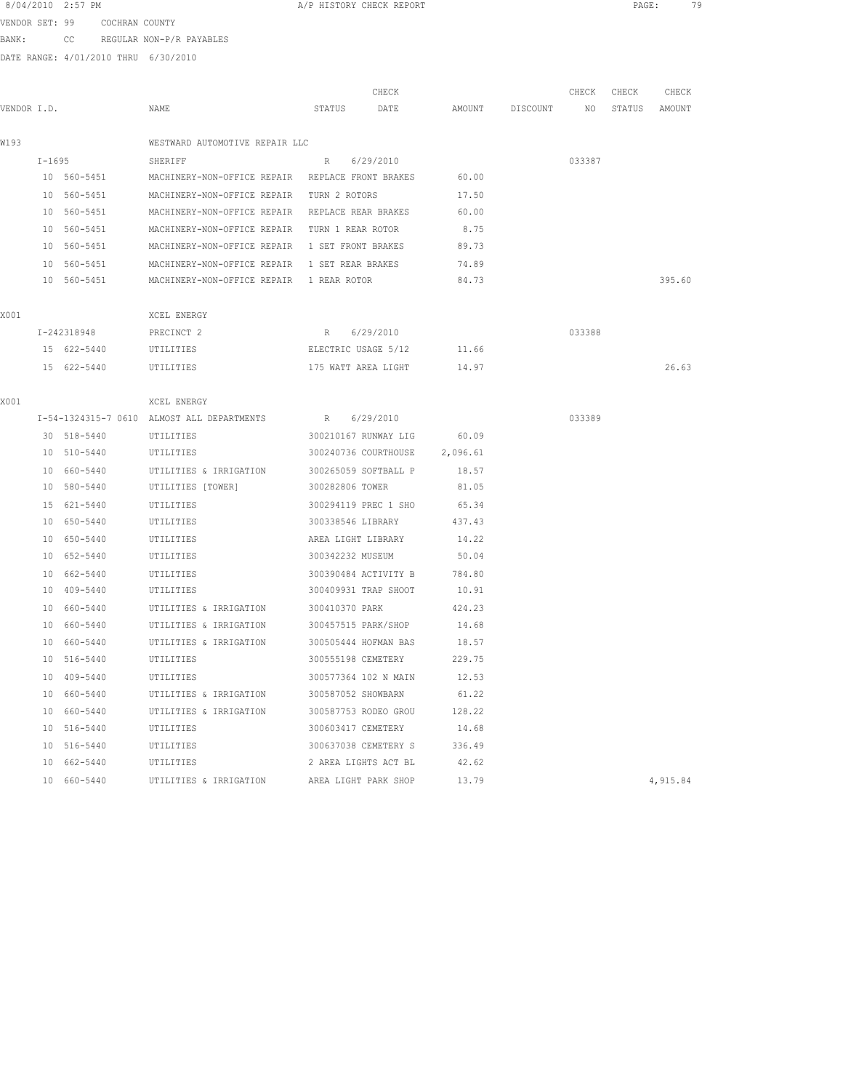| 8/04/2010 | 2:57 PM |
|-----------|---------|
|-----------|---------|

A/P HISTORY CHECK REPORT **PAGE:** 79

VENDOR SET: 99 COCHRAN COUNTY

BANK: CC REGULAR NON-P/R PAYABLES

|             |            |             |                                                             |                      | CHECK                     |          |                 | CHECK  | CHECK  | CHECK    |
|-------------|------------|-------------|-------------------------------------------------------------|----------------------|---------------------------|----------|-----------------|--------|--------|----------|
| VENDOR I.D. |            |             | NAME                                                        | STATUS               | DATE                      |          | AMOUNT DISCOUNT | NO     | STATUS | AMOUNT   |
| W193        |            |             | WESTWARD AUTOMOTIVE REPAIR LLC                              |                      |                           |          |                 |        |        |          |
|             |            |             |                                                             |                      |                           |          |                 |        |        |          |
|             | $I - 1695$ | 10 560-5451 | SHERIFF<br>MACHINERY-NON-OFFICE REPAIR REPLACE FRONT BRAKES | R                    | 6/29/2010                 | 60.00    |                 | 033387 |        |          |
|             |            |             |                                                             |                      |                           |          |                 |        |        |          |
|             |            | 10 560-5451 | MACHINERY-NON-OFFICE REPAIR TURN 2 ROTORS                   |                      |                           | 17.50    |                 |        |        |          |
|             |            | 10 560-5451 | MACHINERY-NON-OFFICE REPAIR REPLACE REAR BRAKES             |                      |                           | 60.00    |                 |        |        |          |
|             |            | 10 560-5451 | MACHINERY-NON-OFFICE REPAIR TURN 1 REAR ROTOR               |                      |                           | 8.75     |                 |        |        |          |
|             |            | 10 560-5451 | MACHINERY-NON-OFFICE REPAIR 1 SET FRONT BRAKES              |                      |                           | 89.73    |                 |        |        |          |
|             |            | 10 560-5451 | MACHINERY-NON-OFFICE REPAIR 1 SET REAR BRAKES               |                      |                           | 74.89    |                 |        |        |          |
|             |            | 10 560-5451 | MACHINERY-NON-OFFICE REPAIR 1 REAR ROTOR                    |                      |                           | 84.73    |                 |        |        | 395.60   |
| X001        |            |             | XCEL ENERGY                                                 |                      |                           |          |                 |        |        |          |
|             |            | I-242318948 | PRECINCT 2                                                  | R 6/29/2010          |                           |          |                 | 033388 |        |          |
|             |            | 15 622-5440 | UTILITIES                                                   | ELECTRIC USAGE 5/12  |                           | 11.66    |                 |        |        |          |
|             |            | 15 622-5440 | UTILITIES                                                   |                      | 175 WATT AREA LIGHT 14.97 |          |                 |        |        | 26.63    |
|             |            |             |                                                             |                      |                           |          |                 |        |        |          |
| X001        |            |             | XCEL ENERGY                                                 |                      |                           |          |                 |        |        |          |
|             |            |             | I-54-1324315-7 0610 ALMOST ALL DEPARTMENTS                  | $R_{\odot}$          | 6/29/2010                 |          |                 | 033389 |        |          |
|             |            | 30 518-5440 | UTILITIES                                                   |                      | 300210167 RUNWAY LIG      | 60.09    |                 |        |        |          |
|             |            | 10 510-5440 | UTILITIES                                                   |                      | 300240736 COURTHOUSE      | 2,096.61 |                 |        |        |          |
|             |            | 10 660-5440 | UTILITIES & IRRIGATION                                      | 300265059 SOFTBALL P |                           | 18.57    |                 |        |        |          |
|             |            | 10 580-5440 | UTILITIES [TOWER]                                           | 300282806 TOWER      |                           | 81.05    |                 |        |        |          |
|             |            | 15 621-5440 | UTILITIES                                                   | 300294119 PREC 1 SHO |                           | 65.34    |                 |        |        |          |
|             |            | 10 650-5440 | UTILITIES                                                   | 300338546 LIBRARY    |                           | 437.43   |                 |        |        |          |
|             |            | 10 650-5440 | UTILITIES                                                   | AREA LIGHT LIBRARY   |                           | 14.22    |                 |        |        |          |
|             |            | 10 652-5440 | UTILITIES                                                   | 300342232 MUSEUM     |                           | 50.04    |                 |        |        |          |
|             |            | 10 662-5440 | UTILITIES                                                   |                      | 300390484 ACTIVITY B      | 784.80   |                 |        |        |          |
|             |            | 10 409-5440 | UTILITIES                                                   | 300409931 TRAP SHOOT |                           | 10.91    |                 |        |        |          |
|             |            | 10 660-5440 | UTILITIES & IRRIGATION                                      | 300410370 PARK       |                           | 424.23   |                 |        |        |          |
|             |            | 10 660-5440 | UTILITIES & IRRIGATION                                      | 300457515 PARK/SHOP  |                           | 14.68    |                 |        |        |          |
|             |            | 10 660-5440 | UTILITIES & IRRIGATION                                      | 300505444 HOFMAN BAS |                           | 18.57    |                 |        |        |          |
|             |            | 10 516-5440 | UTILITIES                                                   | 300555198 CEMETERY   |                           | 229.75   |                 |        |        |          |
|             |            | 10 409-5440 | UTILITIES                                                   | 300577364 102 N MAIN |                           | 12.53    |                 |        |        |          |
|             |            | 10 660-5440 | UTILITIES & IRRIGATION                                      | 300587052 SHOWBARN   |                           | 61.22    |                 |        |        |          |
|             |            | 10 660-5440 | UTILITIES & IRRIGATION                                      |                      | 300587753 RODEO GROU      | 128.22   |                 |        |        |          |
|             |            | 10 516-5440 | UTILITIES                                                   | 300603417 CEMETERY   |                           | 14.68    |                 |        |        |          |
|             |            | 10 516-5440 | UTILITIES                                                   | 300637038 CEMETERY S |                           | 336.49   |                 |        |        |          |
|             |            | 10 662-5440 | UTILITIES                                                   |                      | 2 AREA LIGHTS ACT BL      | 42.62    |                 |        |        |          |
|             |            | 10 660-5440 | UTILITIES & IRRIGATION                                      | AREA LIGHT PARK SHOP |                           | 13.79    |                 |        |        | 4,915.84 |
|             |            |             |                                                             |                      |                           |          |                 |        |        |          |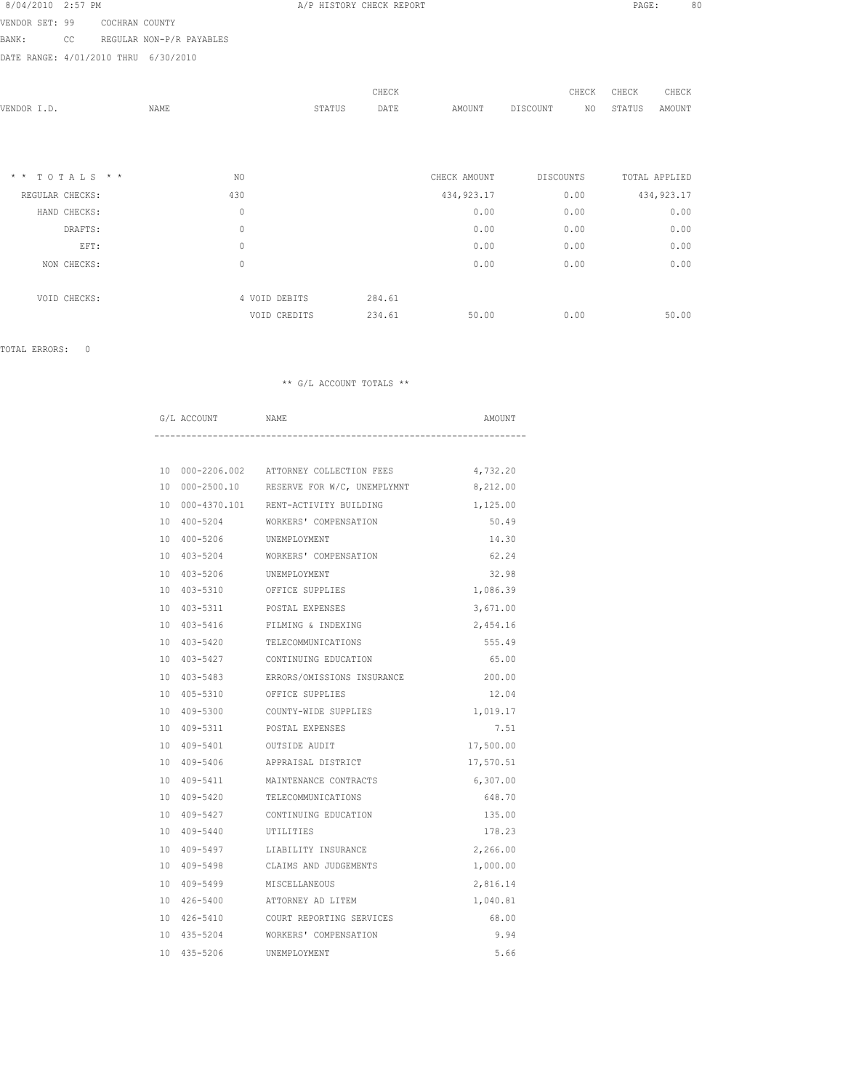| 8/04/2010 2:57 PM |  |  |
|-------------------|--|--|
|                   |  |  |

A/P HISTORY CHECK REPORT **PAGE:** 80

VENDOR SET: 99 COCHRAN COUNTY BANK: CC REGULAR NON-P/R PAYABLES

DATE RANGE: 4/01/2010 THRU 6/30/2010

|                               |             |               |        | CHECK  |              | CHECK            | CHECK  | CHECK         |
|-------------------------------|-------------|---------------|--------|--------|--------------|------------------|--------|---------------|
| VENDOR I.D.                   | <b>NAME</b> |               | STATUS | DATE   | AMOUNT       | DISCOUNT<br>NO   | STATUS | AMOUNT        |
|                               |             |               |        |        |              |                  |        |               |
|                               |             |               |        |        |              |                  |        |               |
|                               |             |               |        |        |              |                  |        |               |
| TOTALS * *<br>$\star$ $\star$ |             | NO            |        |        | CHECK AMOUNT | <b>DISCOUNTS</b> |        | TOTAL APPLIED |
| REGULAR CHECKS:               |             | 430           |        |        | 434, 923.17  | 0.00             |        | 434, 923.17   |
| HAND CHECKS:                  |             | $\mathbb O$   |        |        | 0.00         | 0.00             |        | 0.00          |
| DRAFTS:                       |             | $\mathbb O$   |        |        | 0.00         | 0.00             |        | 0.00          |
| EFT:                          |             | $\mathbb O$   |        |        | 0.00         | 0.00             |        | 0.00          |
| NON CHECKS:                   |             | $\circ$       |        |        | 0.00         | 0.00             |        | 0.00          |
|                               |             |               |        |        |              |                  |        |               |
| VOID CHECKS:                  |             | 4 VOID DEBITS |        | 284.61 |              |                  |        |               |
|                               |             | VOID CREDITS  |        | 234.61 | 50.00        | 0.00             |        | 50.00         |
|                               |             |               |        |        |              |                  |        |               |

TOTAL ERRORS: 0

|  | G/L ACCOUNT           | <b>NAME</b>                                         | AMOUNT    |
|--|-----------------------|-----------------------------------------------------|-----------|
|  |                       |                                                     |           |
|  |                       | 10 000-2206.002 ATTORNEY COLLECTION FEES            | 4,732.20  |
|  |                       | 10 000-2500.10 RESERVE FOR W/C, UNEMPLYMNT 8,212.00 |           |
|  |                       | 10 000-4370.101 RENT-ACTIVITY BUILDING              | 1,125.00  |
|  |                       | 10 400-5204 WORKERS' COMPENSATION                   | 50.49     |
|  |                       | 10 400-5206 UNEMPLOYMENT                            | 14.30     |
|  | 10 403-5204           | WORKERS' COMPENSATION                               | 62.24     |
|  |                       | 10 403-5206 UNEMPLOYMENT                            | 32.98     |
|  |                       | 10 403-5310 OFFICE SUPPLIES                         | 1,086.39  |
|  |                       | 10 403-5311 POSTAL EXPENSES                         | 3,671.00  |
|  |                       | 10 403-5416 FILMING & INDEXING                      | 2,454.16  |
|  |                       | 10 403-5420 TELECOMMUNICATIONS                      | 555.49    |
|  | 10 403-5427           | CONTINUING EDUCATION                                | 65.00     |
|  |                       | 10 403-5483 ERRORS/OMISSIONS INSURANCE              | 200.00    |
|  |                       | 10 405-5310 OFFICE SUPPLIES                         | 12.04     |
|  |                       | 10 409-5300 COUNTY-WIDE SUPPLIES                    | 1,019.17  |
|  |                       | 10 409-5311 POSTAL EXPENSES                         | 7.51      |
|  | 10 409-5401           | OUTSIDE AUDIT                                       | 17,500.00 |
|  |                       | 10 409-5406 APPRAISAL DISTRICT                      | 17,570.51 |
|  |                       | 10 409-5411 MAINTENANCE CONTRACTS                   | 6,307.00  |
|  | 10 409-5420           | TELECOMMUNICATIONS                                  | 648.70    |
|  |                       | 10 409-5427 CONTINUING EDUCATION                    | 135.00    |
|  | 10 409-5440 UTILITIES |                                                     | 178.23    |
|  | 10 409-5497           | LIABILITY INSURANCE                                 | 2,266.00  |
|  |                       | 10 409-5498 CLAIMS AND JUDGEMENTS                   | 1,000.00  |
|  | 10 409-5499           | MISCELLANEOUS                                       | 2,816.14  |
|  |                       | 10 426-5400 ATTORNEY AD LITEM                       | 1,040.81  |
|  |                       | 10 426-5410 COURT REPORTING SERVICES                | 68.00     |
|  | 10 435-5204           | WORKERS' COMPENSATION                               | 9.94      |
|  | 10 435-5206           | UNEMPLOYMENT                                        | 5.66      |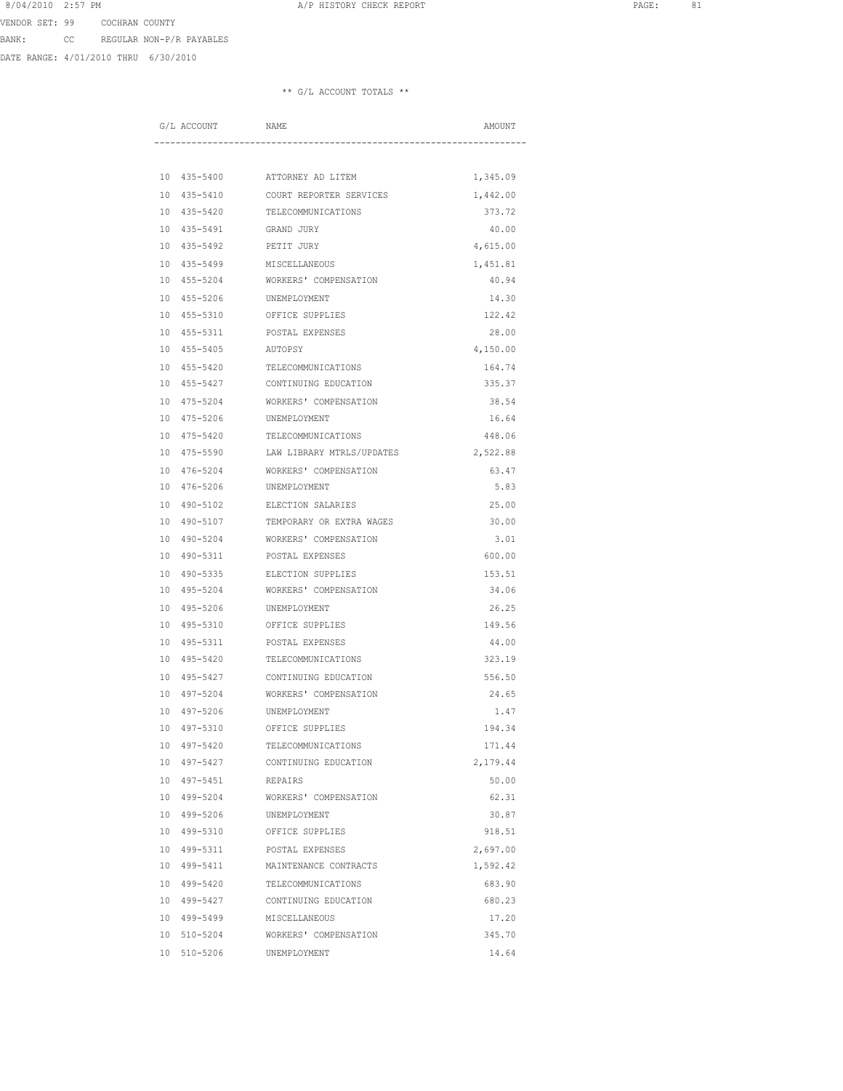DATE RANGE: 4/01/2010 THRU 6/30/2010

| G/L ACCOUNT | NAME                                 | AMOUNT   |
|-------------|--------------------------------------|----------|
|             |                                      |          |
|             | 10 435-5400 ATTORNEY AD LITEM        | 1,345.09 |
| 10 435-5410 | COURT REPORTER SERVICES              | 1,442.00 |
| 10 435-5420 | TELECOMMUNICATIONS                   | 373.72   |
| 10 435-5491 | GRAND JURY                           | 40.00    |
| 10 435-5492 | PETIT JURY                           | 4,615.00 |
|             | 10 435-5499 MISCELLANEOUS            | 1,451.81 |
|             | 10 455-5204 WORKERS' COMPENSATION    | 40.94    |
|             | 10 455-5206 UNEMPLOYMENT             | 14.30    |
|             | 10 455-5310 OFFICE SUPPLIES          | 122.42   |
|             | 10 455-5311 POSTAL EXPENSES          | 28.00    |
| 10 455-5405 | AUTOPSY                              | 4,150.00 |
| 10 455-5420 | TELECOMMUNICATIONS                   | 164.74   |
| 10 455-5427 | CONTINUING EDUCATION                 | 335.37   |
| 10 475-5204 | WORKERS' COMPENSATION                | 38.54    |
| 10 475-5206 | UNEMPLOYMENT                         | 16.64    |
| 10 475-5420 | TELECOMMUNICATIONS                   | 448.06   |
| 10 475-5590 | LAW LIBRARY MTRLS/UPDATES            | 2,522.88 |
| 10 476-5204 | WORKERS' COMPENSATION                | 63.47    |
|             | 10 476-5206 UNEMPLOYMENT             | 5.83     |
|             | 10 490-5102 ELECTION SALARIES        | 25.00    |
|             | 10 490-5107 TEMPORARY OR EXTRA WAGES | 30.00    |
|             | 10 490-5204 WORKERS' COMPENSATION    | 3.01     |
| 10 490-5311 | POSTAL EXPENSES                      | 600.00   |
| 10 490-5335 | ELECTION SUPPLIES                    | 153.51   |
| 10 495-5204 | WORKERS' COMPENSATION                | 34.06    |
| 10 495-5206 | UNEMPLOYMENT                         | 26.25    |
| 10 495-5310 | OFFICE SUPPLIES                      | 149.56   |
| 10 495-5311 | POSTAL EXPENSES                      | 44.00    |
| 10 495-5420 | TELECOMMUNICATIONS                   | 323.19   |
|             | 10 495-5427 CONTINUING EDUCATION     | 556.50   |
|             | 10 497-5204 WORKERS' COMPENSATION    | 24.65    |
|             | 10 497-5206 UNEMPLOYMENT             | 1.47     |
|             | 10 497-5310 OFFICE SUPPLIES          | 194.34   |
| 10 497-5420 | TELECOMMUNICATIONS                   | 171.44   |
| 10 497-5427 | CONTINUING EDUCATION                 | 2,179.44 |
| 10 497-5451 | REPAIRS                              | 50.00    |
| 10 499-5204 | WORKERS' COMPENSATION                | 62.31    |
| 10 499-5206 | UNEMPLOYMENT                         | 30.87    |
| 10 499-5310 | OFFICE SUPPLIES                      | 918.51   |
| 10 499-5311 | POSTAL EXPENSES                      | 2,697.00 |
| 10 499-5411 | MAINTENANCE CONTRACTS                | 1,592.42 |
| 10 499-5420 | TELECOMMUNICATIONS                   | 683.90   |
|             | 10 499-5427 CONTINUING EDUCATION     | 680.23   |
|             | 10 499-5499 MISCELLANEOUS            | 17.20    |
|             | 10 510-5204 WORKERS' COMPENSATION    | 345.70   |
| 10 510-5206 | UNEMPLOYMENT                         | 14.64    |
|             |                                      |          |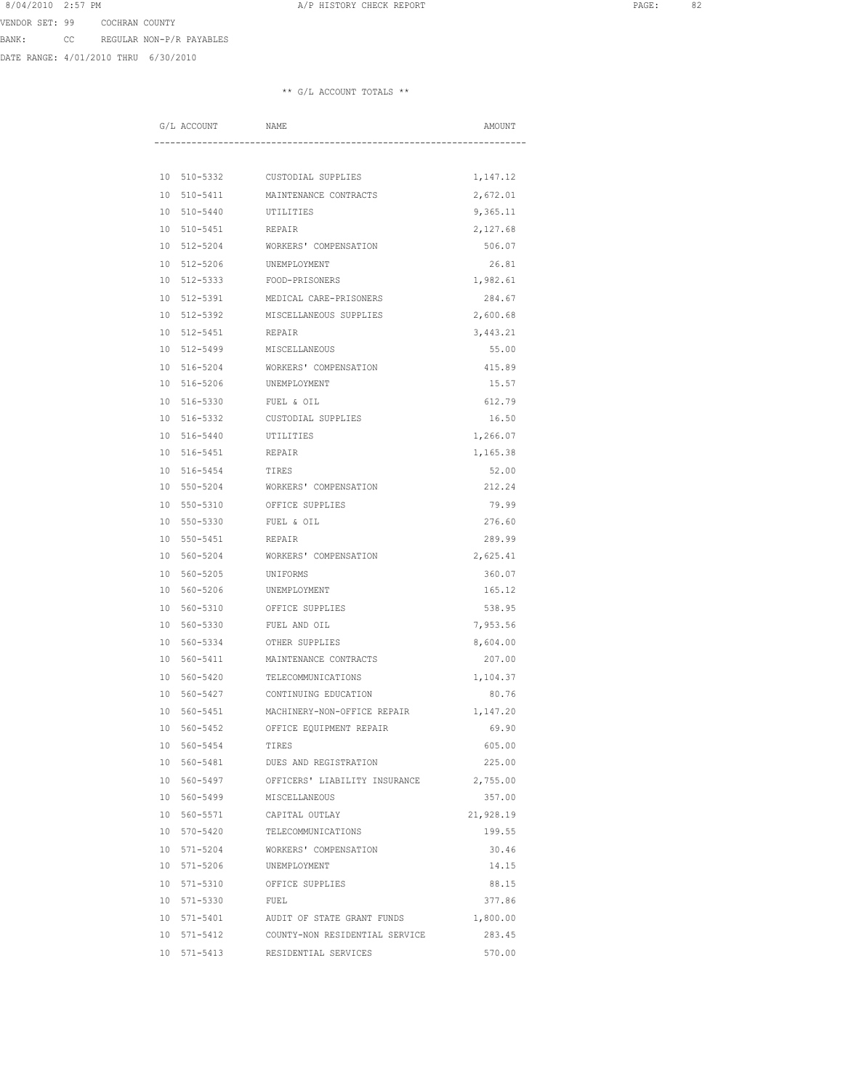DATE RANGE: 4/01/2010 THRU 6/30/2010

|  | G/L ACCOUNT                | <b>NAME</b>                                | AMOUNT    |
|--|----------------------------|--------------------------------------------|-----------|
|  |                            |                                            |           |
|  |                            | 10 510-5332 CUSTODIAL SUPPLIES             | 1,147.12  |
|  | 10 510-5411                | MAINTENANCE CONTRACTS                      | 2,672.01  |
|  | 10 510-5440                | UTILITIES                                  | 9,365.11  |
|  | 10 510-5451                | REPAIR                                     | 2,127.68  |
|  | 10 512-5204                | WORKERS' COMPENSATION                      | 506.07    |
|  | 10 512-5206 UNEMPLOYMENT   |                                            | 26.81     |
|  | 10 512-5333 FOOD-PRISONERS |                                            | 1,982.61  |
|  |                            | 10 512-5391 MEDICAL CARE-PRISONERS         | 284.67    |
|  |                            | 10 512-5392 MISCELLANEOUS SUPPLIES         | 2,600.68  |
|  | 10 512-5451                | REPAIR                                     | 3,443.21  |
|  | 10 512-5499                | MISCELLANEOUS                              | 55.00     |
|  | 10 516-5204                | WORKERS' COMPENSATION                      | 415.89    |
|  | 10 516-5206                | UNEMPLOYMENT                               | 15.57     |
|  | 10 516-5330                | FUEL & OIL                                 | 612.79    |
|  | 10 516-5332                | CUSTODIAL SUPPLIES                         | 16.50     |
|  | 10 516-5440                | UTILITIES                                  | 1,266.07  |
|  | 10 516-5451                | REPAIR                                     | 1,165.38  |
|  | 10 516-5454 TIRES          |                                            | 52.00     |
|  |                            | 10 550-5204 WORKERS' COMPENSATION          | 212.24    |
|  |                            | 10 550-5310 OFFICE SUPPLIES                | 79.99     |
|  | 10 550-5330 FUEL & OIL     |                                            | 276.60    |
|  | 10 550-5451                | REPAIR                                     | 289.99    |
|  | 10 560-5204                | WORKERS' COMPENSATION                      | 2,625.41  |
|  | 10 560-5205                | UNIFORMS                                   | 360.07    |
|  | 10 560-5206                | UNEMPLOYMENT                               | 165.12    |
|  | 10 560-5310                | OFFICE SUPPLIES                            | 538.95    |
|  | 10 560-5330                | FUEL AND OIL                               | 7,953.56  |
|  | 10 560-5334                | OTHER SUPPLIES                             | 8,604.00  |
|  | 10 560-5411                | MAINTENANCE CONTRACTS                      | 207.00    |
|  |                            | 10 560-5420 TELECOMMUNICATIONS             | 1,104.37  |
|  |                            | 10 560-5427 CONTINUING EDUCATION           | 80.76     |
|  |                            | 10 560-5451 MACHINERY-NON-OFFICE REPAIR    | 1,147.20  |
|  |                            | 10 560-5452 OFFICE EQUIPMENT REPAIR        | 69.90     |
|  | 10 560-5454                | TIRES                                      | 605.00    |
|  | 10 560-5481                | DUES AND REGISTRATION                      | 225.00    |
|  | 10 560-5497                | OFFICERS' LIABILITY INSURANCE              | 2,755.00  |
|  | 10 560-5499                | MISCELLANEOUS                              | 357.00    |
|  | 10 560-5571                | CAPITAL OUTLAY                             | 21,928.19 |
|  | 10 570-5420                | TELECOMMUNICATIONS                         | 199.55    |
|  | 10 571-5204                | WORKERS' COMPENSATION                      | 30.46     |
|  | 10 571-5206                | UNEMPLOYMENT                               | 14.15     |
|  |                            | 10 571-5310 OFFICE SUPPLIES                | 88.15     |
|  | 10 571-5330 FUEL           |                                            | 377.86    |
|  |                            | 10 571-5401 AUDIT OF STATE GRANT FUNDS     | 1,800.00  |
|  |                            | 10 571-5412 COUNTY-NON RESIDENTIAL SERVICE | 283.45    |
|  | 10 571-5413                | RESIDENTIAL SERVICES                       | 570.00    |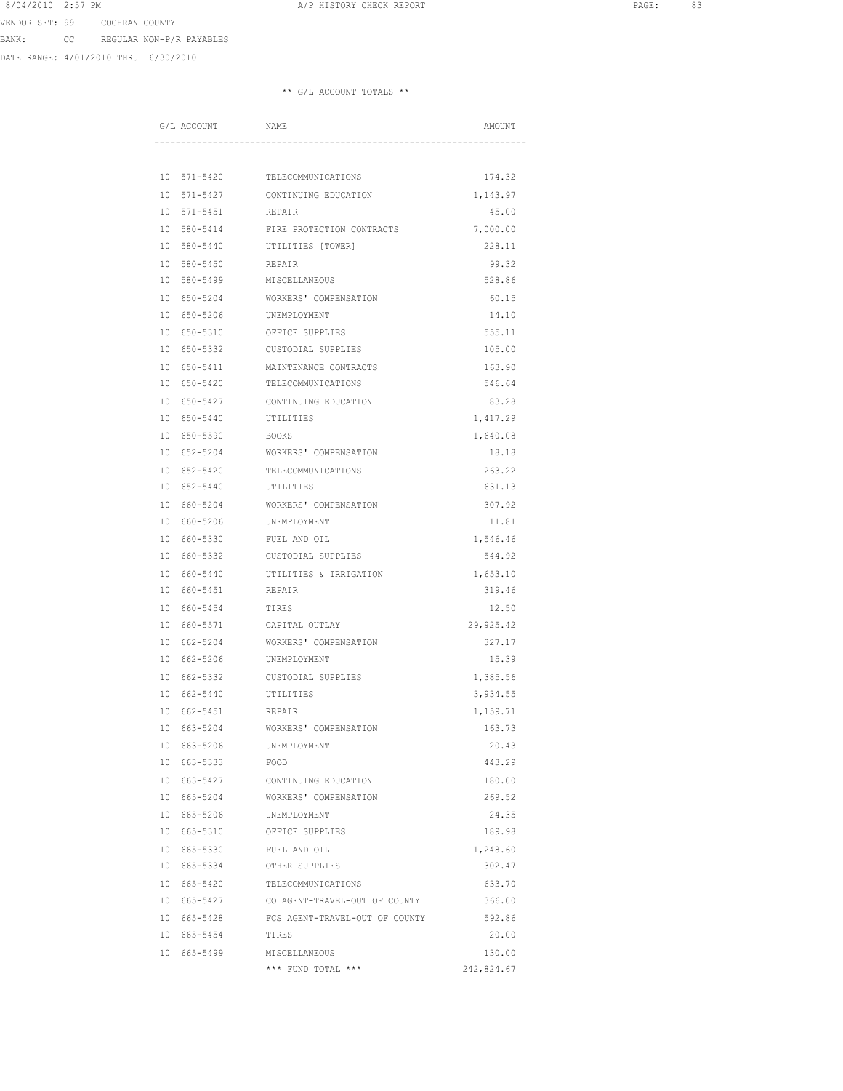DATE RANGE: 4/01/2010 THRU 6/30/2010

| G/L ACCOUNT              | <b>NAME</b>                               | AMOUNT     |
|--------------------------|-------------------------------------------|------------|
|                          |                                           |            |
|                          | 10 571-5420 TELECOMMUNICATIONS            | 174.32     |
| 10 571-5427              | CONTINUING EDUCATION                      | 1,143.97   |
| 10 571-5451              | REPAIR                                    | 45.00      |
| 10 580-5414              | FIRE PROTECTION CONTRACTS                 | 7,000.00   |
| 10 580-5440              | UTILITIES [TOWER]                         | 228.11     |
| 10 580-5450 REPAIR       |                                           | 99.32      |
|                          | 10 580-5499 MISCELLANEOUS                 | 528.86     |
|                          | 10 650-5204 WORKERS' COMPENSATION         | 60.15      |
| 10 650-5206 UNEMPLOYMENT |                                           | 14.10      |
| 10 650-5310              | OFFICE SUPPLIES                           | 555.11     |
| 10 650-5332              | CUSTODIAL SUPPLIES                        | 105.00     |
| 10 650-5411              | MAINTENANCE CONTRACTS                     | 163.90     |
| 10 650-5420              | TELECOMMUNICATIONS                        | 546.64     |
| 10 650-5427              | CONTINUING EDUCATION                      | 83.28      |
| 10 650-5440              | UTILITIES                                 | 1,417.29   |
| 10 650-5590              | <b>BOOKS</b>                              | 1,640.08   |
| 10 652-5204              | WORKERS' COMPENSATION                     | 18.18      |
|                          | 10 652-5420 TELECOMMUNICATIONS            | 263.22     |
| 10 652-5440 UTILITIES    |                                           | 631.13     |
|                          | 10 660-5204 WORKERS' COMPENSATION         | 307.92     |
| 10 660-5206 UNEMPLOYMENT |                                           | 11.81      |
| 10 660-5330              | FUEL AND OIL                              | 1,546.46   |
| 10 660-5332              | CUSTODIAL SUPPLIES                        | 544.92     |
| 10 660-5440              | UTILITIES & IRRIGATION                    | 1,653.10   |
| 10 660-5451              | REPAIR                                    | 319.46     |
| 10 660-5454              | TIRES                                     | 12.50      |
| 10 660-5571              | CAPITAL OUTLAY                            | 29,925.42  |
| 10 662-5204              | WORKERS' COMPENSATION                     | 327.17     |
| 10 662-5206              | UNEMPLOYMENT                              | 15.39      |
|                          | 10 662-5332 CUSTODIAL SUPPLIES            | 1,385.56   |
| 10 662-5440 UTILITIES    |                                           | 3,934.55   |
| 10 662-5451 REPAIR       |                                           | 1,159.71   |
|                          | 10 663-5204 WORKERS' COMPENSATION         | 163.73     |
| 10 663-5206              | UNEMPLOYMENT                              | 20.43      |
| 10 663-5333              | FOOD                                      | 443.29     |
| 10 663-5427              | CONTINUING EDUCATION                      | 180.00     |
| 10 665-5204              | WORKERS' COMPENSATION                     | 269.52     |
| 10 665-5206              | UNEMPLOYMENT                              | 24.35      |
| 10 665-5310              | OFFICE SUPPLIES                           | 189.98     |
| 10 665-5330              | FUEL AND OIL                              | 1,248.60   |
| 10 665-5334              | OTHER SUPPLIES                            | 302.47     |
| 10 665-5420              | TELECOMMUNICATIONS                        | 633.70     |
|                          | 10 665-5427 CO AGENT-TRAVEL-OUT OF COUNTY | 366.00     |
| 10 665-5428              | FCS AGENT-TRAVEL-OUT OF COUNTY            | 592.86     |
| 10 665-5454              | TIRES                                     | 20.00      |
| 10 665-5499              | MISCELLANEOUS                             | 130.00     |
|                          | *** FUND TOTAL ***                        | 242,824.67 |
|                          |                                           |            |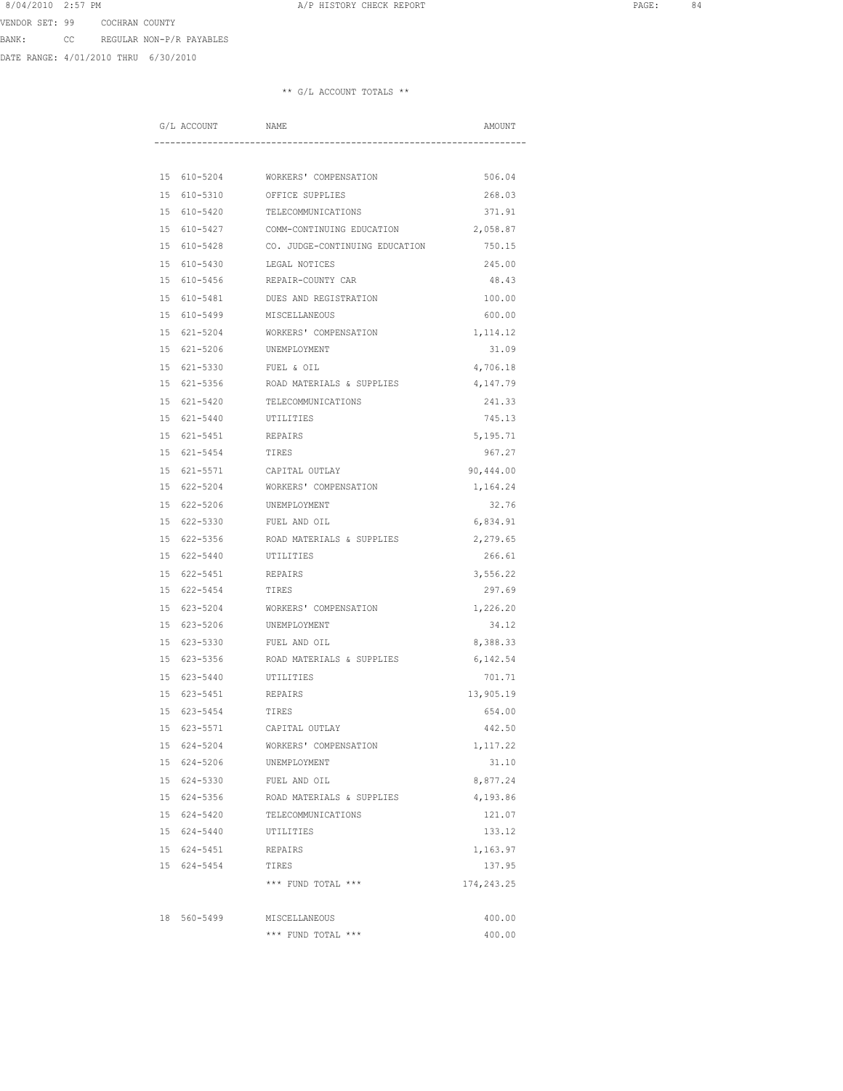DATE RANGE: 4/01/2010 THRU 6/30/2010

| G/L ACCOUNT                | NAME                                       | AMOUNT            |
|----------------------------|--------------------------------------------|-------------------|
|                            |                                            |                   |
|                            | 15 610-5204 WORKERS' COMPENSATION          | 506.04            |
| 15 610-5310                | OFFICE SUPPLIES                            | 268.03            |
| 15 610-5420                | TELECOMMUNICATIONS                         | 371.91            |
|                            | 15 610-5427 COMM-CONTINUING EDUCATION      | 2,058.87          |
|                            | 15 610-5428 CO. JUDGE-CONTINUING EDUCATION | 750.15            |
|                            | 15 610-5430 LEGAL NOTICES                  | 245.00            |
|                            | 15 610-5456 REPAIR-COUNTY CAR              | 48.43             |
| 15 610-5481                | DUES AND REGISTRATION                      | 100.00            |
| 15 610-5499                | MISCELLANEOUS                              | 600.00            |
| 15 621-5204                | WORKERS' COMPENSATION                      | 1,114.12          |
| 15 621-5206                | UNEMPLOYMENT                               | 31.09             |
| 15 621-5330                | FUEL & OIL                                 | 4,706.18          |
| 15 621-5356                | ROAD MATERIALS & SUPPLIES                  | 4,147.79          |
| 15 621-5420                | TELECOMMUNICATIONS                         | 241.33            |
|                            | 15 621-5440 UTILITIES                      | 745.13            |
|                            | 15 621-5451 REPAIRS                        | 5,195.71          |
|                            | 15 621-5454 TIRES                          | 967.27            |
|                            | 15 621-5571 CAPITAL OUTLAY                 | 90,444.00         |
|                            | 15 622-5204 WORKERS' COMPENSATION          | 1,164.24          |
| 15 622-5206                | UNEMPLOYMENT                               | 32.76             |
| 15 622-5330                | FUEL AND OIL                               | 6,834.91          |
| 15 622-5356                | ROAD MATERIALS & SUPPLIES                  | 2,279.65          |
| 15 622-5440                | UTILITIES                                  | 266.61            |
| 15 622-5451                | REPAIRS                                    | 3,556.22          |
| 15 622-5454                | TIRES                                      | 297.69            |
|                            | 15 623-5204 WORKERS' COMPENSATION          | 1,226.20          |
|                            | 15 623-5206 UNEMPLOYMENT                   | 34.12             |
|                            | 15 623-5330 FUEL AND OIL                   | 8,388.33          |
|                            | 15 623-5356 ROAD MATERIALS & SUPPLIES      | 6,142.54          |
|                            | 15 623-5440 UTILITIES                      | 701.71            |
|                            | 15 623-5451 REPAIRS                        | 13,905.19         |
| 15 623-5454                | TIRES                                      | 654.00            |
|                            | 15 623-5571 CAPITAL OUTLAY                 | 442.50            |
| 15 624-5204                | WORKERS' COMPENSATION                      |                   |
| 15 624-5206                | UNEMPLOYMENT                               | 1,117.22<br>31.10 |
|                            | FUEL AND OIL                               |                   |
| 15 624-5330<br>15 624-5356 | ROAD MATERIALS & SUPPLIES                  | 8,877.24          |
|                            |                                            | 4,193.86          |
| 15 624-5420                | TELECOMMUNICATIONS                         | 121.07            |
| 15 624-5440                | UTILITIES                                  | 133.12            |
|                            | 15 624-5451 REPAIRS                        | 1,163.97          |
|                            | 15 624-5454 TIRES                          | 137.95            |
|                            | *** FUND TOTAL ***                         | 174,243.25        |
|                            |                                            |                   |
| 18 560-5499                | MISCELLANEOUS                              | 400.00            |
|                            | *** FUND TOTAL ***                         | 400.00            |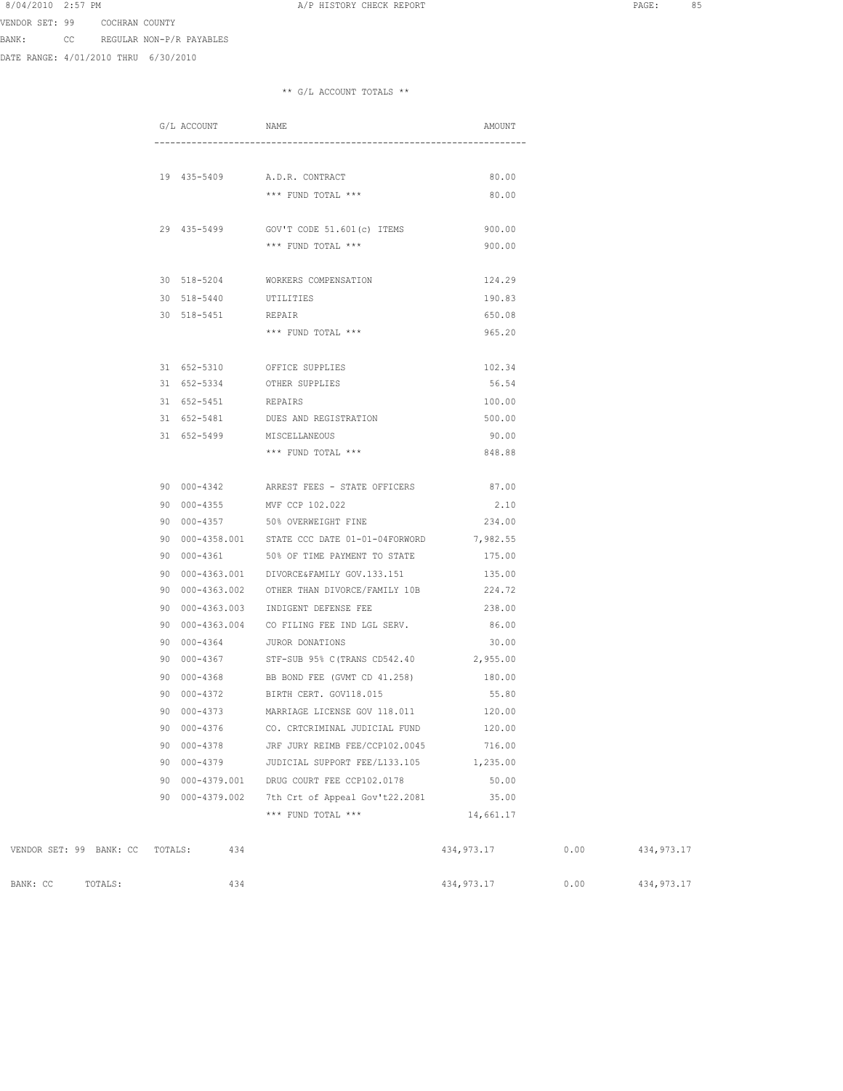BANK: CC REGULAR NON-P/R PAYABLES

VENDOR SET: 99 COCHRAN COUNTY

DATE RANGE: 4/01/2010 THRU 6/30/2010

## \*\* G/L ACCOUNT TOTALS \*\*

|                                 | G/L ACCOUNT         | NAME                                                       | AMOUNT     |      |             |
|---------------------------------|---------------------|------------------------------------------------------------|------------|------|-------------|
|                                 |                     |                                                            |            |      |             |
|                                 |                     |                                                            |            |      |             |
|                                 |                     | 19 435-5409 A.D.R. CONTRACT                                | 80.00      |      |             |
|                                 |                     | *** FUND TOTAL ***                                         | 80.00      |      |             |
|                                 |                     |                                                            |            |      |             |
|                                 |                     | 29 435-5499 GOV'T CODE 51.601(c) ITEMS 900.00              |            |      |             |
|                                 |                     | *** FUND TOTAL ***                                         | 900.00     |      |             |
|                                 |                     | 30 518-5204 WORKERS COMPENSATION                           | 124.29     |      |             |
|                                 | 30 518-5440         | UTILITIES                                                  | 190.83     |      |             |
|                                 | 30 518-5451         | REPAIR                                                     | 650.08     |      |             |
|                                 |                     |                                                            | 965.20     |      |             |
|                                 |                     | *** FUND TOTAL ***                                         |            |      |             |
|                                 |                     | 31 652-5310 OFFICE SUPPLIES                                | 102.34     |      |             |
|                                 |                     | 31 652-5334 OTHER SUPPLIES                                 | 56.54      |      |             |
|                                 | 31 652-5451 REPAIRS |                                                            | 100.00     |      |             |
|                                 |                     | 31 652-5481 DUES AND REGISTRATION                          | 500.00     |      |             |
|                                 |                     | 31 652-5499 MISCELLANEOUS                                  | 90.00      |      |             |
|                                 |                     | *** FUND TOTAL ***                                         | 848.88     |      |             |
|                                 |                     |                                                            |            |      |             |
|                                 |                     | 90 000-4342 ARREST FEES - STATE OFFICERS                   | 87.00      |      |             |
|                                 | 90 000-4355         | MVF CCP 102.022                                            | 2.10       |      |             |
|                                 | 90 000-4357         | 50% OVERWEIGHT FINE                                        | 234.00     |      |             |
|                                 |                     | 90  000-4358.001  STATE CCC DATE 01-01-04FORWORD  7,982.55 |            |      |             |
|                                 |                     | 90 000-4361 50% OF TIME PAYMENT TO STATE                   | 175.00     |      |             |
|                                 |                     | 90 000-4363.001 DIVORCE&FAMILY GOV.133.151                 | 135.00     |      |             |
|                                 | 90 000-4363.002     | OTHER THAN DIVORCE/FAMILY 10B 224.72                       |            |      |             |
|                                 | 90 000-4363.003     | INDIGENT DEFENSE FEE                                       | 238.00     |      |             |
|                                 | 90 000-4363.004     | CO FILING FEE IND LGL SERV. 86.00                          |            |      |             |
|                                 |                     | 90 000-4364 JUROR DONATIONS                                | 30.00      |      |             |
|                                 |                     | 90 000-4367 STF-SUB 95% C (TRANS CD542.40 2,955.00         |            |      |             |
|                                 | 90 000-4368         | BB BOND FEE (GVMT CD 41.258)                               | 180.00     |      |             |
|                                 | 90 000-4372         | BIRTH CERT. GOV118.015                                     | 55.80      |      |             |
|                                 | 90 000-4373         | MARRIAGE LICENSE GOV 118.011                               | 120.00     |      |             |
|                                 |                     | 90 000-4376 CO. CRTCRIMINAL JUDICIAL FUND                  | 120.00     |      |             |
|                                 | 90 000-4378         | JRF JURY REIMB FEE/CCP102.0045                             | 716.00     |      |             |
|                                 | 90 000-4379         | JUDICIAL SUPPORT FEE/L133.105                              | 1,235.00   |      |             |
|                                 | 90 000-4379.001     | DRUG COURT FEE CCP102.0178                                 | 50.00      |      |             |
|                                 | 90 000-4379.002     | 7th Crt of Appeal Gov't22.2081                             | 35.00      |      |             |
|                                 |                     | *** FUND TOTAL ***                                         | 14,661.17  |      |             |
|                                 |                     |                                                            |            |      |             |
| VENDOR SET: 99 BANK: CC TOTALS: | 434                 |                                                            | 434,973.17 | 0.00 | 434, 973.17 |
|                                 |                     |                                                            |            |      |             |

BANK: CC TOTALS: 434 434 434 434,973.17 0.00 434,973.17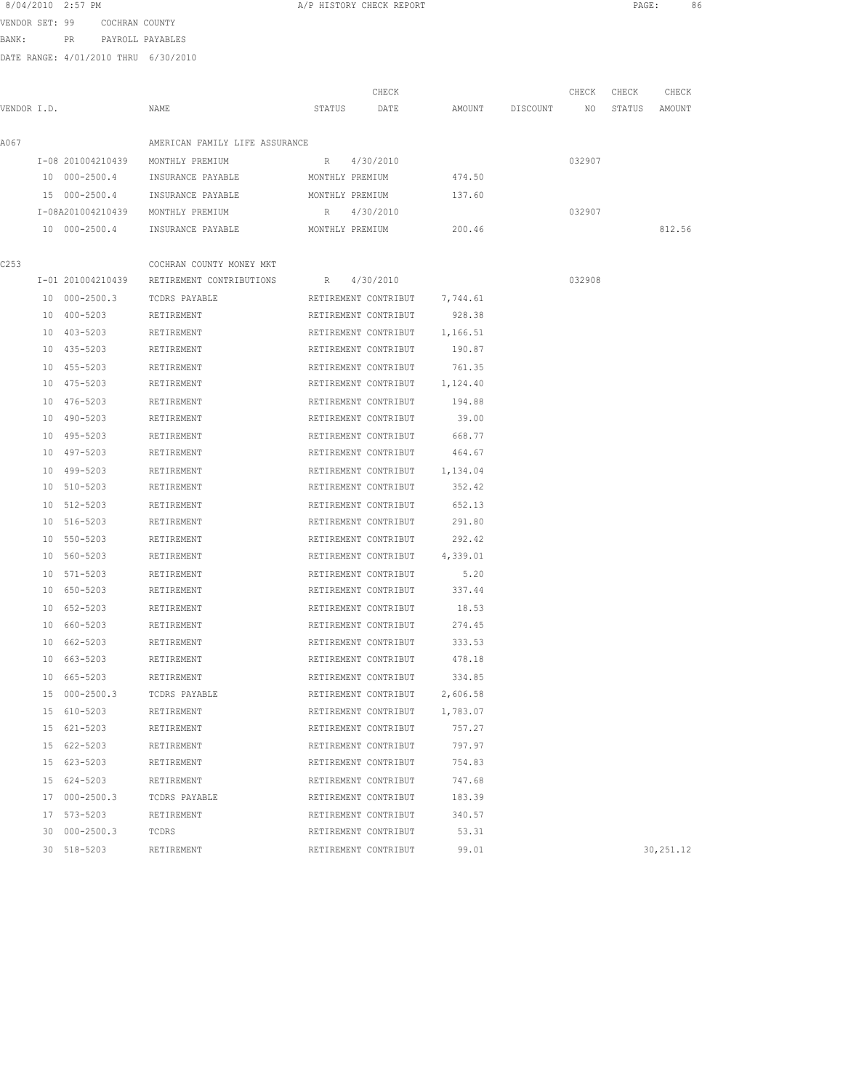| 8/04/2010 2:57 PM |     |                |                  |
|-------------------|-----|----------------|------------------|
| VENDOR SET: 99    |     | COCHRAN COUNTY |                  |
| BANK:             | PR. |                | PAYROLL PAYABLES |

| A/P HISTORY CHECK REPORT |
|--------------------------|
|--------------------------|

|             | DAIN KANGN, 7/01/2010 INKO 0/J0/2010 |                                |        |                 |        |          |        |        |        |
|-------------|--------------------------------------|--------------------------------|--------|-----------------|--------|----------|--------|--------|--------|
|             |                                      |                                |        | CHECK           |        |          | CHECK  | CHECK  | CHECK  |
| VENDOR I.D. |                                      | NAME                           | STATUS | DATE            | AMOUNT | DISCOUNT | NO.    | STATUS | AMOUNT |
| A067        |                                      | AMERICAN FAMILY LIFE ASSURANCE |        |                 |        |          |        |        |        |
|             | I-08 201004210439                    | MONTHLY PREMIUM                | R      | 4/30/2010       |        |          | 032907 |        |        |
|             | 10 000-2500.4                        | INSURANCE PAYABLE              |        | MONTHLY PREMIUM | 474.50 |          |        |        |        |
|             | 15 000-2500.4                        | INSURANCE PAYABLE              |        | MONTHLY PREMIUM | 137.60 |          |        |        |        |
|             | I-08A201004210439                    | MONTHLY PREMIUM                | R      | 4/30/2010       |        |          | 032907 |        |        |
|             | 10 000-2500.4                        | INSURANCE PAYABLE              |        | MONTHLY PREMIUM | 200.46 |          |        |        | 812.56 |
|             |                                      |                                |        |                 |        |          |        |        |        |
| C253        |                                      | COCHRAN COUNTY MONEY MKT       |        |                 |        |          |        |        |        |
|             | I-01 201004210439                    | RETIREMENT CONTRIBUTIONS       | R      | 4/30/2010       |        |          | 032908 |        |        |
|             |                                      |                                |        |                 |        |          |        |        |        |

| C253 |               | COCHRAN COUNTY MONEY MKT                   |                               |          |            |
|------|---------------|--------------------------------------------|-------------------------------|----------|------------|
|      |               | I-01 201004210439 RETIREMENT CONTRIBUTIONS | R 4/30/2010                   |          | 032908     |
|      | 10 000-2500.3 | TCDRS PAYABLE                              | RETIREMENT CONTRIBUT 7,744.61 |          |            |
|      | 10 400-5203   | RETIREMENT                                 | RETIREMENT CONTRIBUT 928.38   |          |            |
|      | 10 403-5203   | RETIREMENT                                 | RETIREMENT CONTRIBUT 1,166.51 |          |            |
|      | 10 435-5203   | RETIREMENT                                 | RETIREMENT CONTRIBUT 190.87   |          |            |
|      | 10 455-5203   | RETIREMENT                                 | RETIREMENT CONTRIBUT          | 761.35   |            |
|      | 10 475-5203   | RETIREMENT                                 | RETIREMENT CONTRIBUT 1,124.40 |          |            |
|      | 10 476-5203   | RETIREMENT                                 | RETIREMENT CONTRIBUT          | 194.88   |            |
|      | 10 490-5203   | RETIREMENT                                 | RETIREMENT CONTRIBUT          | 39.00    |            |
|      | 10 495-5203   | RETIREMENT                                 | RETIREMENT CONTRIBUT          | 668.77   |            |
|      | 10 497-5203   | RETIREMENT                                 | RETIREMENT CONTRIBUT 464.67   |          |            |
|      | 10 499-5203   | RETIREMENT                                 | RETIREMENT CONTRIBUT 1,134.04 |          |            |
|      | 10 510-5203   | RETIREMENT                                 | RETIREMENT CONTRIBUT 352.42   |          |            |
|      | 10 512-5203   | RETIREMENT                                 | RETIREMENT CONTRIBUT          | 652.13   |            |
|      | 10 516-5203   | RETIREMENT                                 | RETIREMENT CONTRIBUT          | 291.80   |            |
|      | 10 550-5203   | RETIREMENT                                 | RETIREMENT CONTRIBUT          | 292.42   |            |
|      | 10 560-5203   | RETIREMENT                                 | RETIREMENT CONTRIBUT 4,339.01 |          |            |
|      | 10 571-5203   | RETIREMENT                                 | RETIREMENT CONTRIBUT          | 5.20     |            |
|      | 10 650-5203   | RETIREMENT                                 | RETIREMENT CONTRIBUT          | 337.44   |            |
|      | 10 652-5203   | RETIREMENT                                 | RETIREMENT CONTRIBUT 18.53    |          |            |
|      | 10 660-5203   | RETIREMENT                                 | RETIREMENT CONTRIBUT          | 274.45   |            |
|      | 10 662-5203   | RETIREMENT                                 | RETIREMENT CONTRIBUT 333.53   |          |            |
|      | 10 663-5203   | RETIREMENT                                 | RETIREMENT CONTRIBUT          | 478.18   |            |
|      | 10 665-5203   | RETIREMENT                                 | RETIREMENT CONTRIBUT          | 334.85   |            |
|      | 15 000-2500.3 | TCDRS PAYABLE                              | RETIREMENT CONTRIBUT          | 2,606.58 |            |
|      | 15 610-5203   | RETIREMENT                                 | RETIREMENT CONTRIBUT 1,783.07 |          |            |
|      | 15 621-5203   | RETIREMENT                                 | RETIREMENT CONTRIBUT          | 757.27   |            |
|      | 15 622-5203   | RETIREMENT                                 | RETIREMENT CONTRIBUT          | 797.97   |            |
|      | 15 623-5203   | RETIREMENT                                 | RETIREMENT CONTRIBUT          | 754.83   |            |
|      | 15 624-5203   | RETIREMENT                                 | RETIREMENT CONTRIBUT          | 747.68   |            |
|      | 17 000-2500.3 | TCDRS PAYABLE                              | RETIREMENT CONTRIBUT          | 183.39   |            |
|      | 17 573-5203   | RETIREMENT                                 | RETIREMENT CONTRIBUT          | 340.57   |            |
|      | 30 000-2500.3 | TCDRS                                      | RETIREMENT CONTRIBUT          | 53.31    |            |
|      | 30 518-5203   | RETIREMENT                                 | RETIREMENT CONTRIBUT          | 99.01    | 30, 251.12 |
|      |               |                                            |                               |          |            |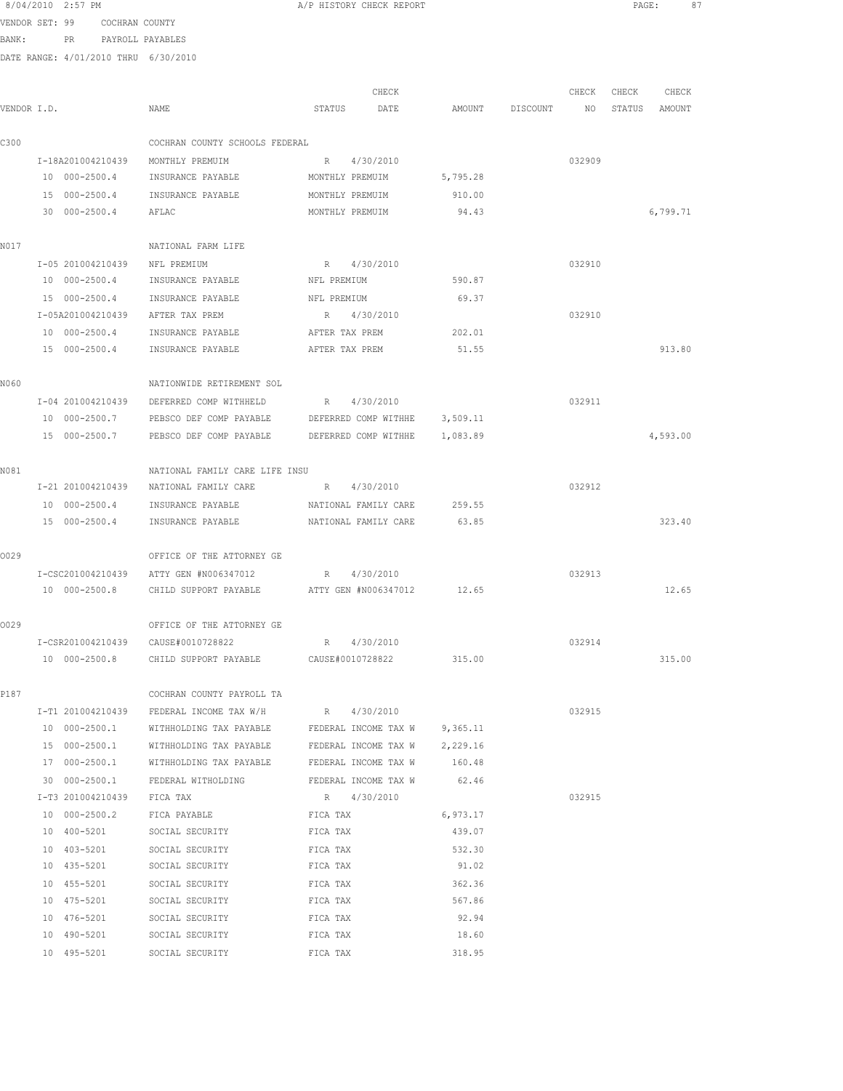|                | 8/04/2010 2:57 PM |                     |                                                                     | A/P HISTORY CHECK REPORT      |                      |          |                                  |        | PAGE:<br>87       |  |
|----------------|-------------------|---------------------|---------------------------------------------------------------------|-------------------------------|----------------------|----------|----------------------------------|--------|-------------------|--|
| VENDOR SET: 99 |                   | COCHRAN COUNTY      |                                                                     |                               |                      |          |                                  |        |                   |  |
| BANK:          |                   |                     | PR PAYROLL PAYABLES                                                 |                               |                      |          |                                  |        |                   |  |
|                |                   |                     | DATE RANGE: 4/01/2010 THRU 6/30/2010                                |                               |                      |          |                                  |        |                   |  |
|                |                   |                     |                                                                     |                               |                      |          |                                  |        |                   |  |
|                |                   |                     |                                                                     |                               | CHECK                |          |                                  |        | CHECK CHECK CHECK |  |
| VENDOR I.D.    |                   |                     | NAME                                                                | STATUS DATE                   |                      |          | AMOUNT DISCOUNT NO STATUS AMOUNT |        |                   |  |
| C300           |                   |                     | COCHRAN COUNTY SCHOOLS FEDERAL                                      |                               |                      |          |                                  |        |                   |  |
|                |                   |                     | I-18A201004210439 MONTHLY PREMUIM                                   | R 4/30/2010                   |                      |          |                                  | 032909 |                   |  |
|                |                   |                     | 10 000-2500.4 INSURANCE PAYABLE                                     | MONTHLY PREMUIM               |                      | 5,795.28 |                                  |        |                   |  |
|                |                   |                     | 15 000-2500.4 INSURANCE PAYABLE                                     | MONTHLY PREMUIM               |                      | 910.00   |                                  |        |                   |  |
|                |                   | 30 000-2500.4 AFLAC |                                                                     | MONTHLY PREMUIM               |                      | 94.43    |                                  |        | 6,799.71          |  |
| N017           |                   |                     | NATIONAL FARM LIFE                                                  |                               |                      |          |                                  |        |                   |  |
|                |                   |                     | I-05 201004210439 NFL PREMIUM                                       | R 4/30/2010                   |                      |          |                                  | 032910 |                   |  |
|                |                   |                     | 10 000-2500.4 INSURANCE PAYABLE                                     | NFL PREMIUM                   |                      | 590.87   |                                  |        |                   |  |
|                |                   |                     | 15 000-2500.4 INSURANCE PAYABLE                                     | NFL PREMIUM                   |                      | 69.37    |                                  |        |                   |  |
|                |                   |                     | I-05A201004210439 AFTER TAX PREM                                    | R 4/30/2010                   |                      |          |                                  | 032910 |                   |  |
|                |                   |                     | 10 000-2500.4 INSURANCE PAYABLE                                     | AFTER TAX PREM                |                      | 202.01   |                                  |        |                   |  |
|                |                   | 15 000-2500.4       | INSURANCE PAYABLE                                                   | AFTER TAX PREM                |                      | 51.55    |                                  |        | 913.80            |  |
|                |                   |                     |                                                                     |                               |                      |          |                                  |        |                   |  |
| N060           |                   |                     | NATIONWIDE RETIREMENT SOL                                           |                               |                      |          |                                  |        |                   |  |
|                |                   |                     | I-04 201004210439 DEFERRED COMP WITHHELD                            | R 4/30/2010                   |                      |          |                                  | 032911 |                   |  |
|                |                   |                     | 10 000-2500.7 PEBSCO DEF COMP PAYABLE DEFERRED COMP WITHHE 3,509.11 |                               |                      |          |                                  |        |                   |  |
|                |                   |                     | 15 000-2500.7 PEBSCO DEF COMP PAYABLE                               | DEFERRED COMP WITHHE 1,083.89 |                      |          |                                  |        | 4,593.00          |  |
| N081           |                   |                     | NATIONAL FAMILY CARE LIFE INSU                                      |                               |                      |          |                                  |        |                   |  |
|                |                   |                     | I-21 201004210439 NATIONAL FAMILY CARE                              | R 4/30/2010                   |                      |          |                                  | 032912 |                   |  |
|                |                   |                     | 10 000-2500.4 INSURANCE PAYABLE                                     |                               | NATIONAL FAMILY CARE | 259.55   |                                  |        |                   |  |
|                |                   |                     | 15 000-2500.4 INSURANCE PAYABLE                                     | NATIONAL FAMILY CARE          |                      | 63.85    |                                  |        | 323.40            |  |
|                |                   |                     |                                                                     |                               |                      |          |                                  |        |                   |  |
| 0029           |                   |                     | OFFICE OF THE ATTORNEY GE                                           |                               |                      |          |                                  |        |                   |  |
|                |                   |                     | I-CSC201004210439 ATTY GEN #N006347012                              | $R_{\rm max}$                 | 4/30/2010            |          |                                  | 032913 |                   |  |
|                |                   |                     | 10 000-2500.8 CHILD SUPPORT PAYABLE ATTY GEN #N006347012 12.65      |                               |                      |          |                                  |        | 12.65             |  |
| 0029           |                   |                     | OFFICE OF THE ATTORNEY GE                                           |                               |                      |          |                                  |        |                   |  |
|                |                   |                     | I-CSR201004210439 CAUSE#0010728822                                  | R 4/30/2010                   |                      |          |                                  | 032914 |                   |  |
|                |                   |                     | 10 000-2500.8 CHILD SUPPORT PAYABLE CAUSE#0010728822 315.00         |                               |                      |          |                                  |        | 315.00            |  |
| P187           |                   |                     | COCHRAN COUNTY PAYROLL TA                                           |                               |                      |          |                                  |        |                   |  |
|                |                   |                     | I-T1 201004210439 FEDERAL INCOME TAX W/H                            | R 4/30/2010                   |                      |          |                                  | 032915 |                   |  |
|                | 10 000-2500.1     |                     | WITHHOLDING TAX PAYABLE                                             | FEDERAL INCOME TAX W 9,365.11 |                      |          |                                  |        |                   |  |
|                |                   |                     | 15 000-2500.1 WITHHOLDING TAX PAYABLE                               | FEDERAL INCOME TAX W 2,229.16 |                      |          |                                  |        |                   |  |
|                |                   |                     | 17 000-2500.1 WITHHOLDING TAX PAYABLE FEDERAL INCOME TAX W          |                               |                      | 160.48   |                                  |        |                   |  |
|                |                   |                     | 30 000-2500.1 FEDERAL WITHOLDING FEDERAL INCOME TAX W 62.46         |                               |                      |          |                                  |        |                   |  |
|                |                   |                     | I-T3 201004210439 FICA TAX                                          | R 4/30/2010                   |                      |          |                                  | 032915 |                   |  |
|                |                   | 10 000-2500.2       | FICA PAYABLE                                                        | FICA TAX                      |                      | 6,973.17 |                                  |        |                   |  |
|                |                   | 10 400-5201         | SOCIAL SECURITY                                                     | FICA TAX                      |                      | 439.07   |                                  |        |                   |  |
|                |                   | 10 403-5201         | SOCIAL SECURITY                                                     | FICA TAX                      |                      | 532.30   |                                  |        |                   |  |
|                |                   | 10 435-5201         | SOCIAL SECURITY                                                     | FICA TAX                      |                      | 91.02    |                                  |        |                   |  |
|                | 10 455-5201       |                     | SOCIAL SECURITY                                                     | FICA TAX                      |                      | 362.36   |                                  |        |                   |  |
|                | 10 475-5201       |                     | SOCIAL SECURITY                                                     | FICA TAX                      |                      | 567.86   |                                  |        |                   |  |
|                | 10 476-5201       |                     | SOCIAL SECURITY                                                     | FICA TAX                      |                      | 92.94    |                                  |        |                   |  |
|                | 10 490-5201       |                     | SOCIAL SECURITY                                                     | FICA TAX                      |                      | 18.60    |                                  |        |                   |  |

10 495-5201 SOCIAL SECURITY FICA TAX 318.95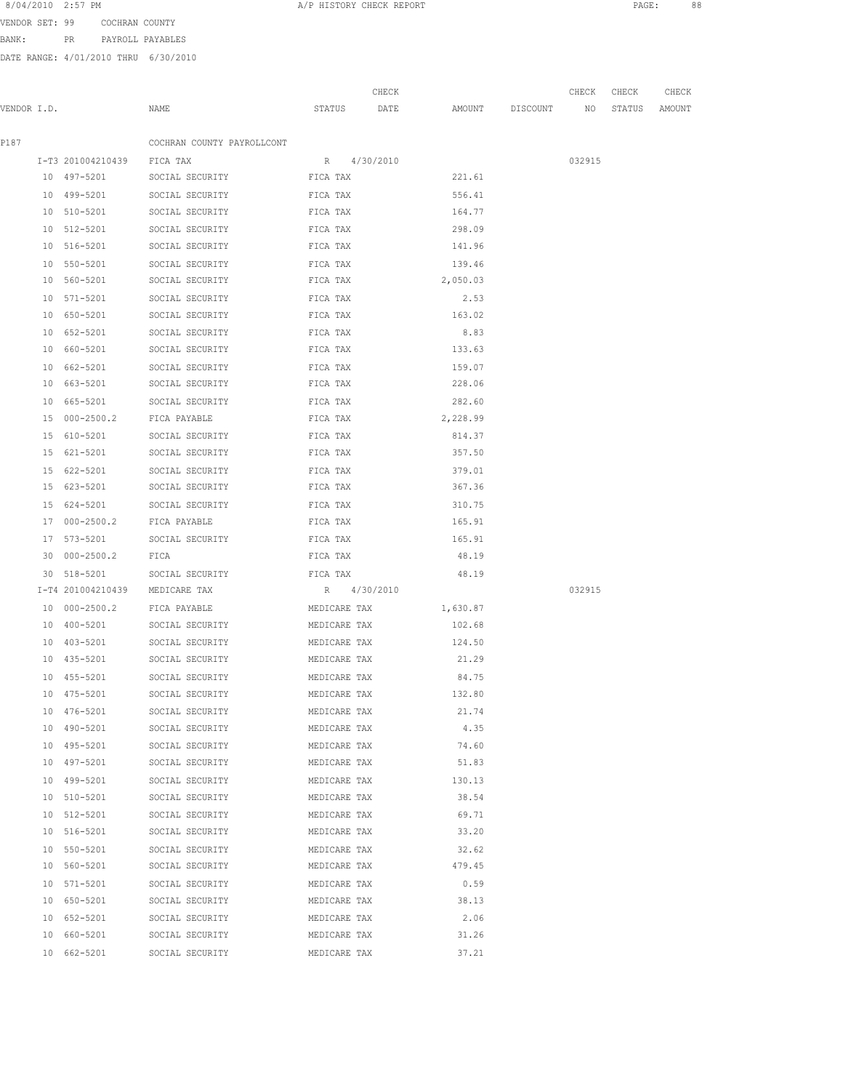VENDOR SET: 99 COCHRAN COUNTY

BANK: PR PAYROLL PAYABLES

| VENDOR I.D. |                              | NAME                                    | STATUS                       | CHECK<br>DATE | AMOUNT DISCOUNT    | CHECK<br>NO | CHECK<br>STATUS | CHECK<br>AMOUNT |
|-------------|------------------------------|-----------------------------------------|------------------------------|---------------|--------------------|-------------|-----------------|-----------------|
|             |                              |                                         |                              |               |                    |             |                 |                 |
| P187        |                              | COCHRAN COUNTY PAYROLLCONT              |                              |               |                    |             |                 |                 |
|             | I-T3 201004210439 FICA TAX   |                                         | R 4/30/2010                  |               |                    | 032915      |                 |                 |
|             |                              | 10 497-5201 SOCIAL SECURITY             | FICA TAX                     |               | 221.61             |             |                 |                 |
|             | 10 499-5201                  | SOCIAL SECURITY                         | FICA TAX                     |               | 556.41             |             |                 |                 |
|             | 10 510-5201                  | SOCIAL SECURITY                         | FICA TAX                     |               | 164.77             |             |                 |                 |
|             | 10 512-5201                  | SOCIAL SECURITY                         | FICA TAX                     |               | 298.09             |             |                 |                 |
|             | 10 516-5201                  | SOCIAL SECURITY                         | FICA TAX                     |               | 141.96             |             |                 |                 |
|             | 10 550-5201                  | SOCIAL SECURITY                         | FICA TAX                     |               | 139.46             |             |                 |                 |
|             |                              | 10 560-5201 SOCIAL SECURITY             | FICA TAX                     |               | 2,050.03           |             |                 |                 |
|             |                              | FICA TAX<br>10 571-5201 SOCIAL SECURITY |                              |               | 2.53               |             |                 |                 |
|             | 10 650-5201                  | FICA TAX<br>SOCIAL SECURITY             |                              |               | 163.02             |             |                 |                 |
|             | 10 652-5201                  | SOCIAL SECURITY FICA TAX                |                              |               | 8.83               |             |                 |                 |
|             |                              | 10 660-5201 SOCIAL SECURITY FICA TAX    |                              |               | 133.63             |             |                 |                 |
|             |                              | 10 662-5201 SOCIAL SECURITY             | FICA TAX                     |               | 159.07             |             |                 |                 |
|             |                              | 10 663-5201 SOCIAL SECURITY             | FICA TAX                     |               | 228.06             |             |                 |                 |
|             | 10 665-5201                  | SOCIAL SECURITY                         | FICA TAX                     |               | 282.60             |             |                 |                 |
|             | 15 000-2500.2                | FICA PAYABLE                            | FICA TAX                     |               | 2,228.99           |             |                 |                 |
|             | 15 610-5201                  | SOCIAL SECURITY                         | FICA TAX                     |               | 814.37             |             |                 |                 |
|             | 15 621-5201                  | SOCIAL SECURITY                         | FICA TAX                     |               | 357.50             |             |                 |                 |
|             | 15 622-5201                  | SOCIAL SECURITY                         | FICA TAX                     |               | 379.01             |             |                 |                 |
|             |                              | 15 623-5201 SOCIAL SECURITY             | FICA TAX                     |               | 367.36             |             |                 |                 |
|             |                              | 15 624-5201 SOCIAL SECURITY FICA TAX    |                              |               | 310.75             |             |                 |                 |
|             |                              | 17 000-2500.2 FICA PAYABLE TICA TAX     |                              |               | 165.91             |             |                 |                 |
|             |                              | 17 573-5201 SOCIAL SECURITY TICA TAX    |                              |               | 165.91             |             |                 |                 |
|             | 30 000-2500.2 FICA           |                                         |                              | FICA TAX      | 48.19              |             |                 |                 |
|             |                              | 30 518-5201 SOCIAL SECURITY             | FICA TAX                     |               | 48.19              |             |                 |                 |
|             |                              | I-T4 201004210439 MEDICARE TAX          | R 4/30/2010                  |               |                    | 032915      |                 |                 |
|             |                              | FICA PAYABLE                            |                              |               |                    |             |                 |                 |
|             | 10 000-2500.2<br>10 400-5201 | SOCIAL SECURITY                         | MEDICARE TAX<br>MEDICARE TAX |               | 1,630.87<br>102.68 |             |                 |                 |
|             |                              |                                         |                              |               |                    |             |                 |                 |
|             | 10 403-5201                  | SOCIAL SECURITY                         | MEDICARE TAX                 |               | 124.50             |             |                 |                 |
|             | 10 435-5201                  | SOCIAL SECURITY                         | MEDICARE TAX                 |               | 21.29              |             |                 |                 |
|             | 10 455-5201                  | SOCIAL SECURITY                         | MEDICARE TAX                 |               | 84.75              |             |                 |                 |
|             | $10 475 - 5201$              | SOCIAL SECURITY                         | MEDICARE TAX                 |               | 132.80             |             |                 |                 |
|             | 10 476-5201                  | SOCIAL SECURITY                         | MEDICARE TAX                 |               | 21.74              |             |                 |                 |
|             | 10 490-5201                  | SOCIAL SECURITY<br>MEDICARE TAX         |                              |               | 4.35               |             |                 |                 |
|             | 10 495-5201                  | SOCIAL SECURITY                         | MEDICARE TAX                 |               | 74.60              |             |                 |                 |
|             | 10 497-5201                  | SOCIAL SECURITY                         | MEDICARE TAX                 |               | 51.83              |             |                 |                 |
|             | 10 499-5201                  | SOCIAL SECURITY                         | MEDICARE TAX                 |               | 130.13             |             |                 |                 |
|             | 10 510-5201                  | SOCIAL SECURITY                         | MEDICARE TAX                 |               | 38.54              |             |                 |                 |
|             | 10 512-5201                  | SOCIAL SECURITY                         | MEDICARE TAX                 |               | 69.71              |             |                 |                 |
|             | 10 516-5201                  | SOCIAL SECURITY                         | MEDICARE TAX                 |               | 33.20              |             |                 |                 |
|             | 10 550-5201                  | SOCIAL SECURITY                         | MEDICARE TAX                 |               | 32.62              |             |                 |                 |
|             | 10 560-5201                  | SOCIAL SECURITY                         | MEDICARE TAX                 |               | 479.45             |             |                 |                 |
|             | 10 571-5201                  | SOCIAL SECURITY                         | MEDICARE TAX                 |               | 0.59               |             |                 |                 |
|             | 10 650-5201                  | SOCIAL SECURITY                         | MEDICARE TAX                 |               | 38.13              |             |                 |                 |
|             | 10 652-5201                  | SOCIAL SECURITY                         | MEDICARE TAX                 |               | 2.06               |             |                 |                 |
|             | 10 660-5201                  | SOCIAL SECURITY                         | MEDICARE TAX                 |               | 31.26              |             |                 |                 |
|             | 10 662-5201                  | SOCIAL SECURITY                         | MEDICARE TAX                 |               | 37.21              |             |                 |                 |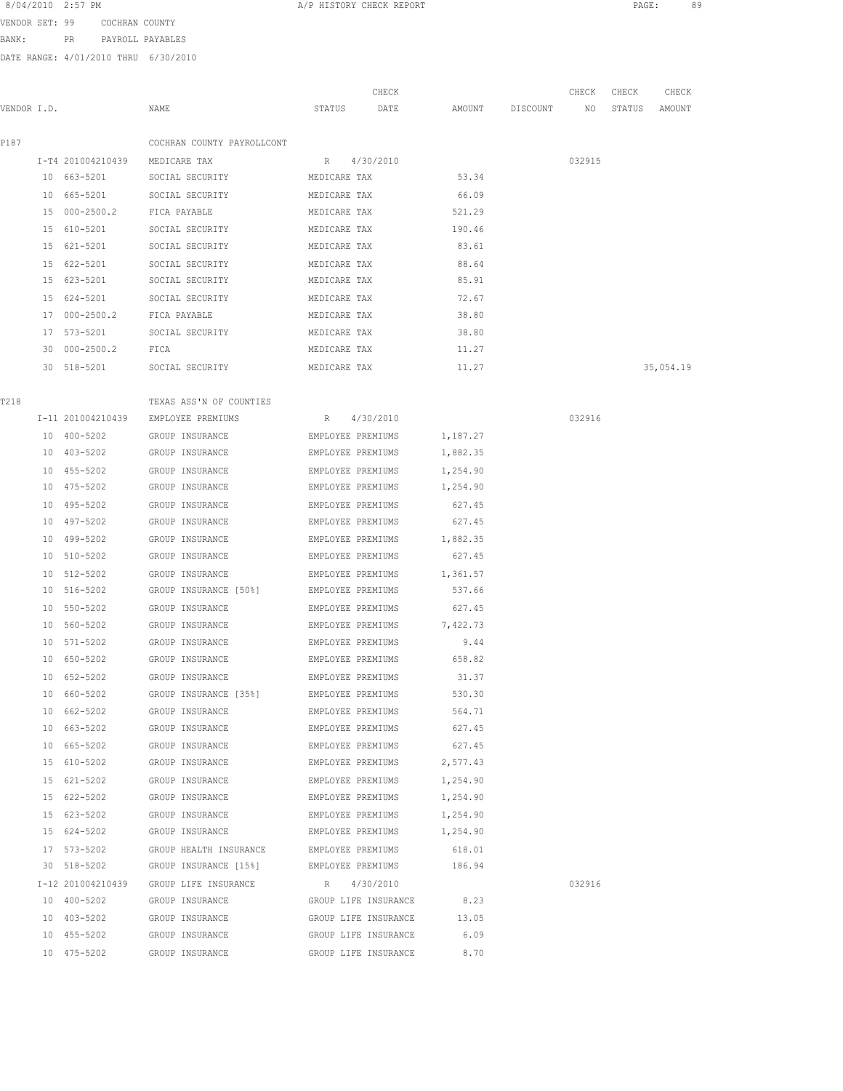| 8/04/2010 2:57 PM |                | A/P HISTORY CHECK REPORT |  | PAGE |  |
|-------------------|----------------|--------------------------|--|------|--|
| VENDOR SET: 99    | COCHRAN COUNTY |                          |  |      |  |

BANK: PR PAYROLL PAYABLES

DATE RANGE: 4/01/2010 THRU 6/30/2010

| CHKAN COUNTY   |  |
|----------------|--|
| YROLL PAYARLES |  |

CHECK CHECK CHECK CHECK VENDOR I.D. NAME STATUS DATE AMOUNT DISCOUNT NO STATUS AMOUNT P187 COCHRAN COUNTY PAYROLLCONT I-T4 201004210439 MEDICARE TAX R 4/30/2010 032915 10 663-5201 SOCIAL SECURITY MEDICARE TAX 53.34 10 665-5201 SOCIAL SECURITY MEDICARE TAX 66.09 15 000-2500.2 FICA PAYABLE MEDICARE TAX 521.29 15 610-5201 SOCIAL SECURITY MEDICARE TAX 190.46 15 621-5201 SOCIAL SECURITY MEDICARE TAX 83.61 15 622-5201 SOCIAL SECURITY MEDICARE TAX 88.64 15 623-5201 SOCIAL SECURITY MEDICARE TAX 85.91 15 624-5201 SOCIAL SECURITY MEDICARE TAX 72.67 17 000-2500.2 FICA PAYABLE MEDICARE TAX 38.80 17 573-5201 SOCIAL SECURITY MEDICARE TAX 38.80 30 000-2500.2 FICA MEDICARE TAX 11.27 30 518-5201 SOCIAL SECURITY MEDICARE TAX 11.27 35,054.19 T<sub>218</sub> TEXAS ASS'N OF COUNTIES I-11 201004210439 EMPLOYEE PREMIUMS R 4/30/2010 032916 10 400-5202 GROUP INSURANCE EMPLOYEE PREMIUMS 1,187.27 10 403-5202 GROUP INSURANCE EMPLOYEE PREMIUMS 1,882.35 10 455-5202 GROUP INSURANCE EMPLOYEE PREMIUMS 1,254.90 10 475-5202 GROUP INSURANCE EMPLOYEE PREMIUMS 1,254.90 10 495-5202 GROUP INSURANCE EMPLOYEE PREMIUMS 627.45 10 497-5202 GROUP INSURANCE EMPLOYEE PREMIUMS 627.45 10 499-5202 GROUP INSURANCE EMPLOYEE PREMIUMS 1,882.35 10 510-5202 GROUP INSURANCE EMPLOYEE PREMIUMS 627.45 10 512-5202 GROUP INSURANCE EMPLOYEE PREMIUMS 1,361.57 10 516-5202 GROUP INSURANCE [50%] EMPLOYEE PREMIUMS 537.66 10 550-5202 GROUP INSURANCE EMPLOYEE PREMIUMS 627.45 10 560-5202 GROUP INSURANCE EMPLOYEE PREMIUMS 7,422.73 10 571-5202 GROUP INSURANCE EMPLOYEE PREMIUMS 9.44 10 650-5202 GROUP INSURANCE EMPLOYEE PREMIUMS 658.82 10 652-5202 GROUP INSURANCE EMPLOYEE PREMIUMS 31.37 10 660-5202 GROUP INSURANCE [35%] EMPLOYEE PREMIUMS 530.30 10 662-5202 GROUP INSURANCE EMPLOYEE PREMIUMS 564.71 10 663-5202 GROUP INSURANCE EMPLOYEE PREMIUMS 627.45 10 665-5202 GROUP INSURANCE EMPLOYEE PREMIUMS 627.45 15 610-5202 GROUP INSURANCE EMPLOYEE PREMIUMS 2,577.43 15 621-5202 GROUP INSURANCE EMPLOYEE PREMIUMS 1,254.90 15 622-5202 GROUP INSURANCE EMPLOYEE PREMIUMS 1,254.90 15 623-5202 GROUP INSURANCE EMPLOYEE PREMIUMS 1,254.90 15 624-5202 GROUP INSURANCE EMPLOYEE PREMIUMS 1,254.90 17 573-5202 GROUP HEALTH INSURANCE EMPLOYEE PREMIUMS 618.01 30 518-5202 GROUP INSURANCE [15%] EMPLOYEE PREMIUMS 186.94 I-12 201004210439 GROUP LIFE INSURANCE R 4/30/2010 032916

 10 400-5202 GROUP INSURANCE GROUP LIFE INSURANCE 8.23 10 403-5202 GROUP INSURANCE GROUP LIFE INSURANCE 13.05 10 455-5202 GROUP INSURANCE GROUP LIFE INSURANCE 6.09 10 475-5202 GROUP INSURANCE GROUP LIFE INSURANCE 8.70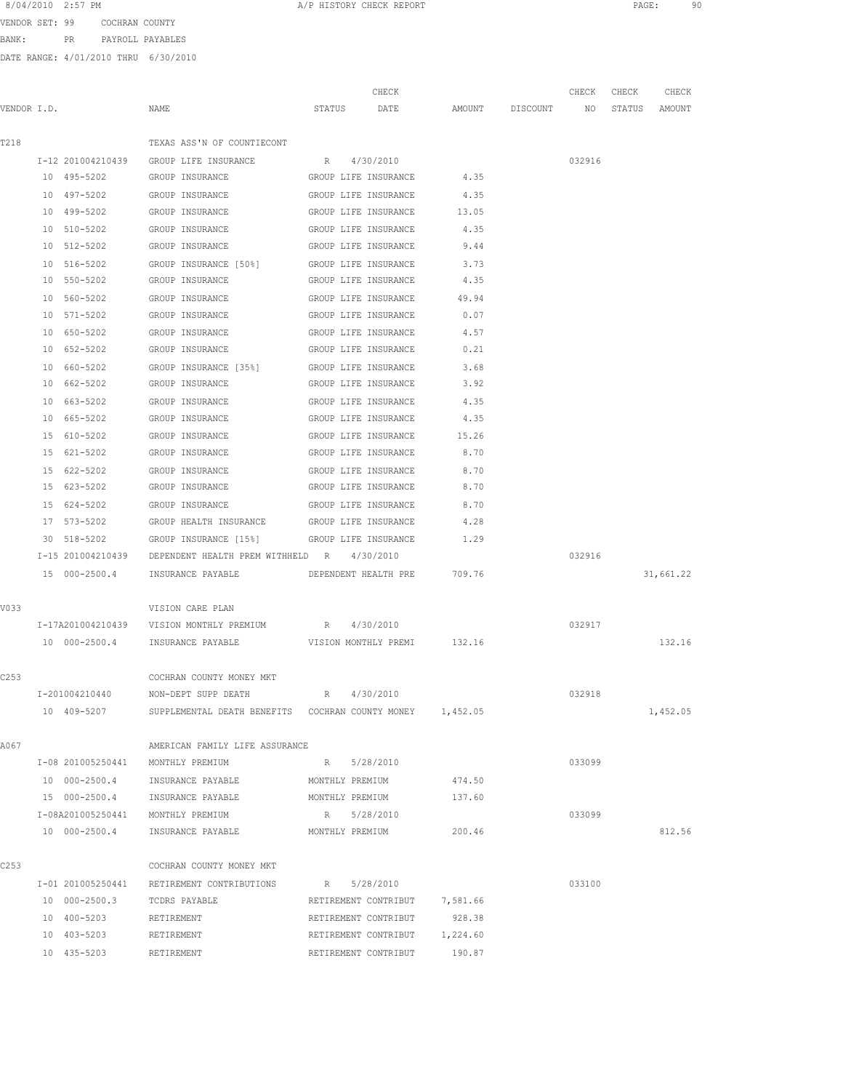VENDOR SET: 99 COCHRAN COUNTY BANK: PR PAYROLL PAYABLES

| VENDOR I.D. |                   | NAME                                                         | CHECK<br>STATUS<br>DATE     | AMOUNT   | DISCOUNT NO | CHECK  | CHECK<br>STATUS | CHECK<br>AMOUNT |
|-------------|-------------------|--------------------------------------------------------------|-----------------------------|----------|-------------|--------|-----------------|-----------------|
| T218        |                   | TEXAS ASS'N OF COUNTIECONT                                   |                             |          |             |        |                 |                 |
|             |                   | I-12 201004210439 GROUP LIFE INSURANCE                       | R 4/30/2010                 |          |             | 032916 |                 |                 |
|             | 10 495-5202       | GROUP INSURANCE                                              | GROUP LIFE INSURANCE        | 4.35     |             |        |                 |                 |
|             | 10 497-5202       | GROUP INSURANCE                                              | GROUP LIFE INSURANCE        | 4.35     |             |        |                 |                 |
|             | 10 499-5202       | GROUP INSURANCE                                              | GROUP LIFE INSURANCE        | 13.05    |             |        |                 |                 |
|             | 10 510-5202       | GROUP INSURANCE                                              | GROUP LIFE INSURANCE        | 4.35     |             |        |                 |                 |
|             | 10 512-5202       | GROUP INSURANCE                                              | GROUP LIFE INSURANCE        | 9.44     |             |        |                 |                 |
|             | 10 516-5202       | GROUP INSURANCE [50%] GROUP LIFE INSURANCE                   |                             | 3.73     |             |        |                 |                 |
|             | 10 550-5202       | GROUP INSURANCE                                              | GROUP LIFE INSURANCE        | 4.35     |             |        |                 |                 |
|             | 10 560-5202       | GROUP INSURANCE                                              | GROUP LIFE INSURANCE        | 49.94    |             |        |                 |                 |
|             | 10 571-5202       | GROUP INSURANCE                                              | GROUP LIFE INSURANCE        | 0.07     |             |        |                 |                 |
|             | 10 650-5202       | GROUP INSURANCE                                              | GROUP LIFE INSURANCE        | 4.57     |             |        |                 |                 |
|             | 10 652-5202       | GROUP INSURANCE                                              | GROUP LIFE INSURANCE        | 0.21     |             |        |                 |                 |
|             | 10 660-5202       | GROUP INSURANCE [35%]                                        | GROUP LIFE INSURANCE        | 3.68     |             |        |                 |                 |
|             | 10 662-5202       | GROUP INSURANCE                                              | GROUP LIFE INSURANCE        | 3.92     |             |        |                 |                 |
|             | 10 663-5202       | GROUP INSURANCE                                              | GROUP LIFE INSURANCE        | 4.35     |             |        |                 |                 |
|             | 10 665-5202       | GROUP INSURANCE                                              | GROUP LIFE INSURANCE        | 4.35     |             |        |                 |                 |
|             | 15 610-5202       | GROUP INSURANCE                                              | GROUP LIFE INSURANCE        | 15.26    |             |        |                 |                 |
|             | 15 621-5202       | GROUP INSURANCE                                              | GROUP LIFE INSURANCE        | 8.70     |             |        |                 |                 |
|             | 15 622-5202       | GROUP INSURANCE                                              | GROUP LIFE INSURANCE        | 8.70     |             |        |                 |                 |
|             | 15 623-5202       | GROUP INSURANCE                                              | GROUP LIFE INSURANCE        | 8.70     |             |        |                 |                 |
|             | 15 624-5202       | GROUP INSURANCE                                              | GROUP LIFE INSURANCE        | 8.70     |             |        |                 |                 |
|             | 17 573-5202       | GROUP HEALTH INSURANCE GROUP LIFE INSURANCE                  |                             | 4.28     |             |        |                 |                 |
|             | 30 518-5202       | GROUP INSURANCE [15%] GROUP LIFE INSURANCE                   |                             | 1.29     |             |        |                 |                 |
|             |                   | I-15 201004210439 DEPENDENT HEALTH PREM WITHHELD R 4/30/2010 |                             |          |             | 032916 |                 |                 |
|             | 15 000-2500.4     | INSURANCE PAYABLE                                            | DEPENDENT HEALTH PRE 709.76 |          |             |        |                 | 31,661.22       |
| V033        |                   | VISION CARE PLAN                                             |                             |          |             |        |                 |                 |
|             |                   | I-17A201004210439 VISION MONTHLY PREMIUM                     | R 4/30/2010                 |          |             | 032917 |                 |                 |
|             |                   | 10 000-2500.4 INSURANCE PAYABLE WISION MONTHLY PREMI 132.16  |                             |          |             |        |                 | 132.16          |
| C253        |                   | COCHRAN COUNTY MONEY MKT                                     |                             |          |             |        |                 |                 |
|             | I-201004210440    | NON-DEPT SUPP DEATH                                          | R 4/30/2010                 |          |             | 032918 |                 |                 |
|             | 10 409-5207       | SUPPLEMENTAL DEATH BENEFITS COCHRAN COUNTY MONEY 1,452.05    |                             |          |             |        |                 | 1,452.05        |
| A067        |                   | AMERICAN FAMILY LIFE ASSURANCE                               |                             |          |             |        |                 |                 |
|             |                   | I-08 201005250441 MONTHLY PREMIUM                            | 5/28/2010<br>R              |          |             | 033099 |                 |                 |
|             | 10 000-2500.4     | INSURANCE PAYABLE                                            | MONTHLY PREMIUM             | 474.50   |             |        |                 |                 |
|             | 15 000-2500.4     | INSURANCE PAYABLE                                            | MONTHLY PREMIUM             | 137.60   |             |        |                 |                 |
|             |                   | I-08A201005250441 MONTHLY PREMIUM                            | R 5/28/2010                 |          |             | 033099 |                 |                 |
|             | 10 000-2500.4     | INSURANCE PAYABLE                                            | MONTHLY PREMIUM             | 200.46   |             |        |                 | 812.56          |
| C253        |                   | COCHRAN COUNTY MONEY MKT                                     |                             |          |             |        |                 |                 |
|             | I-01 201005250441 | RETIREMENT CONTRIBUTIONS                                     | R 5/28/2010                 |          |             | 033100 |                 |                 |
|             | 10 000-2500.3     | TCDRS PAYABLE                                                | RETIREMENT CONTRIBUT        | 7,581.66 |             |        |                 |                 |
|             | 10 400-5203       | RETIREMENT                                                   | RETIREMENT CONTRIBUT        | 928.38   |             |        |                 |                 |
|             | 10 403-5203       | RETIREMENT                                                   | RETIREMENT CONTRIBUT        | 1,224.60 |             |        |                 |                 |
|             | 10 435-5203       | RETIREMENT                                                   | RETIREMENT CONTRIBUT        | 190.87   |             |        |                 |                 |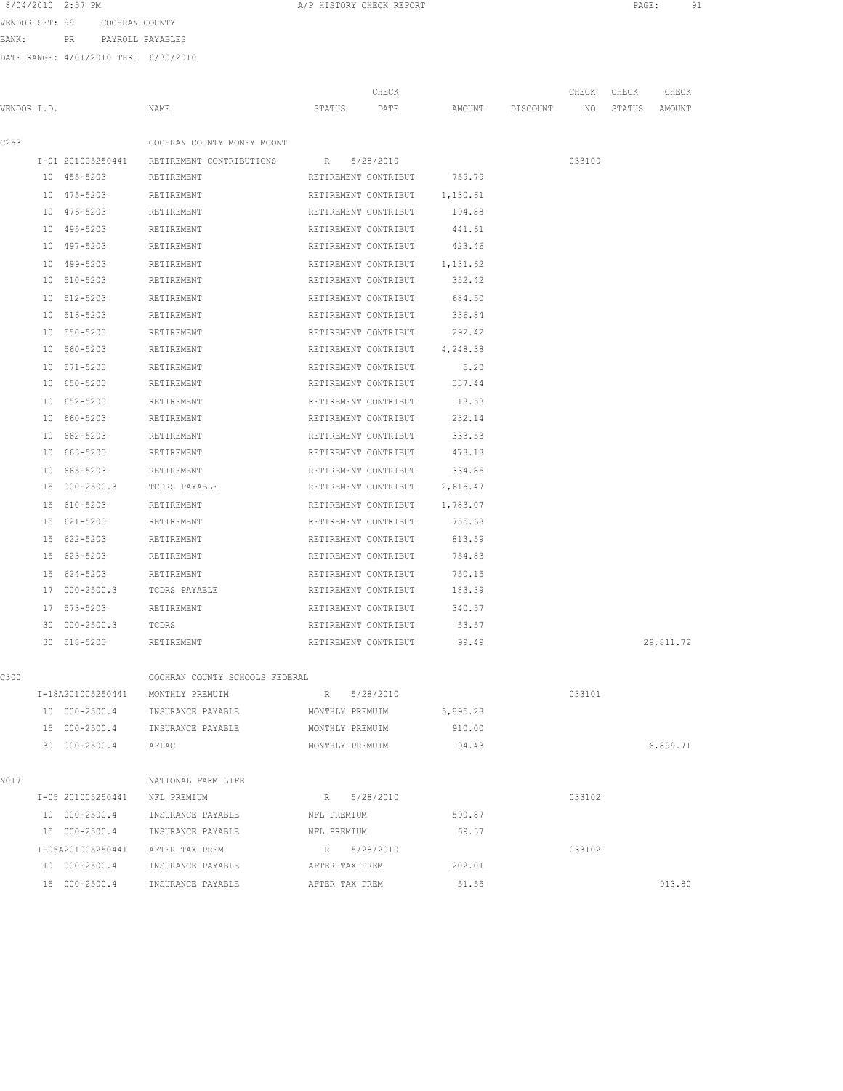VENDOR SET: 99 COCHRAN COUNTY BANK: PR PAYROLL PAYABLES

|             |    |                   |                                                   |                      | CHECK                |          |          | CHECK  | CHECK  | CHECK     |
|-------------|----|-------------------|---------------------------------------------------|----------------------|----------------------|----------|----------|--------|--------|-----------|
| VENDOR I.D. |    |                   | NAME                                              | STATUS               | DATE                 | AMOUNT   | DISCOUNT | NO     | STATUS | AMOUNT    |
|             |    |                   |                                                   |                      |                      |          |          |        |        |           |
| C253        |    |                   | COCHRAN COUNTY MONEY MCONT                        |                      |                      |          |          |        |        |           |
|             |    | I-01 201005250441 | RETIREMENT CONTRIBUTIONS                          | R                    | 5/28/2010            |          |          | 033100 |        |           |
|             |    | 10 455-5203       | RETIREMENT                                        | RETIREMENT CONTRIBUT |                      | 759.79   |          |        |        |           |
|             |    | 10 475-5203       | RETIREMENT                                        |                      | RETIREMENT CONTRIBUT | 1,130.61 |          |        |        |           |
|             |    | 10 476-5203       | RETIREMENT                                        | RETIREMENT CONTRIBUT |                      | 194.88   |          |        |        |           |
|             | 10 | 495-5203          | RETIREMENT                                        | RETIREMENT CONTRIBUT |                      | 441.61   |          |        |        |           |
|             | 10 | 497-5203          | RETIREMENT                                        | RETIREMENT CONTRIBUT |                      | 423.46   |          |        |        |           |
|             |    | 10 499-5203       | RETIREMENT                                        | RETIREMENT CONTRIBUT |                      | 1,131.62 |          |        |        |           |
|             |    | 10 510-5203       | RETIREMENT                                        | RETIREMENT CONTRIBUT |                      | 352.42   |          |        |        |           |
|             |    | 10 512-5203       | RETIREMENT                                        | RETIREMENT CONTRIBUT |                      | 684.50   |          |        |        |           |
|             |    | 10 516-5203       | RETIREMENT                                        | RETIREMENT CONTRIBUT |                      | 336.84   |          |        |        |           |
|             | 10 | 550-5203          | RETIREMENT                                        | RETIREMENT CONTRIBUT |                      | 292.42   |          |        |        |           |
|             |    | 10 560-5203       | RETIREMENT                                        |                      | RETIREMENT CONTRIBUT | 4,248.38 |          |        |        |           |
|             |    | 10 571-5203       | RETIREMENT                                        | RETIREMENT CONTRIBUT |                      | 5.20     |          |        |        |           |
|             |    | 10 650-5203       | RETIREMENT                                        | RETIREMENT CONTRIBUT |                      | 337.44   |          |        |        |           |
|             |    | 10 652-5203       | RETIREMENT                                        | RETIREMENT CONTRIBUT |                      | 18.53    |          |        |        |           |
|             |    | 10 660-5203       | RETIREMENT                                        | RETIREMENT CONTRIBUT |                      | 232.14   |          |        |        |           |
|             | 10 | 662-5203          | RETIREMENT                                        | RETIREMENT CONTRIBUT |                      | 333.53   |          |        |        |           |
|             | 10 | 663-5203          | RETIREMENT                                        | RETIREMENT CONTRIBUT |                      | 478.18   |          |        |        |           |
|             | 10 | 665-5203          | RETIREMENT                                        | RETIREMENT CONTRIBUT |                      | 334.85   |          |        |        |           |
|             |    | 15 000-2500.3     | TCDRS PAYABLE                                     |                      | RETIREMENT CONTRIBUT | 2,615.47 |          |        |        |           |
|             |    | 15 610-5203       | RETIREMENT                                        |                      | RETIREMENT CONTRIBUT | 1,783.07 |          |        |        |           |
|             |    | 15 621-5203       | RETIREMENT                                        | RETIREMENT CONTRIBUT |                      | 755.68   |          |        |        |           |
|             |    | 15 622-5203       | RETIREMENT                                        | RETIREMENT CONTRIBUT |                      | 813.59   |          |        |        |           |
|             |    | 15 623-5203       | RETIREMENT                                        | RETIREMENT CONTRIBUT |                      | 754.83   |          |        |        |           |
|             |    | 15 624-5203       | RETIREMENT                                        | RETIREMENT CONTRIBUT |                      | 750.15   |          |        |        |           |
|             | 17 | $000 - 2500.3$    | TCDRS PAYABLE                                     | RETIREMENT CONTRIBUT |                      | 183.39   |          |        |        |           |
|             | 17 | 573-5203          | RETIREMENT                                        | RETIREMENT CONTRIBUT |                      | 340.57   |          |        |        |           |
|             | 30 | $000 - 2500.3$    | TCDRS                                             | RETIREMENT CONTRIBUT |                      | 53.57    |          |        |        |           |
|             | 30 | 518-5203          | RETIREMENT                                        | RETIREMENT CONTRIBUT |                      | 99.49    |          |        |        | 29,811.72 |
|             |    |                   |                                                   |                      |                      |          |          |        |        |           |
| C300        |    | I-18A201005250441 | COCHRAN COUNTY SCHOOLS FEDERAL<br>MONTHLY PREMUIM | R                    | 5/28/2010            |          |          | 033101 |        |           |
|             |    | 10 000-2500.4     | INSURANCE PAYABLE                                 | MONTHLY PREMUIM      |                      | 5,895.28 |          |        |        |           |
|             |    |                   | 15 000-2500.4 INSURANCE PAYABLE                   | MONTHLY PREMUIM      |                      | 910.00   |          |        |        |           |
|             |    | 30 000-2500.4     | AFLAC                                             | MONTHLY PREMUIM      |                      | 94.43    |          |        |        | 6,899.71  |
|             |    |                   |                                                   |                      |                      |          |          |        |        |           |
| N017        |    |                   | NATIONAL FARM LIFE                                |                      |                      |          |          |        |        |           |
|             |    | I-05 201005250441 | NFL PREMIUM                                       | R                    | 5/28/2010            |          |          | 033102 |        |           |
|             |    | 10 000-2500.4     | INSURANCE PAYABLE                                 | NFL PREMIUM          |                      | 590.87   |          |        |        |           |
|             |    | 15 000-2500.4     | INSURANCE PAYABLE                                 | NFL PREMIUM          |                      | 69.37    |          |        |        |           |
|             |    |                   | I-05A201005250441 AFTER TAX PREM                  | R 5/28/2010          |                      |          |          | 033102 |        |           |
|             |    | 10 000-2500.4     | INSURANCE PAYABLE                                 | AFTER TAX PREM       |                      | 202.01   |          |        |        |           |
|             |    | 15 000-2500.4     | INSURANCE PAYABLE                                 | AFTER TAX PREM       |                      | 51.55    |          |        |        | 913.80    |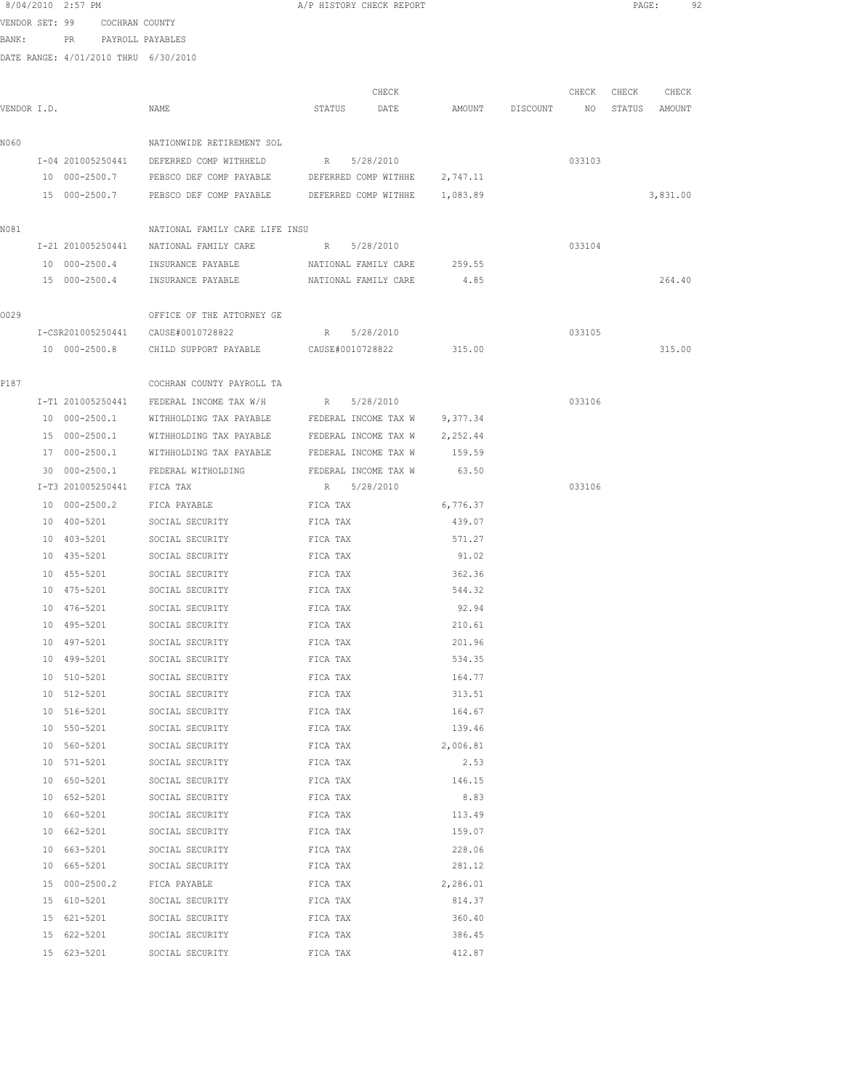|             | 8/04/2010 2:57 PM                    |                                                                     | A/P HISTORY CHECK REPORT      |          |                 |        | PAGE:         |          | 92 |
|-------------|--------------------------------------|---------------------------------------------------------------------|-------------------------------|----------|-----------------|--------|---------------|----------|----|
|             | VENDOR SET: 99 COCHRAN COUNTY        |                                                                     |                               |          |                 |        |               |          |    |
|             | BANK: PR PAYROLL PAYABLES            |                                                                     |                               |          |                 |        |               |          |    |
|             | DATE RANGE: 4/01/2010 THRU 6/30/2010 |                                                                     |                               |          |                 |        |               |          |    |
|             |                                      |                                                                     |                               |          |                 |        |               |          |    |
|             |                                      |                                                                     | CHECK                         |          |                 | CHECK  | CHECK         | CHECK    |    |
| VENDOR I.D. |                                      | NAME                                                                | STATUS DATE                   |          | AMOUNT DISCOUNT | NO     | STATUS AMOUNT |          |    |
| N060        |                                      | NATIONWIDE RETIREMENT SOL                                           |                               |          |                 |        |               |          |    |
|             |                                      | I-04 201005250441 DEFERRED COMP WITHHELD                            | R 5/28/2010                   |          |                 | 033103 |               |          |    |
|             | 10 000-2500.7                        | PEBSCO DEF COMP PAYABLE                                             | DEFERRED COMP WITHHE 2,747.11 |          |                 |        |               |          |    |
|             |                                      | 15 000-2500.7 PEBSCO DEF COMP PAYABLE DEFERRED COMP WITHHE 1,083.89 |                               |          |                 |        |               | 3,831.00 |    |
|             |                                      |                                                                     |                               |          |                 |        |               |          |    |
| N081        |                                      | NATIONAL FAMILY CARE LIFE INSU                                      |                               |          |                 |        |               |          |    |
|             |                                      | I-21 201005250441 NATIONAL FAMILY CARE R 5/28/2010                  |                               |          |                 | 033104 |               |          |    |
|             |                                      | 10 000-2500.4 INSURANCE PAYABLE NATIONAL FAMILY CARE 259.55         |                               |          |                 |        |               |          |    |
|             |                                      | 15 000-2500.4 INSURANCE PAYABLE NATIONAL FAMILY CARE 4.85           |                               |          |                 |        |               | 264.40   |    |
|             |                                      |                                                                     |                               |          |                 |        |               |          |    |
| 0029        |                                      | OFFICE OF THE ATTORNEY GE                                           |                               |          |                 |        |               |          |    |
|             |                                      | I-CSR201005250441 CAUSE#0010728822                                  | R 5/28/2010                   |          |                 | 033105 |               |          |    |
|             |                                      | 10 000-2500.8 CHILD SUPPORT PAYABLE CAUSE#0010728822                |                               | 315.00   |                 |        |               | 315.00   |    |
|             |                                      |                                                                     |                               |          |                 |        |               |          |    |
| P187        |                                      | COCHRAN COUNTY PAYROLL TA                                           |                               |          |                 |        |               |          |    |
|             |                                      | I-T1 201005250441 FEDERAL INCOME TAX W/H R 5/28/2010                |                               |          |                 | 033106 |               |          |    |
|             | 10 000-2500.1                        | WITHHOLDING TAX PAYABLE FEDERAL INCOME TAX W 9,377.34               |                               |          |                 |        |               |          |    |
|             |                                      | 15 000-2500.1 WITHHOLDING TAX PAYABLE FEDERAL INCOME TAX W 2,252.44 |                               |          |                 |        |               |          |    |
|             |                                      | 17 000-2500.1 WITHHOLDING TAX PAYABLE FEDERAL INCOME TAX W 159.59   |                               |          |                 |        |               |          |    |
|             | I-T3 201005250441 FICA TAX           | 30 000-2500.1 FEDERAL WITHOLDING FEDERAL INCOME TAX W               | R 5/28/2010                   | 63.50    |                 | 033106 |               |          |    |
|             | 10 000-2500.2                        | FICA PAYABLE                                                        | FICA TAX                      | 6,776.37 |                 |        |               |          |    |
|             | 10 400-5201                          | SOCIAL SECURITY                                                     | FICA TAX                      | 439.07   |                 |        |               |          |    |
|             | 10 403-5201                          | SOCIAL SECURITY                                                     | FICA TAX                      | 571.27   |                 |        |               |          |    |
|             | 10 435-5201                          | SOCIAL SECURITY                                                     | FICA TAX                      | 91.02    |                 |        |               |          |    |
|             | 10 455-5201                          | SOCIAL SECURITY                                                     | FICA TAX                      | 362.36   |                 |        |               |          |    |
|             | 10 475-5201                          | SOCIAL SECURITY                                                     | FICA TAX                      | 544.32   |                 |        |               |          |    |
|             | 10 476-5201                          | SOCIAL SECURITY                                                     | FICA TAX                      | 92.94    |                 |        |               |          |    |
|             | 10 495-5201                          | SOCIAL SECURITY                                                     | FICA TAX                      | 210.61   |                 |        |               |          |    |
|             |                                      | 10 497-5201 SOCIAL SECURITY                                         | FICA TAX                      | 201.96   |                 |        |               |          |    |
|             | 10 499-5201                          | SOCIAL SECURITY                                                     | FICA TAX                      | 534.35   |                 |        |               |          |    |
|             | 10 510-5201                          | SOCIAL SECURITY                                                     | FICA TAX                      | 164.77   |                 |        |               |          |    |
|             | 10 512-5201                          | SOCIAL SECURITY                                                     | FICA TAX                      | 313.51   |                 |        |               |          |    |
|             | 10 516-5201                          | SOCIAL SECURITY                                                     | FICA TAX                      | 164.67   |                 |        |               |          |    |
|             | 10 550-5201                          | SOCIAL SECURITY                                                     | FICA TAX                      | 139.46   |                 |        |               |          |    |
|             | 10 560-5201                          | SOCIAL SECURITY                                                     | FICA TAX                      | 2,006.81 |                 |        |               |          |    |
|             | 10 571-5201                          | SOCIAL SECURITY                                                     | FICA TAX                      | 2.53     |                 |        |               |          |    |
|             | 10 650-5201                          | SOCIAL SECURITY                                                     | FICA TAX                      | 146.15   |                 |        |               |          |    |
|             | 10 652-5201                          | SOCIAL SECURITY                                                     | FICA TAX                      | 8.83     |                 |        |               |          |    |
|             | 10 660-5201                          | SOCIAL SECURITY                                                     | FICA TAX                      | 113.49   |                 |        |               |          |    |
|             | 10 662-5201                          | SOCIAL SECURITY                                                     | FICA TAX                      | 159.07   |                 |        |               |          |    |
|             | 10 663-5201                          | SOCIAL SECURITY                                                     | FICA TAX                      | 228.06   |                 |        |               |          |    |
|             | 10 665-5201                          | SOCIAL SECURITY                                                     | FICA TAX                      | 281.12   |                 |        |               |          |    |
|             |                                      | 15 000-2500.2 FICA PAYABLE FICA TAX                                 |                               | 2,286.01 |                 |        |               |          |    |
|             | 15 610-5201                          | SOCIAL SECURITY FICA TAX                                            |                               | 814.37   |                 |        |               |          |    |
|             | 15 621-5201                          | SOCIAL SECURITY                                                     | FICA TAX                      | 360.40   |                 |        |               |          |    |
|             | 15 622-5201                          | SOCIAL SECURITY                                                     | FICA TAX                      | 386.45   |                 |        |               |          |    |

15 623-5201 SOCIAL SECURITY FICA TAX 412.87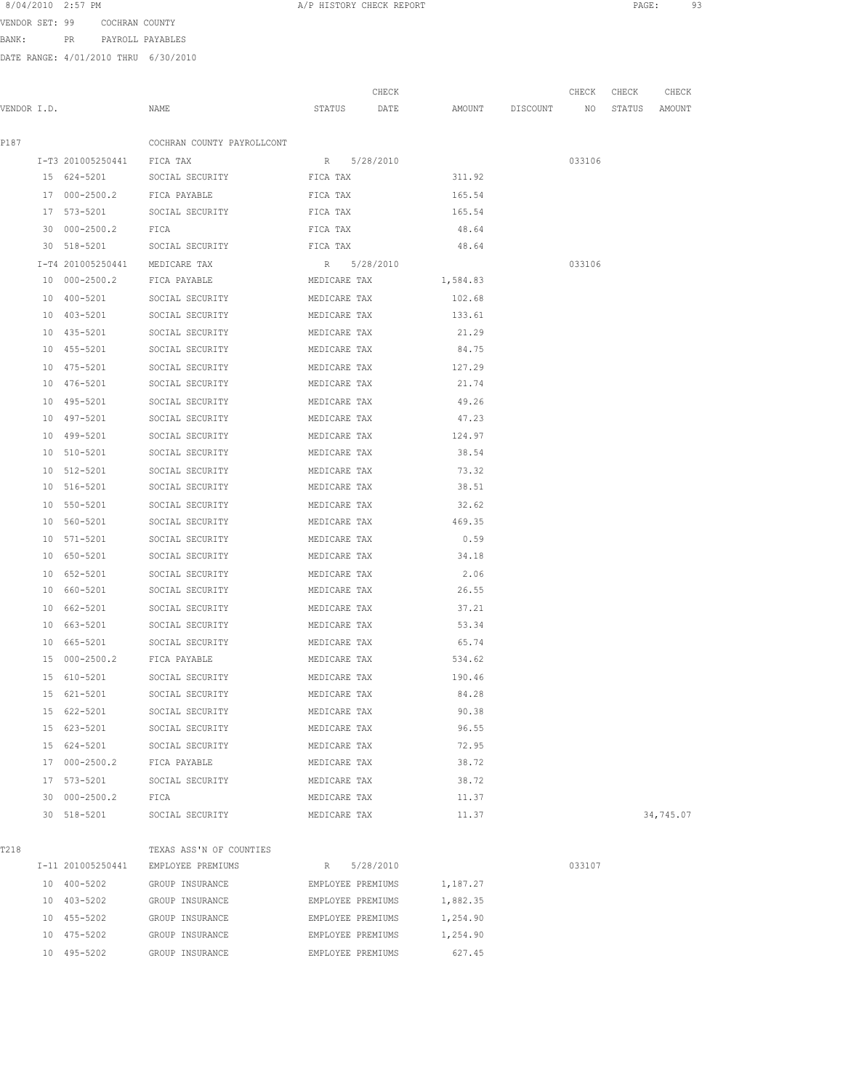| 8/04/2010 | $2:57$ PM |  |
|-----------|-----------|--|
|           |           |  |

A/P HISTORY CHECK REPORT **PAGE:** 93

VENDOR SET: 99 COCHRAN COUNTY BANK: PR PAYROLL PAYABLES

|             |                                |                                        |                   | CHECK     |                                  | CHECK CHECK | CHECK     |
|-------------|--------------------------------|----------------------------------------|-------------------|-----------|----------------------------------|-------------|-----------|
| VENDOR I.D. |                                | NAME                                   | STATUS            | DATE      | AMOUNT DISCOUNT NO STATUS AMOUNT |             |           |
| P187        |                                | COCHRAN COUNTY PAYROLLCONT             |                   |           |                                  |             |           |
|             | I-T3 201005250441 FICA TAX     |                                        | R 5/28/2010       |           |                                  | 033106      |           |
|             |                                | 15 624-5201 SOCIAL SECURITY FICA TAX   |                   |           | 311.92                           |             |           |
|             |                                | 17 000-2500.2 FICA PAYABLE<br>FICA TAX |                   |           | 165.54                           |             |           |
|             |                                | 17 573-5201 SOCIAL SECURITY FICA TAX   |                   |           | 165.54                           |             |           |
|             | 30 000-2500.2 FICA             |                                        | FICA TAX          |           | 48.64                            |             |           |
|             |                                | 30 518-5201 SOCIAL SECURITY            | FICA TAX          |           | 48.64                            |             |           |
|             | I-T4 201005250441 MEDICARE TAX |                                        | R 5/28/2010       |           |                                  | 033106      |           |
|             | 10 000-2500.2 FICA PAYABLE     |                                        | MEDICARE TAX      |           | 1,584.83                         |             |           |
|             | 10 400-5201                    | SOCIAL SECURITY                        | MEDICARE TAX      |           | 102.68                           |             |           |
|             | 10 403-5201                    | SOCIAL SECURITY                        | MEDICARE TAX      |           | 133.61                           |             |           |
|             | 10 435-5201                    | SOCIAL SECURITY                        | MEDICARE TAX      |           | 21.29                            |             |           |
|             | 10 455-5201                    | SOCIAL SECURITY                        | MEDICARE TAX      |           | 84.75                            |             |           |
|             |                                | 10 475-5201 SOCIAL SECURITY            | MEDICARE TAX      |           | 127.29                           |             |           |
|             |                                | 10 476-5201 SOCIAL SECURITY            | MEDICARE TAX      |           | 21.74                            |             |           |
|             | 10 495-5201                    | SOCIAL SECURITY<br>MEDICARE TAX        |                   |           | 49.26                            |             |           |
|             | 10 497-5201                    | SOCIAL SECURITY                        | MEDICARE TAX      |           | 47.23                            |             |           |
|             |                                | 10 499-5201 SOCIAL SECURITY            | MEDICARE TAX      |           | 124.97                           |             |           |
|             |                                | 10 510-5201 SOCIAL SECURITY            | MEDICARE TAX      |           | 38.54                            |             |           |
|             | 10 512-5201                    | SOCIAL SECURITY                        | MEDICARE TAX      |           | 73.32                            |             |           |
|             | 10 516-5201                    | SOCIAL SECURITY                        | MEDICARE TAX      |           | 38.51                            |             |           |
|             | 10 550-5201                    | SOCIAL SECURITY                        | MEDICARE TAX      |           | 32.62                            |             |           |
|             | 10 560-5201                    | SOCIAL SECURITY                        | MEDICARE TAX      |           | 469.35                           |             |           |
|             | 10 571-5201                    | SOCIAL SECURITY                        | MEDICARE TAX      |           | 0.59                             |             |           |
|             | 10 650-5201                    | SOCIAL SECURITY                        | MEDICARE TAX      |           | 34.18                            |             |           |
|             | 10 652-5201                    | SOCIAL SECURITY                        | MEDICARE TAX      |           | 2.06                             |             |           |
|             | 10 660-5201                    | SOCIAL SECURITY                        | MEDICARE TAX      |           | 26.55                            |             |           |
|             | 10 662-5201                    | SOCIAL SECURITY                        | MEDICARE TAX      |           | 37.21                            |             |           |
|             |                                | 10 663-5201 SOCIAL SECURITY            | MEDICARE TAX      |           | 53.34                            |             |           |
|             |                                | 10 665-5201 SOCIAL SECURITY            | MEDICARE TAX      |           | 65.74                            |             |           |
|             |                                | 15 000-2500.2 FICA PAYABLE             | MEDICARE TAX      |           | 534.62                           |             |           |
|             | 15 610-5201                    | SOCIAL SECURITY                        | MEDICARE TAX      |           | 190.46                           |             |           |
|             | 15 621-5201                    | SOCIAL SECURITY                        | MEDICARE TAX      |           | 84.28                            |             |           |
|             | 15 622-5201                    | SOCIAL SECURITY                        | MEDICARE TAX      |           | 90.38                            |             |           |
|             | 15 623-5201                    | SOCIAL SECURITY                        | MEDICARE TAX      |           | 96.55                            |             |           |
|             | 15 624-5201                    | SOCIAL SECURITY                        | MEDICARE TAX      |           | 72.95                            |             |           |
|             | 17 000-2500.2 FICA PAYABLE     |                                        | MEDICARE TAX      |           | 38.72                            |             |           |
|             | 17 573-5201                    | SOCIAL SECURITY                        | MEDICARE TAX      |           | 38.72                            |             |           |
|             | 30 000-2500.2 FICA             |                                        | MEDICARE TAX      |           | 11.37                            |             |           |
|             | 30 518-5201                    | SOCIAL SECURITY                        | MEDICARE TAX      |           | 11.37                            |             | 34,745.07 |
| T218        |                                | TEXAS ASS'N OF COUNTIES                |                   |           |                                  |             |           |
|             |                                | I-11 201005250441 EMPLOYEE PREMIUMS    | R                 | 5/28/2010 |                                  | 033107      |           |
|             | 10 400-5202                    | GROUP INSURANCE                        | EMPLOYEE PREMIUMS |           | 1,187.27                         |             |           |
|             | 10 403-5202                    | GROUP INSURANCE                        | EMPLOYEE PREMIUMS |           | 1,882.35                         |             |           |
|             | 10 455-5202                    | GROUP INSURANCE                        | EMPLOYEE PREMIUMS |           | 1,254.90                         |             |           |
|             | 10 475-5202                    | GROUP INSURANCE                        | EMPLOYEE PREMIUMS |           | 1,254.90                         |             |           |
|             | 10 495-5202                    | GROUP INSURANCE                        | EMPLOYEE PREMIUMS |           | 627.45                           |             |           |
|             |                                |                                        |                   |           |                                  |             |           |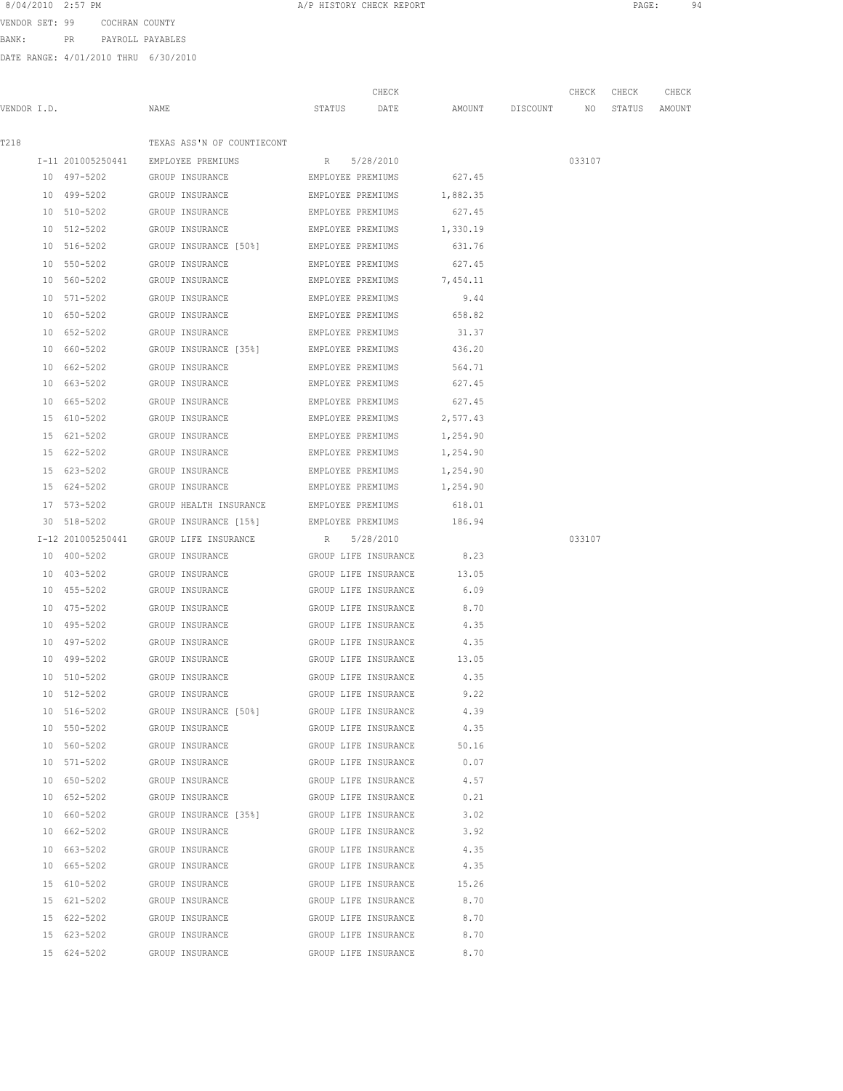VENDOR SET: 99 COCHRAN COUNTY BANK: PR PAYROLL PAYABLES

|             |                   |                                                             | CHECK                     |                    | CHECK  | CHECK         | CHECK |
|-------------|-------------------|-------------------------------------------------------------|---------------------------|--------------------|--------|---------------|-------|
| VENDOR I.D. |                   | NAME                                                        | STATUS DATE               | AMOUNT DISCOUNT NO |        | STATUS AMOUNT |       |
| T218        |                   | TEXAS ASS'N OF COUNTIECONT                                  |                           |                    |        |               |       |
|             |                   | I-11 201005250441 EMPLOYEE PREMIUMS                         | R 5/28/2010               |                    | 033107 |               |       |
|             |                   | 10 497-5202 GROUP INSURANCE <b>EMPLOYEE PREMIUMS</b> 627.45 |                           |                    |        |               |       |
|             |                   | 10 499-5202 GROUP INSURANCE EMPLOYEE PREMIUMS 1,882.35      |                           |                    |        |               |       |
|             |                   | 10 510-5202 GROUP INSURANCE EMPLOYEE PREMIUMS               |                           | 627.45             |        |               |       |
|             | 10 512-5202       | GROUP INSURANCE                                             | EMPLOYEE PREMIUMS         | 1,330.19           |        |               |       |
|             | 10 516-5202       | GROUP INSURANCE [50%] EMPLOYEE PREMIUMS                     |                           | 631.76             |        |               |       |
|             | 10 550-5202       | GROUP INSURANCE                                             | EMPLOYEE PREMIUMS         | 627.45             |        |               |       |
|             | 10 560-5202       | GROUP INSURANCE                                             | EMPLOYEE PREMIUMS         | 7,454.11           |        |               |       |
|             | 10 571-5202       | GROUP INSURANCE                                             | EMPLOYEE PREMIUMS         | 9.44               |        |               |       |
|             | 10 650-5202       | GROUP INSURANCE                                             | EMPLOYEE PREMIUMS         | 658.82             |        |               |       |
|             | 10 652-5202       | GROUP INSURANCE                                             | EMPLOYEE PREMIUMS         | 31.37              |        |               |       |
|             | 10 660-5202       | GROUP INSURANCE [35%] EMPLOYEE PREMIUMS                     |                           | 436.20             |        |               |       |
|             | 10 662-5202       | GROUP INSURANCE                                             | EMPLOYEE PREMIUMS         | 564.71             |        |               |       |
|             | 10 663-5202       | GROUP INSURANCE                                             | EMPLOYEE PREMIUMS         | 627.45             |        |               |       |
|             | 10 665-5202       | GROUP INSURANCE                                             | EMPLOYEE PREMIUMS 627.45  |                    |        |               |       |
|             | 15 610-5202       | GROUP INSURANCE                                             | EMPLOYEE PREMIUMS         | 2,577.43           |        |               |       |
|             | 15 621-5202       | GROUP INSURANCE                                             | EMPLOYEE PREMIUMS         | 1,254.90           |        |               |       |
|             | 15 622-5202       | GROUP INSURANCE                                             | EMPLOYEE PREMIUMS         | 1,254.90           |        |               |       |
|             | 15 623-5202       | GROUP INSURANCE                                             | EMPLOYEE PREMIUMS         | 1,254.90           |        |               |       |
|             | 15 624-5202       | GROUP INSURANCE                                             | EMPLOYEE PREMIUMS         | 1,254.90           |        |               |       |
|             | 17 573-5202       | GROUP HEALTH INSURANCE                                      | EMPLOYEE PREMIUMS         | 618.01             |        |               |       |
|             | 30 518-5202       | GROUP INSURANCE [15%]                                       | EMPLOYEE PREMIUMS         | 186.94             |        |               |       |
|             | I-12 201005250441 | GROUP LIFE INSURANCE                                        | R 5/28/2010               |                    | 033107 |               |       |
|             | 10 400-5202       | GROUP INSURANCE                                             | GROUP LIFE INSURANCE      | 8.23               |        |               |       |
|             | 10 403-5202       | GROUP INSURANCE                                             | GROUP LIFE INSURANCE      | 13.05              |        |               |       |
|             | 10 455-5202       | GROUP INSURANCE                                             | GROUP LIFE INSURANCE      | 6.09               |        |               |       |
|             | 10 475-5202       | GROUP INSURANCE                                             | GROUP LIFE INSURANCE      | 8.70               |        |               |       |
|             | 10 495-5202       | GROUP INSURANCE                                             | GROUP LIFE INSURANCE      | 4.35               |        |               |       |
|             | 10 497-5202       | GROUP INSURANCE                                             | GROUP LIFE INSURANCE 4.35 |                    |        |               |       |
|             | 10 499-5202       | GROUP INSURANCE                                             | GROUP LIFE INSURANCE      | 13.05              |        |               |       |
|             | 10 510-5202       | GROUP INSURANCE                                             | GROUP LIFE INSURANCE      | 4.35               |        |               |       |
|             | 10 512-5202       | GROUP INSURANCE                                             | GROUP LIFE INSURANCE      | 9.22               |        |               |       |
|             | 10 516-5202       | GROUP INSURANCE [50%] GROUP LIFE INSURANCE                  |                           | 4.39               |        |               |       |
|             | 10 550-5202       | GROUP INSURANCE                                             | GROUP LIFE INSURANCE      | 4.35               |        |               |       |
|             | 10 560-5202       | GROUP INSURANCE                                             | GROUP LIFE INSURANCE      | 50.16              |        |               |       |
|             |                   | 10 571-5202 GROUP INSURANCE GROUP LIFE INSURANCE            |                           | 0.07               |        |               |       |
|             |                   | 10 650-5202 GROUP INSURANCE GROUP LIFE INSURANCE 4.57       |                           |                    |        |               |       |
|             |                   | 10 652-5202 GROUP INSURANCE GROUP GROUP LIFE INSURANCE 0.21 |                           |                    |        |               |       |
|             |                   | 10 660-5202 GROUP INSURANCE [35%] GROUP LIFE INSURANCE 3.02 |                           |                    |        |               |       |
|             |                   | 10 662-5202 GROUP INSURANCE GROUP LIFE INSURANCE 3.92       |                           |                    |        |               |       |
|             |                   | 10 663-5202 GROUP INSURANCE GROUP LIFE INSURANCE 4.35       |                           |                    |        |               |       |
|             |                   | 10 665-5202 GROUP INSURANCE GROUP LIFE INSURANCE 4.35       |                           |                    |        |               |       |
|             |                   | 15 610-5202 GROUP INSURANCE GROUP LIFE INSURANCE 15.26      |                           |                    |        |               |       |
|             | 15 621-5202       | GROUP INSURANCE                                             | GROUP LIFE INSURANCE      | 8.70               |        |               |       |
|             | 15 622-5202       | GROUP INSURANCE                                             | GROUP LIFE INSURANCE      | 8.70               |        |               |       |
|             | 15 623-5202       | GROUP INSURANCE                                             | GROUP LIFE INSURANCE      | 8.70               |        |               |       |
|             |                   | 15 624-5202 GROUP INSURANCE GROUP LIFE INSURANCE 8.70       |                           |                    |        |               |       |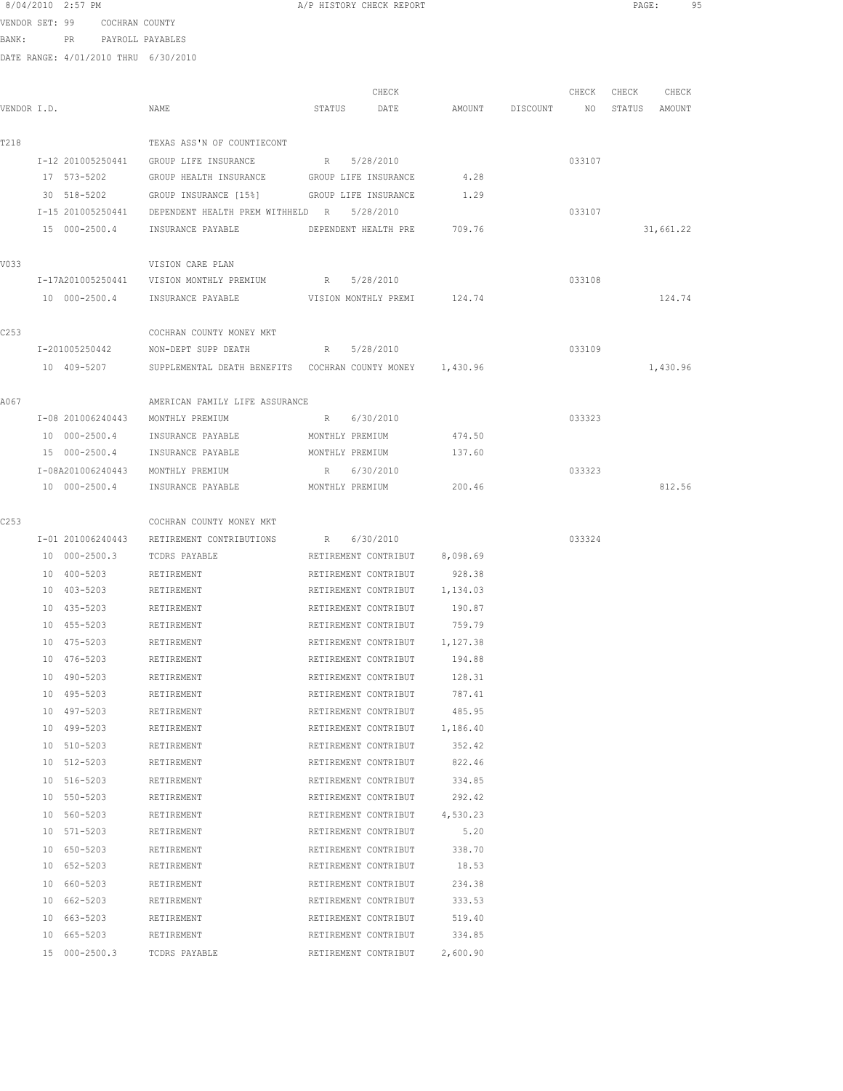| 8/04/2010 2:57 PM |  |                |  |
|-------------------|--|----------------|--|
| VENDOR SET: 99    |  | COCHRAN COUNTY |  |

BANK: PR PAYROLL PAYABLES

DATE RANGE: 4/01/2010 THRU 6/30/2010

|             |                                       |                                                                       |        | CHECK                                                      |          |          | CHECK  | CHECK         | CHECK     |
|-------------|---------------------------------------|-----------------------------------------------------------------------|--------|------------------------------------------------------------|----------|----------|--------|---------------|-----------|
| VENDOR I.D. |                                       | NAME                                                                  | STATUS | DATE                                                       | AMOUNT   | DISCOUNT | NO     | STATUS AMOUNT |           |
|             |                                       | TEXAS ASS'N OF COUNTIECONT                                            |        |                                                            |          |          |        |               |           |
| T218        |                                       | I-12 201005250441 GROUP LIFE INSURANCE R 5/28/2010                    |        |                                                            |          |          | 033107 |               |           |
|             | 17 573-5202                           | GROUP HEALTH INSURANCE GROUP LIFE INSURANCE                           |        |                                                            | 4.28     |          |        |               |           |
|             | 30 518-5202                           | GROUP INSURANCE [15%] GROUP LIFE INSURANCE                            |        |                                                            | 1.29     |          |        |               |           |
|             |                                       | I-15 201005250441 DEPENDENT HEALTH PREM WITHHELD R 5/28/2010          |        |                                                            |          |          | 033107 |               |           |
|             |                                       | 15 000-2500.4 INSURANCE PAYABLE                                       |        | DEPENDENT HEALTH PRE                                       | 709.76   |          |        |               | 31,661.22 |
|             |                                       |                                                                       |        |                                                            |          |          |        |               |           |
| V033        |                                       | VISION CARE PLAN                                                      |        |                                                            |          |          |        |               |           |
|             |                                       | I-17A201005250441 VISION MONTHLY PREMIUM R 5/28/2010                  |        |                                                            |          |          | 033108 |               |           |
|             |                                       | 10 000-2500.4 INSURANCE PAYABLE WISION MONTHLY PREMI 124.74           |        |                                                            |          |          |        |               | 124.74    |
| C253        |                                       | COCHRAN COUNTY MONEY MKT                                              |        |                                                            |          |          |        |               |           |
|             |                                       | I-201005250442 NON-DEPT SUPP DEATH                                    |        | R 5/28/2010                                                |          |          | 033109 |               |           |
|             |                                       | 10 409-5207 SUPPLEMENTAL DEATH BENEFITS COCHRAN COUNTY MONEY 1,430.96 |        |                                                            |          |          |        |               | 1,430.96  |
|             |                                       |                                                                       |        |                                                            |          |          |        |               |           |
| A067        |                                       | AMERICAN FAMILY LIFE ASSURANCE                                        |        |                                                            |          |          |        |               |           |
|             |                                       | I-08 201006240443 MONTHLY PREMIUM                                     |        | R 6/30/2010                                                |          |          | 033323 |               |           |
|             | 10 000-2500.4                         | INSURANCE PAYABLE                                                     |        | MONTHLY PREMIUM                                            | 474.50   |          |        |               |           |
|             | 15 000-2500.4                         | INSURANCE PAYABLE                                                     |        | MONTHLY PREMIUM                                            | 137.60   |          |        |               |           |
|             |                                       | I-08A201006240443 MONTHLY PREMIUM                                     |        | R 6/30/2010                                                |          |          | 033323 |               |           |
|             | 10 000-2500.4                         | INSURANCE PAYABLE                                                     |        | MONTHLY PREMIUM                                            | 200.46   |          |        |               | 812.56    |
|             |                                       |                                                                       |        |                                                            |          |          |        |               |           |
| C253        |                                       | COCHRAN COUNTY MONEY MKT                                              |        |                                                            |          |          |        |               |           |
|             |                                       | I-01 201006240443 RETIREMENT CONTRIBUTIONS R 6/30/2010                |        |                                                            |          |          | 033324 |               |           |
|             | 10 000-2500.3                         | TCDRS PAYABLE                                                         |        | RETIREMENT CONTRIBUT 8,098.69                              |          |          |        |               |           |
|             | 10 400-5203                           | RETIREMENT                                                            |        | RETIREMENT CONTRIBUT                                       | 928.38   |          |        |               |           |
|             | 10 403-5203                           | RETIREMENT                                                            |        | RETIREMENT CONTRIBUT 1,134.03                              |          |          |        |               |           |
|             | 10 435-5203                           | RETIREMENT                                                            |        | RETIREMENT CONTRIBUT                                       | 190.87   |          |        |               |           |
|             | 10 455-5203                           | RETIREMENT                                                            |        | RETIREMENT CONTRIBUT                                       | 759.79   |          |        |               |           |
|             | 10 475-5203                           | RETIREMENT                                                            |        | RETIREMENT CONTRIBUT                                       | 1,127.38 |          |        |               |           |
|             | 10 476-5203                           | RETIREMENT                                                            |        | RETIREMENT CONTRIBUT                                       | 194.88   |          |        |               |           |
|             | 10 490-5203                           | RETIREMENT                                                            |        | RETIREMENT CONTRIBUT                                       | 128.31   |          |        |               |           |
|             | 10 495-5203                           | RETIREMENT                                                            |        | RETIREMENT CONTRIBUT                                       | 787.41   |          |        |               |           |
|             | 10 497-5203                           | RETIREMENT                                                            |        | RETIREMENT CONTRIBUT 485.95                                |          |          |        |               |           |
|             | 10 499-5203 RETIREMENT                |                                                                       |        | RETIREMENT CONTRIBUT 1,186.40                              |          |          |        |               |           |
|             | 10 510-5203 RETIREMENT<br>10 512-5203 | RETIREMENT                                                            |        | RETIREMENT CONTRIBUT 352.42<br>RETIREMENT CONTRIBUT 822.46 |          |          |        |               |           |
|             | 10 516-5203                           | RETIREMENT                                                            |        | RETIREMENT CONTRIBUT 334.85                                |          |          |        |               |           |
|             | 10 550-5203                           | RETIREMENT                                                            |        | RETIREMENT CONTRIBUT 292.42                                |          |          |        |               |           |
|             | 10 560-5203                           | RETIREMENT                                                            |        | RETIREMENT CONTRIBUT 4,530.23                              |          |          |        |               |           |
|             | 10 571-5203                           | RETIREMENT                                                            |        | RETIREMENT CONTRIBUT 5.20                                  |          |          |        |               |           |
|             | 10 650-5203                           | RETIREMENT                                                            |        | RETIREMENT CONTRIBUT                                       | 338.70   |          |        |               |           |
|             | 10 652-5203                           | RETIREMENT                                                            |        | RETIREMENT CONTRIBUT                                       | 18.53    |          |        |               |           |
|             | 10 660-5203                           | RETIREMENT                                                            |        | RETIREMENT CONTRIBUT                                       | 234.38   |          |        |               |           |
|             | 10 662-5203                           | RETIREMENT                                                            |        | RETIREMENT CONTRIBUT                                       | 333.53   |          |        |               |           |
|             | 10 663-5203                           | RETIREMENT                                                            |        | RETIREMENT CONTRIBUT 519.40                                |          |          |        |               |           |
|             | 10 665-5203                           | RETIREMENT                                                            |        | RETIREMENT CONTRIBUT                                       | 334.85   |          |        |               |           |
|             | 15 000-2500.3                         | TCDRS PAYABLE                                                         |        | RETIREMENT CONTRIBUT                                       | 2,600.90 |          |        |               |           |

A/P HISTORY CHECK REPORT **PAGE:** 95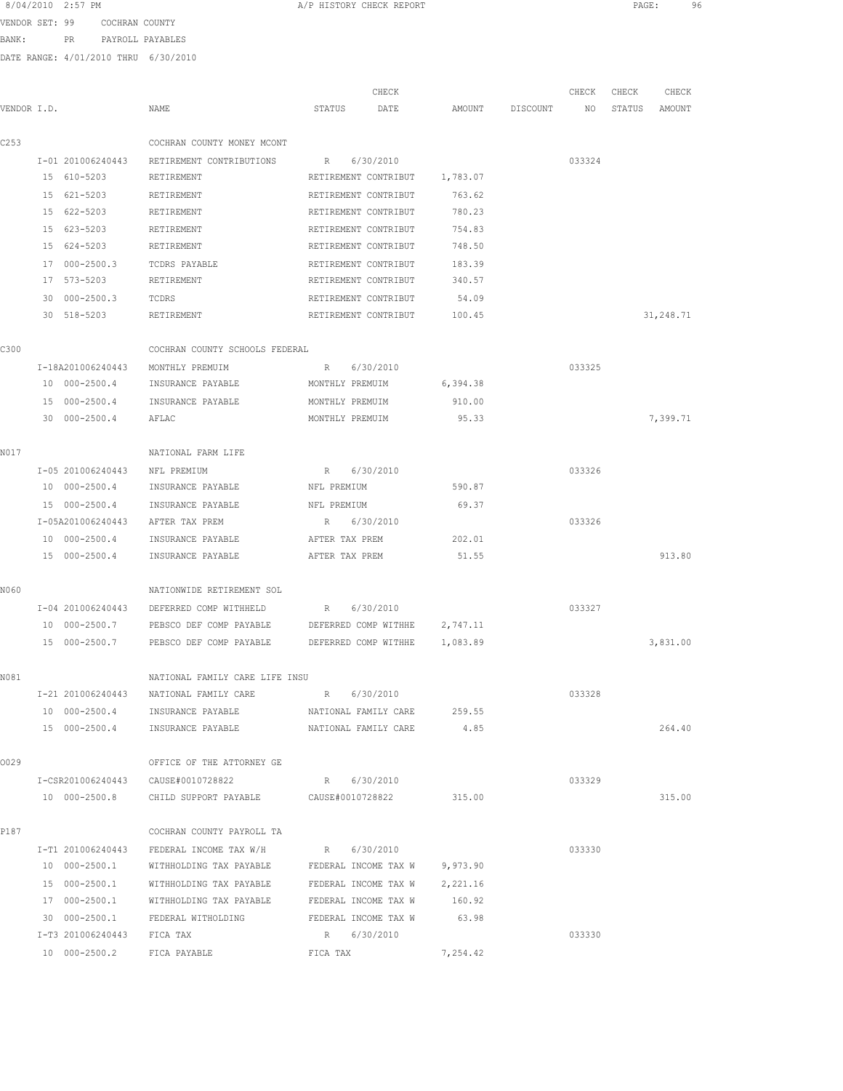| 8/04/2010 2:57 PM |     |                  |  |
|-------------------|-----|------------------|--|
| VENDOR SET: 99    |     | COCHRAN COUNTY   |  |
| BANK:             | PR. | PAYROLL PAYABLES |  |
|                   |     |                  |  |

A/P HISTORY CHECK REPORT PAGE: 96

| VENDOR I.D. |                            | NAME                                                                         | CHECK<br>STATUS<br>DATE                      | AMOUNT   | DISCOUNT | CHECK<br>ΝO | CHECK<br>STATUS | CHECK<br>AMOUNT |
|-------------|----------------------------|------------------------------------------------------------------------------|----------------------------------------------|----------|----------|-------------|-----------------|-----------------|
|             |                            |                                                                              |                                              |          |          |             |                 |                 |
| C253        |                            | COCHRAN COUNTY MONEY MCONT                                                   |                                              |          |          |             |                 |                 |
|             | I-01 201006240443          | RETIREMENT CONTRIBUTIONS                                                     | 6/30/2010<br>R                               |          |          | 033324      |                 |                 |
|             | 15 610-5203                | RETIREMENT                                                                   | RETIREMENT CONTRIBUT                         | 1,783.07 |          |             |                 |                 |
|             | 15 621-5203                | RETIREMENT                                                                   | RETIREMENT CONTRIBUT                         | 763.62   |          |             |                 |                 |
|             | 15 622-5203                | RETIREMENT                                                                   | RETIREMENT CONTRIBUT                         | 780.23   |          |             |                 |                 |
|             | 15 623-5203                | RETIREMENT                                                                   | RETIREMENT CONTRIBUT                         | 754.83   |          |             |                 |                 |
|             | 15 624-5203                | RETIREMENT                                                                   | RETIREMENT CONTRIBUT                         | 748.50   |          |             |                 |                 |
|             | 17 000-2500.3              | TCDRS PAYABLE                                                                | RETIREMENT CONTRIBUT                         | 183.39   |          |             |                 |                 |
|             | 17 573-5203                | RETIREMENT                                                                   | RETIREMENT CONTRIBUT                         | 340.57   |          |             |                 |                 |
|             | 30 000-2500.3              | TCDRS                                                                        | RETIREMENT CONTRIBUT                         | 54.09    |          |             |                 |                 |
|             | 30 518-5203                | RETIREMENT                                                                   | RETIREMENT CONTRIBUT                         | 100.45   |          |             |                 | 31,248.71       |
| C300        |                            | COCHRAN COUNTY SCHOOLS FEDERAL                                               |                                              |          |          |             |                 |                 |
|             | I-18A201006240443          | MONTHLY PREMUIM                                                              | 6/30/2010<br>R                               |          |          | 033325      |                 |                 |
|             | 10 000-2500.4              | INSURANCE PAYABLE                                                            | MONTHLY PREMUIM                              | 6,394.38 |          |             |                 |                 |
|             | 15 000-2500.4              | INSURANCE PAYABLE                                                            | MONTHLY PREMUIM                              | 910.00   |          |             |                 |                 |
|             | 30 000-2500.4              | AFLAC                                                                        | MONTHLY PREMUIM                              | 95.33    |          |             |                 | 7,399.71        |
| N017        |                            | NATIONAL FARM LIFE                                                           |                                              |          |          |             |                 |                 |
|             | I-05 201006240443          | NFL PREMIUM                                                                  | 6/30/2010<br>R                               |          |          | 033326      |                 |                 |
|             | 10 000-2500.4              | INSURANCE PAYABLE                                                            | NFL PREMIUM                                  | 590.87   |          |             |                 |                 |
|             | 15 000-2500.4              | INSURANCE PAYABLE                                                            | NFL PREMIUM                                  | 69.37    |          |             |                 |                 |
|             | I-05A201006240443          | AFTER TAX PREM                                                               | 6/30/2010<br>R                               |          |          | 033326      |                 |                 |
|             | 10 000-2500.4              | INSURANCE PAYABLE                                                            | AFTER TAX PREM                               | 202.01   |          |             |                 |                 |
|             | 15 000-2500.4              | INSURANCE PAYABLE                                                            | AFTER TAX PREM                               | 51.55    |          |             |                 | 913.80          |
| N060        |                            | NATIONWIDE RETIREMENT SOL                                                    |                                              |          |          |             |                 |                 |
|             | I-04 201006240443          | DEFERRED COMP WITHHELD                                                       | 6/30/2010<br>R                               |          |          | 033327      |                 |                 |
|             | 10 000-2500.7              | PEBSCO DEF COMP PAYABLE                                                      | DEFERRED COMP WITHHE                         | 2,747.11 |          |             |                 |                 |
|             | 15 000-2500.7              | PEBSCO DEF COMP PAYABLE                                                      | DEFERRED COMP WITHHE                         | 1,083.89 |          |             |                 | 3,831.00        |
| N081        |                            | NATIONAL FAMILY CARE LIFE INSU                                               |                                              |          |          |             |                 |                 |
|             | I-21 201006240443          | NATIONAL FAMILY CARE                                                         | 6/30/2010<br>R                               |          |          | 033328      |                 |                 |
|             | 10 000-2500.4              |                                                                              |                                              | 259.55   |          |             |                 |                 |
|             | 15 000-2500.4              | INSURANCE PAYABLE<br>INSURANCE PAYABLE                                       | NATIONAL FAMILY CARE<br>NATIONAL FAMILY CARE | 4.85     |          |             |                 | 264.40          |
|             |                            |                                                                              |                                              |          |          |             |                 |                 |
| 0029        |                            | OFFICE OF THE ATTORNEY GE                                                    |                                              |          |          |             |                 |                 |
|             | 10 000-2500.8              | I-CSR201006240443 CAUSE#0010728822<br>CHILD SUPPORT PAYABLE CAUSE#0010728822 | R 6/30/2010                                  | 315.00   |          | 033329      |                 | 315.00          |
|             |                            |                                                                              |                                              |          |          |             |                 |                 |
| P187        |                            | COCHRAN COUNTY PAYROLL TA                                                    |                                              |          |          |             |                 |                 |
|             | I-T1 201006240443          | FEDERAL INCOME TAX W/H                                                       | R 6/30/2010                                  |          |          | 033330      |                 |                 |
|             |                            | 10 000-2500.1 WITHHOLDING TAX PAYABLE FEDERAL INCOME TAX W 9,973.90          |                                              |          |          |             |                 |                 |
|             |                            | 15 000-2500.1 WITHHOLDING TAX PAYABLE FEDERAL INCOME TAX W 2,221.16          |                                              |          |          |             |                 |                 |
|             |                            | 17 000-2500.1 WITHHOLDING TAX PAYABLE FEDERAL INCOME TAX W                   |                                              | 160.92   |          |             |                 |                 |
|             | 30 000-2500.1              | FEDERAL WITHOLDING                                                           | FEDERAL INCOME TAX W                         | 63.98    |          |             |                 |                 |
|             | I-T3 201006240443 FICA TAX |                                                                              | R 6/30/2010                                  |          |          | 033330      |                 |                 |
|             | 10 000-2500.2              | FICA PAYABLE                                                                 | FICA TAX                                     | 7,254.42 |          |             |                 |                 |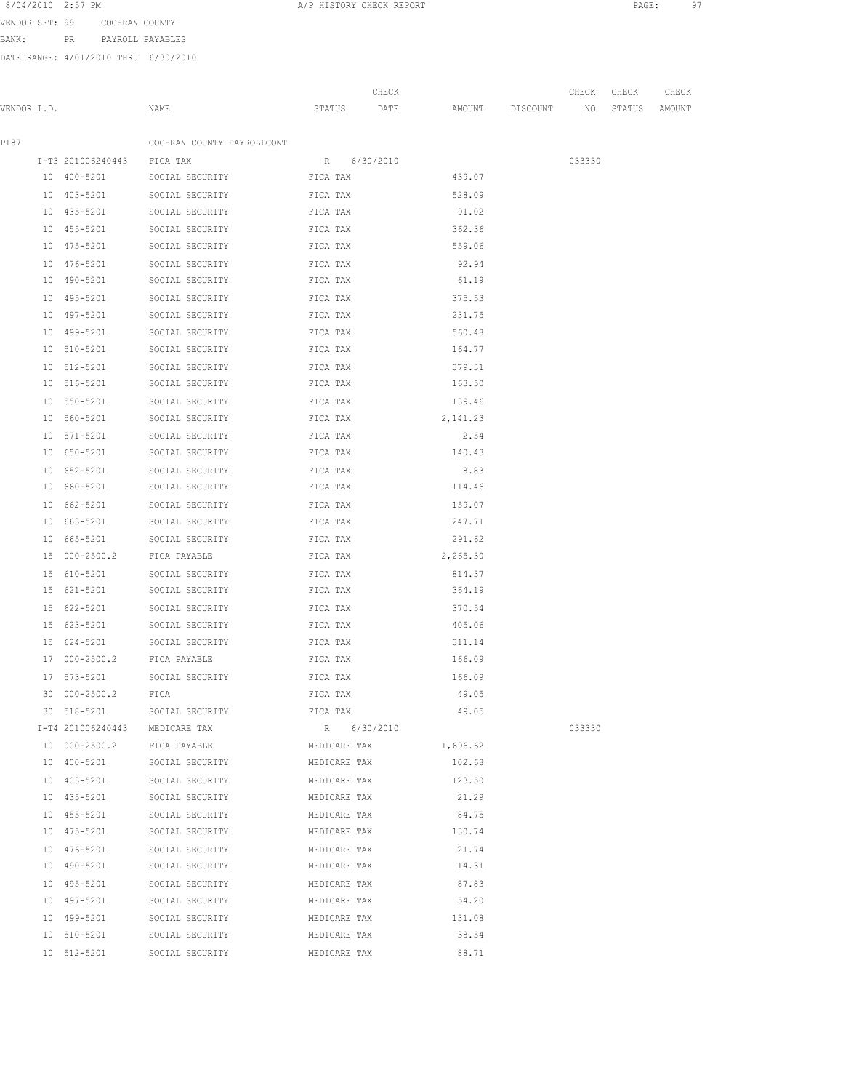VENDOR SET: 99 COCHRAN COUNTY

BANK: PR PAYROLL PAYABLES

|             |                            |                                                                                                                 |              | CHECK |                    | CHECK  | CHECK  | CHECK  |
|-------------|----------------------------|-----------------------------------------------------------------------------------------------------------------|--------------|-------|--------------------|--------|--------|--------|
| VENDOR I.D. |                            | NAME                                                                                                            | STATUS DATE  |       | AMOUNT DISCOUNT NO |        | STATUS | AMOUNT |
| P187        |                            | COCHRAN COUNTY PAYROLLCONT                                                                                      |              |       |                    |        |        |        |
|             | I-T3 201006240443 FICA TAX |                                                                                                                 | R 6/30/2010  |       |                    | 033330 |        |        |
|             |                            | 10 400-5201 SOCIAL SECURITY FICA TAX                                                                            |              |       | 439.07             |        |        |        |
|             | 10 403-5201                | SOCIAL SECURITY FICA TAX                                                                                        |              |       | 528.09             |        |        |        |
|             | 10 435-5201                | SOCIAL SECURITY FICA TAX                                                                                        |              |       | 91.02              |        |        |        |
|             | 10 455-5201                | SOCIAL SECURITY                                                                                                 | FICA TAX     |       | 362.36             |        |        |        |
|             | 10 475-5201                | SOCIAL SECURITY                                                                                                 | FICA TAX     |       | 559.06             |        |        |        |
|             | 10 476-5201                | SOCIAL SECURITY                                                                                                 | FICA TAX     |       | 92.94              |        |        |        |
|             | 10 490-5201                | SOCIAL SECURITY                                                                                                 | FICA TAX     |       | 61.19              |        |        |        |
|             | 10 495-5201                | SOCIAL SECURITY                                                                                                 | FICA TAX     |       | 375.53             |        |        |        |
|             | 10 497-5201                | SOCIAL SECURITY                                                                                                 | FICA TAX     |       | 231.75             |        |        |        |
|             | 10 499-5201                | SOCIAL SECURITY                                                                                                 | FICA TAX     |       | 560.48             |        |        |        |
|             | 10 510-5201                | SOCIAL SECURITY                                                                                                 | FICA TAX     |       | 164.77             |        |        |        |
|             | 10 512-5201                | FICA TAX<br>SOCIAL SECURITY                                                                                     |              |       | 379.31             |        |        |        |
|             | 10 516-5201                | FICA TAX<br>SOCIAL SECURITY                                                                                     |              |       | 163.50             |        |        |        |
|             | 10 550-5201                | SOCIAL SECURITY FICA TAX                                                                                        |              |       | 139.46             |        |        |        |
|             | 10 560-5201                | SOCIAL SECURITY FICA TAX                                                                                        |              |       | 2,141.23           |        |        |        |
|             | 10 571-5201                | SOCIAL SECURITY                                                                                                 | FICA TAX     |       | 2.54               |        |        |        |
|             | 10 650-5201                | SOCIAL SECURITY                                                                                                 | FICA TAX     |       | 140.43             |        |        |        |
|             | 10 652-5201                | SOCIAL SECURITY                                                                                                 | FICA TAX     |       | 8.83               |        |        |        |
|             | 10 660-5201                | SOCIAL SECURITY                                                                                                 | FICA TAX     |       | 114.46             |        |        |        |
|             | 10 662-5201                | SOCIAL SECURITY                                                                                                 | FICA TAX     |       | 159.07             |        |        |        |
|             | 10 663-5201                | SOCIAL SECURITY                                                                                                 | FICA TAX     |       | 247.71             |        |        |        |
|             | 10 665-5201                | SOCIAL SECURITY                                                                                                 | FICA TAX     |       | 291.62             |        |        |        |
|             |                            | 15 000-2500.2 FICA PAYABLE                                                                                      | FICA TAX     |       | 2,265.30           |        |        |        |
|             | 15 610-5201                | SOCIAL SECURITY FICA TAX                                                                                        |              |       | 814.37             |        |        |        |
|             | 15 621-5201                | FICA TAX<br>SOCIAL SECURITY                                                                                     |              |       | 364.19             |        |        |        |
|             | 15 622-5201                | SOCIAL SECURITY FICA TAX                                                                                        |              |       | 370.54             |        |        |        |
|             |                            | 15 623-5201 SOCIAL SECURITY                                                                                     | FICA TAX     |       | 405.06             |        |        |        |
|             | 15 624-5201                | SOCIAL SECURITY                                                                                                 | FICA TAX     |       | 311.14             |        |        |        |
|             |                            | 17 000-2500.2 FICA PAYABLE                                                                                      | FICA TAX     |       | 166.09             |        |        |        |
|             | 17 573-5201                | SOCIAL SECURITY                                                                                                 | FICA TAX     |       | 166.09             |        |        |        |
|             | 30 000-2500.2              | FICA                                                                                                            | FICA TAX     |       | 49.05              |        |        |        |
|             |                            | 30 518-5201 SOCIAL SECURITY                                                                                     | FICA TAX     |       | 49.05              |        |        |        |
|             |                            | I-T4 201006240443 MEDICARE TAX                                                                                  | R 6/30/2010  |       |                    | 033330 |        |        |
|             |                            | 10 000-2500.2 FICA PAYABLE MEDICARE TAX $1,696.62$                                                              |              |       |                    |        |        |        |
|             |                            | $10 \quad 400-5201 \qquad \qquad \text{SOCIAL SECURITY} \qquad \qquad \text{MEDICARE TAX} \qquad \qquad 102.68$ |              |       |                    |        |        |        |
|             |                            | 10 403-5201 SOCIAL SECURITY MEDICARE TAX 123.50                                                                 |              |       |                    |        |        |        |
|             |                            | 10 435-5201 SOCIAL SECURITY MEDICARE TAX 21.29                                                                  |              |       |                    |        |        |        |
|             |                            | 10 455-5201 SOCIAL SECURITY MEDICARE TAX 84.75                                                                  |              |       |                    |        |        |        |
|             |                            | 10 475-5201 SOCIAL SECURITY MEDICARE TAX 130.74                                                                 |              |       |                    |        |        |        |
|             |                            | 10 476-5201 SOCIAL SECURITY MEDICARE TAX 21.74                                                                  |              |       |                    |        |        |        |
|             |                            | 10 490-5201 SOCIAL SECURITY MEDICARE TAX                                                                        |              |       | 14.31              |        |        |        |
|             | 10 495-5201                | SOCIAL SECURITY                                                                                                 | MEDICARE TAX |       | 87.83              |        |        |        |
|             | 10 497-5201                | SOCIAL SECURITY                                                                                                 | MEDICARE TAX |       | 54.20              |        |        |        |
|             | 10 499-5201                | SOCIAL SECURITY                                                                                                 | MEDICARE TAX |       | 131.08             |        |        |        |
|             | 10 510-5201                | SOCIAL SECURITY                                                                                                 | MEDICARE TAX |       | 38.54              |        |        |        |
|             |                            | 10 512-5201 SOCIAL SECURITY                                                                                     | MEDICARE TAX |       | 88.71              |        |        |        |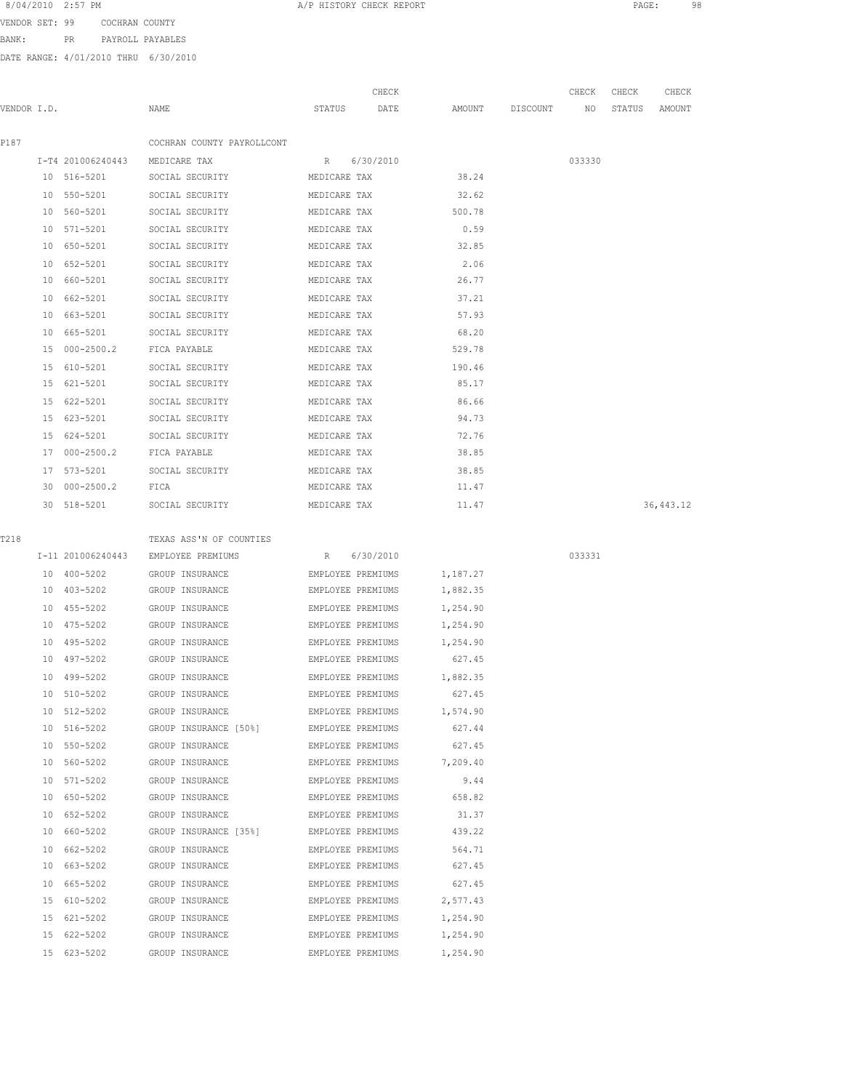| 8/04/2010 | $2:57$ PM |  |
|-----------|-----------|--|
|-----------|-----------|--|

VENDOR SET: 99 COCHRAN COUNTY

BANK: PR PAYROLL PAYABLES

DATE RANGE: 4/01/2010 THRU 6/30/2010

| VENDOR I.D. |    |                   | NAME                                    | STATUS            | CHECK<br>DATE     | AMOUNT   | DISCOUNT | CHECK<br>ΝO | CHECK<br>STATUS | CHECK<br>AMOUNT |
|-------------|----|-------------------|-----------------------------------------|-------------------|-------------------|----------|----------|-------------|-----------------|-----------------|
| P187        |    |                   | COCHRAN COUNTY PAYROLLCONT              |                   |                   |          |          |             |                 |                 |
|             |    | I-T4 201006240443 | MEDICARE TAX                            | R                 | 6/30/2010         |          |          | 033330      |                 |                 |
|             |    | 10 516-5201       | SOCIAL SECURITY                         | MEDICARE TAX      |                   | 38.24    |          |             |                 |                 |
|             |    | 10 550-5201       | SOCIAL SECURITY                         | MEDICARE TAX      |                   | 32.62    |          |             |                 |                 |
|             |    | 10 560-5201       | SOCIAL SECURITY                         | MEDICARE TAX      |                   | 500.78   |          |             |                 |                 |
|             |    | 10 571-5201       | SOCIAL SECURITY                         | MEDICARE TAX      |                   | 0.59     |          |             |                 |                 |
|             | 10 | 650-5201          | SOCIAL SECURITY                         | MEDICARE TAX      |                   | 32.85    |          |             |                 |                 |
|             |    | 10 652-5201       | SOCIAL SECURITY                         | MEDICARE TAX      |                   | 2.06     |          |             |                 |                 |
|             | 10 | 660-5201          | SOCIAL SECURITY                         | MEDICARE TAX      |                   | 26.77    |          |             |                 |                 |
|             |    | 10 662-5201       | SOCIAL SECURITY                         | MEDICARE TAX      |                   | 37.21    |          |             |                 |                 |
|             |    | 10 663-5201       | SOCIAL SECURITY                         | MEDICARE TAX      |                   | 57.93    |          |             |                 |                 |
|             | 10 | 665-5201          | SOCIAL SECURITY                         | MEDICARE TAX      |                   | 68.20    |          |             |                 |                 |
|             |    | 15 000-2500.2     | FICA PAYABLE                            | MEDICARE TAX      |                   | 529.78   |          |             |                 |                 |
|             |    | 15 610-5201       | SOCIAL SECURITY                         | MEDICARE TAX      |                   | 190.46   |          |             |                 |                 |
|             |    | 15 621-5201       | SOCIAL SECURITY                         | MEDICARE TAX      |                   | 85.17    |          |             |                 |                 |
|             | 15 | 622-5201          | SOCIAL SECURITY                         | MEDICARE TAX      |                   | 86.66    |          |             |                 |                 |
|             | 15 | 623-5201          | SOCIAL SECURITY                         | MEDICARE TAX      |                   | 94.73    |          |             |                 |                 |
|             | 15 | 624-5201          | SOCIAL SECURITY                         | MEDICARE TAX      |                   | 72.76    |          |             |                 |                 |
|             |    | 17 000-2500.2     | FICA PAYABLE                            | MEDICARE TAX      |                   | 38.85    |          |             |                 |                 |
|             |    | 17 573-5201       | SOCIAL SECURITY                         | MEDICARE TAX      |                   | 38.85    |          |             |                 |                 |
|             |    | 30 000-2500.2     | FICA                                    | MEDICARE TAX      |                   | 11.47    |          |             |                 |                 |
|             |    | 30 518-5201       | SOCIAL SECURITY                         | MEDICARE TAX      |                   | 11.47    |          |             |                 | 36, 443.12      |
| T218        |    |                   | TEXAS ASS'N OF COUNTIES                 |                   |                   |          |          |             |                 |                 |
|             |    | I-11 201006240443 | EMPLOYEE PREMIUMS                       | $R_{\perp}$       | 6/30/2010         |          |          | 033331      |                 |                 |
|             |    | 10 400-5202       | GROUP INSURANCE                         | EMPLOYEE PREMIUMS |                   | 1,187.27 |          |             |                 |                 |
|             |    | 10 403-5202       | GROUP INSURANCE                         | EMPLOYEE PREMIUMS |                   | 1,882.35 |          |             |                 |                 |
|             |    | 10 455-5202       | GROUP INSURANCE                         | EMPLOYEE PREMIUMS |                   | 1,254.90 |          |             |                 |                 |
|             |    | 10 475-5202       | GROUP INSURANCE                         | EMPLOYEE PREMIUMS |                   | 1,254.90 |          |             |                 |                 |
|             | 10 | 495-5202          | GROUP INSURANCE                         | EMPLOYEE PREMIUMS |                   | 1,254.90 |          |             |                 |                 |
|             | 10 | 497-5202          | GROUP INSURANCE                         | EMPLOYEE PREMIUMS |                   | 627.45   |          |             |                 |                 |
|             |    | 10 499-5202       | GROUP INSURANCE                         | EMPLOYEE PREMIUMS |                   | 1,882.35 |          |             |                 |                 |
|             |    | 10 510-5202       | GROUP INSURANCE                         | EMPLOYEE PREMIUMS |                   | 627.45   |          |             |                 |                 |
|             |    | 10 512-5202       | GROUP INSURANCE                         |                   | EMPLOYEE PREMIUMS | 1,574.90 |          |             |                 |                 |
|             |    | 10 516-5202       | GROUP INSURANCE [50%] EMPLOYEE PREMIUMS |                   |                   | 627.44   |          |             |                 |                 |
|             |    | 10 550-5202       | GROUP INSURANCE                         |                   | EMPLOYEE PREMIUMS | 627.45   |          |             |                 |                 |
|             |    | 10 560-5202       | GROUP INSURANCE                         |                   | EMPLOYEE PREMIUMS | 7,209.40 |          |             |                 |                 |
|             |    | 10 571-5202       | GROUP INSURANCE                         | EMPLOYEE PREMIUMS |                   | 9.44     |          |             |                 |                 |
|             |    | 10 650-5202       | GROUP INSURANCE                         | EMPLOYEE PREMIUMS |                   | 658.82   |          |             |                 |                 |
|             |    | 10 652-5202       | GROUP INSURANCE                         | EMPLOYEE PREMIUMS |                   | 31.37    |          |             |                 |                 |
|             |    | 10 660-5202       | GROUP INSURANCE [35%]                   | EMPLOYEE PREMIUMS |                   | 439.22   |          |             |                 |                 |
|             |    | 10 662-5202       | GROUP INSURANCE                         | EMPLOYEE PREMIUMS |                   | 564.71   |          |             |                 |                 |
|             |    | 10 663-5202       | GROUP INSURANCE                         |                   | EMPLOYEE PREMIUMS | 627.45   |          |             |                 |                 |
|             |    | 10 665-5202       | GROUP INSURANCE                         |                   | EMPLOYEE PREMIUMS | 627.45   |          |             |                 |                 |
|             |    | 15 610-5202       | GROUP INSURANCE                         | EMPLOYEE PREMIUMS |                   | 2,577.43 |          |             |                 |                 |
|             |    | 15 621-5202       | GROUP INSURANCE                         | EMPLOYEE PREMIUMS |                   | 1,254.90 |          |             |                 |                 |
|             |    | 15 622-5202       | GROUP INSURANCE                         | EMPLOYEE PREMIUMS |                   | 1,254.90 |          |             |                 |                 |
|             |    | 15 623-5202       | GROUP INSURANCE                         | EMPLOYEE PREMIUMS |                   | 1,254.90 |          |             |                 |                 |

A/P HISTORY CHECK REPORT PAGE: 98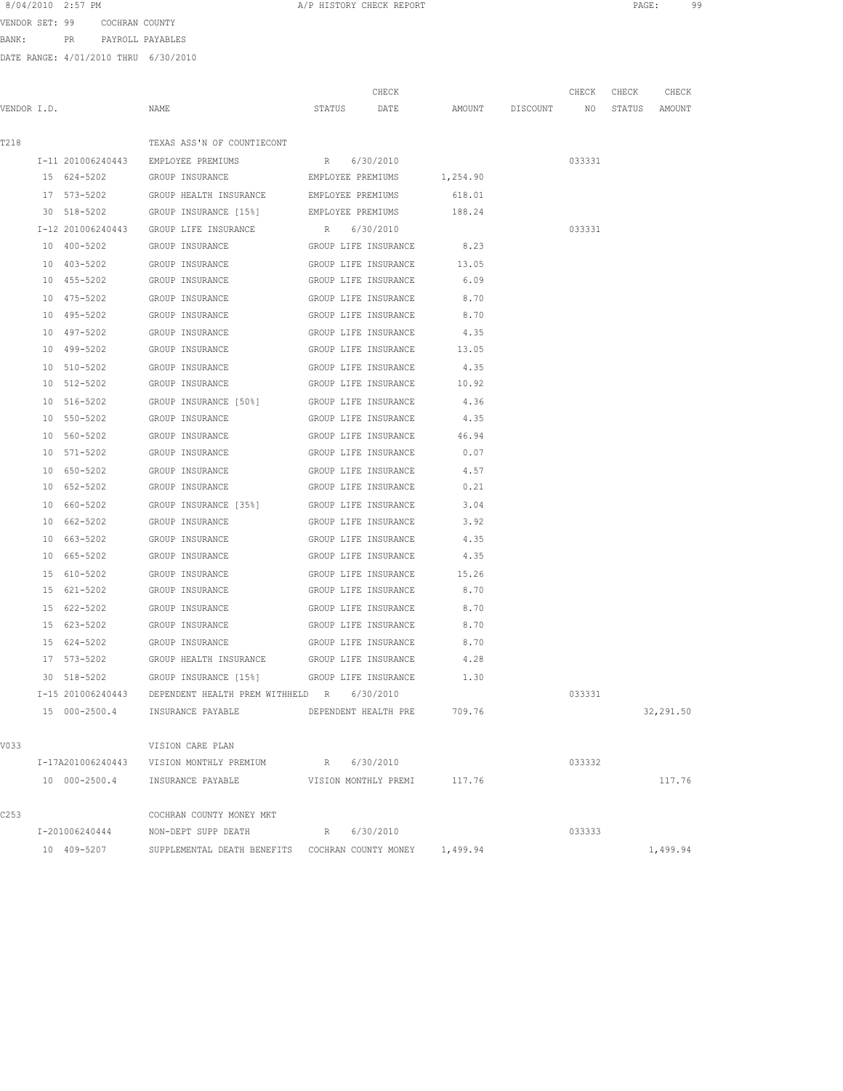VENDOR SET: 99 COCHRAN COUNTY BANK: PR PAYROLL PAYABLES

|             |               |                                                              |             | CHECK                       |                                  | CHECK CHECK | CHECK     |
|-------------|---------------|--------------------------------------------------------------|-------------|-----------------------------|----------------------------------|-------------|-----------|
| VENDOR I.D. |               | NAME                                                         |             | STATUS DATE                 | AMOUNT DISCOUNT NO STATUS AMOUNT |             |           |
|             |               |                                                              |             |                             |                                  |             |           |
| T218        |               | TEXAS ASS'N OF COUNTIECONT                                   |             |                             |                                  |             |           |
|             |               | I-11 201006240443 EMPLOYEE PREMIUMS R 6/30/2010              |             |                             |                                  | 033331      |           |
|             |               | 15 624-5202 GROUP INSURANCE EMPLOYEE PREMIUMS 1,254.90       |             |                             |                                  |             |           |
|             |               | 17 573-5202 GROUP HEALTH INSURANCE EMPLOYEE PREMIUMS 618.01  |             |                             |                                  |             |           |
|             |               | 30 518-5202 GROUP INSURANCE [15%] EMPLOYEE PREMIUMS 188.24   |             |                             |                                  |             |           |
|             |               | I-12 201006240443 GROUP LIFE INSURANCE R 6/30/2010           |             |                             |                                  | 033331      |           |
|             |               | 10 400-5202 GROUP INSURANCE GROUP LIFE INSURANCE 8.23        |             |                             |                                  |             |           |
|             | 10 403-5202   | GROUP INSURANCE                                              |             | GROUP LIFE INSURANCE 13.05  |                                  |             |           |
|             | 10 455-5202   | GROUP INSURANCE                                              |             | GROUP LIFE INSURANCE        | 6.09                             |             |           |
|             | 10 475-5202   | GROUP INSURANCE                                              |             | GROUP LIFE INSURANCE        | 8.70                             |             |           |
|             | 10 495-5202   | GROUP INSURANCE                                              |             | GROUP LIFE INSURANCE        | 8.70                             |             |           |
|             | 10 497-5202   | GROUP INSURANCE                                              |             | GROUP LIFE INSURANCE        | 4.35                             |             |           |
|             | 10 499-5202   | GROUP INSURANCE                                              |             | GROUP LIFE INSURANCE        | 13.05                            |             |           |
|             |               | 10 510-5202 GROUP INSURANCE                                  |             | GROUP LIFE INSURANCE        | 4.35                             |             |           |
|             |               | 10 512-5202 GROUP INSURANCE                                  |             | GROUP LIFE INSURANCE 10.92  |                                  |             |           |
|             |               | 10 516-5202 GROUP INSURANCE [50%] GROUP LIFE INSURANCE 4.36  |             |                             |                                  |             |           |
|             |               | 10 550-5202 GROUP INSURANCE                                  |             | GROUP LIFE INSURANCE 4.35   |                                  |             |           |
|             |               | 10 560-5202 GROUP INSURANCE GROUP LIFE INSURANCE 46.94       |             |                             |                                  |             |           |
|             |               | 10 571-5202 GROUP INSURANCE GROUP LIFE INSURANCE 0.07        |             |                             |                                  |             |           |
|             | 10 650-5202   | GROUP INSURANCE                                              |             | GROUP LIFE INSURANCE        | 4.57                             |             |           |
|             | 10 652-5202   | GROUP INSURANCE                                              |             | GROUP LIFE INSURANCE        | 0.21                             |             |           |
|             | 10 660-5202   | GROUP INSURANCE [35%]                                        |             | GROUP LIFE INSURANCE        | 3.04                             |             |           |
|             | 10 662-5202   | GROUP INSURANCE                                              |             | GROUP LIFE INSURANCE        | 3.92                             |             |           |
|             | 10 663-5202   | GROUP INSURANCE                                              |             | GROUP LIFE INSURANCE        | 4.35                             |             |           |
|             | 10 665-5202   | GROUP INSURANCE                                              |             | GROUP LIFE INSURANCE        | 4.35                             |             |           |
|             | 15 610-5202   | GROUP INSURANCE                                              |             | GROUP LIFE INSURANCE 15.26  |                                  |             |           |
|             | 15 621-5202   | GROUP INSURANCE                                              |             | GROUP LIFE INSURANCE 8.70   |                                  |             |           |
|             | 15 622-5202   | GROUP INSURANCE                                              |             | GROUP LIFE INSURANCE        | 8.70                             |             |           |
|             |               | 15 623-5202 GROUP INSURANCE GROUP LIFE INSURANCE 8.70        |             |                             |                                  |             |           |
|             |               | 15 624-5202 GROUP INSURANCE GROUP LIFE INSURANCE 8.70        |             |                             |                                  |             |           |
|             |               | 17 573-5202 GROUP HEALTH INSURANCE GROUP LIFE INSURANCE 4.28 |             |                             |                                  |             |           |
|             | 30 518-5202   | GROUP INSURANCE [15%] GROUP LIFE INSURANCE                   |             |                             | 1.30                             |             |           |
|             |               | I-15 201006240443 DEPENDENT HEALTH PREM WITHHELD R 6/30/2010 |             |                             |                                  | 033331      |           |
|             | 15 000-2500.4 | INSURANCE PAYABLE                                            |             | DEPENDENT HEALTH PRE        | 709.76                           |             | 32,291.50 |
|             |               |                                                              |             |                             |                                  |             |           |
| V033        |               | VISION CARE PLAN                                             |             |                             |                                  |             |           |
|             |               | I-17A201006240443 VISION MONTHLY PREMIUM R 6/30/2010         |             |                             |                                  | 033332      |           |
|             |               | 10 000-2500.4 INSURANCE PAYABLE                              |             | VISION MONTHLY PREMI 117.76 |                                  |             | 117.76    |
| C253        |               | COCHRAN COUNTY MONEY MKT                                     |             |                             |                                  |             |           |
|             |               | I-201006240444 NON-DEPT SUPP DEATH                           | R 6/30/2010 |                             |                                  | 033333      |           |
|             | 10 409-5207   | SUPPLEMENTAL DEATH BENEFITS COCHRAN COUNTY MONEY 1,499.94    |             |                             |                                  |             | 1,499.94  |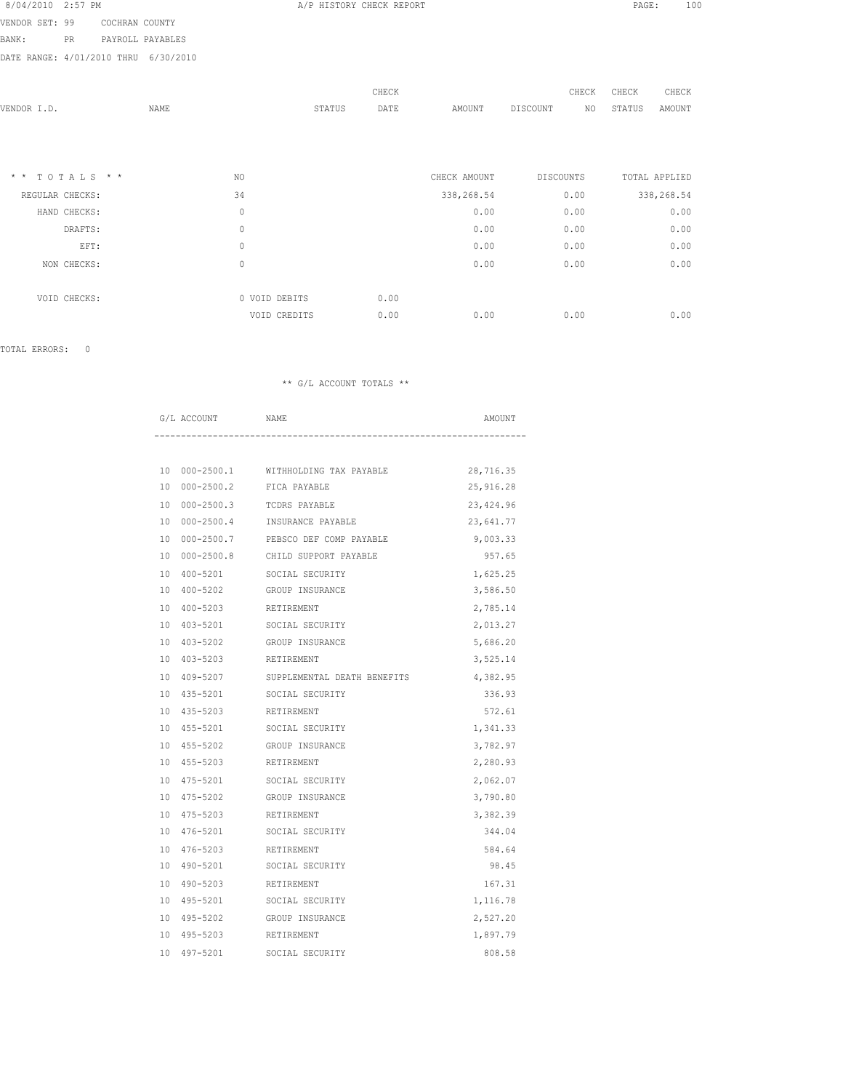| 8/04/2010 2:57 PM |     |                |                  |  |
|-------------------|-----|----------------|------------------|--|
| VENDOR SET: 99    |     | COCHRAN COUNTY |                  |  |
| BANK :            | PR. |                | PAYROLL PAYABLES |  |

DATE RANGE: 4/01/2010 THRU 6/30/2010

| VENDOR I.D.                     | NAME |                               | STATUS | CHECK<br>DATE | AMOUNT             | CHECK<br>DISCOUNT | CHECK<br>NO<br>STATUS | CHECK<br>AMOUNT    |
|---------------------------------|------|-------------------------------|--------|---------------|--------------------|-------------------|-----------------------|--------------------|
| $* * TOTALS **$                 |      | NO.                           |        |               | CHECK AMOUNT       | <b>DISCOUNTS</b>  |                       | TOTAL APPLIED      |
| REGULAR CHECKS:<br>HAND CHECKS: |      | 34<br>$\mathbb O$             |        |               | 338,268.54<br>0.00 | 0.00<br>0.00      |                       | 338,268.54<br>0.00 |
| DRAFTS:                         |      | 0                             |        |               | 0.00               | 0.00              |                       | 0.00               |
| EFT:                            |      | 0                             |        |               | 0.00               | 0.00              |                       | 0.00               |
| NON CHECKS:                     |      | 0                             |        |               | 0.00               | 0.00              |                       | 0.00               |
| VOID CHECKS:                    |      | 0 VOID DEBITS<br>VOID CREDITS |        | 0.00<br>0.00  | 0.00               | 0.00              |                       | 0.00               |

A/P HISTORY CHECK REPORT PAGE: 100

TOTAL ERRORS: 0

| G/L ACCOUNT | NAME                                             | AMOUNT    |
|-------------|--------------------------------------------------|-----------|
|             |                                                  |           |
|             | 10 000-2500.1 WITHHOLDING TAX PAYABLE            | 28,716.35 |
|             | 10 000-2500.2 FICA PAYABLE                       | 25,916.28 |
|             | 10 000-2500.3 TCDRS PAYABLE                      | 23,424.96 |
|             | 10 000-2500.4 INSURANCE PAYABLE                  | 23,641.77 |
|             | 10 000-2500.7 PEBSCO DEF COMP PAYABLE            | 9,003.33  |
|             | 10 000-2500.8 CHILD SUPPORT PAYABLE              | 957.65    |
|             | 10 400-5201 SOCIAL SECURITY                      | 1,625.25  |
|             | 10 400-5202 GROUP INSURANCE                      | 3,586.50  |
|             | 10 400-5203 RETIREMENT                           | 2,785.14  |
|             | 10 403-5201 SOCIAL SECURITY                      | 2,013.27  |
|             | 10 403-5202 GROUP INSURANCE                      | 5,686.20  |
|             | 10 403-5203 RETIREMENT                           | 3,525.14  |
|             | 10 409-5207 SUPPLEMENTAL DEATH BENEFITS 4,382.95 |           |
|             | 10 435-5201 SOCIAL SECURITY                      | 336.93    |
|             | 10 435-5203 RETIREMENT                           | 572.61    |
|             | 10 455-5201 SOCIAL SECURITY                      | 1,341.33  |
|             | 10 455-5202 GROUP INSURANCE                      | 3,782.97  |
|             | 10 455-5203 RETIREMENT                           | 2,280.93  |
|             | 10 475-5201 SOCIAL SECURITY                      | 2,062.07  |
|             | 10 475-5202 GROUP INSURANCE                      | 3,790.80  |
|             | 10 475-5203 RETIREMENT                           | 3,382.39  |
|             | 10 476-5201 SOCIAL SECURITY                      | 344.04    |
|             | 10 476-5203 RETIREMENT                           | 584.64    |
|             | 10 490-5201 SOCIAL SECURITY                      | 98.45     |
|             | 10 490-5203 RETIREMENT                           | 167.31    |
|             | 10 495-5201 SOCIAL SECURITY                      | 1,116.78  |
|             | 10 495-5202 GROUP INSURANCE                      | 2,527.20  |
| 10 495-5203 | RETIREMENT                                       | 1,897.79  |
| 10 497-5201 | SOCIAL SECURITY                                  | 808.58    |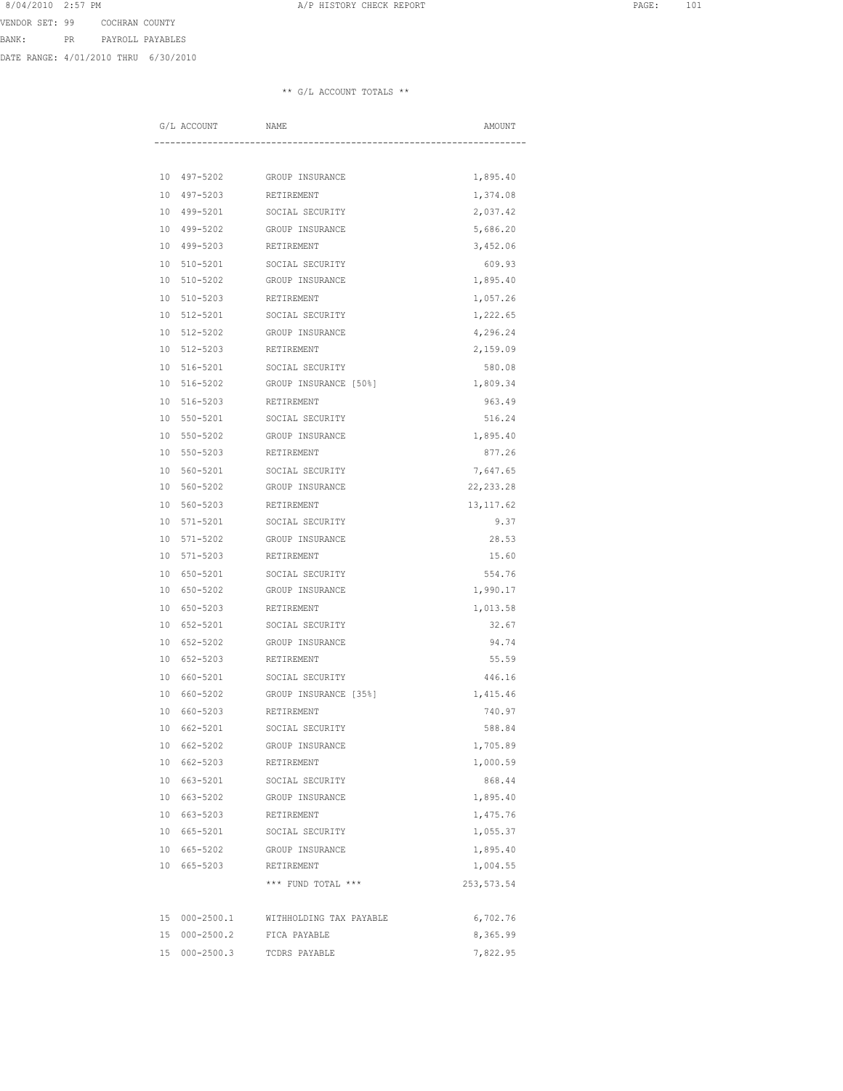VENDOR SET: 99 COCHRAN COUNTY BANK: PR PAYROLL PAYABLES

DATE RANGE: 4/01/2010 THRU 6/30/2010

|    | G/L ACCOUNT            | <b>NAME</b>                 | AMOUNT      |
|----|------------------------|-----------------------------|-------------|
|    |                        |                             |             |
|    |                        | 10 497-5202 GROUP INSURANCE | 1,895.40    |
|    | 10 497-5203            | RETIREMENT                  | 1,374.08    |
|    | 10 499-5201            | SOCIAL SECURITY             | 2,037.42    |
|    | 10 499-5202            | GROUP INSURANCE             | 5,686.20    |
|    | 10 499-5203            | RETIREMENT                  | 3,452.06    |
|    | 10 510-5201            | SOCIAL SECURITY             | 609.93      |
|    | 10 510-5202            | GROUP INSURANCE             | 1,895.40    |
|    | 10 510-5203            | RETIREMENT                  | 1,057.26    |
|    | 10 512-5201            | SOCIAL SECURITY             | 1,222.65    |
|    | 10 512-5202            | GROUP INSURANCE             | 4,296.24    |
|    | 10 512-5203            | RETIREMENT                  | 2,159.09    |
|    | 10 516-5201            | SOCIAL SECURITY             | 580.08      |
|    | 10 516-5202            | GROUP INSURANCE [50%]       | 1,809.34    |
|    | 10 516-5203            | RETIREMENT                  | 963.49      |
|    | 10 550-5201            | SOCIAL SECURITY             | 516.24      |
|    | 10 550-5202            | GROUP INSURANCE             | 1,895.40    |
|    | 10 550-5203 RETIREMENT |                             | 877.26      |
|    |                        | 10 560-5201 SOCIAL SECURITY | 7,647.65    |
|    | 10 560-5202            | GROUP INSURANCE             | 22, 233.28  |
|    | 10 560-5203            | RETIREMENT                  | 13, 117.62  |
|    | 10 571-5201            | SOCIAL SECURITY             | 9.37        |
|    | 10 571-5202            | GROUP INSURANCE             | 28.53       |
|    | 10 571-5203            | RETIREMENT                  | 15.60       |
|    | 10 650-5201            | SOCIAL SECURITY             | 554.76      |
|    | 10 650-5202            | GROUP INSURANCE             | 1,990.17    |
|    | 10 650-5203            | RETIREMENT                  | 1,013.58    |
|    | 10 652-5201            | SOCIAL SECURITY             | 32.67       |
|    | 10 652-5202            | GROUP INSURANCE             | 94.74       |
|    | 10 652-5203            | RETIREMENT                  | 55.59       |
|    | 10 660-5201            | SOCIAL SECURITY             | 446.16      |
|    | 10 660-5202            | GROUP INSURANCE [35%]       | 1,415.46    |
| 10 | 660-5203               | RETIREMENT                  | 740.97      |
|    | 10 662-5201            | SOCIAL SECURITY             | 588.84      |
|    | 10 662-5202            | GROUP INSURANCE             | 1,705.89    |
|    | 10 662-5203            | RETIREMENT                  | 1,000.59    |
|    | 10 663-5201            | SOCIAL SECURITY             | 868.44      |
|    | 10 663-5202            | GROUP INSURANCE             | 1,895.40    |
|    | 10 663-5203            | RETIREMENT                  | 1,475.76    |
|    | 10 665-5201            | SOCIAL SECURITY             | 1,055.37    |
|    |                        | 10 665-5202 GROUP INSURANCE | 1,895.40    |
|    | 10 665-5203 RETIREMENT |                             | 1,004.55    |
|    |                        | *** FUND TOTAL ***          | 253, 573.54 |
|    | 15 000-2500.1          | WITHHOLDING TAX PAYABLE     | 6,702.76    |
|    | 15 000-2500.2          | FICA PAYABLE                | 8,365.99    |
|    | 15 000-2500.3          | TCDRS PAYABLE               | 7,822.95    |
|    |                        |                             |             |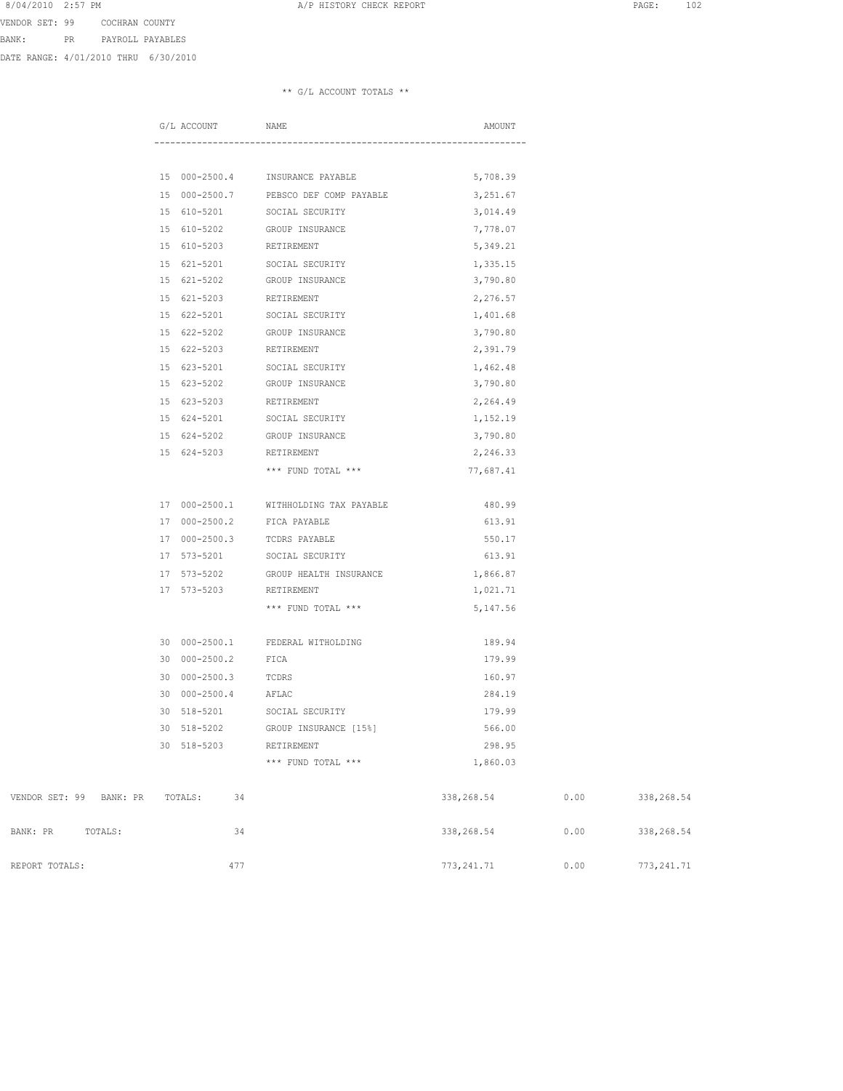VENDOR SET: 99 COCHRAN COUNTY BANK: PR PAYROLL PAYABLES

DATE RANGE: 4/01/2010 THRU 6/30/2010

|                         | G/L ACCOUNT                      | NAME                                  | AMOUNT      |      |             |
|-------------------------|----------------------------------|---------------------------------------|-------------|------|-------------|
|                         |                                  |                                       |             |      |             |
|                         |                                  |                                       |             |      |             |
|                         |                                  | 15 000-2500.4 INSURANCE PAYABLE       | 5,708.39    |      |             |
|                         |                                  | 15 000-2500.7 PEBSCO DEF COMP PAYABLE | 3,251.67    |      |             |
|                         | 15 610-5201 SOCIAL SECURITY      |                                       | 3,014.49    |      |             |
|                         | 15 610-5202 GROUP INSURANCE      |                                       | 7,778.07    |      |             |
|                         | 15 610-5203 RETIREMENT           |                                       | 5,349.21    |      |             |
|                         | 15 621-5201 SOCIAL SECURITY      |                                       | 1,335.15    |      |             |
|                         | 15 621-5202                      | GROUP INSURANCE                       | 3,790.80    |      |             |
|                         | 15 621-5203                      | RETIREMENT                            | 2,276.57    |      |             |
|                         | 15 622-5201                      | SOCIAL SECURITY                       | 1,401.68    |      |             |
|                         | 15 622-5202                      | GROUP INSURANCE                       | 3,790.80    |      |             |
|                         | 15 622-5203                      | RETIREMENT                            | 2,391.79    |      |             |
|                         | 15 623-5201                      | SOCIAL SECURITY                       | 1,462.48    |      |             |
|                         | 15 623-5202                      | GROUP INSURANCE                       | 3,790.80    |      |             |
|                         | 15 623-5203 RETIREMENT           |                                       | 2,264.49    |      |             |
|                         | 15 624-5201 SOCIAL SECURITY      |                                       | 1,152.19    |      |             |
|                         | 15 624-5202 GROUP INSURANCE      |                                       | 3,790.80    |      |             |
|                         | 15 624-5203 RETIREMENT           |                                       | 2,246.33    |      |             |
|                         |                                  | *** FUND TOTAL ***                    | 77,687.41   |      |             |
|                         |                                  |                                       |             |      |             |
|                         |                                  | 17 000-2500.1 WITHHOLDING TAX PAYABLE | 480.99      |      |             |
|                         | 17 000-2500.2                    | FICA PAYABLE                          | 613.91      |      |             |
|                         | 17 000-2500.3                    | TCDRS PAYABLE                         | 550.17      |      |             |
|                         | 17 573-5201                      | SOCIAL SECURITY                       | 613.91      |      |             |
|                         | 17 573-5202                      | GROUP HEALTH INSURANCE                | 1,866.87    |      |             |
|                         | 17 573-5203                      | RETIREMENT                            | 1,021.71    |      |             |
|                         |                                  | *** FUND TOTAL ***                    | 5,147.56    |      |             |
|                         |                                  |                                       |             |      |             |
|                         | 30 000-2500.1 FEDERAL WITHOLDING |                                       | 189.94      |      |             |
|                         | 30 000-2500.2 FICA               |                                       | 179.99      |      |             |
|                         | 30 000-2500.3                    | TCDRS                                 | 160.97      |      |             |
|                         | 30 000-2500.4 AFLAC              |                                       | 284.19      |      |             |
|                         | 30 518-5201                      | SOCIAL SECURITY                       | 179.99      |      |             |
|                         | 30 518-5202                      | GROUP INSURANCE [15%]                 | 566.00      |      |             |
|                         | 30 518-5203                      | RETIREMENT                            | 298.95      |      |             |
|                         |                                  | *** FUND TOTAL ***                    | 1,860.03    |      |             |
|                         |                                  |                                       |             |      |             |
| VENDOR SET: 99 BANK: PR | TOTALS:<br>34                    |                                       | 338,268.54  | 0.00 | 338,268.54  |
|                         |                                  |                                       |             |      |             |
| BANK: PR<br>TOTALS:     | 34                               |                                       | 338,268.54  | 0.00 | 338,268.54  |
|                         |                                  |                                       |             |      |             |
| REPORT TOTALS:          | 477                              |                                       | 773, 241.71 | 0.00 | 773, 241.71 |